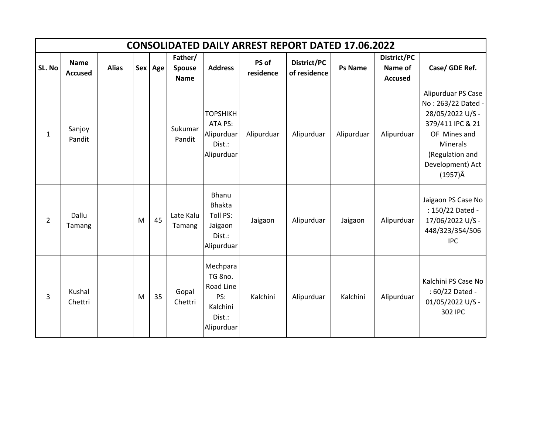|                |                               |              |   |         |                                  |                                                                             | <b>CONSOLIDATED DAILY ARREST REPORT DATED 17.06.2022</b> |                             |                |                                          |                                                                                                                                                                               |
|----------------|-------------------------------|--------------|---|---------|----------------------------------|-----------------------------------------------------------------------------|----------------------------------------------------------|-----------------------------|----------------|------------------------------------------|-------------------------------------------------------------------------------------------------------------------------------------------------------------------------------|
| SL. No         | <b>Name</b><br><b>Accused</b> | <b>Alias</b> |   | Sex Age | Father/<br>Spouse<br><b>Name</b> | <b>Address</b>                                                              | PS of<br>residence                                       | District/PC<br>of residence | <b>Ps Name</b> | District/PC<br>Name of<br><b>Accused</b> | Case/ GDE Ref.                                                                                                                                                                |
| $\mathbf{1}$   | Sanjoy<br>Pandit              |              |   |         | Sukumar<br>Pandit                | <b>TOPSHIKH</b><br>ATA PS:<br>Alipurduar<br>Dist.:<br>Alipurduar            | Alipurduar                                               | Alipurduar                  | Alipurduar     | Alipurduar                               | Alipurduar PS Case<br>No: 263/22 Dated -<br>28/05/2022 U/S -<br>379/411 IPC & 21<br>OF Mines and<br><b>Minerals</b><br>(Regulation and<br>Development) Act<br>$(1957)\hat{A}$ |
| $\overline{2}$ | Dallu<br>Tamang               |              | M | 45      | Late Kalu<br>Tamang              | Bhanu<br><b>Bhakta</b><br>Toll PS:<br>Jaigaon<br>Dist.:<br>Alipurduar       | Jaigaon                                                  | Alipurduar                  | Jaigaon        | Alipurduar                               | Jaigaon PS Case No<br>: 150/22 Dated -<br>17/06/2022 U/S -<br>448/323/354/506<br><b>IPC</b>                                                                                   |
| 3              | Kushal<br>Chettri             |              | M | 35      | Gopal<br>Chettri                 | Mechpara<br>TG 8no.<br>Road Line<br>PS:<br>Kalchini<br>Dist.:<br>Alipurduar | Kalchini                                                 | Alipurduar                  | Kalchini       | Alipurduar                               | Kalchini PS Case No<br>: 60/22 Dated -<br>01/05/2022 U/S -<br>302 IPC                                                                                                         |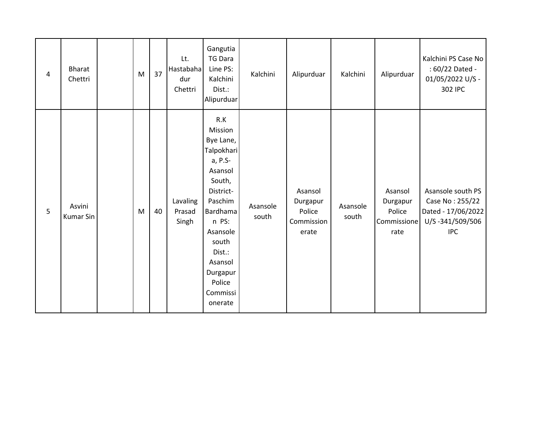| $\overline{4}$ | <b>Bharat</b><br>Chettri   | M | 37 | Lt.<br>Hastabaha<br>dur<br>Chettri | Gangutia<br><b>TG Dara</b><br>Line PS:<br>Kalchini<br>Dist.:<br>Alipurduar                                                                                                                                    | Kalchini          | Alipurduar                                           | Kalchini          | Alipurduar                                           | Kalchini PS Case No<br>: 60/22 Dated -<br>01/05/2022 U/S -<br>302 IPC                       |
|----------------|----------------------------|---|----|------------------------------------|---------------------------------------------------------------------------------------------------------------------------------------------------------------------------------------------------------------|-------------------|------------------------------------------------------|-------------------|------------------------------------------------------|---------------------------------------------------------------------------------------------|
| 5              | Asvini<br><b>Kumar Sin</b> | M | 40 | Lavaling<br>Prasad<br>Singh        | R.K<br>Mission<br>Bye Lane,<br>Talpokhari<br>a, P.S-<br>Asansol<br>South,<br>District-<br>Paschim<br>Bardhama<br>n PS:<br>Asansole<br>south<br>Dist.:<br>Asansol<br>Durgapur<br>Police<br>Commissi<br>onerate | Asansole<br>south | Asansol<br>Durgapur<br>Police<br>Commission<br>erate | Asansole<br>south | Asansol<br>Durgapur<br>Police<br>Commissione<br>rate | Asansole south PS<br>Case No: 255/22<br>Dated - 17/06/2022<br>U/S-341/509/506<br><b>IPC</b> |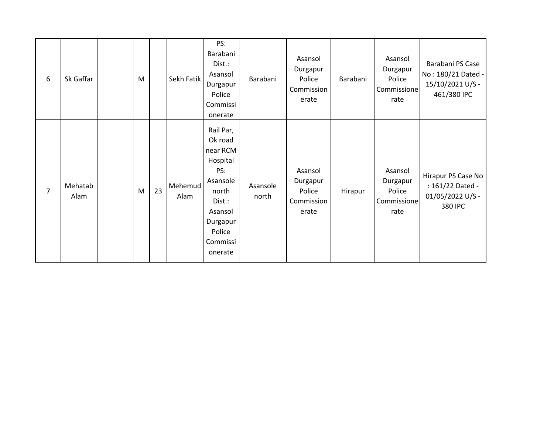| 6              | Sk Gaffar       | M |    | Sekh Fatik      | PS:<br>Barabani<br>Dist.:<br>Asansol<br>Durgapur<br>Police<br>Commissi<br>onerate                                                          | Barabani          | Asansol<br>Durgapur<br>Police<br>Commission<br>erate | Barabani | Asansol<br>Durgapur<br>Police<br>Commissione<br>rate | Barabani PS Case<br>No: 180/21 Dated -<br>15/10/2021 U/S -<br>461/380 IPC |
|----------------|-----------------|---|----|-----------------|--------------------------------------------------------------------------------------------------------------------------------------------|-------------------|------------------------------------------------------|----------|------------------------------------------------------|---------------------------------------------------------------------------|
| $\overline{7}$ | Mehatab<br>Alam | M | 23 | Mehemud<br>Alam | Rail Par,<br>Ok road<br>near RCM<br>Hospital<br>PS:<br>Asansole<br>north<br>Dist.:<br>Asansol<br>Durgapur<br>Police<br>Commissi<br>onerate | Asansole<br>north | Asansol<br>Durgapur<br>Police<br>Commission<br>erate | Hirapur  | Asansol<br>Durgapur<br>Police<br>Commissione<br>rate | Hirapur PS Case No<br>: 161/22 Dated -<br>01/05/2022 U/S -<br>380 IPC     |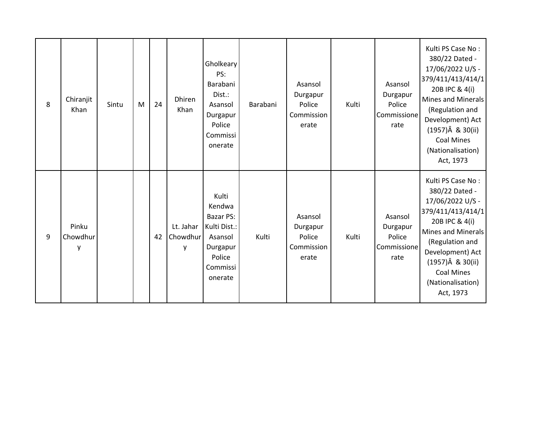| 8 | Chiranjit<br>Khan      | Sintu | M | 24 | Dhiren<br>Khan             | Gholkeary<br>PS:<br>Barabani<br>Dist.:<br>Asansol<br>Durgapur<br>Police<br>Commissi<br>onerate              | Barabani | Asansol<br>Durgapur<br>Police<br>Commission<br>erate | Kulti | Asansol<br>Durgapur<br>Police<br>Commissione<br>rate | Kulti PS Case No:<br>380/22 Dated -<br>17/06/2022 U/S -<br>379/411/413/414/1<br>20B IPC & 4(i)<br>Mines and Minerals<br>(Regulation and<br>Development) Act<br>$(1957)\hat{A}$ & 30(ii)<br><b>Coal Mines</b><br>(Nationalisation)<br>Act, 1973 |
|---|------------------------|-------|---|----|----------------------------|-------------------------------------------------------------------------------------------------------------|----------|------------------------------------------------------|-------|------------------------------------------------------|------------------------------------------------------------------------------------------------------------------------------------------------------------------------------------------------------------------------------------------------|
| 9 | Pinku<br>Chowdhur<br>у |       |   | 42 | Lt. Jahar<br>Chowdhur<br>y | Kulti<br>Kendwa<br><b>Bazar PS:</b><br>Kulti Dist.:<br>Asansol<br>Durgapur<br>Police<br>Commissi<br>onerate | Kulti    | Asansol<br>Durgapur<br>Police<br>Commission<br>erate | Kulti | Asansol<br>Durgapur<br>Police<br>Commissione<br>rate | Kulti PS Case No:<br>380/22 Dated -<br>17/06/2022 U/S -<br>379/411/413/414/1<br>20B IPC & 4(i)<br>Mines and Minerals<br>(Regulation and<br>Development) Act<br>$(1957)\hat{A}$ & 30(ii)<br><b>Coal Mines</b><br>(Nationalisation)<br>Act, 1973 |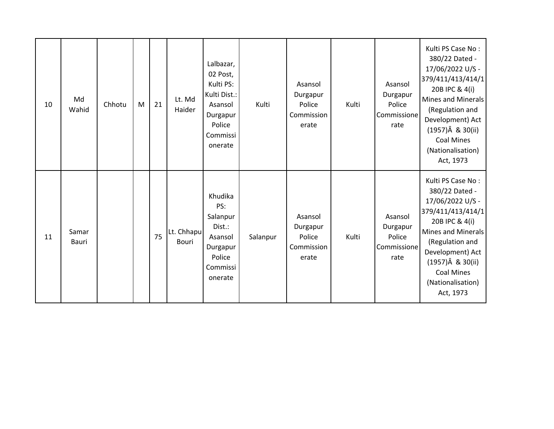| 10 | Md<br>Wahid    | Chhotu | M | 21 | Lt. Md<br>Haider           | Lalbazar,<br>02 Post,<br>Kulti PS:<br>Kulti Dist.:<br>Asansol<br>Durgapur<br>Police<br>Commissi<br>onerate | Kulti    | Asansol<br>Durgapur<br>Police<br>Commission<br>erate | Kulti | Asansol<br>Durgapur<br>Police<br>Commissione<br>rate | Kulti PS Case No:<br>380/22 Dated -<br>17/06/2022 U/S -<br>379/411/413/414/1<br>20B IPC & 4(i)<br>Mines and Minerals<br>(Regulation and<br>Development) Act<br>$(1957)\hat{A}$ & 30(ii)<br><b>Coal Mines</b><br>(Nationalisation)<br>Act, 1973 |
|----|----------------|--------|---|----|----------------------------|------------------------------------------------------------------------------------------------------------|----------|------------------------------------------------------|-------|------------------------------------------------------|------------------------------------------------------------------------------------------------------------------------------------------------------------------------------------------------------------------------------------------------|
| 11 | Samar<br>Bauri |        |   | 75 | Lt. Chhapu<br><b>Bouri</b> | Khudika<br>PS:<br>Salanpur<br>Dist.:<br>Asansol<br>Durgapur<br>Police<br>Commissi<br>onerate               | Salanpur | Asansol<br>Durgapur<br>Police<br>Commission<br>erate | Kulti | Asansol<br>Durgapur<br>Police<br>Commissione<br>rate | Kulti PS Case No:<br>380/22 Dated -<br>17/06/2022 U/S -<br>379/411/413/414/1<br>20B IPC & 4(i)<br>Mines and Minerals<br>(Regulation and<br>Development) Act<br>$(1957)\hat{A}$ & 30(ii)<br><b>Coal Mines</b><br>(Nationalisation)<br>Act, 1973 |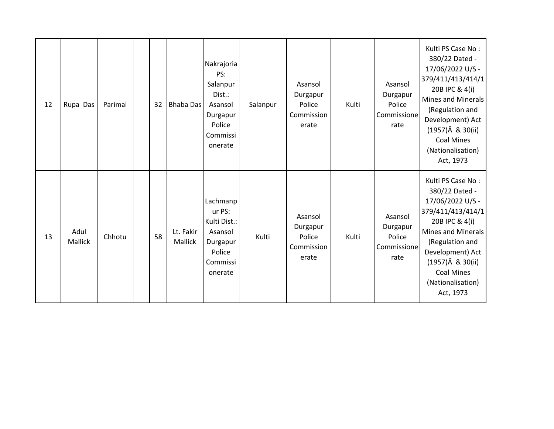| 12 | Rupa Das        | Parimal | 32 | <b>Bhaba Das</b>     | Nakrajoria<br>PS:<br>Salanpur<br>Dist.:<br>Asansol<br>Durgapur<br>Police<br>Commissi<br>onerate | Salanpur | Asansol<br>Durgapur<br>Police<br>Commission<br>erate | Kulti | Asansol<br>Durgapur<br>Police<br>Commissione<br>rate | Kulti PS Case No:<br>380/22 Dated -<br>17/06/2022 U/S -<br>379/411/413/414/1<br>20B IPC & 4(i)<br>Mines and Minerals<br>(Regulation and<br>Development) Act<br>$(1957)\hat{A}$ & 30(ii)<br><b>Coal Mines</b><br>(Nationalisation)<br>Act, 1973 |
|----|-----------------|---------|----|----------------------|-------------------------------------------------------------------------------------------------|----------|------------------------------------------------------|-------|------------------------------------------------------|------------------------------------------------------------------------------------------------------------------------------------------------------------------------------------------------------------------------------------------------|
| 13 | Adul<br>Mallick | Chhotu  | 58 | Lt. Fakir<br>Mallick | Lachmanp<br>ur PS:<br>Kulti Dist.:<br>Asansol<br>Durgapur<br>Police<br>Commissi<br>onerate      | Kulti    | Asansol<br>Durgapur<br>Police<br>Commission<br>erate | Kulti | Asansol<br>Durgapur<br>Police<br>Commissione<br>rate | Kulti PS Case No:<br>380/22 Dated -<br>17/06/2022 U/S -<br>379/411/413/414/1<br>20B IPC & 4(i)<br>Mines and Minerals<br>(Regulation and<br>Development) Act<br>$(1957)\hat{A}$ & 30(ii)<br><b>Coal Mines</b><br>(Nationalisation)<br>Act, 1973 |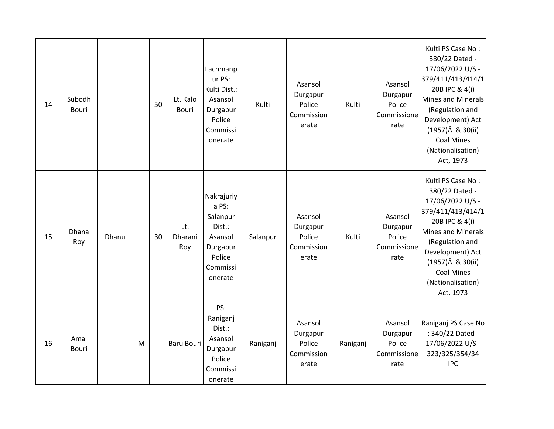| 14 | Subodh<br><b>Bouri</b> |       |   | 50 | Lt. Kalo<br><b>Bouri</b> | Lachmanp<br>ur PS:<br>Kulti Dist.:<br>Asansol<br>Durgapur<br>Police<br>Commissi<br>onerate        | Kulti    | Asansol<br>Durgapur<br>Police<br>Commission<br>erate | Kulti    | Asansol<br>Durgapur<br>Police<br>Commissione<br>rate | Kulti PS Case No:<br>380/22 Dated -<br>17/06/2022 U/S -<br>379/411/413/414/1<br>20B IPC & 4(i)<br>Mines and Minerals<br>(Regulation and<br>Development) Act<br>$(1957)\hat{A}$ & 30(ii)<br><b>Coal Mines</b><br>(Nationalisation)<br>Act, 1973        |
|----|------------------------|-------|---|----|--------------------------|---------------------------------------------------------------------------------------------------|----------|------------------------------------------------------|----------|------------------------------------------------------|-------------------------------------------------------------------------------------------------------------------------------------------------------------------------------------------------------------------------------------------------------|
| 15 | Dhana<br>Roy           | Dhanu |   | 30 | Lt.<br>Dharani<br>Roy    | Nakrajuriy<br>a PS:<br>Salanpur<br>Dist.:<br>Asansol<br>Durgapur<br>Police<br>Commissi<br>onerate | Salanpur | Asansol<br>Durgapur<br>Police<br>Commission<br>erate | Kulti    | Asansol<br>Durgapur<br>Police<br>Commissione<br>rate | Kulti PS Case No:<br>380/22 Dated -<br>17/06/2022 U/S -<br>379/411/413/414/1<br>20B IPC & 4(i)<br><b>Mines and Minerals</b><br>(Regulation and<br>Development) Act<br>$(1957)\hat{A}$ & 30(ii)<br><b>Coal Mines</b><br>(Nationalisation)<br>Act, 1973 |
| 16 | Amal<br>Bouri          |       | M |    | Baru Bouri               | PS:<br>Raniganj<br>Dist.:<br>Asansol<br>Durgapur<br>Police<br>Commissi<br>onerate                 | Raniganj | Asansol<br>Durgapur<br>Police<br>Commission<br>erate | Raniganj | Asansol<br>Durgapur<br>Police<br>Commissione<br>rate | Raniganj PS Case No<br>: 340/22 Dated -<br>17/06/2022 U/S -<br>323/325/354/34<br><b>IPC</b>                                                                                                                                                           |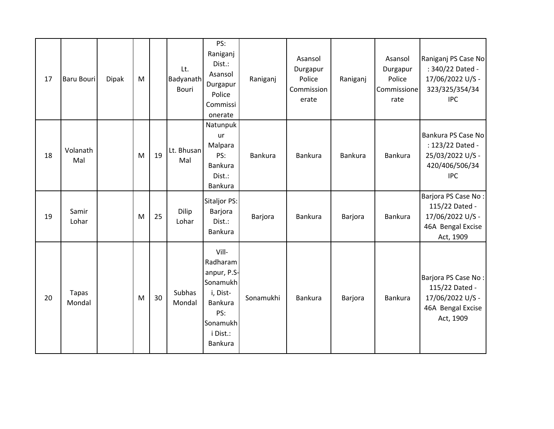| 17 | Baru Bouri             | <b>Dipak</b> | M |    | Lt.<br>Badyanath<br><b>Bouri</b> | PS:<br>Raniganj<br>Dist.:<br>Asansol<br>Durgapur<br>Police<br>Commissi<br>onerate                             | Raniganj  | Asansol<br>Durgapur<br>Police<br>Commission<br>erate | Raniganj       | Asansol<br>Durgapur<br>Police<br>Commissione<br>rate | Raniganj PS Case No<br>: 340/22 Dated -<br>17/06/2022 U/S -<br>323/325/354/34<br><b>IPC</b> |
|----|------------------------|--------------|---|----|----------------------------------|---------------------------------------------------------------------------------------------------------------|-----------|------------------------------------------------------|----------------|------------------------------------------------------|---------------------------------------------------------------------------------------------|
| 18 | Volanath<br>Mal        |              | M | 19 | Lt. Bhusan<br>Mal                | Natunpuk<br>ur<br>Malpara<br>PS:<br>Bankura<br>Dist.:<br><b>Bankura</b>                                       | Bankura   | <b>Bankura</b>                                       | <b>Bankura</b> | Bankura                                              | Bankura PS Case No<br>: 123/22 Dated -<br>25/03/2022 U/S -<br>420/406/506/34<br><b>IPC</b>  |
| 19 | Samir<br>Lohar         |              | M | 25 | Dilip<br>Lohar                   | Sitaljor PS:<br>Barjora<br>Dist.:<br>Bankura                                                                  | Barjora   | <b>Bankura</b>                                       | Barjora        | Bankura                                              | Barjora PS Case No:<br>115/22 Dated -<br>17/06/2022 U/S -<br>46A Bengal Excise<br>Act, 1909 |
| 20 | <b>Tapas</b><br>Mondal |              | M | 30 | Subhas<br>Mondal                 | Vill-<br>Radharam<br>anpur, P.S-<br>Sonamukh<br>i, Dist-<br>Bankura<br>PS:<br>Sonamukh<br>i Dist.:<br>Bankura | Sonamukhi | <b>Bankura</b>                                       | Barjora        | Bankura                                              | Barjora PS Case No:<br>115/22 Dated -<br>17/06/2022 U/S -<br>46A Bengal Excise<br>Act, 1909 |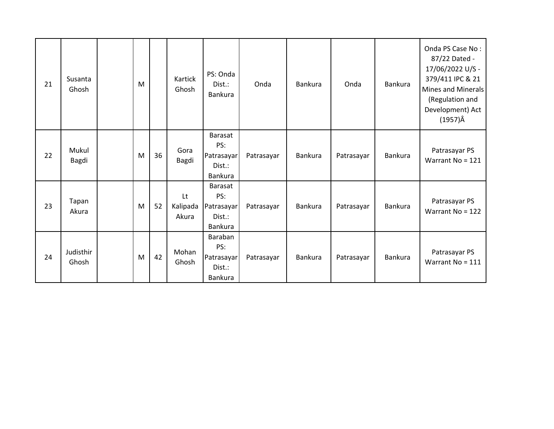| 21 | Susanta<br>Ghosh   | M |    | Kartick<br>Ghosh        | PS: Onda<br>Dist.:<br>Bankura                            | Onda       | <b>Bankura</b> | Onda       | <b>Bankura</b> | Onda PS Case No:<br>87/22 Dated -<br>17/06/2022 U/S -<br>379/411 IPC & 21<br>Mines and Minerals<br>(Regulation and<br>Development) Act<br>$(1957)\hat{A}$ |
|----|--------------------|---|----|-------------------------|----------------------------------------------------------|------------|----------------|------------|----------------|-----------------------------------------------------------------------------------------------------------------------------------------------------------|
| 22 | Mukul<br>Bagdi     | M | 36 | Gora<br>Bagdi           | <b>Barasat</b><br>PS:<br>Patrasayar<br>Dist.:<br>Bankura | Patrasayar | <b>Bankura</b> | Patrasayar | Bankura        | Patrasayar PS<br>Warrant No = $121$                                                                                                                       |
| 23 | Tapan<br>Akura     | M | 52 | Lt<br>Kalipada<br>Akura | <b>Barasat</b><br>PS:<br>Patrasayar<br>Dist.:<br>Bankura | Patrasayar | <b>Bankura</b> | Patrasayar | Bankura        | Patrasayar PS<br>Warrant $No = 122$                                                                                                                       |
| 24 | Judisthir<br>Ghosh | M | 42 | Mohan<br>Ghosh          | Baraban<br>PS:<br>Patrasayar<br>Dist.:<br>Bankura        | Patrasayar | <b>Bankura</b> | Patrasayar | Bankura        | Patrasayar PS<br>Warrant No = $111$                                                                                                                       |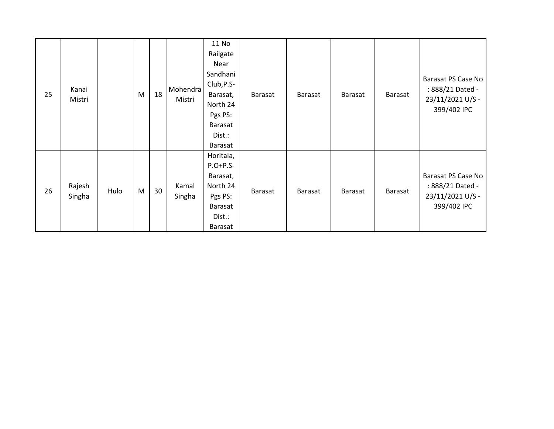| 25 | Kanai<br>Mistri  |      | M | 18 | Mohendra<br>Mistri | 11 No<br>Railgate<br>Near<br>Sandhani<br>Club, P.S-<br>Barasat,<br>North 24<br>Pgs PS:<br>Barasat<br>Dist.:<br>Barasat | Barasat | Barasat | <b>Barasat</b> | Barasat        | Barasat PS Case No<br>: 888/21 Dated -<br>23/11/2021 U/S -<br>399/402 IPC |
|----|------------------|------|---|----|--------------------|------------------------------------------------------------------------------------------------------------------------|---------|---------|----------------|----------------|---------------------------------------------------------------------------|
| 26 | Rajesh<br>Singha | Hulo | M | 30 | Kamal<br>Singha    | Horitala,<br>$P.O+P.S-$<br>Barasat,<br>North 24<br>Pgs PS:<br><b>Barasat</b><br>Dist.:<br>Barasat                      | Barasat | Barasat | Barasat        | <b>Barasat</b> | Barasat PS Case No<br>: 888/21 Dated -<br>23/11/2021 U/S -<br>399/402 IPC |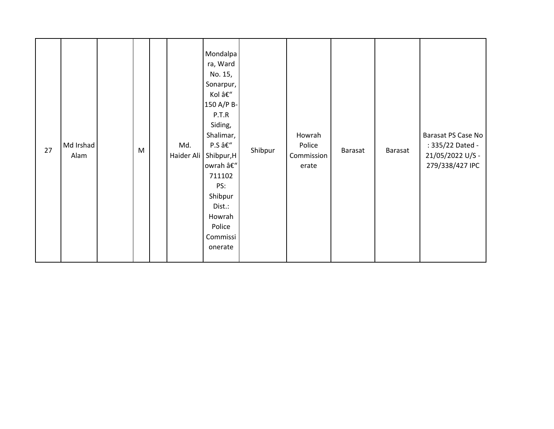| 27 | Md Irshad<br>Alam |  | M |  | Md.<br>Haider Ali | Mondalpa<br>ra, Ward<br>No. 15,<br>Sonarpur,<br>Kol –<br>150 A/P B-<br>P.T.R<br>Siding,<br>Shalimar,<br>P.S –<br>Shibpur, H<br>owrah –<br>711102<br>PS:<br>Shibpur<br>Dist.:<br>Howrah<br>Police<br>Commissi<br>onerate | Shibpur | Howrah<br>Police<br>Commission<br>erate | Barasat | Barasat | Barasat PS Case No<br>: 335/22 Dated -<br>21/05/2022 U/S -<br>279/338/427 IPC |
|----|-------------------|--|---|--|-------------------|-------------------------------------------------------------------------------------------------------------------------------------------------------------------------------------------------------------------------|---------|-----------------------------------------|---------|---------|-------------------------------------------------------------------------------|
|----|-------------------|--|---|--|-------------------|-------------------------------------------------------------------------------------------------------------------------------------------------------------------------------------------------------------------------|---------|-----------------------------------------|---------|---------|-------------------------------------------------------------------------------|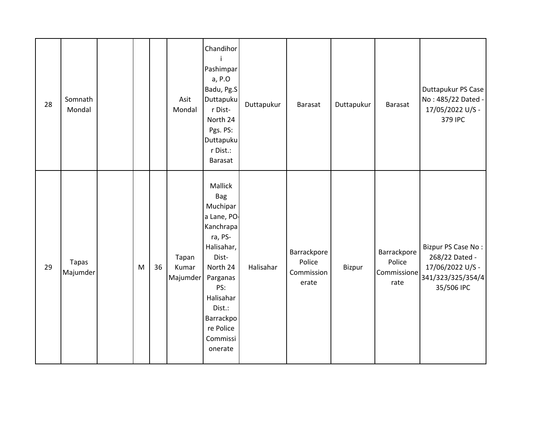| 28 | Somnath<br>Mondal        |   |    | Asit<br>Mondal             | Chandihor<br>Pashimpar<br>a, P.O<br>Badu, Pg.S<br>Duttapuku<br>r Dist-<br>North 24<br>Pgs. PS:<br>Duttapuku<br>r Dist.:<br>Barasat                                                                     | Duttapukur | Barasat                                      | Duttapukur | Barasat                                      | Duttapukur PS Case<br>No: 485/22 Dated -<br>17/05/2022 U/S -<br>379 IPC                     |
|----|--------------------------|---|----|----------------------------|--------------------------------------------------------------------------------------------------------------------------------------------------------------------------------------------------------|------------|----------------------------------------------|------------|----------------------------------------------|---------------------------------------------------------------------------------------------|
| 29 | <b>Tapas</b><br>Majumder | M | 36 | Tapan<br>Kumar<br>Majumder | Mallick<br><b>Bag</b><br>Muchipar<br>a Lane, PO-<br>Kanchrapa<br>ra, PS-<br>Halisahar,<br>Dist-<br>North 24<br>Parganas<br>PS:<br>Halisahar<br>Dist.:<br>Barrackpo<br>re Police<br>Commissi<br>onerate | Halisahar  | Barrackpore<br>Police<br>Commission<br>erate | Bizpur     | Barrackpore<br>Police<br>Commissione<br>rate | Bizpur PS Case No:<br>268/22 Dated -<br>17/06/2022 U/S -<br>341/323/325/354/4<br>35/506 IPC |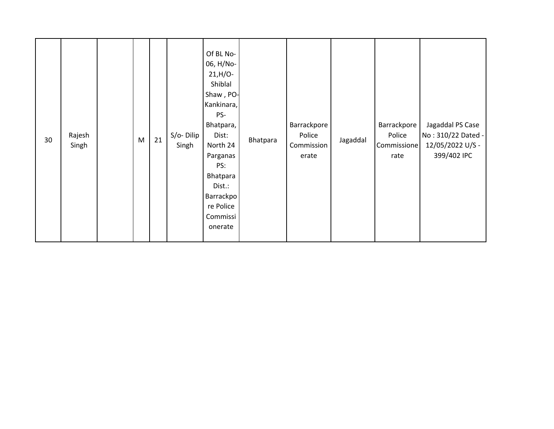| 30 | Rajesh<br>Singh |  | M | 21 | S/o-Dilip<br>Singh | Of BL No-<br>06, H/No-<br>$21, H/O-$<br>Shiblal<br>Shaw, PO-<br>Kankinara,<br>PS-<br>Bhatpara,<br>Dist:<br>North 24<br>Parganas<br>PS:<br>Bhatpara<br>Dist.:<br>Barrackpo<br>re Police<br>Commissi<br>onerate | Bhatpara | Barrackpore<br>Police<br>Commission<br>erate | Jagaddal | Barrackpore<br>Police<br>Commissione<br>rate | Jagaddal PS Case<br>No: 310/22 Dated -<br>12/05/2022 U/S -<br>399/402 IPC |
|----|-----------------|--|---|----|--------------------|---------------------------------------------------------------------------------------------------------------------------------------------------------------------------------------------------------------|----------|----------------------------------------------|----------|----------------------------------------------|---------------------------------------------------------------------------|
|----|-----------------|--|---|----|--------------------|---------------------------------------------------------------------------------------------------------------------------------------------------------------------------------------------------------------|----------|----------------------------------------------|----------|----------------------------------------------|---------------------------------------------------------------------------|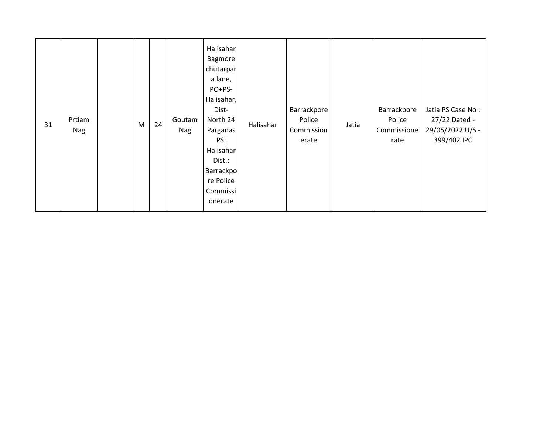| 31 | Prtiam<br>Nag |  | M | 24 | Goutam<br>Nag | Halisahar<br>Bagmore<br>chutarpar<br>a lane,<br>PO+PS-<br>Halisahar,<br>Dist-<br>North 24<br>Parganas<br>PS:<br>Halisahar<br>Dist.:<br>Barrackpo<br>re Police<br>Commissi<br>onerate | Halisahar | Barrackpore<br>Police<br>Commission<br>erate | Jatia | Barrackpore<br>Police<br>Commissione<br>rate | Jatia PS Case No:<br>27/22 Dated -<br>29/05/2022 U/S -<br>399/402 IPC |
|----|---------------|--|---|----|---------------|--------------------------------------------------------------------------------------------------------------------------------------------------------------------------------------|-----------|----------------------------------------------|-------|----------------------------------------------|-----------------------------------------------------------------------|
|----|---------------|--|---|----|---------------|--------------------------------------------------------------------------------------------------------------------------------------------------------------------------------------|-----------|----------------------------------------------|-------|----------------------------------------------|-----------------------------------------------------------------------|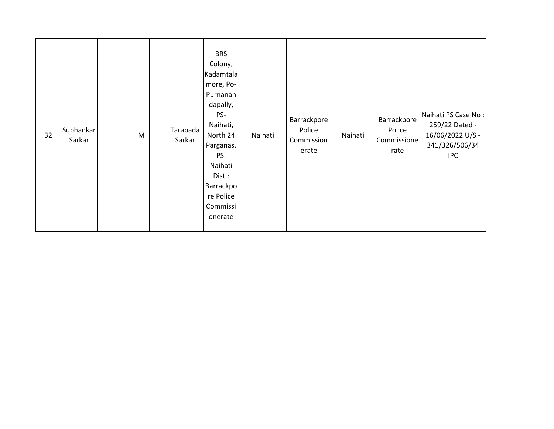| 32 | Subhankar<br>Sarkar |  | M |  | Tarapada<br>Sarkar | <b>BRS</b><br>Colony,<br>Kadamtala<br>more, Po-<br>Purnanan<br>dapally,<br>PS-<br>Naihati,<br>North 24<br>Parganas.<br>PS:<br>Naihati<br>Dist.:<br><b>Barrackpo</b><br>re Police<br>Commissi<br>onerate | Naihati | Barrackpore<br>Police<br>Commission<br>erate | Naihati | Barrackpore<br>Police<br>Commissione<br>rate | Naihati PS Case No:<br>259/22 Dated -<br>16/06/2022 U/S -<br>341/326/506/34<br><b>IPC</b> |
|----|---------------------|--|---|--|--------------------|---------------------------------------------------------------------------------------------------------------------------------------------------------------------------------------------------------|---------|----------------------------------------------|---------|----------------------------------------------|-------------------------------------------------------------------------------------------|
|----|---------------------|--|---|--|--------------------|---------------------------------------------------------------------------------------------------------------------------------------------------------------------------------------------------------|---------|----------------------------------------------|---------|----------------------------------------------|-------------------------------------------------------------------------------------------|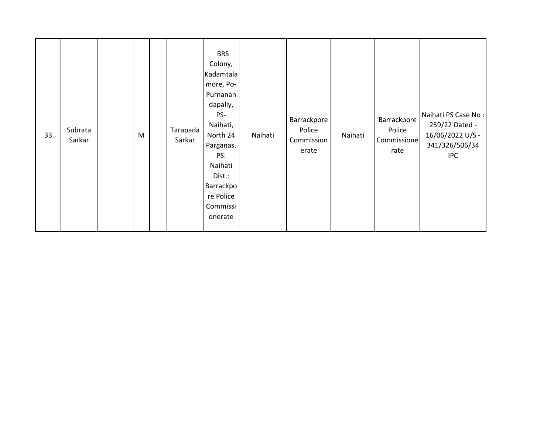| 33 | Subrata<br>Sarkar |  | M |  | Tarapada<br>Sarkar | <b>BRS</b><br>Colony,<br>Kadamtala<br>more, Po-<br>Purnanan<br>dapally,<br>PS-<br>Naihati,<br>North 24<br>Parganas.<br>PS:<br>Naihati<br>Dist.:<br>Barrackpo<br>re Police<br>Commissi<br>onerate | Naihati | Barrackpore<br>Police<br>Commission<br>erate | Naihati | Barrackpore<br>Police<br>Commissione<br>rate | Naihati PS Case No:<br>259/22 Dated -<br>16/06/2022 U/S -<br>341/326/506/34<br><b>IPC</b> |
|----|-------------------|--|---|--|--------------------|--------------------------------------------------------------------------------------------------------------------------------------------------------------------------------------------------|---------|----------------------------------------------|---------|----------------------------------------------|-------------------------------------------------------------------------------------------|
|----|-------------------|--|---|--|--------------------|--------------------------------------------------------------------------------------------------------------------------------------------------------------------------------------------------|---------|----------------------------------------------|---------|----------------------------------------------|-------------------------------------------------------------------------------------------|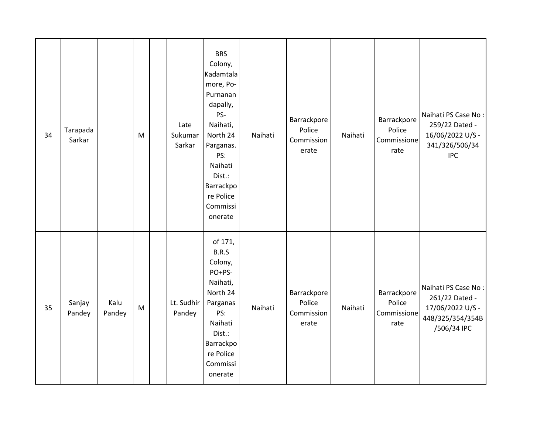| 34 | Tarapada<br>Sarkar |                | M | Late<br>Sukumar<br>Sarkar | <b>BRS</b><br>Colony,<br>Kadamtala<br>more, Po-<br>Purnanan<br>dapally,<br>PS-<br>Naihati,<br>North 24<br>Parganas.<br>PS:<br>Naihati<br>Dist.:<br>Barrackpo<br>re Police<br>Commissi<br>onerate | Naihati | Barrackpore<br>Police<br>Commission<br>erate | Naihati | Barrackpore<br>Police<br>Commissione<br>rate | Naihati PS Case No:<br>259/22 Dated -<br>16/06/2022 U/S -<br>341/326/506/34<br><b>IPC</b>    |
|----|--------------------|----------------|---|---------------------------|--------------------------------------------------------------------------------------------------------------------------------------------------------------------------------------------------|---------|----------------------------------------------|---------|----------------------------------------------|----------------------------------------------------------------------------------------------|
| 35 | Sanjay<br>Pandey   | Kalu<br>Pandey | M | Lt. Sudhir<br>Pandey      | of 171,<br>B.R.S<br>Colony,<br>PO+PS-<br>Naihati,<br>North 24<br>Parganas<br>PS:<br>Naihati<br>Dist.:<br>Barrackpo<br>re Police<br>Commissi<br>onerate                                           | Naihati | Barrackpore<br>Police<br>Commission<br>erate | Naihati | Barrackpore<br>Police<br>Commissione<br>rate | Naihati PS Case No:<br>261/22 Dated -<br>17/06/2022 U/S -<br>448/325/354/354B<br>/506/34 IPC |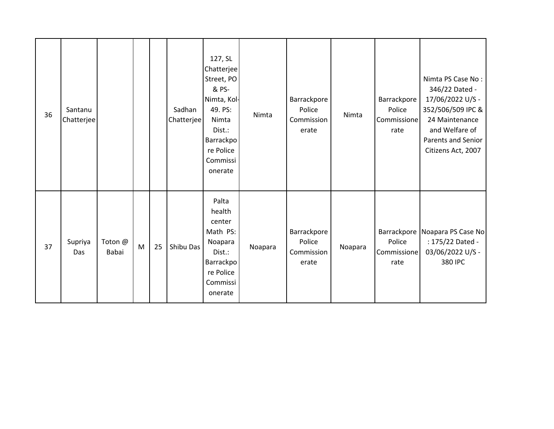| 36 | Santanu<br>Chatterjee |                  |   |    | Sadhan<br>Chatterjee | 127, SL<br>Chatterjee<br>Street, PO<br>& PS-<br>Nimta, Kol-<br>49. PS:<br>Nimta<br>Dist.:<br>Barrackpo<br>re Police<br>Commissi<br>onerate | Nimta   | Barrackpore<br>Police<br>Commission<br>erate | Nimta   | Barrackpore<br>Police<br>Commissione<br>rate | Nimta PS Case No:<br>346/22 Dated -<br>17/06/2022 U/S -<br>352/506/509 IPC &<br>24 Maintenance<br>and Welfare of<br>Parents and Senior<br>Citizens Act, 2007 |
|----|-----------------------|------------------|---|----|----------------------|--------------------------------------------------------------------------------------------------------------------------------------------|---------|----------------------------------------------|---------|----------------------------------------------|--------------------------------------------------------------------------------------------------------------------------------------------------------------|
| 37 | Supriya<br>Das        | Toton @<br>Babai | M | 25 | Shibu Das            | Palta<br>health<br>center<br>Math PS:<br>Noapara<br>Dist.:<br>Barrackpo<br>re Police<br>Commissi<br>onerate                                | Noapara | Barrackpore<br>Police<br>Commission<br>erate | Noapara | Police<br>Commissione<br>rate                | Barrackpore Noapara PS Case No<br>: 175/22 Dated -<br>03/06/2022 U/S -<br>380 IPC                                                                            |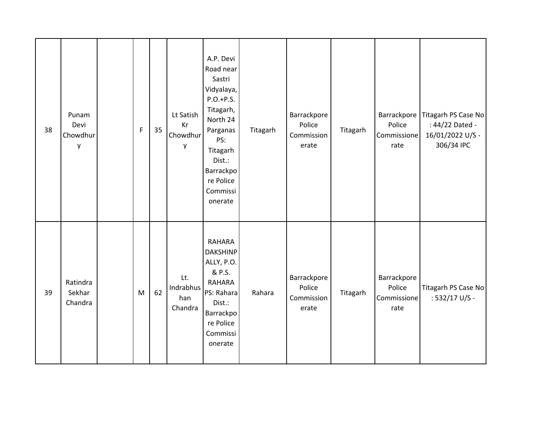| 38 | Punam<br>Devi<br>Chowdhur<br>y | F | 35 | Lt Satish<br>Kr<br>Chowdhur<br>y   | A.P. Devi<br>Road near<br>Sastri<br>Vidyalaya,<br>$P.O.+P.S.$<br>Titagarh,<br>North 24<br>Parganas<br>PS:<br>Titagarh<br>Dist.:<br>Barrackpo<br>re Police<br>Commissi<br>onerate | Titagarh | Barrackpore<br>Police<br>Commission<br>erate | Titagarh | Police<br>Commissione<br>rate                | Barrackpore   Titagarh PS Case No<br>: 44/22 Dated -<br>16/01/2022 U/S -<br>306/34 IPC |
|----|--------------------------------|---|----|------------------------------------|----------------------------------------------------------------------------------------------------------------------------------------------------------------------------------|----------|----------------------------------------------|----------|----------------------------------------------|----------------------------------------------------------------------------------------|
| 39 | Ratindra<br>Sekhar<br>Chandra  | M | 62 | Lt.<br>Indrabhus<br>han<br>Chandra | <b>RAHARA</b><br><b>DAKSHINP</b><br>ALLY, P.O.<br>& P.S.<br><b>RAHARA</b><br>PS: Rahara<br>Dist.:<br>Barrackpo<br>re Police<br>Commissi<br>onerate                               | Rahara   | Barrackpore<br>Police<br>Commission<br>erate | Titagarh | Barrackpore<br>Police<br>Commissione<br>rate | Titagarh PS Case No<br>: 532/17 U/S -                                                  |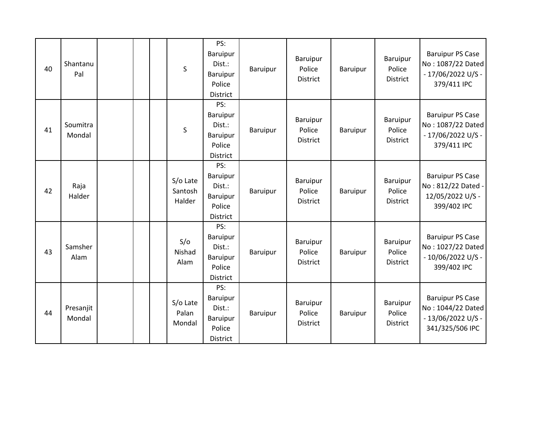| 40 | Shantanu<br>Pal     |  | S                             | PS:<br>Baruipur<br>Dist.:<br><b>Baruipur</b><br>Police<br>District        | Baruipur | Baruipur<br>Police<br>District               | Baruipur | Baruipur<br>Police<br><b>District</b> | <b>Baruipur PS Case</b><br>No: 1087/22 Dated<br>- 17/06/2022 U/S -<br>379/411 IPC     |
|----|---------------------|--|-------------------------------|---------------------------------------------------------------------------|----------|----------------------------------------------|----------|---------------------------------------|---------------------------------------------------------------------------------------|
| 41 | Soumitra<br>Mondal  |  | $\mathsf S$                   | PS:<br>Baruipur<br>Dist.:<br>Baruipur<br>Police<br><b>District</b>        | Baruipur | <b>Baruipur</b><br>Police<br><b>District</b> | Baruipur | Baruipur<br>Police<br><b>District</b> | <b>Baruipur PS Case</b><br>No: 1087/22 Dated<br>- 17/06/2022 U/S -<br>379/411 IPC     |
| 42 | Raja<br>Halder      |  | S/o Late<br>Santosh<br>Halder | PS:<br>Baruipur<br>Dist.:<br>Baruipur<br>Police<br>District               | Baruipur | Baruipur<br>Police<br>District               | Baruipur | Baruipur<br>Police<br>District        | <b>Baruipur PS Case</b><br>No: 812/22 Dated -<br>12/05/2022 U/S -<br>399/402 IPC      |
| 43 | Samsher<br>Alam     |  | S/O<br>Nishad<br>Alam         | PS:<br><b>Baruipur</b><br>Dist.:<br><b>Baruipur</b><br>Police<br>District | Baruipur | Baruipur<br>Police<br><b>District</b>        | Baruipur | Baruipur<br>Police<br>District        | <b>Baruipur PS Case</b><br>No: 1027/22 Dated<br>- 10/06/2022 U/S -<br>399/402 IPC     |
| 44 | Presanjit<br>Mondal |  | S/o Late<br>Palan<br>Mondal   | PS:<br>Baruipur<br>Dist.:<br>Baruipur<br>Police<br>District               | Baruipur | Baruipur<br>Police<br>District               | Baruipur | Baruipur<br>Police<br>District        | <b>Baruipur PS Case</b><br>No: 1044/22 Dated<br>- 13/06/2022 U/S -<br>341/325/506 IPC |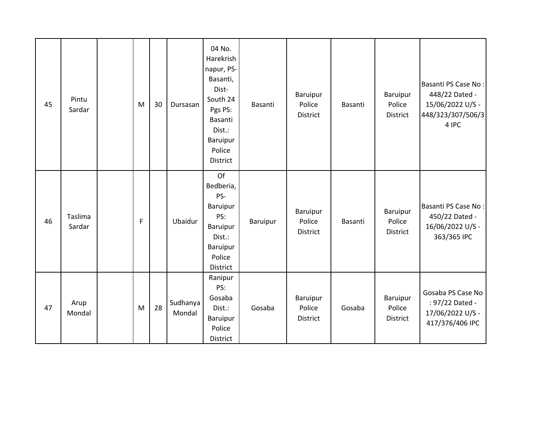| 45 | Pintu<br>Sardar   | M | 30 | Dursasan           | 04 No.<br>Harekrish<br>napur, PS-<br>Basanti,<br>Dist-<br>South 24<br>Pgs PS:<br>Basanti<br>Dist.:<br>Baruipur<br>Police<br>District | Basanti  | Baruipur<br>Police<br>District | Basanti | Baruipur<br>Police<br>District | Basanti PS Case No:<br>448/22 Dated -<br>15/06/2022 U/S -<br>448/323/307/506/3<br>4 IPC |
|----|-------------------|---|----|--------------------|--------------------------------------------------------------------------------------------------------------------------------------|----------|--------------------------------|---------|--------------------------------|-----------------------------------------------------------------------------------------|
| 46 | Taslima<br>Sardar | F |    | Ubaidur            | Of<br>Bedberia,<br>PS-<br>Baruipur<br>PS:<br>Baruipur<br>Dist.:<br><b>Baruipur</b><br>Police<br>District                             | Baruipur | Baruipur<br>Police<br>District | Basanti | Baruipur<br>Police<br>District | Basanti PS Case No:<br>450/22 Dated -<br>16/06/2022 U/S -<br>363/365 IPC                |
| 47 | Arup<br>Mondal    | M | 28 | Sudhanya<br>Mondal | Ranipur<br>PS:<br>Gosaba<br>Dist.:<br>Baruipur<br>Police<br>District                                                                 | Gosaba   | Baruipur<br>Police<br>District | Gosaba  | Baruipur<br>Police<br>District | Gosaba PS Case No<br>: 97/22 Dated -<br>17/06/2022 U/S -<br>417/376/406 IPC             |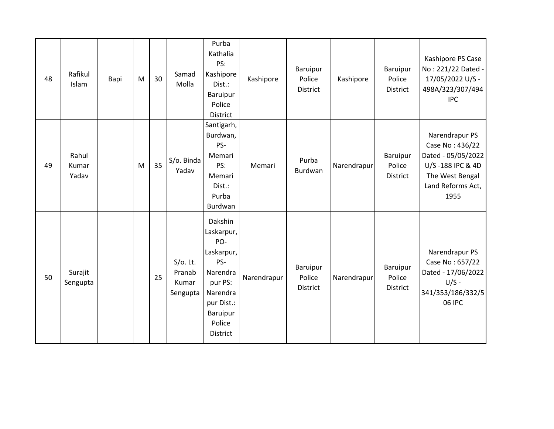| 48 | Rafikul<br>Islam        | Bapi | M | 30 | Samad<br>Molla                             | Purba<br>Kathalia<br>PS:<br>Kashipore<br>Dist.:<br>Baruipur<br>Police<br>District                                                           | Kashipore   | Baruipur<br>Police<br>District | Kashipore   | <b>Baruipur</b><br>Police<br>District | Kashipore PS Case<br>No: 221/22 Dated -<br>17/05/2022 U/S -<br>498A/323/307/494<br><b>IPC</b>                               |
|----|-------------------------|------|---|----|--------------------------------------------|---------------------------------------------------------------------------------------------------------------------------------------------|-------------|--------------------------------|-------------|---------------------------------------|-----------------------------------------------------------------------------------------------------------------------------|
| 49 | Rahul<br>Kumar<br>Yadav |      | M | 35 | S/o. Binda<br>Yadav                        | Santigarh,<br>Burdwan,<br>PS-<br>Memari<br>PS:<br>Memari<br>Dist.:<br>Purba<br>Burdwan                                                      | Memari      | Purba<br>Burdwan               | Narendrapur | Baruipur<br>Police<br>District        | Narendrapur PS<br>Case No: 436/22<br>Dated - 05/05/2022<br>U/S-188 IPC & 4D<br>The West Bengal<br>Land Reforms Act,<br>1955 |
| 50 | Surajit<br>Sengupta     |      |   | 25 | $S/O$ . Lt.<br>Pranab<br>Kumar<br>Sengupta | Dakshin<br>Laskarpur,<br>PO-<br>Laskarpur,<br>PS-<br>Narendra<br>pur PS:<br>Narendra<br>pur Dist.:<br>Baruipur<br>Police<br><b>District</b> | Narendrapur | Baruipur<br>Police<br>District | Narendrapur | Baruipur<br>Police<br><b>District</b> | Narendrapur PS<br>Case No: 657/22<br>Dated - 17/06/2022<br>$U/S -$<br>341/353/186/332/5<br>06 IPC                           |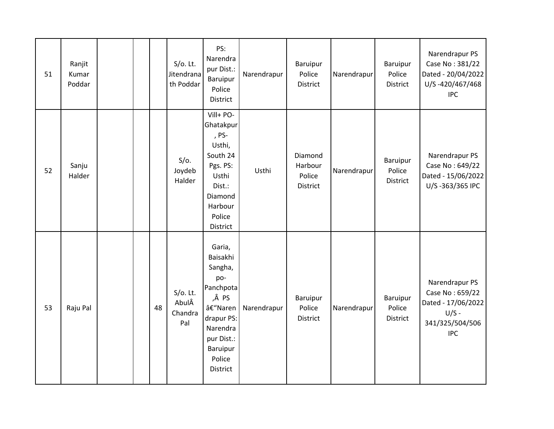| 51 | Ranjit<br>Kumar<br>Poddar |  |    | $S/O$ . Lt.<br>Jitendrana<br>th Poddar | PS:<br>Narendra<br>pur Dist.:<br>Baruipur<br>Police<br>District                                                                               | Narendrapur | Baruipur<br>Police<br><b>District</b>    | Narendrapur | <b>Baruipur</b><br>Police<br><b>District</b> | Narendrapur PS<br>Case No: 381/22<br>Dated - 20/04/2022<br>U/S-420/467/468<br><b>IPC</b>            |
|----|---------------------------|--|----|----------------------------------------|-----------------------------------------------------------------------------------------------------------------------------------------------|-------------|------------------------------------------|-------------|----------------------------------------------|-----------------------------------------------------------------------------------------------------|
| 52 | Sanju<br>Halder           |  |    | $S/O$ .<br>Joydeb<br>Halder            | Vill+ PO-<br>Ghatakpur<br>, PS-<br>Usthi,<br>South 24<br>Pgs. PS:<br>Usthi<br>Dist.:<br>Diamond<br>Harbour<br>Police<br>District              | Usthi       | Diamond<br>Harbour<br>Police<br>District | Narendrapur | <b>Baruipur</b><br>Police<br>District        | Narendrapur PS<br>Case No: 649/22<br>Dated - 15/06/2022<br>U/S-363/365 IPC                          |
| 53 | Raju Pal                  |  | 48 | $S/O$ . Lt.<br>AbulÂ<br>Chandra<br>Pal | Garia,<br>Baisakhi<br>Sangha,<br>po-<br>Panchpota<br>, PS<br>–Naren<br>drapur PS:<br>Narendra<br>pur Dist.:<br>Baruipur<br>Police<br>District | Narendrapur | Baruipur<br>Police<br><b>District</b>    | Narendrapur | <b>Baruipur</b><br>Police<br>District        | Narendrapur PS<br>Case No: 659/22<br>Dated - 17/06/2022<br>$U/S -$<br>341/325/504/506<br><b>IPC</b> |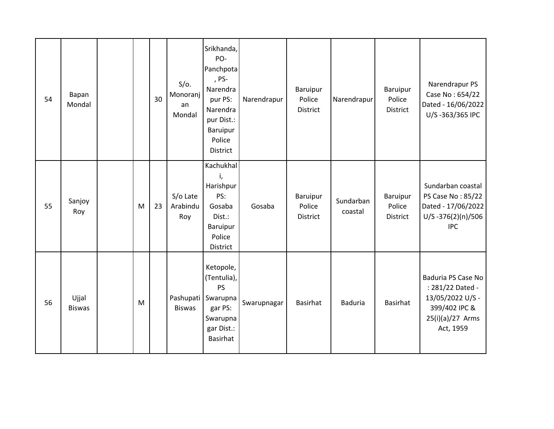| 54 | Bapan<br>Mondal        |   | 30 | $S/O$ .<br>Monoranj<br>an<br>Mondal | Srikhanda,<br>PO-<br>Panchpota<br>, PS-<br>Narendra<br>pur PS:<br>Narendra<br>pur Dist.:<br>Baruipur<br>Police<br>District | Narendrapur | Baruipur<br>Police<br><b>District</b> | Narendrapur          | Baruipur<br>Police<br><b>District</b> | Narendrapur PS<br>Case No: 654/22<br>Dated - 16/06/2022<br>U/S-363/365 IPC                                   |
|----|------------------------|---|----|-------------------------------------|----------------------------------------------------------------------------------------------------------------------------|-------------|---------------------------------------|----------------------|---------------------------------------|--------------------------------------------------------------------------------------------------------------|
| 55 | Sanjoy<br>Roy          | M | 23 | S/o Late<br>Arabindu<br>Roy         | Kachukhal<br>i,<br>Harishpur<br>PS:<br>Gosaba<br>Dist.:<br>Baruipur<br>Police<br>District                                  | Gosaba      | Baruipur<br>Police<br><b>District</b> | Sundarban<br>coastal | Baruipur<br>Police<br>District        | Sundarban coastal<br>PS Case No: 85/22<br>Dated - 17/06/2022<br>$U/S -376(2)(n)/506$<br><b>IPC</b>           |
| 56 | Ujjal<br><b>Biswas</b> | M |    | <b>Biswas</b>                       | Ketopole,<br>(Tentulia),<br><b>PS</b><br>Pashupati   Swarupna<br>gar PS:<br>Swarupna<br>gar Dist.:<br><b>Basirhat</b>      | Swarupnagar | Basirhat                              | <b>Baduria</b>       | <b>Basirhat</b>                       | Baduria PS Case No<br>: 281/22 Dated -<br>13/05/2022 U/S -<br>399/402 IPC &<br>25(i)(a)/27 Arms<br>Act, 1959 |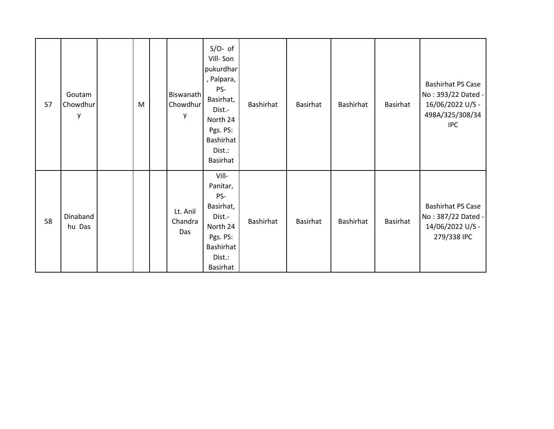| 57 | Goutam<br>Chowdhur<br>y | M | Biswanath<br>Chowdhur<br>y | $S/O-$ of<br>Vill-Son<br>pukurdhar<br>, Palpara,<br>PS-<br>Basirhat,<br>Dist.-<br>North 24<br>Pgs. PS:<br>Bashirhat<br>Dist.:<br>Basirhat | Bashirhat | Basirhat | Bashirhat | Basirhat | <b>Bashirhat PS Case</b><br>No: 393/22 Dated -<br>16/06/2022 U/S -<br>498A/325/308/34<br><b>IPC</b> |
|----|-------------------------|---|----------------------------|-------------------------------------------------------------------------------------------------------------------------------------------|-----------|----------|-----------|----------|-----------------------------------------------------------------------------------------------------|
| 58 | Dinaband<br>hu Das      |   | Lt. Anil<br>Chandra<br>Das | Vill-<br>Panitar,<br>PS-<br>Basirhat,<br>Dist.-<br>North 24<br>Pgs. PS:<br>Bashirhat<br>Dist.:<br>Basirhat                                | Bashirhat | Basirhat | Bashirhat | Basirhat | <b>Bashirhat PS Case</b><br>No: 387/22 Dated -<br>14/06/2022 U/S -<br>279/338 IPC                   |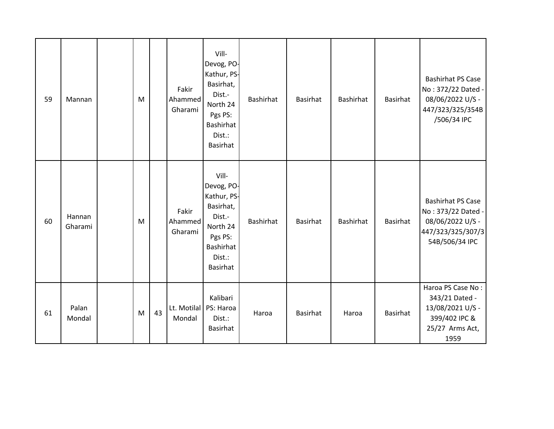| 59 | Mannan            | M |    | Fakir<br>Ahammed<br>Gharami | Vill-<br>Devog, PO-<br>Kathur, PS-<br>Basirhat,<br>Dist.-<br>North 24<br>Pgs PS:<br><b>Bashirhat</b><br>Dist.:<br>Basirhat | Bashirhat | Basirhat        | Bashirhat | <b>Basirhat</b> | <b>Bashirhat PS Case</b><br>No: 372/22 Dated -<br>08/06/2022 U/S -<br>447/323/325/354B<br>/506/34 IPC     |
|----|-------------------|---|----|-----------------------------|----------------------------------------------------------------------------------------------------------------------------|-----------|-----------------|-----------|-----------------|-----------------------------------------------------------------------------------------------------------|
| 60 | Hannan<br>Gharami | M |    | Fakir<br>Ahammed<br>Gharami | Vill-<br>Devog, PO-<br>Kathur, PS-<br>Basirhat,<br>Dist.-<br>North 24<br>Pgs PS:<br><b>Bashirhat</b><br>Dist.:<br>Basirhat | Bashirhat | Basirhat        | Bashirhat | <b>Basirhat</b> | <b>Bashirhat PS Case</b><br>No: 373/22 Dated -<br>08/06/2022 U/S -<br>447/323/325/307/3<br>54B/506/34 IPC |
| 61 | Palan<br>Mondal   | M | 43 | Lt. Motilal<br>Mondal       | Kalibari<br>PS: Haroa<br>Dist.:<br><b>Basirhat</b>                                                                         | Haroa     | <b>Basirhat</b> | Haroa     | <b>Basirhat</b> | Haroa PS Case No:<br>343/21 Dated -<br>13/08/2021 U/S -<br>399/402 IPC &<br>25/27 Arms Act,<br>1959       |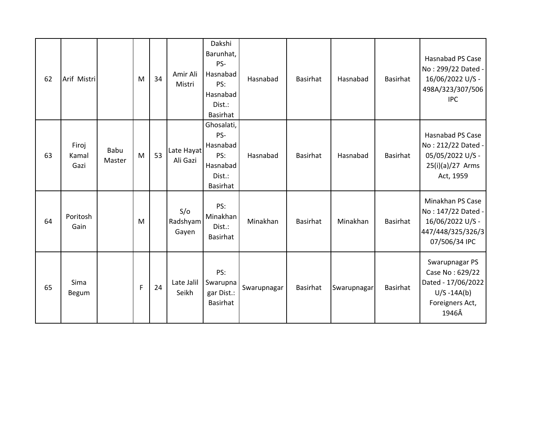| 62 | Arif Mistri            |                | M | 34 | Amir Ali<br>Mistri       | Dakshi<br>Barunhat,<br>PS-<br>Hasnabad<br>PS:<br>Hasnabad<br>Dist.:<br>Basirhat | Hasnabad    | <b>Basirhat</b> | Hasnabad    | Basirhat        | Hasnabad PS Case<br>No: 299/22 Dated -<br>16/06/2022 U/S -<br>498A/323/307/506<br><b>IPC</b>          |
|----|------------------------|----------------|---|----|--------------------------|---------------------------------------------------------------------------------|-------------|-----------------|-------------|-----------------|-------------------------------------------------------------------------------------------------------|
| 63 | Firoj<br>Kamal<br>Gazi | Babu<br>Master | M | 53 | Late Hayat<br>Ali Gazi   | Ghosalati,<br>PS-<br>Hasnabad<br>PS:<br>Hasnabad<br>Dist.:<br>Basirhat          | Hasnabad    | <b>Basirhat</b> | Hasnabad    | Basirhat        | Hasnabad PS Case<br>No: 212/22 Dated -<br>05/05/2022 U/S -<br>$25(i)(a)/27$ Arms<br>Act, 1959         |
| 64 | Poritosh<br>Gain       |                | M |    | S/O<br>Radshyam<br>Gayen | PS:<br>Minakhan<br>Dist.:<br><b>Basirhat</b>                                    | Minakhan    | <b>Basirhat</b> | Minakhan    | <b>Basirhat</b> | Minakhan PS Case<br>No: 147/22 Dated -<br>16/06/2022 U/S -<br>447/448/325/326/3<br>07/506/34 IPC      |
| 65 | Sima<br><b>Begum</b>   |                | F | 24 | Late Jalil<br>Seikh      | PS:<br>Swarupna<br>gar Dist.:<br>Basirhat                                       | Swarupnagar | <b>Basirhat</b> | Swarupnagar | Basirhat        | Swarupnagar PS<br>Case No: 629/22<br>Dated - 17/06/2022<br>$U/S - 14A(b)$<br>Foreigners Act,<br>1946Â |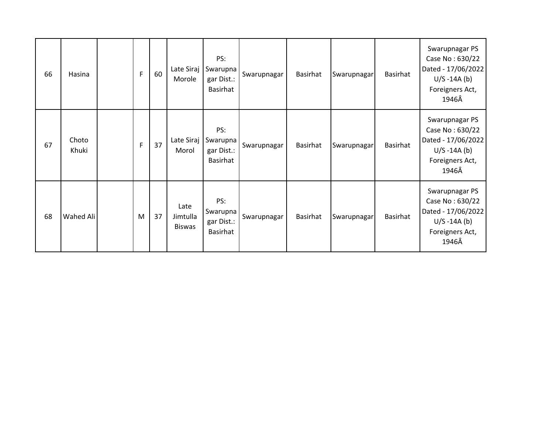| 66 | Hasina         | F | 60 | Late Siraj<br>Morole              | PS:<br>Swarupna<br>gar Dist.:<br>Basirhat | Swarupnagar | Basirhat | Swarupnagar | Basirhat | Swarupnagar PS<br>Case No: 630/22<br>Dated - 17/06/2022<br>$U/S - 14A(b)$<br>Foreigners Act,<br>1946Â |
|----|----------------|---|----|-----------------------------------|-------------------------------------------|-------------|----------|-------------|----------|-------------------------------------------------------------------------------------------------------|
| 67 | Choto<br>Khuki | F | 37 | Late Siraj<br>Morol               | PS:<br>Swarupna<br>gar Dist.:<br>Basirhat | Swarupnagar | Basirhat | Swarupnagar | Basirhat | Swarupnagar PS<br>Case No: 630/22<br>Dated - 17/06/2022<br>$U/S - 14A(b)$<br>Foreigners Act,<br>1946Â |
| 68 | Wahed Ali      | M | 37 | Late<br>Jimtulla<br><b>Biswas</b> | PS:<br>Swarupna<br>gar Dist.:<br>Basirhat | Swarupnagar | Basirhat | Swarupnagar | Basirhat | Swarupnagar PS<br>Case No: 630/22<br>Dated - 17/06/2022<br>$U/S - 14A(b)$<br>Foreigners Act,<br>1946Â |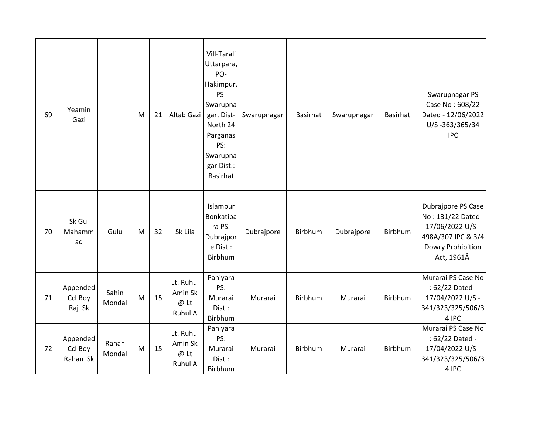| 69 | Yeamin<br>Gazi                  |                 | M | 21 | Altab Gazi                                       | Vill-Tarali<br>Uttarpara,<br>PO-<br>Hakimpur,<br>PS-<br>Swarupna<br>gar, Dist-<br>North 24<br>Parganas<br>PS:<br>Swarupna<br>gar Dist.:<br>Basirhat | Swarupnagar | Basirhat       | Swarupnagar | <b>Basirhat</b> | Swarupnagar PS<br>Case No: 608/22<br>Dated - 12/06/2022<br>U/S-363/365/34<br><b>IPC</b>                               |
|----|---------------------------------|-----------------|---|----|--------------------------------------------------|-----------------------------------------------------------------------------------------------------------------------------------------------------|-------------|----------------|-------------|-----------------|-----------------------------------------------------------------------------------------------------------------------|
| 70 | Sk Gul<br>Mahamm<br>ad          | Gulu            | M | 32 | Sk Lila                                          | Islampur<br>Bonkatipa<br>ra PS:<br>Dubrajpor<br>e Dist.:<br>Birbhum                                                                                 | Dubrajpore  | Birbhum        | Dubrajpore  | Birbhum         | Dubrajpore PS Case<br>No: 131/22 Dated -<br>17/06/2022 U/S -<br>498A/307 IPC & 3/4<br>Dowry Prohibition<br>Act, 1961Â |
| 71 | Appended<br>Ccl Boy<br>Raj Sk   | Sahin<br>Mondal | M | 15 | Lt. Ruhul<br>Amin Sk<br>$@$ Lt<br>Ruhul A        | Paniyara<br>PS:<br>Murarai<br>Dist.:<br>Birbhum                                                                                                     | Murarai     | Birbhum        | Murarai     | Birbhum         | Murarai PS Case No<br>: 62/22 Dated -<br>17/04/2022 U/S -<br>341/323/325/506/3<br>4 IPC                               |
| 72 | Appended<br>Ccl Boy<br>Rahan Sk | Rahan<br>Mondal | M | 15 | Lt. Ruhul<br>Amin Sk<br>$@$ Lt<br><b>Ruhul A</b> | Paniyara<br>PS:<br>Murarai<br>Dist.:<br><b>Birbhum</b>                                                                                              | Murarai     | <b>Birbhum</b> | Murarai     | Birbhum         | Murarai PS Case No<br>: 62/22 Dated -<br>17/04/2022 U/S -<br>341/323/325/506/3<br>4 IPC                               |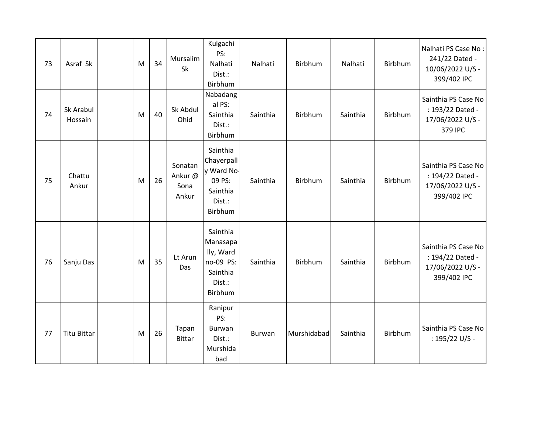| 73 | Asraf Sk             | M | 34 | Mursalim<br><b>Sk</b>              | Kulgachi<br>PS:<br>Nalhati<br>Dist.:<br>Birbhum                                 | Nalhati  | Birbhum     | Nalhati  | Birbhum | Nalhati PS Case No:<br>241/22 Dated -<br>10/06/2022 U/S -<br>399/402 IPC   |
|----|----------------------|---|----|------------------------------------|---------------------------------------------------------------------------------|----------|-------------|----------|---------|----------------------------------------------------------------------------|
| 74 | Sk Arabul<br>Hossain | M | 40 | Sk Abdul<br>Ohid                   | Nabadang<br>al PS:<br>Sainthia<br>Dist.:<br>Birbhum                             | Sainthia | Birbhum     | Sainthia | Birbhum | Sainthia PS Case No<br>: 193/22 Dated -<br>17/06/2022 U/S -<br>379 IPC     |
| 75 | Chattu<br>Ankur      | M | 26 | Sonatan<br>Ankur@<br>Sona<br>Ankur | Sainthia<br>Chayerpall<br>y Ward No-<br>09 PS:<br>Sainthia<br>Dist.:<br>Birbhum | Sainthia | Birbhum     | Sainthia | Birbhum | Sainthia PS Case No<br>: 194/22 Dated -<br>17/06/2022 U/S -<br>399/402 IPC |
| 76 | Sanju Das            | M | 35 | Lt Arun<br>Das                     | Sainthia<br>Manasapa<br>lly, Ward<br>no-09 PS:<br>Sainthia<br>Dist.:<br>Birbhum | Sainthia | Birbhum     | Sainthia | Birbhum | Sainthia PS Case No<br>: 194/22 Dated -<br>17/06/2022 U/S -<br>399/402 IPC |
| 77 | <b>Titu Bittar</b>   | M | 26 | Tapan<br><b>Bittar</b>             | Ranipur<br>PS:<br>Burwan<br>Dist.:<br>Murshida<br>bad                           | Burwan   | Murshidabad | Sainthia | Birbhum | Sainthia PS Case No<br>: 195/22 U/S -                                      |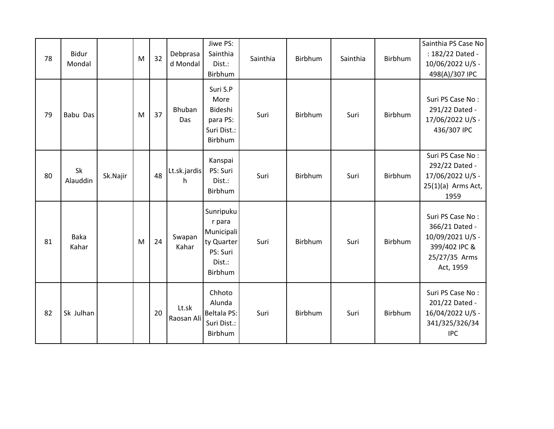| 78 | Bidur<br>Mondal      |          | M | 32 | Debprasa<br>d Mondal | Jiwe PS:<br>Sainthia<br>Dist.:<br>Birbhum                                        | Sainthia | Birbhum | Sainthia | Birbhum | Sainthia PS Case No<br>: 182/22 Dated -<br>10/06/2022 U/S -<br>498(A)/307 IPC                         |
|----|----------------------|----------|---|----|----------------------|----------------------------------------------------------------------------------|----------|---------|----------|---------|-------------------------------------------------------------------------------------------------------|
| 79 | Babu Das             |          | M | 37 | Bhuban<br>Das        | Suri S.P<br>More<br>Bideshi<br>para PS:<br>Suri Dist.:<br>Birbhum                | Suri     | Birbhum | Suri     | Birbhum | Suri PS Case No:<br>291/22 Dated -<br>17/06/2022 U/S -<br>436/307 IPC                                 |
| 80 | Sk<br>Alauddin       | Sk.Najir |   | 48 | Lt.sk.jardis<br>h    | Kanspai<br>PS: Suri<br>Dist.:<br>Birbhum                                         | Suri     | Birbhum | Suri     | Birbhum | Suri PS Case No:<br>292/22 Dated -<br>17/06/2022 U/S -<br>$25(1)(a)$ Arms Act,<br>1959                |
| 81 | <b>Baka</b><br>Kahar |          | M | 24 | Swapan<br>Kahar      | Sunripuku<br>r para<br>Municipali<br>ty Quarter<br>PS: Suri<br>Dist.:<br>Birbhum | Suri     | Birbhum | Suri     | Birbhum | Suri PS Case No:<br>366/21 Dated -<br>10/09/2021 U/S -<br>399/402 IPC &<br>25/27/35 Arms<br>Act, 1959 |
| 82 | Sk Julhan            |          |   | 20 | Lt.sk<br>Raosan Ali  | Chhoto<br>Alunda<br><b>Beltala PS:</b><br>Suri Dist.:<br>Birbhum                 | Suri     | Birbhum | Suri     | Birbhum | Suri PS Case No:<br>201/22 Dated -<br>16/04/2022 U/S -<br>341/325/326/34<br><b>IPC</b>                |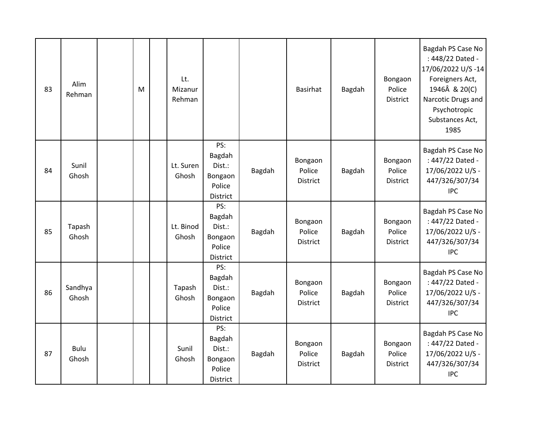| 83 | Alim<br>Rehman       | M | Lt.<br>Mizanur<br>Rehman |                                                          |        | Basirhat                             | Bagdah | Bongaon<br>Police<br>District | Bagdah PS Case No<br>: 448/22 Dated -<br>17/06/2022 U/S-14<br>Foreigners Act,<br>1946Â & 20(C)<br>Narcotic Drugs and<br>Psychotropic<br>Substances Act,<br>1985 |
|----|----------------------|---|--------------------------|----------------------------------------------------------|--------|--------------------------------------|--------|-------------------------------|-----------------------------------------------------------------------------------------------------------------------------------------------------------------|
| 84 | Sunil<br>Ghosh       |   | Lt. Suren<br>Ghosh       | PS:<br>Bagdah<br>Dist.:<br>Bongaon<br>Police<br>District | Bagdah | Bongaon<br>Police<br>District        | Bagdah | Bongaon<br>Police<br>District | Bagdah PS Case No<br>: 447/22 Dated -<br>17/06/2022 U/S -<br>447/326/307/34<br><b>IPC</b>                                                                       |
| 85 | Tapash<br>Ghosh      |   | Lt. Binod<br>Ghosh       | PS:<br>Bagdah<br>Dist.:<br>Bongaon<br>Police<br>District | Bagdah | Bongaon<br>Police<br>District        | Bagdah | Bongaon<br>Police<br>District | Bagdah PS Case No<br>: 447/22 Dated -<br>17/06/2022 U/S -<br>447/326/307/34<br><b>IPC</b>                                                                       |
| 86 | Sandhya<br>Ghosh     |   | Tapash<br>Ghosh          | PS:<br>Bagdah<br>Dist.:<br>Bongaon<br>Police<br>District | Bagdah | Bongaon<br>Police<br><b>District</b> | Bagdah | Bongaon<br>Police<br>District | Bagdah PS Case No<br>: 447/22 Dated -<br>17/06/2022 U/S -<br>447/326/307/34<br><b>IPC</b>                                                                       |
| 87 | <b>Bulu</b><br>Ghosh |   | Sunil<br>Ghosh           | PS:<br>Bagdah<br>Dist.:<br>Bongaon<br>Police<br>District | Bagdah | Bongaon<br>Police<br>District        | Bagdah | Bongaon<br>Police<br>District | Bagdah PS Case No<br>: 447/22 Dated -<br>17/06/2022 U/S -<br>447/326/307/34<br><b>IPC</b>                                                                       |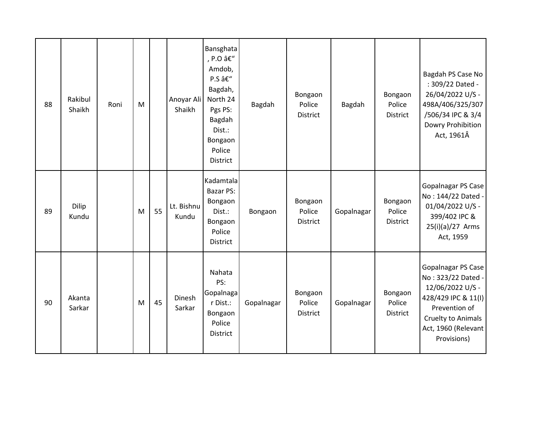| 88 | Rakibul<br>Shaikh | Roni | M |    | Anoyar Ali<br>Shaikh | Bansghata<br>, P.O –<br>Amdob,<br>P.S –<br>Bagdah,<br>North 24<br>Pgs PS:<br>Bagdah<br>Dist.:<br>Bongaon<br>Police<br>District | Bagdah     | Bongaon<br>Police<br>District        | Bagdah     | Bongaon<br>Police<br>District        | Bagdah PS Case No<br>: 309/22 Dated -<br>26/04/2022 U/S -<br>498A/406/325/307<br>/506/34 IPC & 3/4<br>Dowry Prohibition<br>Act, 1961Â                            |
|----|-------------------|------|---|----|----------------------|--------------------------------------------------------------------------------------------------------------------------------|------------|--------------------------------------|------------|--------------------------------------|------------------------------------------------------------------------------------------------------------------------------------------------------------------|
| 89 | Dilip<br>Kundu    |      | M | 55 | Lt. Bishnu<br>Kundu  | Kadamtala<br>Bazar PS:<br>Bongaon<br>Dist.:<br>Bongaon<br>Police<br>District                                                   | Bongaon    | Bongaon<br>Police<br><b>District</b> | Gopalnagar | Bongaon<br>Police<br>District        | Gopalnagar PS Case<br>No: 144/22 Dated -<br>01/04/2022 U/S -<br>399/402 IPC &<br>25(i)(a)/27 Arms<br>Act, 1959                                                   |
| 90 | Akanta<br>Sarkar  |      | M | 45 | Dinesh<br>Sarkar     | Nahata<br>PS:<br>Gopalnaga<br>r Dist.:<br>Bongaon<br>Police<br>District                                                        | Gopalnagar | Bongaon<br>Police<br>District        | Gopalnagar | Bongaon<br>Police<br><b>District</b> | Gopalnagar PS Case<br>No: 323/22 Dated -<br>12/06/2022 U/S -<br>428/429 IPC & 11(I)<br>Prevention of<br>Cruelty to Animals<br>Act, 1960 (Relevant<br>Provisions) |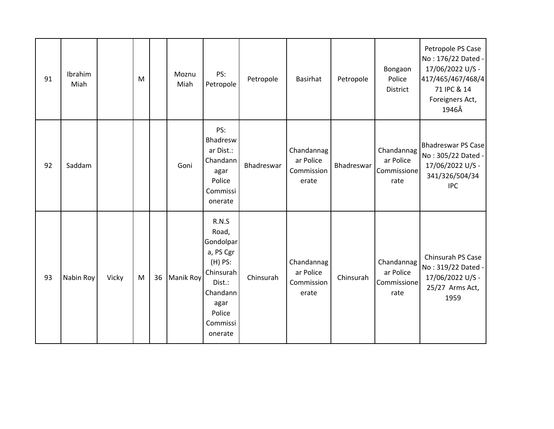| 91 | Ibrahim<br>Miah |       | M |    | Moznu<br>Miah | PS:<br>Petropole                                                                                                                  | Petropole  | <b>Basirhat</b>                                | Petropole  | Bongaon<br>Police<br><b>District</b>           | Petropole PS Case<br>No: 176/22 Dated -<br>17/06/2022 U/S -<br>417/465/467/468/4<br>71 IPC & 14<br>Foreigners Act,<br>1946Â |
|----|-----------------|-------|---|----|---------------|-----------------------------------------------------------------------------------------------------------------------------------|------------|------------------------------------------------|------------|------------------------------------------------|-----------------------------------------------------------------------------------------------------------------------------|
| 92 | Saddam          |       |   |    | Goni          | PS:<br>Bhadresw<br>ar Dist.:<br>Chandann<br>agar<br>Police<br>Commissi<br>onerate                                                 | Bhadreswar | Chandannag<br>ar Police<br>Commission<br>erate | Bhadreswar | Chandannag<br>ar Police<br>Commissione<br>rate | <b>Bhadreswar PS Case</b><br>No: 305/22 Dated -<br>17/06/2022 U/S -<br>341/326/504/34<br><b>IPC</b>                         |
| 93 | Nabin Roy       | Vicky | M | 36 | Manik Roy     | R.N.S<br>Road,<br>Gondolpar<br>a, PS Cgr<br>$(H)$ PS:<br>Chinsurah<br>Dist.:<br>Chandann<br>agar<br>Police<br>Commissi<br>onerate | Chinsurah  | Chandannag<br>ar Police<br>Commission<br>erate | Chinsurah  | Chandannag<br>ar Police<br>Commissione<br>rate | Chinsurah PS Case<br>No: 319/22 Dated -<br>17/06/2022 U/S -<br>25/27 Arms Act,<br>1959                                      |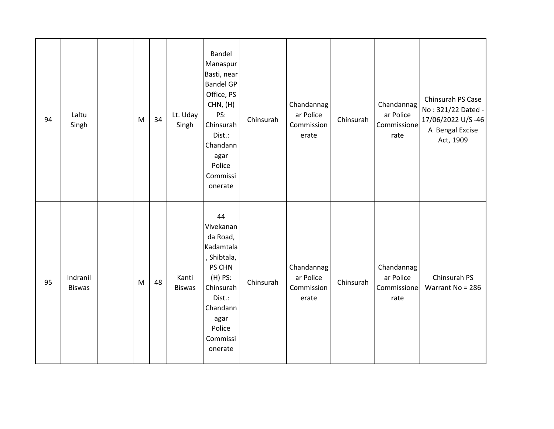| 94 | Laltu<br>Singh            | M | 34 | Lt. Uday<br>Singh      | Bandel<br>Manaspur<br>Basti, near<br><b>Bandel GP</b><br>Office, PS<br>CHN, (H)<br>PS:<br>Chinsurah<br>Dist.:<br>Chandann<br>agar<br>Police<br>Commissi<br>onerate | Chinsurah | Chandannag<br>ar Police<br>Commission<br>erate | Chinsurah | Chandannag<br>ar Police<br>Commissione<br>rate | Chinsurah PS Case<br>No: 321/22 Dated -<br>17/06/2022 U/S-46<br>A Bengal Excise<br>Act, 1909 |
|----|---------------------------|---|----|------------------------|--------------------------------------------------------------------------------------------------------------------------------------------------------------------|-----------|------------------------------------------------|-----------|------------------------------------------------|----------------------------------------------------------------------------------------------|
| 95 | Indranil<br><b>Biswas</b> | M | 48 | Kanti<br><b>Biswas</b> | 44<br>Vivekanan<br>da Road,<br>Kadamtala<br>, Shibtala,<br>PS CHN<br>$(H)$ PS:<br>Chinsurah<br>Dist.:<br>Chandann<br>agar<br>Police<br>Commissi<br>onerate         | Chinsurah | Chandannag<br>ar Police<br>Commission<br>erate | Chinsurah | Chandannag<br>ar Police<br>Commissione<br>rate | Chinsurah PS<br>Warrant No = 286                                                             |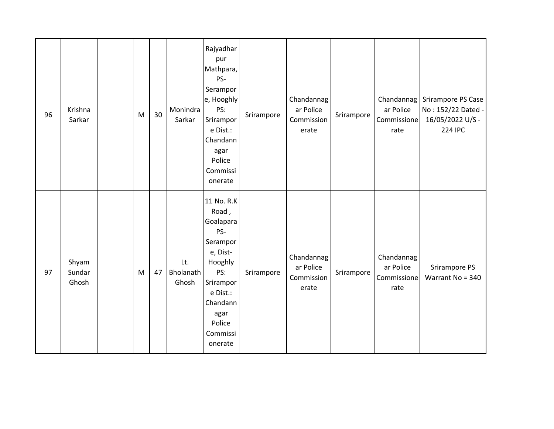| 96 | Krishna<br>Sarkar        | M | 30 | Monindra<br>Sarkar               | Rajyadhar<br>pur<br>Mathpara,<br>PS-<br>Serampor<br>e, Hooghly<br>PS:<br>Srirampor<br>e Dist.:<br>Chandann<br>agar<br>Police<br>Commissi<br>onerate             | Srirampore | Chandannag<br>ar Police<br>Commission<br>erate | Srirampore | ar Police<br>Commissione<br>rate               | Chandannag   Srirampore PS Case<br>No: 152/22 Dated -<br>16/05/2022 U/S -<br><b>224 IPC</b> |
|----|--------------------------|---|----|----------------------------------|-----------------------------------------------------------------------------------------------------------------------------------------------------------------|------------|------------------------------------------------|------------|------------------------------------------------|---------------------------------------------------------------------------------------------|
| 97 | Shyam<br>Sundar<br>Ghosh | M | 47 | Lt.<br><b>Bholanath</b><br>Ghosh | 11 No. R.K<br>Road,<br>Goalapara<br>PS-<br>Serampor<br>e, Dist-<br>Hooghly<br>PS:<br>Srirampor<br>e Dist.:<br>Chandann<br>agar<br>Police<br>Commissi<br>onerate | Srirampore | Chandannag<br>ar Police<br>Commission<br>erate | Srirampore | Chandannag<br>ar Police<br>Commissione<br>rate | Srirampore PS<br>Warrant No = 340                                                           |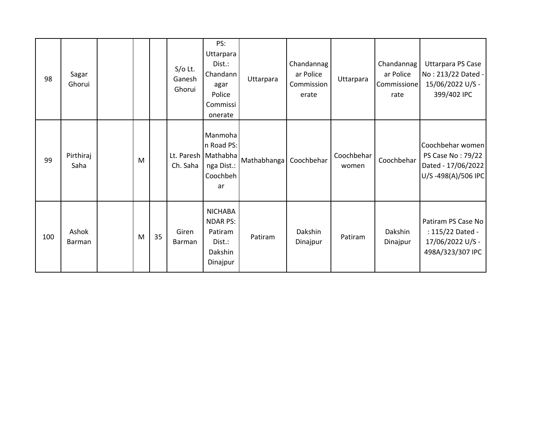| 98  | Sagar<br>Ghorui        |   |    | $S/O$ Lt.<br>Ganesh<br>Ghorui | PS:<br>Uttarpara<br>Dist.:<br>Chandann<br>agar<br>Police<br>Commissi<br>onerate  | Uttarpara   | Chandannag<br>ar Police<br>Commission<br>erate | Uttarpara           | Chandannag<br>ar Police<br>Commissione<br>rate | Uttarpara PS Case<br>No: 213/22 Dated -<br>15/06/2022 U/S -<br>399/402 IPC        |
|-----|------------------------|---|----|-------------------------------|----------------------------------------------------------------------------------|-------------|------------------------------------------------|---------------------|------------------------------------------------|-----------------------------------------------------------------------------------|
| 99  | Pirthiraj<br>Saha      | M |    | Ch. Saha                      | Manmoha<br>n Road PS:<br>Lt. Paresh   Mathabha  <br>nga Dist.:<br>Coochbeh<br>ar | Mathabhanga | Coochbehar                                     | Coochbehar<br>women | Coochbehar                                     | Coochbehar women<br>PS Case No: 79/22<br>Dated - 17/06/2022<br>U/S-498(A)/506 IPC |
| 100 | Ashok<br><b>Barman</b> | M | 35 | Giren<br>Barman               | <b>NICHABA</b><br><b>NDAR PS:</b><br>Patiram<br>Dist.:<br>Dakshin<br>Dinajpur    | Patiram     | Dakshin<br>Dinajpur                            | Patiram             | Dakshin<br>Dinajpur                            | Patiram PS Case No<br>: 115/22 Dated -<br>17/06/2022 U/S -<br>498A/323/307 IPC    |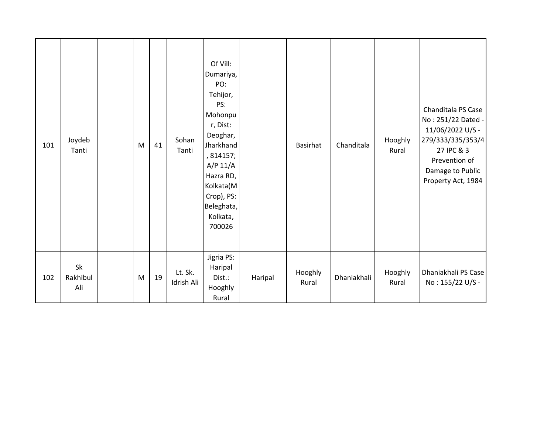| 101 | Joydeb<br>Tanti       | M | 41 | Sohan<br>Tanti        | Of Vill:<br>Dumariya,<br>PO:<br>Tehijor,<br>PS:<br>Mohonpu<br>r, Dist:<br>Deoghar,<br>Jharkhand<br>, 814157;<br>$A/P$ 11/A<br>Hazra RD,<br>Kolkata(M<br>Crop), PS:<br>Beleghata,<br>Kolkata,<br>700026 |         | Basirhat         | Chanditala  | Hooghly<br>Rural | Chanditala PS Case<br>No: 251/22 Dated -<br>11/06/2022 U/S -<br>279/333/335/353/4<br>27 IPC & 3<br>Prevention of<br>Damage to Public<br>Property Act, 1984 |
|-----|-----------------------|---|----|-----------------------|--------------------------------------------------------------------------------------------------------------------------------------------------------------------------------------------------------|---------|------------------|-------------|------------------|------------------------------------------------------------------------------------------------------------------------------------------------------------|
| 102 | Sk<br>Rakhibul<br>Ali | M | 19 | Lt. Sk.<br>Idrish Ali | Jigria PS:<br>Haripal<br>Dist.:<br>Hooghly<br>Rural                                                                                                                                                    | Haripal | Hooghly<br>Rural | Dhaniakhali | Hooghly<br>Rural | Dhaniakhali PS Case<br>No: 155/22 U/S -                                                                                                                    |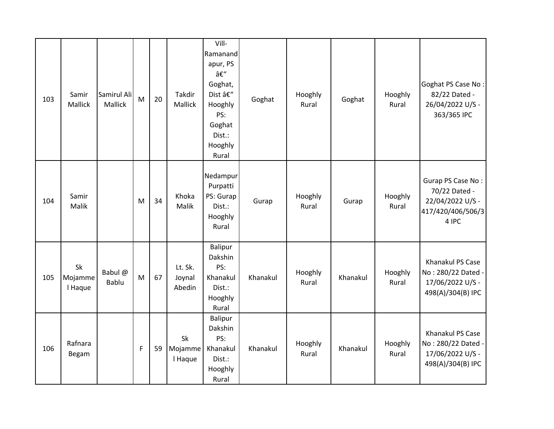| 103 | Samir<br><b>Mallick</b>  | Samirul Ali<br>Mallick | M | 20 | Takdir<br>Mallick           | Vill-<br>Ramanand<br>apur, PS<br>–<br>Goghat,<br>Dist –<br>Hooghly<br>PS:<br>Goghat<br>Dist.:<br>Hooghly<br>Rural | Goghat   | Hooghly<br>Rural | Goghat   | Hooghly<br>Rural | Goghat PS Case No:<br>82/22 Dated -<br>26/04/2022 U/S -<br>363/365 IPC               |
|-----|--------------------------|------------------------|---|----|-----------------------------|-------------------------------------------------------------------------------------------------------------------|----------|------------------|----------|------------------|--------------------------------------------------------------------------------------|
| 104 | Samir<br>Malik           |                        | M | 34 | Khoka<br>Malik              | Nedampur<br>Purpatti<br>PS: Gurap<br>Dist.:<br>Hooghly<br>Rural                                                   | Gurap    | Hooghly<br>Rural | Gurap    | Hooghly<br>Rural | Gurap PS Case No:<br>70/22 Dated -<br>22/04/2022 U/S -<br>417/420/406/506/3<br>4 IPC |
| 105 | Sk<br>Mojamme<br>I Haque | Babul @<br>Bablu       | M | 67 | Lt. Sk.<br>Joynal<br>Abedin | <b>Balipur</b><br>Dakshin<br>PS:<br>Khanakul<br>Dist.:<br>Hooghly<br>Rural                                        | Khanakul | Hooghly<br>Rural | Khanakul | Hooghly<br>Rural | Khanakul PS Case<br>No: 280/22 Dated -<br>17/06/2022 U/S -<br>498(A)/304(B) IPC      |
| 106 | Rafnara<br>Begam         |                        | F | 59 | Sk<br>Mojamme<br>I Haque    | <b>Balipur</b><br>Dakshin<br>PS:<br>Khanakul<br>Dist.:<br>Hooghly<br>Rural                                        | Khanakul | Hooghly<br>Rural | Khanakul | Hooghly<br>Rural | Khanakul PS Case<br>No: 280/22 Dated -<br>17/06/2022 U/S -<br>498(A)/304(B) IPC      |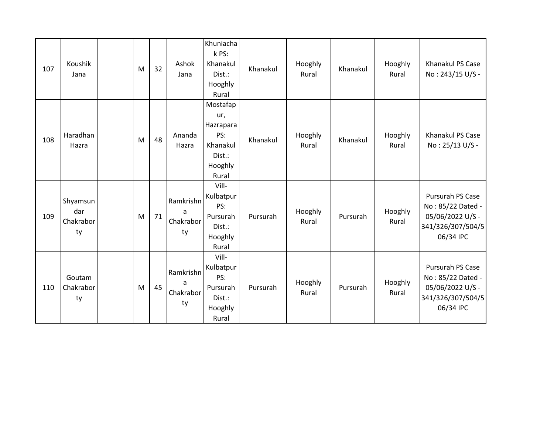| 107 | Koushik<br>Jana                    | M | 32 | Ashok<br>Jana                     | Khuniacha<br>k PS:<br>Khanakul<br>Dist.:<br>Hooghly<br>Rural                  | Khanakul | Hooghly<br>Rural | Khanakul | Hooghly<br>Rural | Khanakul PS Case<br>No: 243/15 U/S -                                                        |
|-----|------------------------------------|---|----|-----------------------------------|-------------------------------------------------------------------------------|----------|------------------|----------|------------------|---------------------------------------------------------------------------------------------|
| 108 | Haradhan<br>Hazra                  | M | 48 | Ananda<br>Hazra                   | Mostafap<br>ur,<br>Hazrapara<br>PS:<br>Khanakul<br>Dist.:<br>Hooghly<br>Rural | Khanakul | Hooghly<br>Rural | Khanakul | Hooghly<br>Rural | Khanakul PS Case<br>No: 25/13 U/S -                                                         |
| 109 | Shyamsun<br>dar<br>Chakrabor<br>ty | M | 71 | Ramkrishn<br>a<br>Chakrabor<br>ty | Vill-<br>Kulbatpur<br>PS:<br>Pursurah<br>Dist.:<br>Hooghly<br>Rural           | Pursurah | Hooghly<br>Rural | Pursurah | Hooghly<br>Rural | Pursurah PS Case<br>No: 85/22 Dated -<br>05/06/2022 U/S -<br>341/326/307/504/5<br>06/34 IPC |
| 110 | Goutam<br>Chakrabor<br>ty          | M | 45 | Ramkrishn<br>a<br>Chakrabor<br>ty | Vill-<br>Kulbatpur<br>PS:<br>Pursurah<br>Dist.:<br>Hooghly<br>Rural           | Pursurah | Hooghly<br>Rural | Pursurah | Hooghly<br>Rural | Pursurah PS Case<br>No: 85/22 Dated -<br>05/06/2022 U/S -<br>341/326/307/504/5<br>06/34 IPC |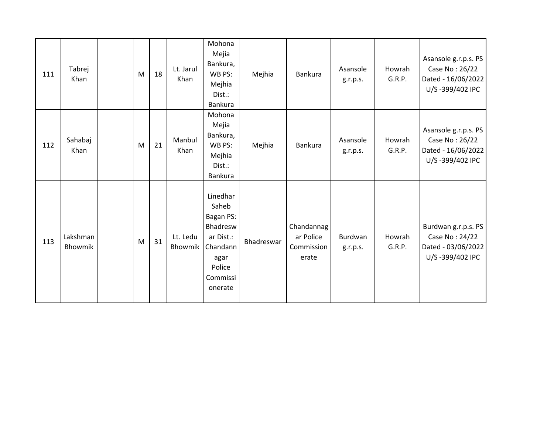| 111 | Tabrej<br>Khan      | M | 18 | Lt. Jarul<br>Khan   | Mohona<br>Mejia<br>Bankura,<br>WB PS:<br>Mejhia<br>Dist.:<br>Bankura                                         | Mejhia     | Bankura                                        | Asansole<br>g.r.p.s. | Howrah<br>G.R.P. | Asansole g.r.p.s. PS<br>Case No: 26/22<br>Dated - 16/06/2022<br>U/S-399/402 IPC |
|-----|---------------------|---|----|---------------------|--------------------------------------------------------------------------------------------------------------|------------|------------------------------------------------|----------------------|------------------|---------------------------------------------------------------------------------|
| 112 | Sahabaj<br>Khan     | M | 21 | Manbul<br>Khan      | Mohona<br>Mejia<br>Bankura,<br>WB PS:<br>Mejhia<br>Dist.:<br>Bankura                                         | Mejhia     | Bankura                                        | Asansole<br>g.r.p.s. | Howrah<br>G.R.P. | Asansole g.r.p.s. PS<br>Case No: 26/22<br>Dated - 16/06/2022<br>U/S-399/402 IPC |
| 113 | Lakshman<br>Bhowmik | M | 31 | Lt. Ledu<br>Bhowmik | Linedhar<br>Saheb<br>Bagan PS:<br>Bhadresw<br>ar Dist.:<br>Chandann<br>agar<br>Police<br>Commissi<br>onerate | Bhadreswar | Chandannag<br>ar Police<br>Commission<br>erate | Burdwan<br>g.r.p.s.  | Howrah<br>G.R.P. | Burdwan g.r.p.s. PS<br>Case No: 24/22<br>Dated - 03/06/2022<br>U/S-399/402 IPC  |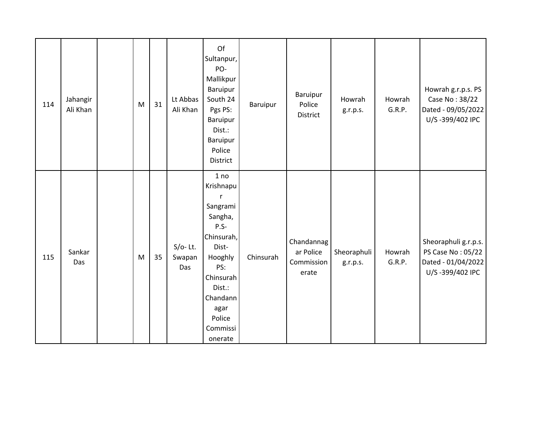| 114 | Jahangir<br>Ali Khan | M | 31 | Lt Abbas<br>Ali Khan        | Of<br>Sultanpur,<br>PO-<br>Mallikpur<br>Baruipur<br>South 24<br>Pgs PS:<br>Baruipur<br>Dist.:<br>Baruipur<br>Police<br>District                                       | Baruipur  | Baruipur<br>Police<br>District                 | Howrah<br>g.r.p.s.      | Howrah<br>G.R.P. | Howrah g.r.p.s. PS<br>Case No: 38/22<br>Dated - 09/05/2022<br>U/S-399/402 IPC      |
|-----|----------------------|---|----|-----------------------------|-----------------------------------------------------------------------------------------------------------------------------------------------------------------------|-----------|------------------------------------------------|-------------------------|------------------|------------------------------------------------------------------------------------|
| 115 | Sankar<br>Das        | M | 35 | $S/O-$ Lt.<br>Swapan<br>Das | 1 no<br>Krishnapu<br>Sangrami<br>Sangha,<br>P.S-<br>Chinsurah,<br>Dist-<br>Hooghly<br>PS:<br>Chinsurah<br>Dist.:<br>Chandann<br>agar<br>Police<br>Commissi<br>onerate | Chinsurah | Chandannag<br>ar Police<br>Commission<br>erate | Sheoraphuli<br>g.r.p.s. | Howrah<br>G.R.P. | Sheoraphuli g.r.p.s.<br>PS Case No: 05/22<br>Dated - 01/04/2022<br>U/S-399/402 IPC |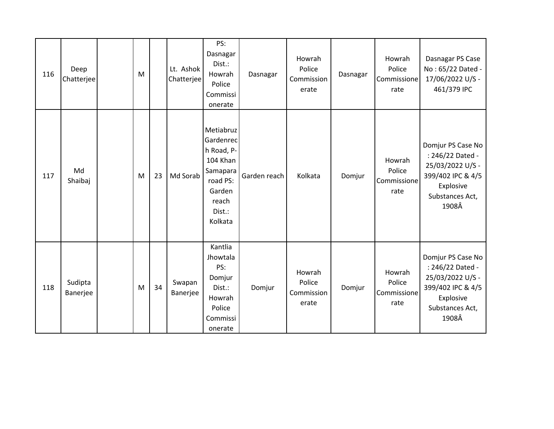| 116 | Deep<br>Chatterjee  | M |    | Lt. Ashok<br>Chatterjee | PS:<br>Dasnagar<br>Dist.:<br>Howrah<br>Police<br>Commissi<br>onerate                                             | Dasnagar     | Howrah<br>Police<br>Commission<br>erate | Dasnagar | Howrah<br>Police<br>Commissione<br>rate | Dasnagar PS Case<br>No: 65/22 Dated -<br>17/06/2022 U/S -<br>461/379 IPC                                                |
|-----|---------------------|---|----|-------------------------|------------------------------------------------------------------------------------------------------------------|--------------|-----------------------------------------|----------|-----------------------------------------|-------------------------------------------------------------------------------------------------------------------------|
| 117 | Md<br>Shaibaj       | M | 23 | Md Sorab                | Metiabruz<br>Gardenrec<br>h Road, P-<br>104 Khan<br>Samapara<br>road PS:<br>Garden<br>reach<br>Dist.:<br>Kolkata | Garden reach | Kolkata                                 | Domjur   | Howrah<br>Police<br>Commissione<br>rate | Domjur PS Case No<br>: 246/22 Dated -<br>25/03/2022 U/S -<br>399/402 IPC & 4/5<br>Explosive<br>Substances Act,<br>1908Â |
| 118 | Sudipta<br>Banerjee | M | 34 | Swapan<br>Banerjee      | Kantlia<br>Jhowtala<br>PS:<br>Domjur<br>Dist.:<br>Howrah<br>Police<br>Commissi<br>onerate                        | Domjur       | Howrah<br>Police<br>Commission<br>erate | Domjur   | Howrah<br>Police<br>Commissione<br>rate | Domjur PS Case No<br>: 246/22 Dated -<br>25/03/2022 U/S -<br>399/402 IPC & 4/5<br>Explosive<br>Substances Act,<br>1908Â |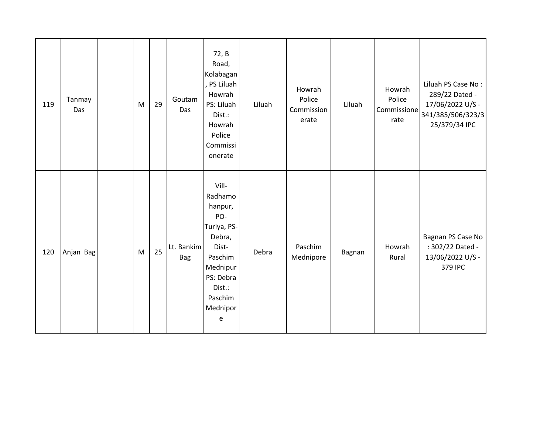| 119 | Tanmay<br>Das | M | 29 | Goutam<br>Das            | 72, B<br>Road,<br>Kolabagan<br>, PS Liluah<br>Howrah<br>PS: Liluah<br>Dist.:<br>Howrah<br>Police<br>Commissi<br>onerate                        | Liluah | Howrah<br>Police<br>Commission<br>erate | Liluah | Howrah<br>Police<br>Commissione<br>rate | Liluah PS Case No:<br>289/22 Dated -<br>17/06/2022 U/S -<br>341/385/506/323/3<br>25/379/34 IPC |
|-----|---------------|---|----|--------------------------|------------------------------------------------------------------------------------------------------------------------------------------------|--------|-----------------------------------------|--------|-----------------------------------------|------------------------------------------------------------------------------------------------|
| 120 | Anjan Bag     | M | 25 | Lt. Bankim<br><b>Bag</b> | Vill-<br>Radhamo<br>hanpur,<br>PO-<br>Turiya, PS-<br>Debra,<br>Dist-<br>Paschim<br>Mednipur<br>PS: Debra<br>Dist.:<br>Paschim<br>Mednipor<br>e | Debra  | Paschim<br>Mednipore                    | Bagnan | Howrah<br>Rural                         | Bagnan PS Case No<br>: 302/22 Dated -<br>13/06/2022 U/S -<br>379 IPC                           |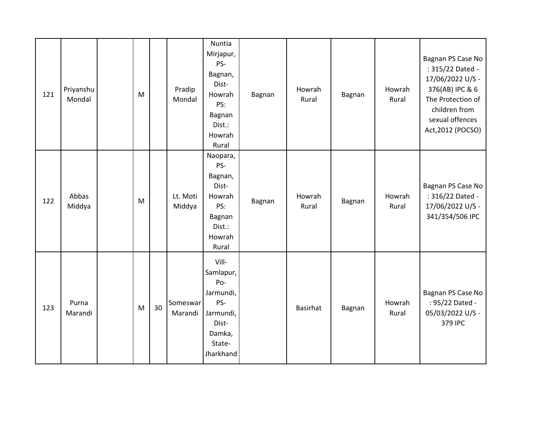| 121 | Priyanshu<br>Mondal | M |    | Pradip<br>Mondal    | <b>Nuntia</b><br>Mirjapur,<br>PS-<br>Bagnan,<br>Dist-<br>Howrah<br>PS:<br>Bagnan<br>Dist.:<br>Howrah<br>Rural | Bagnan | Howrah<br>Rural | Bagnan | Howrah<br>Rural | Bagnan PS Case No<br>: 315/22 Dated -<br>17/06/2022 U/S -<br>376(AB) IPC & 6<br>The Protection of<br>children from<br>sexual offences<br>Act, 2012 (POCSO) |
|-----|---------------------|---|----|---------------------|---------------------------------------------------------------------------------------------------------------|--------|-----------------|--------|-----------------|------------------------------------------------------------------------------------------------------------------------------------------------------------|
| 122 | Abbas<br>Middya     | M |    | Lt. Moti<br>Middya  | Naopara,<br>PS-<br>Bagnan,<br>Dist-<br>Howrah<br>PS:<br>Bagnan<br>Dist.:<br>Howrah<br>Rural                   | Bagnan | Howrah<br>Rural | Bagnan | Howrah<br>Rural | Bagnan PS Case No<br>: 316/22 Dated -<br>17/06/2022 U/S -<br>341/354/506 IPC                                                                               |
| 123 | Purna<br>Marandi    | M | 30 | Someswar<br>Marandi | Vill-<br>Samlapur,<br>Po-<br>Jarmundi,<br>PS-<br>Jarmundi,<br>Dist-<br>Damka,<br>State-<br>Jharkhand          |        | Basirhat        | Bagnan | Howrah<br>Rural | Bagnan PS Case No<br>: 95/22 Dated -<br>05/03/2022 U/S -<br>379 IPC                                                                                        |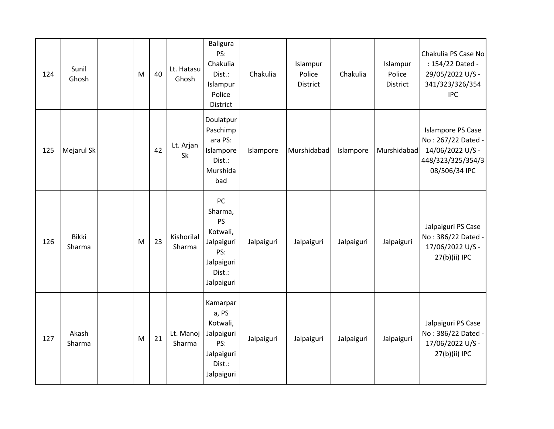| 124 | Sunil<br>Ghosh         | M | 40 | Lt. Hatasu<br>Ghosh  | <b>Baligura</b><br>PS:<br>Chakulia<br>Dist.:<br>Islampur<br>Police<br>District                    | Chakulia   | Islampur<br>Police<br>District | Chakulia   | Islampur<br>Police<br>District | Chakulia PS Case No<br>: 154/22 Dated -<br>29/05/2022 U/S -<br>341/323/326/354<br><b>IPC</b>             |
|-----|------------------------|---|----|----------------------|---------------------------------------------------------------------------------------------------|------------|--------------------------------|------------|--------------------------------|----------------------------------------------------------------------------------------------------------|
| 125 | Mejarul Sk             |   | 42 | Lt. Arjan<br>Sk      | Doulatpur<br>Paschimp<br>ara PS:<br>Islampore<br>Dist.:<br>Murshida<br>bad                        | Islampore  | Murshidabad                    | Islampore  | Murshidabad                    | <b>Islampore PS Case</b><br>No: 267/22 Dated -<br>14/06/2022 U/S -<br>448/323/325/354/3<br>08/506/34 IPC |
| 126 | <b>Bikki</b><br>Sharma | M | 23 | Kishorilal<br>Sharma | PC<br>Sharma,<br><b>PS</b><br>Kotwali,<br>Jalpaiguri<br>PS:<br>Jalpaiguri<br>Dist.:<br>Jalpaiguri | Jalpaiguri | Jalpaiguri                     | Jalpaiguri | Jalpaiguri                     | Jalpaiguri PS Case<br>No: 386/22 Dated -<br>17/06/2022 U/S -<br>27(b)(ii) IPC                            |
| 127 | Akash<br>Sharma        | M | 21 | Lt. Manoj<br>Sharma  | Kamarpar<br>a, PS<br>Kotwali,<br>Jalpaiguri<br>PS:<br>Jalpaiguri<br>Dist.:<br>Jalpaiguri          | Jalpaiguri | Jalpaiguri                     | Jalpaiguri | Jalpaiguri                     | Jalpaiguri PS Case<br>No: 386/22 Dated -<br>17/06/2022 U/S -<br>27(b)(ii) IPC                            |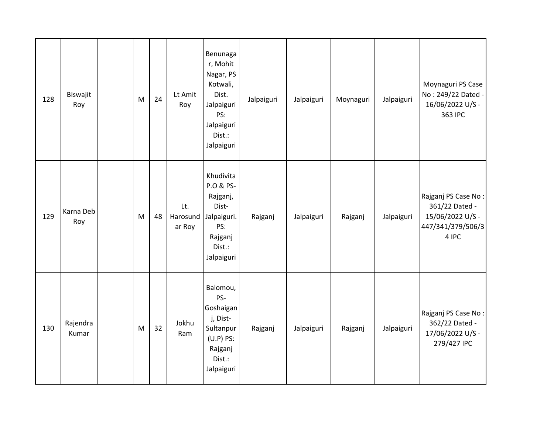| 128 | Biswajit<br>Roy   | M | 24 | Lt Amit<br>Roy            | Benunaga<br>r, Mohit<br>Nagar, PS<br>Kotwali,<br>Dist.<br>Jalpaiguri<br>PS:<br>Jalpaiguri<br>Dist.:<br>Jalpaiguri | Jalpaiguri | Jalpaiguri | Moynaguri | Jalpaiguri | Moynaguri PS Case<br>No: 249/22 Dated -<br>16/06/2022 U/S -<br>363 IPC                  |
|-----|-------------------|---|----|---------------------------|-------------------------------------------------------------------------------------------------------------------|------------|------------|-----------|------------|-----------------------------------------------------------------------------------------|
| 129 | Karna Deb<br>Roy  | M | 48 | Lt.<br>Harosund<br>ar Roy | Khudivita<br>P.O & PS-<br>Rajganj,<br>Dist-<br>Jalpaiguri.<br>PS:<br>Rajganj<br>Dist.:<br>Jalpaiguri              | Rajganj    | Jalpaiguri | Rajganj   | Jalpaiguri | Rajganj PS Case No:<br>361/22 Dated -<br>15/06/2022 U/S -<br>447/341/379/506/3<br>4 IPC |
| 130 | Rajendra<br>Kumar | M | 32 | Jokhu<br>Ram              | Balomou,<br>PS-<br>Goshaigan<br>j, Dist-<br>Sultanpur<br>(U.P) PS:<br>Rajganj<br>Dist.:<br>Jalpaiguri             | Rajganj    | Jalpaiguri | Rajganj   | Jalpaiguri | Rajganj PS Case No:<br>362/22 Dated -<br>17/06/2022 U/S -<br>279/427 IPC                |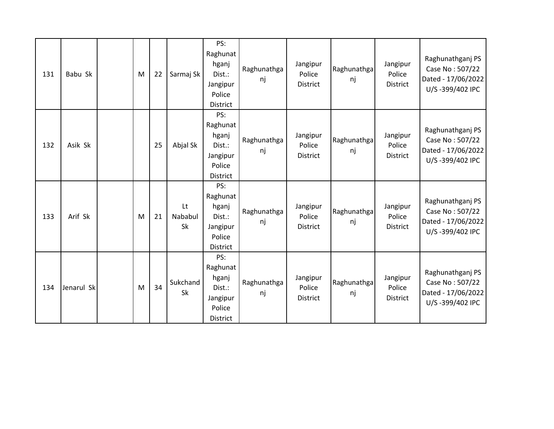| 131 | Babu Sk    | M | 22 | Sarmaj Sk             | PS:<br>Raghunat<br>hganj<br>Dist.:<br>Jangipur<br>Police<br>District | Raghunathga<br>nj | Jangipur<br>Police<br><b>District</b> | Raghunathga<br>nj | Jangipur<br>Police<br><b>District</b> | Raghunathganj PS<br>Case No: 507/22<br>Dated - 17/06/2022<br>U/S-399/402 IPC |
|-----|------------|---|----|-----------------------|----------------------------------------------------------------------|-------------------|---------------------------------------|-------------------|---------------------------------------|------------------------------------------------------------------------------|
| 132 | Asik Sk    |   | 25 | Abjal Sk              | PS:<br>Raghunat<br>hganj<br>Dist.:<br>Jangipur<br>Police<br>District | Raghunathga<br>nj | Jangipur<br>Police<br><b>District</b> | Raghunathga<br>nj | Jangipur<br>Police<br><b>District</b> | Raghunathganj PS<br>Case No: 507/22<br>Dated - 17/06/2022<br>U/S-399/402 IPC |
| 133 | Arif Sk    | M | 21 | Lt<br>Nababul<br>Sk   | PS:<br>Raghunat<br>hganj<br>Dist.:<br>Jangipur<br>Police<br>District | Raghunathga<br>ni | Jangipur<br>Police<br><b>District</b> | Raghunathga<br>nj | Jangipur<br>Police<br><b>District</b> | Raghunathganj PS<br>Case No: 507/22<br>Dated - 17/06/2022<br>U/S-399/402 IPC |
| 134 | Jenarul Sk | M | 34 | Sukchand<br><b>Sk</b> | PS:<br>Raghunat<br>hganj<br>Dist.:<br>Jangipur<br>Police<br>District | Raghunathga<br>nj | Jangipur<br>Police<br><b>District</b> | Raghunathga<br>nj | Jangipur<br>Police<br><b>District</b> | Raghunathganj PS<br>Case No: 507/22<br>Dated - 17/06/2022<br>U/S-399/402 IPC |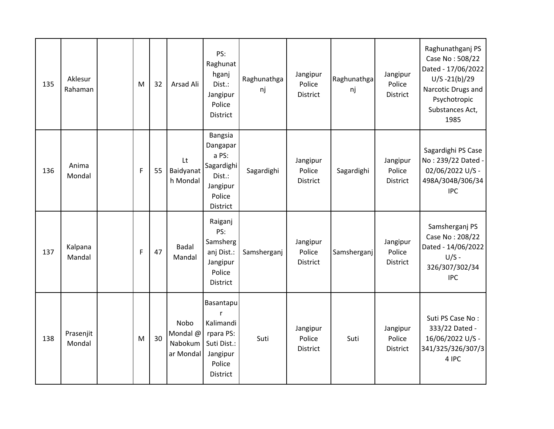| 135 | Aklesur<br>Rahaman  | м | 32 | Arsad Ali                                | PS:<br>Raghunat<br>hganj<br>Dist.:<br>Jangipur<br>Police<br><b>District</b>            | Raghunathga<br>nj | Jangipur<br>Police<br>District        | Raghunathga<br>nj | Jangipur<br>Police<br><b>District</b> | Raghunathganj PS<br>Case No: 508/22<br>Dated - 17/06/2022<br>$U/S - 21(b)/29$<br>Narcotic Drugs and<br>Psychotropic<br>Substances Act,<br>1985 |
|-----|---------------------|---|----|------------------------------------------|----------------------------------------------------------------------------------------|-------------------|---------------------------------------|-------------------|---------------------------------------|------------------------------------------------------------------------------------------------------------------------------------------------|
| 136 | Anima<br>Mondal     | F | 55 | Lt<br>Baidyanat<br>h Mondal              | Bangsia<br>Dangapar<br>a PS:<br>Sagardighi<br>Dist.:<br>Jangipur<br>Police<br>District | Sagardighi        | Jangipur<br>Police<br>District        | Sagardighi        | Jangipur<br>Police<br>District        | Sagardighi PS Case<br>No: 239/22 Dated -<br>02/06/2022 U/S -<br>498A/304B/306/34<br><b>IPC</b>                                                 |
| 137 | Kalpana<br>Mandal   | F | 47 | <b>Badal</b><br>Mandal                   | Raiganj<br>PS:<br>Samsherg<br>anj Dist.:<br>Jangipur<br>Police<br><b>District</b>      | Samsherganj       | Jangipur<br>Police<br><b>District</b> | Samsherganj       | Jangipur<br>Police<br>District        | Samsherganj PS<br>Case No: 208/22<br>Dated - 14/06/2022<br>$U/S -$<br>326/307/302/34<br><b>IPC</b>                                             |
| 138 | Prasenjit<br>Mondal | M | 30 | Nobo<br>Mondal @<br>Nabokum<br>ar Mondal | Basantapu<br>Kalimandi<br>rpara PS:<br>Suti Dist.:<br>Jangipur<br>Police<br>District   | Suti              | Jangipur<br>Police<br>District        | Suti              | Jangipur<br>Police<br>District        | Suti PS Case No:<br>333/22 Dated -<br>16/06/2022 U/S -<br>341/325/326/307/3<br>4 IPC                                                           |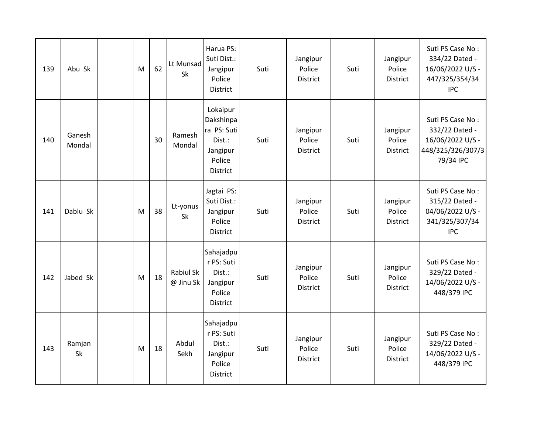| 139 | Abu Sk           | M | 62 | Lt Munsad<br>Sk               | Harua PS:<br>Suti Dist.:<br>Jangipur<br>Police<br><b>District</b>                       | Suti | Jangipur<br>Police<br><b>District</b> | Suti | Jangipur<br>Police<br>District        | Suti PS Case No:<br>334/22 Dated -<br>16/06/2022 U/S -<br>447/325/354/34<br><b>IPC</b>   |
|-----|------------------|---|----|-------------------------------|-----------------------------------------------------------------------------------------|------|---------------------------------------|------|---------------------------------------|------------------------------------------------------------------------------------------|
| 140 | Ganesh<br>Mondal |   | 30 | Ramesh<br>Mondal              | Lokaipur<br>Dakshinpa<br>ra PS: Suti<br>Dist.:<br>Jangipur<br>Police<br><b>District</b> | Suti | Jangipur<br>Police<br>District        | Suti | Jangipur<br>Police<br>District        | Suti PS Case No:<br>332/22 Dated -<br>16/06/2022 U/S -<br>448/325/326/307/3<br>79/34 IPC |
| 141 | Dablu Sk         | M | 38 | Lt-yonus<br>Sk                | Jagtai PS:<br>Suti Dist.:<br>Jangipur<br>Police<br>District                             | Suti | Jangipur<br>Police<br><b>District</b> | Suti | Jangipur<br>Police<br><b>District</b> | Suti PS Case No:<br>315/22 Dated -<br>04/06/2022 U/S -<br>341/325/307/34<br><b>IPC</b>   |
| 142 | Jabed Sk         | M | 18 | <b>Rabiul Sk</b><br>@ Jinu Sk | Sahajadpu<br>r PS: Suti<br>Dist.:<br>Jangipur<br>Police<br>District                     | Suti | Jangipur<br>Police<br>District        | Suti | Jangipur<br>Police<br><b>District</b> | Suti PS Case No:<br>329/22 Dated -<br>14/06/2022 U/S -<br>448/379 IPC                    |
| 143 | Ramjan<br>Sk     | M | 18 | Abdul<br>Sekh                 | Sahajadpu<br>r PS: Suti<br>Dist.:<br>Jangipur<br>Police<br><b>District</b>              | Suti | Jangipur<br>Police<br>District        | Suti | Jangipur<br>Police<br><b>District</b> | Suti PS Case No:<br>329/22 Dated -<br>14/06/2022 U/S -<br>448/379 IPC                    |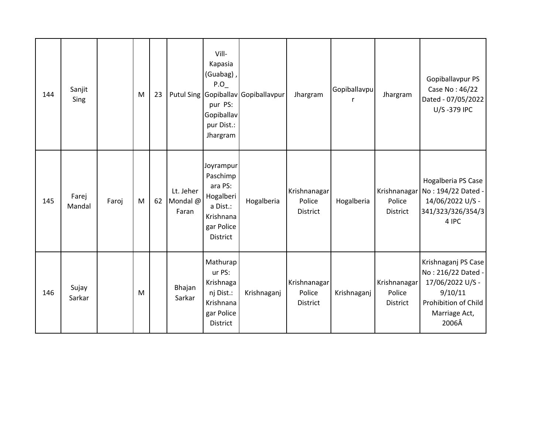| 144 | Sanjit<br>Sing  |       | M | 23 |                                | Vill-<br>Kapasia<br>(Guabag),<br>P.O<br>pur PS:<br>Gopiballav<br>pur Dist.:<br>Jhargram          | Putul Sing Gopiballav Gopiballavpur | Jhargram                                  | Gopiballavpu<br>r | Jhargram                           | Gopiballavpur PS<br>Case No: 46/22<br>Dated - 07/05/2022<br>U/S-379 IPC                                                    |
|-----|-----------------|-------|---|----|--------------------------------|--------------------------------------------------------------------------------------------------|-------------------------------------|-------------------------------------------|-------------------|------------------------------------|----------------------------------------------------------------------------------------------------------------------------|
| 145 | Farej<br>Mandal | Faroj | M | 62 | Lt. Jeher<br>Mondal @<br>Faran | Joyrampur<br>Paschimp<br>ara PS:<br>Hogalberi<br>a Dist.:<br>Krishnana<br>gar Police<br>District | Hogalberia                          | Krishnanagar<br>Police<br>District        | Hogalberia        | Police<br><b>District</b>          | Hogalberia PS Case<br>Krishnanagar No: 194/22 Dated -<br>14/06/2022 U/S -<br>341/323/326/354/3<br>4 IPC                    |
| 146 | Sujay<br>Sarkar |       | M |    | Bhajan<br>Sarkar               | Mathurap<br>ur PS:<br>Krishnaga<br>nj Dist.:<br>Krishnana<br>gar Police<br><b>District</b>       | Krishnaganj                         | Krishnanagar<br>Police<br><b>District</b> | Krishnaganj       | Krishnanagar<br>Police<br>District | Krishnaganj PS Case<br>No: 216/22 Dated -<br>17/06/2022 U/S -<br>9/10/11<br>Prohibition of Child<br>Marriage Act,<br>2006Â |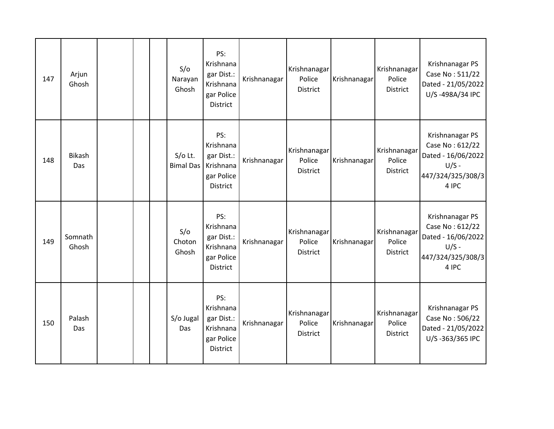| 147 | Arjun<br>Ghosh       |  | S/O<br>Narayan<br>Ghosh       | PS:<br>Krishnana<br>gar Dist.:<br>Krishnana<br>gar Police<br>District        | Krishnanagar | Krishnanagar<br>Police<br>District | Krishnanagar | Krishnanagar<br>Police<br><b>District</b> | Krishnanagar PS<br>Case No: 511/22<br>Dated - 21/05/2022<br>U/S-498A/34 IPC                       |
|-----|----------------------|--|-------------------------------|------------------------------------------------------------------------------|--------------|------------------------------------|--------------|-------------------------------------------|---------------------------------------------------------------------------------------------------|
| 148 | <b>Bikash</b><br>Das |  | $S/O$ Lt.<br><b>Bimal Das</b> | PS:<br>Krishnana<br>gar Dist.:<br>Krishnana<br>gar Police<br><b>District</b> | Krishnanagar | Krishnanagar<br>Police<br>District | Krishnanagar | Krishnanagar<br>Police<br><b>District</b> | Krishnanagar PS<br>Case No: 612/22<br>Dated - 16/06/2022<br>$U/S -$<br>447/324/325/308/3<br>4 IPC |
| 149 | Somnath<br>Ghosh     |  | S/O<br>Choton<br>Ghosh        | PS:<br>Krishnana<br>gar Dist.:<br>Krishnana<br>gar Police<br>District        | Krishnanagar | Krishnanagar<br>Police<br>District | Krishnanagar | Krishnanagar<br>Police<br>District        | Krishnanagar PS<br>Case No: 612/22<br>Dated - 16/06/2022<br>$U/S -$<br>447/324/325/308/3<br>4 IPC |
| 150 | Palash<br>Das        |  | S/o Jugal<br>Das              | PS:<br>Krishnana<br>gar Dist.:<br>Krishnana<br>gar Police<br>District        | Krishnanagar | Krishnanagar<br>Police<br>District | Krishnanagar | Krishnanagar<br>Police<br>District        | Krishnanagar PS<br>Case No: 506/22<br>Dated - 21/05/2022<br>U/S-363/365 IPC                       |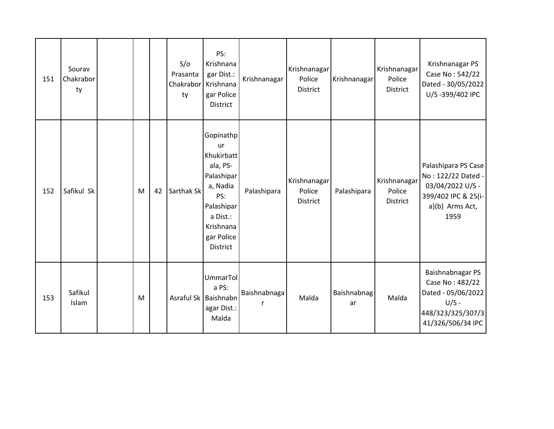| 151 | Sourav<br>Chakrabor<br>ty |   |    | S/O<br>Prasanta<br>Chakrabor<br>ty | PS:<br>Krishnana<br>gar Dist.:<br>Krishnana<br>gar Police<br>District                                                                              | Krishnanagar | Krishnanagar<br>Police<br><b>District</b> | Krishnanagar      | Krishnanagar<br>Police<br><b>District</b> | Krishnanagar PS<br>Case No: 542/22<br>Dated - 30/05/2022<br>U/S-399/402 IPC                                     |
|-----|---------------------------|---|----|------------------------------------|----------------------------------------------------------------------------------------------------------------------------------------------------|--------------|-------------------------------------------|-------------------|-------------------------------------------|-----------------------------------------------------------------------------------------------------------------|
| 152 | Safikul Sk                | M | 42 | Sarthak Sk                         | Gopinathp<br><b>ur</b><br>Khukirbatt<br>ala, PS-<br>Palashipar<br>a, Nadia<br>PS:<br>Palashipar<br>a Dist.:<br>Krishnana<br>gar Police<br>District | Palashipara  | Krishnanagar<br>Police<br>District        | Palashipara       | Krishnanagar<br>Police<br><b>District</b> | Palashipara PS Case<br>No: 122/22 Dated -<br>03/04/2022 U/S -<br>399/402 IPC & 25(i-<br>a)(b) Arms Act,<br>1959 |
| 153 | Safikul<br>Islam          | M |    |                                    | UmmarTol<br>a PS:<br>Asraful Sk   Baishnabn  <br>agar Dist.:<br>Malda                                                                              | Baishnabnaga | Malda                                     | Baishnabnag<br>ar | Malda                                     | Baishnabnagar PS<br>Case No: 482/22<br>Dated - 05/06/2022<br>$U/S -$<br>448/323/325/307/3<br>41/326/506/34 IPC  |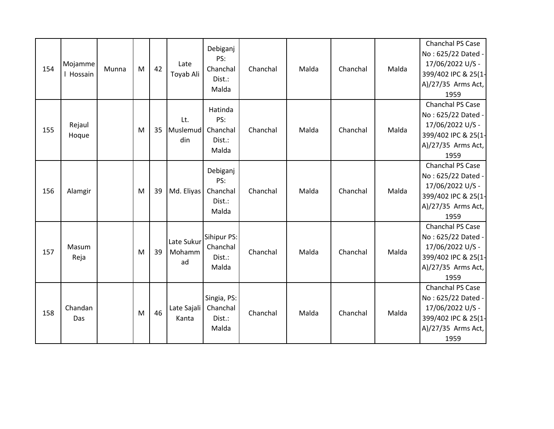| 154 | Mojamme<br>Hossain | Munna | M | 42 | Late<br>Toyab Ali          | Debiganj<br>PS:<br>Chanchal<br>Dist.:<br>Malda | Chanchal | Malda | Chanchal | Malda | Chanchal PS Case<br>No: 625/22 Dated -<br>17/06/2022 U/S -<br>399/402 IPC & 25(1-<br>A)/27/35 Arms Act,<br>1959 |
|-----|--------------------|-------|---|----|----------------------------|------------------------------------------------|----------|-------|----------|-------|-----------------------------------------------------------------------------------------------------------------|
| 155 | Rejaul<br>Hoque    |       | M | 35 | Lt.<br>Muslemud<br>din     | Hatinda<br>PS:<br>Chanchal<br>Dist.:<br>Malda  | Chanchal | Malda | Chanchal | Malda | Chanchal PS Case<br>No: 625/22 Dated -<br>17/06/2022 U/S -<br>399/402 IPC & 25(1-<br>A)/27/35 Arms Act,<br>1959 |
| 156 | Alamgir            |       | M | 39 | Md. Eliyas                 | Debiganj<br>PS:<br>Chanchal<br>Dist.:<br>Malda | Chanchal | Malda | Chanchal | Malda | Chanchal PS Case<br>No: 625/22 Dated -<br>17/06/2022 U/S -<br>399/402 IPC & 25(1-<br>A)/27/35 Arms Act,<br>1959 |
| 157 | Masum<br>Reja      |       | M | 39 | Late Sukur<br>Mohamm<br>ad | Sihipur PS:<br>Chanchal<br>Dist.:<br>Malda     | Chanchal | Malda | Chanchal | Malda | Chanchal PS Case<br>No: 625/22 Dated -<br>17/06/2022 U/S -<br>399/402 IPC & 25(1-<br>A)/27/35 Arms Act,<br>1959 |
| 158 | Chandan<br>Das     |       | M | 46 | Late Sajali<br>Kanta       | Singia, PS:<br>Chanchal<br>Dist.:<br>Malda     | Chanchal | Malda | Chanchal | Malda | Chanchal PS Case<br>No: 625/22 Dated -<br>17/06/2022 U/S -<br>399/402 IPC & 25(1-<br>A)/27/35 Arms Act,<br>1959 |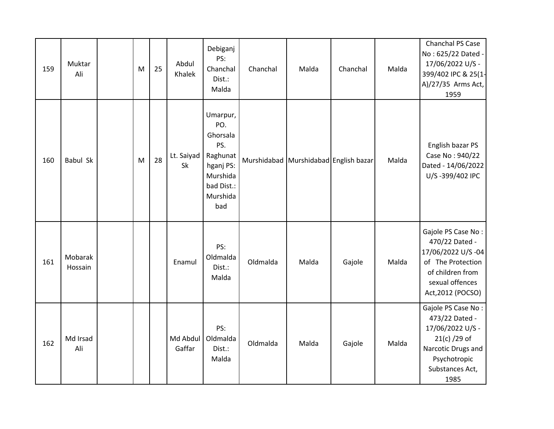| 159 | Muktar<br>Ali      | M | 25 | Abdul<br>Khalek    | Debiganj<br>PS:<br>Chanchal<br>Dist.:<br>Malda                                                           | Chanchal | Malda                                 | Chanchal | Malda | Chanchal PS Case<br>No: 625/22 Dated -<br>17/06/2022 U/S -<br>399/402 IPC & 25(1-<br>A)/27/35 Arms Act,<br>1959                            |
|-----|--------------------|---|----|--------------------|----------------------------------------------------------------------------------------------------------|----------|---------------------------------------|----------|-------|--------------------------------------------------------------------------------------------------------------------------------------------|
| 160 | <b>Babul Sk</b>    | M | 28 | Lt. Saiyad<br>Sk   | Umarpur,<br>PO.<br>Ghorsala<br>PS.<br>Raghunat<br>hganj PS:<br>Murshida<br>bad Dist.:<br>Murshida<br>bad |          | Murshidabad Murshidabad English bazar |          | Malda | English bazar PS<br>Case No: 940/22<br>Dated - 14/06/2022<br>U/S-399/402 IPC                                                               |
| 161 | Mobarak<br>Hossain |   |    | Enamul             | PS:<br>Oldmalda<br>Dist.:<br>Malda                                                                       | Oldmalda | Malda                                 | Gajole   | Malda | Gajole PS Case No:<br>470/22 Dated -<br>17/06/2022 U/S-04<br>of The Protection<br>of children from<br>sexual offences<br>Act, 2012 (POCSO) |
| 162 | Md Irsad<br>Ali    |   |    | Md Abdul<br>Gaffar | PS:<br>Oldmalda<br>Dist.:<br>Malda                                                                       | Oldmalda | Malda                                 | Gajole   | Malda | Gajole PS Case No:<br>473/22 Dated -<br>17/06/2022 U/S -<br>$21(c)/29$ of<br>Narcotic Drugs and<br>Psychotropic<br>Substances Act,<br>1985 |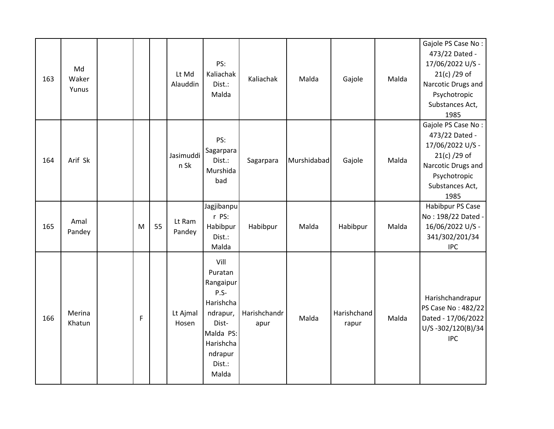| 163 | Md<br>Waker<br>Yunus |   |    | Lt Md<br>Alauddin | PS:<br>Kaliachak<br>Dist.:<br>Malda                                                                                              | Kaliachak            | Malda       | Gajole               | Malda | Gajole PS Case No:<br>473/22 Dated -<br>17/06/2022 U/S -<br>$21(c)/29$ of<br>Narcotic Drugs and<br>Psychotropic<br>Substances Act,<br>1985 |
|-----|----------------------|---|----|-------------------|----------------------------------------------------------------------------------------------------------------------------------|----------------------|-------------|----------------------|-------|--------------------------------------------------------------------------------------------------------------------------------------------|
| 164 | Arif Sk              |   |    | Jasimuddi<br>n Sk | PS:<br>Sagarpara<br>Dist.:<br>Murshida<br>bad                                                                                    | Sagarpara            | Murshidabad | Gajole               | Malda | Gajole PS Case No:<br>473/22 Dated -<br>17/06/2022 U/S -<br>$21(c)/29$ of<br>Narcotic Drugs and<br>Psychotropic<br>Substances Act,<br>1985 |
| 165 | Amal<br>Pandey       | M | 55 | Lt Ram<br>Pandey  | Jagjibanpu<br>r PS:<br>Habibpur<br>Dist.:<br>Malda                                                                               | Habibpur             | Malda       | Habibpur             | Malda | Habibpur PS Case<br>No: 198/22 Dated -<br>16/06/2022 U/S -<br>341/302/201/34<br><b>IPC</b>                                                 |
| 166 | Merina<br>Khatun     | F |    | Lt Ajmal<br>Hosen | Vill<br>Puratan<br>Rangaipur<br>$P.S-$<br>Harishcha<br>ndrapur,<br>Dist-<br>Malda PS:<br>Harishcha<br>ndrapur<br>Dist.:<br>Malda | Harishchandr<br>apur | Malda       | Harishchand<br>rapur | Malda | Harishchandrapur<br>PS Case No: 482/22<br>Dated - 17/06/2022<br>U/S-302/120(B)/34<br><b>IPC</b>                                            |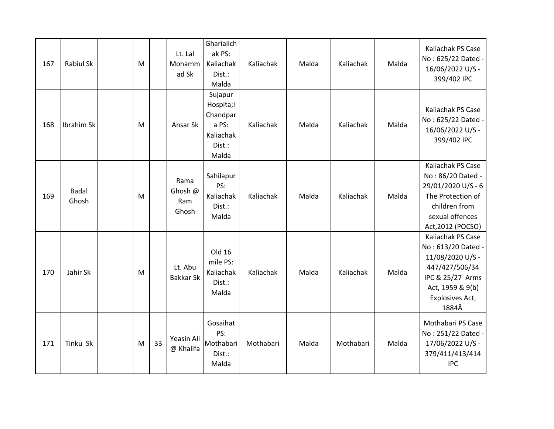| 167 | <b>Rabiul Sk</b>      | M |    | Lt. Lal<br>Mohamm<br>ad Sk      | Gharialich<br>ak PS:<br>Kaliachak<br>Dist.:<br>Malda                      | Kaliachak | Malda | Kaliachak | Malda | Kaliachak PS Case<br>No: 625/22 Dated -<br>16/06/2022 U/S -<br>399/402 IPC                                                                        |
|-----|-----------------------|---|----|---------------------------------|---------------------------------------------------------------------------|-----------|-------|-----------|-------|---------------------------------------------------------------------------------------------------------------------------------------------------|
| 168 | Ibrahim Sk            | M |    | Ansar Sk                        | Sujapur<br>Hospita;l<br>Chandpar<br>a PS:<br>Kaliachak<br>Dist.:<br>Malda | Kaliachak | Malda | Kaliachak | Malda | Kaliachak PS Case<br>No: 625/22 Dated -<br>16/06/2022 U/S -<br>399/402 IPC                                                                        |
| 169 | <b>Badal</b><br>Ghosh | M |    | Rama<br>Ghosh @<br>Ram<br>Ghosh | Sahilapur<br>PS:<br>Kaliachak<br>Dist.:<br>Malda                          | Kaliachak | Malda | Kaliachak | Malda | Kaliachak PS Case<br>No: 86/20 Dated -<br>29/01/2020 U/S - 6<br>The Protection of<br>children from<br>sexual offences<br>Act, 2012 (POCSO)        |
| 170 | Jahir Sk              | M |    | Lt. Abu<br><b>Bakkar Sk</b>     | Old 16<br>mile PS:<br>Kaliachak<br>Dist.:<br>Malda                        | Kaliachak | Malda | Kaliachak | Malda | Kaliachak PS Case<br>No: 613/20 Dated -<br>11/08/2020 U/S -<br>447/427/506/34<br>IPC & 25/27 Arms<br>Act, 1959 & 9(b)<br>Explosives Act,<br>1884Â |
| 171 | Tinku Sk              | M | 33 | Yeasin Ali<br>@ Khalifa         | Gosaihat<br>PS:<br>Mothabari<br>Dist.:<br>Malda                           | Mothabari | Malda | Mothabari | Malda | Mothabari PS Case<br>No: 251/22 Dated -<br>17/06/2022 U/S -<br>379/411/413/414<br><b>IPC</b>                                                      |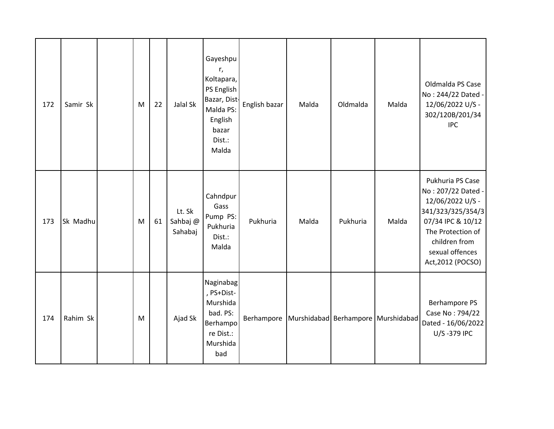| 172 | Samir Sk | M | 22 | Jalal Sk                      | Gayeshpu<br>r,<br>Koltapara,<br>PS English<br>Bazar, Dist-<br>Malda PS:<br>English<br>bazar<br>Dist.:<br>Malda | English bazar | Malda | Oldmalda | Malda                              | Oldmalda PS Case<br>No: 244/22 Dated -<br>12/06/2022 U/S -<br>302/120B/201/34<br><b>IPC</b>                                                                                        |
|-----|----------|---|----|-------------------------------|----------------------------------------------------------------------------------------------------------------|---------------|-------|----------|------------------------------------|------------------------------------------------------------------------------------------------------------------------------------------------------------------------------------|
| 173 | Sk Madhu | M | 61 | Lt. Sk<br>Sahbaj @<br>Sahabaj | Cahndpur<br>Gass<br>Pump PS:<br>Pukhuria<br>Dist.:<br>Malda                                                    | Pukhuria      | Malda | Pukhuria | Malda                              | Pukhuria PS Case<br>No: 207/22 Dated -<br>12/06/2022 U/S -<br>341/323/325/354/3<br>07/34 IPC & 10/12<br>The Protection of<br>children from<br>sexual offences<br>Act, 2012 (POCSO) |
| 174 | Rahim Sk | M |    | Ajad Sk                       | Naginabag<br>, PS+Dist-<br>Murshida<br>bad. PS:<br>Berhampo<br>re Dist.:<br>Murshida<br>bad                    | Berhampore    |       |          | Murshidabad Berhampore Murshidabad | Berhampore PS<br>Case No: 794/22<br>Dated - 16/06/2022<br>U/S-379 IPC                                                                                                              |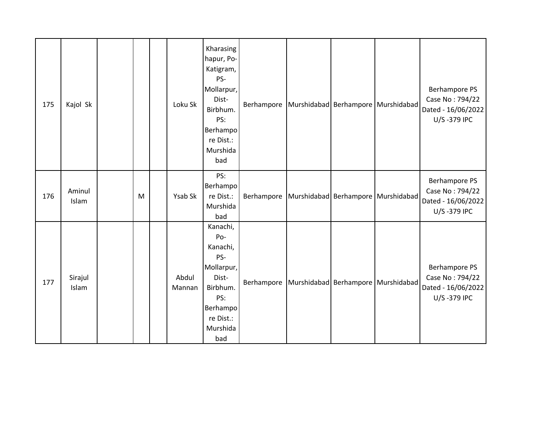| 175 | Kajol Sk         |   | Loku Sk         | Kharasing<br>hapur, Po-<br>Katigram,<br>PS-<br>Mollarpur,<br>Dist-<br>Birbhum.<br>PS:<br>Berhampo<br>re Dist.:<br>Murshida<br>bad | Berhampore |  | Murshidabad Berhampore Murshidabad | Berhampore PS<br>Case No: 794/22<br>Dated - 16/06/2022<br>U/S-379 IPC |
|-----|------------------|---|-----------------|-----------------------------------------------------------------------------------------------------------------------------------|------------|--|------------------------------------|-----------------------------------------------------------------------|
| 176 | Aminul<br>Islam  | M | Ysab Sk         | PS:<br>Berhampo<br>re Dist.:<br>Murshida<br>bad                                                                                   | Berhampore |  | Murshidabad Berhampore Murshidabad | Berhampore PS<br>Case No: 794/22<br>Dated - 16/06/2022<br>U/S-379 IPC |
| 177 | Sirajul<br>Islam |   | Abdul<br>Mannan | Kanachi,<br>Po-<br>Kanachi,<br>PS-<br>Mollarpur,<br>Dist-<br>Birbhum.<br>PS:<br>Berhampo<br>re Dist.:<br>Murshida<br>bad          | Berhampore |  | Murshidabad Berhampore Murshidabad | Berhampore PS<br>Case No: 794/22<br>Dated - 16/06/2022<br>U/S-379 IPC |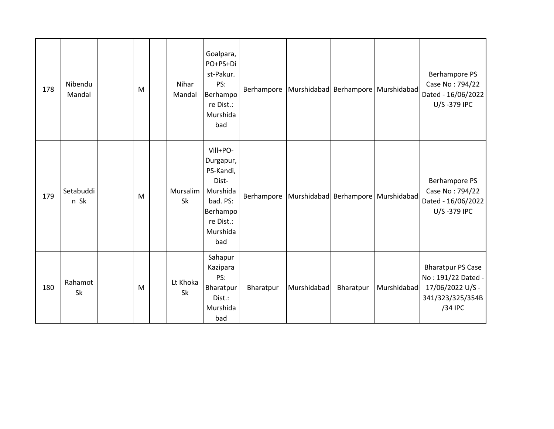| 178 | Nibendu<br>Mandal | M | Nihar<br>Mandal | Goalpara,<br>PO+PS+Di<br>st-Pakur.<br>PS:<br>Berhampo<br>re Dist.:<br>Murshida<br>bad                           |           |             |           | Berhampore Murshidabad Berhampore Murshidabad | Berhampore PS<br>Case No: 794/22<br>Dated - 16/06/2022<br>U/S-379 IPC                             |
|-----|-------------------|---|-----------------|-----------------------------------------------------------------------------------------------------------------|-----------|-------------|-----------|-----------------------------------------------|---------------------------------------------------------------------------------------------------|
| 179 | Setabuddi<br>n Sk | M | Mursalim<br>Sk  | Vill+PO-<br>Durgapur,<br>PS-Kandi,<br>Dist-<br>Murshida<br>bad. PS:<br>Berhampo<br>re Dist.:<br>Murshida<br>bad |           |             |           | Berhampore Murshidabad Berhampore Murshidabad | <b>Berhampore PS</b><br>Case No: 794/22<br>Dated - 16/06/2022<br>U/S-379 IPC                      |
| 180 | Rahamot<br>Sk     | M | Lt Khoka<br>Sk  | Sahapur<br>Kazipara<br>PS:<br>Bharatpur<br>Dist.:<br>Murshida<br>bad                                            | Bharatpur | Murshidabad | Bharatpur | Murshidabad                                   | <b>Bharatpur PS Case</b><br>No: 191/22 Dated -<br>17/06/2022 U/S -<br>341/323/325/354B<br>/34 IPC |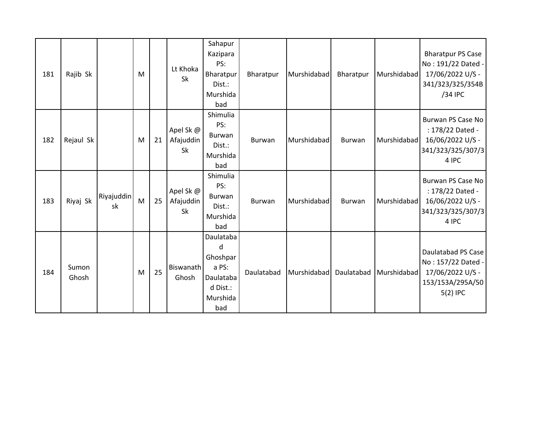| 181 | Rajib Sk       |                  | M |    | Lt Khoka<br><b>Sk</b>        | Sahapur<br>Kazipara<br>PS:<br>Bharatpur<br>Dist.:<br>Murshida<br>bad                       | Bharatpur  | Murshidabad | Bharatpur     | Murshidabad | <b>Bharatpur PS Case</b><br>No: 191/22 Dated -<br>17/06/2022 U/S -<br>341/323/325/354B<br>/34 IPC |
|-----|----------------|------------------|---|----|------------------------------|--------------------------------------------------------------------------------------------|------------|-------------|---------------|-------------|---------------------------------------------------------------------------------------------------|
| 182 | Rejaul Sk      |                  | M | 21 | Apel Sk@<br>Afajuddin<br>Sk  | Shimulia<br>PS:<br><b>Burwan</b><br>Dist.:<br>Murshida<br>bad                              | Burwan     | Murshidabad | <b>Burwan</b> | Murshidabad | Burwan PS Case No<br>: 178/22 Dated -<br>16/06/2022 U/S -<br>341/323/325/307/3<br>4 IPC           |
| 183 | Riyaj Sk       | Riyajuddin<br>sk | M | 25 | Apel Sk @<br>Afajuddin<br>Sk | Shimulia<br>PS:<br><b>Burwan</b><br>Dist.:<br>Murshida<br>bad                              | Burwan     | Murshidabad | <b>Burwan</b> | Murshidabad | Burwan PS Case No<br>: 178/22 Dated -<br>16/06/2022 U/S -<br>341/323/325/307/3<br>4 IPC           |
| 184 | Sumon<br>Ghosh |                  | M | 25 | Biswanath<br>Ghosh           | Daulataba<br>$\mathsf{d}$<br>Ghoshpar<br>a PS:<br>Daulataba<br>d Dist.:<br>Murshida<br>bad | Daulatabad | Murshidabad | Daulatabad    | Murshidabad | Daulatabad PS Case<br>No: 157/22 Dated -<br>17/06/2022 U/S -<br>153/153A/295A/50<br>$5(2)$ IPC    |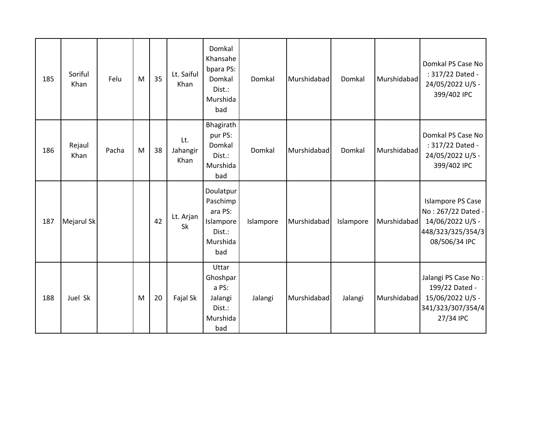| 185 | Soriful<br>Khan | Felu  | M | 35 | Lt. Saiful<br>Khan      | Domkal<br>Khansahe<br>bpara PS:<br>Domkal<br>Dist.:<br>Murshida<br>bad     | Domkal    | Murshidabad | Domkal    | Murshidabad | Domkal PS Case No<br>: 317/22 Dated -<br>24/05/2022 U/S -<br>399/402 IPC                                 |
|-----|-----------------|-------|---|----|-------------------------|----------------------------------------------------------------------------|-----------|-------------|-----------|-------------|----------------------------------------------------------------------------------------------------------|
| 186 | Rejaul<br>Khan  | Pacha | M | 38 | Lt.<br>Jahangir<br>Khan | Bhagirath<br>pur PS:<br>Domkal<br>Dist.:<br>Murshida<br>bad                | Domkal    | Murshidabad | Domkal    | Murshidabad | Domkal PS Case No<br>: 317/22 Dated -<br>24/05/2022 U/S -<br>399/402 IPC                                 |
| 187 | Mejarul Sk      |       |   | 42 | Lt. Arjan<br><b>Sk</b>  | Doulatpur<br>Paschimp<br>ara PS:<br>Islampore<br>Dist.:<br>Murshida<br>bad | Islampore | Murshidabad | Islampore | Murshidabad | <b>Islampore PS Case</b><br>No: 267/22 Dated -<br>14/06/2022 U/S -<br>448/323/325/354/3<br>08/506/34 IPC |
| 188 | Juel Sk         |       | M | 20 | Fajal Sk                | Uttar<br>Ghoshpar<br>a PS:<br>Jalangi<br>Dist.:<br>Murshida<br>bad         | Jalangi   | Murshidabad | Jalangi   | Murshidabad | Jalangi PS Case No:<br>199/22 Dated -<br>15/06/2022 U/S -<br>341/323/307/354/4<br>27/34 IPC              |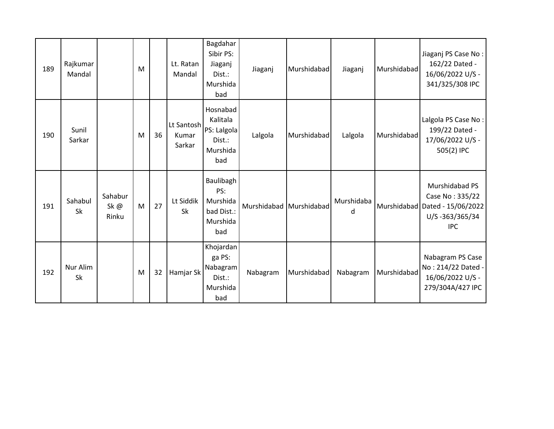| 189 | Rajkumar<br>Mandal   |                          | M |    | Lt. Ratan<br>Mandal           | Bagdahar<br>Sibir PS:<br>Jiaganj<br>Dist.:<br>Murshida<br>bad    | Jiaganj                 | Murshidabad | Jiaganj         | Murshidabad | Jiaganj PS Case No:<br>162/22 Dated -<br>16/06/2022 U/S -<br>341/325/308 IPC            |
|-----|----------------------|--------------------------|---|----|-------------------------------|------------------------------------------------------------------|-------------------------|-------------|-----------------|-------------|-----------------------------------------------------------------------------------------|
| 190 | Sunil<br>Sarkar      |                          | M | 36 | Lt Santosh<br>Kumar<br>Sarkar | Hosnabad<br>Kalitala<br>PS: Lalgola<br>Dist.:<br>Murshida<br>bad | Lalgola                 | Murshidabad | Lalgola         | Murshidabad | Lalgola PS Case No:<br>199/22 Dated -<br>17/06/2022 U/S -<br>505(2) IPC                 |
| 191 | Sahabul<br><b>Sk</b> | Sahabur<br>Sk @<br>Rinku | M | 27 | Lt Siddik<br><b>Sk</b>        | Baulibagh<br>PS:<br>Murshida<br>bad Dist.:<br>Murshida<br>bad    | Murshidabad Murshidabad |             | Murshidaba<br>d | Murshidabad | Murshidabad PS<br>Case No: 335/22<br>Dated - 15/06/2022<br>U/S-363/365/34<br><b>IPC</b> |
| 192 | Nur Alim<br>Sk       |                          | M | 32 | Hamjar Sk                     | Khojardan<br>ga PS:<br>Nabagram<br>Dist.:<br>Murshida<br>bad     | Nabagram                | Murshidabad | Nabagram        | Murshidabad | Nabagram PS Case<br>No: 214/22 Dated -<br>16/06/2022 U/S -<br>279/304A/427 IPC          |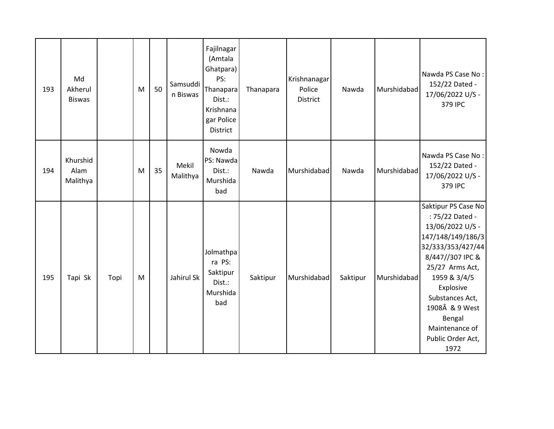| 193 | Md<br>Akherul<br><b>Biswas</b> |      | M | 50 | Samsuddi<br>n Biswas | Fajilnagar<br>(Amtala<br>Ghatpara)<br>PS:<br>Thanapara<br>Dist.:<br>Krishnana<br>gar Police<br>District | Thanapara | Krishnanagar<br>Police<br>District | Nawda    | Murshidabad | Nawda PS Case No:<br>152/22 Dated -<br>17/06/2022 U/S -<br>379 IPC                                                                                                                                                                                                     |
|-----|--------------------------------|------|---|----|----------------------|---------------------------------------------------------------------------------------------------------|-----------|------------------------------------|----------|-------------|------------------------------------------------------------------------------------------------------------------------------------------------------------------------------------------------------------------------------------------------------------------------|
| 194 | Khurshid<br>Alam<br>Malithya   |      | M | 35 | Mekil<br>Malithya    | Nowda<br>PS: Nawda<br>Dist.:<br>Murshida<br>bad                                                         | Nawda     | Murshidabad                        | Nawda    | Murshidabad | Nawda PS Case No:<br>152/22 Dated -<br>17/06/2022 U/S -<br>379 IPC                                                                                                                                                                                                     |
| 195 | Tapi Sk                        | Topi | M |    | Jahirul Sk           | Jolmathpa<br>ra PS:<br>Saktipur<br>Dist.:<br>Murshida<br>bad                                            | Saktipur  | Murshidabad                        | Saktipur | Murshidabad | Saktipur PS Case No<br>: 75/22 Dated -<br>13/06/2022 U/S -<br>147/148/149/186/3<br>32/333/353/427/44<br>8/447//307 IPC &<br>25/27 Arms Act,<br>1959 & 3/4/5<br>Explosive<br>Substances Act,<br>1908Â & 9 West<br>Bengal<br>Maintenance of<br>Public Order Act,<br>1972 |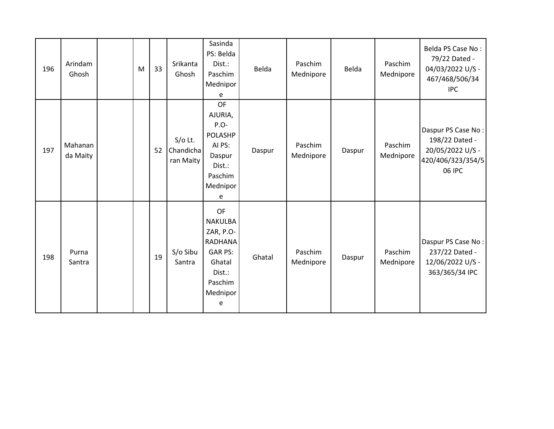| 196 | Arindam<br>Ghosh    | M | 33 | Srikanta<br>Ghosh                   | Sasinda<br>PS: Belda<br>Dist.:<br>Paschim<br>Mednipor<br>e                                                            | Belda  | Paschim<br>Mednipore | Belda  | Paschim<br>Mednipore | Belda PS Case No:<br>79/22 Dated -<br>04/03/2022 U/S -<br>467/468/506/34<br><b>IPC</b>         |
|-----|---------------------|---|----|-------------------------------------|-----------------------------------------------------------------------------------------------------------------------|--------|----------------------|--------|----------------------|------------------------------------------------------------------------------------------------|
| 197 | Mahanan<br>da Maity |   | 52 | $S/O$ Lt.<br>Chandicha<br>ran Maity | <b>OF</b><br>AJURIA,<br>$P.O-$<br>POLASHP<br>AI PS:<br>Daspur<br>Dist.:<br>Paschim<br>Mednipor<br>e                   | Daspur | Paschim<br>Mednipore | Daspur | Paschim<br>Mednipore | Daspur PS Case No:<br>198/22 Dated -<br>20/05/2022 U/S -<br>420/406/323/354/5<br><b>06 IPC</b> |
| 198 | Purna<br>Santra     |   | 19 | S/o Sibu<br>Santra                  | <b>OF</b><br><b>NAKULBA</b><br>ZAR, P.O-<br>RADHANA<br><b>GAR PS:</b><br>Ghatal<br>Dist.:<br>Paschim<br>Mednipor<br>e | Ghatal | Paschim<br>Mednipore | Daspur | Paschim<br>Mednipore | Daspur PS Case No:<br>237/22 Dated -<br>12/06/2022 U/S -<br>363/365/34 IPC                     |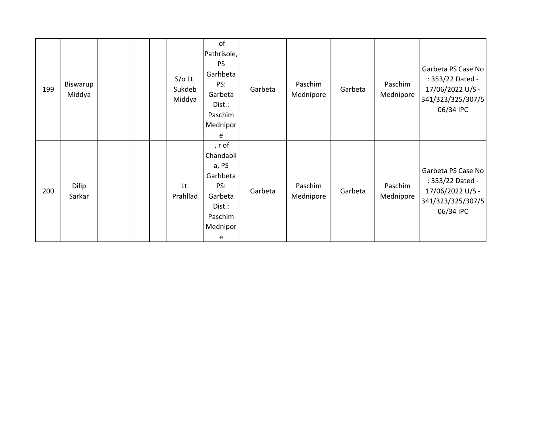| 199 | Biswarup<br>Middya |  | $S/O$ Lt.<br>Sukdeb<br>Middya | of<br>Pathrisole,<br><b>PS</b><br>Garhbeta<br>PS:<br>Garbeta<br>Dist.:<br>Paschim<br>Mednipor<br>e | Garbeta | Paschim<br>Mednipore | Garbeta | Paschim<br>Mednipore | Garbeta PS Case No<br>: 353/22 Dated -<br>17/06/2022 U/S -<br>341/323/325/307/5<br>06/34 IPC |
|-----|--------------------|--|-------------------------------|----------------------------------------------------------------------------------------------------|---------|----------------------|---------|----------------------|----------------------------------------------------------------------------------------------|
| 200 | Dilip<br>Sarkar    |  | Lt.<br>Prahllad               | , r of<br>Chandabil<br>a, PS<br>Garhbeta<br>PS:<br>Garbeta<br>Dist.:<br>Paschim<br>Mednipor<br>e   | Garbeta | Paschim<br>Mednipore | Garbeta | Paschim<br>Mednipore | Garbeta PS Case No<br>: 353/22 Dated -<br>17/06/2022 U/S -<br>341/323/325/307/5<br>06/34 IPC |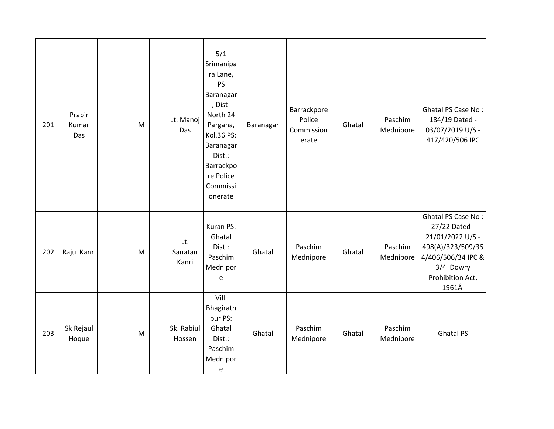| 201 | Prabir<br>Kumar<br>Das | M | Lt. Manoj<br>Das        | 5/1<br>Srimanipa<br>ra Lane,<br><b>PS</b><br>Baranagar<br>, Dist-<br>North 24<br>Pargana,<br>Kol.36 PS:<br>Baranagar<br>Dist.:<br>Barrackpo<br>re Police<br>Commissi<br>onerate | Baranagar | Barrackpore<br>Police<br>Commission<br>erate | Ghatal | Paschim<br>Mednipore | Ghatal PS Case No:<br>184/19 Dated -<br>03/07/2019 U/S -<br>417/420/506 IPC                                                                  |
|-----|------------------------|---|-------------------------|---------------------------------------------------------------------------------------------------------------------------------------------------------------------------------|-----------|----------------------------------------------|--------|----------------------|----------------------------------------------------------------------------------------------------------------------------------------------|
| 202 | Raju Kanri             | M | Lt.<br>Sanatan<br>Kanri | Kuran PS:<br>Ghatal<br>Dist.:<br>Paschim<br>Mednipor<br>e                                                                                                                       | Ghatal    | Paschim<br>Mednipore                         | Ghatal | Paschim<br>Mednipore | Ghatal PS Case No:<br>27/22 Dated -<br>21/01/2022 U/S -<br>498(A)/323/509/35<br>4/406/506/34 IPC &<br>3/4 Dowry<br>Prohibition Act,<br>1961Â |
| 203 | Sk Rejaul<br>Hoque     | M | Sk. Rabiul<br>Hossen    | Vill.<br>Bhagirath<br>pur PS:<br>Ghatal<br>Dist.:<br>Paschim<br>Mednipor<br>$\mathsf e$                                                                                         | Ghatal    | Paschim<br>Mednipore                         | Ghatal | Paschim<br>Mednipore | <b>Ghatal PS</b>                                                                                                                             |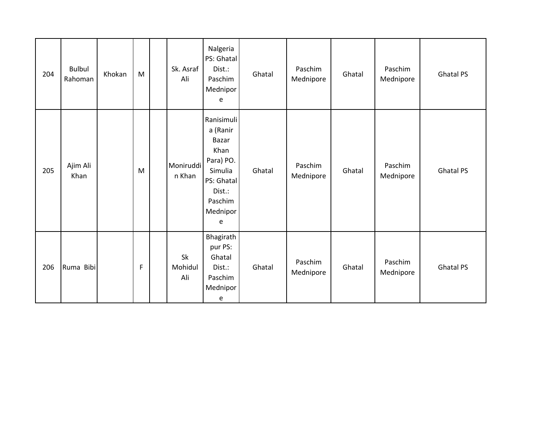| 204 | <b>Bulbul</b><br>Rahoman | Khokan | M | Sk. Asraf<br>Ali     | Nalgeria<br>PS: Ghatal<br>Dist.:<br>Paschim<br>Mednipor<br>e                                                        | Ghatal | Paschim<br>Mednipore | Ghatal | Paschim<br>Mednipore | <b>Ghatal PS</b> |
|-----|--------------------------|--------|---|----------------------|---------------------------------------------------------------------------------------------------------------------|--------|----------------------|--------|----------------------|------------------|
| 205 | Ajim Ali<br>Khan         |        | M | Moniruddi<br>n Khan  | Ranisimuli<br>a (Ranir<br>Bazar<br>Khan<br>Para) PO.<br>Simulia<br>PS: Ghatal<br>Dist.:<br>Paschim<br>Mednipor<br>e | Ghatal | Paschim<br>Mednipore | Ghatal | Paschim<br>Mednipore | <b>Ghatal PS</b> |
| 206 | Ruma Bibi                |        | F | Sk<br>Mohidul<br>Ali | Bhagirath<br>pur PS:<br>Ghatal<br>Dist.:<br>Paschim<br>Mednipor<br>e                                                | Ghatal | Paschim<br>Mednipore | Ghatal | Paschim<br>Mednipore | <b>Ghatal PS</b> |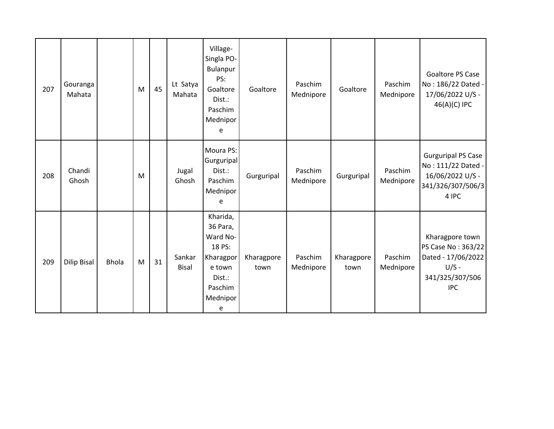| 207 | Gouranga<br>Mahata |              | M | 45 | Lt Satya<br>Mahata     | Village-<br>Singla PO-<br>Bulanpur<br>PS:<br>Goaltore<br>Dist.:<br>Paschim<br>Mednipor<br>e             | Goaltore           | Paschim<br>Mednipore | Goaltore           | Paschim<br>Mednipore | <b>Goaltore PS Case</b><br>No: 186/22 Dated -<br>17/06/2022 U/S -<br>46(A)(C) IPC                       |
|-----|--------------------|--------------|---|----|------------------------|---------------------------------------------------------------------------------------------------------|--------------------|----------------------|--------------------|----------------------|---------------------------------------------------------------------------------------------------------|
| 208 | Chandi<br>Ghosh    |              | M |    | Jugal<br>Ghosh         | Moura PS:<br>Gurguripal<br>Dist.:<br>Paschim<br>Mednipor<br>e                                           | Gurguripal         | Paschim<br>Mednipore | Gurguripal         | Paschim<br>Mednipore | <b>Gurguripal PS Case</b><br>No: 111/22 Dated -<br>16/06/2022 U/S -<br>341/326/307/506/3<br>4 IPC       |
| 209 | <b>Dilip Bisal</b> | <b>Bhola</b> | M | 31 | Sankar<br><b>Bisal</b> | Kharida,<br>36 Para,<br>Ward No-<br>18 PS:<br>Kharagpor<br>e town<br>Dist.:<br>Paschim<br>Mednipor<br>e | Kharagpore<br>town | Paschim<br>Mednipore | Kharagpore<br>town | Paschim<br>Mednipore | Kharagpore town<br>PS Case No: 363/22<br>Dated - 17/06/2022<br>$U/S -$<br>341/325/307/506<br><b>IPC</b> |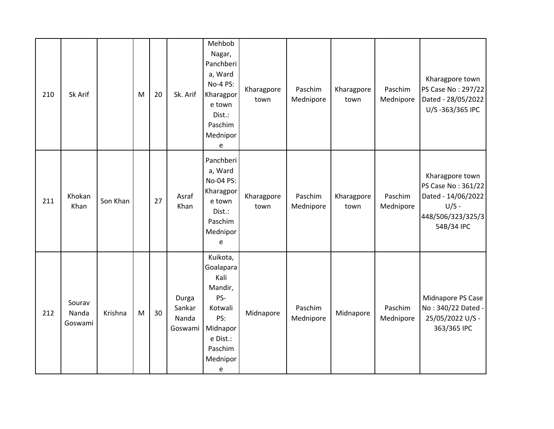| 210 | Sk Arif                    |          | M         | 20 | Sk. Arif                            | Mehbob<br>Nagar,<br>Panchberi<br>a, Ward<br>No-4 PS:<br>Kharagpor<br>e town<br>Dist.:<br>Paschim<br>Mednipor<br>e     | Kharagpore<br>town | Paschim<br>Mednipore | Kharagpore<br>town | Paschim<br>Mednipore | Kharagpore town<br>PS Case No: 297/22<br>Dated - 28/05/2022<br>U/S-363/365 IPC                            |
|-----|----------------------------|----------|-----------|----|-------------------------------------|-----------------------------------------------------------------------------------------------------------------------|--------------------|----------------------|--------------------|----------------------|-----------------------------------------------------------------------------------------------------------|
| 211 | Khokan<br>Khan             | Son Khan |           | 27 | Asraf<br>Khan                       | Panchberi<br>a, Ward<br>No-04 PS:<br>Kharagpor<br>e town<br>Dist.:<br>Paschim<br>Mednipor<br>e                        | Kharagpore<br>town | Paschim<br>Mednipore | Kharagpore<br>town | Paschim<br>Mednipore | Kharagpore town<br>PS Case No: 361/22<br>Dated - 14/06/2022<br>$U/S -$<br>448/506/323/325/3<br>54B/34 IPC |
| 212 | Sourav<br>Nanda<br>Goswami | Krishna  | ${\sf M}$ | 30 | Durga<br>Sankar<br>Nanda<br>Goswami | Kuikota,<br>Goalapara<br>Kali<br>Mandir,<br>PS-<br>Kotwali<br>PS:<br>Midnapor<br>e Dist.:<br>Paschim<br>Mednipor<br>e | Midnapore          | Paschim<br>Mednipore | Midnapore          | Paschim<br>Mednipore | Midnapore PS Case<br>No: 340/22 Dated -<br>25/05/2022 U/S -<br>363/365 IPC                                |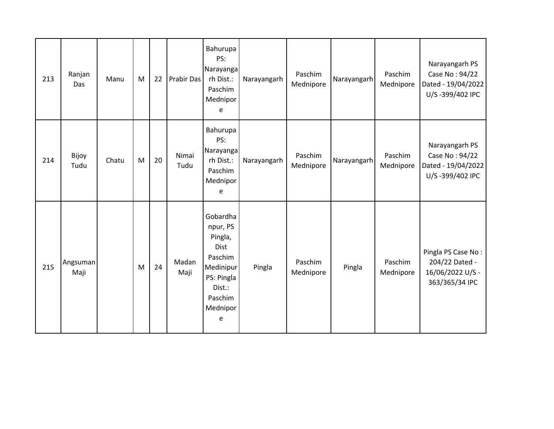| 213 | Ranjan<br>Das    | Manu  | M | 22 | Prabir Das    | Bahurupa<br>PS:<br>Narayanga<br>rh Dist.:<br>Paschim<br>Mednipor<br>e                                               | Narayangarh | Paschim<br>Mednipore | Narayangarh | Paschim<br>Mednipore | Narayangarh PS<br>Case No: 94/22<br>Dated - 19/04/2022<br>U/S-399/402 IPC  |
|-----|------------------|-------|---|----|---------------|---------------------------------------------------------------------------------------------------------------------|-------------|----------------------|-------------|----------------------|----------------------------------------------------------------------------|
| 214 | Bijoy<br>Tudu    | Chatu | M | 20 | Nimai<br>Tudu | Bahurupa<br>PS:<br>Narayanga<br>rh Dist.:<br>Paschim<br>Mednipor<br>e                                               | Narayangarh | Paschim<br>Mednipore | Narayangarh | Paschim<br>Mednipore | Narayangarh PS<br>Case No: 94/22<br>Dated - 19/04/2022<br>U/S-399/402 IPC  |
| 215 | Angsuman<br>Maji |       | M | 24 | Madan<br>Maji | Gobardha<br>npur, PS<br>Pingla,<br>Dist<br>Paschim<br>Medinipur<br>PS: Pingla<br>Dist.:<br>Paschim<br>Mednipor<br>e | Pingla      | Paschim<br>Mednipore | Pingla      | Paschim<br>Mednipore | Pingla PS Case No:<br>204/22 Dated -<br>16/06/2022 U/S -<br>363/365/34 IPC |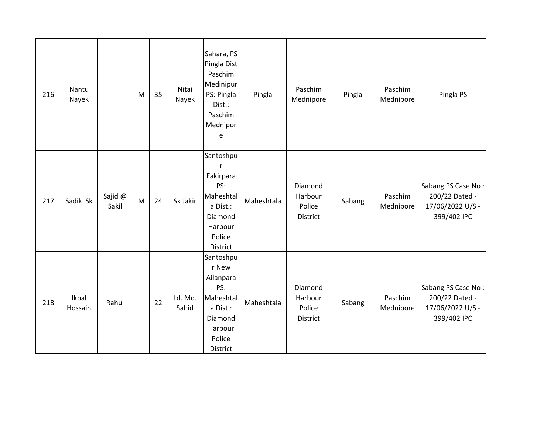| 216 | Nantu<br>Nayek   |                  | M | 35 | Nitai<br>Nayek   | Sahara, PS<br>Pingla Dist<br>Paschim<br>Medinipur<br>PS: Pingla<br>Dist.:<br>Paschim<br>Mednipor<br>e       | Pingla     | Paschim<br>Mednipore                     | Pingla | Paschim<br>Mednipore | Pingla PS                                                               |
|-----|------------------|------------------|---|----|------------------|-------------------------------------------------------------------------------------------------------------|------------|------------------------------------------|--------|----------------------|-------------------------------------------------------------------------|
| 217 | Sadik Sk         | Sajid @<br>Sakil | M | 24 | Sk Jakir         | Santoshpu<br>r<br>Fakirpara<br>PS:<br>Maheshtal<br>a Dist.:<br>Diamond<br>Harbour<br>Police<br>District     | Maheshtala | Diamond<br>Harbour<br>Police<br>District | Sabang | Paschim<br>Mednipore | Sabang PS Case No:<br>200/22 Dated -<br>17/06/2022 U/S -<br>399/402 IPC |
| 218 | Ikbal<br>Hossain | Rahul            |   | 22 | Ld. Md.<br>Sahid | Santoshpu<br>r New<br>Ailanpara<br>PS:<br>Maheshtal<br>a Dist.:<br>Diamond<br>Harbour<br>Police<br>District | Maheshtala | Diamond<br>Harbour<br>Police<br>District | Sabang | Paschim<br>Mednipore | Sabang PS Case No:<br>200/22 Dated -<br>17/06/2022 U/S -<br>399/402 IPC |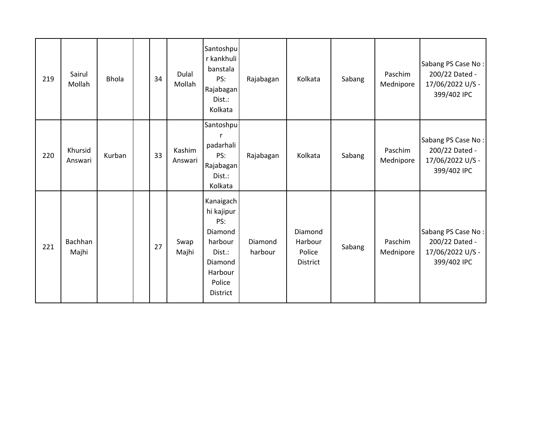| 219 | Sairul<br>Mollah   | <b>Bhola</b> | 34 | Dulal<br>Mollah   | Santoshpu<br>r kankhuli<br>banstala<br>PS:<br>Rajabagan<br>Dist.:<br>Kolkata                               | Rajabagan          | Kolkata                                  | Sabang | Paschim<br>Mednipore | Sabang PS Case No:<br>200/22 Dated -<br>17/06/2022 U/S -<br>399/402 IPC |
|-----|--------------------|--------------|----|-------------------|------------------------------------------------------------------------------------------------------------|--------------------|------------------------------------------|--------|----------------------|-------------------------------------------------------------------------|
| 220 | Khursid<br>Answari | Kurban       | 33 | Kashim<br>Answari | Santoshpu<br>r<br>padarhali<br>PS:<br>Rajabagan<br>Dist.:<br>Kolkata                                       | Rajabagan          | Kolkata                                  | Sabang | Paschim<br>Mednipore | Sabang PS Case No:<br>200/22 Dated -<br>17/06/2022 U/S -<br>399/402 IPC |
| 221 | Bachhan<br>Majhi   |              | 27 | Swap<br>Majhi     | Kanaigach<br>hi kajipur<br>PS:<br>Diamond<br>harbour<br>Dist.:<br>Diamond<br>Harbour<br>Police<br>District | Diamond<br>harbour | Diamond<br>Harbour<br>Police<br>District | Sabang | Paschim<br>Mednipore | Sabang PS Case No:<br>200/22 Dated -<br>17/06/2022 U/S -<br>399/402 IPC |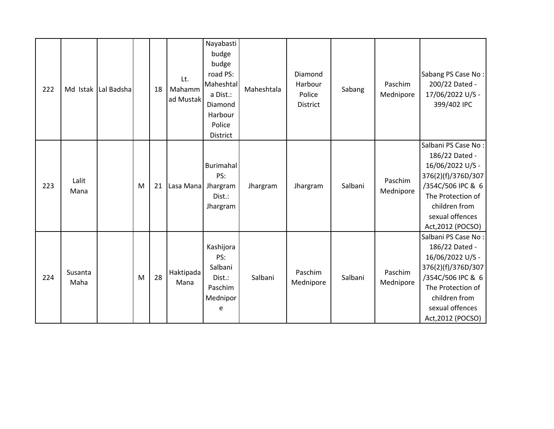| 222 |                 | Md Istak Lal Badsha |   | 18 | Lt.<br>Mahamm<br>ad Mustak | Nayabasti<br>budge<br>budge<br>road PS:<br>Maheshtal<br>a Dist.:<br>Diamond<br>Harbour<br>Police<br>District | Maheshtala | Diamond<br>Harbour<br>Police<br>District | Sabang  | Paschim<br>Mednipore | Sabang PS Case No:<br>200/22 Dated -<br>17/06/2022 U/S -<br>399/402 IPC                                                                                                            |
|-----|-----------------|---------------------|---|----|----------------------------|--------------------------------------------------------------------------------------------------------------|------------|------------------------------------------|---------|----------------------|------------------------------------------------------------------------------------------------------------------------------------------------------------------------------------|
| 223 | Lalit<br>Mana   |                     | M | 21 | Lasa Mana                  | <b>Burimahal</b><br>PS:<br>Jhargram<br>Dist.:<br>Jhargram                                                    | Jhargram   | Jhargram                                 | Salbani | Paschim<br>Mednipore | Salbani PS Case No:<br>186/22 Dated -<br>16/06/2022 U/S -<br>376(2)(f)/376D/307<br>/354C/506 IPC & 6<br>The Protection of<br>children from<br>sexual offences<br>Act, 2012 (POCSO) |
| 224 | Susanta<br>Maha |                     | M | 28 | Haktipada<br>Mana          | Kashijora<br>PS:<br>Salbani<br>Dist.:<br>Paschim<br>Mednipor<br>e                                            | Salbani    | Paschim<br>Mednipore                     | Salbani | Paschim<br>Mednipore | Salbani PS Case No:<br>186/22 Dated -<br>16/06/2022 U/S -<br>376(2)(f)/376D/307<br>/354C/506 IPC & 6<br>The Protection of<br>children from<br>sexual offences<br>Act, 2012 (POCSO) |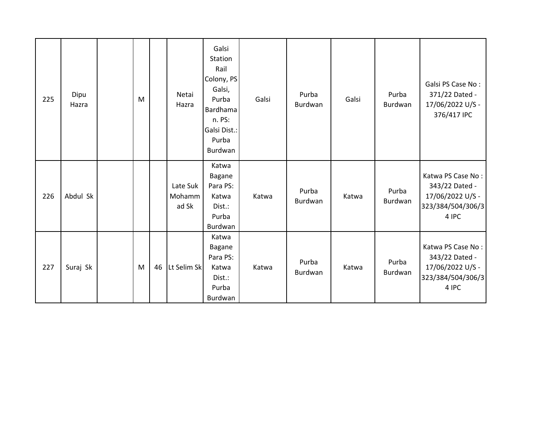| 225 | Dipu<br>Hazra | M |    | Netai<br>Hazra              | Galsi<br>Station<br>Rail<br>Colony, PS<br>Galsi,<br>Purba<br>Bardhama<br>n. PS:<br>Galsi Dist.:<br>Purba<br>Burdwan | Galsi | Purba<br>Burdwan | Galsi | Purba<br>Burdwan | Galsi PS Case No:<br>371/22 Dated -<br>17/06/2022 U/S -<br>376/417 IPC                |
|-----|---------------|---|----|-----------------------------|---------------------------------------------------------------------------------------------------------------------|-------|------------------|-------|------------------|---------------------------------------------------------------------------------------|
| 226 | Abdul Sk      |   |    | Late Suk<br>Mohamm<br>ad Sk | Katwa<br><b>Bagane</b><br>Para PS:<br>Katwa<br>Dist.:<br>Purba<br>Burdwan                                           | Katwa | Purba<br>Burdwan | Katwa | Purba<br>Burdwan | Katwa PS Case No:<br>343/22 Dated -<br>17/06/2022 U/S -<br>323/384/504/306/3<br>4 IPC |
| 227 | Suraj Sk      | M | 46 | Lt Selim Sk                 | Katwa<br><b>Bagane</b><br>Para PS:<br>Katwa<br>Dist.:<br>Purba<br>Burdwan                                           | Katwa | Purba<br>Burdwan | Katwa | Purba<br>Burdwan | Katwa PS Case No:<br>343/22 Dated -<br>17/06/2022 U/S -<br>323/384/504/306/3<br>4 IPC |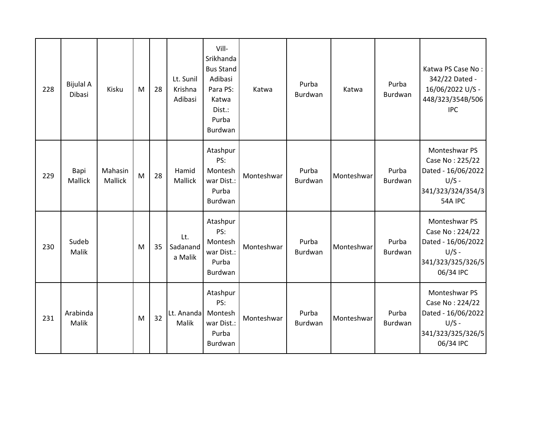| 228 | <b>Bijulal A</b><br>Dibasi | Kisku              | M | 28 | Lt. Sunil<br>Krishna<br>Adibasi | Vill-<br>Srikhanda<br><b>Bus Stand</b><br>Adibasi<br>Para PS:<br>Katwa<br>Dist.:<br>Purba<br>Burdwan | Katwa      | Purba<br>Burdwan        | Katwa      | Purba<br>Burdwan | Katwa PS Case No:<br>342/22 Dated -<br>16/06/2022 U/S -<br>448/323/354B/506<br><b>IPC</b>           |
|-----|----------------------------|--------------------|---|----|---------------------------------|------------------------------------------------------------------------------------------------------|------------|-------------------------|------------|------------------|-----------------------------------------------------------------------------------------------------|
| 229 | Bapi<br>Mallick            | Mahasin<br>Mallick | M | 28 | Hamid<br>Mallick                | Atashpur<br>PS:<br>Montesh<br>war Dist.:<br>Purba<br>Burdwan                                         | Monteshwar | Purba<br><b>Burdwan</b> | Monteshwar | Purba<br>Burdwan | Monteshwar PS<br>Case No: 225/22<br>Dated - 16/06/2022<br>$U/S -$<br>341/323/324/354/3<br>54A IPC   |
| 230 | Sudeb<br>Malik             |                    | M | 35 | Lt.<br>Sadanand<br>a Malik      | Atashpur<br>PS:<br>Montesh<br>war Dist.:<br>Purba<br>Burdwan                                         | Monteshwar | Purba<br>Burdwan        | Monteshwar | Purba<br>Burdwan | Monteshwar PS<br>Case No: 224/22<br>Dated - 16/06/2022<br>$U/S -$<br>341/323/325/326/5<br>06/34 IPC |
| 231 | Arabinda<br>Malik          |                    | M | 32 | Lt. Ananda<br>Malik             | Atashpur<br>PS:<br>Montesh<br>war Dist.:<br>Purba<br>Burdwan                                         | Monteshwar | Purba<br>Burdwan        | Monteshwar | Purba<br>Burdwan | Monteshwar PS<br>Case No: 224/22<br>Dated - 16/06/2022<br>$U/S -$<br>341/323/325/326/5<br>06/34 IPC |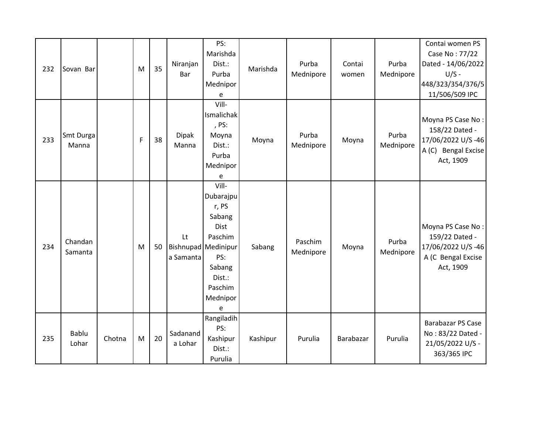| 232 | Sovan Bar             |        | M         | 35 | Niranjan<br>Bar                        | PS:<br>Marishda<br>Dist.:<br>Purba<br>Mednipor<br>e                                                             | Marishda | Purba<br>Mednipore   | Contai<br>women | Purba<br>Mednipore | Contai women PS<br>Case No: 77/22<br>Dated - 14/06/2022<br>$U/S -$<br>448/323/354/376/5<br>11/506/509 IPC |
|-----|-----------------------|--------|-----------|----|----------------------------------------|-----------------------------------------------------------------------------------------------------------------|----------|----------------------|-----------------|--------------------|-----------------------------------------------------------------------------------------------------------|
| 233 | Smt Durga<br>Manna    |        | F         | 38 | <b>Dipak</b><br>Manna                  | Vill-<br>Ismalichak<br>, PS:<br>Moyna<br>Dist.:<br>Purba<br>Mednipor<br>e                                       | Moyna    | Purba<br>Mednipore   | Moyna           | Purba<br>Mednipore | Moyna PS Case No:<br>158/22 Dated -<br>17/06/2022 U/S-46<br>A (C) Bengal Excise<br>Act, 1909              |
| 234 | Chandan<br>Samanta    |        | M         | 50 | Lt<br>Bishnupad Medinipur<br>a Samanta | Vill-<br>Dubarajpu<br>r, PS<br>Sabang<br>Dist<br>Paschim<br>PS:<br>Sabang<br>Dist.:<br>Paschim<br>Mednipor<br>e | Sabang   | Paschim<br>Mednipore | Moyna           | Purba<br>Mednipore | Moyna PS Case No:<br>159/22 Dated -<br>17/06/2022 U/S-46<br>A (C Bengal Excise<br>Act, 1909               |
| 235 | <b>Bablu</b><br>Lohar | Chotna | ${\sf M}$ | 20 | Sadanand<br>a Lohar                    | Rangiladih<br>PS:<br>Kashipur<br>Dist.:<br>Purulia                                                              | Kashipur | Purulia              | Barabazar       | Purulia            | Barabazar PS Case<br>No: 83/22 Dated -<br>21/05/2022 U/S -<br>363/365 IPC                                 |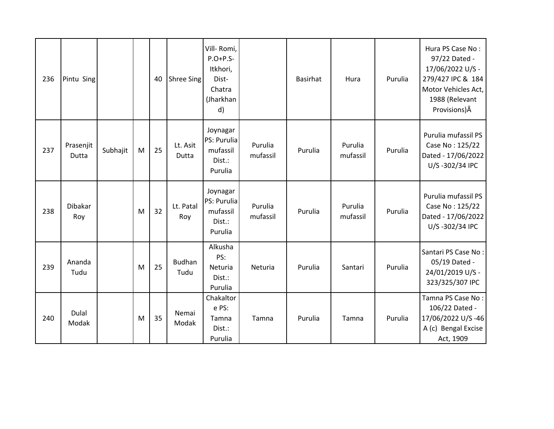| 236 | Pintu Sing            |          |   | 40 | Shree Sing            | Vill-Romi,<br>$P.O+P.S-$<br>Itkhori,<br>Dist-<br>Chatra<br>(Jharkhan<br>d) |                     | <b>Basirhat</b> | Hura                | Purulia | Hura PS Case No:<br>97/22 Dated -<br>17/06/2022 U/S -<br>279/427 IPC & 184<br>Motor Vehicles Act,<br>1988 (Relevant<br>Provisions)Â |
|-----|-----------------------|----------|---|----|-----------------------|----------------------------------------------------------------------------|---------------------|-----------------|---------------------|---------|-------------------------------------------------------------------------------------------------------------------------------------|
| 237 | Prasenjit<br>Dutta    | Subhajit | M | 25 | Lt. Asit<br>Dutta     | Joynagar<br>PS: Purulia<br>mufassil<br>Dist.:<br>Purulia                   | Purulia<br>mufassil | Purulia         | Purulia<br>mufassil | Purulia | Purulia mufassil PS<br>Case No: 125/22<br>Dated - 17/06/2022<br>U/S-302/34 IPC                                                      |
| 238 | <b>Dibakar</b><br>Roy |          | M | 32 | Lt. Patal<br>Roy      | Joynagar<br>PS: Purulia<br>mufassil<br>Dist.:<br>Purulia                   | Purulia<br>mufassil | Purulia         | Purulia<br>mufassil | Purulia | Purulia mufassil PS<br>Case No: 125/22<br>Dated - 17/06/2022<br>U/S-302/34 IPC                                                      |
| 239 | Ananda<br>Tudu        |          | M | 25 | <b>Budhan</b><br>Tudu | Alkusha<br>PS:<br>Neturia<br>Dist.:<br>Purulia                             | Neturia             | Purulia         | Santari             | Purulia | Santari PS Case No:<br>05/19 Dated -<br>24/01/2019 U/S -<br>323/325/307 IPC                                                         |
| 240 | Dulal<br>Modak        |          | M | 35 | Nemai<br>Modak        | Chakaltor<br>e PS:<br>Tamna<br>Dist.:<br>Purulia                           | Tamna               | Purulia         | Tamna               | Purulia | Tamna PS Case No:<br>106/22 Dated -<br>17/06/2022 U/S-46<br>A (c) Bengal Excise<br>Act, 1909                                        |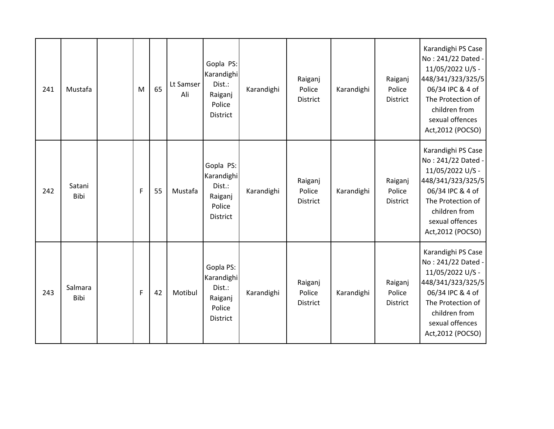| 241 | Mustafa         | M | 65 | Lt Samser<br>Ali | Gopla PS:<br>Karandighi<br>Dist.:<br>Raiganj<br>Police<br>District        | Karandighi | Raiganj<br>Police<br><b>District</b> | Karandighi | Raiganj<br>Police<br><b>District</b> | Karandighi PS Case<br>No: 241/22 Dated -<br>11/05/2022 U/S -<br>448/341/323/325/5<br>06/34 IPC & 4 of<br>The Protection of<br>children from<br>sexual offences<br>Act, 2012 (POCSO) |
|-----|-----------------|---|----|------------------|---------------------------------------------------------------------------|------------|--------------------------------------|------------|--------------------------------------|-------------------------------------------------------------------------------------------------------------------------------------------------------------------------------------|
| 242 | Satani<br>Bibi  | F | 55 | Mustafa          | Gopla PS:<br>Karandighi<br>Dist.:<br>Raiganj<br>Police<br>District        | Karandighi | Raiganj<br>Police<br><b>District</b> | Karandighi | Raiganj<br>Police<br>District        | Karandighi PS Case<br>No: 241/22 Dated -<br>11/05/2022 U/S -<br>448/341/323/325/5<br>06/34 IPC & 4 of<br>The Protection of<br>children from<br>sexual offences<br>Act, 2012 (POCSO) |
| 243 | Salmara<br>Bibi | F | 42 | Motibul          | Gopla PS:<br>Karandighi<br>Dist.:<br>Raiganj<br>Police<br><b>District</b> | Karandighi | Raiganj<br>Police<br>District        | Karandighi | Raiganj<br>Police<br>District        | Karandighi PS Case<br>No: 241/22 Dated -<br>11/05/2022 U/S -<br>448/341/323/325/5<br>06/34 IPC & 4 of<br>The Protection of<br>children from<br>sexual offences<br>Act, 2012 (POCSO) |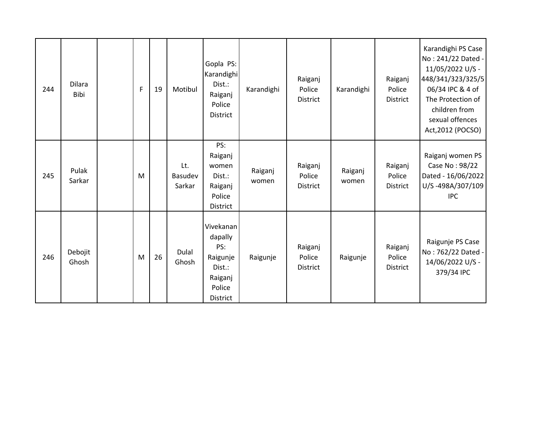| 244 | Dilara<br>Bibi   | F | 19 | Motibul                         | Gopla PS:<br>Karandighi<br>Dist.:<br>Raiganj<br>Police<br>District                        | Karandighi       | Raiganj<br>Police<br>District        | Karandighi       | Raiganj<br>Police<br>District | Karandighi PS Case<br>No: 241/22 Dated -<br>11/05/2022 U/S -<br>448/341/323/325/5<br>06/34 IPC & 4 of<br>The Protection of<br>children from<br>sexual offences<br>Act, 2012 (POCSO) |
|-----|------------------|---|----|---------------------------------|-------------------------------------------------------------------------------------------|------------------|--------------------------------------|------------------|-------------------------------|-------------------------------------------------------------------------------------------------------------------------------------------------------------------------------------|
| 245 | Pulak<br>Sarkar  | M |    | Lt.<br><b>Basudev</b><br>Sarkar | PS:<br>Raiganj<br>women<br>Dist.:<br>Raiganj<br>Police<br>District                        | Raiganj<br>women | Raiganj<br>Police<br><b>District</b> | Raiganj<br>women | Raiganj<br>Police<br>District | Raiganj women PS<br>Case No: 98/22<br>Dated - 16/06/2022<br>U/S-498A/307/109<br><b>IPC</b>                                                                                          |
| 246 | Debojit<br>Ghosh | M | 26 | Dulal<br>Ghosh                  | Vivekanan<br>dapally<br>PS:<br>Raigunje<br>Dist.:<br>Raiganj<br>Police<br><b>District</b> | Raigunje         | Raiganj<br>Police<br>District        | Raigunje         | Raiganj<br>Police<br>District | Raigunje PS Case<br>No: 762/22 Dated -<br>14/06/2022 U/S -<br>379/34 IPC                                                                                                            |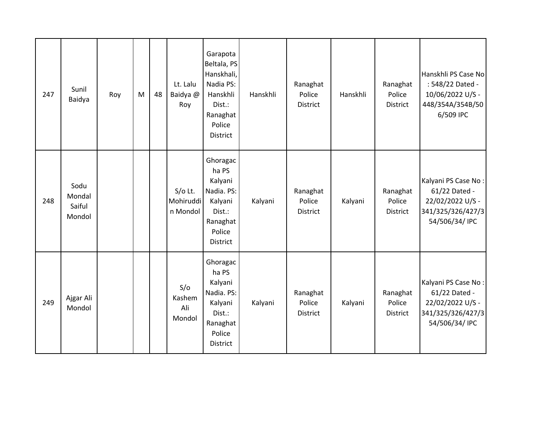| 247 | Sunil<br>Baidya                    | Roy | M | 48 | Lt. Lalu<br>Baidya @<br>Roy        | Garapota<br>Beltala, PS<br>Hanskhali,<br>Nadia PS:<br>Hanskhli<br>Dist.:<br>Ranaghat<br>Police<br>District | Hanskhli | Ranaghat<br>Police<br>District        | Hanskhli | Ranaghat<br>Police<br>District | Hanskhli PS Case No<br>: 548/22 Dated -<br>10/06/2022 U/S -<br>448/354A/354B/50<br>6/509 IPC    |
|-----|------------------------------------|-----|---|----|------------------------------------|------------------------------------------------------------------------------------------------------------|----------|---------------------------------------|----------|--------------------------------|-------------------------------------------------------------------------------------------------|
| 248 | Sodu<br>Mondal<br>Saiful<br>Mondol |     |   |    | $S/O$ Lt.<br>Mohiruddi<br>n Mondol | Ghoragac<br>ha PS<br>Kalyani<br>Nadia. PS:<br>Kalyani<br>Dist.:<br>Ranaghat<br>Police<br>District          | Kalyani  | Ranaghat<br>Police<br><b>District</b> | Kalyani  | Ranaghat<br>Police<br>District | Kalyani PS Case No:<br>61/22 Dated -<br>22/02/2022 U/S -<br>341/325/326/427/3<br>54/506/34/ IPC |
| 249 | Ajgar Ali<br>Mondol                |     |   |    | S/O<br>Kashem<br>Ali<br>Mondol     | Ghoragac<br>ha PS<br>Kalyani<br>Nadia. PS:<br>Kalyani<br>Dist.:<br>Ranaghat<br>Police<br>District          | Kalyani  | Ranaghat<br>Police<br><b>District</b> | Kalyani  | Ranaghat<br>Police<br>District | Kalyani PS Case No:<br>61/22 Dated -<br>22/02/2022 U/S -<br>341/325/326/427/3<br>54/506/34/ IPC |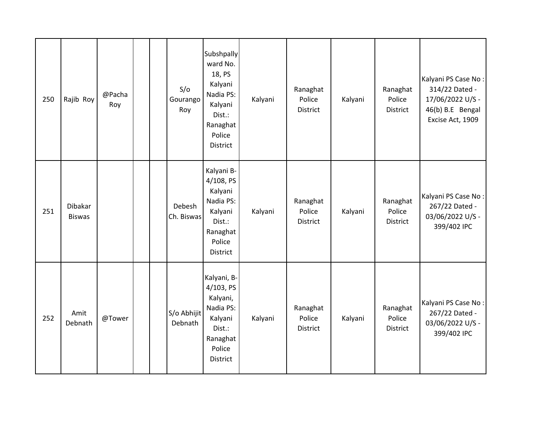| 250 | Rajib Roy                | @Pacha<br>Roy |  | S/O<br>Gourango<br>Roy | Subshpally<br>ward No.<br>18, PS<br>Kalyani<br>Nadia PS:<br>Kalyani<br>Dist.:<br>Ranaghat<br>Police<br>District | Kalyani | Ranaghat<br>Police<br>District        | Kalyani | Ranaghat<br>Police<br><b>District</b> | Kalyani PS Case No:<br>314/22 Dated -<br>17/06/2022 U/S -<br>46(b) B.E Bengal<br>Excise Act, 1909 |
|-----|--------------------------|---------------|--|------------------------|-----------------------------------------------------------------------------------------------------------------|---------|---------------------------------------|---------|---------------------------------------|---------------------------------------------------------------------------------------------------|
| 251 | Dibakar<br><b>Biswas</b> |               |  | Debesh<br>Ch. Biswas   | Kalyani B-<br>4/108, PS<br>Kalyani<br>Nadia PS:<br>Kalyani<br>Dist.:<br>Ranaghat<br>Police<br>District          | Kalyani | Ranaghat<br>Police<br><b>District</b> | Kalyani | Ranaghat<br>Police<br><b>District</b> | Kalyani PS Case No:<br>267/22 Dated -<br>03/06/2022 U/S -<br>399/402 IPC                          |
| 252 | Amit<br>Debnath          | @Tower        |  | S/o Abhijit<br>Debnath | Kalyani, B-<br>4/103, PS<br>Kalyani,<br>Nadia PS:<br>Kalyani<br>Dist.:<br>Ranaghat<br>Police<br>District        | Kalyani | Ranaghat<br>Police<br>District        | Kalyani | Ranaghat<br>Police<br>District        | Kalyani PS Case No:<br>267/22 Dated -<br>03/06/2022 U/S -<br>399/402 IPC                          |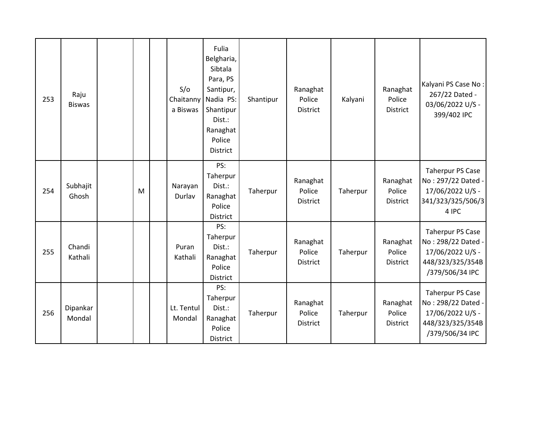| 253 | Raju<br><b>Biswas</b> |   | S/O<br>Chaitanny<br>a Biswas | Fulia<br>Belgharia,<br>Sibtala<br>Para, PS<br>Santipur,<br>Nadia PS:<br>Shantipur<br>Dist.:<br>Ranaghat<br>Police<br><b>District</b> | Shantipur | Ranaghat<br>Police<br><b>District</b> | Kalyani  | Ranaghat<br>Police<br>District | Kalyani PS Case No:<br>267/22 Dated -<br>03/06/2022 U/S -<br>399/402 IPC                                 |
|-----|-----------------------|---|------------------------------|--------------------------------------------------------------------------------------------------------------------------------------|-----------|---------------------------------------|----------|--------------------------------|----------------------------------------------------------------------------------------------------------|
| 254 | Subhajit<br>Ghosh     | M | Narayan<br>Durlav            | PS:<br>Taherpur<br>Dist.:<br>Ranaghat<br>Police<br>District                                                                          | Taherpur  | Ranaghat<br>Police<br>District        | Taherpur | Ranaghat<br>Police<br>District | <b>Taherpur PS Case</b><br>No: 297/22 Dated -<br>17/06/2022 U/S -<br>341/323/325/506/3<br>4 IPC          |
| 255 | Chandi<br>Kathali     |   | Puran<br>Kathali             | PS:<br>Taherpur<br>Dist.:<br>Ranaghat<br>Police<br><b>District</b>                                                                   | Taherpur  | Ranaghat<br>Police<br>District        | Taherpur | Ranaghat<br>Police<br>District | <b>Taherpur PS Case</b><br>No: 298/22 Dated -<br>17/06/2022 U/S -<br>448/323/325/354B<br>/379/506/34 IPC |
| 256 | Dipankar<br>Mondal    |   | Lt. Tentul<br>Mondal         | PS:<br>Taherpur<br>Dist.:<br>Ranaghat<br>Police<br>District                                                                          | Taherpur  | Ranaghat<br>Police<br><b>District</b> | Taherpur | Ranaghat<br>Police<br>District | <b>Taherpur PS Case</b><br>No: 298/22 Dated -<br>17/06/2022 U/S -<br>448/323/325/354B<br>/379/506/34 IPC |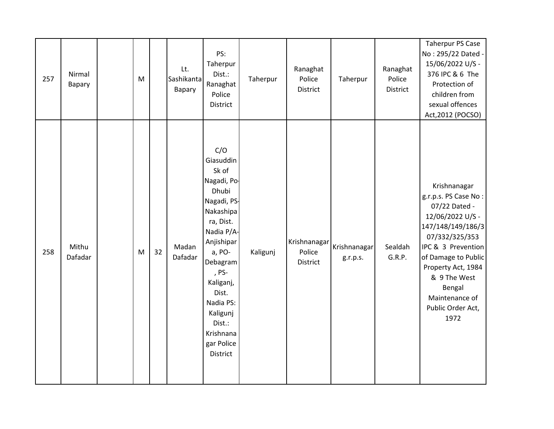| 257 | Nirmal<br>Bapary | M |    | Lt.<br>Sashikanta<br>Bapary | PS:<br>Taherpur<br>Dist.:<br>Ranaghat<br>Police<br>District                                                                                                                                                                                           | Taherpur | Ranaghat<br>Police<br>District            | Taherpur                 | Ranaghat<br>Police<br>District | <b>Taherpur PS Case</b><br>No: 295/22 Dated -<br>15/06/2022 U/S -<br>376 IPC & 6 The<br>Protection of<br>children from<br>sexual offences<br>Act, 2012 (POCSO)                                                                                               |
|-----|------------------|---|----|-----------------------------|-------------------------------------------------------------------------------------------------------------------------------------------------------------------------------------------------------------------------------------------------------|----------|-------------------------------------------|--------------------------|--------------------------------|--------------------------------------------------------------------------------------------------------------------------------------------------------------------------------------------------------------------------------------------------------------|
| 258 | Mithu<br>Dafadar | M | 32 | Madan<br>Dafadar            | C/O<br>Giasuddin<br>Sk of<br>Nagadi, Po-<br>Dhubi<br>Nagadi, PS-<br>Nakashipa<br>ra, Dist.<br>Nadia P/A-<br>Anjishipar<br>a, PO-<br>Debagram<br>, PS-<br>Kaliganj,<br>Dist.<br>Nadia PS:<br>Kaligunj<br>Dist.:<br>Krishnana<br>gar Police<br>District | Kaligunj | Krishnanagar<br>Police<br><b>District</b> | Krishnanagar<br>g.r.p.s. | Sealdah<br>G.R.P.              | Krishnanagar<br>g.r.p.s. PS Case No:<br>07/22 Dated -<br>12/06/2022 U/S -<br>147/148/149/186/3<br>07/332/325/353<br>IPC & 3 Prevention<br>of Damage to Public<br>Property Act, 1984<br>& 9 The West<br>Bengal<br>Maintenance of<br>Public Order Act,<br>1972 |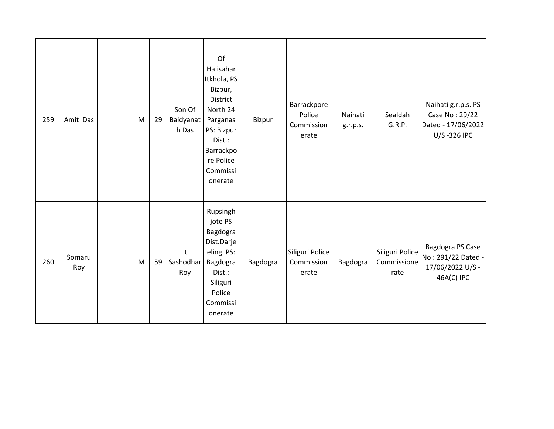| 259 | Amit Das      | M | 29 | Son Of<br>Baidyanat<br>h Das | Of<br>Halisahar<br>Itkhola, PS<br>Bizpur,<br>District<br>North 24<br>Parganas<br>PS: Bizpur<br>Dist.:<br>Barrackpo<br>re Police<br>Commissi<br>onerate | Bizpur   | Barrackpore<br>Police<br>Commission<br>erate | Naihati<br>g.r.p.s. | Sealdah<br>G.R.P.                      | Naihati g.r.p.s. PS<br>Case No: 29/22<br>Dated - 17/06/2022<br>U/S-326 IPC |
|-----|---------------|---|----|------------------------------|--------------------------------------------------------------------------------------------------------------------------------------------------------|----------|----------------------------------------------|---------------------|----------------------------------------|----------------------------------------------------------------------------|
| 260 | Somaru<br>Roy | M | 59 | Lt.<br>Sashodhar<br>Roy      | Rupsingh<br>jote PS<br>Bagdogra<br>Dist.Darje<br>eling PS:<br>Bagdogra<br>Dist.:<br>Siliguri<br>Police<br>Commissi<br>onerate                          | Bagdogra | Siliguri Police<br>Commission<br>erate       | Bagdogra            | Siliguri Police<br>Commissione<br>rate | Bagdogra PS Case<br>No: 291/22 Dated -<br>17/06/2022 U/S -<br>46A(C) IPC   |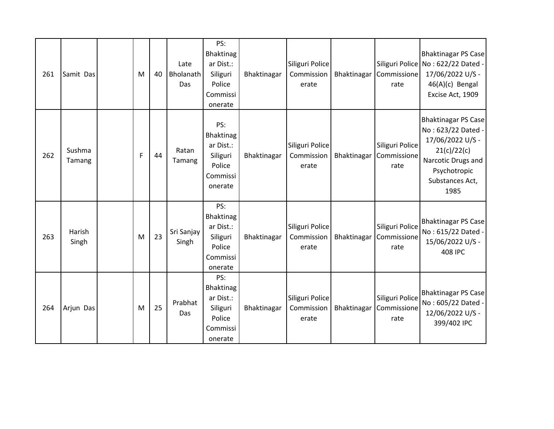| 261 | Samit Das        | M | 40 | Late<br>Bholanath<br>Das | PS:<br>Bhaktinag<br>ar Dist.:<br>Siliguri<br>Police<br>Commissi<br>onerate | Bhaktinagar | Siliguri Police<br>Commission<br>erate | Bhaktinagar | Commissione<br>rate                    | <b>Bhaktinagar PS Case</b><br>Siliguri Police No: 622/22 Dated -<br>17/06/2022 U/S -<br>46(A)(c) Bengal<br>Excise Act, 1909                          |
|-----|------------------|---|----|--------------------------|----------------------------------------------------------------------------|-------------|----------------------------------------|-------------|----------------------------------------|------------------------------------------------------------------------------------------------------------------------------------------------------|
| 262 | Sushma<br>Tamang | F | 44 | Ratan<br>Tamang          | PS:<br>Bhaktinag<br>ar Dist.:<br>Siliguri<br>Police<br>Commissi<br>onerate | Bhaktinagar | Siliguri Police<br>Commission<br>erate | Bhaktinagar | Siliguri Police<br>Commissione<br>rate | <b>Bhaktinagar PS Case</b><br>No: 623/22 Dated -<br>17/06/2022 U/S -<br>21(c)/22(c)<br>Narcotic Drugs and<br>Psychotropic<br>Substances Act,<br>1985 |
| 263 | Harish<br>Singh  | M | 23 | Sri Sanjay<br>Singh      | PS:<br>Bhaktinag<br>ar Dist.:<br>Siliguri<br>Police<br>Commissi<br>onerate | Bhaktinagar | Siliguri Police<br>Commission<br>erate | Bhaktinagar | Siliguri Police<br>Commissione<br>rate | <b>Bhaktinagar PS Case</b><br>No: 615/22 Dated -<br>15/06/2022 U/S -<br>408 IPC                                                                      |
| 264 | Arjun Das        | M | 25 | Prabhat<br>Das           | PS:<br>Bhaktinag<br>ar Dist.:<br>Siliguri<br>Police<br>Commissi<br>onerate | Bhaktinagar | Siliguri Police<br>Commission<br>erate | Bhaktinagar | Siliguri Police<br>Commissione<br>rate | <b>Bhaktinagar PS Case</b><br>No: 605/22 Dated -<br>12/06/2022 U/S -<br>399/402 IPC                                                                  |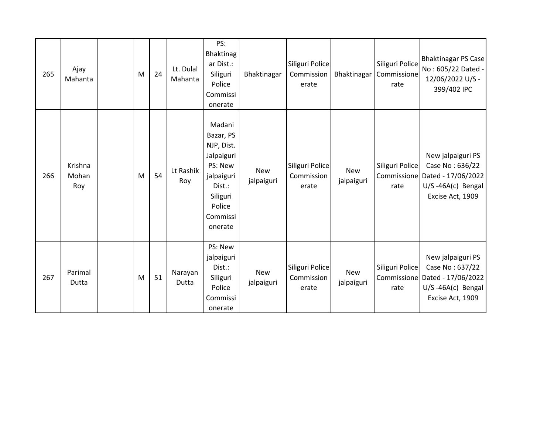| 265 | Ajay<br>Mahanta         | M | 24 | Lt. Dulal<br>Mahanta | PS:<br>Bhaktinag<br>ar Dist.:<br>Siliguri<br>Police<br>Commissi<br>onerate                                                      | Bhaktinagar              | Siliguri Police<br>Commission<br>erate | Bhaktinagar              | Siliguri Police<br>Commissione<br>rate | <b>Bhaktinagar PS Case</b><br>No: 605/22 Dated -<br>12/06/2022 U/S -<br>399/402 IPC                                 |
|-----|-------------------------|---|----|----------------------|---------------------------------------------------------------------------------------------------------------------------------|--------------------------|----------------------------------------|--------------------------|----------------------------------------|---------------------------------------------------------------------------------------------------------------------|
| 266 | Krishna<br>Mohan<br>Roy | M | 54 | Lt Rashik<br>Roy     | Madani<br>Bazar, PS<br>NJP, Dist.<br>Jalpaiguri<br>PS: New<br>jalpaiguri<br>Dist.:<br>Siliguri<br>Police<br>Commissi<br>onerate | <b>New</b><br>jalpaiguri | Siliguri Police<br>Commission<br>erate | <b>New</b><br>jalpaiguri | Siliguri Police<br>rate                | New jalpaiguri PS<br>Case No: 636/22<br>Commissione Dated - 17/06/2022<br>$U/S - 46A(c)$ Bengal<br>Excise Act, 1909 |
| 267 | Parimal<br>Dutta        | M | 51 | Narayan<br>Dutta     | PS: New<br>jalpaiguri<br>Dist.:<br>Siliguri<br>Police<br>Commissi<br>onerate                                                    | <b>New</b><br>jalpaiguri | Siliguri Police<br>Commission<br>erate | <b>New</b><br>jalpaiguri | Siliguri Police<br>rate                | New jalpaiguri PS<br>Case No: 637/22<br>Commissione Dated - 17/06/2022<br>$U/S - 46A(c)$ Bengal<br>Excise Act, 1909 |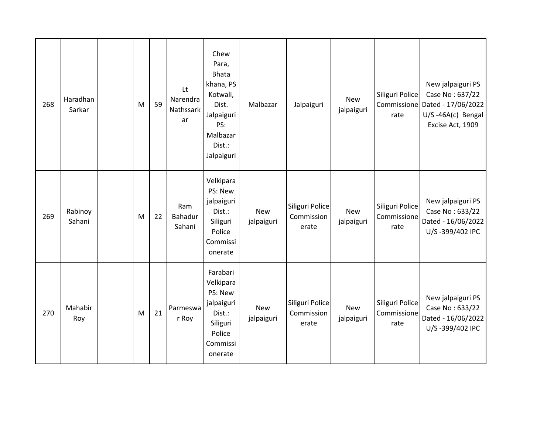| 268 | Haradhan<br>Sarkar | M | 59 | Lt<br>Narendra<br>Nathssark<br>ar | Chew<br>Para,<br><b>Bhata</b><br>khana, PS<br>Kotwali,<br>Dist.<br>Jalpaiguri<br>PS:<br>Malbazar<br>Dist.:<br>Jalpaiguri | Malbazar                 | Jalpaiguri                             | <b>New</b><br>jalpaiguri | Siliguri Police<br>rate                | New jalpaiguri PS<br>Case No: 637/22<br>Commissione Dated - 17/06/2022<br>$U/S - 46A(c)$ Bengal<br>Excise Act, 1909 |
|-----|--------------------|---|----|-----------------------------------|--------------------------------------------------------------------------------------------------------------------------|--------------------------|----------------------------------------|--------------------------|----------------------------------------|---------------------------------------------------------------------------------------------------------------------|
| 269 | Rabinoy<br>Sahani  | M | 22 | Ram<br>Bahadur<br>Sahani          | Velkipara<br>PS: New<br>jalpaiguri<br>Dist.:<br>Siliguri<br>Police<br>Commissi<br>onerate                                | <b>New</b><br>jalpaiguri | Siliguri Police<br>Commission<br>erate | <b>New</b><br>jalpaiguri | Siliguri Police<br>Commissione<br>rate | New jalpaiguri PS<br>Case No: 633/22<br>Dated - 16/06/2022<br>U/S-399/402 IPC                                       |
| 270 | Mahabir<br>Roy     | M | 21 | Parmeswa<br>r Roy                 | Farabari<br>Velkipara<br>PS: New<br>jalpaiguri<br>Dist.:<br>Siliguri<br>Police<br>Commissi<br>onerate                    | <b>New</b><br>jalpaiguri | Siliguri Police<br>Commission<br>erate | <b>New</b><br>jalpaiguri | Siliguri Police<br>Commissione<br>rate | New jalpaiguri PS<br>Case No: 633/22<br>Dated - 16/06/2022<br>U/S-399/402 IPC                                       |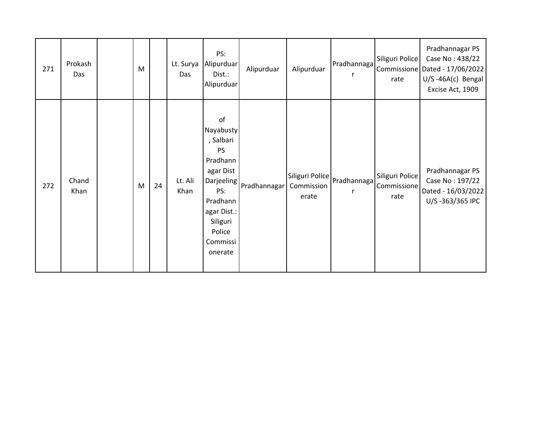| 271 | Prokash<br>Das | M |    | Lt. Surya<br>Das | PS:<br>Alipurduar<br>Dist.:<br>Alipurduar                                                                                                         | Alipurduar                | Alipurduar                             | Pradhannaga | Siliguri Police<br>rate                | Pradhannagar PS<br>Case No: 438/22<br>Commissione   Dated - 17/06/2022  <br>$U/S - 46A(c)$ Bengal<br>Excise Act, 1909 |
|-----|----------------|---|----|------------------|---------------------------------------------------------------------------------------------------------------------------------------------------|---------------------------|----------------------------------------|-------------|----------------------------------------|-----------------------------------------------------------------------------------------------------------------------|
| 272 | Chand<br>Khan  | M | 24 | Lt. Ali<br>Khan  | of<br>Nayabusty<br>, Salbari<br><b>PS</b><br>Pradhann<br>agar Dist<br>PS:<br>Pradhann<br>agar Dist.:<br>Siliguri<br>Police<br>Commissi<br>onerate | Darjeeling   pradhannagar | Siliguri Police<br>Commission<br>erate | Pradhannaga | Siliguri Police<br>Commissione<br>rate | Pradhannagar PS<br>Case No: 197/22<br>Dated - 16/03/2022<br>U/S-363/365 IPC                                           |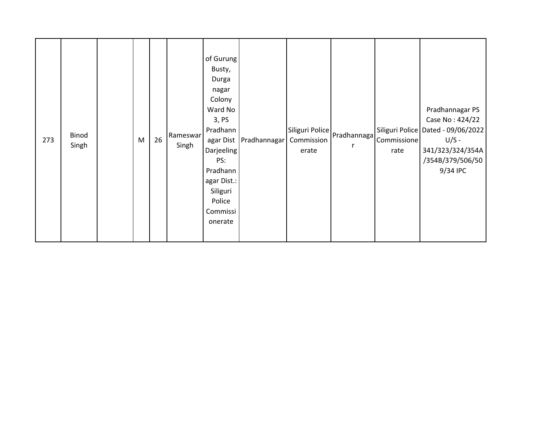| 273 | Binod<br>Singh |  | M | 26 | Rameswar<br>Singh | of Gurung<br>Busty,<br>Durga<br>nagar<br>Colony<br>Ward No<br>3, PS<br>Pradhann<br>agar Dist<br>Darjeeling<br>PS:<br>Pradhann<br>agar Dist.:<br>Siliguri<br>Police<br>Commissi<br>onerate | Pradhannagar | Siliguri Police<br>Commission<br>erate | Pradhannaga<br>r | Commissione<br>rate | Pradhannagar PS<br>Case No: 424/22<br>Siliguri Police   Dated - 09/06/2022<br>$U/S -$<br>341/323/324/354A<br>/354B/379/506/50<br>9/34 IPC |
|-----|----------------|--|---|----|-------------------|-------------------------------------------------------------------------------------------------------------------------------------------------------------------------------------------|--------------|----------------------------------------|------------------|---------------------|-------------------------------------------------------------------------------------------------------------------------------------------|
|-----|----------------|--|---|----|-------------------|-------------------------------------------------------------------------------------------------------------------------------------------------------------------------------------------|--------------|----------------------------------------|------------------|---------------------|-------------------------------------------------------------------------------------------------------------------------------------------|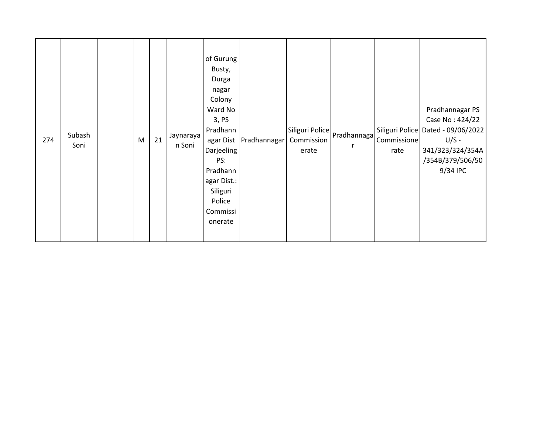| 274 | Subash<br>Soni |  | M | 21 | Jaynaraya<br>n Soni | of Gurung<br>Busty,<br>Durga<br>nagar<br>Colony<br>Ward No<br>3, PS<br>Pradhann<br>agar Dist<br>Darjeeling<br>PS:<br>Pradhann<br>agar Dist.:<br>Siliguri<br>Police<br>Commissi<br>onerate | Pradhannagar | Siliguri Police<br>Commission<br>erate | Pradhannaga<br>r | Commissione<br>rate | Pradhannagar PS<br>Case No: 424/22<br>Siliguri Police Dated - 09/06/2022<br>$U/S -$<br>341/323/324/354A<br>/354B/379/506/50<br>9/34 IPC |
|-----|----------------|--|---|----|---------------------|-------------------------------------------------------------------------------------------------------------------------------------------------------------------------------------------|--------------|----------------------------------------|------------------|---------------------|-----------------------------------------------------------------------------------------------------------------------------------------|
|-----|----------------|--|---|----|---------------------|-------------------------------------------------------------------------------------------------------------------------------------------------------------------------------------------|--------------|----------------------------------------|------------------|---------------------|-----------------------------------------------------------------------------------------------------------------------------------------|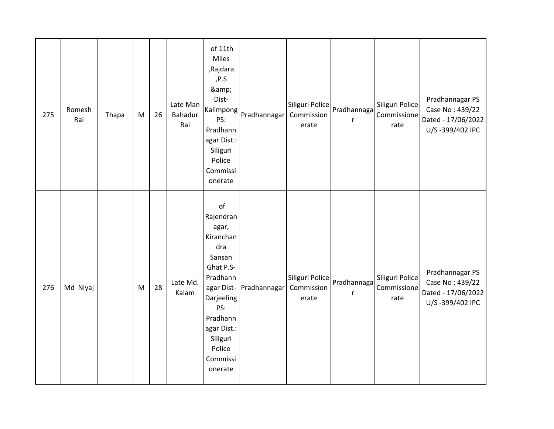| 275 | Romesh<br>Rai | Thapa | M | 26 | Late Man<br>Bahadur<br>Rai | of 11th<br><b>Miles</b><br>,Rajdara<br>P.S<br>&<br>Dist-<br>PS:<br>Pradhann<br>agar Dist.:<br>Siliguri<br>Police<br>Commissi<br>onerate                                      | $\left \text{Kalimpong}\right $ Pradhannagar Commission | Siliguri Police<br>erate               | Pradhannaga<br>r            | Siliguri Police<br>Commissione<br>rate | Pradhannagar PS<br>Case No: 439/22<br>Dated - 17/06/2022<br>U/S-399/402 IPC |
|-----|---------------|-------|---|----|----------------------------|------------------------------------------------------------------------------------------------------------------------------------------------------------------------------|---------------------------------------------------------|----------------------------------------|-----------------------------|----------------------------------------|-----------------------------------------------------------------------------|
| 276 | Md Niyaj      |       | M | 28 | Late Md.<br>Kalam          | of<br>Rajendran<br>agar,<br>Kiranchan<br>dra<br>Sansan<br>Ghat P.S-<br>Pradhann<br>Darjeeling<br>PS:<br>Pradhann<br>agar Dist.:<br>Siliguri<br>Police<br>Commissi<br>onerate | agar Dist- Pradhannagar                                 | Siliguri Police<br>Commission<br>erate | Pradhannaga<br>$\mathsf{r}$ | Siliguri Police<br>Commissione<br>rate | Pradhannagar PS<br>Case No: 439/22<br>Dated - 17/06/2022<br>U/S-399/402 IPC |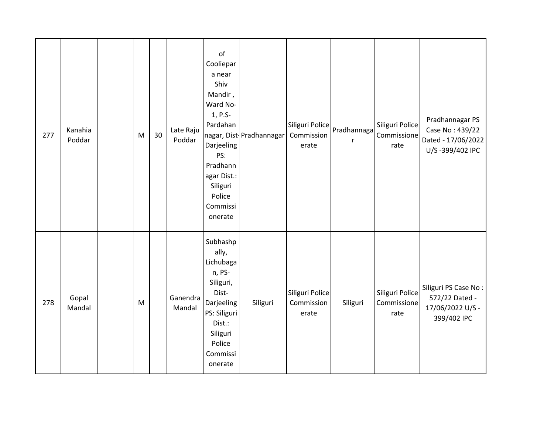| 277 | Kanahia<br>Poddar | M | 30 | Late Raju<br>Poddar | of<br>Cooliepar<br>a near<br>Shiv<br>Mandir,<br>Ward No-<br>1, P.S-<br>Pardahan<br>Darjeeling<br>PS:<br>Pradhann<br>agar Dist.:<br>Siliguri<br>Police<br>Commissi<br>onerate | nagar, Dist- Pradhannagar | Siliguri Police<br>Commission<br>erate | Pradhannaga<br>r | Siliguri Police<br>Commissione<br>rate | Pradhannagar PS<br>Case No: 439/22<br>Dated - 17/06/2022<br>U/S-399/402 IPC |
|-----|-------------------|---|----|---------------------|------------------------------------------------------------------------------------------------------------------------------------------------------------------------------|---------------------------|----------------------------------------|------------------|----------------------------------------|-----------------------------------------------------------------------------|
| 278 | Gopal<br>Mandal   | M |    | Ganendra<br>Mandal  | Subhashp<br>ally,<br>Lichubaga<br>n, PS-<br>Siliguri,<br>Dist-<br>Darjeeling<br>PS: Siliguri<br>Dist.:<br>Siliguri<br>Police<br>Commissi<br>onerate                          | Siliguri                  | Siliguri Police<br>Commission<br>erate | Siliguri         | Siliguri Police<br>Commissione<br>rate | Siliguri PS Case No:<br>572/22 Dated -<br>17/06/2022 U/S -<br>399/402 IPC   |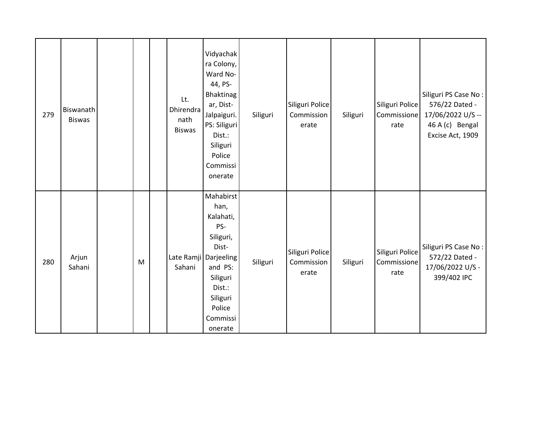| 279 | Biswanath<br><b>Biswas</b> |   | Lt.<br>Dhirendra<br>nath<br><b>Biswas</b> | Vidyachak<br>ra Colony,<br>Ward No-<br>44, PS-<br>Bhaktinag<br>ar, Dist-<br>Jalpaiguri.<br>PS: Siliguri<br>Dist.:<br>Siliguri<br>Police<br>Commissi<br>onerate     | Siliguri | Siliguri Police<br>Commission<br>erate | Siliguri | Siliguri Police<br>Commissione<br>rate | Siliguri PS Case No:<br>576/22 Dated -<br>17/06/2022 U/S --<br>46 A (c) Bengal<br>Excise Act, 1909 |
|-----|----------------------------|---|-------------------------------------------|--------------------------------------------------------------------------------------------------------------------------------------------------------------------|----------|----------------------------------------|----------|----------------------------------------|----------------------------------------------------------------------------------------------------|
| 280 | Arjun<br>Sahani            | M | Sahani                                    | Mahabirst<br>han,<br>Kalahati,<br>PS-<br>Siliguri,<br>Dist-<br>Late Ramji Darjeeling<br>and PS:<br>Siliguri<br>Dist.:<br>Siliguri<br>Police<br>Commissi<br>onerate | Siliguri | Siliguri Police<br>Commission<br>erate | Siliguri | Siliguri Police<br>Commissione<br>rate | Siliguri PS Case No:<br>572/22 Dated -<br>17/06/2022 U/S -<br>399/402 IPC                          |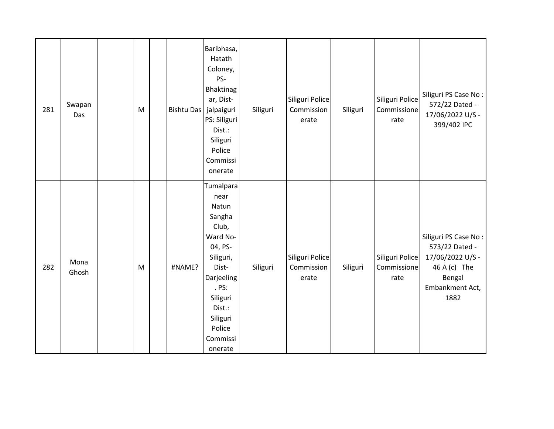| 281 | Swapan<br>Das | M         | Bishtu Das jalpaiguri | Baribhasa,<br>Hatath<br>Coloney,<br>PS-<br>Bhaktinag<br>ar, Dist-<br>PS: Siliguri<br>Dist.:<br>Siliguri<br>Police<br>Commissi<br>onerate                                             | Siliguri | Siliguri Police<br>Commission<br>erate | Siliguri | Siliguri Police<br>Commissione<br>rate | Siliguri PS Case No:<br>572/22 Dated -<br>17/06/2022 U/S -<br>399/402 IPC                                       |
|-----|---------------|-----------|-----------------------|--------------------------------------------------------------------------------------------------------------------------------------------------------------------------------------|----------|----------------------------------------|----------|----------------------------------------|-----------------------------------------------------------------------------------------------------------------|
| 282 | Mona<br>Ghosh | ${\sf M}$ | #NAME?                | Tumalpara<br>near<br>Natun<br>Sangha<br>Club,<br>Ward No-<br>04, PS-<br>Siliguri,<br>Dist-<br>Darjeeling<br>. PS:<br>Siliguri<br>Dist.:<br>Siliguri<br>Police<br>Commissi<br>onerate | Siliguri | Siliguri Police<br>Commission<br>erate | Siliguri | Siliguri Police<br>Commissione<br>rate | Siliguri PS Case No:<br>573/22 Dated -<br>17/06/2022 U/S -<br>46 A (c) The<br>Bengal<br>Embankment Act,<br>1882 |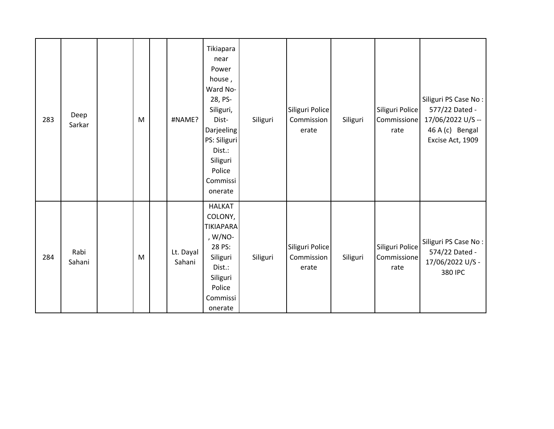| 283 | Deep<br>Sarkar | M | #NAME?              | Tikiapara<br>near<br>Power<br>house,<br>Ward No-<br>28, PS-<br>Siliguri,<br>Dist-<br>Darjeeling<br>PS: Siliguri<br>Dist.:<br>Siliguri<br>Police<br>Commissi<br>onerate | Siliguri | Siliguri Police<br>Commission<br>erate | Siliguri | Siliguri Police<br>Commissione<br>rate | Siliguri PS Case No:<br>577/22 Dated -<br>17/06/2022 U/S --<br>46 A (c) Bengal<br>Excise Act, 1909 |
|-----|----------------|---|---------------------|------------------------------------------------------------------------------------------------------------------------------------------------------------------------|----------|----------------------------------------|----------|----------------------------------------|----------------------------------------------------------------------------------------------------|
| 284 | Rabi<br>Sahani | M | Lt. Dayal<br>Sahani | <b>HALKAT</b><br>COLONY,<br><b>TIKIAPARA</b><br>, W/NO-<br>28 PS:<br>Siliguri<br>Dist.:<br>Siliguri<br>Police<br>Commissi<br>onerate                                   | Siliguri | Siliguri Police<br>Commission<br>erate | Siliguri | Siliguri Police<br>Commissione<br>rate | Siliguri PS Case No:<br>574/22 Dated -<br>17/06/2022 U/S -<br>380 IPC                              |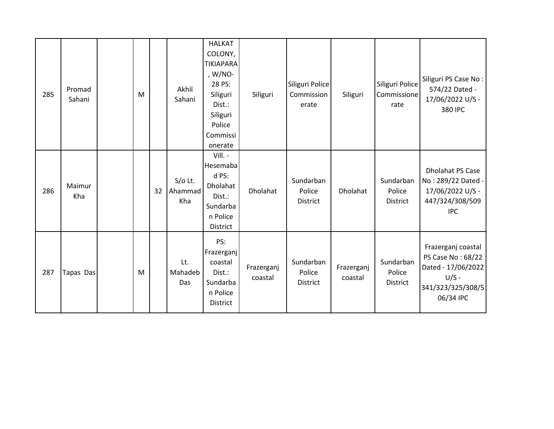| 285 | Promad<br>Sahani | M |    | Akhil<br>Sahani             | <b>HALKAT</b><br>COLONY,<br><b>TIKIAPARA</b><br>, W/NO-<br>28 PS:<br>Siliguri<br>Dist.:<br>Siliguri<br>Police<br>Commissi<br>onerate | Siliguri              | Siliguri Police<br>Commission<br>erate | Siliguri              | Siliguri Police<br>Commissione<br>rate | Siliguri PS Case No:<br>574/22 Dated -<br>17/06/2022 U/S -<br>380 IPC                                      |
|-----|------------------|---|----|-----------------------------|--------------------------------------------------------------------------------------------------------------------------------------|-----------------------|----------------------------------------|-----------------------|----------------------------------------|------------------------------------------------------------------------------------------------------------|
| 286 | Maimur<br>Kha    |   | 32 | $S/O$ Lt.<br>Ahammad<br>Kha | Vill. -<br>Hesemaba<br>d PS:<br>Dholahat<br>Dist.:<br>Sundarba<br>n Police<br>District                                               | Dholahat              | Sundarban<br>Police<br>District        | Dholahat              | Sundarban<br>Police<br>District        | Dholahat PS Case<br>No: 289/22 Dated -<br>17/06/2022 U/S -<br>447/324/308/509<br><b>IPC</b>                |
| 287 | Tapas Das        | M |    | Lt.<br>Mahadeb<br>Das       | PS:<br>Frazerganj<br>coastal<br>Dist.:<br>Sundarba<br>n Police<br>District                                                           | Frazerganj<br>coastal | Sundarban<br>Police<br><b>District</b> | Frazerganj<br>coastal | Sundarban<br>Police<br><b>District</b> | Frazerganj coastal<br>PS Case No: 68/22<br>Dated - 17/06/2022<br>$U/S -$<br>341/323/325/308/5<br>06/34 IPC |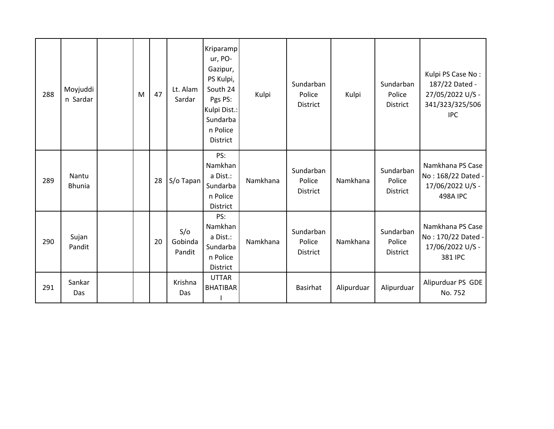| 288 | Moyjuddi<br>n Sardar   | M | 47 | Lt. Alam<br>Sardar       | Kriparamp<br>ur, PO-<br>Gazipur,<br>PS Kulpi,<br>South 24<br>Pgs PS:<br>Kulpi Dist.:<br>Sundarba<br>n Police<br><b>District</b> | Kulpi    | Sundarban<br>Police<br><b>District</b> | Kulpi      | Sundarban<br>Police<br><b>District</b> | Kulpi PS Case No:<br>187/22 Dated -<br>27/05/2022 U/S -<br>341/323/325/506<br><b>IPC</b> |
|-----|------------------------|---|----|--------------------------|---------------------------------------------------------------------------------------------------------------------------------|----------|----------------------------------------|------------|----------------------------------------|------------------------------------------------------------------------------------------|
| 289 | Nantu<br><b>Bhunia</b> |   | 28 | $S/O$ Tapan              | PS:<br>Namkhan<br>a Dist.:<br>Sundarba<br>n Police<br>District                                                                  | Namkhana | Sundarban<br>Police<br>District        | Namkhana   | Sundarban<br>Police<br>District        | Namkhana PS Case<br>No: 168/22 Dated -<br>17/06/2022 U/S -<br><b>498A IPC</b>            |
| 290 | Sujan<br>Pandit        |   | 20 | S/O<br>Gobinda<br>Pandit | PS:<br>Namkhan<br>a Dist.:<br>Sundarba<br>n Police<br>District                                                                  | Namkhana | Sundarban<br>Police<br><b>District</b> | Namkhana   | Sundarban<br>Police<br><b>District</b> | Namkhana PS Case<br>No: 170/22 Dated -<br>17/06/2022 U/S -<br>381 IPC                    |
| 291 | Sankar<br>Das          |   |    | Krishna<br>Das           | <b>UTTAR</b><br><b>BHATIBAR</b>                                                                                                 |          | <b>Basirhat</b>                        | Alipurduar | Alipurduar                             | Alipurduar PS GDE<br>No. 752                                                             |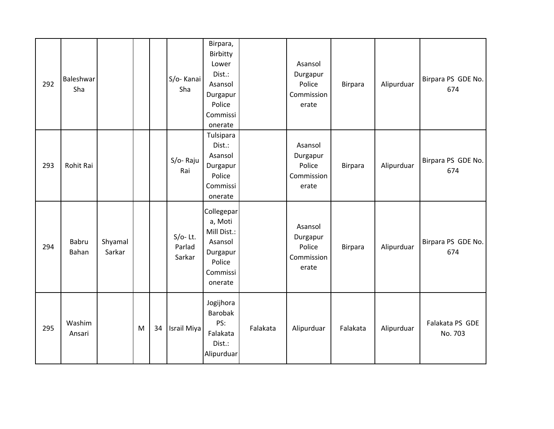| 292 | Baleshwar<br>Sha |                   |   |    | S/o-Kanai<br>Sha               | Birpara,<br>Birbitty<br>Lower<br>Dist.:<br>Asansol<br>Durgapur<br>Police<br>Commissi<br>onerate |          | Asansol<br>Durgapur<br>Police<br>Commission<br>erate | Birpara        | Alipurduar | Birpara PS GDE No.<br>674  |
|-----|------------------|-------------------|---|----|--------------------------------|-------------------------------------------------------------------------------------------------|----------|------------------------------------------------------|----------------|------------|----------------------------|
| 293 | Rohit Rai        |                   |   |    | S/o-Raju<br>Rai                | Tulsipara<br>Dist.:<br>Asansol<br>Durgapur<br>Police<br>Commissi<br>onerate                     |          | Asansol<br>Durgapur<br>Police<br>Commission<br>erate | Birpara        | Alipurduar | Birpara PS GDE No.<br>674  |
| 294 | Babru<br>Bahan   | Shyamal<br>Sarkar |   |    | $S/O-$ Lt.<br>Parlad<br>Sarkar | Collegepar<br>a, Moti<br>Mill Dist.:<br>Asansol<br>Durgapur<br>Police<br>Commissi<br>onerate    |          | Asansol<br>Durgapur<br>Police<br>Commission<br>erate | <b>Birpara</b> | Alipurduar | Birpara PS GDE No.<br>674  |
| 295 | Washim<br>Ansari |                   | M | 34 | Israil Miya                    | Jogijhora<br><b>Barobak</b><br>PS:<br>Falakata<br>Dist.:<br>Alipurduar                          | Falakata | Alipurduar                                           | Falakata       | Alipurduar | Falakata PS GDE<br>No. 703 |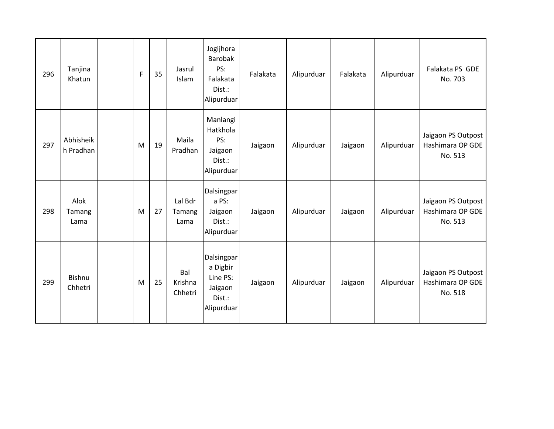| 296 | Tanjina<br>Khatun      | $\mathsf F$ | 35 | Jasrul<br>Islam           | Jogijhora<br>Barobak<br>PS:<br>Falakata<br>Dist.:<br>Alipurduar       | Falakata | Alipurduar | Falakata | Alipurduar | Falakata PS GDE<br>No. 703                        |
|-----|------------------------|-------------|----|---------------------------|-----------------------------------------------------------------------|----------|------------|----------|------------|---------------------------------------------------|
| 297 | Abhisheik<br>h Pradhan | M           | 19 | Maila<br>Pradhan          | Manlangi<br>Hatkhola<br>PS:<br>Jaigaon<br>Dist.:<br>Alipurduar        | Jaigaon  | Alipurduar | Jaigaon  | Alipurduar | Jaigaon PS Outpost<br>Hashimara OP GDE<br>No. 513 |
| 298 | Alok<br>Tamang<br>Lama | M           | 27 | Lal Bdr<br>Tamang<br>Lama | Dalsingpar<br>a PS:<br>Jaigaon<br>Dist.:<br>Alipurduar                | Jaigaon  | Alipurduar | Jaigaon  | Alipurduar | Jaigaon PS Outpost<br>Hashimara OP GDE<br>No. 513 |
| 299 | Bishnu<br>Chhetri      | M           | 25 | Bal<br>Krishna<br>Chhetri | Dalsingpar<br>a Digbir<br>Line PS:<br>Jaigaon<br>Dist.:<br>Alipurduar | Jaigaon  | Alipurduar | Jaigaon  | Alipurduar | Jaigaon PS Outpost<br>Hashimara OP GDE<br>No. 518 |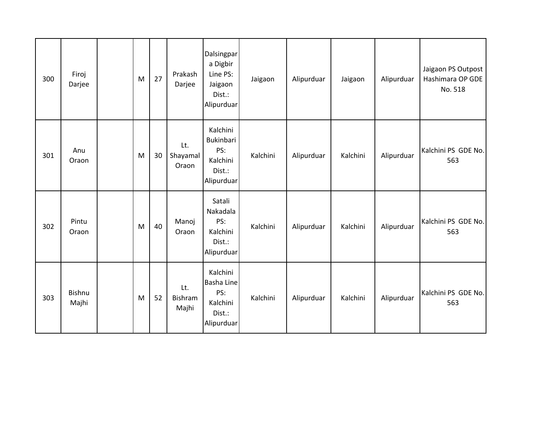| 300 | Firoj<br>Darjee        | M | 27 | Prakash<br>Darjee        | <b>Dalsingpar</b><br>a Digbir<br>Line PS:<br>Jaigaon<br>Dist.:<br>Alipurduar | Jaigaon  | Alipurduar | Jaigaon  | Alipurduar | Jaigaon PS Outpost<br>Hashimara OP GDE<br>No. 518 |
|-----|------------------------|---|----|--------------------------|------------------------------------------------------------------------------|----------|------------|----------|------------|---------------------------------------------------|
| 301 | Anu<br>Oraon           | M | 30 | Lt.<br>Shayamal<br>Oraon | Kalchini<br>Bukinbari<br>PS:<br>Kalchini<br>Dist.:<br>Alipurduar             | Kalchini | Alipurduar | Kalchini | Alipurduar | Kalchini PS GDE No.<br>563                        |
| 302 | Pintu<br>Oraon         | M | 40 | Manoj<br>Oraon           | Satali<br>Nakadala<br>PS:<br>Kalchini<br>Dist.:<br>Alipurduar                | Kalchini | Alipurduar | Kalchini | Alipurduar | Kalchini PS GDE No.<br>563                        |
| 303 | <b>Bishnu</b><br>Majhi | M | 52 | Lt.<br>Bishram<br>Majhi  | Kalchini<br><b>Basha Line</b><br>PS:<br>Kalchini<br>Dist.:<br>Alipurduar     | Kalchini | Alipurduar | Kalchini | Alipurduar | Kalchini PS GDE No.<br>563                        |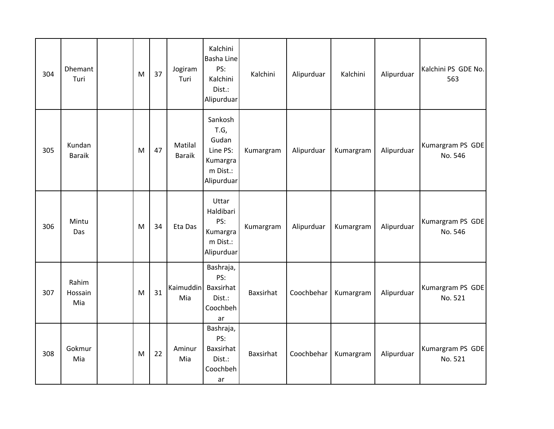| 304 | Dhemant<br>Turi         | M | 37 | Jogiram<br>Turi          | Kalchini<br><b>Basha Line</b><br>PS:<br>Kalchini<br>Dist.:<br>Alipurduar     | Kalchini  | Alipurduar | Kalchini  | Alipurduar | Kalchini PS GDE No.<br>563  |
|-----|-------------------------|---|----|--------------------------|------------------------------------------------------------------------------|-----------|------------|-----------|------------|-----------------------------|
| 305 | Kundan<br><b>Baraik</b> | M | 47 | Matilal<br><b>Baraik</b> | Sankosh<br>T.G,<br>Gudan<br>Line PS:<br>Kumargra<br>$m$ Dist.:<br>Alipurduar | Kumargram | Alipurduar | Kumargram | Alipurduar | Kumargram PS GDE<br>No. 546 |
| 306 | Mintu<br>Das            | M | 34 | Eta Das                  | Uttar<br>Haldibari<br>PS:<br>Kumargra<br>m Dist.:<br>Alipurduar              | Kumargram | Alipurduar | Kumargram | Alipurduar | Kumargram PS GDE<br>No. 546 |
| 307 | Rahim<br>Hossain<br>Mia | M | 31 | Kaimuddin<br>Mia         | Bashraja,<br>PS:<br>Baxsirhat<br>Dist.:<br>Coochbeh<br>ar                    | Baxsirhat | Coochbehar | Kumargram | Alipurduar | Kumargram PS GDE<br>No. 521 |
| 308 | Gokmur<br>Mia           | M | 22 | Aminur<br>Mia            | Bashraja,<br>PS:<br>Baxsirhat<br>Dist.:<br>Coochbeh<br>ar                    | Baxsirhat | Coochbehar | Kumargram | Alipurduar | Kumargram PS GDE<br>No. 521 |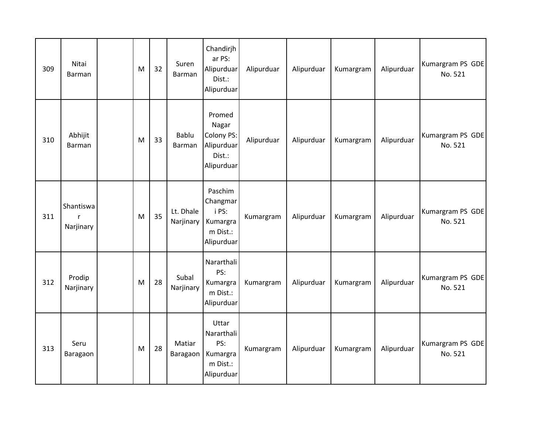| 309 | Nitai<br>Barman             | M | 32 | Suren<br>Barman        | Chandirjh<br>ar PS:<br>Alipurduar<br>Dist.:<br>Alipurduar           | Alipurduar | Alipurduar | Kumargram | Alipurduar | Kumargram PS GDE<br>No. 521 |
|-----|-----------------------------|---|----|------------------------|---------------------------------------------------------------------|------------|------------|-----------|------------|-----------------------------|
| 310 | Abhijit<br>Barman           | M | 33 | Bablu<br>Barman        | Promed<br>Nagar<br>Colony PS:<br>Alipurduar<br>Dist.:<br>Alipurduar | Alipurduar | Alipurduar | Kumargram | Alipurduar | Kumargram PS GDE<br>No. 521 |
| 311 | Shantiswa<br>r<br>Narjinary | M | 35 | Lt. Dhale<br>Narjinary | Paschim<br>Changmar<br>i PS:<br>Kumargra<br>m Dist.:<br>Alipurduar  | Kumargram  | Alipurduar | Kumargram | Alipurduar | Kumargram PS GDE<br>No. 521 |
| 312 | Prodip<br>Narjinary         | M | 28 | Subal<br>Narjinary     | Nararthali<br>PS:<br>Kumargra<br>m Dist.:<br>Alipurduar             | Kumargram  | Alipurduar | Kumargram | Alipurduar | Kumargram PS GDE<br>No. 521 |
| 313 | Seru<br>Baragaon            | M | 28 | Matiar<br>Baragaon     | Uttar<br>Nararthali<br>PS:<br>Kumargra<br>m Dist.:<br>Alipurduar    | Kumargram  | Alipurduar | Kumargram | Alipurduar | Kumargram PS GDE<br>No. 521 |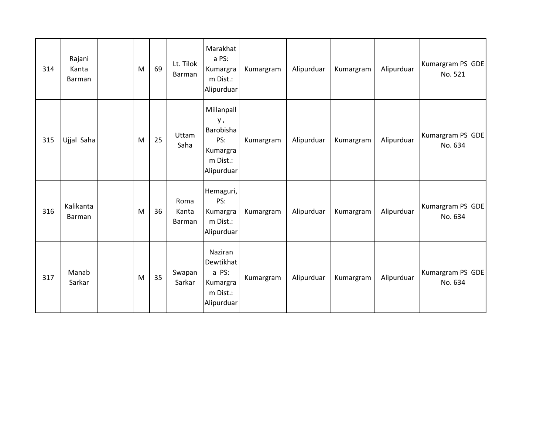| 314 | Rajani<br>Kanta<br>Barman | M | 69 | Lt. Tilok<br>Barman     | Marakhat<br>a PS:<br>Kumargra<br>m Dist.:<br>Alipurduar                    | Kumargram | Alipurduar | Kumargram | Alipurduar | Kumargram PS GDE<br>No. 521 |
|-----|---------------------------|---|----|-------------------------|----------------------------------------------------------------------------|-----------|------------|-----------|------------|-----------------------------|
| 315 | Ujjal Saha                | M | 25 | Uttam<br>Saha           | Millanpall<br>у,<br>Barobisha<br>PS:<br>Kumargra<br>m Dist.:<br>Alipurduar | Kumargram | Alipurduar | Kumargram | Alipurduar | Kumargram PS GDE<br>No. 634 |
| 316 | Kalikanta<br>Barman       | M | 36 | Roma<br>Kanta<br>Barman | Hemaguri,<br>PS:<br>Kumargra<br>m Dist.:<br>Alipurduar                     | Kumargram | Alipurduar | Kumargram | Alipurduar | Kumargram PS GDE<br>No. 634 |
| 317 | Manab<br>Sarkar           | M | 35 | Swapan<br>Sarkar        | Naziran<br><b>Dewtikhat</b><br>a PS:<br>Kumargra<br>m Dist.:<br>Alipurduar | Kumargram | Alipurduar | Kumargram | Alipurduar | Kumargram PS GDE<br>No. 634 |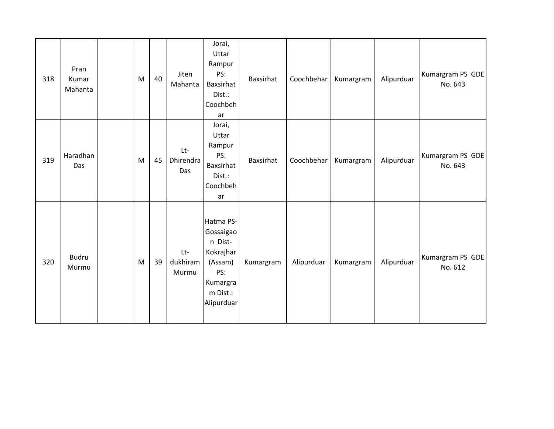| 318 | Pran<br>Kumar<br>Mahanta | M | 40 | Jiten<br>Mahanta               | Jorai,<br>Uttar<br>Rampur<br>PS:<br>Baxsirhat<br>Dist.:<br>Coochbeh<br>ar                              | Baxsirhat | Coochbehar | Kumargram | Alipurduar | Kumargram PS GDE<br>No. 643 |
|-----|--------------------------|---|----|--------------------------------|--------------------------------------------------------------------------------------------------------|-----------|------------|-----------|------------|-----------------------------|
| 319 | Haradhan<br>Das          | M | 45 | Lt-<br><b>Dhirendra</b><br>Das | Jorai,<br>Uttar<br>Rampur<br>PS:<br>Baxsirhat<br>Dist.:<br>Coochbeh<br>ar                              | Baxsirhat | Coochbehar | Kumargram | Alipurduar | Kumargram PS GDE<br>No. 643 |
| 320 | <b>Budru</b><br>Murmu    | M | 39 | $Lt-$<br>dukhiram<br>Murmu     | Hatma PS-<br>Gossaigao<br>n Dist-<br>Kokrajhar<br>(Assam)<br>PS:<br>Kumargra<br>m Dist.:<br>Alipurduar | Kumargram | Alipurduar | Kumargram | Alipurduar | Kumargram PS GDE<br>No. 612 |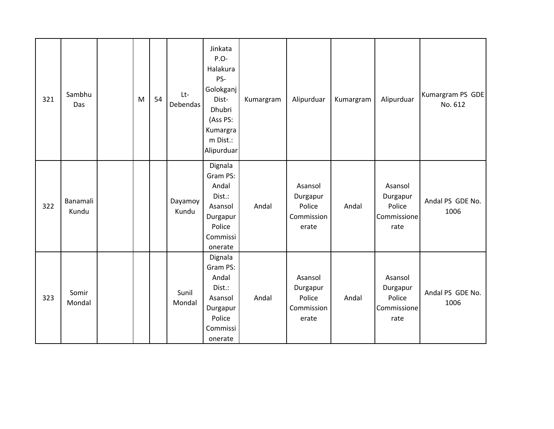| 321 | Sambhu<br>Das     | M | 54 | Lt-<br>Debendas  | Jinkata<br>$P.O-$<br>Halakura<br>PS-<br>Golokganj<br>Dist-<br>Dhubri<br>(Ass PS:<br>Kumargra<br>m Dist.:<br>Alipurduar | Kumargram | Alipurduar                                           | Kumargram | Alipurduar                                           | Kumargram PS GDE<br>No. 612 |
|-----|-------------------|---|----|------------------|------------------------------------------------------------------------------------------------------------------------|-----------|------------------------------------------------------|-----------|------------------------------------------------------|-----------------------------|
| 322 | Banamali<br>Kundu |   |    | Dayamoy<br>Kundu | Dignala<br>Gram PS:<br>Andal<br>Dist.:<br>Asansol<br>Durgapur<br>Police<br>Commissi<br>onerate                         | Andal     | Asansol<br>Durgapur<br>Police<br>Commission<br>erate | Andal     | Asansol<br>Durgapur<br>Police<br>Commissione<br>rate | Andal PS GDE No.<br>1006    |
| 323 | Somir<br>Mondal   |   |    | Sunil<br>Mondal  | Dignala<br>Gram PS:<br>Andal<br>Dist.:<br>Asansol<br>Durgapur<br>Police<br>Commissi<br>onerate                         | Andal     | Asansol<br>Durgapur<br>Police<br>Commission<br>erate | Andal     | Asansol<br>Durgapur<br>Police<br>Commissione<br>rate | Andal PS GDE No.<br>1006    |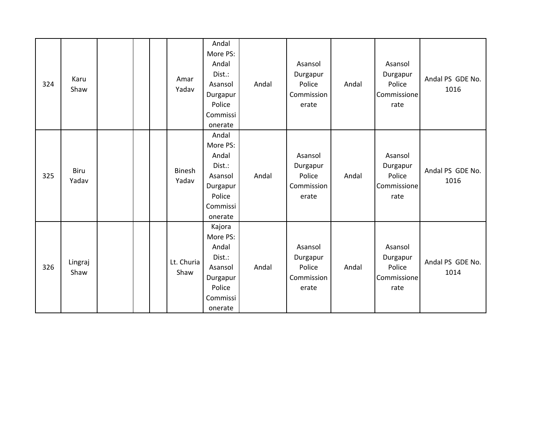| 324 | Karu<br>Shaw    |  | Amar<br>Yadav          | Andal<br>More PS:<br>Andal<br>Dist.:<br>Asansol<br>Durgapur<br>Police<br>Commissi<br>onerate  | Andal | Asansol<br>Durgapur<br>Police<br>Commission<br>erate | Andal | Asansol<br>Durgapur<br>Police<br>Commissione<br>rate | Andal PS GDE No.<br>1016 |
|-----|-----------------|--|------------------------|-----------------------------------------------------------------------------------------------|-------|------------------------------------------------------|-------|------------------------------------------------------|--------------------------|
| 325 | Biru<br>Yadav   |  | <b>Binesh</b><br>Yadav | Andal<br>More PS:<br>Andal<br>Dist.:<br>Asansol<br>Durgapur<br>Police<br>Commissi<br>onerate  | Andal | Asansol<br>Durgapur<br>Police<br>Commission<br>erate | Andal | Asansol<br>Durgapur<br>Police<br>Commissione<br>rate | Andal PS GDE No.<br>1016 |
| 326 | Lingraj<br>Shaw |  | Lt. Churia<br>Shaw     | Kajora<br>More PS:<br>Andal<br>Dist.:<br>Asansol<br>Durgapur<br>Police<br>Commissi<br>onerate | Andal | Asansol<br>Durgapur<br>Police<br>Commission<br>erate | Andal | Asansol<br>Durgapur<br>Police<br>Commissione<br>rate | Andal PS GDE No.<br>1014 |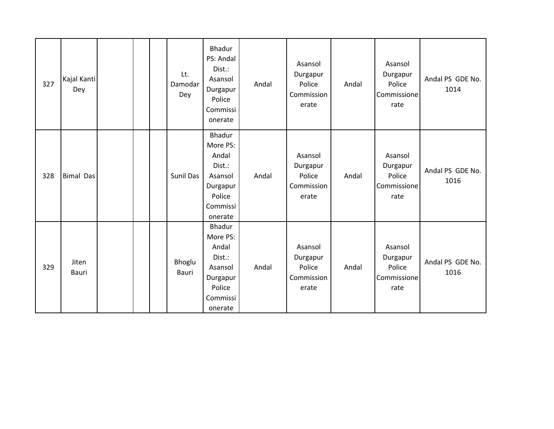| 327 | Kajal Kanti<br>Dey |  | Lt.<br>Damodar<br>Dey  | Bhadur<br>PS: Andal<br>Dist.:<br>Asansol<br>Durgapur<br>Police<br>Commissi<br>onerate                | Andal | Asansol<br>Durgapur<br>Police<br>Commission<br>erate | Andal | Asansol<br>Durgapur<br>Police<br>Commissione<br>rate | Andal PS GDE No.<br>1014 |
|-----|--------------------|--|------------------------|------------------------------------------------------------------------------------------------------|-------|------------------------------------------------------|-------|------------------------------------------------------|--------------------------|
| 328 | <b>Bimal Das</b>   |  | Sunil Das              | <b>Bhadur</b><br>More PS:<br>Andal<br>Dist.:<br>Asansol<br>Durgapur<br>Police<br>Commissi<br>onerate | Andal | Asansol<br>Durgapur<br>Police<br>Commission<br>erate | Andal | Asansol<br>Durgapur<br>Police<br>Commissione<br>rate | Andal PS GDE No.<br>1016 |
| 329 | Jiten<br>Bauri     |  | Bhoglu<br><b>Bauri</b> | Bhadur<br>More PS:<br>Andal<br>Dist.:<br>Asansol<br>Durgapur<br>Police<br>Commissi<br>onerate        | Andal | Asansol<br>Durgapur<br>Police<br>Commission<br>erate | Andal | Asansol<br>Durgapur<br>Police<br>Commissione<br>rate | Andal PS GDE No.<br>1016 |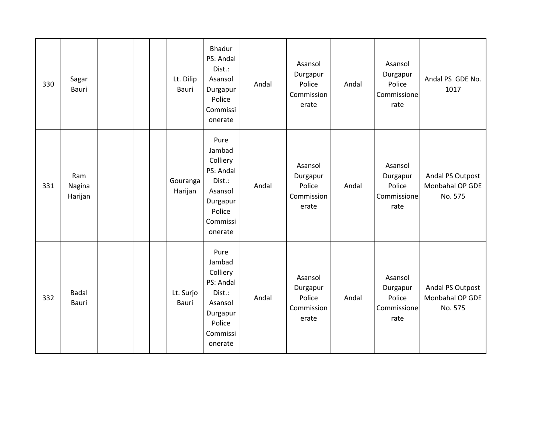| 330 | Sagar<br>Bauri               |  | Lt. Dilip<br>Bauri  | <b>Bhadur</b><br>PS: Andal<br>Dist.:<br>Asansol<br>Durgapur<br>Police<br>Commissi<br>onerate              | Andal | Asansol<br>Durgapur<br>Police<br>Commission<br>erate | Andal | Asansol<br>Durgapur<br>Police<br>Commissione<br>rate | Andal PS GDE No.<br>1017                       |
|-----|------------------------------|--|---------------------|-----------------------------------------------------------------------------------------------------------|-------|------------------------------------------------------|-------|------------------------------------------------------|------------------------------------------------|
| 331 | Ram<br>Nagina<br>Harijan     |  | Gouranga<br>Harijan | Pure<br>Jambad<br>Colliery<br>PS: Andal<br>Dist.:<br>Asansol<br>Durgapur<br>Police<br>Commissi<br>onerate | Andal | Asansol<br>Durgapur<br>Police<br>Commission<br>erate | Andal | Asansol<br>Durgapur<br>Police<br>Commissione<br>rate | Andal PS Outpost<br>Monbahal OP GDE<br>No. 575 |
| 332 | <b>Badal</b><br><b>Bauri</b> |  | Lt. Surjo<br>Bauri  | Pure<br>Jambad<br>Colliery<br>PS: Andal<br>Dist.:<br>Asansol<br>Durgapur<br>Police<br>Commissi<br>onerate | Andal | Asansol<br>Durgapur<br>Police<br>Commission<br>erate | Andal | Asansol<br>Durgapur<br>Police<br>Commissione<br>rate | Andal PS Outpost<br>Monbahal OP GDE<br>No. 575 |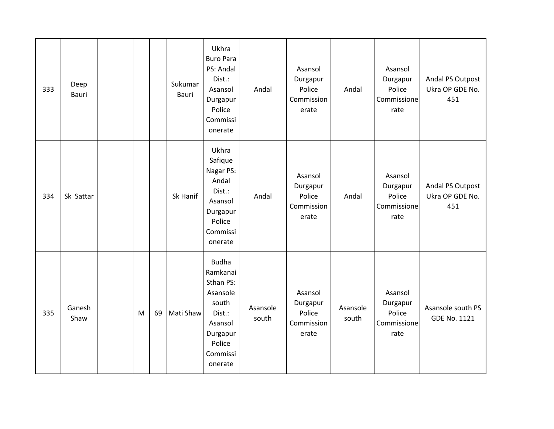| 333 | Deep<br>Bauri  |   |    | Sukumar<br><b>Bauri</b> | Ukhra<br><b>Buro Para</b><br>PS: Andal<br>Dist.:<br>Asansol<br>Durgapur<br>Police<br>Commissi<br>onerate                     | Andal             | Asansol<br>Durgapur<br>Police<br>Commission<br>erate | Andal             | Asansol<br>Durgapur<br>Police<br>Commissione<br>rate | Andal PS Outpost<br>Ukra OP GDE No.<br>451 |
|-----|----------------|---|----|-------------------------|------------------------------------------------------------------------------------------------------------------------------|-------------------|------------------------------------------------------|-------------------|------------------------------------------------------|--------------------------------------------|
| 334 | Sk Sattar      |   |    | Sk Hanif                | Ukhra<br>Safique<br>Nagar PS:<br>Andal<br>Dist.:<br>Asansol<br>Durgapur<br>Police<br>Commissi<br>onerate                     | Andal             | Asansol<br>Durgapur<br>Police<br>Commission<br>erate | Andal             | Asansol<br>Durgapur<br>Police<br>Commissione<br>rate | Andal PS Outpost<br>Ukra OP GDE No.<br>451 |
| 335 | Ganesh<br>Shaw | M | 69 | Mati Shaw               | <b>Budha</b><br>Ramkanai<br>Sthan PS:<br>Asansole<br>south<br>Dist.:<br>Asansol<br>Durgapur<br>Police<br>Commissi<br>onerate | Asansole<br>south | Asansol<br>Durgapur<br>Police<br>Commission<br>erate | Asansole<br>south | Asansol<br>Durgapur<br>Police<br>Commissione<br>rate | Asansole south PS<br>GDE No. 1121          |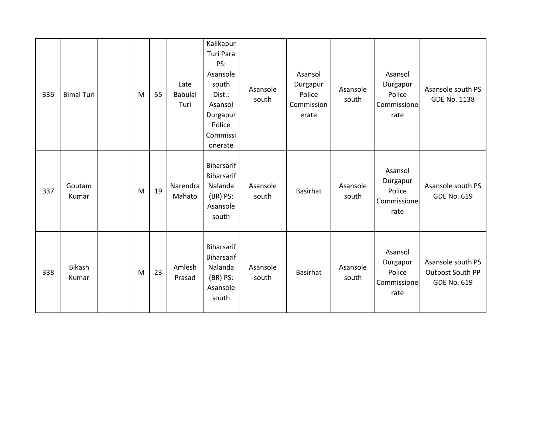| 336 | <b>Bimal Turi</b> | M | 55 | Late<br><b>Babulal</b><br>Turi | Kalikapur<br>Turi Para<br>PS:<br>Asansole<br>south<br>Dist.:<br>Asansol<br>Durgapur<br>Police<br>Commissi<br>onerate | Asansole<br>south | Asansol<br>Durgapur<br>Police<br>Commission<br>erate | Asansole<br>south | Asansol<br>Durgapur<br>Police<br>Commissione<br>rate | Asansole south PS<br>GDE No. 1138                           |
|-----|-------------------|---|----|--------------------------------|----------------------------------------------------------------------------------------------------------------------|-------------------|------------------------------------------------------|-------------------|------------------------------------------------------|-------------------------------------------------------------|
| 337 | Goutam<br>Kumar   | M | 19 | Narendra<br>Mahato             | Biharsarif<br>Biharsarif<br>Nalanda<br>(BR) PS:<br>Asansole<br>south                                                 | Asansole<br>south | Basirhat                                             | Asansole<br>south | Asansol<br>Durgapur<br>Police<br>Commissione<br>rate | Asansole south PS<br><b>GDE No. 619</b>                     |
| 338 | Bikash<br>Kumar   | M | 23 | Amlesh<br>Prasad               | <b>Biharsarif</b><br>Biharsarif<br>Nalanda<br>(BR) PS:<br>Asansole<br>south                                          | Asansole<br>south | <b>Basirhat</b>                                      | Asansole<br>south | Asansol<br>Durgapur<br>Police<br>Commissione<br>rate | Asansole south PS<br>Outpost South PP<br><b>GDE No. 619</b> |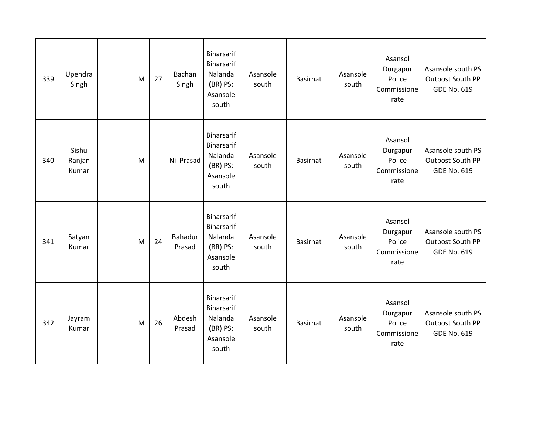| 339 | Upendra<br>Singh         | M | 27 | Bachan<br>Singh   | Biharsarif<br>Biharsarif<br>Nalanda<br>(BR) PS:<br>Asansole<br>south               | Asansole<br>south | Basirhat        | Asansole<br>south | Asansol<br>Durgapur<br>Police<br>Commissione<br>rate | Asansole south PS<br>Outpost South PP<br><b>GDE No. 619</b> |
|-----|--------------------------|---|----|-------------------|------------------------------------------------------------------------------------|-------------------|-----------------|-------------------|------------------------------------------------------|-------------------------------------------------------------|
| 340 | Sishu<br>Ranjan<br>Kumar | M |    | Nil Prasad        | <b>Biharsarif</b><br><b>Biharsarif</b><br>Nalanda<br>(BR) PS:<br>Asansole<br>south | Asansole<br>south | <b>Basirhat</b> | Asansole<br>south | Asansol<br>Durgapur<br>Police<br>Commissione<br>rate | Asansole south PS<br>Outpost South PP<br><b>GDE No. 619</b> |
| 341 | Satyan<br>Kumar          | M | 24 | Bahadur<br>Prasad | Biharsarif<br>Biharsarif<br>Nalanda<br>(BR) PS:<br>Asansole<br>south               | Asansole<br>south | <b>Basirhat</b> | Asansole<br>south | Asansol<br>Durgapur<br>Police<br>Commissione<br>rate | Asansole south PS<br>Outpost South PP<br><b>GDE No. 619</b> |
| 342 | Jayram<br>Kumar          | M | 26 | Abdesh<br>Prasad  | <b>Biharsarif</b><br>Biharsarif<br>Nalanda<br>(BR) PS:<br>Asansole<br>south        | Asansole<br>south | <b>Basirhat</b> | Asansole<br>south | Asansol<br>Durgapur<br>Police<br>Commissione<br>rate | Asansole south PS<br>Outpost South PP<br><b>GDE No. 619</b> |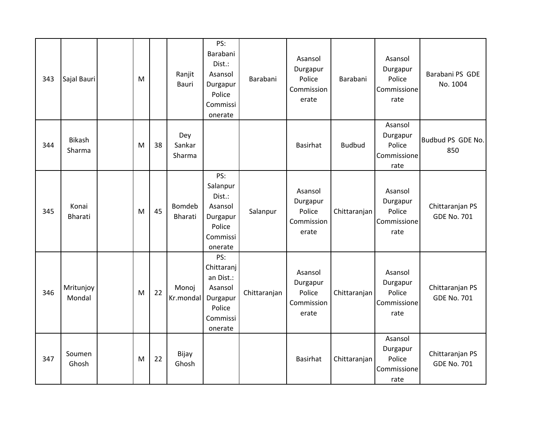| 343 | Sajal Bauri             | M |    | Ranjit<br>Bauri         | PS:<br>Barabani<br>Dist.:<br>Asansol<br>Durgapur<br>Police<br>Commissi<br>onerate      | Barabani     | Asansol<br>Durgapur<br>Police<br>Commission<br>erate | Barabani      | Asansol<br>Durgapur<br>Police<br>Commissione<br>rate | Barabani PS GDE<br>No. 1004           |
|-----|-------------------------|---|----|-------------------------|----------------------------------------------------------------------------------------|--------------|------------------------------------------------------|---------------|------------------------------------------------------|---------------------------------------|
| 344 | <b>Bikash</b><br>Sharma | M | 38 | Dey<br>Sankar<br>Sharma |                                                                                        |              | Basirhat                                             | <b>Budbud</b> | Asansol<br>Durgapur<br>Police<br>Commissione<br>rate | Budbud PS GDE No.<br>850              |
| 345 | Konai<br>Bharati        | M | 45 | Bomdeb<br>Bharati       | PS:<br>Salanpur<br>Dist.:<br>Asansol<br>Durgapur<br>Police<br>Commissi<br>onerate      | Salanpur     | Asansol<br>Durgapur<br>Police<br>Commission<br>erate | Chittaranjan  | Asansol<br>Durgapur<br>Police<br>Commissione<br>rate | Chittaranjan PS<br><b>GDE No. 701</b> |
| 346 | Mritunjoy<br>Mondal     | M | 22 | Monoj<br>Kr.mondal      | PS:<br>Chittaranj<br>an Dist.:<br>Asansol<br>Durgapur<br>Police<br>Commissi<br>onerate | Chittaranjan | Asansol<br>Durgapur<br>Police<br>Commission<br>erate | Chittaranjan  | Asansol<br>Durgapur<br>Police<br>Commissione<br>rate | Chittaranjan PS<br><b>GDE No. 701</b> |
| 347 | Soumen<br>Ghosh         | M | 22 | Bijay<br>Ghosh          |                                                                                        |              | Basirhat                                             | Chittaranjan  | Asansol<br>Durgapur<br>Police<br>Commissione<br>rate | Chittaranjan PS<br><b>GDE No. 701</b> |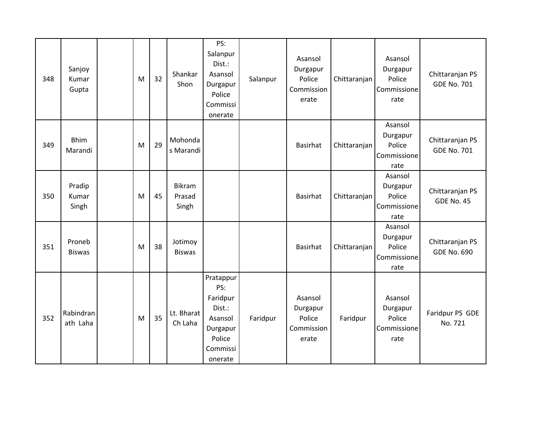| 348 | Sanjoy<br>Kumar<br>Gupta | M | 32 | Shankar<br>Shon                  | PS:<br>Salanpur<br>Dist.:<br>Asansol<br>Durgapur<br>Police<br>Commissi<br>onerate              | Salanpur | Asansol<br>Durgapur<br>Police<br>Commission<br>erate | Chittaranjan | Asansol<br>Durgapur<br>Police<br>Commissione<br>rate | Chittaranjan PS<br><b>GDE No. 701</b> |
|-----|--------------------------|---|----|----------------------------------|------------------------------------------------------------------------------------------------|----------|------------------------------------------------------|--------------|------------------------------------------------------|---------------------------------------|
| 349 | <b>Bhim</b><br>Marandi   | M | 29 | Mohonda<br>s Marandi             |                                                                                                |          | <b>Basirhat</b>                                      | Chittaranjan | Asansol<br>Durgapur<br>Police<br>Commissione<br>rate | Chittaranjan PS<br><b>GDE No. 701</b> |
| 350 | Pradip<br>Kumar<br>Singh | M | 45 | <b>Bikram</b><br>Prasad<br>Singh |                                                                                                |          | <b>Basirhat</b>                                      | Chittaranjan | Asansol<br>Durgapur<br>Police<br>Commissione<br>rate | Chittaranjan PS<br><b>GDE No. 45</b>  |
| 351 | Proneb<br><b>Biswas</b>  | M | 38 | Jotimoy<br><b>Biswas</b>         |                                                                                                |          | Basirhat                                             | Chittaranjan | Asansol<br>Durgapur<br>Police<br>Commissione<br>rate | Chittaranjan PS<br><b>GDE No. 690</b> |
| 352 | Rabindran<br>ath Laha    | M | 35 | Lt. Bharat<br>Ch Laha            | Pratappur<br>PS:<br>Faridpur<br>Dist.:<br>Asansol<br>Durgapur<br>Police<br>Commissi<br>onerate | Faridpur | Asansol<br>Durgapur<br>Police<br>Commission<br>erate | Faridpur     | Asansol<br>Durgapur<br>Police<br>Commissione<br>rate | Faridpur PS GDE<br>No. 721            |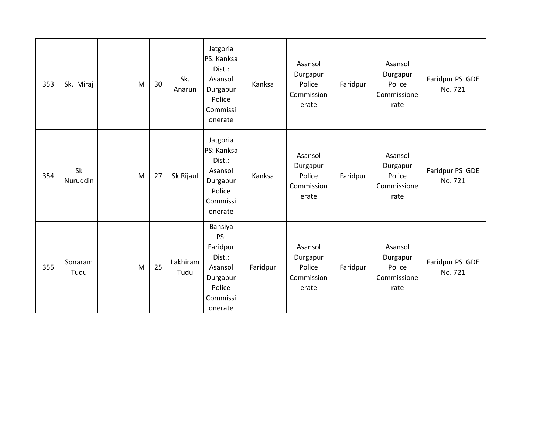| 353 | Sk. Miraj       | M | 30 | Sk.<br>Anarun    | Jatgoria<br>PS: Kanksa<br>Dist.:<br>Asansol<br>Durgapur<br>Police<br>Commissi<br>onerate     | Kanksa   | Asansol<br>Durgapur<br>Police<br>Commission<br>erate | Faridpur | Asansol<br>Durgapur<br>Police<br>Commissione<br>rate | Faridpur PS GDE<br>No. 721 |
|-----|-----------------|---|----|------------------|----------------------------------------------------------------------------------------------|----------|------------------------------------------------------|----------|------------------------------------------------------|----------------------------|
| 354 | Sk<br>Nuruddin  | M | 27 | Sk Rijaul        | Jatgoria<br>PS: Kanksa<br>Dist.:<br>Asansol<br>Durgapur<br>Police<br>Commissi<br>onerate     | Kanksa   | Asansol<br>Durgapur<br>Police<br>Commission<br>erate | Faridpur | Asansol<br>Durgapur<br>Police<br>Commissione<br>rate | Faridpur PS GDE<br>No. 721 |
| 355 | Sonaram<br>Tudu | M | 25 | Lakhiram<br>Tudu | Bansiya<br>PS:<br>Faridpur<br>Dist.:<br>Asansol<br>Durgapur<br>Police<br>Commissi<br>onerate | Faridpur | Asansol<br>Durgapur<br>Police<br>Commission<br>erate | Faridpur | Asansol<br>Durgapur<br>Police<br>Commissione<br>rate | Faridpur PS GDE<br>No. 721 |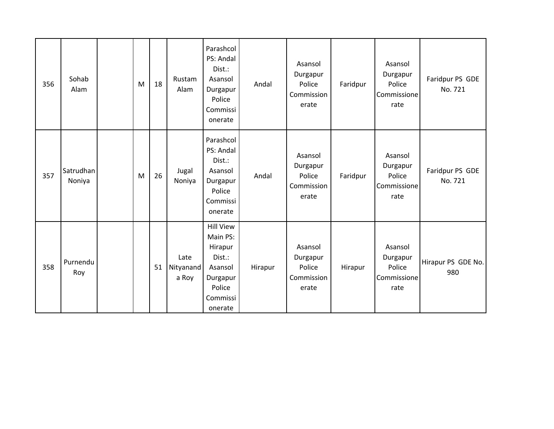| 356 | Sohab<br>Alam       | M | 18 | Rustam<br>Alam             | Parashcol<br>PS: Andal<br>Dist.:<br>Asansol<br>Durgapur<br>Police<br>Commissi<br>onerate                  | Andal   | Asansol<br>Durgapur<br>Police<br>Commission<br>erate | Faridpur | Asansol<br>Durgapur<br>Police<br>Commissione<br>rate | Faridpur PS GDE<br>No. 721 |
|-----|---------------------|---|----|----------------------------|-----------------------------------------------------------------------------------------------------------|---------|------------------------------------------------------|----------|------------------------------------------------------|----------------------------|
| 357 | Satrudhan<br>Noniya | M | 26 | Jugal<br>Noniya            | Parashcol<br>PS: Andal<br>Dist.:<br>Asansol<br>Durgapur<br>Police<br>Commissi<br>onerate                  | Andal   | Asansol<br>Durgapur<br>Police<br>Commission<br>erate | Faridpur | Asansol<br>Durgapur<br>Police<br>Commissione<br>rate | Faridpur PS GDE<br>No. 721 |
| 358 | Purnendu<br>Roy     |   | 51 | Late<br>Nityanand<br>a Roy | <b>Hill View</b><br>Main PS:<br>Hirapur<br>Dist.:<br>Asansol<br>Durgapur<br>Police<br>Commissi<br>onerate | Hirapur | Asansol<br>Durgapur<br>Police<br>Commission<br>erate | Hirapur  | Asansol<br>Durgapur<br>Police<br>Commissione<br>rate | Hirapur PS GDE No.<br>980  |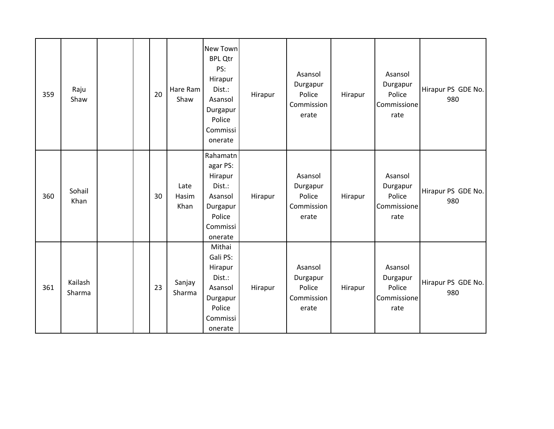| 359 | Raju<br>Shaw      |  | 20 | Hare Ram<br>Shaw      | New Town<br><b>BPL Qtr</b><br>PS:<br>Hirapur<br>Dist.:<br>Asansol<br>Durgapur<br>Police<br>Commissi<br>onerate | Hirapur | Asansol<br>Durgapur<br>Police<br>Commission<br>erate | Hirapur | Asansol<br>Durgapur<br>Police<br>Commissione<br>rate | Hirapur PS GDE No.<br>980 |
|-----|-------------------|--|----|-----------------------|----------------------------------------------------------------------------------------------------------------|---------|------------------------------------------------------|---------|------------------------------------------------------|---------------------------|
| 360 | Sohail<br>Khan    |  | 30 | Late<br>Hasim<br>Khan | Rahamatn<br>agar PS:<br>Hirapur<br>Dist.:<br>Asansol<br>Durgapur<br>Police<br>Commissi<br>onerate              | Hirapur | Asansol<br>Durgapur<br>Police<br>Commission<br>erate | Hirapur | Asansol<br>Durgapur<br>Police<br>Commissione<br>rate | Hirapur PS GDE No.<br>980 |
| 361 | Kailash<br>Sharma |  | 23 | Sanjay<br>Sharma      | Mithai<br>Gali PS:<br>Hirapur<br>Dist.:<br>Asansol<br>Durgapur<br>Police<br>Commissi<br>onerate                | Hirapur | Asansol<br>Durgapur<br>Police<br>Commission<br>erate | Hirapur | Asansol<br>Durgapur<br>Police<br>Commissione<br>rate | Hirapur PS GDE No.<br>980 |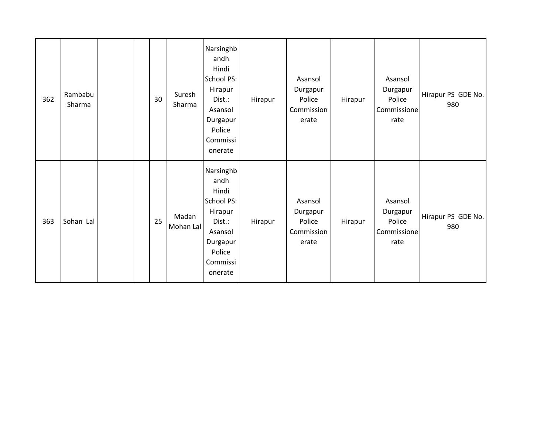| 362 | Rambabu<br>Sharma |  | 30 | Suresh<br>Sharma   | Narsinghb<br>andh<br>Hindi<br>School PS:<br>Hirapur<br>Dist.:<br>Asansol<br>Durgapur<br>Police<br>Commissi<br>onerate | Hirapur | Asansol<br>Durgapur<br>Police<br>Commission<br>erate | Hirapur | Asansol<br>Durgapur<br>Police<br>Commissione<br>rate | Hirapur PS GDE No.<br>980 |
|-----|-------------------|--|----|--------------------|-----------------------------------------------------------------------------------------------------------------------|---------|------------------------------------------------------|---------|------------------------------------------------------|---------------------------|
| 363 | Sohan Lal         |  | 25 | Madan<br>Mohan Lal | Narsinghb<br>andh<br>Hindi<br>School PS:<br>Hirapur<br>Dist.:<br>Asansol<br>Durgapur<br>Police<br>Commissi<br>onerate | Hirapur | Asansol<br>Durgapur<br>Police<br>Commission<br>erate | Hirapur | Asansol<br>Durgapur<br>Police<br>Commissione<br>rate | Hirapur PS GDE No.<br>980 |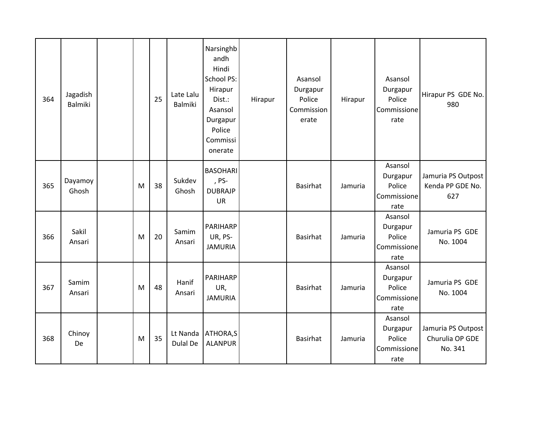| 364 | Jagadish<br>Balmiki |   | 25 | Late Lalu<br><b>Balmiki</b> | Narsinghb<br>andh<br>Hindi<br>School PS:<br>Hirapur<br>Dist.:<br>Asansol<br>Durgapur<br>Police<br>Commissi<br>onerate | Hirapur | Asansol<br>Durgapur<br>Police<br>Commission<br>erate | Hirapur | Asansol<br>Durgapur<br>Police<br>Commissione<br>rate | Hirapur PS GDE No.<br>980                        |
|-----|---------------------|---|----|-----------------------------|-----------------------------------------------------------------------------------------------------------------------|---------|------------------------------------------------------|---------|------------------------------------------------------|--------------------------------------------------|
| 365 | Dayamoy<br>Ghosh    | M | 38 | Sukdev<br>Ghosh             | <b>BASOHARI</b><br>, PS-<br><b>DUBRAJP</b><br><b>UR</b>                                                               |         | Basirhat                                             | Jamuria | Asansol<br>Durgapur<br>Police<br>Commissione<br>rate | Jamuria PS Outpost<br>Kenda PP GDE No.<br>627    |
| 366 | Sakil<br>Ansari     | M | 20 | Samim<br>Ansari             | PARIHARP<br>UR, PS-<br><b>JAMURIA</b>                                                                                 |         | <b>Basirhat</b>                                      | Jamuria | Asansol<br>Durgapur<br>Police<br>Commissione<br>rate | Jamuria PS GDE<br>No. 1004                       |
| 367 | Samim<br>Ansari     | M | 48 | Hanif<br>Ansari             | PARIHARP<br>UR,<br><b>JAMURIA</b>                                                                                     |         | <b>Basirhat</b>                                      | Jamuria | Asansol<br>Durgapur<br>Police<br>Commissione<br>rate | Jamuria PS GDE<br>No. 1004                       |
| 368 | Chinoy<br>De        | M | 35 | Lt Nanda<br>Dulal De        | ATHORA,S<br><b>ALANPUR</b>                                                                                            |         | <b>Basirhat</b>                                      | Jamuria | Asansol<br>Durgapur<br>Police<br>Commissione<br>rate | Jamuria PS Outpost<br>Churulia OP GDE<br>No. 341 |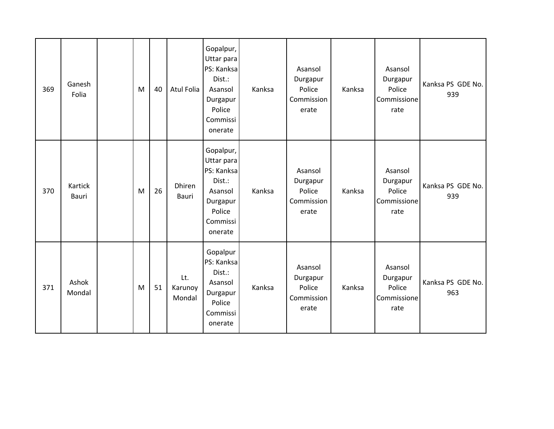| 369 | Ganesh<br>Folia  | M | 40 | <b>Atul Folia</b>        | Gopalpur,<br>Uttar para<br>PS: Kanksa<br>Dist.:<br>Asansol<br>Durgapur<br>Police<br>Commissi<br>onerate | Kanksa | Asansol<br>Durgapur<br>Police<br>Commission<br>erate | Kanksa | Asansol<br>Durgapur<br>Police<br>Commissione<br>rate | Kanksa PS GDE No.<br>939 |
|-----|------------------|---|----|--------------------------|---------------------------------------------------------------------------------------------------------|--------|------------------------------------------------------|--------|------------------------------------------------------|--------------------------|
| 370 | Kartick<br>Bauri | M | 26 | Dhiren<br>Bauri          | Gopalpur,<br>Uttar para<br>PS: Kanksa<br>Dist.:<br>Asansol<br>Durgapur<br>Police<br>Commissi<br>onerate | Kanksa | Asansol<br>Durgapur<br>Police<br>Commission<br>erate | Kanksa | Asansol<br>Durgapur<br>Police<br>Commissione<br>rate | Kanksa PS GDE No.<br>939 |
| 371 | Ashok<br>Mondal  | M | 51 | Lt.<br>Karunoy<br>Mondal | Gopalpur<br>PS: Kanksa<br>Dist.:<br>Asansol<br>Durgapur<br>Police<br>Commissi<br>onerate                | Kanksa | Asansol<br>Durgapur<br>Police<br>Commission<br>erate | Kanksa | Asansol<br>Durgapur<br>Police<br>Commissione<br>rate | Kanksa PS GDE No.<br>963 |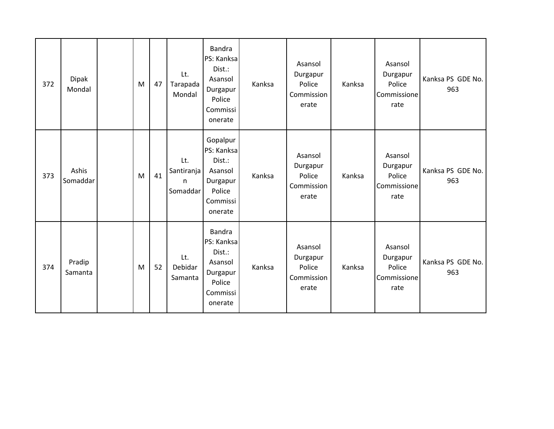| 372 | <b>Dipak</b><br>Mondal | M | 47 | Lt.<br>Tarapada<br>Mondal          | Bandra<br>PS: Kanksa<br>Dist.:<br>Asansol<br>Durgapur<br>Police<br>Commissi<br>onerate   | Kanksa | Asansol<br>Durgapur<br>Police<br>Commission<br>erate | Kanksa | Asansol<br>Durgapur<br>Police<br>Commissione<br>rate | Kanksa PS GDE No.<br>963 |
|-----|------------------------|---|----|------------------------------------|------------------------------------------------------------------------------------------|--------|------------------------------------------------------|--------|------------------------------------------------------|--------------------------|
| 373 | Ashis<br>Somaddar      | M | 41 | Lt.<br>Santiranja<br>n<br>Somaddar | Gopalpur<br>PS: Kanksa<br>Dist.:<br>Asansol<br>Durgapur<br>Police<br>Commissi<br>onerate | Kanksa | Asansol<br>Durgapur<br>Police<br>Commission<br>erate | Kanksa | Asansol<br>Durgapur<br>Police<br>Commissione<br>rate | Kanksa PS GDE No.<br>963 |
| 374 | Pradip<br>Samanta      | M | 52 | Lt.<br>Debidar<br>Samanta          | Bandra<br>PS: Kanksa<br>Dist.:<br>Asansol<br>Durgapur<br>Police<br>Commissi<br>onerate   | Kanksa | Asansol<br>Durgapur<br>Police<br>Commission<br>erate | Kanksa | Asansol<br>Durgapur<br>Police<br>Commissione<br>rate | Kanksa PS GDE No.<br>963 |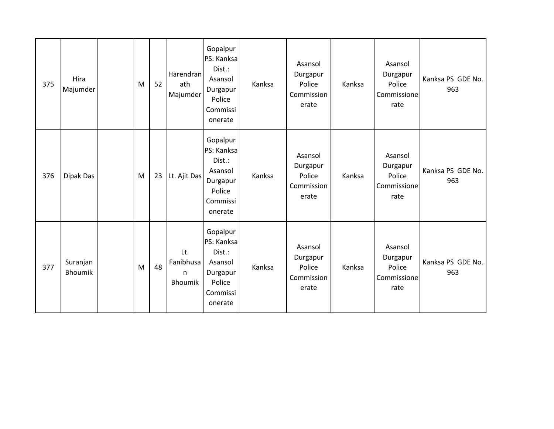| 375 | Hira<br>Majumder           | M | 52 | Harendran<br>ath<br>Majumder            | Gopalpur<br>PS: Kanksa<br>Dist.:<br>Asansol<br>Durgapur<br>Police<br>Commissi<br>onerate | Kanksa | Asansol<br>Durgapur<br>Police<br>Commission<br>erate | Kanksa | Asansol<br>Durgapur<br>Police<br>Commissione<br>rate | Kanksa PS GDE No.<br>963 |
|-----|----------------------------|---|----|-----------------------------------------|------------------------------------------------------------------------------------------|--------|------------------------------------------------------|--------|------------------------------------------------------|--------------------------|
| 376 | Dipak Das                  | M | 23 | Lt. Ajit Das                            | Gopalpur<br>PS: Kanksa<br>Dist.:<br>Asansol<br>Durgapur<br>Police<br>Commissi<br>onerate | Kanksa | Asansol<br>Durgapur<br>Police<br>Commission<br>erate | Kanksa | Asansol<br>Durgapur<br>Police<br>Commissione<br>rate | Kanksa PS GDE No.<br>963 |
| 377 | Suranjan<br><b>Bhoumik</b> | M | 48 | Lt.<br>Fanibhusa<br>n<br><b>Bhoumik</b> | Gopalpur<br>PS: Kanksa<br>Dist.:<br>Asansol<br>Durgapur<br>Police<br>Commissi<br>onerate | Kanksa | Asansol<br>Durgapur<br>Police<br>Commission<br>erate | Kanksa | Asansol<br>Durgapur<br>Police<br>Commissione<br>rate | Kanksa PS GDE No.<br>963 |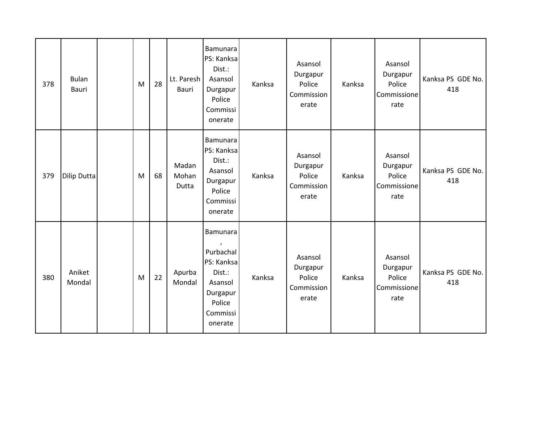| 378 | <b>Bulan</b><br>Bauri | M | 28 | Lt. Paresh<br>Bauri     | Bamunara<br>PS: Kanksa<br>Dist.:<br>Asansol<br>Durgapur<br>Police<br>Commissi<br>onerate              | Kanksa | Asansol<br>Durgapur<br>Police<br>Commission<br>erate | Kanksa | Asansol<br>Durgapur<br>Police<br>Commissione<br>rate | Kanksa PS GDE No.<br>418 |
|-----|-----------------------|---|----|-------------------------|-------------------------------------------------------------------------------------------------------|--------|------------------------------------------------------|--------|------------------------------------------------------|--------------------------|
| 379 | <b>Dilip Dutta</b>    | M | 68 | Madan<br>Mohan<br>Dutta | <b>Bamunara</b><br>PS: Kanksa<br>Dist.:<br>Asansol<br>Durgapur<br>Police<br>Commissi<br>onerate       | Kanksa | Asansol<br>Durgapur<br>Police<br>Commission<br>erate | Kanksa | Asansol<br>Durgapur<br>Police<br>Commissione<br>rate | Kanksa PS GDE No.<br>418 |
| 380 | Aniket<br>Mondal      | M | 22 | Apurba<br>Mondal        | Bamunara<br>Purbachal<br>PS: Kanksa<br>Dist.:<br>Asansol<br>Durgapur<br>Police<br>Commissi<br>onerate | Kanksa | Asansol<br>Durgapur<br>Police<br>Commission<br>erate | Kanksa | Asansol<br>Durgapur<br>Police<br>Commissione<br>rate | Kanksa PS GDE No.<br>418 |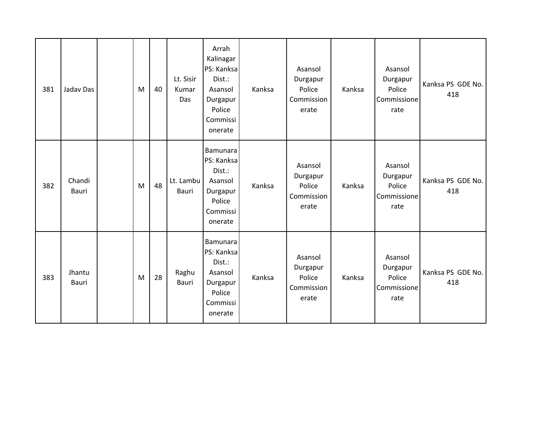| 381 | Jadav Das       | M | 40 | Lt. Sisir<br>Kumar<br>Das | Arrah<br>Kalinagar<br>PS: Kanksa<br>Dist.:<br>Asansol<br>Durgapur<br>Police<br>Commissi<br>onerate | Kanksa | Asansol<br>Durgapur<br>Police<br>Commission<br>erate | Kanksa | Asansol<br>Durgapur<br>Police<br>Commissione<br>rate | Kanksa PS GDE No.<br>418 |
|-----|-----------------|---|----|---------------------------|----------------------------------------------------------------------------------------------------|--------|------------------------------------------------------|--------|------------------------------------------------------|--------------------------|
| 382 | Chandi<br>Bauri | M | 48 | Lt. Lambu<br>Bauri        | Bamunara<br>PS: Kanksa<br>Dist.:<br>Asansol<br>Durgapur<br>Police<br>Commissi<br>onerate           | Kanksa | Asansol<br>Durgapur<br>Police<br>Commission<br>erate | Kanksa | Asansol<br>Durgapur<br>Police<br>Commissione<br>rate | Kanksa PS GDE No.<br>418 |
| 383 | Jhantu<br>Bauri | M | 28 | Raghu<br>Bauri            | Bamunara<br>PS: Kanksa<br>Dist.:<br>Asansol<br>Durgapur<br>Police<br>Commissi<br>onerate           | Kanksa | Asansol<br>Durgapur<br>Police<br>Commission<br>erate | Kanksa | Asansol<br>Durgapur<br>Police<br>Commissione<br>rate | Kanksa PS GDE No.<br>418 |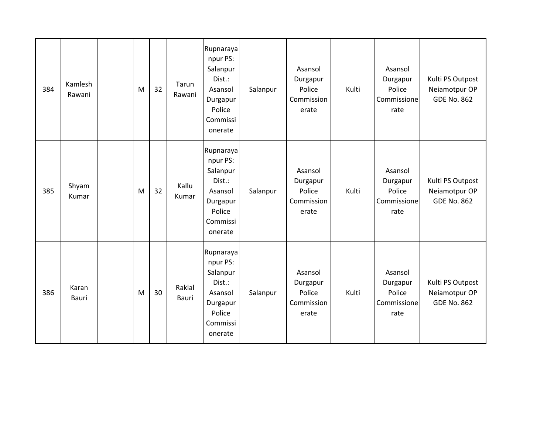| 384 | Kamlesh<br>Rawani | M | 32 | Tarun<br>Rawani        | Rupnaraya<br>npur PS:<br>Salanpur<br>Dist.:<br>Asansol<br>Durgapur<br>Police<br>Commissi<br>onerate | Salanpur | Asansol<br>Durgapur<br>Police<br>Commission<br>erate | Kulti | Asansol<br>Durgapur<br>Police<br>Commissione<br>rate | Kulti PS Outpost<br>Neiamotpur OP<br><b>GDE No. 862</b> |
|-----|-------------------|---|----|------------------------|-----------------------------------------------------------------------------------------------------|----------|------------------------------------------------------|-------|------------------------------------------------------|---------------------------------------------------------|
| 385 | Shyam<br>Kumar    | M | 32 | Kallu<br>Kumar         | Rupnaraya<br>npur PS:<br>Salanpur<br>Dist.:<br>Asansol<br>Durgapur<br>Police<br>Commissi<br>onerate | Salanpur | Asansol<br>Durgapur<br>Police<br>Commission<br>erate | Kulti | Asansol<br>Durgapur<br>Police<br>Commissione<br>rate | Kulti PS Outpost<br>Neiamotpur OP<br><b>GDE No. 862</b> |
| 386 | Karan<br>Bauri    | M | 30 | Raklal<br><b>Bauri</b> | Rupnaraya<br>npur PS:<br>Salanpur<br>Dist.:<br>Asansol<br>Durgapur<br>Police<br>Commissi<br>onerate | Salanpur | Asansol<br>Durgapur<br>Police<br>Commission<br>erate | Kulti | Asansol<br>Durgapur<br>Police<br>Commissione<br>rate | Kulti PS Outpost<br>Neiamotpur OP<br><b>GDE No. 862</b> |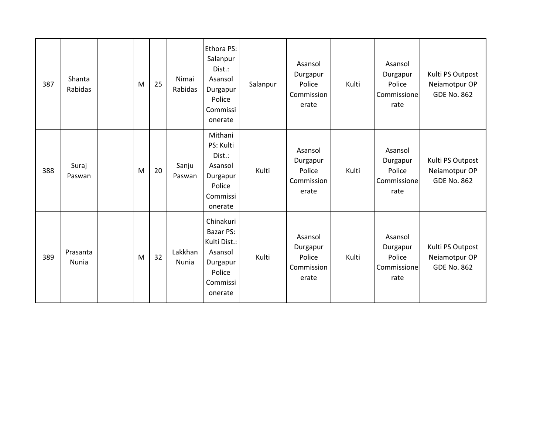| 387 | Shanta<br>Rabidas        | M | 25 | Nimai<br>Rabidas        | Ethora PS:<br>Salanpur<br>Dist.:<br>Asansol<br>Durgapur<br>Police<br>Commissi<br>onerate       | Salanpur | Asansol<br>Durgapur<br>Police<br>Commission<br>erate | Kulti | Asansol<br>Durgapur<br>Police<br>Commissione<br>rate | Kulti PS Outpost<br>Neiamotpur OP<br><b>GDE No. 862</b> |
|-----|--------------------------|---|----|-------------------------|------------------------------------------------------------------------------------------------|----------|------------------------------------------------------|-------|------------------------------------------------------|---------------------------------------------------------|
| 388 | Suraj<br>Paswan          | M | 20 | Sanju<br>Paswan         | Mithani<br>PS: Kulti<br>Dist.:<br>Asansol<br>Durgapur<br>Police<br>Commissi<br>onerate         | Kulti    | Asansol<br>Durgapur<br>Police<br>Commission<br>erate | Kulti | Asansol<br>Durgapur<br>Police<br>Commissione<br>rate | Kulti PS Outpost<br>Neiamotpur OP<br><b>GDE No. 862</b> |
| 389 | Prasanta<br><b>Nunia</b> | M | 32 | Lakkhan<br><b>Nunia</b> | Chinakuri<br>Bazar PS:<br>Kulti Dist.:<br>Asansol<br>Durgapur<br>Police<br>Commissi<br>onerate | Kulti    | Asansol<br>Durgapur<br>Police<br>Commission<br>erate | Kulti | Asansol<br>Durgapur<br>Police<br>Commissione<br>rate | Kulti PS Outpost<br>Neiamotpur OP<br><b>GDE No. 862</b> |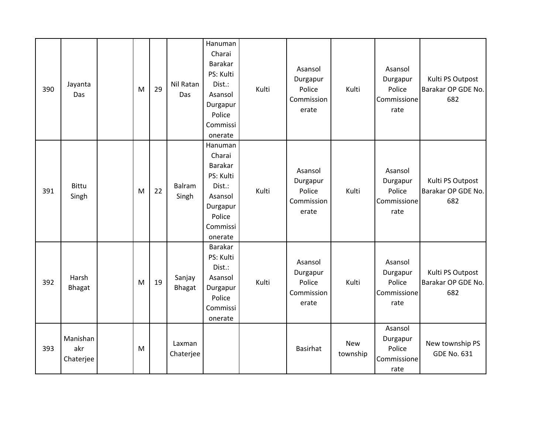| 390 | Jayanta<br>Das               | M | 29 | Nil Ratan<br>Das        | Hanuman<br>Charai<br><b>Barakar</b><br>PS: Kulti<br>Dist.:<br>Asansol<br>Durgapur<br>Police<br>Commissi<br>onerate | Kulti | Asansol<br>Durgapur<br>Police<br>Commission<br>erate | Kulti                  | Asansol<br>Durgapur<br>Police<br>Commissione<br>rate | Kulti PS Outpost<br>Barakar OP GDE No.<br>682 |
|-----|------------------------------|---|----|-------------------------|--------------------------------------------------------------------------------------------------------------------|-------|------------------------------------------------------|------------------------|------------------------------------------------------|-----------------------------------------------|
| 391 | <b>Bittu</b><br>Singh        | M | 22 | Balram<br>Singh         | Hanuman<br>Charai<br><b>Barakar</b><br>PS: Kulti<br>Dist.:<br>Asansol<br>Durgapur<br>Police<br>Commissi<br>onerate | Kulti | Asansol<br>Durgapur<br>Police<br>Commission<br>erate | Kulti                  | Asansol<br>Durgapur<br>Police<br>Commissione<br>rate | Kulti PS Outpost<br>Barakar OP GDE No.<br>682 |
| 392 | Harsh<br><b>Bhagat</b>       | M | 19 | Sanjay<br><b>Bhagat</b> | Barakar<br>PS: Kulti<br>Dist.:<br>Asansol<br>Durgapur<br>Police<br>Commissi<br>onerate                             | Kulti | Asansol<br>Durgapur<br>Police<br>Commission<br>erate | Kulti                  | Asansol<br>Durgapur<br>Police<br>Commissione<br>rate | Kulti PS Outpost<br>Barakar OP GDE No.<br>682 |
| 393 | Manishan<br>akr<br>Chaterjee | M |    | Laxman<br>Chaterjee     |                                                                                                                    |       | <b>Basirhat</b>                                      | <b>New</b><br>township | Asansol<br>Durgapur<br>Police<br>Commissione<br>rate | New township PS<br><b>GDE No. 631</b>         |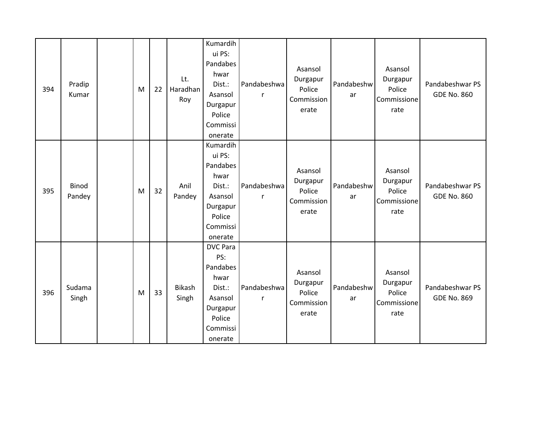| 394 | Pradip<br>Kumar        | M | 22 | Lt.<br>Haradhan<br>Roy | Kumardih<br>ui PS:<br>Pandabes<br>hwar<br>Dist.:<br>Asansol<br>Durgapur<br>Police<br>Commissi<br>onerate     | Pandabeshwa<br>r            | Asansol<br>Durgapur<br>Police<br>Commission<br>erate | Pandabeshw<br>ar | Asansol<br>Durgapur<br>Police<br>Commissione<br>rate | Pandabeshwar PS<br><b>GDE No. 860</b> |
|-----|------------------------|---|----|------------------------|--------------------------------------------------------------------------------------------------------------|-----------------------------|------------------------------------------------------|------------------|------------------------------------------------------|---------------------------------------|
| 395 | <b>Binod</b><br>Pandey | M | 32 | Anil<br>Pandey         | Kumardih<br>ui PS:<br>Pandabes<br>hwar<br>Dist.:<br>Asansol<br>Durgapur<br>Police<br>Commissi<br>onerate     | Pandabeshwa                 | Asansol<br>Durgapur<br>Police<br>Commission<br>erate | Pandabeshw<br>ar | Asansol<br>Durgapur<br>Police<br>Commissione<br>rate | Pandabeshwar PS<br><b>GDE No. 860</b> |
| 396 | Sudama<br>Singh        | M | 33 | <b>Bikash</b><br>Singh | <b>DVC Para</b><br>PS:<br>Pandabes<br>hwar<br>Dist.:<br>Asansol<br>Durgapur<br>Police<br>Commissi<br>onerate | Pandabeshwa<br>$\mathsf{r}$ | Asansol<br>Durgapur<br>Police<br>Commission<br>erate | Pandabeshw<br>ar | Asansol<br>Durgapur<br>Police<br>Commissione<br>rate | Pandabeshwar PS<br><b>GDE No. 869</b> |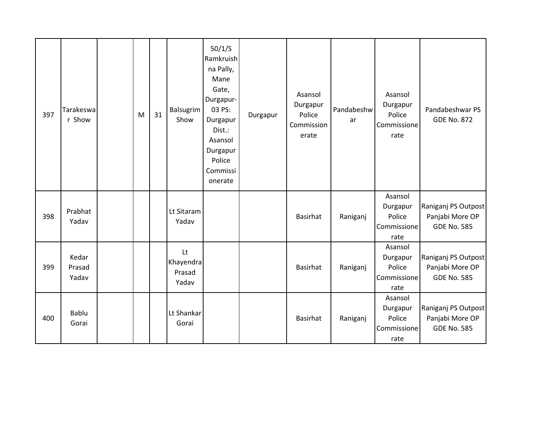| 397 | <b>Tarakeswa</b><br>r Show | M | 31 | <b>Balsugrim</b><br>Show           | 50/1/S<br>Ramkruish<br>na Pally,<br>Mane<br>Gate,<br>Durgapur-<br>03 PS:<br>Durgapur<br>Dist.:<br>Asansol<br>Durgapur<br>Police<br>Commissi<br>onerate | Durgapur | Asansol<br>Durgapur<br>Police<br>Commission<br>erate | Pandabeshw<br>ar | Asansol<br>Durgapur<br>Police<br>Commissione<br>rate | Pandabeshwar PS<br><b>GDE No. 872</b>                        |
|-----|----------------------------|---|----|------------------------------------|--------------------------------------------------------------------------------------------------------------------------------------------------------|----------|------------------------------------------------------|------------------|------------------------------------------------------|--------------------------------------------------------------|
| 398 | Prabhat<br>Yadav           |   |    | Lt Sitaram<br>Yadav                |                                                                                                                                                        |          | Basirhat                                             | Raniganj         | Asansol<br>Durgapur<br>Police<br>Commissione<br>rate | Raniganj PS Outpost<br>Panjabi More OP<br><b>GDE No. 585</b> |
| 399 | Kedar<br>Prasad<br>Yadav   |   |    | Lt<br>Khayendra<br>Prasad<br>Yadav |                                                                                                                                                        |          | Basirhat                                             | Raniganj         | Asansol<br>Durgapur<br>Police<br>Commissione<br>rate | Raniganj PS Outpost<br>Panjabi More OP<br><b>GDE No. 585</b> |
| 400 | Bablu<br>Gorai             |   |    | Lt Shankar<br>Gorai                |                                                                                                                                                        |          | Basirhat                                             | Raniganj         | Asansol<br>Durgapur<br>Police<br>Commissione<br>rate | Raniganj PS Outpost<br>Panjabi More OP<br><b>GDE No. 585</b> |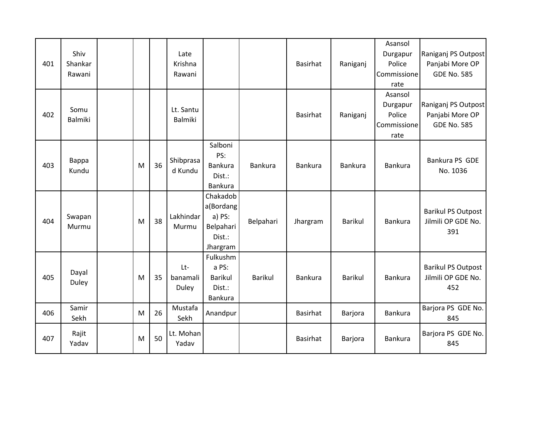| 401 | Shiv<br>Shankar<br>Rawani |   |    | Late<br>Krishna<br>Rawani |                                                                    |                | <b>Basirhat</b> | Raniganj       | Asansol<br>Durgapur<br>Police<br>Commissione<br>rate | Raniganj PS Outpost<br>Panjabi More OP<br><b>GDE No. 585</b> |
|-----|---------------------------|---|----|---------------------------|--------------------------------------------------------------------|----------------|-----------------|----------------|------------------------------------------------------|--------------------------------------------------------------|
| 402 | Somu<br><b>Balmiki</b>    |   |    | Lt. Santu<br>Balmiki      |                                                                    |                | <b>Basirhat</b> | Raniganj       | Asansol<br>Durgapur<br>Police<br>Commissione<br>rate | Raniganj PS Outpost<br>Panjabi More OP<br><b>GDE No. 585</b> |
| 403 | Bappa<br>Kundu            | M | 36 | Shibprasa<br>d Kundu      | Salboni<br>PS:<br><b>Bankura</b><br>Dist.:<br>Bankura              | Bankura        | <b>Bankura</b>  | Bankura        | <b>Bankura</b>                                       | Bankura PS GDE<br>No. 1036                                   |
| 404 | Swapan<br>Murmu           | M | 38 | Lakhindar<br>Murmu        | Chakadob<br>a(Bordang<br>a) PS:<br>Belpahari<br>Dist.:<br>Jhargram | Belpahari      | Jhargram        | <b>Barikul</b> | <b>Bankura</b>                                       | <b>Barikul PS Outpost</b><br>Jilmili OP GDE No.<br>391       |
| 405 | Dayal<br>Duley            | M | 35 | Lt-<br>banamali<br>Duley  | Fulkushm<br>a PS:<br><b>Barikul</b><br>Dist.:<br><b>Bankura</b>    | <b>Barikul</b> | <b>Bankura</b>  | <b>Barikul</b> | <b>Bankura</b>                                       | <b>Barikul PS Outpost</b><br>Jilmili OP GDE No.<br>452       |
| 406 | Samir<br>Sekh             | M | 26 | Mustafa<br>Sekh           | Anandpur                                                           |                | <b>Basirhat</b> | Barjora        | <b>Bankura</b>                                       | Barjora PS GDE No.<br>845                                    |
| 407 | Rajit<br>Yadav            | M | 50 | Lt. Mohan<br>Yadav        |                                                                    |                | <b>Basirhat</b> | Barjora        | <b>Bankura</b>                                       | Barjora PS GDE No.<br>845                                    |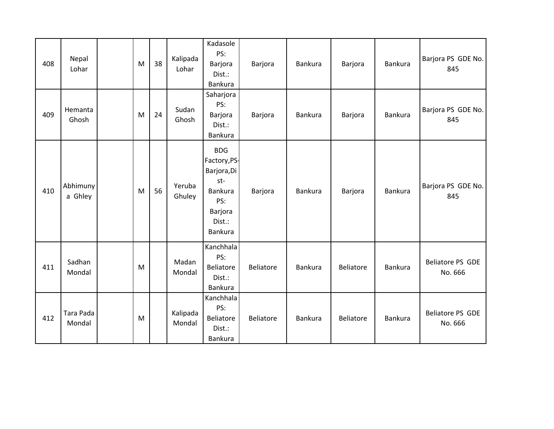| 408 | Nepal<br>Lohar      | M | 38 | Kalipada<br>Lohar  | Kadasole<br>PS:<br>Barjora<br>Dist.:<br>Bankura                                                           | Barjora   | Bankura | Barjora          | Bankura        | Barjora PS GDE No.<br>845   |
|-----|---------------------|---|----|--------------------|-----------------------------------------------------------------------------------------------------------|-----------|---------|------------------|----------------|-----------------------------|
| 409 | Hemanta<br>Ghosh    | M | 24 | Sudan<br>Ghosh     | Saharjora<br>PS:<br>Barjora<br>Dist.:<br>Bankura                                                          | Barjora   | Bankura | Barjora          | <b>Bankura</b> | Barjora PS GDE No.<br>845   |
| 410 | Abhimuny<br>a Ghley | M | 56 | Yeruba<br>Ghuley   | <b>BDG</b><br>Factory, PS-<br>Barjora, Di<br>st-<br>Bankura<br>PS:<br>Barjora<br>Dist.:<br><b>Bankura</b> | Barjora   | Bankura | Barjora          | Bankura        | Barjora PS GDE No.<br>845   |
| 411 | Sadhan<br>Mondal    | M |    | Madan<br>Mondal    | Kanchhala<br>PS:<br>Beliatore<br>Dist.:<br>Bankura                                                        | Beliatore | Bankura | <b>Beliatore</b> | Bankura        | Beliatore PS GDE<br>No. 666 |
| 412 | Tara Pada<br>Mondal | M |    | Kalipada<br>Mondal | Kanchhala<br>PS:<br>Beliatore<br>Dist.:<br>Bankura                                                        | Beliatore | Bankura | <b>Beliatore</b> | Bankura        | Beliatore PS GDE<br>No. 666 |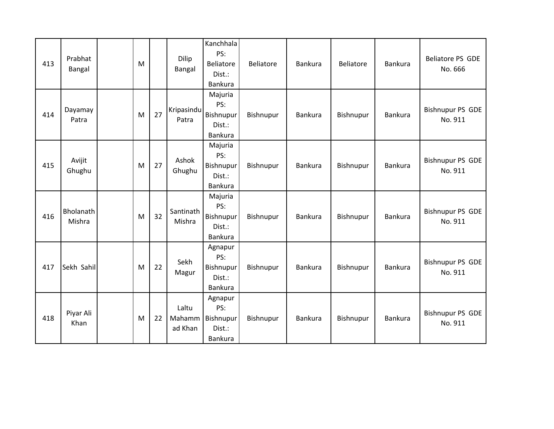| 413 | Prabhat<br>Bangal   | M |    | <b>Dilip</b><br>Bangal | Kanchhala<br>PS:<br><b>Beliatore</b><br>Dist.:<br><b>Bankura</b> | <b>Beliatore</b> | <b>Bankura</b> | Beliatore | Bankura | Beliatore PS GDE<br>No. 666        |
|-----|---------------------|---|----|------------------------|------------------------------------------------------------------|------------------|----------------|-----------|---------|------------------------------------|
| 414 | Dayamay<br>Patra    | M | 27 | Kripasindu<br>Patra    | Majuria<br>PS:<br>Bishnupur<br>Dist.:<br><b>Bankura</b>          | Bishnupur        | <b>Bankura</b> | Bishnupur | Bankura | <b>Bishnupur PS GDE</b><br>No. 911 |
| 415 | Avijit<br>Ghughu    | M | 27 | Ashok<br>Ghughu        | Majuria<br>PS:<br>Bishnupur<br>Dist.:<br><b>Bankura</b>          | Bishnupur        | <b>Bankura</b> | Bishnupur | Bankura | <b>Bishnupur PS GDE</b><br>No. 911 |
| 416 | Bholanath<br>Mishra | M | 32 | Santinath<br>Mishra    | Majuria<br>PS:<br>Bishnupur<br>Dist.:<br>Bankura                 | Bishnupur        | <b>Bankura</b> | Bishnupur | Bankura | <b>Bishnupur PS GDE</b><br>No. 911 |
| 417 | Sekh Sahil          | M | 22 | Sekh<br>Magur          | Agnapur<br>PS:<br>Bishnupur<br>Dist.:<br>Bankura                 | Bishnupur        | <b>Bankura</b> | Bishnupur | Bankura | <b>Bishnupur PS GDE</b><br>No. 911 |
| 418 | Piyar Ali<br>Khan   | M | 22 | Laltu<br>ad Khan       | Agnapur<br>PS:<br>Mahamm Bishnupur<br>Dist.:<br><b>Bankura</b>   | Bishnupur        | <b>Bankura</b> | Bishnupur | Bankura | <b>Bishnupur PS GDE</b><br>No. 911 |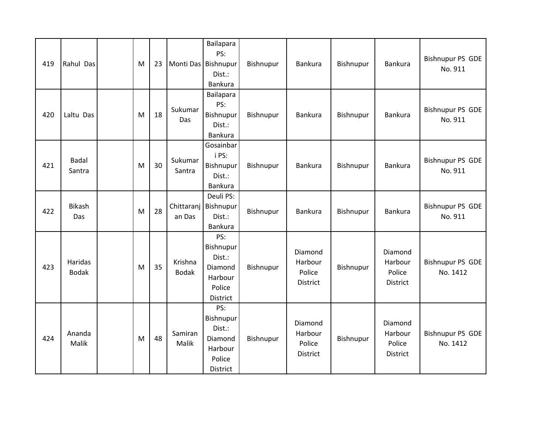| 419 | Rahul Das               | M | 23 | Monti Das Bishnupur     | <b>Bailapara</b><br>PS:<br>Dist.:<br>Bankura                           | Bishnupur | Bankura                                  | Bishnupur | Bankura                                  | <b>Bishnupur PS GDE</b><br>No. 911  |
|-----|-------------------------|---|----|-------------------------|------------------------------------------------------------------------|-----------|------------------------------------------|-----------|------------------------------------------|-------------------------------------|
| 420 | Laltu Das               | M | 18 | Sukumar<br>Das          | Bailapara<br>PS:<br>Bishnupur<br>Dist.:<br><b>Bankura</b>              | Bishnupur | <b>Bankura</b>                           | Bishnupur | Bankura                                  | <b>Bishnupur PS GDE</b><br>No. 911  |
| 421 | <b>Badal</b><br>Santra  | M | 30 | Sukumar<br>Santra       | Gosainbar<br>i PS:<br>Bishnupur<br>Dist.:<br>Bankura                   | Bishnupur | <b>Bankura</b>                           | Bishnupur | Bankura                                  | <b>Bishnupur PS GDE</b><br>No. 911  |
| 422 | Bikash<br>Das           | M | 28 | an Das                  | Deuli PS:<br>Chittaranj Bishnupur<br>Dist.:<br>Bankura                 | Bishnupur | <b>Bankura</b>                           | Bishnupur | Bankura                                  | <b>Bishnupur PS GDE</b><br>No. 911  |
| 423 | Haridas<br><b>Bodak</b> | M | 35 | Krishna<br><b>Bodak</b> | PS:<br>Bishnupur<br>Dist.:<br>Diamond<br>Harbour<br>Police<br>District | Bishnupur | Diamond<br>Harbour<br>Police<br>District | Bishnupur | Diamond<br>Harbour<br>Police<br>District | <b>Bishnupur PS GDE</b><br>No. 1412 |
| 424 | Ananda<br>Malik         | M | 48 | Samiran<br>Malik        | PS:<br>Bishnupur<br>Dist.:<br>Diamond<br>Harbour<br>Police<br>District | Bishnupur | Diamond<br>Harbour<br>Police<br>District | Bishnupur | Diamond<br>Harbour<br>Police<br>District | <b>Bishnupur PS GDE</b><br>No. 1412 |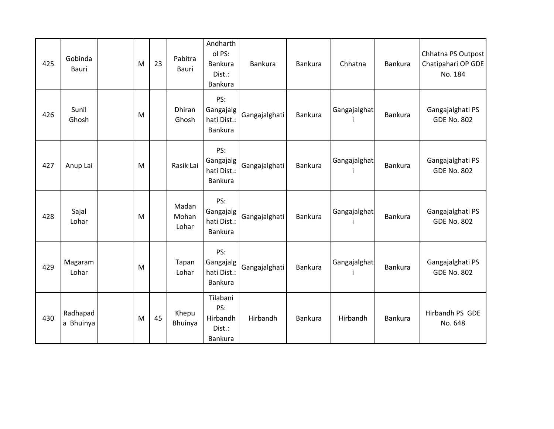| 425 | Gobinda<br>Bauri      | M | 23 | Pabitra<br>Bauri        | Andharth<br>ol PS:<br>Bankura<br>Dist.:<br><b>Bankura</b> | <b>Bankura</b> | <b>Bankura</b> | Chhatna      | Bankura        | Chhatna PS Outpost<br>Chatipahari OP GDE<br>No. 184 |
|-----|-----------------------|---|----|-------------------------|-----------------------------------------------------------|----------------|----------------|--------------|----------------|-----------------------------------------------------|
| 426 | Sunil<br>Ghosh        | M |    | Dhiran<br>Ghosh         | PS:<br>Gangajalg<br>hati Dist.:<br>Bankura                | Gangajalghati  | <b>Bankura</b> | Gangajalghat | <b>Bankura</b> | Gangajalghati PS<br><b>GDE No. 802</b>              |
| 427 | Anup Lai              | M |    | Rasik Lai               | PS:<br>Gangajalg<br>hati Dist.:<br><b>Bankura</b>         | Gangajalghati  | <b>Bankura</b> | Gangajalghat | <b>Bankura</b> | Gangajalghati PS<br><b>GDE No. 802</b>              |
| 428 | Sajal<br>Lohar        | M |    | Madan<br>Mohan<br>Lohar | PS:<br>Gangajalg<br>hati Dist.:<br>Bankura                | Gangajalghati  | <b>Bankura</b> | Gangajalghat | <b>Bankura</b> | Gangajalghati PS<br><b>GDE No. 802</b>              |
| 429 | Magaram<br>Lohar      | M |    | Tapan<br>Lohar          | PS:<br>Gangajalg<br>hati Dist.:<br><b>Bankura</b>         | Gangajalghati  | <b>Bankura</b> | Gangajalghat | <b>Bankura</b> | Gangajalghati PS<br><b>GDE No. 802</b>              |
| 430 | Radhapad<br>a Bhuinya | M | 45 | Khepu<br>Bhuinya        | Tilabani<br>PS:<br>Hirbandh<br>Dist.:<br>Bankura          | Hirbandh       | <b>Bankura</b> | Hirbandh     | Bankura        | Hirbandh PS GDE<br>No. 648                          |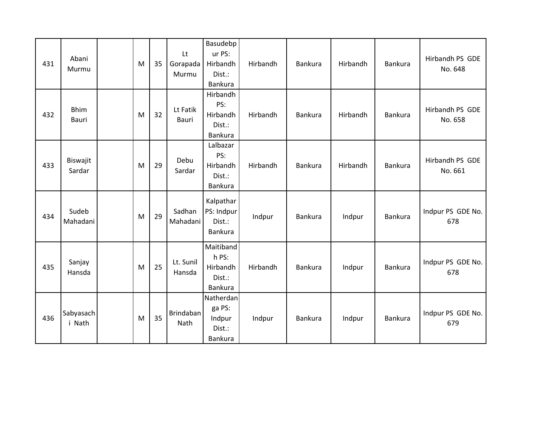| 431 | Abani<br>Murmu       | M | 35 | Lt<br>Gorapada<br>Murmu | Basudebp<br>ur PS:<br>Hirbandh<br>Dist.:<br>Bankura | Hirbandh | <b>Bankura</b> | Hirbandh | Bankura        | Hirbandh PS GDE<br>No. 648 |
|-----|----------------------|---|----|-------------------------|-----------------------------------------------------|----------|----------------|----------|----------------|----------------------------|
| 432 | <b>Bhim</b><br>Bauri | M | 32 | Lt Fatik<br>Bauri       | Hirbandh<br>PS:<br>Hirbandh<br>Dist.:<br>Bankura    | Hirbandh | <b>Bankura</b> | Hirbandh | <b>Bankura</b> | Hirbandh PS GDE<br>No. 658 |
| 433 | Biswajit<br>Sardar   | M | 29 | Debu<br>Sardar          | Lalbazar<br>PS:<br>Hirbandh<br>Dist.:<br>Bankura    | Hirbandh | <b>Bankura</b> | Hirbandh | <b>Bankura</b> | Hirbandh PS GDE<br>No. 661 |
| 434 | Sudeb<br>Mahadani    | M | 29 | Sadhan<br>Mahadani      | Kalpathar<br>PS: Indpur<br>Dist.:<br>Bankura        | Indpur   | Bankura        | Indpur   | Bankura        | Indpur PS GDE No.<br>678   |
| 435 | Sanjay<br>Hansda     | M | 25 | Lt. Sunil<br>Hansda     | Maitiband<br>h PS:<br>Hirbandh<br>Dist.:<br>Bankura | Hirbandh | <b>Bankura</b> | Indpur   | Bankura        | Indpur PS GDE No.<br>678   |
| 436 | Sabyasach<br>i Nath  | M | 35 | Brindaban<br>Nath       | Natherdan<br>ga PS:<br>Indpur<br>Dist.:<br>Bankura  | Indpur   | <b>Bankura</b> | Indpur   | <b>Bankura</b> | Indpur PS GDE No.<br>679   |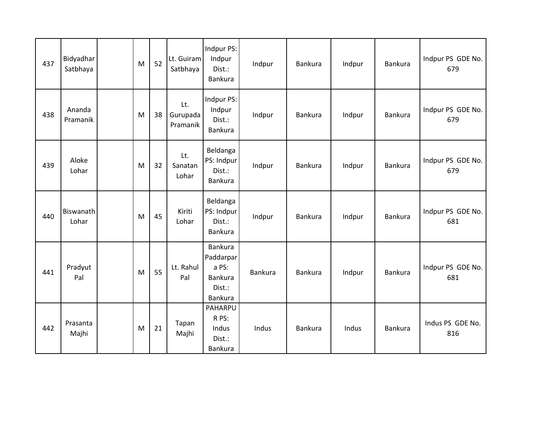| 437 | Bidyadhar<br>Satbhaya | M | 52 | Lt. Guiram<br>Satbhaya      | Indpur PS:<br>Indpur<br>Dist.:<br>Bankura                                   | Indpur  | Bankura        | Indpur | Bankura | Indpur PS GDE No.<br>679 |
|-----|-----------------------|---|----|-----------------------------|-----------------------------------------------------------------------------|---------|----------------|--------|---------|--------------------------|
| 438 | Ananda<br>Pramanik    | M | 38 | Lt.<br>Gurupada<br>Pramanik | Indpur PS:<br>Indpur<br>Dist.:<br><b>Bankura</b>                            | Indpur  | <b>Bankura</b> | Indpur | Bankura | Indpur PS GDE No.<br>679 |
| 439 | Aloke<br>Lohar        | M | 32 | Lt.<br>Sanatan<br>Lohar     | Beldanga<br>PS: Indpur<br>Dist.:<br><b>Bankura</b>                          | Indpur  | Bankura        | Indpur | Bankura | Indpur PS GDE No.<br>679 |
| 440 | Biswanath<br>Lohar    | M | 45 | Kiriti<br>Lohar             | Beldanga<br>PS: Indpur<br>Dist.:<br>Bankura                                 | Indpur  | Bankura        | Indpur | Bankura | Indpur PS GDE No.<br>681 |
| 441 | Pradyut<br>Pal        | M | 55 | Lt. Rahul<br>Pal            | Bankura<br>Paddarpar<br>a PS:<br><b>Bankura</b><br>Dist.:<br><b>Bankura</b> | Bankura | <b>Bankura</b> | Indpur | Bankura | Indpur PS GDE No.<br>681 |
| 442 | Prasanta<br>Majhi     | M | 21 | Tapan<br>Majhi              | PAHARPU<br>R PS:<br>Indus<br>Dist.:<br>Bankura                              | Indus   | Bankura        | Indus  | Bankura | Indus PS GDE No.<br>816  |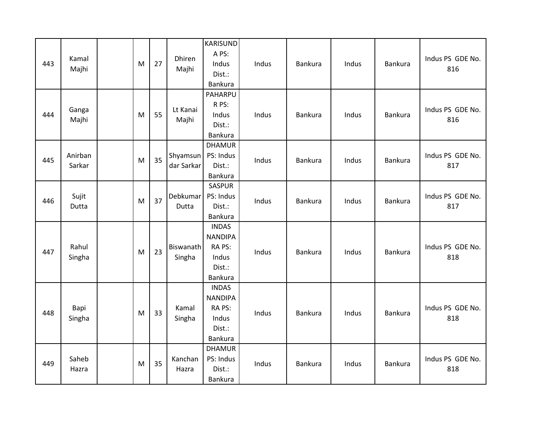| 443 | Kamal<br>Majhi    | M | 27 | Dhiren<br>Majhi        | KARISUND<br>A PS:<br>Indus<br>Dist.:<br>Bankura                        | Indus | Bankura        | Indus | Bankura | Indus PS GDE No.<br>816 |
|-----|-------------------|---|----|------------------------|------------------------------------------------------------------------|-------|----------------|-------|---------|-------------------------|
| 444 | Ganga<br>Majhi    | M | 55 | Lt Kanai<br>Majhi      | PAHARPU<br>R PS:<br>Indus<br>Dist.:<br>Bankura                         | Indus | Bankura        | Indus | Bankura | Indus PS GDE No.<br>816 |
| 445 | Anirban<br>Sarkar | M | 35 | Shyamsun<br>dar Sarkar | <b>DHAMUR</b><br>PS: Indus<br>Dist.:<br>Bankura                        | Indus | Bankura        | Indus | Bankura | Indus PS GDE No.<br>817 |
| 446 | Sujit<br>Dutta    | M | 37 | Debkumar<br>Dutta      | <b>SASPUR</b><br>PS: Indus<br>Dist.:<br>Bankura                        | Indus | Bankura        | Indus | Bankura | Indus PS GDE No.<br>817 |
| 447 | Rahul<br>Singha   | M | 23 | Biswanath<br>Singha    | <b>INDAS</b><br><b>NANDIPA</b><br>RA PS:<br>Indus<br>Dist.:<br>Bankura | Indus | Bankura        | Indus | Bankura | Indus PS GDE No.<br>818 |
| 448 | Bapi<br>Singha    | M | 33 | Kamal<br>Singha        | <b>INDAS</b><br><b>NANDIPA</b><br>RA PS:<br>Indus<br>Dist.:<br>Bankura | Indus | <b>Bankura</b> | Indus | Bankura | Indus PS GDE No.<br>818 |
| 449 | Saheb<br>Hazra    | M | 35 | Kanchan<br>Hazra       | <b>DHAMUR</b><br>PS: Indus<br>Dist.:<br>Bankura                        | Indus | Bankura        | Indus | Bankura | Indus PS GDE No.<br>818 |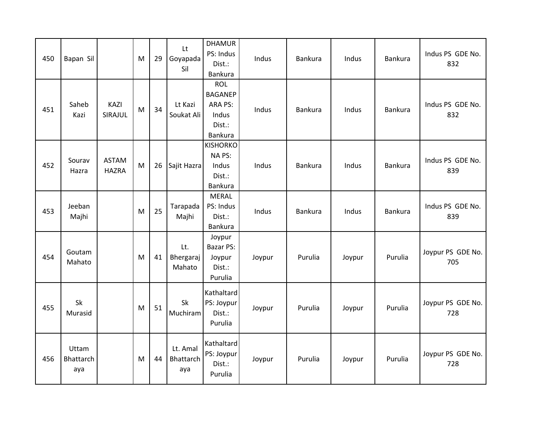| 450 | Bapan Sil                 |                              | M | 29 | Lt<br>Goyapada<br>Sil        | <b>DHAMUR</b><br>PS: Indus<br>Dist.:<br>Bankura                       | Indus  | Bankura        | Indus  | Bankura | Indus PS GDE No.<br>832  |
|-----|---------------------------|------------------------------|---|----|------------------------------|-----------------------------------------------------------------------|--------|----------------|--------|---------|--------------------------|
| 451 | Saheb<br>Kazi             | KAZI<br>SIRAJUL              | M | 34 | Lt Kazi<br>Soukat Ali        | <b>ROL</b><br><b>BAGANEP</b><br>ARA PS:<br>Indus<br>Dist.:<br>Bankura | Indus  | Bankura        | Indus  | Bankura | Indus PS GDE No.<br>832  |
| 452 | Sourav<br>Hazra           | <b>ASTAM</b><br><b>HAZRA</b> | M | 26 | Sajit Hazra                  | <b>KISHORKO</b><br>NA PS:<br>Indus<br>Dist.:<br>Bankura               | Indus  | <b>Bankura</b> | Indus  | Bankura | Indus PS GDE No.<br>839  |
| 453 | Jeeban<br>Majhi           |                              | M | 25 | Tarapada<br>Majhi            | <b>MERAL</b><br>PS: Indus<br>Dist.:<br>Bankura                        | Indus  | <b>Bankura</b> | Indus  | Bankura | Indus PS GDE No.<br>839  |
| 454 | Goutam<br>Mahato          |                              | M | 41 | Lt.<br>Bhergaraj<br>Mahato   | Joypur<br><b>Bazar PS:</b><br>Joypur<br>Dist.:<br>Purulia             | Joypur | Purulia        | Joypur | Purulia | Joypur PS GDE No.<br>705 |
| 455 | Sk<br>Murasid             |                              | M | 51 | Sk<br>Muchiram               | Kathaltard<br>PS: Joypur<br>Dist.:<br>Purulia                         | Joypur | Purulia        | Joypur | Purulia | Joypur PS GDE No.<br>728 |
| 456 | Uttam<br>Bhattarch<br>aya |                              | M | 44 | Lt. Amal<br>Bhattarch<br>aya | Kathaltard<br>PS: Joypur<br>Dist.:<br>Purulia                         | Joypur | Purulia        | Joypur | Purulia | Joypur PS GDE No.<br>728 |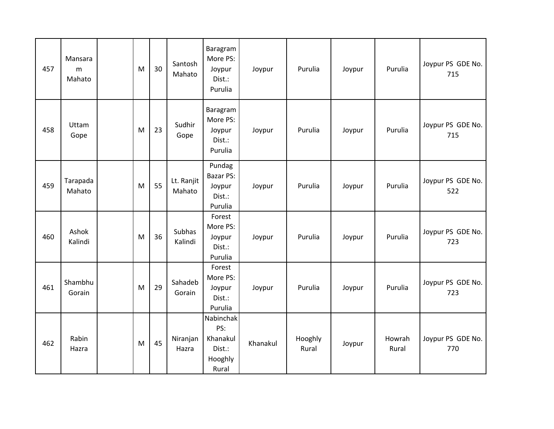| 457 | Mansara<br>m<br>Mahato | M | 30 | Santosh<br>Mahato    | Baragram<br>More PS:<br>Joypur<br>Dist.:<br>Purulia        | Joypur   | Purulia          | Joypur | Purulia         | Joypur PS GDE No.<br>715 |
|-----|------------------------|---|----|----------------------|------------------------------------------------------------|----------|------------------|--------|-----------------|--------------------------|
| 458 | Uttam<br>Gope          | M | 23 | Sudhir<br>Gope       | Baragram<br>More PS:<br>Joypur<br>Dist.:<br>Purulia        | Joypur   | Purulia          | Joypur | Purulia         | Joypur PS GDE No.<br>715 |
| 459 | Tarapada<br>Mahato     | M | 55 | Lt. Ranjit<br>Mahato | Pundag<br><b>Bazar PS:</b><br>Joypur<br>Dist.:<br>Purulia  | Joypur   | Purulia          | Joypur | Purulia         | Joypur PS GDE No.<br>522 |
| 460 | Ashok<br>Kalindi       | M | 36 | Subhas<br>Kalindi    | Forest<br>More PS:<br>Joypur<br>Dist.:<br>Purulia          | Joypur   | Purulia          | Joypur | Purulia         | Joypur PS GDE No.<br>723 |
| 461 | Shambhu<br>Gorain      | M | 29 | Sahadeb<br>Gorain    | Forest<br>More PS:<br>Joypur<br>Dist.:<br>Purulia          | Joypur   | Purulia          | Joypur | Purulia         | Joypur PS GDE No.<br>723 |
| 462 | Rabin<br>Hazra         | M | 45 | Niranjan<br>Hazra    | Nabinchak<br>PS:<br>Khanakul<br>Dist.:<br>Hooghly<br>Rural | Khanakul | Hooghly<br>Rural | Joypur | Howrah<br>Rural | Joypur PS GDE No.<br>770 |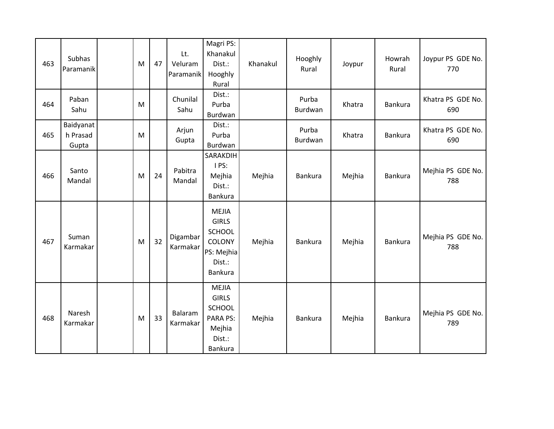| 463 | Subhas<br>Paramanik            | M | 47 | Lt.<br>Veluram<br>Paramanik | Magri PS:<br>Khanakul<br>Dist.:<br>Hooghly<br>Rural                                             | Khanakul | Hooghly<br>Rural | Joypur | Howrah<br>Rural | Joypur PS GDE No.<br>770 |
|-----|--------------------------------|---|----|-----------------------------|-------------------------------------------------------------------------------------------------|----------|------------------|--------|-----------------|--------------------------|
| 464 | Paban<br>Sahu                  | M |    | Chunilal<br>Sahu            | Dist.:<br>Purba<br>Burdwan                                                                      |          | Purba<br>Burdwan | Khatra | Bankura         | Khatra PS GDE No.<br>690 |
| 465 | Baidyanat<br>h Prasad<br>Gupta | M |    | Arjun<br>Gupta              | Dist.:<br>Purba<br>Burdwan                                                                      |          | Purba<br>Burdwan | Khatra | Bankura         | Khatra PS GDE No.<br>690 |
| 466 | Santo<br>Mandal                | M | 24 | Pabitra<br>Mandal           | SARAKDIH<br>I PS:<br>Mejhia<br>Dist.:<br>Bankura                                                | Mejhia   | Bankura          | Mejhia | Bankura         | Mejhia PS GDE No.<br>788 |
| 467 | Suman<br>Karmakar              | M | 32 | Digambar<br>Karmakar        | <b>MEJIA</b><br><b>GIRLS</b><br>SCHOOL<br>COLONY<br>PS: Mejhia<br>Dist.:<br>Bankura             | Mejhia   | <b>Bankura</b>   | Mejhia | Bankura         | Mejhia PS GDE No.<br>788 |
| 468 | Naresh<br>Karmakar             | M | 33 | Balaram<br>Karmakar         | <b>MEJIA</b><br><b>GIRLS</b><br><b>SCHOOL</b><br><b>PARA PS:</b><br>Mejhia<br>Dist.:<br>Bankura | Mejhia   | Bankura          | Mejhia | Bankura         | Mejhia PS GDE No.<br>789 |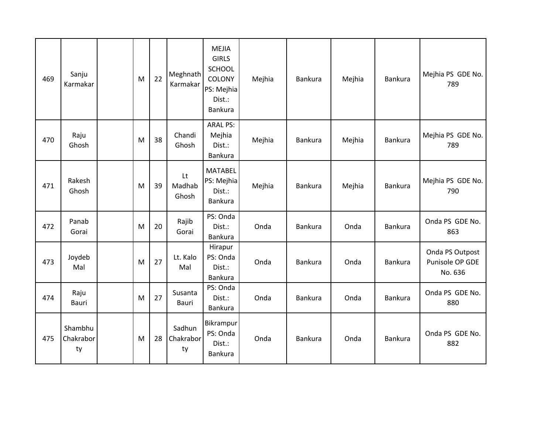| 469 | Sanju<br>Karmakar          | M | 22 | Meghnath<br>Karmakar      | <b>MEJIA</b><br><b>GIRLS</b><br>SCHOOL<br>COLONY<br>PS: Mejhia<br>Dist.:<br>Bankura | Mejhia | <b>Bankura</b> | Mejhia | Bankura | Mejhia PS GDE No.<br>789                      |
|-----|----------------------------|---|----|---------------------------|-------------------------------------------------------------------------------------|--------|----------------|--------|---------|-----------------------------------------------|
| 470 | Raju<br>Ghosh              | M | 38 | Chandi<br>Ghosh           | <b>ARAL PS:</b><br>Mejhia<br>Dist.:<br>Bankura                                      | Mejhia | <b>Bankura</b> | Mejhia | Bankura | Mejhia PS GDE No.<br>789                      |
| 471 | Rakesh<br>Ghosh            | M | 39 | Lt<br>Madhab<br>Ghosh     | <b>MATABEL</b><br>PS: Mejhia<br>Dist.:<br>Bankura                                   | Mejhia | Bankura        | Mejhia | Bankura | Mejhia PS GDE No.<br>790                      |
| 472 | Panab<br>Gorai             | M | 20 | Rajib<br>Gorai            | PS: Onda<br>Dist.:<br>Bankura                                                       | Onda   | <b>Bankura</b> | Onda   | Bankura | Onda PS GDE No.<br>863                        |
| 473 | Joydeb<br>Mal              | M | 27 | Lt. Kalo<br>Mal           | Hirapur<br>PS: Onda<br>Dist.:<br>Bankura                                            | Onda   | <b>Bankura</b> | Onda   | Bankura | Onda PS Outpost<br>Punisole OP GDE<br>No. 636 |
| 474 | Raju<br>Bauri              | M | 27 | Susanta<br>Bauri          | PS: Onda<br>Dist.:<br>Bankura                                                       | Onda   | <b>Bankura</b> | Onda   | Bankura | Onda PS GDE No.<br>880                        |
| 475 | Shambhu<br>Chakrabor<br>ty | M | 28 | Sadhun<br>Chakrabor<br>ty | Bikrampur<br>PS: Onda<br>Dist.:<br>Bankura                                          | Onda   | Bankura        | Onda   | Bankura | Onda PS GDE No.<br>882                        |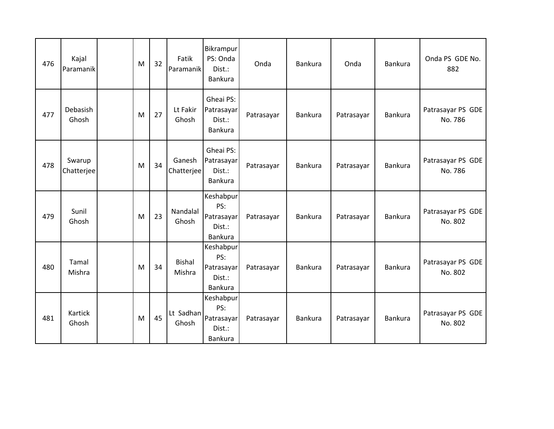| 476 | Kajal<br>Paramanik      | M | 32 | Fatik<br>Paramanik      | <b>Bikrampur</b><br>PS: Onda<br>Dist.:<br>Bankura   | Onda       | <b>Bankura</b> | Onda       | <b>Bankura</b> | Onda PS GDE No.<br>882       |
|-----|-------------------------|---|----|-------------------------|-----------------------------------------------------|------------|----------------|------------|----------------|------------------------------|
| 477 | Debasish<br>Ghosh       | M | 27 | Lt Fakir<br>Ghosh       | Gheai PS:<br>Patrasayar<br>Dist.:<br>Bankura        | Patrasayar | <b>Bankura</b> | Patrasayar | <b>Bankura</b> | Patrasayar PS GDE<br>No. 786 |
| 478 | Swarup<br>Chatterjee    | M | 34 | Ganesh<br>Chatterjee    | Gheai PS:<br>Patrasayar<br>Dist.:<br>Bankura        | Patrasayar | <b>Bankura</b> | Patrasayar | <b>Bankura</b> | Patrasayar PS GDE<br>No. 786 |
| 479 | Sunil<br>Ghosh          | M | 23 | Nandalal<br>Ghosh       | Keshabpur<br>PS:<br>Patrasayar<br>Dist.:<br>Bankura | Patrasayar | Bankura        | Patrasayar | <b>Bankura</b> | Patrasayar PS GDE<br>No. 802 |
| 480 | Tamal<br>Mishra         | M | 34 | <b>Bishal</b><br>Mishra | Keshabpur<br>PS:<br>Patrasayar<br>Dist.:<br>Bankura | Patrasayar | Bankura        | Patrasayar | <b>Bankura</b> | Patrasayar PS GDE<br>No. 802 |
| 481 | <b>Kartick</b><br>Ghosh | M | 45 | Lt Sadhan<br>Ghosh      | Keshabpur<br>PS:<br>Patrasayar<br>Dist.:<br>Bankura | Patrasayar | <b>Bankura</b> | Patrasayar | <b>Bankura</b> | Patrasayar PS GDE<br>No. 802 |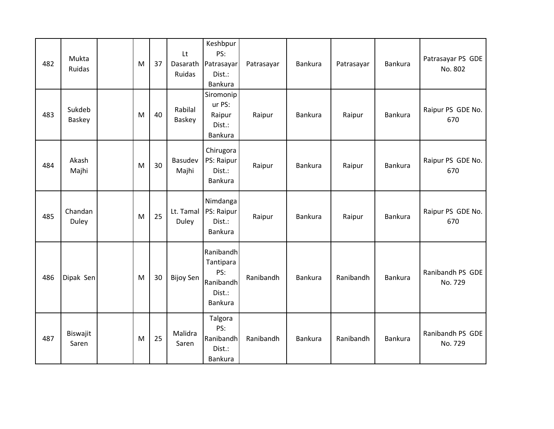| 482 | Mukta<br>Ruidas   | M | 37 | <b>Lt</b><br>Dasarath<br>Ruidas | Keshbpur<br>PS:<br>Patrasayar<br>Dist.:<br><b>Bankura</b>       | Patrasayar | Bankura        | Patrasayar | Bankura | Patrasayar PS GDE<br>No. 802 |
|-----|-------------------|---|----|---------------------------------|-----------------------------------------------------------------|------------|----------------|------------|---------|------------------------------|
| 483 | Sukdeb<br>Baskey  | M | 40 | Rabilal<br>Baskey               | Siromonip<br>ur PS:<br>Raipur<br>Dist.:<br>Bankura              | Raipur     | Bankura        | Raipur     | Bankura | Raipur PS GDE No.<br>670     |
| 484 | Akash<br>Majhi    | M | 30 | Basudev<br>Majhi                | Chirugora<br>PS: Raipur<br>Dist.:<br>Bankura                    | Raipur     | <b>Bankura</b> | Raipur     | Bankura | Raipur PS GDE No.<br>670     |
| 485 | Chandan<br>Duley  | M | 25 | Lt. Tamal<br>Duley              | Nimdanga<br>PS: Raipur<br>Dist.:<br>Bankura                     | Raipur     | Bankura        | Raipur     | Bankura | Raipur PS GDE No.<br>670     |
| 486 | Dipak Sen         | M | 30 | <b>Bijoy Sen</b>                | Ranibandh<br>Tantipara<br>PS:<br>Ranibandh<br>Dist.:<br>Bankura | Ranibandh  | Bankura        | Ranibandh  | Bankura | Ranibandh PS GDE<br>No. 729  |
| 487 | Biswajit<br>Saren | M | 25 | Malidra<br>Saren                | Talgora<br>PS:<br>Ranibandh<br>Dist.:<br>Bankura                | Ranibandh  | Bankura        | Ranibandh  | Bankura | Ranibandh PS GDE<br>No. 729  |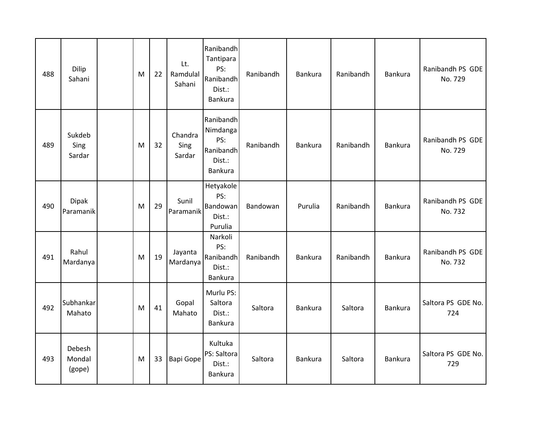| 488 | Dilip<br>Sahani            | M | 22 | Lt.<br>Ramdulal<br>Sahani | Ranibandh<br>Tantipara<br>PS:<br>Ranibandh<br>Dist.:<br>Bankura | Ranibandh | Bankura | Ranibandh | Bankura | Ranibandh PS GDE<br>No. 729 |
|-----|----------------------------|---|----|---------------------------|-----------------------------------------------------------------|-----------|---------|-----------|---------|-----------------------------|
| 489 | Sukdeb<br>Sing<br>Sardar   | M | 32 | Chandra<br>Sing<br>Sardar | Ranibandh<br>Nimdanga<br>PS:<br>Ranibandh<br>Dist.:<br>Bankura  | Ranibandh | Bankura | Ranibandh | Bankura | Ranibandh PS GDE<br>No. 729 |
| 490 | <b>Dipak</b><br>Paramanik  | M | 29 | Sunil<br>Paramanik        | Hetyakole<br>PS:<br>Bandowan<br>Dist.:<br>Purulia               | Bandowan  | Purulia | Ranibandh | Bankura | Ranibandh PS GDE<br>No. 732 |
| 491 | Rahul<br>Mardanya          | M | 19 | Jayanta<br>Mardanya       | Narkoli<br>PS:<br>Ranibandh<br>Dist.:<br>Bankura                | Ranibandh | Bankura | Ranibandh | Bankura | Ranibandh PS GDE<br>No. 732 |
| 492 | Subhankar<br>Mahato        | M | 41 | Gopal<br>Mahato           | Murlu PS:<br>Saltora<br>Dist.:<br>Bankura                       | Saltora   | Bankura | Saltora   | Bankura | Saltora PS GDE No.<br>724   |
| 493 | Debesh<br>Mondal<br>(gope) | M | 33 | Bapi Gope                 | Kultuka<br>PS: Saltora<br>Dist.:<br>Bankura                     | Saltora   | Bankura | Saltora   | Bankura | Saltora PS GDE No.<br>729   |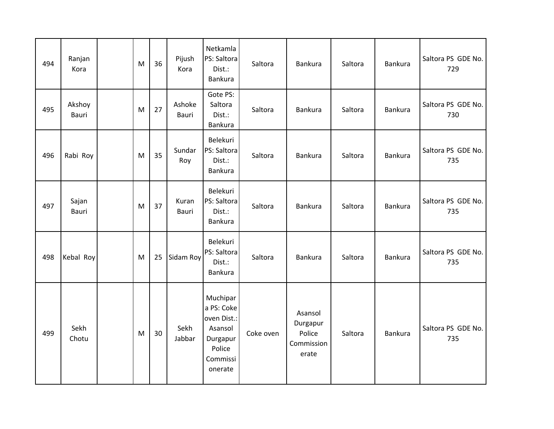| 494 | Ranjan<br>Kora  | M | 36 | Pijush<br>Kora  | Netkamla<br>PS: Saltora<br>Dist.:<br><b>Bankura</b>                                           | Saltora   | <b>Bankura</b>                                       | Saltora | Bankura | Saltora PS GDE No.<br>729 |
|-----|-----------------|---|----|-----------------|-----------------------------------------------------------------------------------------------|-----------|------------------------------------------------------|---------|---------|---------------------------|
| 495 | Akshoy<br>Bauri | M | 27 | Ashoke<br>Bauri | Gote PS:<br>Saltora<br>Dist.:<br><b>Bankura</b>                                               | Saltora   | <b>Bankura</b>                                       | Saltora | Bankura | Saltora PS GDE No.<br>730 |
| 496 | Rabi Roy        | M | 35 | Sundar<br>Roy   | Belekuri<br>PS: Saltora<br>Dist.:<br>Bankura                                                  | Saltora   | <b>Bankura</b>                                       | Saltora | Bankura | Saltora PS GDE No.<br>735 |
| 497 | Sajan<br>Bauri  | M | 37 | Kuran<br>Bauri  | Belekuri<br>PS: Saltora<br>Dist.:<br>Bankura                                                  | Saltora   | Bankura                                              | Saltora | Bankura | Saltora PS GDE No.<br>735 |
| 498 | Kebal Roy       | M | 25 | Sidam Roy       | Belekuri<br>PS: Saltora<br>Dist.:<br>Bankura                                                  | Saltora   | <b>Bankura</b>                                       | Saltora | Bankura | Saltora PS GDE No.<br>735 |
| 499 | Sekh<br>Chotu   | M | 30 | Sekh<br>Jabbar  | Muchipar<br>a PS: Coke<br>oven Dist.:<br>Asansol<br>Durgapur<br>Police<br>Commissi<br>onerate | Coke oven | Asansol<br>Durgapur<br>Police<br>Commission<br>erate | Saltora | Bankura | Saltora PS GDE No.<br>735 |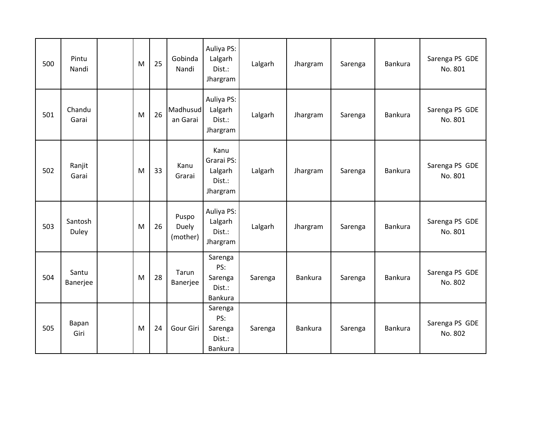| 500 | Pintu<br>Nandi    | M | 25 | Gobinda<br>Nandi           | Auliya PS:<br>Lalgarh<br>Dist.:<br>Jhargram         | Lalgarh | Jhargram       | Sarenga | <b>Bankura</b> | Sarenga PS GDE<br>No. 801 |
|-----|-------------------|---|----|----------------------------|-----------------------------------------------------|---------|----------------|---------|----------------|---------------------------|
| 501 | Chandu<br>Garai   | M | 26 | Madhusud<br>an Garai       | Auliya PS:<br>Lalgarh<br>Dist.:<br>Jhargram         | Lalgarh | Jhargram       | Sarenga | <b>Bankura</b> | Sarenga PS GDE<br>No. 801 |
| 502 | Ranjit<br>Garai   | M | 33 | Kanu<br>Grarai             | Kanu<br>Grarai PS:<br>Lalgarh<br>Dist.:<br>Jhargram | Lalgarh | Jhargram       | Sarenga | <b>Bankura</b> | Sarenga PS GDE<br>No. 801 |
| 503 | Santosh<br>Duley  | M | 26 | Puspo<br>Duely<br>(mother) | Auliya PS:<br>Lalgarh<br>Dist.:<br>Jhargram         | Lalgarh | Jhargram       | Sarenga | Bankura        | Sarenga PS GDE<br>No. 801 |
| 504 | Santu<br>Banerjee | M | 28 | Tarun<br>Banerjee          | Sarenga<br>PS:<br>Sarenga<br>Dist.:<br>Bankura      | Sarenga | Bankura        | Sarenga | <b>Bankura</b> | Sarenga PS GDE<br>No. 802 |
| 505 | Bapan<br>Giri     | M | 24 | Gour Giri                  | Sarenga<br>PS:<br>Sarenga<br>Dist.:<br>Bankura      | Sarenga | <b>Bankura</b> | Sarenga | Bankura        | Sarenga PS GDE<br>No. 802 |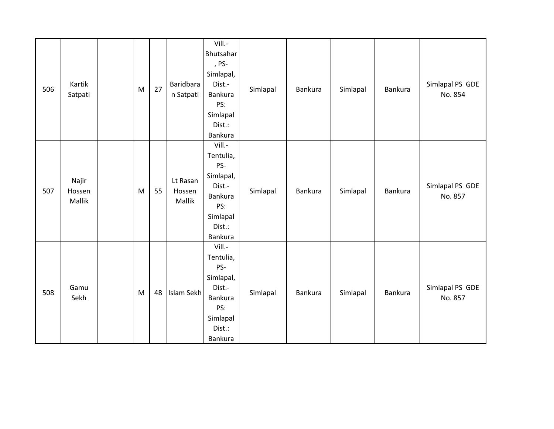| 506 | Kartik<br>Satpati         | ${\sf M}$ | 27 | Baridbara<br>n Satpati       | Vill.-<br>Bhutsahar<br>, PS-<br>Simlapal,<br>Dist.-<br>Bankura<br>PS:<br>Simlapal<br>Dist.:<br>Bankura | Simlapal | <b>Bankura</b> | Simlapal | Bankura | Simlapal PS GDE<br>No. 854 |
|-----|---------------------------|-----------|----|------------------------------|--------------------------------------------------------------------------------------------------------|----------|----------------|----------|---------|----------------------------|
| 507 | Najir<br>Hossen<br>Mallik | ${\sf M}$ | 55 | Lt Rasan<br>Hossen<br>Mallik | Vill.-<br>Tentulia,<br>PS-<br>Simlapal,<br>Dist.-<br>Bankura<br>PS:<br>Simlapal<br>Dist.:<br>Bankura   | Simlapal | <b>Bankura</b> | Simlapal | Bankura | Simlapal PS GDE<br>No. 857 |
| 508 | Gamu<br>Sekh              | ${\sf M}$ | 48 | Islam Sekh                   | Vill.-<br>Tentulia,<br>PS-<br>Simlapal,<br>Dist.-<br>Bankura<br>PS:<br>Simlapal<br>Dist.:<br>Bankura   | Simlapal | <b>Bankura</b> | Simlapal | Bankura | Simlapal PS GDE<br>No. 857 |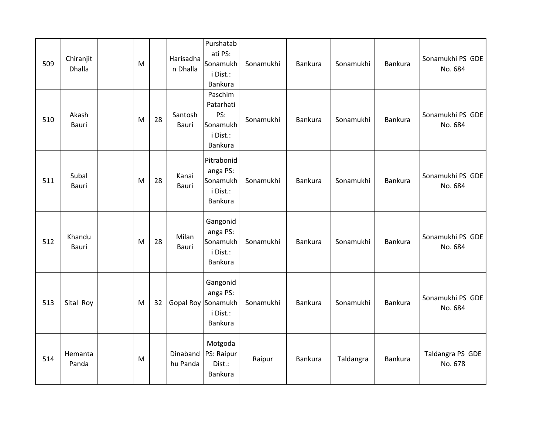| 509 | Chiranjit<br><b>Dhalla</b> | M |    | Harisadha<br>n Dhalla | Purshatab<br>ati PS:<br>Sonamukh<br>i Dist.:<br>Bankura           | Sonamukhi | Bankura        | Sonamukhi | Bankura        | Sonamukhi PS GDE<br>No. 684 |
|-----|----------------------------|---|----|-----------------------|-------------------------------------------------------------------|-----------|----------------|-----------|----------------|-----------------------------|
| 510 | Akash<br>Bauri             | M | 28 | Santosh<br>Bauri      | Paschim<br>Patarhati<br>PS:<br>Sonamukh<br>i Dist.:<br>Bankura    | Sonamukhi | Bankura        | Sonamukhi | <b>Bankura</b> | Sonamukhi PS GDE<br>No. 684 |
| 511 | Subal<br>Bauri             | M | 28 | Kanai<br>Bauri        | Pitrabonid<br>anga PS:<br>Sonamukh<br>i Dist.:<br>Bankura         | Sonamukhi | <b>Bankura</b> | Sonamukhi | Bankura        | Sonamukhi PS GDE<br>No. 684 |
| 512 | Khandu<br>Bauri            | M | 28 | Milan<br>Bauri        | Gangonid<br>anga PS:<br>Sonamukh<br>i Dist.:<br><b>Bankura</b>    | Sonamukhi | <b>Bankura</b> | Sonamukhi | Bankura        | Sonamukhi PS GDE<br>No. 684 |
| 513 | Sital Roy                  | M | 32 |                       | Gangonid<br>anga PS:<br>Gopal Roy Sonamukh<br>i Dist.:<br>Bankura | Sonamukhi | <b>Bankura</b> | Sonamukhi | Bankura        | Sonamukhi PS GDE<br>No. 684 |
| 514 | Hemanta<br>Panda           | M |    | Dinaband<br>hu Panda  | Motgoda<br>PS: Raipur<br>Dist.:<br>Bankura                        | Raipur    | <b>Bankura</b> | Taldangra | Bankura        | Taldangra PS GDE<br>No. 678 |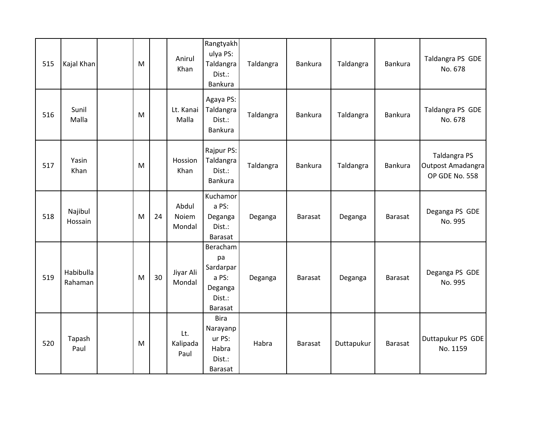| 515 | Kajal Khan           | M |    | Anirul<br>Khan           | Rangtyakh<br>ulya PS:<br>Taldangra<br>Dist.:<br>Bankura              | Taldangra | Bankura        | Taldangra  | Bankura        | Taldangra PS GDE<br>No. 678                         |
|-----|----------------------|---|----|--------------------------|----------------------------------------------------------------------|-----------|----------------|------------|----------------|-----------------------------------------------------|
| 516 | Sunil<br>Malla       | M |    | Lt. Kanai<br>Malla       | Agaya PS:<br>Taldangra<br>Dist.:<br>Bankura                          | Taldangra | Bankura        | Taldangra  | Bankura        | Taldangra PS GDE<br>No. 678                         |
| 517 | Yasin<br>Khan        | M |    | Hossion<br>Khan          | Rajpur PS:<br>Taldangra<br>Dist.:<br>Bankura                         | Taldangra | Bankura        | Taldangra  | Bankura        | Taldangra PS<br>Outpost Amadangra<br>OP GDE No. 558 |
| 518 | Najibul<br>Hossain   | M | 24 | Abdul<br>Noiem<br>Mondal | Kuchamor<br>a PS:<br>Deganga<br>Dist.:<br>Barasat                    | Deganga   | <b>Barasat</b> | Deganga    | Barasat        | Deganga PS GDE<br>No. 995                           |
| 519 | Habibulla<br>Rahaman | M | 30 | Jiyar Ali<br>Mondal      | Beracham<br>pa<br>Sardarpar<br>a PS:<br>Deganga<br>Dist.:<br>Barasat | Deganga   | Barasat        | Deganga    | <b>Barasat</b> | Deganga PS GDE<br>No. 995                           |
| 520 | Tapash<br>Paul       | M |    | Lt.<br>Kalipada<br>Paul  | <b>Bira</b><br>Narayanp<br>ur PS:<br>Habra<br>Dist.:<br>Barasat      | Habra     | Barasat        | Duttapukur | <b>Barasat</b> | Duttapukur PS GDE<br>No. 1159                       |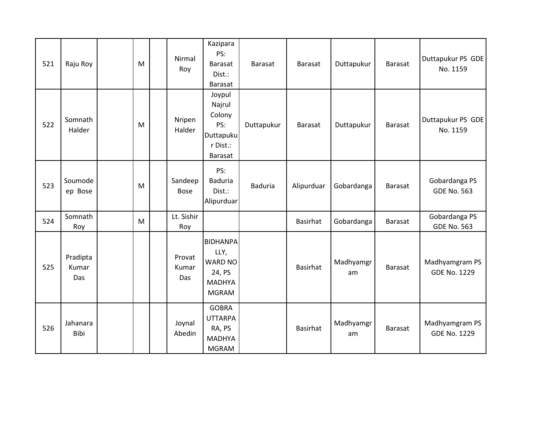| 521 | Raju Roy                 | M | Nirmal<br>Roy          | Kazipara<br>PS:<br><b>Barasat</b><br>Dist.:<br><b>Barasat</b>                 | <b>Barasat</b> | Barasat         | Duttapukur      | <b>Barasat</b> | Duttapukur PS GDE<br>No. 1159         |
|-----|--------------------------|---|------------------------|-------------------------------------------------------------------------------|----------------|-----------------|-----------------|----------------|---------------------------------------|
| 522 | Somnath<br>Halder        | M | Nripen<br>Halder       | Joypul<br>Najrul<br>Colony<br>PS:<br>Duttapuku<br>r Dist.:<br>Barasat         | Duttapukur     | Barasat         | Duttapukur      | <b>Barasat</b> | Duttapukur PS GDE<br>No. 1159         |
| 523 | Soumode<br>ep Bose       | M | Sandeep<br><b>Bose</b> | PS:<br>Baduria<br>Dist.:<br>Alipurduar                                        | <b>Baduria</b> | Alipurduar      | Gobardanga      | <b>Barasat</b> | Gobardanga PS<br><b>GDE No. 563</b>   |
| 524 | Somnath<br>Roy           | M | Lt. Sishir<br>Roy      |                                                                               |                | Basirhat        | Gobardanga      | <b>Barasat</b> | Gobardanga PS<br><b>GDE No. 563</b>   |
| 525 | Pradipta<br>Kumar<br>Das |   | Provat<br>Kumar<br>Das | <b>BIDHANPA</b><br>LLY,<br>WARD NO<br>24, PS<br><b>MADHYA</b><br><b>MGRAM</b> |                | <b>Basirhat</b> | Madhyamgr<br>am | <b>Barasat</b> | Madhyamgram PS<br><b>GDE No. 1229</b> |
| 526 | Jahanara<br>Bibi         |   | Joynal<br>Abedin       | <b>GOBRA</b><br><b>UTTARPA</b><br>RA, PS<br><b>MADHYA</b><br><b>MGRAM</b>     |                | <b>Basirhat</b> | Madhyamgr<br>am | <b>Barasat</b> | Madhyamgram PS<br><b>GDE No. 1229</b> |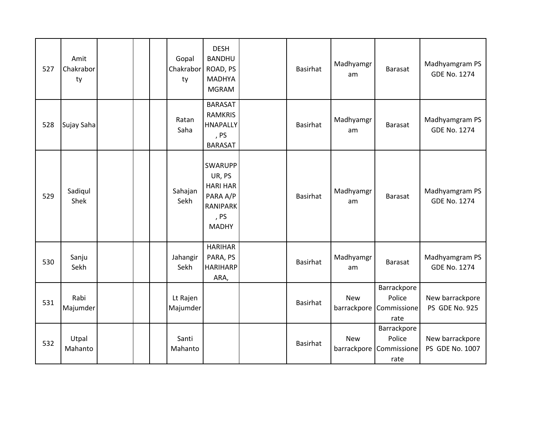| 527 | Amit<br>Chakrabor<br>ty |  | Gopal<br>Chakrabor<br>ty | <b>DESH</b><br><b>BANDHU</b><br>ROAD, PS<br><b>MADHYA</b><br><b>MGRAM</b>            | <b>Basirhat</b> | Madhyamgr<br>am           | <b>Barasat</b>                               | Madhyamgram PS<br><b>GDE No. 1274</b> |
|-----|-------------------------|--|--------------------------|--------------------------------------------------------------------------------------|-----------------|---------------------------|----------------------------------------------|---------------------------------------|
| 528 | Sujay Saha              |  | Ratan<br>Saha            | <b>BARASAT</b><br><b>RAMKRIS</b><br><b>HNAPALLY</b><br>, PS<br><b>BARASAT</b>        | Basirhat        | Madhyamgr<br>am           | <b>Barasat</b>                               | Madhyamgram PS<br><b>GDE No. 1274</b> |
| 529 | Sadiqul<br>Shek         |  | Sahajan<br>Sekh          | SWARUPP<br>UR, PS<br><b>HARI HAR</b><br>PARA A/P<br>RANIPARK<br>, PS<br><b>MADHY</b> | Basirhat        | Madhyamgr<br>am           | <b>Barasat</b>                               | Madhyamgram PS<br><b>GDE No. 1274</b> |
| 530 | Sanju<br>Sekh           |  | Jahangir<br>Sekh         | <b>HARIHAR</b><br>PARA, PS<br><b>HARIHARP</b><br>ARA,                                | <b>Basirhat</b> | Madhyamgr<br>am           | <b>Barasat</b>                               | Madhyamgram PS<br><b>GDE No. 1274</b> |
| 531 | Rabi<br>Majumder        |  | Lt Rajen<br>Majumder     |                                                                                      | Basirhat        | <b>New</b><br>barrackpore | Barrackpore<br>Police<br>Commissione<br>rate | New barrackpore<br>PS GDE No. 925     |
| 532 | Utpal<br>Mahanto        |  | Santi<br>Mahanto         |                                                                                      | Basirhat        | <b>New</b><br>barrackpore | Barrackpore<br>Police<br>Commissione<br>rate | New barrackpore<br>PS GDE No. 1007    |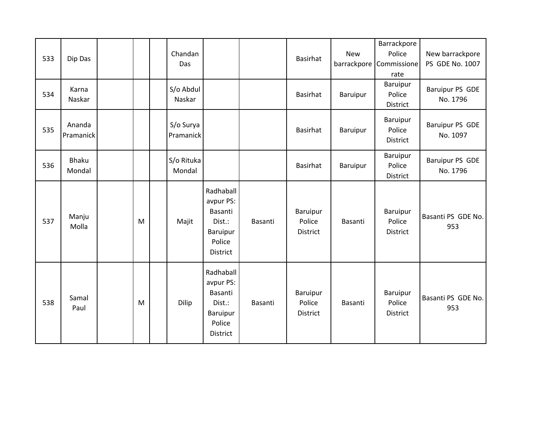| 533 | Dip Das             |   | Chandan<br>Das         |                                                                                      |         | Basirhat                              | <b>New</b><br>barrackpore | Barrackpore<br>Police<br>Commissione<br>rate | New barrackpore<br>PS GDE No. 1007 |
|-----|---------------------|---|------------------------|--------------------------------------------------------------------------------------|---------|---------------------------------------|---------------------------|----------------------------------------------|------------------------------------|
| 534 | Karna<br>Naskar     |   | S/o Abdul<br>Naskar    |                                                                                      |         | <b>Basirhat</b>                       | Baruipur                  | Baruipur<br>Police<br><b>District</b>        | Baruipur PS GDE<br>No. 1796        |
| 535 | Ananda<br>Pramanick |   | S/o Surya<br>Pramanick |                                                                                      |         | <b>Basirhat</b>                       | Baruipur                  | Baruipur<br>Police<br><b>District</b>        | <b>Baruipur PS GDE</b><br>No. 1097 |
| 536 | Bhaku<br>Mondal     |   | S/o Rituka<br>Mondal   |                                                                                      |         | <b>Basirhat</b>                       | <b>Baruipur</b>           | Baruipur<br>Police<br>District               | <b>Baruipur PS GDE</b><br>No. 1796 |
| 537 | Manju<br>Molla      | M | Majit                  | Radhaball<br>avpur PS:<br>Basanti<br>Dist.:<br>Baruipur<br>Police<br><b>District</b> | Basanti | Baruipur<br>Police<br>District        | Basanti                   | <b>Baruipur</b><br>Police<br><b>District</b> | Basanti PS GDE No.<br>953          |
| 538 | Samal<br>Paul       | M | Dilip                  | Radhaball<br>avpur PS:<br>Basanti<br>Dist.:<br>Baruipur<br>Police<br><b>District</b> | Basanti | Baruipur<br>Police<br><b>District</b> | Basanti                   | Baruipur<br>Police<br><b>District</b>        | Basanti PS GDE No.<br>953          |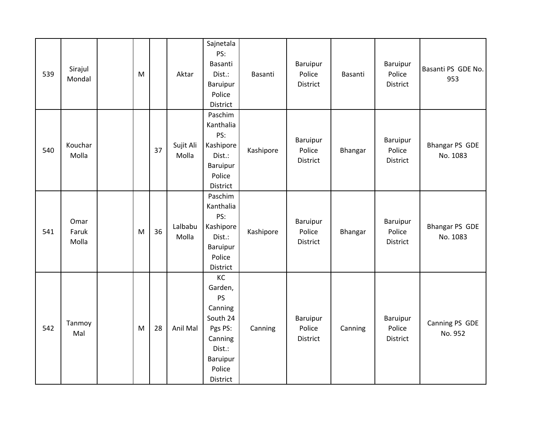| 539 | Sirajul<br>Mondal      | M |    | Aktar              | Sajnetala<br>PS:<br>Basanti<br>Dist.:<br>Baruipur<br>Police<br>District                                      | Basanti   | Baruipur<br>Police<br>District        | Basanti | Baruipur<br>Police<br>District        | Basanti PS GDE No.<br>953         |
|-----|------------------------|---|----|--------------------|--------------------------------------------------------------------------------------------------------------|-----------|---------------------------------------|---------|---------------------------------------|-----------------------------------|
| 540 | Kouchar<br>Molla       |   | 37 | Sujit Ali<br>Molla | Paschim<br>Kanthalia<br>PS:<br>Kashipore<br>Dist.:<br>Baruipur<br>Police<br>District                         | Kashipore | Baruipur<br>Police<br><b>District</b> | Bhangar | Baruipur<br>Police<br><b>District</b> | <b>Bhangar PS GDE</b><br>No. 1083 |
| 541 | Omar<br>Faruk<br>Molla | M | 36 | Lalbabu<br>Molla   | Paschim<br>Kanthalia<br>PS:<br>Kashipore<br>Dist.:<br>Baruipur<br>Police<br>District                         | Kashipore | Baruipur<br>Police<br>District        | Bhangar | Baruipur<br>Police<br>District        | <b>Bhangar PS GDE</b><br>No. 1083 |
| 542 | Tanmoy<br>Mal          | M | 28 | Anil Mal           | KC<br>Garden,<br>PS<br>Canning<br>South 24<br>Pgs PS:<br>Canning<br>Dist.:<br>Baruipur<br>Police<br>District | Canning   | Baruipur<br>Police<br>District        | Canning | Baruipur<br>Police<br>District        | Canning PS GDE<br>No. 952         |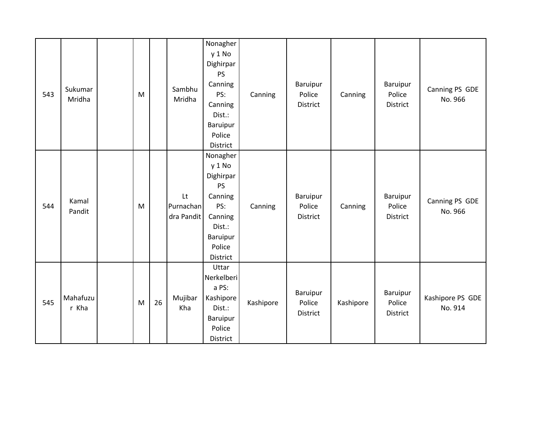| 543 | Sukumar<br>Mridha | ${\sf M}$ |    | Sambhu<br>Mridha              | Nonagher<br>y 1 No<br>Dighirpar<br><b>PS</b><br>Canning<br>PS:<br>Canning<br>Dist.:<br>Baruipur<br>Police<br>District | Canning   | Baruipur<br>Police<br>District | Canning   | Baruipur<br>Police<br><b>District</b> | Canning PS GDE<br>No. 966   |
|-----|-------------------|-----------|----|-------------------------------|-----------------------------------------------------------------------------------------------------------------------|-----------|--------------------------------|-----------|---------------------------------------|-----------------------------|
| 544 | Kamal<br>Pandit   | M         |    | Lt<br>Purnachan<br>dra Pandit | Nonagher<br>y 1 No<br>Dighirpar<br><b>PS</b><br>Canning<br>PS:<br>Canning<br>Dist.:<br>Baruipur<br>Police<br>District | Canning   | Baruipur<br>Police<br>District | Canning   | Baruipur<br>Police<br>District        | Canning PS GDE<br>No. 966   |
| 545 | Mahafuzu<br>r Kha | M         | 26 | Mujibar<br>Kha                | Uttar<br>Nerkelberi<br>a PS:<br>Kashipore<br>Dist.:<br>Baruipur<br>Police<br>District                                 | Kashipore | Baruipur<br>Police<br>District | Kashipore | Baruipur<br>Police<br>District        | Kashipore PS GDE<br>No. 914 |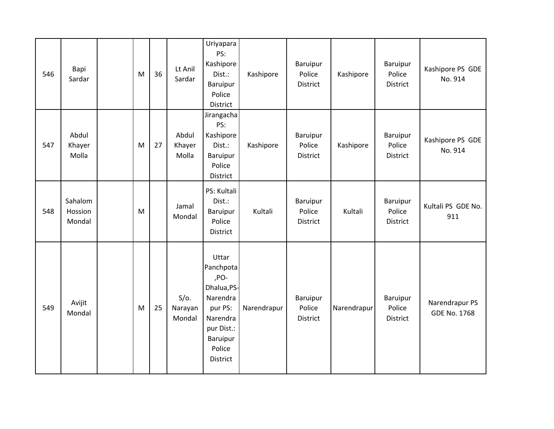| 546 | Bapi<br>Sardar               | M | 36 | Lt Anil<br>Sardar            | Uriyapara<br>PS:<br>Kashipore<br>Dist.:<br>Baruipur<br>Police<br>District                                                    | Kashipore   | Baruipur<br>Police<br>District | Kashipore   | Baruipur<br>Police<br>District | Kashipore PS GDE<br>No. 914           |
|-----|------------------------------|---|----|------------------------------|------------------------------------------------------------------------------------------------------------------------------|-------------|--------------------------------|-------------|--------------------------------|---------------------------------------|
| 547 | Abdul<br>Khayer<br>Molla     | M | 27 | Abdul<br>Khayer<br>Molla     | Jirangacha<br>PS:<br>Kashipore<br>Dist.:<br>Baruipur<br>Police<br>District                                                   | Kashipore   | Baruipur<br>Police<br>District | Kashipore   | Baruipur<br>Police<br>District | Kashipore PS GDE<br>No. 914           |
| 548 | Sahalom<br>Hossion<br>Mondal | M |    | Jamal<br>Mondal              | PS: Kultali<br>Dist.:<br>Baruipur<br>Police<br>District                                                                      | Kultali     | Baruipur<br>Police<br>District | Kultali     | Baruipur<br>Police<br>District | Kultali PS GDE No.<br>911             |
| 549 | Avijit<br>Mondal             | M | 25 | $S/O$ .<br>Narayan<br>Mondal | Uttar<br>Panchpota<br>,PO-<br>Dhalua, PS-<br>Narendra<br>pur PS:<br>Narendra<br>pur Dist.:<br>Baruipur<br>Police<br>District | Narendrapur | Baruipur<br>Police<br>District | Narendrapur | Baruipur<br>Police<br>District | Narendrapur PS<br><b>GDE No. 1768</b> |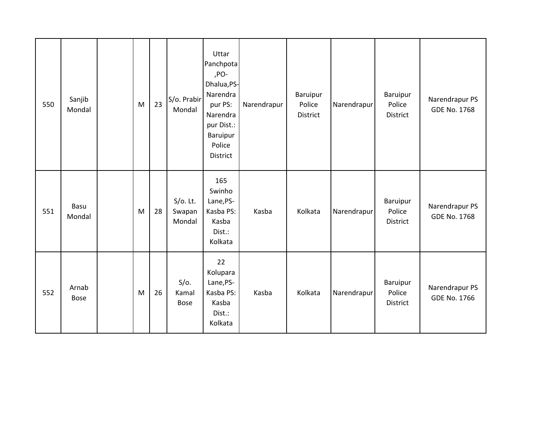| 550 | Sanjib<br>Mondal     | M | 23 | S/o. Prabir<br>Mondal           | Uttar<br>Panchpota<br>,PO-<br>Dhalua, PS-<br>Narendra<br>pur PS:<br>Narendra<br>pur Dist.:<br><b>Baruipur</b><br>Police<br>District | Narendrapur | Baruipur<br>Police<br>District | Narendrapur | Baruipur<br>Police<br>District | Narendrapur PS<br><b>GDE No. 1768</b> |
|-----|----------------------|---|----|---------------------------------|-------------------------------------------------------------------------------------------------------------------------------------|-------------|--------------------------------|-------------|--------------------------------|---------------------------------------|
| 551 | Basu<br>Mondal       | M | 28 | $S/O$ . Lt.<br>Swapan<br>Mondal | 165<br>Swinho<br>Lane, PS-<br>Kasba PS:<br>Kasba<br>Dist.:<br>Kolkata                                                               | Kasba       | Kolkata                        | Narendrapur | Baruipur<br>Police<br>District | Narendrapur PS<br><b>GDE No. 1768</b> |
| 552 | Arnab<br><b>Bose</b> | M | 26 | $S/O$ .<br>Kamal<br>Bose        | 22<br>Kolupara<br>Lane, PS-<br>Kasba PS:<br>Kasba<br>Dist.:<br>Kolkata                                                              | Kasba       | Kolkata                        | Narendrapur | Baruipur<br>Police<br>District | Narendrapur PS<br>GDE No. 1766        |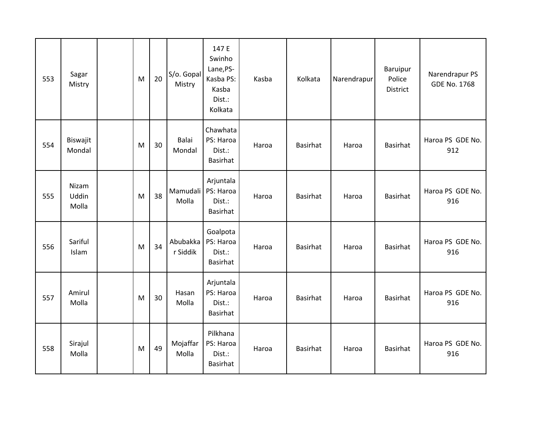| 553 | Sagar<br>Mistry         | M | 20 | S/o. Gopal<br>Mistry | 147 E<br>Swinho<br>Lane, PS-<br>Kasba PS:<br>Kasba<br>Dist.:<br>Kolkata | Kasba | Kolkata         | Narendrapur | Baruipur<br>Police<br>District | Narendrapur PS<br><b>GDE No. 1768</b> |
|-----|-------------------------|---|----|----------------------|-------------------------------------------------------------------------|-------|-----------------|-------------|--------------------------------|---------------------------------------|
| 554 | Biswajit<br>Mondal      | M | 30 | Balai<br>Mondal      | Chawhata<br>PS: Haroa<br>Dist.:<br><b>Basirhat</b>                      | Haroa | Basirhat        | Haroa       | Basirhat                       | Haroa PS GDE No.<br>912               |
| 555 | Nizam<br>Uddin<br>Molla | M | 38 | Mamudali<br>Molla    | Arjuntala<br>PS: Haroa<br>Dist.:<br>Basirhat                            | Haroa | Basirhat        | Haroa       | Basirhat                       | Haroa PS GDE No.<br>916               |
| 556 | Sariful<br>Islam        | M | 34 | Abubakka<br>r Siddik | Goalpota<br>PS: Haroa<br>Dist.:<br>Basirhat                             | Haroa | <b>Basirhat</b> | Haroa       | Basirhat                       | Haroa PS GDE No.<br>916               |
| 557 | Amirul<br>Molla         | M | 30 | Hasan<br>Molla       | Arjuntala<br>PS: Haroa<br>Dist.:<br>Basirhat                            | Haroa | Basirhat        | Haroa       | Basirhat                       | Haroa PS GDE No.<br>916               |
| 558 | Sirajul<br>Molla        | M | 49 | Mojaffar<br>Molla    | Pilkhana<br>PS: Haroa<br>Dist.:<br>Basirhat                             | Haroa | Basirhat        | Haroa       | Basirhat                       | Haroa PS GDE No.<br>916               |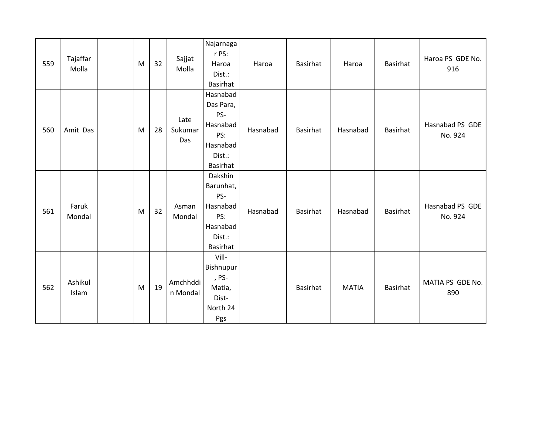| 559 | Tajaffar<br>Molla | M | 32 | Sajjat<br>Molla        | Najarnaga<br>r PS:<br>Haroa<br>Dist.:<br><b>Basirhat</b>                          | Haroa    | Basirhat        | Haroa        | <b>Basirhat</b> | Haroa PS GDE No.<br>916    |
|-----|-------------------|---|----|------------------------|-----------------------------------------------------------------------------------|----------|-----------------|--------------|-----------------|----------------------------|
| 560 | Amit Das          | M | 28 | Late<br>Sukumar<br>Das | Hasnabad<br>Das Para,<br>PS-<br>Hasnabad<br>PS:<br>Hasnabad<br>Dist.:<br>Basirhat | Hasnabad | Basirhat        | Hasnabad     | <b>Basirhat</b> | Hasnabad PS GDE<br>No. 924 |
| 561 | Faruk<br>Mondal   | M | 32 | Asman<br>Mondal        | Dakshin<br>Barunhat,<br>PS-<br>Hasnabad<br>PS:<br>Hasnabad<br>Dist.:<br>Basirhat  | Hasnabad | Basirhat        | Hasnabad     | <b>Basirhat</b> | Hasnabad PS GDE<br>No. 924 |
| 562 | Ashikul<br>Islam  | M | 19 | Amchhddi<br>n Mondal   | Vill-<br>Bishnupur<br>, PS-<br>Matia,<br>Dist-<br>North 24<br>Pgs                 |          | <b>Basirhat</b> | <b>MATIA</b> | <b>Basirhat</b> | MATIA PS GDE No.<br>890    |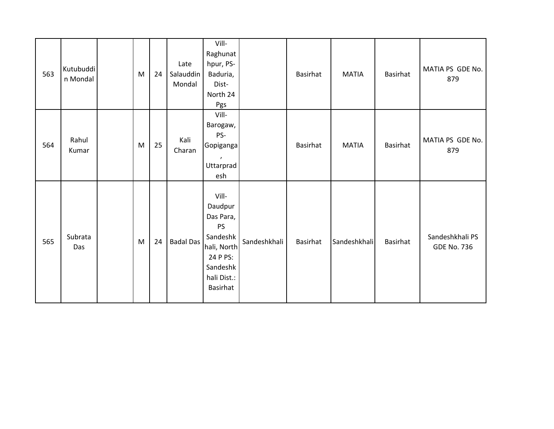| 563 | Kutubuddi<br>n Mondal | M | 24 | Late<br>Salauddin<br>Mondal | Vill-<br>Raghunat<br>hpur, PS-<br>Baduria,<br>Dist-<br>North 24<br>Pgs                                                          |              | Basirhat | <b>MATIA</b> | Basirhat | MATIA PS GDE No.<br>879               |
|-----|-----------------------|---|----|-----------------------------|---------------------------------------------------------------------------------------------------------------------------------|--------------|----------|--------------|----------|---------------------------------------|
| 564 | Rahul<br>Kumar        | M | 25 | Kali<br>Charan              | Vill-<br>Barogaw,<br>PS-<br>Gopiganga<br>$\cdot$<br>Uttarprad<br>esh                                                            |              | Basirhat | <b>MATIA</b> | Basirhat | MATIA PS GDE No.<br>879               |
| 565 | Subrata<br>Das        | M | 24 | <b>Badal Das</b>            | Vill-<br>Daudpur<br>Das Para,<br><b>PS</b><br>Sandeshk<br>hali, North<br>24 P PS:<br>Sandeshk<br>hali Dist.:<br><b>Basirhat</b> | Sandeshkhali | Basirhat | Sandeshkhali | Basirhat | Sandeshkhali PS<br><b>GDE No. 736</b> |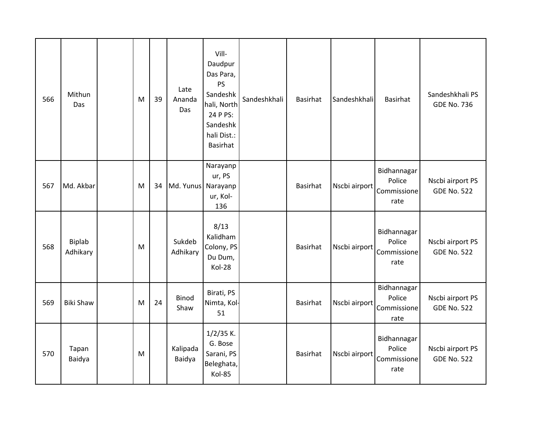| 566 | Mithun<br>Das      | M | 39 | Late<br>Ananda<br>Das | Vill-<br>Daudpur<br>Das Para,<br>PS<br>Sandeshk<br>hali, North<br>24 P PS:<br>Sandeshk<br>hali Dist.:<br><b>Basirhat</b> | Sandeshkhali | <b>Basirhat</b> | Sandeshkhali  | <b>Basirhat</b>                              | Sandeshkhali PS<br><b>GDE No. 736</b>  |
|-----|--------------------|---|----|-----------------------|--------------------------------------------------------------------------------------------------------------------------|--------------|-----------------|---------------|----------------------------------------------|----------------------------------------|
| 567 | Md. Akbar          | M | 34 | Md. Yunus Narayanp    | Narayanp<br>ur, PS<br>ur, Kol-<br>136                                                                                    |              | Basirhat        | Nscbi airport | Bidhannagar<br>Police<br>Commissione<br>rate | Nscbi airport PS<br><b>GDE No. 522</b> |
| 568 | Biplab<br>Adhikary | M |    | Sukdeb<br>Adhikary    | 8/13<br>Kalidham<br>Colony, PS<br>Du Dum,<br>Kol-28                                                                      |              | <b>Basirhat</b> | Nscbi airport | Bidhannagar<br>Police<br>Commissione<br>rate | Nscbi airport PS<br><b>GDE No. 522</b> |
| 569 | <b>Biki Shaw</b>   | M | 24 | <b>Binod</b><br>Shaw  | Birati, PS<br>Nimta, Kol-<br>51                                                                                          |              | <b>Basirhat</b> | Nscbi airport | Bidhannagar<br>Police<br>Commissione<br>rate | Nscbi airport PS<br><b>GDE No. 522</b> |
| 570 | Tapan<br>Baidya    | M |    | Kalipada<br>Baidya    | $1/2/35$ K.<br>G. Bose<br>Sarani, PS<br>Beleghata,<br>Kol-85                                                             |              | <b>Basirhat</b> | Nscbi airport | Bidhannagar<br>Police<br>Commissione<br>rate | Nscbi airport PS<br><b>GDE No. 522</b> |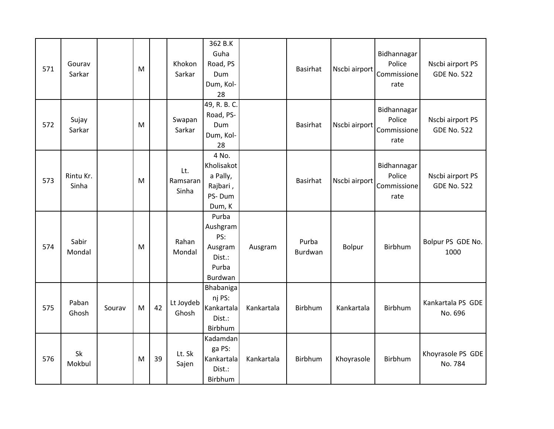| 571 | Gourav<br>Sarkar   |        | M |    | Khokon<br>Sarkar         | 362 B.K<br>Guha<br>Road, PS<br>Dum<br>Dum, Kol-<br>28             |            | Basirhat         | Nscbi airport | Bidhannagar<br>Police<br>Commissione<br>rate | Nscbi airport PS<br><b>GDE No. 522</b> |
|-----|--------------------|--------|---|----|--------------------------|-------------------------------------------------------------------|------------|------------------|---------------|----------------------------------------------|----------------------------------------|
| 572 | Sujay<br>Sarkar    |        | M |    | Swapan<br>Sarkar         | 49, R. B. C.<br>Road, PS-<br>Dum<br>Dum, Kol-<br>28               |            | Basirhat         | Nscbi airport | Bidhannagar<br>Police<br>Commissione<br>rate | Nscbi airport PS<br><b>GDE No. 522</b> |
| 573 | Rintu Kr.<br>Sinha |        | M |    | Lt.<br>Ramsaran<br>Sinha | 4 No.<br>Kholisakot<br>a Pally,<br>Rajbari,<br>PS-Dum<br>Dum, K   |            | Basirhat         | Nscbi airport | Bidhannagar<br>Police<br>Commissione<br>rate | Nscbi airport PS<br><b>GDE No. 522</b> |
| 574 | Sabir<br>Mondal    |        | M |    | Rahan<br>Mondal          | Purba<br>Aushgram<br>PS:<br>Ausgram<br>Dist.:<br>Purba<br>Burdwan | Ausgram    | Purba<br>Burdwan | Bolpur        | Birbhum                                      | Bolpur PS GDE No.<br>1000              |
| 575 | Paban<br>Ghosh     | Sourav | M | 42 | Lt Joydeb<br>Ghosh       | Bhabaniga<br>nj PS:<br>Kankartala<br>Dist.:<br>Birbhum            | Kankartala | Birbhum          | Kankartala    | Birbhum                                      | Kankartala PS GDE<br>No. 696           |
| 576 | Sk<br>Mokbul       |        | M | 39 | Lt. Sk<br>Sajen          | Kadamdan<br>ga PS:<br>Kankartala<br>Dist.:<br>Birbhum             | Kankartala | Birbhum          | Khoyrasole    | Birbhum                                      | Khoyrasole PS GDE<br>No. 784           |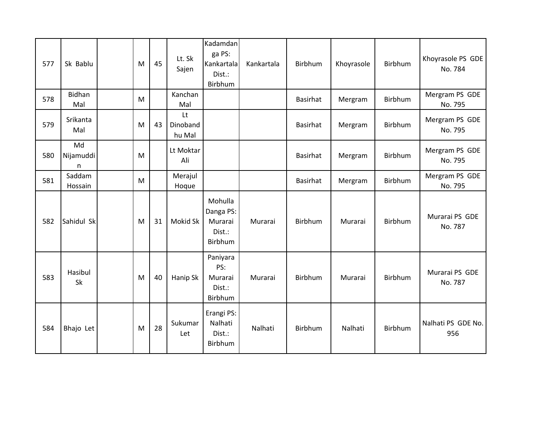| 577 | Sk Bablu             | M | 45 | Lt. Sk<br>Sajen          | Kadamdan<br>ga PS:<br>Kankartala<br>Dist.:<br>Birbhum | Kankartala | Birbhum        | Khoyrasole | Birbhum        | Khoyrasole PS GDE<br>No. 784 |
|-----|----------------------|---|----|--------------------------|-------------------------------------------------------|------------|----------------|------------|----------------|------------------------------|
| 578 | <b>Bidhan</b><br>Mal | M |    | Kanchan<br>Mal           |                                                       |            | Basirhat       | Mergram    | Birbhum        | Mergram PS GDE<br>No. 795    |
| 579 | Srikanta<br>Mal      | M | 43 | Lt<br>Dinoband<br>hu Mal |                                                       |            | Basirhat       | Mergram    | Birbhum        | Mergram PS GDE<br>No. 795    |
| 580 | Md<br>Nijamuddi<br>n | M |    | Lt Moktar<br>Ali         |                                                       |            | Basirhat       | Mergram    | Birbhum        | Mergram PS GDE<br>No. 795    |
| 581 | Saddam<br>Hossain    | M |    | Merajul<br>Hoque         |                                                       |            | Basirhat       | Mergram    | Birbhum        | Mergram PS GDE<br>No. 795    |
| 582 | Sahidul Sk           | M | 31 | Mokid Sk                 | Mohulla<br>Danga PS:<br>Murarai<br>Dist.:<br>Birbhum  | Murarai    | Birbhum        | Murarai    | Birbhum        | Murarai PS GDE<br>No. 787    |
| 583 | Hasibul<br>Sk        | M | 40 | Hanip Sk                 | Paniyara<br>PS:<br>Murarai<br>Dist.:<br>Birbhum       | Murarai    | <b>Birbhum</b> | Murarai    | <b>Birbhum</b> | Murarai PS GDE<br>No. 787    |
| 584 | Bhajo Let            | M | 28 | Sukumar<br>Let           | Erangi PS:<br>Nalhati<br>Dist.:<br>Birbhum            | Nalhati    | Birbhum        | Nalhati    | Birbhum        | Nalhati PS GDE No.<br>956    |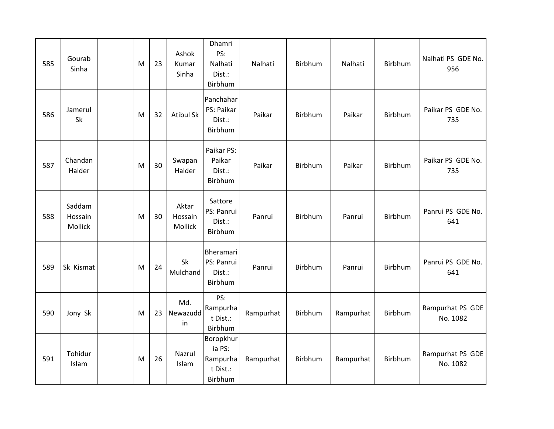| 585 | Gourab<br>Sinha                     | M | 23 | Ashok<br>Kumar<br>Sinha     | Dhamri<br>PS:<br>Nalhati<br>Dist.:<br>Birbhum          | Nalhati   | Birbhum | Nalhati   | Birbhum | Nalhati PS GDE No.<br>956    |
|-----|-------------------------------------|---|----|-----------------------------|--------------------------------------------------------|-----------|---------|-----------|---------|------------------------------|
| 586 | Jamerul<br>Sk                       | M | 32 | <b>Atibul Sk</b>            | Panchahar<br>PS: Paikar<br>Dist.:<br>Birbhum           | Paikar    | Birbhum | Paikar    | Birbhum | Paikar PS GDE No.<br>735     |
| 587 | Chandan<br>Halder                   | M | 30 | Swapan<br>Halder            | Paikar PS:<br>Paikar<br>Dist.:<br>Birbhum              | Paikar    | Birbhum | Paikar    | Birbhum | Paikar PS GDE No.<br>735     |
| 588 | Saddam<br>Hossain<br><b>Mollick</b> | M | 30 | Aktar<br>Hossain<br>Mollick | Sattore<br>PS: Panrui<br>Dist.:<br>Birbhum             | Panrui    | Birbhum | Panrui    | Birbhum | Panrui PS GDE No.<br>641     |
| 589 | Sk Kismat                           | M | 24 | Sk<br>Mulchand              | Bheramari<br>PS: Panrui<br>Dist.:<br>Birbhum           | Panrui    | Birbhum | Panrui    | Birbhum | Panrui PS GDE No.<br>641     |
| 590 | Jony Sk                             | M | 23 | Md.<br>Newazudd<br>in       | PS:<br>Rampurha<br>t Dist.:<br>Birbhum                 | Rampurhat | Birbhum | Rampurhat | Birbhum | Rampurhat PS GDE<br>No. 1082 |
| 591 | Tohidur<br>Islam                    | M | 26 | Nazrul<br>Islam             | Boropkhur<br>ia PS:<br>Rampurha<br>t Dist.:<br>Birbhum | Rampurhat | Birbhum | Rampurhat | Birbhum | Rampurhat PS GDE<br>No. 1082 |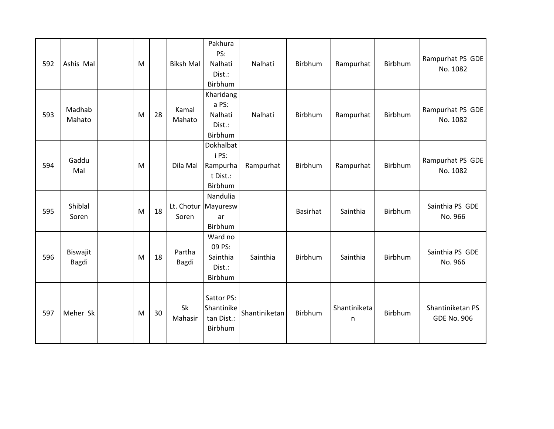| 592 | Ashis Mal         | M |    | <b>Biksh Mal</b> | Pakhura<br>PS:<br>Nalhati<br>Dist.:<br>Birbhum               | Nalhati       | Birbhum         | Rampurhat         | Birbhum        | Rampurhat PS GDE<br>No. 1082           |
|-----|-------------------|---|----|------------------|--------------------------------------------------------------|---------------|-----------------|-------------------|----------------|----------------------------------------|
| 593 | Madhab<br>Mahato  | M | 28 | Kamal<br>Mahato  | Kharidang<br>a PS:<br>Nalhati<br>Dist.:<br>Birbhum           | Nalhati       | Birbhum         | Rampurhat         | Birbhum        | Rampurhat PS GDE<br>No. 1082           |
| 594 | Gaddu<br>Mal      | M |    | Dila Mal         | <b>Dokhalbat</b><br>i PS:<br>Rampurha<br>t Dist.:<br>Birbhum | Rampurhat     | Birbhum         | Rampurhat         | Birbhum        | Rampurhat PS GDE<br>No. 1082           |
| 595 | Shiblal<br>Soren  | M | 18 | Soren            | Nandulia<br>Lt. Chotur   Mayuresw<br>ar<br>Birbhum           |               | <b>Basirhat</b> | Sainthia          | <b>Birbhum</b> | Sainthia PS GDE<br>No. 966             |
| 596 | Biswajit<br>Bagdi | M | 18 | Partha<br>Bagdi  | Ward no<br>09 PS:<br>Sainthia<br>Dist.:<br>Birbhum           | Sainthia      | <b>Birbhum</b>  | Sainthia          | Birbhum        | Sainthia PS GDE<br>No. 966             |
| 597 | Meher Sk          | M | 30 | Sk<br>Mahasir    | Sattor PS:<br>Shantinike<br>tan Dist.:<br>Birbhum            | Shantiniketan | <b>Birbhum</b>  | Shantiniketa<br>n | Birbhum        | Shantiniketan PS<br><b>GDE No. 906</b> |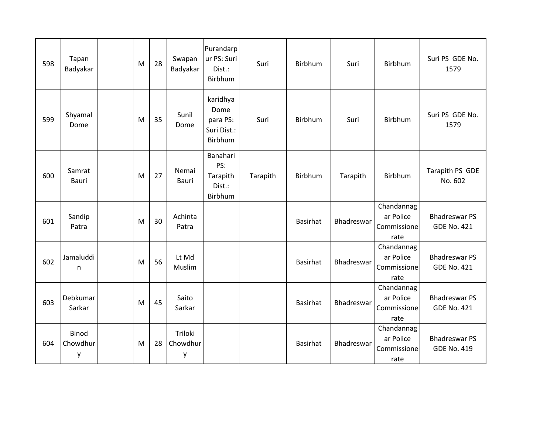| 598 | Tapan<br>Badyakar             | M | 28 | Swapan<br>Badyakar       | Purandarp<br>ur PS: Suri<br>Dist.:<br>Birbhum          | Suri     | Birbhum         | Suri       | Birbhum                                        | Suri PS GDE No.<br>1579                    |
|-----|-------------------------------|---|----|--------------------------|--------------------------------------------------------|----------|-----------------|------------|------------------------------------------------|--------------------------------------------|
| 599 | Shyamal<br>Dome               | M | 35 | Sunil<br>Dome            | karidhya<br>Dome<br>para PS:<br>Suri Dist.:<br>Birbhum | Suri     | Birbhum         | Suri       | <b>Birbhum</b>                                 | Suri PS GDE No.<br>1579                    |
| 600 | Samrat<br><b>Bauri</b>        | M | 27 | Nemai<br>Bauri           | Banahari<br>PS:<br>Tarapith<br>Dist.:<br>Birbhum       | Tarapith | <b>Birbhum</b>  | Tarapith   | <b>Birbhum</b>                                 | Tarapith PS GDE<br>No. 602                 |
| 601 | Sandip<br>Patra               | M | 30 | Achinta<br>Patra         |                                                        |          | <b>Basirhat</b> | Bhadreswar | Chandannag<br>ar Police<br>Commissione<br>rate | <b>Bhadreswar PS</b><br><b>GDE No. 421</b> |
| 602 | Jamaluddi<br>n                | M | 56 | Lt Md<br>Muslim          |                                                        |          | <b>Basirhat</b> | Bhadreswar | Chandannag<br>ar Police<br>Commissione<br>rate | <b>Bhadreswar PS</b><br><b>GDE No. 421</b> |
| 603 | Debkumar<br>Sarkar            | M | 45 | Saito<br>Sarkar          |                                                        |          | <b>Basirhat</b> | Bhadreswar | Chandannag<br>ar Police<br>Commissione<br>rate | <b>Bhadreswar PS</b><br><b>GDE No. 421</b> |
| 604 | <b>Binod</b><br>Chowdhur<br>у | M | 28 | Triloki<br>Chowdhur<br>у |                                                        |          | <b>Basirhat</b> | Bhadreswar | Chandannag<br>ar Police<br>Commissione<br>rate | <b>Bhadreswar PS</b><br><b>GDE No. 419</b> |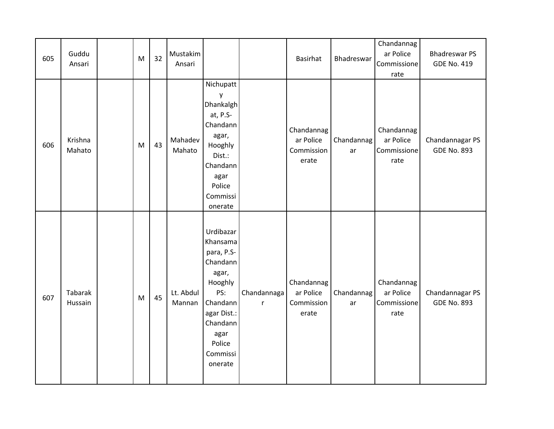| 605 | Guddu<br>Ansari    | M | 32 | Mustakim<br>Ansari  |                                                                                                                                                            |                  | <b>Basirhat</b>                                | Bhadreswar       | Chandannag<br>ar Police<br>Commissione<br>rate | <b>Bhadreswar PS</b><br><b>GDE No. 419</b> |
|-----|--------------------|---|----|---------------------|------------------------------------------------------------------------------------------------------------------------------------------------------------|------------------|------------------------------------------------|------------------|------------------------------------------------|--------------------------------------------|
| 606 | Krishna<br>Mahato  | M | 43 | Mahadev<br>Mahato   | Nichupatt<br>y<br>Dhankalgh<br>at, P.S-<br>Chandann<br>agar,<br>Hooghly<br>Dist.:<br>Chandann<br>agar<br>Police<br>Commissi<br>onerate                     |                  | Chandannag<br>ar Police<br>Commission<br>erate | Chandannag<br>ar | Chandannag<br>ar Police<br>Commissione<br>rate | Chandannagar PS<br><b>GDE No. 893</b>      |
| 607 | Tabarak<br>Hussain | M | 45 | Lt. Abdul<br>Mannan | Urdibazar<br>Khansama<br>para, P.S-<br>Chandann<br>agar,<br>Hooghly<br>PS:<br>Chandann<br>agar Dist.:<br>Chandann<br>agar<br>Police<br>Commissi<br>onerate | Chandannaga<br>r | Chandannag<br>ar Police<br>Commission<br>erate | Chandannag<br>ar | Chandannag<br>ar Police<br>Commissione<br>rate | Chandannagar PS<br><b>GDE No. 893</b>      |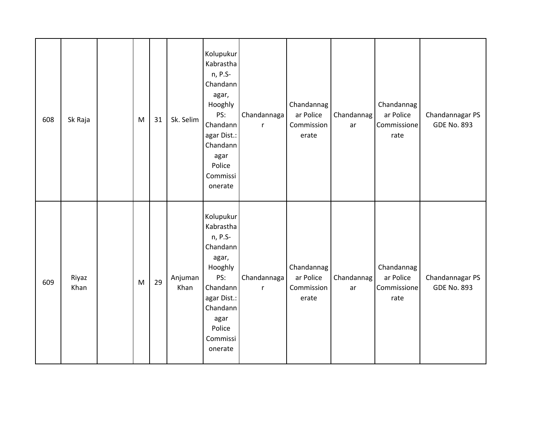| 608 | Sk Raja       | M | 31 | Sk. Selim       | Kolupukur<br>Kabrastha<br>n, P.S-<br>Chandann<br>agar,<br>Hooghly<br>PS:<br>Chandann<br>agar Dist.:<br>Chandann<br>agar<br>Police<br>Commissi<br>onerate | Chandannaga<br>$\mathsf{r}$ | Chandannag<br>ar Police<br>Commission<br>erate | Chandannag<br>ar | Chandannag<br>ar Police<br>Commissione<br>rate | Chandannagar PS<br><b>GDE No. 893</b> |
|-----|---------------|---|----|-----------------|----------------------------------------------------------------------------------------------------------------------------------------------------------|-----------------------------|------------------------------------------------|------------------|------------------------------------------------|---------------------------------------|
| 609 | Riyaz<br>Khan | M | 29 | Anjuman<br>Khan | Kolupukur<br>Kabrastha<br>n, P.S-<br>Chandann<br>agar,<br>Hooghly<br>PS:<br>Chandann<br>agar Dist.:<br>Chandann<br>agar<br>Police<br>Commissi<br>onerate | Chandannaga<br>$\mathsf{r}$ | Chandannag<br>ar Police<br>Commission<br>erate | Chandannag<br>ar | Chandannag<br>ar Police<br>Commissione<br>rate | Chandannagar PS<br><b>GDE No. 893</b> |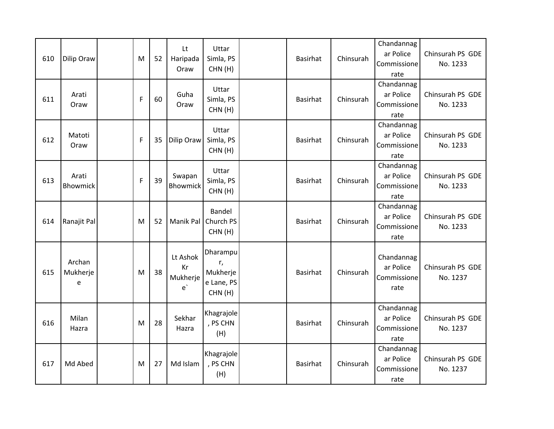| 610 | <b>Dilip Oraw</b>        | M | 52 | Lt<br>Haripada<br>Oraw          | Uttar<br>Simla, PS<br>CHN(H)                       | Basirhat        | Chinsurah | Chandannag<br>ar Police<br>Commissione<br>rate | Chinsurah PS GDE<br>No. 1233 |
|-----|--------------------------|---|----|---------------------------------|----------------------------------------------------|-----------------|-----------|------------------------------------------------|------------------------------|
| 611 | Arati<br>Oraw            | F | 60 | Guha<br>Oraw                    | Uttar<br>Simla, PS<br>CHN(H)                       | <b>Basirhat</b> | Chinsurah | Chandannag<br>ar Police<br>Commissione<br>rate | Chinsurah PS GDE<br>No. 1233 |
| 612 | Matoti<br>Oraw           | F | 35 | <b>Dilip Oraw</b>               | Uttar<br>Simla, PS<br>CHN(H)                       | Basirhat        | Chinsurah | Chandannag<br>ar Police<br>Commissione<br>rate | Chinsurah PS GDE<br>No. 1233 |
| 613 | Arati<br><b>Bhowmick</b> | F | 39 | Swapan<br>Bhowmick              | Uttar<br>Simla, PS<br>CHN(H)                       | Basirhat        | Chinsurah | Chandannag<br>ar Police<br>Commissione<br>rate | Chinsurah PS GDE<br>No. 1233 |
| 614 | Ranajit Pal              | M | 52 | Manik Pal                       | <b>Bandel</b><br>Church PS<br>CHN(H)               | <b>Basirhat</b> | Chinsurah | Chandannag<br>ar Police<br>Commissione<br>rate | Chinsurah PS GDE<br>No. 1233 |
| 615 | Archan<br>Mukherje<br>e  | M | 38 | Lt Ashok<br>Kr<br>Mukherje<br>e | Dharampu<br>r,<br>Mukherje<br>e Lane, PS<br>CHN(H) | Basirhat        | Chinsurah | Chandannag<br>ar Police<br>Commissione<br>rate | Chinsurah PS GDE<br>No. 1237 |
| 616 | Milan<br>Hazra           | M | 28 | Sekhar<br>Hazra                 | Khagrajole<br>, PS CHN<br>(H)                      | <b>Basirhat</b> | Chinsurah | Chandannag<br>ar Police<br>Commissione<br>rate | Chinsurah PS GDE<br>No. 1237 |
| 617 | Md Abed                  | M | 27 | Md Islam                        | Khagrajole<br>, PS CHN<br>(H)                      | <b>Basirhat</b> | Chinsurah | Chandannag<br>ar Police<br>Commissione<br>rate | Chinsurah PS GDE<br>No. 1237 |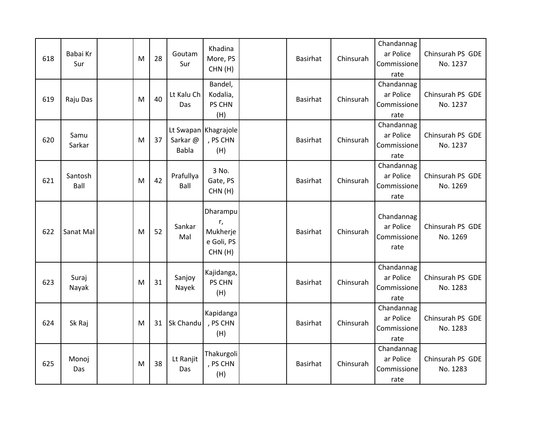| 618 | Babai Kr<br>Sur | M | 28 | Goutam<br>Sur           | Khadina<br>More, PS<br>CHN(H)                      | Basirhat        | Chinsurah | Chandannag<br>ar Police<br>Commissione<br>rate | Chinsurah PS GDE<br>No. 1237 |
|-----|-----------------|---|----|-------------------------|----------------------------------------------------|-----------------|-----------|------------------------------------------------|------------------------------|
| 619 | Raju Das        | M | 40 | Lt Kalu Ch<br>Das       | Bandel,<br>Kodalia,<br>PS CHN<br>(H)               | <b>Basirhat</b> | Chinsurah | Chandannag<br>ar Police<br>Commissione<br>rate | Chinsurah PS GDE<br>No. 1237 |
| 620 | Samu<br>Sarkar  | M | 37 | Sarkar@<br><b>Babla</b> | Lt Swapan Khagrajole<br>, PS CHN<br>(H)            | <b>Basirhat</b> | Chinsurah | Chandannag<br>ar Police<br>Commissione<br>rate | Chinsurah PS GDE<br>No. 1237 |
| 621 | Santosh<br>Ball | M | 42 | Prafullya<br>Ball       | 3 No.<br>Gate, PS<br>CHN(H)                        | <b>Basirhat</b> | Chinsurah | Chandannag<br>ar Police<br>Commissione<br>rate | Chinsurah PS GDE<br>No. 1269 |
| 622 | Sanat Mal       | M | 52 | Sankar<br>Mal           | Dharampu<br>r,<br>Mukherje<br>e Goli, PS<br>CHN(H) | Basirhat        | Chinsurah | Chandannag<br>ar Police<br>Commissione<br>rate | Chinsurah PS GDE<br>No. 1269 |
| 623 | Suraj<br>Nayak  | M | 31 | Sanjoy<br>Nayek         | Kajidanga,<br>PS CHN<br>(H)                        | <b>Basirhat</b> | Chinsurah | Chandannag<br>ar Police<br>Commissione<br>rate | Chinsurah PS GDE<br>No. 1283 |
| 624 | Sk Raj          | M | 31 | Sk Chandu               | Kapidanga<br>, PS CHN<br>(H)                       | <b>Basirhat</b> | Chinsurah | Chandannag<br>ar Police<br>Commissione<br>rate | Chinsurah PS GDE<br>No. 1283 |
| 625 | Monoj<br>Das    | M | 38 | Lt Ranjit<br>Das        | Thakurgoli<br>, PS CHN<br>(H)                      | <b>Basirhat</b> | Chinsurah | Chandannag<br>ar Police<br>Commissione<br>rate | Chinsurah PS GDE<br>No. 1283 |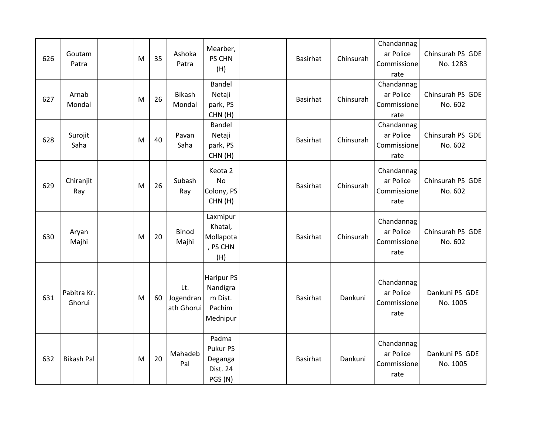| 626 | Goutam<br>Patra       | M | 35 | Ashoka<br>Patra                | Mearber,<br>PS CHN<br>(H)                               | Basirhat        | Chinsurah | Chandannag<br>ar Police<br>Commissione<br>rate | Chinsurah PS GDE<br>No. 1283 |
|-----|-----------------------|---|----|--------------------------------|---------------------------------------------------------|-----------------|-----------|------------------------------------------------|------------------------------|
| 627 | Arnab<br>Mondal       | M | 26 | Bikash<br>Mondal               | Bandel<br>Netaji<br>park, PS<br>CHN(H)                  | <b>Basirhat</b> | Chinsurah | Chandannag<br>ar Police<br>Commissione<br>rate | Chinsurah PS GDE<br>No. 602  |
| 628 | Surojit<br>Saha       | M | 40 | Pavan<br>Saha                  | Bandel<br>Netaji<br>park, PS<br>CHN(H)                  | <b>Basirhat</b> | Chinsurah | Chandannag<br>ar Police<br>Commissione<br>rate | Chinsurah PS GDE<br>No. 602  |
| 629 | Chiranjit<br>Ray      | M | 26 | Subash<br>Ray                  | Keota 2<br>No<br>Colony, PS<br>CHN(H)                   | <b>Basirhat</b> | Chinsurah | Chandannag<br>ar Police<br>Commissione<br>rate | Chinsurah PS GDE<br>No. 602  |
| 630 | Aryan<br>Majhi        | M | 20 | Binod<br>Majhi                 | Laxmipur<br>Khatal,<br>Mollapota<br>, PS CHN<br>(H)     | Basirhat        | Chinsurah | Chandannag<br>ar Police<br>Commissione<br>rate | Chinsurah PS GDE<br>No. 602  |
| 631 | Pabitra Kr.<br>Ghorui | M | 60 | Lt.<br>Jogendran<br>ath Ghorui | Haripur PS<br>Nandigra<br>m Dist.<br>Pachim<br>Mednipur | <b>Basirhat</b> | Dankuni   | Chandannag<br>ar Police<br>Commissione<br>rate | Dankuni PS GDE<br>No. 1005   |
| 632 | <b>Bikash Pal</b>     | M | 20 | Mahadeb<br>Pal                 | Padma<br>Pukur PS<br>Deganga<br>Dist. 24<br>PGS (N)     | <b>Basirhat</b> | Dankuni   | Chandannag<br>ar Police<br>Commissione<br>rate | Dankuni PS GDE<br>No. 1005   |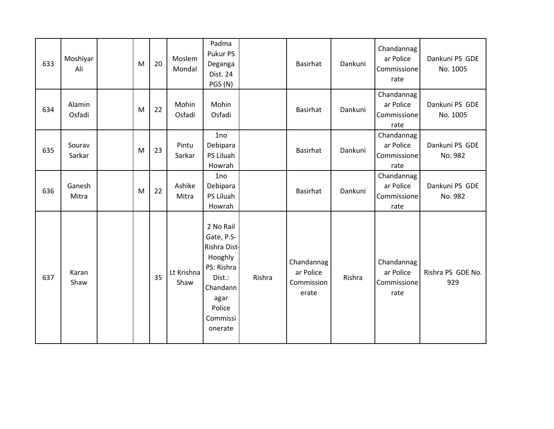| 633 | Moshiyar<br>Ali  | M | 20 | Moslem<br>Mondal   | Padma<br>Pukur PS<br>Deganga<br>Dist. 24<br>PGS (N)                                                                             |        | Basirhat                                       | Dankuni | Chandannag<br>ar Police<br>Commissione<br>rate | Dankuni PS GDE<br>No. 1005 |
|-----|------------------|---|----|--------------------|---------------------------------------------------------------------------------------------------------------------------------|--------|------------------------------------------------|---------|------------------------------------------------|----------------------------|
| 634 | Alamin<br>Osfadi | M | 22 | Mohin<br>Osfadi    | Mohin<br>Osfadi                                                                                                                 |        | Basirhat                                       | Dankuni | Chandannag<br>ar Police<br>Commissione<br>rate | Dankuni PS GDE<br>No. 1005 |
| 635 | Sourav<br>Sarkar | M | 23 | Pintu<br>Sarkar    | 1no<br>Debipara<br>PS Liluah<br>Howrah                                                                                          |        | Basirhat                                       | Dankuni | Chandannag<br>ar Police<br>Commissione<br>rate | Dankuni PS GDE<br>No. 982  |
| 636 | Ganesh<br>Mitra  | M | 22 | Ashike<br>Mitra    | 1no<br>Debipara<br>PS Liluah<br>Howrah                                                                                          |        | Basirhat                                       | Dankuni | Chandannag<br>ar Police<br>Commissione<br>rate | Dankuni PS GDE<br>No. 982  |
| 637 | Karan<br>Shaw    |   | 35 | Lt Krishna<br>Shaw | 2 No Rail<br>Gate, P.S-<br>Rishra Dist-<br>Hooghly<br>PS: Rishra<br>Dist.:<br>Chandann<br>agar<br>Police<br>Commissi<br>onerate | Rishra | Chandannag<br>ar Police<br>Commission<br>erate | Rishra  | Chandannag<br>ar Police<br>Commissione<br>rate | Rishra PS GDE No.<br>929   |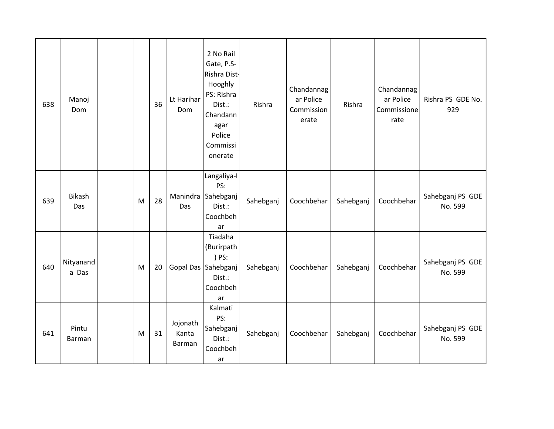| 638 | Manoj<br>Dom       |   | 36 | Lt Harihar<br>Dom           | 2 No Rail<br>Gate, P.S-<br>Rishra Dist-<br>Hooghly<br>PS: Rishra<br>Dist.:<br>Chandann<br>agar<br>Police<br>Commissi<br>onerate | Rishra    | Chandannag<br>ar Police<br>Commission<br>erate | Rishra    | Chandannag<br>ar Police<br>Commissione<br>rate | Rishra PS GDE No.<br>929    |
|-----|--------------------|---|----|-----------------------------|---------------------------------------------------------------------------------------------------------------------------------|-----------|------------------------------------------------|-----------|------------------------------------------------|-----------------------------|
| 639 | Bikash<br>Das      | M | 28 | Das                         | Langaliya-I<br>PS:<br>Manindra Sahebganj<br>Dist.:<br>Coochbeh<br>ar                                                            | Sahebganj | Coochbehar                                     | Sahebganj | Coochbehar                                     | Sahebganj PS GDE<br>No. 599 |
| 640 | Nityanand<br>a Das | M | 20 |                             | Tiadaha<br>(Burirpath<br>) PS:<br>Gopal Das Sahebganj<br>Dist.:<br>Coochbeh<br>ar                                               | Sahebganj | Coochbehar                                     | Sahebganj | Coochbehar                                     | Sahebganj PS GDE<br>No. 599 |
| 641 | Pintu<br>Barman    | M | 31 | Jojonath<br>Kanta<br>Barman | Kalmati<br>PS:<br>Sahebganj<br>Dist.:<br>Coochbeh<br>ar                                                                         | Sahebganj | Coochbehar                                     | Sahebganj | Coochbehar                                     | Sahebganj PS GDE<br>No. 599 |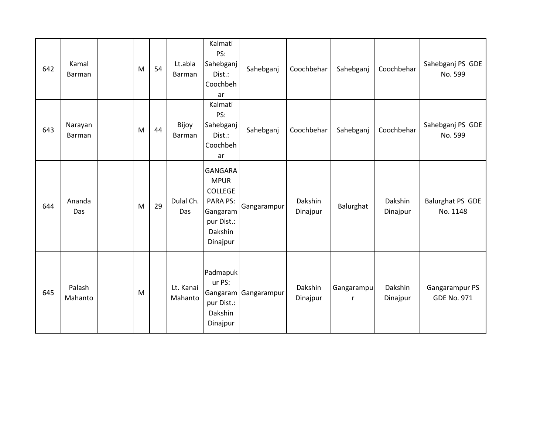| 642 | Kamal<br>Barman   | M | 54 | Lt.abla<br>Barman    | Kalmati<br>PS:<br>Sahebganj<br>Dist.:<br>Coochbeh<br>ar                                                             | Sahebganj            | Coochbehar          | Sahebganj       | Coochbehar          | Sahebganj PS GDE<br>No. 599          |
|-----|-------------------|---|----|----------------------|---------------------------------------------------------------------------------------------------------------------|----------------------|---------------------|-----------------|---------------------|--------------------------------------|
| 643 | Narayan<br>Barman | M | 44 | Bijoy<br>Barman      | Kalmati<br>PS:<br>Sahebganj<br>Dist.:<br>Coochbeh<br>ar                                                             | Sahebganj            | Coochbehar          | Sahebganj       | Coochbehar          | Sahebganj PS GDE<br>No. 599          |
| 644 | Ananda<br>Das     | M | 29 | Dulal Ch.<br>Das     | <b>GANGARA</b><br><b>MPUR</b><br><b>COLLEGE</b><br><b>PARA PS:</b><br>Gangaram<br>pur Dist.:<br>Dakshin<br>Dinajpur | Gangarampur          | Dakshin<br>Dinajpur | Balurghat       | Dakshin<br>Dinajpur | <b>Balurghat PS GDE</b><br>No. 1148  |
| 645 | Palash<br>Mahanto | M |    | Lt. Kanai<br>Mahanto | Padmapuk<br>ur PS:<br>pur Dist.:<br>Dakshin<br>Dinajpur                                                             | Gangaram Gangarampur | Dakshin<br>Dinajpur | Gangarampu<br>r | Dakshin<br>Dinajpur | Gangarampur PS<br><b>GDE No. 971</b> |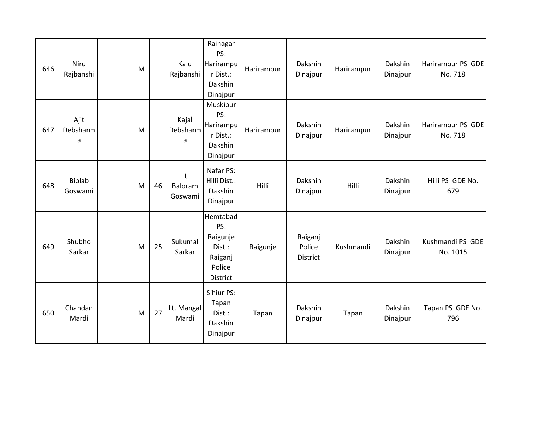| 646 | Niru<br>Rajbanshi     | M |    | Kalu<br>Rajbanshi         | Rainagar<br>PS:<br>Harirampu<br>r Dist.:<br>Dakshin<br>Dinajpur        | Harirampur | Dakshin<br>Dinajpur                  | Harirampur | Dakshin<br>Dinajpur | Harirampur PS GDE<br>No. 718 |
|-----|-----------------------|---|----|---------------------------|------------------------------------------------------------------------|------------|--------------------------------------|------------|---------------------|------------------------------|
| 647 | Ajit<br>Debsharm<br>a | M |    | Kajal<br>Debsharm<br>a    | Muskipur<br>PS:<br>Harirampu<br>r Dist.:<br>Dakshin<br>Dinajpur        | Harirampur | Dakshin<br>Dinajpur                  | Harirampur | Dakshin<br>Dinajpur | Harirampur PS GDE<br>No. 718 |
| 648 | Biplab<br>Goswami     | M | 46 | Lt.<br>Baloram<br>Goswami | Nafar PS:<br>Hilli Dist.:<br>Dakshin<br>Dinajpur                       | Hilli      | Dakshin<br>Dinajpur                  | Hilli      | Dakshin<br>Dinajpur | Hilli PS GDE No.<br>679      |
| 649 | Shubho<br>Sarkar      | M | 25 | Sukumal<br>Sarkar         | Hemtabad<br>PS:<br>Raigunje<br>Dist.:<br>Raiganj<br>Police<br>District | Raigunje   | Raiganj<br>Police<br><b>District</b> | Kushmandi  | Dakshin<br>Dinajpur | Kushmandi PS GDE<br>No. 1015 |
| 650 | Chandan<br>Mardi      | M | 27 | Lt. Mangal<br>Mardi       | Sihiur PS:<br>Tapan<br>Dist.:<br>Dakshin<br>Dinajpur                   | Tapan      | Dakshin<br>Dinajpur                  | Tapan      | Dakshin<br>Dinajpur | Tapan PS GDE No.<br>796      |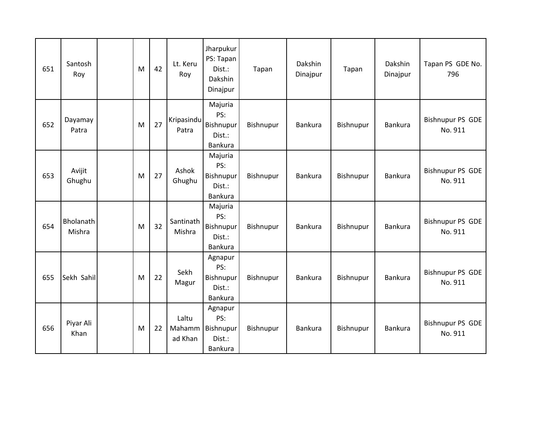| 651 | Santosh<br>Roy      | M | 42 | Lt. Keru<br>Roy            | Jharpukur<br>PS: Tapan<br>Dist.:<br>Dakshin<br>Dinajpur | Tapan     | Dakshin<br>Dinajpur | Tapan     | Dakshin<br>Dinajpur | Tapan PS GDE No.<br>796            |
|-----|---------------------|---|----|----------------------------|---------------------------------------------------------|-----------|---------------------|-----------|---------------------|------------------------------------|
| 652 | Dayamay<br>Patra    | M | 27 | Kripasindu<br>Patra        | Majuria<br>PS:<br>Bishnupur<br>Dist.:<br>Bankura        | Bishnupur | Bankura             | Bishnupur | Bankura             | <b>Bishnupur PS GDE</b><br>No. 911 |
| 653 | Avijit<br>Ghughu    | M | 27 | Ashok<br>Ghughu            | Majuria<br>PS:<br>Bishnupur<br>Dist.:<br>Bankura        | Bishnupur | <b>Bankura</b>      | Bishnupur | Bankura             | <b>Bishnupur PS GDE</b><br>No. 911 |
| 654 | Bholanath<br>Mishra | M | 32 | Santinath<br>Mishra        | Majuria<br>PS:<br>Bishnupur<br>Dist.:<br>Bankura        | Bishnupur | <b>Bankura</b>      | Bishnupur | <b>Bankura</b>      | <b>Bishnupur PS GDE</b><br>No. 911 |
| 655 | Sekh Sahil          | M | 22 | Sekh<br>Magur              | Agnapur<br>PS:<br>Bishnupur<br>Dist.:<br><b>Bankura</b> | Bishnupur | Bankura             | Bishnupur | <b>Bankura</b>      | <b>Bishnupur PS GDE</b><br>No. 911 |
| 656 | Piyar Ali<br>Khan   | M | 22 | Laltu<br>Mahamm<br>ad Khan | Agnapur<br>PS:<br>Bishnupur<br>Dist.:<br>Bankura        | Bishnupur | <b>Bankura</b>      | Bishnupur | Bankura             | <b>Bishnupur PS GDE</b><br>No. 911 |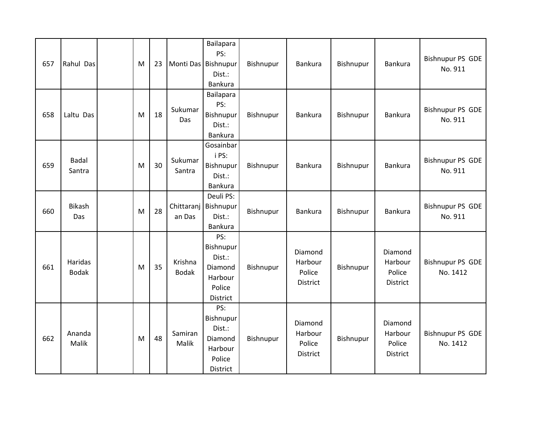| 657 | Rahul Das               | M | 23 |                         | Bailapara<br>PS:<br>Monti Das Bishnupur<br>Dist.:<br>Bankura           | Bishnupur | Bankura                                  | Bishnupur | Bankura                                  | <b>Bishnupur PS GDE</b><br>No. 911  |
|-----|-------------------------|---|----|-------------------------|------------------------------------------------------------------------|-----------|------------------------------------------|-----------|------------------------------------------|-------------------------------------|
| 658 | Laltu Das               | M | 18 | Sukumar<br>Das          | Bailapara<br>PS:<br>Bishnupur<br>Dist.:<br>Bankura                     | Bishnupur | Bankura                                  | Bishnupur | Bankura                                  | <b>Bishnupur PS GDE</b><br>No. 911  |
| 659 | <b>Badal</b><br>Santra  | M | 30 | Sukumar<br>Santra       | Gosainbar<br>i PS:<br>Bishnupur<br>Dist.:<br>Bankura                   | Bishnupur | Bankura                                  | Bishnupur | Bankura                                  | Bishnupur PS GDE<br>No. 911         |
| 660 | <b>Bikash</b><br>Das    | M | 28 | an Das                  | Deuli PS:<br>Chittaranj Bishnupur<br>Dist.:<br>Bankura                 | Bishnupur | Bankura                                  | Bishnupur | Bankura                                  | <b>Bishnupur PS GDE</b><br>No. 911  |
| 661 | Haridas<br><b>Bodak</b> | M | 35 | Krishna<br><b>Bodak</b> | PS:<br>Bishnupur<br>Dist.:<br>Diamond<br>Harbour<br>Police<br>District | Bishnupur | Diamond<br>Harbour<br>Police<br>District | Bishnupur | Diamond<br>Harbour<br>Police<br>District | <b>Bishnupur PS GDE</b><br>No. 1412 |
| 662 | Ananda<br>Malik         | M | 48 | Samiran<br>Malik        | PS:<br>Bishnupur<br>Dist.:<br>Diamond<br>Harbour<br>Police<br>District | Bishnupur | Diamond<br>Harbour<br>Police<br>District | Bishnupur | Diamond<br>Harbour<br>Police<br>District | <b>Bishnupur PS GDE</b><br>No. 1412 |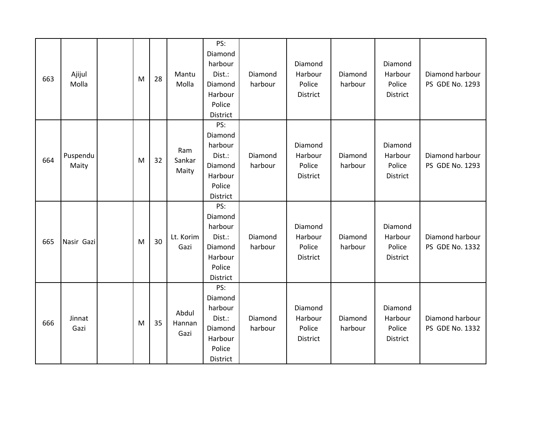| 663 | Ajijul<br>Molla   | M | 28 | Mantu<br>Molla          | PS:<br>Diamond<br>harbour<br>Dist.:<br>Diamond<br>Harbour<br>Police<br>District | Diamond<br>harbour | Diamond<br>Harbour<br>Police<br>District | Diamond<br>harbour | Diamond<br>Harbour<br>Police<br>District | Diamond harbour<br>PS GDE No. 1293 |
|-----|-------------------|---|----|-------------------------|---------------------------------------------------------------------------------|--------------------|------------------------------------------|--------------------|------------------------------------------|------------------------------------|
| 664 | Puspendu<br>Maity | M | 32 | Ram<br>Sankar<br>Maity  | PS:<br>Diamond<br>harbour<br>Dist.:<br>Diamond<br>Harbour<br>Police<br>District | Diamond<br>harbour | Diamond<br>Harbour<br>Police<br>District | Diamond<br>harbour | Diamond<br>Harbour<br>Police<br>District | Diamond harbour<br>PS GDE No. 1293 |
| 665 | Nasir Gazi        | M | 30 | Lt. Korim<br>Gazi       | PS:<br>Diamond<br>harbour<br>Dist.:<br>Diamond<br>Harbour<br>Police<br>District | Diamond<br>harbour | Diamond<br>Harbour<br>Police<br>District | Diamond<br>harbour | Diamond<br>Harbour<br>Police<br>District | Diamond harbour<br>PS GDE No. 1332 |
| 666 | Jinnat<br>Gazi    | M | 35 | Abdul<br>Hannan<br>Gazi | PS:<br>Diamond<br>harbour<br>Dist.:<br>Diamond<br>Harbour<br>Police<br>District | Diamond<br>harbour | Diamond<br>Harbour<br>Police<br>District | Diamond<br>harbour | Diamond<br>Harbour<br>Police<br>District | Diamond harbour<br>PS GDE No. 1332 |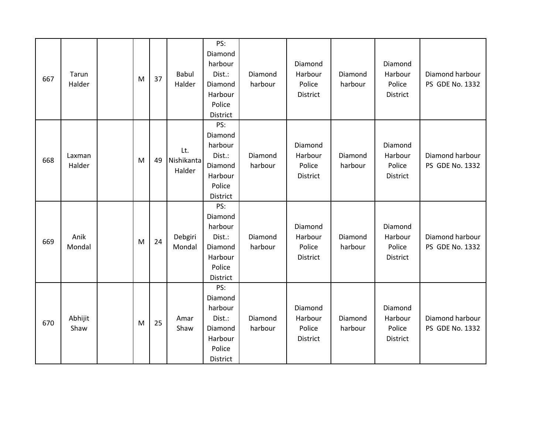| 667 | Tarun<br>Halder  | M | 37 | <b>Babul</b><br>Halder      | PS:<br>Diamond<br>harbour<br>Dist.:<br>Diamond<br>Harbour<br>Police<br>District | Diamond<br>harbour | Diamond<br>Harbour<br>Police<br>District | Diamond<br>harbour | Diamond<br>Harbour<br>Police<br>District | Diamond harbour<br>PS GDE No. 1332 |
|-----|------------------|---|----|-----------------------------|---------------------------------------------------------------------------------|--------------------|------------------------------------------|--------------------|------------------------------------------|------------------------------------|
| 668 | Laxman<br>Halder | M | 49 | Lt.<br>Nishikanta<br>Halder | PS:<br>Diamond<br>harbour<br>Dist.:<br>Diamond<br>Harbour<br>Police<br>District | Diamond<br>harbour | Diamond<br>Harbour<br>Police<br>District | Diamond<br>harbour | Diamond<br>Harbour<br>Police<br>District | Diamond harbour<br>PS GDE No. 1332 |
| 669 | Anik<br>Mondal   | M | 24 | Debgiri<br>Mondal           | PS:<br>Diamond<br>harbour<br>Dist.:<br>Diamond<br>Harbour<br>Police<br>District | Diamond<br>harbour | Diamond<br>Harbour<br>Police<br>District | Diamond<br>harbour | Diamond<br>Harbour<br>Police<br>District | Diamond harbour<br>PS GDE No. 1332 |
| 670 | Abhijit<br>Shaw  | M | 25 | Amar<br>Shaw                | PS:<br>Diamond<br>harbour<br>Dist.:<br>Diamond<br>Harbour<br>Police<br>District | Diamond<br>harbour | Diamond<br>Harbour<br>Police<br>District | Diamond<br>harbour | Diamond<br>Harbour<br>Police<br>District | Diamond harbour<br>PS GDE No. 1332 |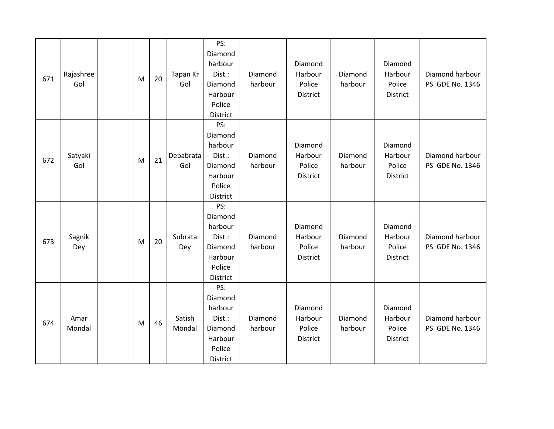| 671 | Rajashree<br>Gol | M | 20 | Tapan Kr<br>Gol  | PS:<br>Diamond<br>harbour<br>Dist.:<br>Diamond<br>Harbour<br>Police<br>District | Diamond<br>harbour | Diamond<br>Harbour<br>Police<br>District | Diamond<br>harbour | Diamond<br>Harbour<br>Police<br>District | Diamond harbour<br>PS GDE No. 1346 |
|-----|------------------|---|----|------------------|---------------------------------------------------------------------------------|--------------------|------------------------------------------|--------------------|------------------------------------------|------------------------------------|
| 672 | Satyaki<br>Gol   | M | 21 | Debabrata<br>Gol | PS:<br>Diamond<br>harbour<br>Dist.:<br>Diamond<br>Harbour<br>Police<br>District | Diamond<br>harbour | Diamond<br>Harbour<br>Police<br>District | Diamond<br>harbour | Diamond<br>Harbour<br>Police<br>District | Diamond harbour<br>PS GDE No. 1346 |
| 673 | Sagnik<br>Dey    | M | 20 | Subrata<br>Dey   | PS:<br>Diamond<br>harbour<br>Dist.:<br>Diamond<br>Harbour<br>Police<br>District | Diamond<br>harbour | Diamond<br>Harbour<br>Police<br>District | Diamond<br>harbour | Diamond<br>Harbour<br>Police<br>District | Diamond harbour<br>PS GDE No. 1346 |
| 674 | Amar<br>Mondal   | M | 46 | Satish<br>Mondal | PS:<br>Diamond<br>harbour<br>Dist.:<br>Diamond<br>Harbour<br>Police<br>District | Diamond<br>harbour | Diamond<br>Harbour<br>Police<br>District | Diamond<br>harbour | Diamond<br>Harbour<br>Police<br>District | Diamond harbour<br>PS GDE No. 1346 |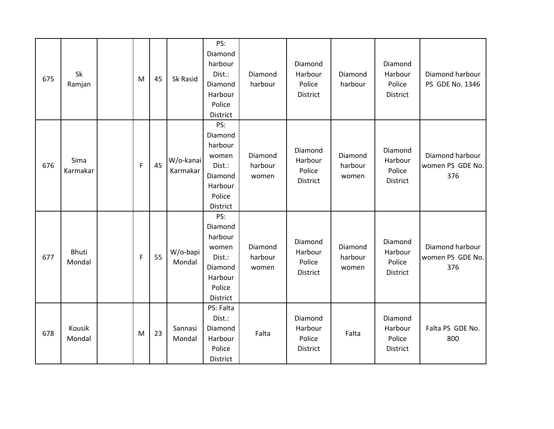| 675 | Sk<br>Ramjan     | M            | 45 | Sk Rasid              | PS:<br>Diamond<br>harbour<br>Dist.:<br>Diamond<br>Harbour<br>Police<br>District          | Diamond<br>harbour          | Diamond<br>Harbour<br>Police<br>District | Diamond<br>harbour          | Diamond<br>Harbour<br>Police<br>District | Diamond harbour<br>PS GDE No. 1346         |
|-----|------------------|--------------|----|-----------------------|------------------------------------------------------------------------------------------|-----------------------------|------------------------------------------|-----------------------------|------------------------------------------|--------------------------------------------|
| 676 | Sima<br>Karmakar | $\mathsf F$  | 45 | W/o-kanai<br>Karmakar | PS:<br>Diamond<br>harbour<br>women<br>Dist.:<br>Diamond<br>Harbour<br>Police<br>District | Diamond<br>harbour<br>women | Diamond<br>Harbour<br>Police<br>District | Diamond<br>harbour<br>women | Diamond<br>Harbour<br>Police<br>District | Diamond harbour<br>women PS GDE No.<br>376 |
| 677 | Bhuti<br>Mondal  | $\mathsf{F}$ | 55 | W/o-bapi<br>Mondal    | PS:<br>Diamond<br>harbour<br>women<br>Dist.:<br>Diamond<br>Harbour<br>Police<br>District | Diamond<br>harbour<br>women | Diamond<br>Harbour<br>Police<br>District | Diamond<br>harbour<br>women | Diamond<br>Harbour<br>Police<br>District | Diamond harbour<br>women PS GDE No.<br>376 |
| 678 | Kousik<br>Mondal | M            | 23 | Sannasi<br>Mondal     | PS: Falta<br>Dist.:<br>Diamond<br>Harbour<br>Police<br>District                          | Falta                       | Diamond<br>Harbour<br>Police<br>District | Falta                       | Diamond<br>Harbour<br>Police<br>District | Falta PS GDE No.<br>800                    |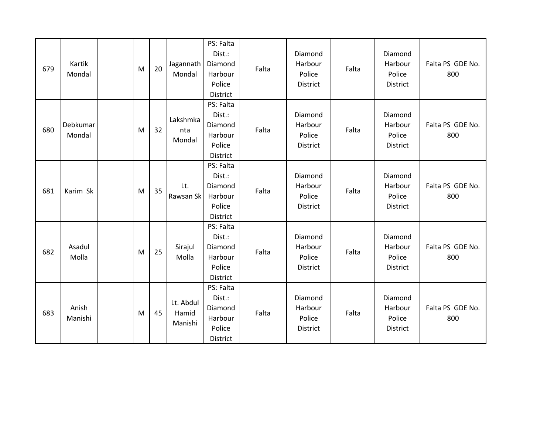| 679 | Kartik<br>Mondal   | M | 20 | Jagannath<br>Mondal           | PS: Falta<br>Dist.:<br>Diamond<br>Harbour<br>Police<br>District | Falta | Diamond<br>Harbour<br>Police<br>District        | Falta | Diamond<br>Harbour<br>Police<br><b>District</b> | Falta PS GDE No.<br>800 |
|-----|--------------------|---|----|-------------------------------|-----------------------------------------------------------------|-------|-------------------------------------------------|-------|-------------------------------------------------|-------------------------|
| 680 | Debkumar<br>Mondal | M | 32 | Lakshmka<br>nta<br>Mondal     | PS: Falta<br>Dist.:<br>Diamond<br>Harbour<br>Police<br>District | Falta | Diamond<br>Harbour<br>Police<br>District        | Falta | Diamond<br>Harbour<br>Police<br>District        | Falta PS GDE No.<br>800 |
| 681 | Karim Sk           | M | 35 | Lt.<br>Rawsan Sk              | PS: Falta<br>Dist.:<br>Diamond<br>Harbour<br>Police<br>District | Falta | Diamond<br>Harbour<br>Police<br><b>District</b> | Falta | Diamond<br>Harbour<br>Police<br><b>District</b> | Falta PS GDE No.<br>800 |
| 682 | Asadul<br>Molla    | M | 25 | Sirajul<br>Molla              | PS: Falta<br>Dist.:<br>Diamond<br>Harbour<br>Police<br>District | Falta | Diamond<br>Harbour<br>Police<br>District        | Falta | Diamond<br>Harbour<br>Police<br><b>District</b> | Falta PS GDE No.<br>800 |
| 683 | Anish<br>Manishi   | M | 45 | Lt. Abdul<br>Hamid<br>Manishi | PS: Falta<br>Dist.:<br>Diamond<br>Harbour<br>Police<br>District | Falta | Diamond<br>Harbour<br>Police<br>District        | Falta | Diamond<br>Harbour<br>Police<br>District        | Falta PS GDE No.<br>800 |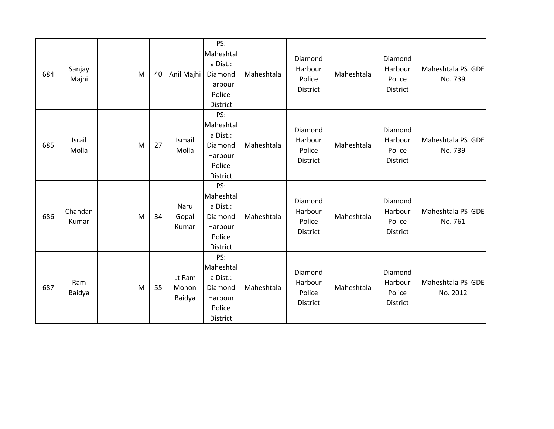| 684 | Sanjay<br>Majhi  | M | 40 | Anil Majhi                | PS:<br>Maheshtal<br>a Dist.:<br>Diamond<br>Harbour<br>Police<br>District | Maheshtala | Diamond<br>Harbour<br>Police<br>District | Maheshtala | Diamond<br>Harbour<br>Police<br>District | Maheshtala PS GDE<br>No. 739  |
|-----|------------------|---|----|---------------------------|--------------------------------------------------------------------------|------------|------------------------------------------|------------|------------------------------------------|-------------------------------|
| 685 | Israil<br>Molla  | M | 27 | Ismail<br>Molla           | PS:<br>Maheshtal<br>a Dist.:<br>Diamond<br>Harbour<br>Police<br>District | Maheshtala | Diamond<br>Harbour<br>Police<br>District | Maheshtala | Diamond<br>Harbour<br>Police<br>District | Maheshtala PS GDE<br>No. 739  |
| 686 | Chandan<br>Kumar | M | 34 | Naru<br>Gopal<br>Kumar    | PS:<br>Maheshtal<br>a Dist.:<br>Diamond<br>Harbour<br>Police<br>District | Maheshtala | Diamond<br>Harbour<br>Police<br>District | Maheshtala | Diamond<br>Harbour<br>Police<br>District | Maheshtala PS GDE<br>No. 761  |
| 687 | Ram<br>Baidya    | M | 55 | Lt Ram<br>Mohon<br>Baidya | PS:<br>Maheshtal<br>a Dist.:<br>Diamond<br>Harbour<br>Police<br>District | Maheshtala | Diamond<br>Harbour<br>Police<br>District | Maheshtala | Diamond<br>Harbour<br>Police<br>District | Maheshtala PS GDE<br>No. 2012 |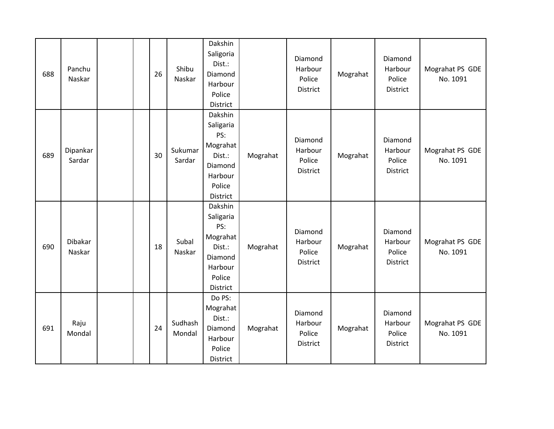| 688 | Panchu<br>Naskar   |  | 26 | Shibu<br>Naskar   | Dakshin<br>Saligoria<br>Dist.:<br>Diamond<br>Harbour<br>Police<br>District                    |          | Diamond<br>Harbour<br>Police<br>District | Mograhat | Diamond<br>Harbour<br>Police<br>District | Mograhat PS GDE<br>No. 1091 |
|-----|--------------------|--|----|-------------------|-----------------------------------------------------------------------------------------------|----------|------------------------------------------|----------|------------------------------------------|-----------------------------|
| 689 | Dipankar<br>Sardar |  | 30 | Sukumar<br>Sardar | Dakshin<br>Saligaria<br>PS:<br>Mograhat<br>Dist.:<br>Diamond<br>Harbour<br>Police<br>District | Mograhat | Diamond<br>Harbour<br>Police<br>District | Mograhat | Diamond<br>Harbour<br>Police<br>District | Mograhat PS GDE<br>No. 1091 |
| 690 | Dibakar<br>Naskar  |  | 18 | Subal<br>Naskar   | Dakshin<br>Saligaria<br>PS:<br>Mograhat<br>Dist.:<br>Diamond<br>Harbour<br>Police<br>District | Mograhat | Diamond<br>Harbour<br>Police<br>District | Mograhat | Diamond<br>Harbour<br>Police<br>District | Mograhat PS GDE<br>No. 1091 |
| 691 | Raju<br>Mondal     |  | 24 | Sudhash<br>Mondal | Do PS:<br>Mograhat<br>Dist.:<br>Diamond<br>Harbour<br>Police<br>District                      | Mograhat | Diamond<br>Harbour<br>Police<br>District | Mograhat | Diamond<br>Harbour<br>Police<br>District | Mograhat PS GDE<br>No. 1091 |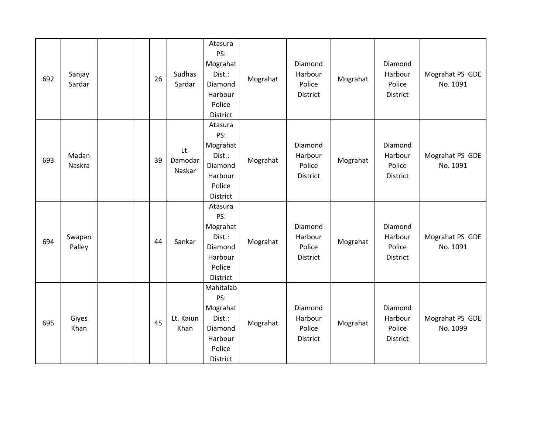| 692 | Sanjay<br>Sardar |  | 26 | Sudhas<br>Sardar         | Atasura<br>PS:<br>Mograhat<br>Dist.:<br>Diamond<br>Harbour<br>Police<br>District   | Mograhat | Diamond<br>Harbour<br>Police<br>District | Mograhat | Diamond<br>Harbour<br>Police<br>District | Mograhat PS GDE<br>No. 1091 |
|-----|------------------|--|----|--------------------------|------------------------------------------------------------------------------------|----------|------------------------------------------|----------|------------------------------------------|-----------------------------|
| 693 | Madan<br>Naskra  |  | 39 | Lt.<br>Damodar<br>Naskar | Atasura<br>PS:<br>Mograhat<br>Dist.:<br>Diamond<br>Harbour<br>Police<br>District   | Mograhat | Diamond<br>Harbour<br>Police<br>District | Mograhat | Diamond<br>Harbour<br>Police<br>District | Mograhat PS GDE<br>No. 1091 |
| 694 | Swapan<br>Palley |  | 44 | Sankar                   | Atasura<br>PS:<br>Mograhat<br>Dist.:<br>Diamond<br>Harbour<br>Police<br>District   | Mograhat | Diamond<br>Harbour<br>Police<br>District | Mograhat | Diamond<br>Harbour<br>Police<br>District | Mograhat PS GDE<br>No. 1091 |
| 695 | Giyes<br>Khan    |  | 45 | Lt. Kaiun<br>Khan        | Mahitalab<br>PS:<br>Mograhat<br>Dist.:<br>Diamond<br>Harbour<br>Police<br>District | Mograhat | Diamond<br>Harbour<br>Police<br>District | Mograhat | Diamond<br>Harbour<br>Police<br>District | Mograhat PS GDE<br>No. 1099 |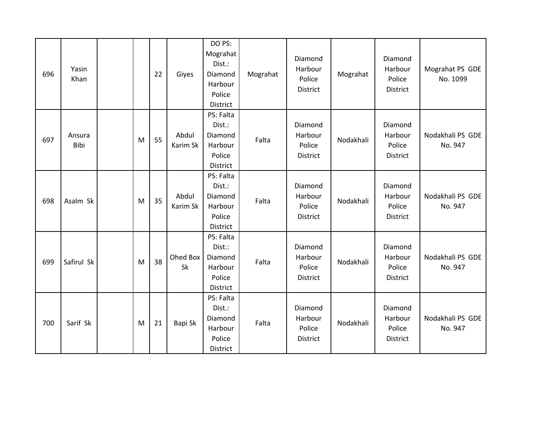| 696 | Yasin<br>Khan  |   | 22 | Giyes             | DO PS:<br>Mograhat<br>Dist.:<br>Diamond<br>Harbour<br>Police<br>District | Mograhat | Diamond<br>Harbour<br>Police<br>District | Mograhat  | Diamond<br>Harbour<br>Police<br>District | Mograhat PS GDE<br>No. 1099 |
|-----|----------------|---|----|-------------------|--------------------------------------------------------------------------|----------|------------------------------------------|-----------|------------------------------------------|-----------------------------|
| 697 | Ansura<br>Bibi | M | 55 | Abdul<br>Karim Sk | PS: Falta<br>Dist.:<br>Diamond<br>Harbour<br>Police<br>District          | Falta    | Diamond<br>Harbour<br>Police<br>District | Nodakhali | Diamond<br>Harbour<br>Police<br>District | Nodakhali PS GDE<br>No. 947 |
| 698 | Asalm Sk       | M | 35 | Abdul<br>Karim Sk | PS: Falta<br>Dist.:<br>Diamond<br>Harbour<br>Police<br>District          | Falta    | Diamond<br>Harbour<br>Police<br>District | Nodakhali | Diamond<br>Harbour<br>Police<br>District | Nodakhali PS GDE<br>No. 947 |
| 699 | Safirul Sk     | M | 38 | Ohed Box<br>Sk    | PS: Falta<br>Dist.:<br>Diamond<br>Harbour<br>Police<br>District          | Falta    | Diamond<br>Harbour<br>Police<br>District | Nodakhali | Diamond<br>Harbour<br>Police<br>District | Nodakhali PS GDE<br>No. 947 |
| 700 | Sarif Sk       | M | 21 | Bapi Sk           | PS: Falta<br>Dist.:<br>Diamond<br>Harbour<br>Police<br>District          | Falta    | Diamond<br>Harbour<br>Police<br>District | Nodakhali | Diamond<br>Harbour<br>Police<br>District | Nodakhali PS GDE<br>No. 947 |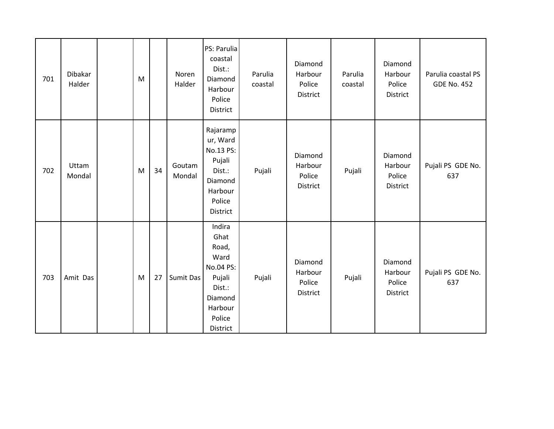| 701 | Dibakar<br>Halder | M |    | Noren<br>Halder  | PS: Parulia<br>coastal<br>Dist.:<br>Diamond<br>Harbour<br>Police<br>District                                 | Parulia<br>coastal | Diamond<br>Harbour<br>Police<br>District | Parulia<br>coastal | Diamond<br>Harbour<br>Police<br>District | Parulia coastal PS<br><b>GDE No. 452</b> |
|-----|-------------------|---|----|------------------|--------------------------------------------------------------------------------------------------------------|--------------------|------------------------------------------|--------------------|------------------------------------------|------------------------------------------|
| 702 | Uttam<br>Mondal   | M | 34 | Goutam<br>Mondal | Rajaramp<br>ur, Ward<br>No.13 PS:<br>Pujali<br>Dist.:<br>Diamond<br>Harbour<br>Police<br>District            | Pujali             | Diamond<br>Harbour<br>Police<br>District | Pujali             | Diamond<br>Harbour<br>Police<br>District | Pujali PS GDE No.<br>637                 |
| 703 | Amit Das          | M | 27 | Sumit Das        | Indira<br>Ghat<br>Road,<br>Ward<br>No.04 PS:<br>Pujali<br>Dist.:<br>Diamond<br>Harbour<br>Police<br>District | Pujali             | Diamond<br>Harbour<br>Police<br>District | Pujali             | Diamond<br>Harbour<br>Police<br>District | Pujali PS GDE No.<br>637                 |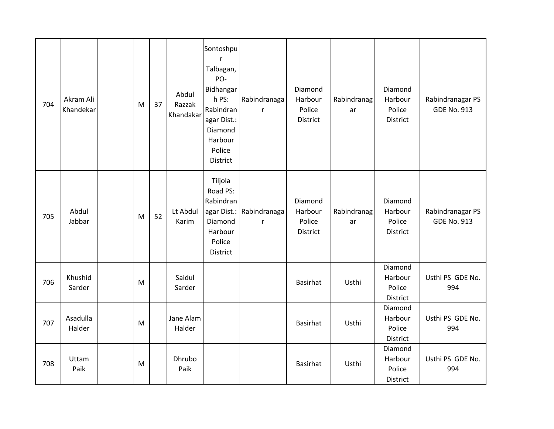| 704 | Akram Ali<br>Khandekar | M | 37 | Abdul<br>Razzak<br>Khandakar | Sontoshpu<br>r<br>Talbagan,<br>PO-<br>Bidhangar<br>h PS:<br>Rabindran<br>agar Dist.:<br>Diamond<br>Harbour<br>Police<br>District | Rabindranaga<br>$\mathsf{r}$             | Diamond<br>Harbour<br>Police<br>District | Rabindranag<br>ar | Diamond<br>Harbour<br>Police<br>District | Rabindranagar PS<br><b>GDE No. 913</b> |
|-----|------------------------|---|----|------------------------------|----------------------------------------------------------------------------------------------------------------------------------|------------------------------------------|------------------------------------------|-------------------|------------------------------------------|----------------------------------------|
| 705 | Abdul<br>Jabbar        | M | 52 | Lt Abdul<br>Karim            | Tiljola<br>Road PS:<br>Rabindran<br>Diamond<br>Harbour<br>Police<br>District                                                     | agar Dist.: Rabindranaga<br>$\mathsf{r}$ | Diamond<br>Harbour<br>Police<br>District | Rabindranag<br>ar | Diamond<br>Harbour<br>Police<br>District | Rabindranagar PS<br><b>GDE No. 913</b> |
| 706 | Khushid<br>Sarder      | M |    | Saidul<br>Sarder             |                                                                                                                                  |                                          | Basirhat                                 | Usthi             | Diamond<br>Harbour<br>Police<br>District | Usthi PS GDE No.<br>994                |
| 707 | Asadulla<br>Halder     | M |    | Jane Alam<br>Halder          |                                                                                                                                  |                                          | Basirhat                                 | Usthi             | Diamond<br>Harbour<br>Police<br>District | Usthi PS GDE No.<br>994                |
| 708 | Uttam<br>Paik          | M |    | Dhrubo<br>Paik               |                                                                                                                                  |                                          | Basirhat                                 | Usthi             | Diamond<br>Harbour<br>Police<br>District | Usthi PS GDE No.<br>994                |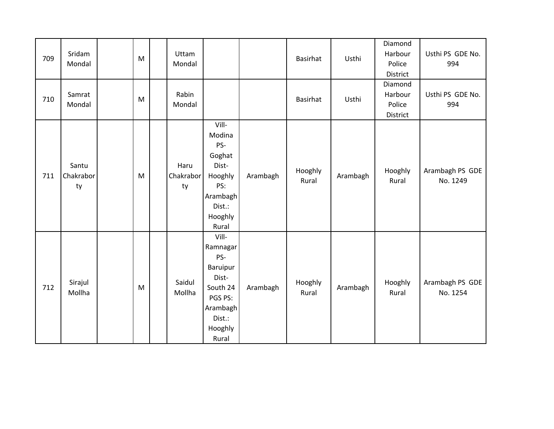| 709 | Sridam<br>Mondal         | M | Uttam<br>Mondal         |                                                                                                                |          | <b>Basirhat</b>  | Usthi    | Diamond<br>Harbour<br>Police<br>District | Usthi PS GDE No.<br>994     |
|-----|--------------------------|---|-------------------------|----------------------------------------------------------------------------------------------------------------|----------|------------------|----------|------------------------------------------|-----------------------------|
| 710 | Samrat<br>Mondal         | M | Rabin<br>Mondal         |                                                                                                                |          | Basirhat         | Usthi    | Diamond<br>Harbour<br>Police<br>District | Usthi PS GDE No.<br>994     |
| 711 | Santu<br>Chakrabor<br>ty | M | Haru<br>Chakrabor<br>ty | Vill-<br>Modina<br>PS-<br>Goghat<br>Dist-<br>Hooghly<br>PS:<br>Arambagh<br>Dist.:<br>Hooghly<br>Rural          | Arambagh | Hooghly<br>Rural | Arambagh | Hooghly<br>Rural                         | Arambagh PS GDE<br>No. 1249 |
| 712 | Sirajul<br>Mollha        | M | Saidul<br>Mollha        | Vill-<br>Ramnagar<br>PS-<br>Baruipur<br>Dist-<br>South 24<br>PGS PS:<br>Arambagh<br>Dist.:<br>Hooghly<br>Rural | Arambagh | Hooghly<br>Rural | Arambagh | Hooghly<br>Rural                         | Arambagh PS GDE<br>No. 1254 |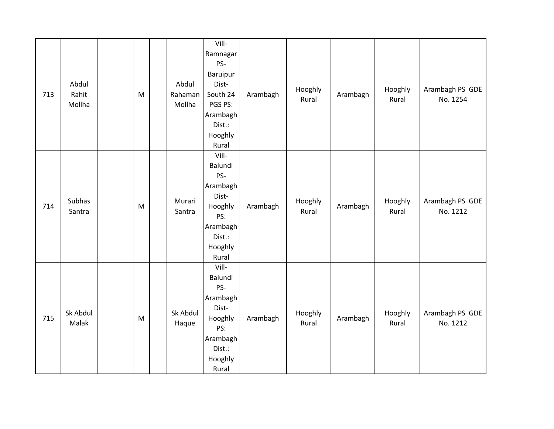| 713 | Abdul<br>Rahit<br>Mollha | M                                                                                     | Abdul<br>Rahaman<br>Mollha | Vill-<br>Ramnagar<br>PS-<br>Baruipur<br>Dist-<br>South 24<br>PGS PS:<br>Arambagh<br>Dist.:<br>Hooghly<br>Rural | Arambagh | Hooghly<br>Rural | Arambagh | Hooghly<br>Rural | Arambagh PS GDE<br>No. 1254 |
|-----|--------------------------|---------------------------------------------------------------------------------------|----------------------------|----------------------------------------------------------------------------------------------------------------|----------|------------------|----------|------------------|-----------------------------|
| 714 | Subhas<br>Santra         | $\mathsf{M}% _{T}=\mathsf{M}_{T}\!\left( a,b\right) ,\ \mathsf{M}_{T}=\mathsf{M}_{T}$ | Murari<br>Santra           | Vill-<br>Balundi<br>PS-<br>Arambagh<br>Dist-<br>Hooghly<br>PS:<br>Arambagh<br>Dist.:<br>Hooghly<br>Rural       | Arambagh | Hooghly<br>Rural | Arambagh | Hooghly<br>Rural | Arambagh PS GDE<br>No. 1212 |
| 715 | Sk Abdul<br>Malak        | ${\sf M}$                                                                             | Sk Abdul<br>Haque          | Vill-<br>Balundi<br>PS-<br>Arambagh<br>Dist-<br>Hooghly<br>PS:<br>Arambagh<br>Dist.:<br>Hooghly<br>Rural       | Arambagh | Hooghly<br>Rural | Arambagh | Hooghly<br>Rural | Arambagh PS GDE<br>No. 1212 |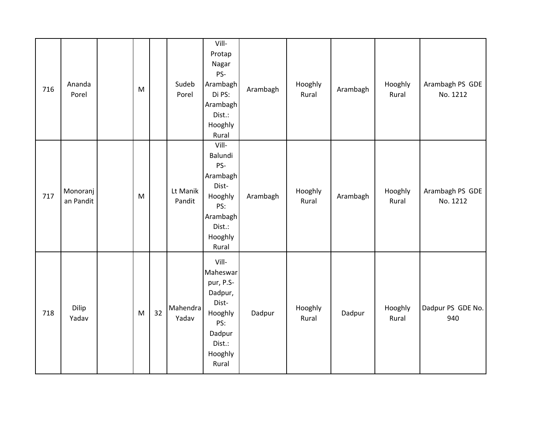| 716 | Ananda<br>Porel       | ${\sf M}$ |    | Sudeb<br>Porel     | Vill-<br>Protap<br>Nagar<br>PS-<br>Arambagh<br>Di PS:<br>Arambagh<br>Dist.:<br>Hooghly<br>Rural              | Arambagh | Hooghly<br>Rural | Arambagh | Hooghly<br>Rural | Arambagh PS GDE<br>No. 1212 |
|-----|-----------------------|-----------|----|--------------------|--------------------------------------------------------------------------------------------------------------|----------|------------------|----------|------------------|-----------------------------|
| 717 | Monoranj<br>an Pandit | M         |    | Lt Manik<br>Pandit | Vill-<br>Balundi<br>PS-<br>Arambagh<br>Dist-<br>Hooghly<br>PS:<br>Arambagh<br>Dist.:<br>Hooghly<br>Rural     | Arambagh | Hooghly<br>Rural | Arambagh | Hooghly<br>Rural | Arambagh PS GDE<br>No. 1212 |
| 718 | Dilip<br>Yadav        | M         | 32 | Mahendra<br>Yadav  | Vill-<br>Maheswar<br>pur, P.S-<br>Dadpur,<br>Dist-<br>Hooghly<br>PS:<br>Dadpur<br>Dist.:<br>Hooghly<br>Rural | Dadpur   | Hooghly<br>Rural | Dadpur   | Hooghly<br>Rural | Dadpur PS GDE No.<br>940    |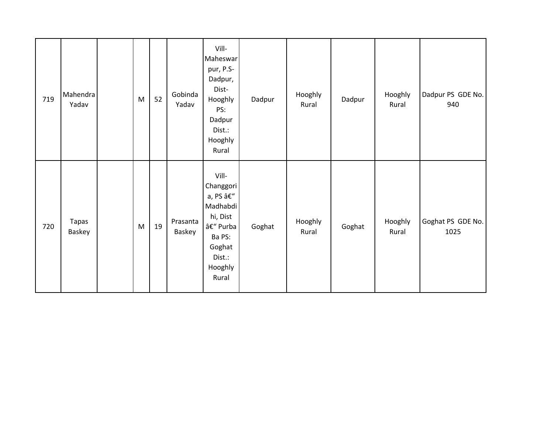| 719 | Mahendra<br>Yadav | M | 52 | Gobinda<br>Yadav   | Vill-<br>Maheswar<br>pur, P.S-<br>Dadpur,<br>Dist-<br>Hooghly<br>PS:<br>Dadpur<br>Dist.:<br>Hooghly<br>Rural       | Dadpur | Hooghly<br>Rural | Dadpur | Hooghly<br>Rural | Dadpur PS GDE No.<br>940  |
|-----|-------------------|---|----|--------------------|--------------------------------------------------------------------------------------------------------------------|--------|------------------|--------|------------------|---------------------------|
| 720 | Tapas<br>Baskey   | M | 19 | Prasanta<br>Baskey | Vill-<br>Changgori<br>a, PS –<br>Madhabdi<br>hi, Dist<br>– Purba<br>Ba PS:<br>Goghat<br>Dist.:<br>Hooghly<br>Rural | Goghat | Hooghly<br>Rural | Goghat | Hooghly<br>Rural | Goghat PS GDE No.<br>1025 |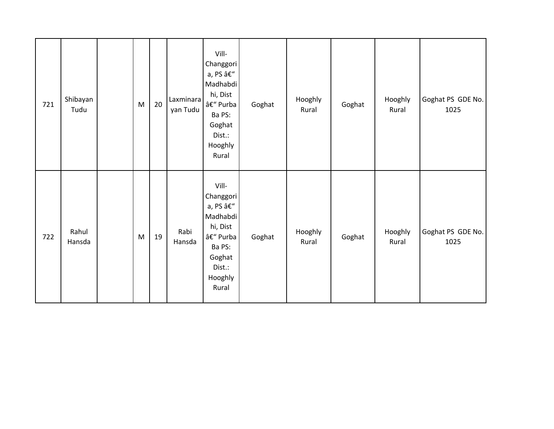| 721 | Shibayan<br>Tudu | M | 20 | Laxminara<br>yan Tudu | Vill-<br>Changgori<br>a, PS –<br>Madhabdi<br>hi, Dist<br>– Purba<br>Ba PS:<br>Goghat<br>Dist.:<br>Hooghly<br>Rural | Goghat | Hooghly<br>Rural | Goghat | Hooghly<br>Rural | Goghat PS GDE No.<br>1025 |
|-----|------------------|---|----|-----------------------|--------------------------------------------------------------------------------------------------------------------|--------|------------------|--------|------------------|---------------------------|
| 722 | Rahul<br>Hansda  | M | 19 | Rabi<br>Hansda        | Vill-<br>Changgori<br>a, PS –<br>Madhabdi<br>hi, Dist<br>– Purba<br>Ba PS:<br>Goghat<br>Dist.:<br>Hooghly<br>Rural | Goghat | Hooghly<br>Rural | Goghat | Hooghly<br>Rural | Goghat PS GDE No.<br>1025 |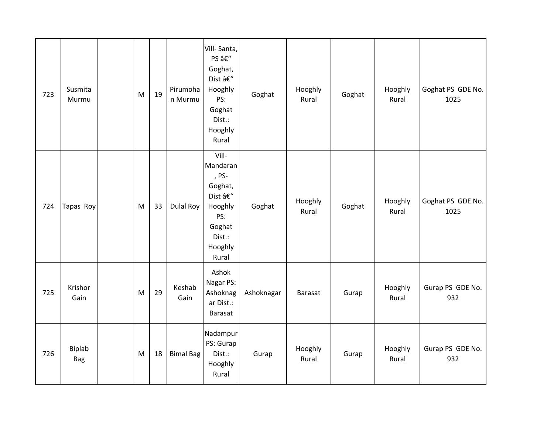| 723 | Susmita<br>Murmu     | M | 19 | Pirumoha<br>n Murmu | Vill-Santa,<br>PS –<br>Goghat,<br>Dist –<br>Hooghly<br>PS:<br>Goghat<br>Dist.:<br>Hooghly<br>Rural        | Goghat     | Hooghly<br>Rural | Goghat | Hooghly<br>Rural | Goghat PS GDE No.<br>1025 |
|-----|----------------------|---|----|---------------------|-----------------------------------------------------------------------------------------------------------|------------|------------------|--------|------------------|---------------------------|
| 724 | Tapas Roy            | M | 33 | <b>Dulal Roy</b>    | Vill-<br>Mandaran<br>, PS-<br>Goghat,<br>Dist –<br>Hooghly<br>PS:<br>Goghat<br>Dist.:<br>Hooghly<br>Rural | Goghat     | Hooghly<br>Rural | Goghat | Hooghly<br>Rural | Goghat PS GDE No.<br>1025 |
| 725 | Krishor<br>Gain      | M | 29 | Keshab<br>Gain      | Ashok<br>Nagar PS:<br>Ashoknag<br>ar Dist.:<br><b>Barasat</b>                                             | Ashoknagar | Barasat          | Gurap  | Hooghly<br>Rural | Gurap PS GDE No.<br>932   |
| 726 | Biplab<br><b>Bag</b> | M | 18 | <b>Bimal Bag</b>    | Nadampur<br>PS: Gurap<br>Dist.:<br>Hooghly<br>Rural                                                       | Gurap      | Hooghly<br>Rural | Gurap  | Hooghly<br>Rural | Gurap PS GDE No.<br>932   |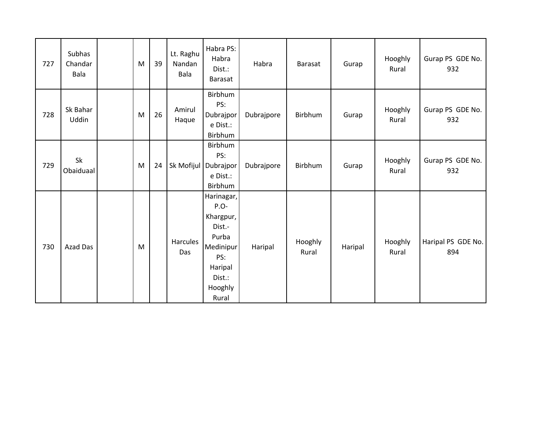| 727 | Subhas<br>Chandar<br>Bala | M | 39 | Lt. Raghu<br>Nandan<br>Bala | Habra PS:<br>Habra<br>Dist.:<br>Barasat                                                                           | Habra      | Barasat          | Gurap   | Hooghly<br>Rural | Gurap PS GDE No.<br>932   |
|-----|---------------------------|---|----|-----------------------------|-------------------------------------------------------------------------------------------------------------------|------------|------------------|---------|------------------|---------------------------|
| 728 | Sk Bahar<br>Uddin         | M | 26 | Amirul<br>Haque             | Birbhum<br>PS:<br>Dubrajpor<br>e Dist.:<br>Birbhum                                                                | Dubrajpore | Birbhum          | Gurap   | Hooghly<br>Rural | Gurap PS GDE No.<br>932   |
| 729 | Sk<br>Obaiduaal           | M | 24 |                             | Birbhum<br>PS:<br>Sk Mofijul   Dubrajpor<br>e Dist.:<br>Birbhum                                                   | Dubrajpore | Birbhum          | Gurap   | Hooghly<br>Rural | Gurap PS GDE No.<br>932   |
| 730 | Azad Das                  | M |    | Harcules<br>Das             | Harinagar,<br>$P.O-$<br>Khargpur,<br>Dist.-<br>Purba<br>Medinipur<br>PS:<br>Haripal<br>Dist.:<br>Hooghly<br>Rural | Haripal    | Hooghly<br>Rural | Haripal | Hooghly<br>Rural | Haripal PS GDE No.<br>894 |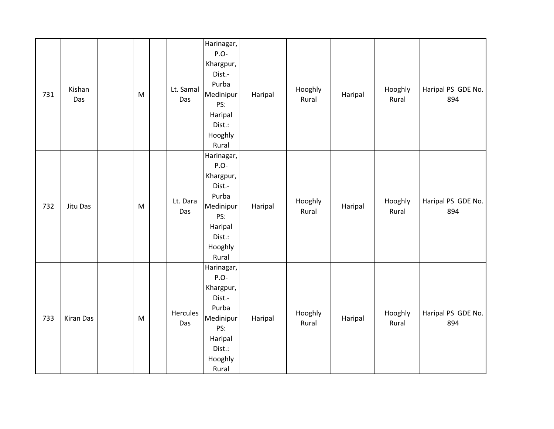| 731 | Kishan<br>Das    | ${\sf M}$                                                                             | Lt. Samal<br>Das | Harinagar,<br>P.O-<br>Khargpur,<br>Dist.-<br>Purba<br>Medinipur<br>PS:<br>Haripal<br>Dist.:<br>Hooghly<br>Rural | Haripal | Hooghly<br>Rural | Haripal | Hooghly<br>Rural | Haripal PS GDE No.<br>894 |
|-----|------------------|---------------------------------------------------------------------------------------|------------------|-----------------------------------------------------------------------------------------------------------------|---------|------------------|---------|------------------|---------------------------|
| 732 | Jitu Das         | $\mathsf{M}% _{T}=\mathsf{M}_{T}\!\left( a,b\right) ,\ \mathsf{M}_{T}=\mathsf{M}_{T}$ | Lt. Dara<br>Das  | Harinagar,<br>P.O-<br>Khargpur,<br>Dist.-<br>Purba<br>Medinipur<br>PS:<br>Haripal<br>Dist.:<br>Hooghly<br>Rural | Haripal | Hooghly<br>Rural | Haripal | Hooghly<br>Rural | Haripal PS GDE No.<br>894 |
| 733 | <b>Kiran Das</b> | ${\sf M}$                                                                             | Hercules<br>Das  | Harinagar,<br>P.O-<br>Khargpur,<br>Dist.-<br>Purba<br>Medinipur<br>PS:<br>Haripal<br>Dist.:<br>Hooghly<br>Rural | Haripal | Hooghly<br>Rural | Haripal | Hooghly<br>Rural | Haripal PS GDE No.<br>894 |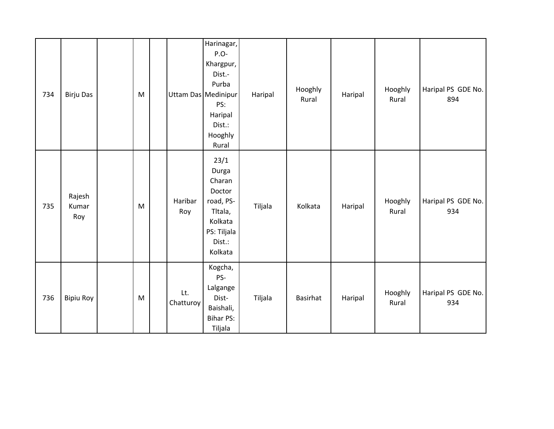| 734 | <b>Birju Das</b>       | M |                  | Harinagar,<br>P.O-<br>Khargpur,<br>Dist.-<br>Purba<br>Uttam Das Medinipur<br>PS:<br>Haripal<br>Dist.:<br>Hooghly<br>Rural | Haripal | Hooghly<br>Rural | Haripal | Hooghly<br>Rural | Haripal PS GDE No.<br>894 |
|-----|------------------------|---|------------------|---------------------------------------------------------------------------------------------------------------------------|---------|------------------|---------|------------------|---------------------------|
| 735 | Rajesh<br>Kumar<br>Roy | M | Haribar<br>Roy   | 23/1<br>Durga<br>Charan<br>Doctor<br>road, PS-<br>Titala,<br>Kolkata<br>PS: Tiljala<br>Dist.:<br>Kolkata                  | Tiljala | Kolkata          | Haripal | Hooghly<br>Rural | Haripal PS GDE No.<br>934 |
| 736 | <b>Bipiu Roy</b>       | M | Lt.<br>Chatturoy | Kogcha,<br>PS-<br>Lalgange<br>Dist-<br>Baishali,<br><b>Bihar PS:</b><br>Tiljala                                           | Tiljala | <b>Basirhat</b>  | Haripal | Hooghly<br>Rural | Haripal PS GDE No.<br>934 |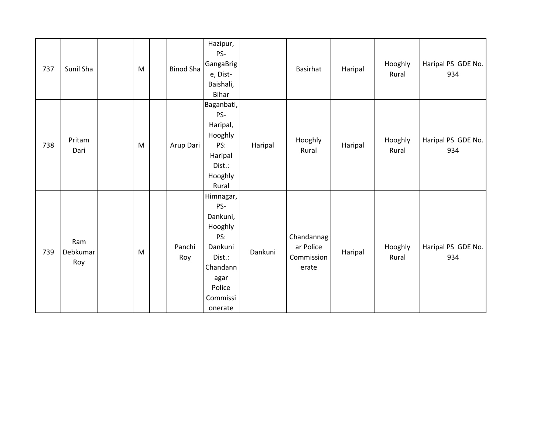| 737 | Sunil Sha              | M | <b>Binod Sha</b> | Hazipur,<br>PS-<br>GangaBrig<br>e, Dist-<br>Baishali,<br>Bihar                                                           |         | Basirhat                                       | Haripal | Hooghly<br>Rural | Haripal PS GDE No.<br>934 |
|-----|------------------------|---|------------------|--------------------------------------------------------------------------------------------------------------------------|---------|------------------------------------------------|---------|------------------|---------------------------|
| 738 | Pritam<br>Dari         | M | Arup Dari        | Baganbati,<br>PS-<br>Haripal,<br>Hooghly<br>PS:<br>Haripal<br>Dist.:<br>Hooghly<br>Rural                                 | Haripal | Hooghly<br>Rural                               | Haripal | Hooghly<br>Rural | Haripal PS GDE No.<br>934 |
| 739 | Ram<br>Debkumar<br>Roy | M | Panchi<br>Roy    | Himnagar,<br>PS-<br>Dankuni,<br>Hooghly<br>PS:<br>Dankuni<br>Dist.:<br>Chandann<br>agar<br>Police<br>Commissi<br>onerate | Dankuni | Chandannag<br>ar Police<br>Commission<br>erate | Haripal | Hooghly<br>Rural | Haripal PS GDE No.<br>934 |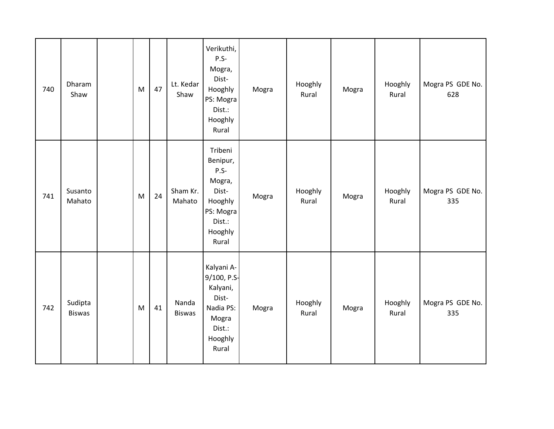| 740 | Dharam<br>Shaw           | M | 47 | Lt. Kedar<br>Shaw      | Verikuthi,<br>$P.S-$<br>Mogra,<br>Dist-<br>Hooghly<br>PS: Mogra<br>Dist.:<br>Hooghly<br>Rural          | Mogra | Hooghly<br>Rural | Mogra | Hooghly<br>Rural | Mogra PS GDE No.<br>628 |
|-----|--------------------------|---|----|------------------------|--------------------------------------------------------------------------------------------------------|-------|------------------|-------|------------------|-------------------------|
| 741 | Susanto<br>Mahato        | M | 24 | Sham Kr.<br>Mahato     | Tribeni<br>Benipur,<br>$P.S-$<br>Mogra,<br>Dist-<br>Hooghly<br>PS: Mogra<br>Dist.:<br>Hooghly<br>Rural | Mogra | Hooghly<br>Rural | Mogra | Hooghly<br>Rural | Mogra PS GDE No.<br>335 |
| 742 | Sudipta<br><b>Biswas</b> | M | 41 | Nanda<br><b>Biswas</b> | Kalyani A-<br>9/100, P.S<br>Kalyani,<br>Dist-<br>Nadia PS:<br>Mogra<br>Dist.:<br>Hooghly<br>Rural      | Mogra | Hooghly<br>Rural | Mogra | Hooghly<br>Rural | Mogra PS GDE No.<br>335 |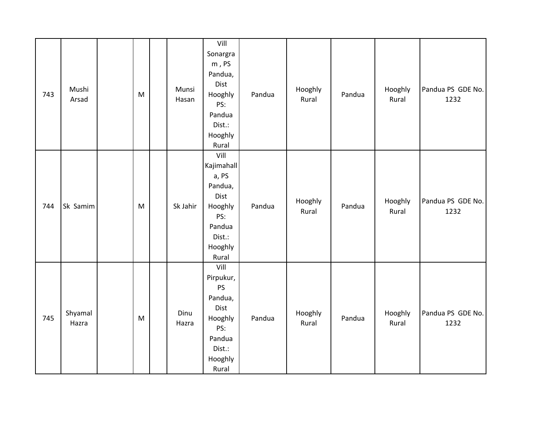| 743 | Mushi<br>Arsad   | M         | Munsi<br>Hasan | Vill<br>Sonargra<br>$\ensuremath{\mathsf{m}}$ , $\ensuremath{\mathsf{PS}}$<br>Pandua,<br>Dist<br>Hooghly<br>PS:<br>Pandua<br>Dist.:<br>Hooghly<br>Rural | Pandua | Hooghly<br>Rural | Pandua | Hooghly<br>Rural | Pandua PS GDE No.<br>1232 |
|-----|------------------|-----------|----------------|---------------------------------------------------------------------------------------------------------------------------------------------------------|--------|------------------|--------|------------------|---------------------------|
| 744 | Sk Samim         | ${\sf M}$ | Sk Jahir       | Vill<br>Kajimahall<br>a, PS<br>Pandua,<br>Dist<br>Hooghly<br>PS:<br>Pandua<br>Dist.:<br>Hooghly<br>Rural                                                | Pandua | Hooghly<br>Rural | Pandua | Hooghly<br>Rural | Pandua PS GDE No.<br>1232 |
| 745 | Shyamal<br>Hazra | M         | Dinu<br>Hazra  | Vill<br>Pirpukur,<br><b>PS</b><br>Pandua,<br>Dist<br>Hooghly<br>PS:<br>Pandua<br>Dist.:<br>Hooghly<br>Rural                                             | Pandua | Hooghly<br>Rural | Pandua | Hooghly<br>Rural | Pandua PS GDE No.<br>1232 |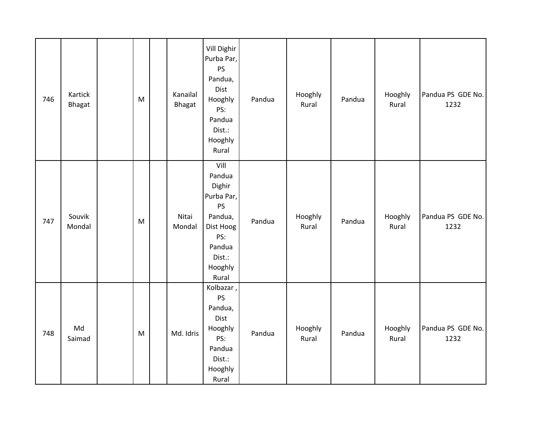| 746 | Kartick<br>Bhagat | M | Kanailal<br>Bhagat | Vill Dighir<br>Purba Par,<br><b>PS</b><br>Pandua,<br>Dist<br>Hooghly<br>PS:<br>Pandua<br>Dist.:<br>Hooghly<br>Rural | Pandua | Hooghly<br>Rural | Pandua | Hooghly<br>Rural | Pandua PS GDE No.<br>1232 |
|-----|-------------------|---|--------------------|---------------------------------------------------------------------------------------------------------------------|--------|------------------|--------|------------------|---------------------------|
| 747 | Souvik<br>Mondal  | M | Nitai<br>Mondal    | Vill<br>Pandua<br>Dighir<br>Purba Par,<br>PS<br>Pandua,<br>Dist Hoog<br>PS:<br>Pandua<br>Dist.:<br>Hooghly<br>Rural | Pandua | Hooghly<br>Rural | Pandua | Hooghly<br>Rural | Pandua PS GDE No.<br>1232 |
| 748 | Md<br>Saimad      | M | Md. Idris          | Kolbazar,<br>PS<br>Pandua,<br>Dist<br>Hooghly<br>PS:<br>Pandua<br>Dist.:<br>Hooghly<br>Rural                        | Pandua | Hooghly<br>Rural | Pandua | Hooghly<br>Rural | Pandua PS GDE No.<br>1232 |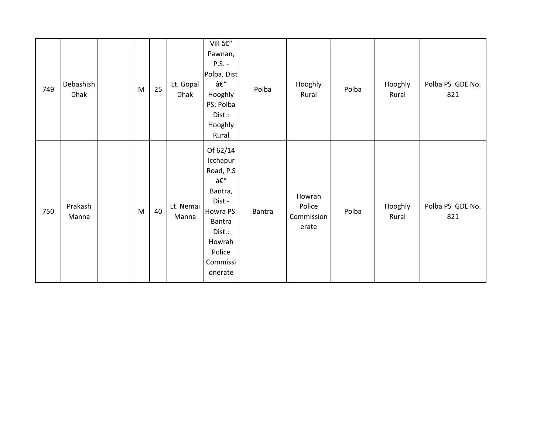| 749 | Debashish<br><b>Dhak</b> | M | 25 | Lt. Gopal<br>Dhak  | Vill –<br>Pawnan,<br>P.S. -<br>Polba, Dist<br>$\hat{\mathsf{a}} \mathsf{E}''$<br>Hooghly<br>PS: Polba<br>Dist.:<br>Hooghly<br>Rural     | Polba  | Hooghly<br>Rural                        | Polba | Hooghly<br>Rural | Polba PS GDE No.<br>821 |
|-----|--------------------------|---|----|--------------------|-----------------------------------------------------------------------------------------------------------------------------------------|--------|-----------------------------------------|-------|------------------|-------------------------|
| 750 | Prakash<br>Manna         | M | 40 | Lt. Nemai<br>Manna | Of 62/14<br>Icchapur<br>Road, P.S<br>–<br>Bantra,<br>Dist -<br>Howra PS:<br>Bantra<br>Dist.:<br>Howrah<br>Police<br>Commissi<br>onerate | Bantra | Howrah<br>Police<br>Commission<br>erate | Polba | Hooghly<br>Rural | Polba PS GDE No.<br>821 |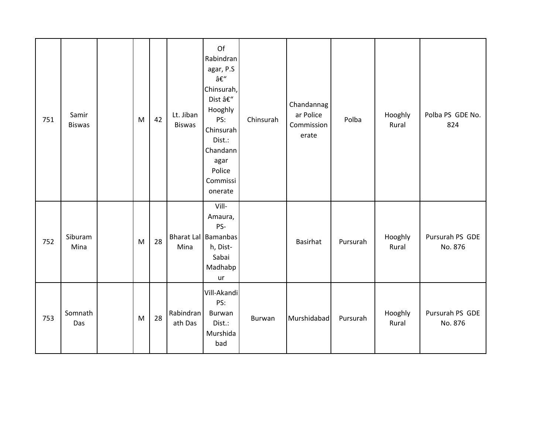| 751 | Samir<br><b>Biswas</b> | M | 42 | Lt. Jiban<br><b>Biswas</b> | Of<br>Rabindran<br>agar, P.S<br>$\hat{\mathsf{a}} \mathsf{E}''$<br>Chinsurah,<br>Dist –<br>Hooghly<br>PS:<br>Chinsurah<br>Dist.:<br>Chandann<br>agar<br>Police<br>Commissi<br>onerate | Chinsurah | Chandannag<br>ar Police<br>Commission<br>erate | Polba    | Hooghly<br>Rural | Polba PS GDE No.<br>824    |
|-----|------------------------|---|----|----------------------------|---------------------------------------------------------------------------------------------------------------------------------------------------------------------------------------|-----------|------------------------------------------------|----------|------------------|----------------------------|
| 752 | Siburam<br>Mina        | M | 28 | Mina                       | Vill-<br>Amaura,<br>PS-<br>Bharat Lal Bamanbas<br>h, Dist-<br>Sabai<br>Madhabp<br>ur                                                                                                  |           | Basirhat                                       | Pursurah | Hooghly<br>Rural | Pursurah PS GDE<br>No. 876 |
| 753 | Somnath<br>Das         | M | 28 | Rabindran<br>ath Das       | Vill-Akandi<br>PS:<br>Burwan<br>Dist.:<br>Murshida<br>bad                                                                                                                             | Burwan    | Murshidabad                                    | Pursurah | Hooghly<br>Rural | Pursurah PS GDE<br>No. 876 |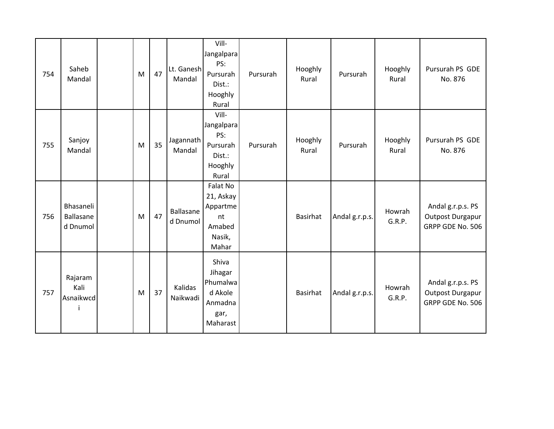| 754 | Saheb<br>Mandal                    | M         | 47 | Lt. Ganesh<br>Mandal  | Vill-<br>Jangalpara<br>PS:<br>Pursurah<br>Dist.:<br>Hooghly<br>Rural   | Pursurah | Hooghly<br>Rural | Pursurah       | Hooghly<br>Rural | Pursurah PS GDE<br>No. 876                                       |
|-----|------------------------------------|-----------|----|-----------------------|------------------------------------------------------------------------|----------|------------------|----------------|------------------|------------------------------------------------------------------|
| 755 | Sanjoy<br>Mandal                   | M         | 35 | Jagannath<br>Mandal   | Vill-<br>Jangalpara<br>PS:<br>Pursurah<br>Dist.:<br>Hooghly<br>Rural   | Pursurah | Hooghly<br>Rural | Pursurah       | Hooghly<br>Rural | Pursurah PS GDE<br>No. 876                                       |
| 756 | Bhasaneli<br>Ballasane<br>d Dnumol | ${\sf M}$ | 47 | Ballasane<br>d Dnumol | Falat No<br>21, Askay<br>Appartme<br>nt<br>Amabed<br>Nasik,<br>Mahar   |          | <b>Basirhat</b>  | Andal g.r.p.s. | Howrah<br>G.R.P. | Andal g.r.p.s. PS<br><b>Outpost Durgapur</b><br>GRPP GDE No. 506 |
| 757 | Rajaram<br>Kali<br>Asnaikwcd       | ${\sf M}$ | 37 | Kalidas<br>Naikwadi   | Shiva<br>Jihagar<br>Phumalwa<br>d Akole<br>Anmadna<br>gar,<br>Maharast |          | <b>Basirhat</b>  | Andal g.r.p.s. | Howrah<br>G.R.P. | Andal g.r.p.s. PS<br>Outpost Durgapur<br>GRPP GDE No. 506        |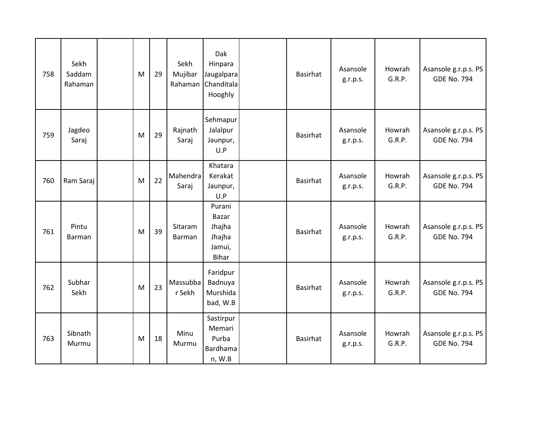| 758 | Sekh<br>Saddam<br>Rahaman | M | 29 | Sekh<br>Mujibar<br>Rahaman | Dak<br>Hinpara<br>Jaugalpara<br>Chanditala<br>Hooghly         | <b>Basirhat</b> | Asansole<br>g.r.p.s. | Howrah<br>G.R.P. | Asansole g.r.p.s. PS<br><b>GDE No. 794</b> |
|-----|---------------------------|---|----|----------------------------|---------------------------------------------------------------|-----------------|----------------------|------------------|--------------------------------------------|
| 759 | Jagdeo<br>Saraj           | M | 29 | Rajnath<br>Saraj           | Sehmapur<br>Jalalpur<br>Jaunpur,<br>U.P                       | <b>Basirhat</b> | Asansole<br>g.r.p.s. | Howrah<br>G.R.P. | Asansole g.r.p.s. PS<br><b>GDE No. 794</b> |
| 760 | Ram Saraj                 | M | 22 | Mahendra<br>Saraj          | Khatara<br>Kerakat<br>Jaunpur,<br>U.P                         | Basirhat        | Asansole<br>g.r.p.s. | Howrah<br>G.R.P. | Asansole g.r.p.s. PS<br><b>GDE No. 794</b> |
| 761 | Pintu<br>Barman           | M | 39 | Sitaram<br>Barman          | Purani<br>Bazar<br>Jhajha<br>Jhajha<br>Jamui,<br><b>Bihar</b> | <b>Basirhat</b> | Asansole<br>g.r.p.s. | Howrah<br>G.R.P. | Asansole g.r.p.s. PS<br><b>GDE No. 794</b> |
| 762 | Subhar<br>Sekh            | M | 23 | Massubba<br>r Sekh         | Faridpur<br>Badnuya<br>Murshida<br>bad, W.B                   | <b>Basirhat</b> | Asansole<br>g.r.p.s. | Howrah<br>G.R.P. | Asansole g.r.p.s. PS<br><b>GDE No. 794</b> |
| 763 | Sibnath<br>Murmu          | M | 18 | Minu<br>Murmu              | Sastirpur<br>Memari<br>Purba<br>Bardhama<br>n, W.B            | Basirhat        | Asansole<br>g.r.p.s. | Howrah<br>G.R.P. | Asansole g.r.p.s. PS<br><b>GDE No. 794</b> |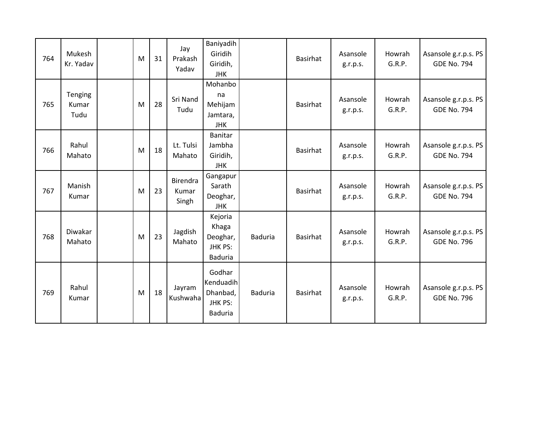| 764 | Mukesh<br>Kr. Yadav      | M | 31 | Jay<br>Prakash<br>Yadav    | Baniyadih<br>Giridih<br>Giridih,<br><b>JHK</b>               |                | Basirhat        | Asansole<br>g.r.p.s. | Howrah<br>G.R.P. | Asansole g.r.p.s. PS<br><b>GDE No. 794</b> |
|-----|--------------------------|---|----|----------------------------|--------------------------------------------------------------|----------------|-----------------|----------------------|------------------|--------------------------------------------|
| 765 | Tenging<br>Kumar<br>Tudu | M | 28 | Sri Nand<br>Tudu           | Mohanbo<br>na<br>Mehijam<br>Jamtara,<br><b>JHK</b>           |                | Basirhat        | Asansole<br>g.r.p.s. | Howrah<br>G.R.P. | Asansole g.r.p.s. PS<br><b>GDE No. 794</b> |
| 766 | Rahul<br>Mahato          | M | 18 | Lt. Tulsi<br>Mahato        | <b>Banitar</b><br>Jambha<br>Giridih,<br><b>JHK</b>           |                | Basirhat        | Asansole<br>g.r.p.s. | Howrah<br>G.R.P. | Asansole g.r.p.s. PS<br><b>GDE No. 794</b> |
| 767 | Manish<br>Kumar          | M | 23 | Birendra<br>Kumar<br>Singh | Gangapur<br>Sarath<br>Deoghar,<br><b>JHK</b>                 |                | Basirhat        | Asansole<br>g.r.p.s. | Howrah<br>G.R.P. | Asansole g.r.p.s. PS<br><b>GDE No. 794</b> |
| 768 | Diwakar<br>Mahato        | M | 23 | Jagdish<br>Mahato          | Kejoria<br>Khaga<br>Deoghar,<br>JHK PS:<br><b>Baduria</b>    | <b>Baduria</b> | <b>Basirhat</b> | Asansole<br>g.r.p.s. | Howrah<br>G.R.P. | Asansole g.r.p.s. PS<br><b>GDE No. 796</b> |
| 769 | Rahul<br>Kumar           | M | 18 | Jayram<br>Kushwaha         | Godhar<br>Kenduadih<br>Dhanbad,<br>JHK PS:<br><b>Baduria</b> | <b>Baduria</b> | <b>Basirhat</b> | Asansole<br>g.r.p.s. | Howrah<br>G.R.P. | Asansole g.r.p.s. PS<br><b>GDE No. 796</b> |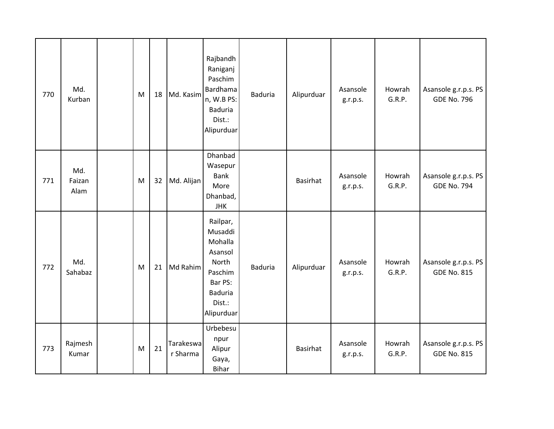| 770 | Md.<br>Kurban         | M | 18 | Md. Kasim             | Rajbandh<br>Raniganj<br>Paschim<br>Bardhama<br>n, W.B PS:<br><b>Baduria</b><br>Dist.:<br>Alipurduar                | <b>Baduria</b> | Alipurduar | Asansole<br>g.r.p.s. | Howrah<br>G.R.P. | Asansole g.r.p.s. PS<br><b>GDE No. 796</b> |
|-----|-----------------------|---|----|-----------------------|--------------------------------------------------------------------------------------------------------------------|----------------|------------|----------------------|------------------|--------------------------------------------|
| 771 | Md.<br>Faizan<br>Alam | M | 32 | Md. Alijan            | Dhanbad<br>Wasepur<br><b>Bank</b><br>More<br>Dhanbad,<br><b>JHK</b>                                                |                | Basirhat   | Asansole<br>g.r.p.s. | Howrah<br>G.R.P. | Asansole g.r.p.s. PS<br><b>GDE No. 794</b> |
| 772 | Md.<br>Sahabaz        | M | 21 | Md Rahim              | Railpar,<br>Musaddi<br>Mohalla<br>Asansol<br>North<br>Paschim<br>Bar PS:<br><b>Baduria</b><br>Dist.:<br>Alipurduar | <b>Baduria</b> | Alipurduar | Asansole<br>g.r.p.s. | Howrah<br>G.R.P. | Asansole g.r.p.s. PS<br><b>GDE No. 815</b> |
| 773 | Rajmesh<br>Kumar      | M | 21 | Tarakeswa<br>r Sharma | Urbebesu<br>npur<br>Alipur<br>Gaya,<br><b>Bihar</b>                                                                |                | Basirhat   | Asansole<br>g.r.p.s. | Howrah<br>G.R.P. | Asansole g.r.p.s. PS<br><b>GDE No. 815</b> |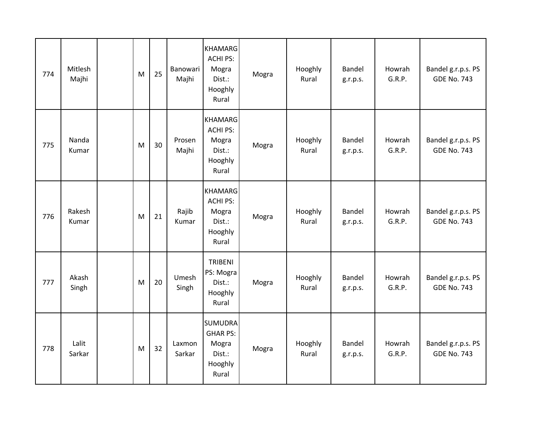| 774 | Mitlesh<br>Majhi | M | 25 | Banowari<br>Majhi | <b>KHAMARG</b><br><b>ACHI PS:</b><br>Mogra<br>Dist.:<br>Hooghly<br>Rural | Mogra | Hooghly<br>Rural | Bandel<br>g.r.p.s. | Howrah<br>G.R.P. | Bandel g.r.p.s. PS<br><b>GDE No. 743</b> |
|-----|------------------|---|----|-------------------|--------------------------------------------------------------------------|-------|------------------|--------------------|------------------|------------------------------------------|
| 775 | Nanda<br>Kumar   | M | 30 | Prosen<br>Majhi   | <b>KHAMARG</b><br><b>ACHI PS:</b><br>Mogra<br>Dist.:<br>Hooghly<br>Rural | Mogra | Hooghly<br>Rural | Bandel<br>g.r.p.s. | Howrah<br>G.R.P. | Bandel g.r.p.s. PS<br><b>GDE No. 743</b> |
| 776 | Rakesh<br>Kumar  | M | 21 | Rajib<br>Kumar    | <b>KHAMARG</b><br><b>ACHI PS:</b><br>Mogra<br>Dist.:<br>Hooghly<br>Rural | Mogra | Hooghly<br>Rural | Bandel<br>g.r.p.s. | Howrah<br>G.R.P. | Bandel g.r.p.s. PS<br><b>GDE No. 743</b> |
| 777 | Akash<br>Singh   | M | 20 | Umesh<br>Singh    | <b>TRIBENI</b><br>PS: Mogra<br>Dist.:<br>Hooghly<br>Rural                | Mogra | Hooghly<br>Rural | Bandel<br>g.r.p.s. | Howrah<br>G.R.P. | Bandel g.r.p.s. PS<br><b>GDE No. 743</b> |
| 778 | Lalit<br>Sarkar  | M | 32 | Laxmon<br>Sarkar  | <b>SUMUDRA</b><br><b>GHAR PS:</b><br>Mogra<br>Dist.:<br>Hooghly<br>Rural | Mogra | Hooghly<br>Rural | Bandel<br>g.r.p.s. | Howrah<br>G.R.P. | Bandel g.r.p.s. PS<br><b>GDE No. 743</b> |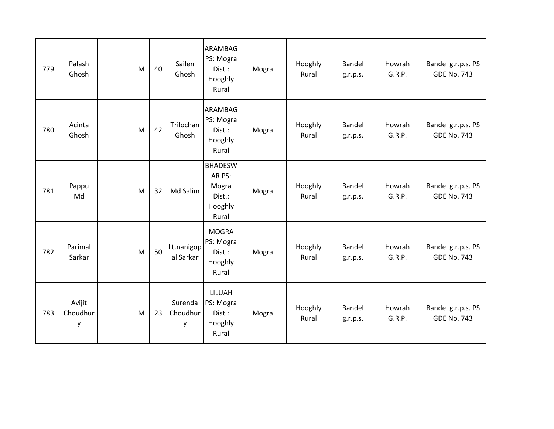| 779 | Palash<br>Ghosh         | M | 40 | Sailen<br>Ghosh          | <b>ARAMBAG</b><br>PS: Mogra<br>Dist.:<br>Hooghly<br>Rural       | Mogra | Hooghly<br>Rural | Bandel<br>g.r.p.s. | Howrah<br>G.R.P. | Bandel g.r.p.s. PS<br><b>GDE No. 743</b> |
|-----|-------------------------|---|----|--------------------------|-----------------------------------------------------------------|-------|------------------|--------------------|------------------|------------------------------------------|
| 780 | Acinta<br>Ghosh         | M | 42 | Trilochan<br>Ghosh       | <b>ARAMBAG</b><br>PS: Mogra<br>Dist.:<br>Hooghly<br>Rural       | Mogra | Hooghly<br>Rural | Bandel<br>g.r.p.s. | Howrah<br>G.R.P. | Bandel g.r.p.s. PS<br><b>GDE No. 743</b> |
| 781 | Pappu<br>Md             | M | 32 | Md Salim                 | <b>BHADESW</b><br>AR PS:<br>Mogra<br>Dist.:<br>Hooghly<br>Rural | Mogra | Hooghly<br>Rural | Bandel<br>g.r.p.s. | Howrah<br>G.R.P. | Bandel g.r.p.s. PS<br><b>GDE No. 743</b> |
| 782 | Parimal<br>Sarkar       | M | 50 | Lt.nanigop<br>al Sarkar  | <b>MOGRA</b><br>PS: Mogra<br>Dist.:<br>Hooghly<br>Rural         | Mogra | Hooghly<br>Rural | Bandel<br>g.r.p.s. | Howrah<br>G.R.P. | Bandel g.r.p.s. PS<br><b>GDE No. 743</b> |
| 783 | Avijit<br>Choudhur<br>у | M | 23 | Surenda<br>Choudhur<br>y | LILUAH<br>PS: Mogra<br>Dist.:<br>Hooghly<br>Rural               | Mogra | Hooghly<br>Rural | Bandel<br>g.r.p.s. | Howrah<br>G.R.P. | Bandel g.r.p.s. PS<br><b>GDE No. 743</b> |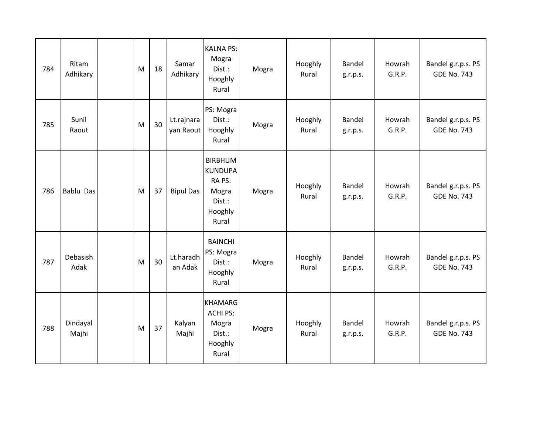| 784 | Ritam<br>Adhikary | M | 18 | Samar<br>Adhikary       | <b>KALNA PS:</b><br>Mogra<br>Dist.:<br>Hooghly<br>Rural                           | Mogra | Hooghly<br>Rural | Bandel<br>g.r.p.s. | Howrah<br>G.R.P. | Bandel g.r.p.s. PS<br><b>GDE No. 743</b> |
|-----|-------------------|---|----|-------------------------|-----------------------------------------------------------------------------------|-------|------------------|--------------------|------------------|------------------------------------------|
| 785 | Sunil<br>Raout    | M | 30 | Lt.rajnara<br>yan Raout | PS: Mogra<br>Dist.:<br>Hooghly<br>Rural                                           | Mogra | Hooghly<br>Rural | Bandel<br>g.r.p.s. | Howrah<br>G.R.P. | Bandel g.r.p.s. PS<br><b>GDE No. 743</b> |
| 786 | Bablu Das         | M | 37 | <b>Bipul Das</b>        | <b>BIRBHUM</b><br><b>KUNDUPA</b><br>RA PS:<br>Mogra<br>Dist.:<br>Hooghly<br>Rural | Mogra | Hooghly<br>Rural | Bandel<br>g.r.p.s. | Howrah<br>G.R.P. | Bandel g.r.p.s. PS<br><b>GDE No. 743</b> |
| 787 | Debasish<br>Adak  | M | 30 | Lt.haradh<br>an Adak    | <b>BAINCHI</b><br>PS: Mogra<br>Dist.:<br>Hooghly<br>Rural                         | Mogra | Hooghly<br>Rural | Bandel<br>g.r.p.s. | Howrah<br>G.R.P. | Bandel g.r.p.s. PS<br><b>GDE No. 743</b> |
| 788 | Dindayal<br>Majhi | M | 37 | Kalyan<br>Majhi         | KHAMARG<br><b>ACHI PS:</b><br>Mogra<br>Dist.:<br>Hooghly<br>Rural                 | Mogra | Hooghly<br>Rural | Bandel<br>g.r.p.s. | Howrah<br>G.R.P. | Bandel g.r.p.s. PS<br><b>GDE No. 743</b> |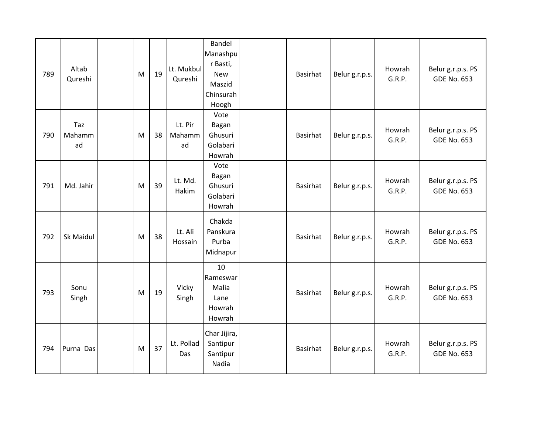| 789 | Altab<br>Qureshi    | M | 19 | Lt. Mukbul<br>Qureshi   | <b>Bandel</b><br>Manashpu<br>r Basti,<br><b>New</b><br>Maszid<br>Chinsurah<br>Hoogh | Basirhat        | Belur g.r.p.s. | Howrah<br>G.R.P. | Belur g.r.p.s. PS<br><b>GDE No. 653</b> |
|-----|---------------------|---|----|-------------------------|-------------------------------------------------------------------------------------|-----------------|----------------|------------------|-----------------------------------------|
| 790 | Taz<br>Mahamm<br>ad | M | 38 | Lt. Pir<br>Mahamm<br>ad | Vote<br>Bagan<br>Ghusuri<br>Golabari<br>Howrah                                      | Basirhat        | Belur g.r.p.s. | Howrah<br>G.R.P. | Belur g.r.p.s. PS<br><b>GDE No. 653</b> |
| 791 | Md. Jahir           | M | 39 | Lt. Md.<br>Hakim        | Vote<br>Bagan<br>Ghusuri<br>Golabari<br>Howrah                                      | Basirhat        | Belur g.r.p.s. | Howrah<br>G.R.P. | Belur g.r.p.s. PS<br><b>GDE No. 653</b> |
| 792 | Sk Maidul           | M | 38 | Lt. Ali<br>Hossain      | Chakda<br>Panskura<br>Purba<br>Midnapur                                             | <b>Basirhat</b> | Belur g.r.p.s. | Howrah<br>G.R.P. | Belur g.r.p.s. PS<br><b>GDE No. 653</b> |
| 793 | Sonu<br>Singh       | M | 19 | Vicky<br>Singh          | 10<br>Rameswar<br>Malia<br>Lane<br>Howrah<br>Howrah                                 | Basirhat        | Belur g.r.p.s. | Howrah<br>G.R.P. | Belur g.r.p.s. PS<br><b>GDE No. 653</b> |
| 794 | Purna Das           | M | 37 | Lt. Pollad<br>Das       | Char Jijira,<br>Santipur<br>Santipur<br>Nadia                                       | Basirhat        | Belur g.r.p.s. | Howrah<br>G.R.P. | Belur g.r.p.s. PS<br><b>GDE No. 653</b> |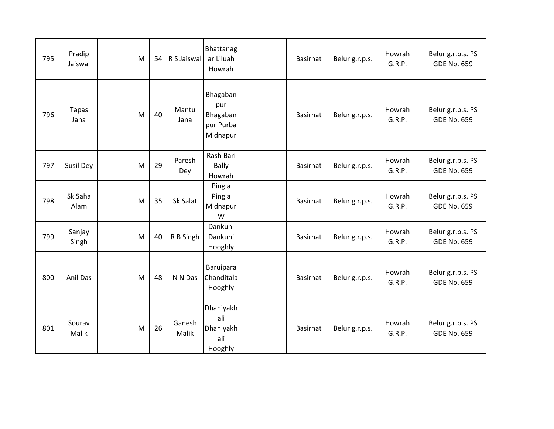| 795 | Pradip<br>Jaiswal    | M | 54 | R S Jaiswal     | Bhattanag<br>ar Liluah<br>Howrah                       | <b>Basirhat</b> | Belur g.r.p.s. | Howrah<br>G.R.P. | Belur g.r.p.s. PS<br><b>GDE No. 659</b> |
|-----|----------------------|---|----|-----------------|--------------------------------------------------------|-----------------|----------------|------------------|-----------------------------------------|
| 796 | <b>Tapas</b><br>Jana | M | 40 | Mantu<br>Jana   | Bhagaban<br>pur<br>Bhagaban<br>pur Purba<br>Midnapur   | <b>Basirhat</b> | Belur g.r.p.s. | Howrah<br>G.R.P. | Belur g.r.p.s. PS<br><b>GDE No. 659</b> |
| 797 | Susil Dey            | M | 29 | Paresh<br>Dey   | Rash Bari<br><b>Bally</b><br>Howrah                    | <b>Basirhat</b> | Belur g.r.p.s. | Howrah<br>G.R.P. | Belur g.r.p.s. PS<br><b>GDE No. 659</b> |
| 798 | Sk Saha<br>Alam      | M | 35 | Sk Salat        | Pingla<br>Pingla<br>Midnapur<br>W                      | <b>Basirhat</b> | Belur g.r.p.s. | Howrah<br>G.R.P. | Belur g.r.p.s. PS<br><b>GDE No. 659</b> |
| 799 | Sanjay<br>Singh      | M | 40 | R B Singh       | Dankuni<br>Dankuni<br>Hooghly                          | <b>Basirhat</b> | Belur g.r.p.s. | Howrah<br>G.R.P. | Belur g.r.p.s. PS<br><b>GDE No. 659</b> |
| 800 | Anil Das             | M | 48 | N N Das         | Baruipara<br>Chanditala<br>Hooghly                     | <b>Basirhat</b> | Belur g.r.p.s. | Howrah<br>G.R.P. | Belur g.r.p.s. PS<br><b>GDE No. 659</b> |
| 801 | Sourav<br>Malik      | M | 26 | Ganesh<br>Malik | <b>Dhaniyakh</b><br>ali<br>Dhaniyakh<br>ali<br>Hooghly | <b>Basirhat</b> | Belur g.r.p.s. | Howrah<br>G.R.P. | Belur g.r.p.s. PS<br><b>GDE No. 659</b> |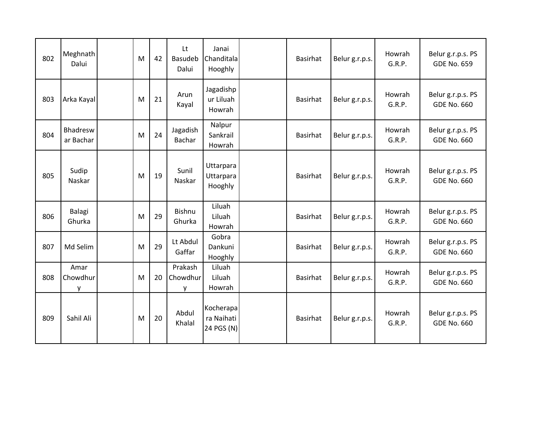| 802 | Meghnath<br>Dalui     | M | 42 | Lt<br><b>Basudeb</b><br>Dalui | Janai<br>Chanditala<br>Hooghly        | <b>Basirhat</b> | Belur g.r.p.s. | Howrah<br>G.R.P. | Belur g.r.p.s. PS<br><b>GDE No. 659</b> |
|-----|-----------------------|---|----|-------------------------------|---------------------------------------|-----------------|----------------|------------------|-----------------------------------------|
| 803 | Arka Kayal            | M | 21 | Arun<br>Kayal                 | Jagadishp<br>ur Liluah<br>Howrah      | <b>Basirhat</b> | Belur g.r.p.s. | Howrah<br>G.R.P. | Belur g.r.p.s. PS<br><b>GDE No. 660</b> |
| 804 | Bhadresw<br>ar Bachar | M | 24 | Jagadish<br>Bachar            | Nalpur<br>Sankrail<br>Howrah          | <b>Basirhat</b> | Belur g.r.p.s. | Howrah<br>G.R.P. | Belur g.r.p.s. PS<br><b>GDE No. 660</b> |
| 805 | Sudip<br>Naskar       | M | 19 | Sunil<br>Naskar               | Uttarpara<br>Uttarpara<br>Hooghly     | <b>Basirhat</b> | Belur g.r.p.s. | Howrah<br>G.R.P. | Belur g.r.p.s. PS<br><b>GDE No. 660</b> |
| 806 | Balagi<br>Ghurka      | M | 29 | <b>Bishnu</b><br>Ghurka       | Liluah<br>Liluah<br>Howrah            | <b>Basirhat</b> | Belur g.r.p.s. | Howrah<br>G.R.P. | Belur g.r.p.s. PS<br><b>GDE No. 660</b> |
| 807 | Md Selim              | M | 29 | Lt Abdul<br>Gaffar            | Gobra<br>Dankuni<br>Hooghly           | <b>Basirhat</b> | Belur g.r.p.s. | Howrah<br>G.R.P. | Belur g.r.p.s. PS<br><b>GDE No. 660</b> |
| 808 | Amar<br>Chowdhur<br>y | M | 20 | Prakash<br>Chowdhur<br>۷      | Liluah<br>Liluah<br>Howrah            | <b>Basirhat</b> | Belur g.r.p.s. | Howrah<br>G.R.P. | Belur g.r.p.s. PS<br><b>GDE No. 660</b> |
| 809 | Sahil Ali             | M | 20 | Abdul<br>Khalal               | Kocherapa<br>ra Naihati<br>24 PGS (N) | <b>Basirhat</b> | Belur g.r.p.s. | Howrah<br>G.R.P. | Belur g.r.p.s. PS<br><b>GDE No. 660</b> |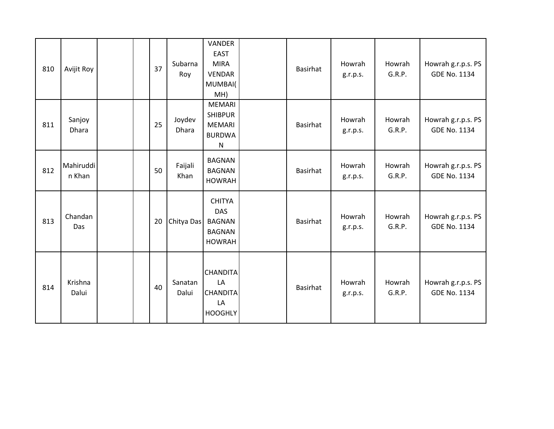| 810 | Avijit Roy          |  | 37 | Subarna<br>Roy   | VANDER<br><b>EAST</b><br><b>MIRA</b><br><b>VENDAR</b><br>MUMBAI(<br>MH)           | <b>Basirhat</b> | Howrah<br>g.r.p.s. | Howrah<br>G.R.P. | Howrah g.r.p.s. PS<br><b>GDE No. 1134</b> |
|-----|---------------------|--|----|------------------|-----------------------------------------------------------------------------------|-----------------|--------------------|------------------|-------------------------------------------|
| 811 | Sanjoy<br>Dhara     |  | 25 | Joydev<br>Dhara  | <b>MEMARI</b><br><b>SHIBPUR</b><br><b>MEMARI</b><br><b>BURDWA</b><br>$\mathsf{N}$ | <b>Basirhat</b> | Howrah<br>g.r.p.s. | Howrah<br>G.R.P. | Howrah g.r.p.s. PS<br><b>GDE No. 1134</b> |
| 812 | Mahiruddi<br>n Khan |  | 50 | Faijali<br>Khan  | <b>BAGNAN</b><br><b>BAGNAN</b><br><b>HOWRAH</b>                                   | <b>Basirhat</b> | Howrah<br>g.r.p.s. | Howrah<br>G.R.P. | Howrah g.r.p.s. PS<br><b>GDE No. 1134</b> |
| 813 | Chandan<br>Das      |  | 20 | Chitya Das       | <b>CHITYA</b><br><b>DAS</b><br><b>BAGNAN</b><br><b>BAGNAN</b><br><b>HOWRAH</b>    | <b>Basirhat</b> | Howrah<br>g.r.p.s. | Howrah<br>G.R.P. | Howrah g.r.p.s. PS<br><b>GDE No. 1134</b> |
| 814 | Krishna<br>Dalui    |  | 40 | Sanatan<br>Dalui | <b>CHANDITA</b><br>LA<br><b>CHANDITA</b><br>LA<br><b>HOOGHLY</b>                  | <b>Basirhat</b> | Howrah<br>g.r.p.s. | Howrah<br>G.R.P. | Howrah g.r.p.s. PS<br><b>GDE No. 1134</b> |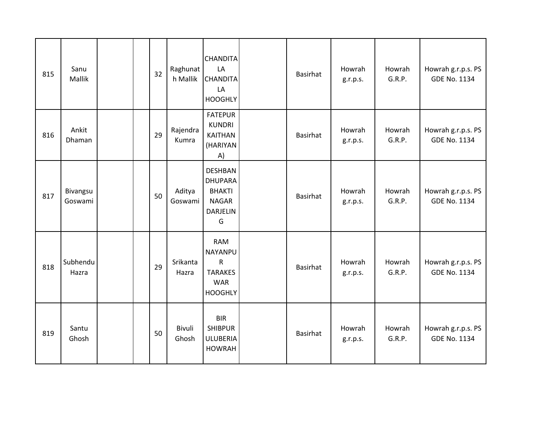| 815 | Sanu<br>Mallik      |  | 32 | Raghunat<br>h Mallik | <b>CHANDITA</b><br>LA<br><b>CHANDITA</b><br>LA<br><b>HOOGHLY</b>                          | Basirhat        | Howrah<br>g.r.p.s. | Howrah<br>G.R.P. | Howrah g.r.p.s. PS<br><b>GDE No. 1134</b> |
|-----|---------------------|--|----|----------------------|-------------------------------------------------------------------------------------------|-----------------|--------------------|------------------|-------------------------------------------|
| 816 | Ankit<br>Dhaman     |  | 29 | Rajendra<br>Kumra    | <b>FATEPUR</b><br><b>KUNDRI</b><br><b>KAITHAN</b><br>(HARIYAN<br>A)                       | Basirhat        | Howrah<br>g.r.p.s. | Howrah<br>G.R.P. | Howrah g.r.p.s. PS<br>GDE No. 1134        |
| 817 | Bivangsu<br>Goswami |  | 50 | Aditya<br>Goswami    | <b>DESHBAN</b><br><b>DHUPARA</b><br><b>BHAKTI</b><br><b>NAGAR</b><br><b>DARJELIN</b><br>G | <b>Basirhat</b> | Howrah<br>g.r.p.s. | Howrah<br>G.R.P. | Howrah g.r.p.s. PS<br><b>GDE No. 1134</b> |
| 818 | Subhendu<br>Hazra   |  | 29 | Srikanta<br>Hazra    | <b>RAM</b><br>NAYANPU<br>${\sf R}$<br><b>TARAKES</b><br><b>WAR</b><br><b>HOOGHLY</b>      | Basirhat        | Howrah<br>g.r.p.s. | Howrah<br>G.R.P. | Howrah g.r.p.s. PS<br><b>GDE No. 1134</b> |
| 819 | Santu<br>Ghosh      |  | 50 | Bivuli<br>Ghosh      | <b>BIR</b><br><b>SHIBPUR</b><br><b>ULUBERIA</b><br><b>HOWRAH</b>                          | Basirhat        | Howrah<br>g.r.p.s. | Howrah<br>G.R.P. | Howrah g.r.p.s. PS<br><b>GDE No. 1134</b> |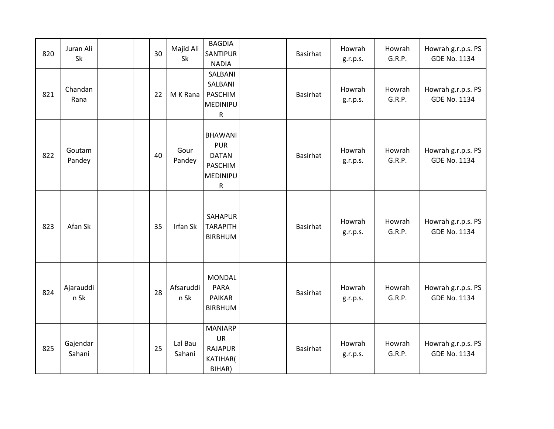| 820 | Juran Ali<br>Sk    |  | 30 | Majid Ali<br>Sk   | <b>BAGDIA</b><br>SANTIPUR<br><b>NADIA</b>                                                  | <b>Basirhat</b> | Howrah<br>g.r.p.s. | Howrah<br>G.R.P. | Howrah g.r.p.s. PS<br>GDE No. 1134        |
|-----|--------------------|--|----|-------------------|--------------------------------------------------------------------------------------------|-----------------|--------------------|------------------|-------------------------------------------|
| 821 | Chandan<br>Rana    |  | 22 | M K Rana          | SALBANI<br>SALBANI<br>PASCHIM<br><b>MEDINIPU</b><br>$\mathsf R$                            | <b>Basirhat</b> | Howrah<br>g.r.p.s. | Howrah<br>G.R.P. | Howrah g.r.p.s. PS<br><b>GDE No. 1134</b> |
| 822 | Goutam<br>Pandey   |  | 40 | Gour<br>Pandey    | <b>BHAWANI</b><br><b>PUR</b><br><b>DATAN</b><br>PASCHIM<br><b>MEDINIPU</b><br>$\mathsf{R}$ | <b>Basirhat</b> | Howrah<br>g.r.p.s. | Howrah<br>G.R.P. | Howrah g.r.p.s. PS<br><b>GDE No. 1134</b> |
| 823 | Afan Sk            |  | 35 | Irfan Sk          | SAHAPUR<br><b>TARAPITH</b><br><b>BIRBHUM</b>                                               | Basirhat        | Howrah<br>g.r.p.s. | Howrah<br>G.R.P. | Howrah g.r.p.s. PS<br><b>GDE No. 1134</b> |
| 824 | Ajarauddi<br>n Sk  |  | 28 | Afsaruddi<br>n Sk | <b>MONDAL</b><br><b>PARA</b><br>PAIKAR<br><b>BIRBHUM</b>                                   | Basirhat        | Howrah<br>g.r.p.s. | Howrah<br>G.R.P. | Howrah g.r.p.s. PS<br><b>GDE No. 1134</b> |
| 825 | Gajendar<br>Sahani |  | 25 | Lal Bau<br>Sahani | <b>MANIARP</b><br><b>UR</b><br><b>RAJAPUR</b><br>KATIHAR(<br>BIHAR)                        | <b>Basirhat</b> | Howrah<br>g.r.p.s. | Howrah<br>G.R.P. | Howrah g.r.p.s. PS<br><b>GDE No. 1134</b> |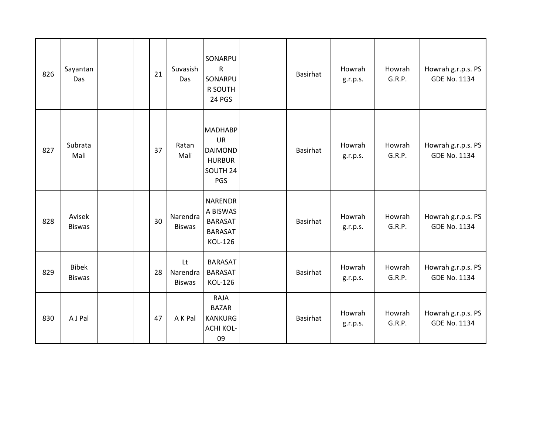| 826 | Sayantan<br>Das               |  | 21 | Suvasish<br>Das                 | SONARPU<br>$\mathsf{R}$<br>SONARPU<br>R SOUTH<br><b>24 PGS</b>                    | <b>Basirhat</b> | Howrah<br>g.r.p.s. | Howrah<br>G.R.P. | Howrah g.r.p.s. PS<br>GDE No. 1134        |
|-----|-------------------------------|--|----|---------------------------------|-----------------------------------------------------------------------------------|-----------------|--------------------|------------------|-------------------------------------------|
| 827 | Subrata<br>Mali               |  | 37 | Ratan<br>Mali                   | <b>MADHABP</b><br><b>UR</b><br><b>DAIMOND</b><br><b>HURBUR</b><br>SOUTH 24<br>PGS | <b>Basirhat</b> | Howrah<br>g.r.p.s. | Howrah<br>G.R.P. | Howrah g.r.p.s. PS<br>GDE No. 1134        |
| 828 | Avisek<br><b>Biswas</b>       |  | 30 | Narendra<br><b>Biswas</b>       | NARENDR<br>A BISWAS<br><b>BARASAT</b><br><b>BARASAT</b><br>KOL-126                | <b>Basirhat</b> | Howrah<br>g.r.p.s. | Howrah<br>G.R.P. | Howrah g.r.p.s. PS<br><b>GDE No. 1134</b> |
| 829 | <b>Bibek</b><br><b>Biswas</b> |  | 28 | Lt<br>Narendra<br><b>Biswas</b> | <b>BARASAT</b><br><b>BARASAT</b><br>KOL-126                                       | <b>Basirhat</b> | Howrah<br>g.r.p.s. | Howrah<br>G.R.P. | Howrah g.r.p.s. PS<br><b>GDE No. 1134</b> |
| 830 | A J Pal                       |  | 47 | A K Pal                         | RAJA<br><b>BAZAR</b><br>KANKURG<br><b>ACHI KOL-</b><br>09                         | <b>Basirhat</b> | Howrah<br>g.r.p.s. | Howrah<br>G.R.P. | Howrah g.r.p.s. PS<br><b>GDE No. 1134</b> |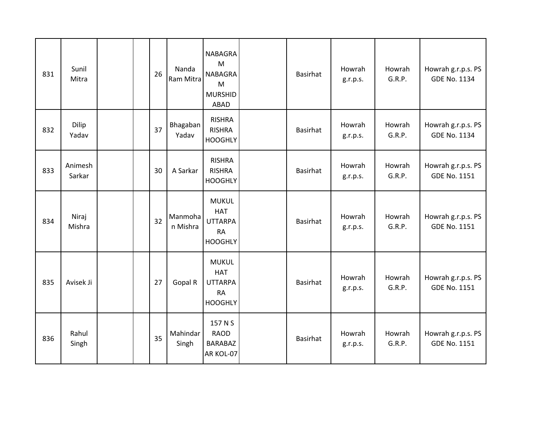| 831 | Sunil<br>Mitra    |  | 26 | Nanda<br>Ram Mitra  | <b>NABAGRA</b><br>M<br><b>NABAGRA</b><br>M<br><b>MURSHID</b><br>ABAD        | Basirhat        | Howrah<br>g.r.p.s. | Howrah<br>G.R.P. | Howrah g.r.p.s. PS<br><b>GDE No. 1134</b> |
|-----|-------------------|--|----|---------------------|-----------------------------------------------------------------------------|-----------------|--------------------|------------------|-------------------------------------------|
| 832 | Dilip<br>Yadav    |  | 37 | Bhagaban<br>Yadav   | <b>RISHRA</b><br><b>RISHRA</b><br><b>HOOGHLY</b>                            | <b>Basirhat</b> | Howrah<br>g.r.p.s. | Howrah<br>G.R.P. | Howrah g.r.p.s. PS<br><b>GDE No. 1134</b> |
| 833 | Animesh<br>Sarkar |  | 30 | A Sarkar            | <b>RISHRA</b><br><b>RISHRA</b><br><b>HOOGHLY</b>                            | Basirhat        | Howrah<br>g.r.p.s. | Howrah<br>G.R.P. | Howrah g.r.p.s. PS<br><b>GDE No. 1151</b> |
| 834 | Niraj<br>Mishra   |  | 32 | Manmoha<br>n Mishra | <b>MUKUL</b><br><b>HAT</b><br><b>UTTARPA</b><br><b>RA</b><br><b>HOOGHLY</b> | Basirhat        | Howrah<br>g.r.p.s. | Howrah<br>G.R.P. | Howrah g.r.p.s. PS<br><b>GDE No. 1151</b> |
| 835 | Avisek Ji         |  | 27 | Gopal R             | <b>MUKUL</b><br><b>HAT</b><br><b>UTTARPA</b><br><b>RA</b><br><b>HOOGHLY</b> | Basirhat        | Howrah<br>g.r.p.s. | Howrah<br>G.R.P. | Howrah g.r.p.s. PS<br><b>GDE No. 1151</b> |
| 836 | Rahul<br>Singh    |  | 35 | Mahindar<br>Singh   | 157 N S<br><b>RAOD</b><br><b>BARABAZ</b><br>AR KOL-07                       | Basirhat        | Howrah<br>g.r.p.s. | Howrah<br>G.R.P. | Howrah g.r.p.s. PS<br><b>GDE No. 1151</b> |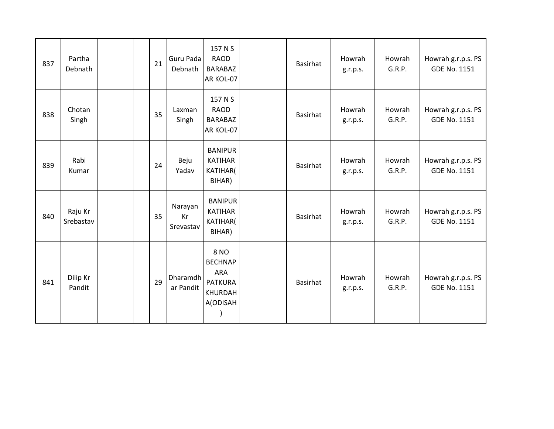| 837 | Partha<br>Debnath    |  | 21 | Guru Pada<br>Debnath         | 157 N S<br><b>RAOD</b><br><b>BARABAZ</b><br>AR KOL-07                         | Basirhat        | Howrah<br>g.r.p.s. | Howrah<br>G.R.P. | Howrah g.r.p.s. PS<br><b>GDE No. 1151</b> |
|-----|----------------------|--|----|------------------------------|-------------------------------------------------------------------------------|-----------------|--------------------|------------------|-------------------------------------------|
| 838 | Chotan<br>Singh      |  | 35 | Laxman<br>Singh              | 157 N S<br><b>RAOD</b><br><b>BARABAZ</b><br>AR KOL-07                         | <b>Basirhat</b> | Howrah<br>g.r.p.s. | Howrah<br>G.R.P. | Howrah g.r.p.s. PS<br><b>GDE No. 1151</b> |
| 839 | Rabi<br>Kumar        |  | 24 | Beju<br>Yadav                | <b>BANIPUR</b><br><b>KATIHAR</b><br>KATIHAR(<br>BIHAR)                        | Basirhat        | Howrah<br>g.r.p.s. | Howrah<br>G.R.P. | Howrah g.r.p.s. PS<br><b>GDE No. 1151</b> |
| 840 | Raju Kr<br>Srebastav |  | 35 | Narayan<br>Kr<br>Srevastav   | <b>BANIPUR</b><br><b>KATIHAR</b><br>KATIHAR(<br>BIHAR)                        | <b>Basirhat</b> | Howrah<br>g.r.p.s. | Howrah<br>G.R.P. | Howrah g.r.p.s. PS<br>GDE No. 1151        |
| 841 | Dilip Kr<br>Pandit   |  | 29 | <b>Dharamdh</b><br>ar Pandit | 8 NO<br><b>BECHNAP</b><br><b>ARA</b><br><b>PATKURA</b><br>KHURDAH<br>A(ODISAH | <b>Basirhat</b> | Howrah<br>g.r.p.s. | Howrah<br>G.R.P. | Howrah g.r.p.s. PS<br><b>GDE No. 1151</b> |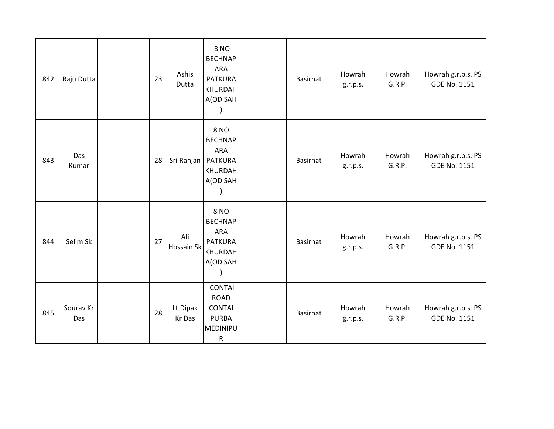| 842 | Raju Dutta       |  | 23 | Ashis<br>Dutta       | <b>8 NO</b><br><b>BECHNAP</b><br><b>ARA</b><br><b>PATKURA</b><br>KHURDAH<br>A(ODISAH   | Basirhat | Howrah<br>g.r.p.s. | Howrah<br>G.R.P. | Howrah g.r.p.s. PS<br><b>GDE No. 1151</b> |
|-----|------------------|--|----|----------------------|----------------------------------------------------------------------------------------|----------|--------------------|------------------|-------------------------------------------|
| 843 | Das<br>Kumar     |  | 28 | Sri Ranjan   PATKURA | <b>8 NO</b><br><b>BECHNAP</b><br><b>ARA</b><br><b>KHURDAH</b><br>A(ODISAH              | Basirhat | Howrah<br>g.r.p.s. | Howrah<br>G.R.P. | Howrah g.r.p.s. PS<br><b>GDE No. 1151</b> |
| 844 | Selim Sk         |  | 27 | Ali<br>Hossain Sk    | <b>8 NO</b><br><b>BECHNAP</b><br><b>ARA</b><br><b>PATKURA</b><br>KHURDAH<br>A(ODISAH   | Basirhat | Howrah<br>g.r.p.s. | Howrah<br>G.R.P. | Howrah g.r.p.s. PS<br><b>GDE No. 1151</b> |
| 845 | Sourav Kr<br>Das |  | 28 | Lt Dipak<br>Kr Das   | <b>CONTAI</b><br><b>ROAD</b><br><b>CONTAI</b><br><b>PURBA</b><br>MEDINIPU<br>${\sf R}$ | Basirhat | Howrah<br>g.r.p.s. | Howrah<br>G.R.P. | Howrah g.r.p.s. PS<br><b>GDE No. 1151</b> |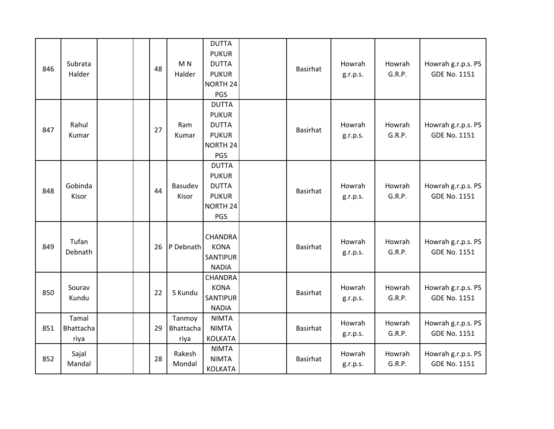| 846 | Subrata<br>Halder          | 48 | M <sub>N</sub><br>Halder    | <b>DUTTA</b><br><b>PUKUR</b><br><b>DUTTA</b><br><b>PUKUR</b><br><b>NORTH 24</b><br>PGS | Basirhat        | Howrah<br>g.r.p.s. | Howrah<br>G.R.P. | Howrah g.r.p.s. PS<br><b>GDE No. 1151</b> |
|-----|----------------------------|----|-----------------------------|----------------------------------------------------------------------------------------|-----------------|--------------------|------------------|-------------------------------------------|
| 847 | Rahul<br>Kumar             | 27 | Ram<br>Kumar                | <b>DUTTA</b><br><b>PUKUR</b><br><b>DUTTA</b><br><b>PUKUR</b><br>NORTH 24<br>PGS        | Basirhat        | Howrah<br>g.r.p.s. | Howrah<br>G.R.P. | Howrah g.r.p.s. PS<br><b>GDE No. 1151</b> |
| 848 | Gobinda<br>Kisor           | 44 | Basudev<br>Kisor            | <b>DUTTA</b><br><b>PUKUR</b><br><b>DUTTA</b><br><b>PUKUR</b><br><b>NORTH 24</b><br>PGS | Basirhat        | Howrah<br>g.r.p.s. | Howrah<br>G.R.P. | Howrah g.r.p.s. PS<br><b>GDE No. 1151</b> |
| 849 | Tufan<br>Debnath           | 26 | P Debnath                   | <b>CHANDRA</b><br><b>KONA</b><br>SANTIPUR<br><b>NADIA</b>                              | Basirhat        | Howrah<br>g.r.p.s. | Howrah<br>G.R.P. | Howrah g.r.p.s. PS<br><b>GDE No. 1151</b> |
| 850 | Sourav<br>Kundu            | 22 | S Kundu                     | <b>CHANDRA</b><br>KONA<br>SANTIPUR<br><b>NADIA</b>                                     | <b>Basirhat</b> | Howrah<br>g.r.p.s. | Howrah<br>G.R.P. | Howrah g.r.p.s. PS<br><b>GDE No. 1151</b> |
| 851 | Tamal<br>Bhattacha<br>riya | 29 | Tanmoy<br>Bhattacha<br>riya | <b>NIMTA</b><br><b>NIMTA</b><br><b>KOLKATA</b>                                         | <b>Basirhat</b> | Howrah<br>g.r.p.s. | Howrah<br>G.R.P. | Howrah g.r.p.s. PS<br><b>GDE No. 1151</b> |
| 852 | Sajal<br>Mandal            | 28 | Rakesh<br>Mondal            | <b>NIMTA</b><br><b>NIMTA</b><br><b>KOLKATA</b>                                         | <b>Basirhat</b> | Howrah<br>g.r.p.s. | Howrah<br>G.R.P. | Howrah g.r.p.s. PS<br><b>GDE No. 1151</b> |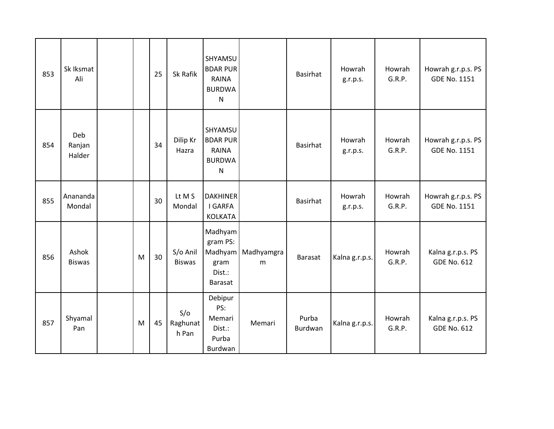| 853 | Sk Iksmat<br>Ali        |   | 25 | Sk Rafik                  | SHYAMSU<br><b>BDAR PUR</b><br><b>RAINA</b><br><b>BURDWA</b><br>$\mathsf{N}$ |                         | <b>Basirhat</b>  | Howrah<br>g.r.p.s. | Howrah<br>G.R.P. | Howrah g.r.p.s. PS<br><b>GDE No. 1151</b> |
|-----|-------------------------|---|----|---------------------------|-----------------------------------------------------------------------------|-------------------------|------------------|--------------------|------------------|-------------------------------------------|
| 854 | Deb<br>Ranjan<br>Halder |   | 34 | Dilip Kr<br>Hazra         | SHYAMSU<br><b>BDAR PUR</b><br><b>RAINA</b><br><b>BURDWA</b><br>$\mathsf{N}$ |                         | <b>Basirhat</b>  | Howrah<br>g.r.p.s. | Howrah<br>G.R.P. | Howrah g.r.p.s. PS<br><b>GDE No. 1151</b> |
| 855 | Anananda<br>Mondal      |   | 30 | Lt M S<br>Mondal          | <b>DAKHINER</b><br>I GARFA<br><b>KOLKATA</b>                                |                         | <b>Basirhat</b>  | Howrah<br>g.r.p.s. | Howrah<br>G.R.P. | Howrah g.r.p.s. PS<br><b>GDE No. 1151</b> |
| 856 | Ashok<br><b>Biswas</b>  | M | 30 | S/o Anil<br><b>Biswas</b> | Madhyam<br>gram PS:<br>gram<br>Dist.:<br><b>Barasat</b>                     | Madhyam Madhyamgra<br>m | <b>Barasat</b>   | Kalna g.r.p.s.     | Howrah<br>G.R.P. | Kalna g.r.p.s. PS<br><b>GDE No. 612</b>   |
| 857 | Shyamal<br>Pan          | M | 45 | S/O<br>Raghunat<br>h Pan  | Debipur<br>PS:<br>Memari<br>Dist.:<br>Purba<br>Burdwan                      | Memari                  | Purba<br>Burdwan | Kalna g.r.p.s.     | Howrah<br>G.R.P. | Kalna g.r.p.s. PS<br><b>GDE No. 612</b>   |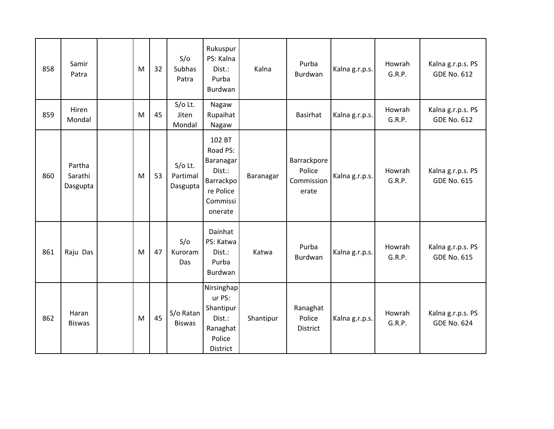| 858 | Samir<br>Patra                | M | 32 | S/O<br>Subhas<br>Patra            | Rukuspur<br>PS: Kalna<br>Dist.:<br>Purba<br>Burdwan                                               | Kalna     | Purba<br><b>Burdwan</b>                      | Kalna g.r.p.s. | Howrah<br>G.R.P. | Kalna g.r.p.s. PS<br><b>GDE No. 612</b> |
|-----|-------------------------------|---|----|-----------------------------------|---------------------------------------------------------------------------------------------------|-----------|----------------------------------------------|----------------|------------------|-----------------------------------------|
| 859 | Hiren<br>Mondal               | M | 45 | $S/O$ Lt.<br>Jiten<br>Mondal      | Nagaw<br>Rupaihat<br>Nagaw                                                                        |           | <b>Basirhat</b>                              | Kalna g.r.p.s. | Howrah<br>G.R.P. | Kalna g.r.p.s. PS<br><b>GDE No. 612</b> |
| 860 | Partha<br>Sarathi<br>Dasgupta | M | 53 | $S/O$ Lt.<br>Partimal<br>Dasgupta | 102 BT<br>Road PS:<br>Baranagar<br>Dist.:<br><b>Barrackpo</b><br>re Police<br>Commissi<br>onerate | Baranagar | Barrackpore<br>Police<br>Commission<br>erate | Kalna g.r.p.s. | Howrah<br>G.R.P. | Kalna g.r.p.s. PS<br><b>GDE No. 615</b> |
| 861 | Raju Das                      | M | 47 | S/O<br>Kuroram<br>Das             | Dainhat<br>PS: Katwa<br>Dist.:<br>Purba<br>Burdwan                                                | Katwa     | Purba<br>Burdwan                             | Kalna g.r.p.s. | Howrah<br>G.R.P. | Kalna g.r.p.s. PS<br><b>GDE No. 615</b> |
| 862 | Haran<br><b>Biswas</b>        | M | 45 | S/o Ratan<br><b>Biswas</b>        | Nirsinghap<br>ur PS:<br>Shantipur<br>Dist.:<br>Ranaghat<br>Police<br>District                     | Shantipur | Ranaghat<br>Police<br>District               | Kalna g.r.p.s. | Howrah<br>G.R.P. | Kalna g.r.p.s. PS<br><b>GDE No. 624</b> |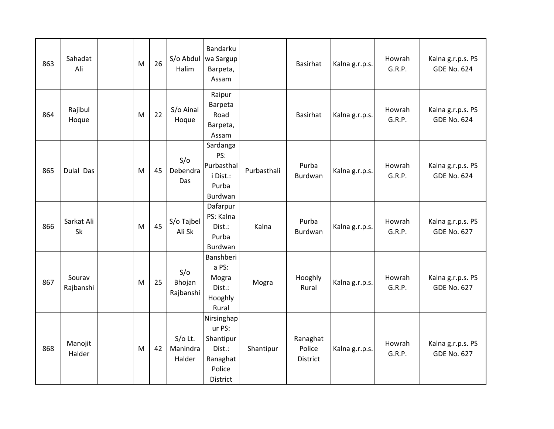| 863 | Sahadat<br>Ali      | M | 26 | S/o Abdul<br>Halim              | Bandarku<br>wa Sargup<br>Barpeta,<br>Assam                                    |             | Basirhat                              | Kalna g.r.p.s. | Howrah<br>G.R.P. | Kalna g.r.p.s. PS<br><b>GDE No. 624</b> |
|-----|---------------------|---|----|---------------------------------|-------------------------------------------------------------------------------|-------------|---------------------------------------|----------------|------------------|-----------------------------------------|
| 864 | Rajibul<br>Hoque    | M | 22 | S/o Ainal<br>Hoque              | Raipur<br>Barpeta<br>Road<br>Barpeta,<br>Assam                                |             | <b>Basirhat</b>                       | Kalna g.r.p.s. | Howrah<br>G.R.P. | Kalna g.r.p.s. PS<br><b>GDE No. 624</b> |
| 865 | Dulal Das           | M | 45 | S/O<br>Debendra<br>Das          | Sardanga<br>PS:<br>Purbasthal<br>i Dist.:<br>Purba<br>Burdwan                 | Purbasthali | Purba<br>Burdwan                      | Kalna g.r.p.s. | Howrah<br>G.R.P. | Kalna g.r.p.s. PS<br><b>GDE No. 624</b> |
| 866 | Sarkat Ali<br>Sk    | M | 45 | S/o Tajbel<br>Ali Sk            | Dafarpur<br>PS: Kalna<br>Dist.:<br>Purba<br>Burdwan                           | Kalna       | Purba<br>Burdwan                      | Kalna g.r.p.s. | Howrah<br>G.R.P. | Kalna g.r.p.s. PS<br><b>GDE No. 627</b> |
| 867 | Sourav<br>Rajbanshi | M | 25 | S/O<br>Bhojan<br>Rajbanshi      | Banshberi<br>a PS:<br>Mogra<br>Dist.:<br>Hooghly<br>Rural                     | Mogra       | Hooghly<br>Rural                      | Kalna g.r.p.s. | Howrah<br>G.R.P. | Kalna g.r.p.s. PS<br><b>GDE No. 627</b> |
| 868 | Manojit<br>Halder   | M | 42 | $S/O$ Lt.<br>Manindra<br>Halder | Nirsinghap<br>ur PS:<br>Shantipur<br>Dist.:<br>Ranaghat<br>Police<br>District | Shantipur   | Ranaghat<br>Police<br><b>District</b> | Kalna g.r.p.s. | Howrah<br>G.R.P. | Kalna g.r.p.s. PS<br><b>GDE No. 627</b> |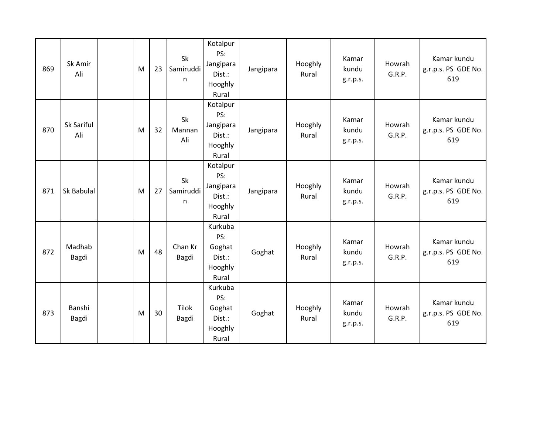| 869 | Sk Amir<br>Ali    | M | 23 | <b>Sk</b><br>Samiruddi<br>n | Kotalpur<br>PS:<br>Jangipara<br>Dist.:<br>Hooghly<br>Rural | Jangipara | Hooghly<br>Rural | Kamar<br>kundu<br>g.r.p.s. | Howrah<br>G.R.P. | Kamar kundu<br>g.r.p.s. PS GDE No.<br>619 |
|-----|-------------------|---|----|-----------------------------|------------------------------------------------------------|-----------|------------------|----------------------------|------------------|-------------------------------------------|
| 870 | Sk Sariful<br>Ali | M | 32 | <b>Sk</b><br>Mannan<br>Ali  | Kotalpur<br>PS:<br>Jangipara<br>Dist.:<br>Hooghly<br>Rural | Jangipara | Hooghly<br>Rural | Kamar<br>kundu<br>g.r.p.s. | Howrah<br>G.R.P. | Kamar kundu<br>g.r.p.s. PS GDE No.<br>619 |
| 871 | Sk Babulal        | M | 27 | <b>Sk</b><br>Samiruddi<br>n | Kotalpur<br>PS:<br>Jangipara<br>Dist.:<br>Hooghly<br>Rural | Jangipara | Hooghly<br>Rural | Kamar<br>kundu<br>g.r.p.s. | Howrah<br>G.R.P. | Kamar kundu<br>g.r.p.s. PS GDE No.<br>619 |
| 872 | Madhab<br>Bagdi   | M | 48 | Chan Kr<br>Bagdi            | Kurkuba<br>PS:<br>Goghat<br>Dist.:<br>Hooghly<br>Rural     | Goghat    | Hooghly<br>Rural | Kamar<br>kundu<br>g.r.p.s. | Howrah<br>G.R.P. | Kamar kundu<br>g.r.p.s. PS GDE No.<br>619 |
| 873 | Banshi<br>Bagdi   | M | 30 | <b>Tilok</b><br>Bagdi       | Kurkuba<br>PS:<br>Goghat<br>Dist.:<br>Hooghly<br>Rural     | Goghat    | Hooghly<br>Rural | Kamar<br>kundu<br>g.r.p.s. | Howrah<br>G.R.P. | Kamar kundu<br>g.r.p.s. PS GDE No.<br>619 |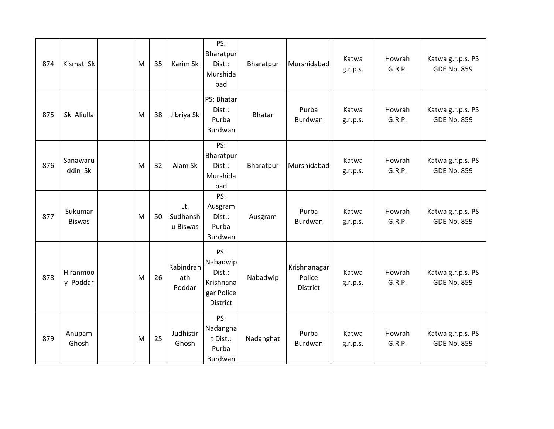| 874 | Kismat Sk                | M | 35 | Karim Sk                    | PS:<br>Bharatpur<br>Dist.:<br>Murshida<br>bad                    | Bharatpur     | Murshidabad                               | Katwa<br>g.r.p.s. | Howrah<br>G.R.P. | Katwa g.r.p.s. PS<br><b>GDE No. 859</b> |
|-----|--------------------------|---|----|-----------------------------|------------------------------------------------------------------|---------------|-------------------------------------------|-------------------|------------------|-----------------------------------------|
| 875 | Sk Aliulla               | M | 38 | Jibriya Sk                  | PS: Bhatar<br>Dist.:<br>Purba<br>Burdwan                         | <b>Bhatar</b> | Purba<br><b>Burdwan</b>                   | Katwa<br>g.r.p.s. | Howrah<br>G.R.P. | Katwa g.r.p.s. PS<br><b>GDE No. 859</b> |
| 876 | Sanawaru<br>ddin Sk      | M | 32 | Alam Sk                     | PS:<br>Bharatpur<br>Dist.:<br>Murshida<br>bad                    | Bharatpur     | Murshidabad                               | Katwa<br>g.r.p.s. | Howrah<br>G.R.P. | Katwa g.r.p.s. PS<br><b>GDE No. 859</b> |
| 877 | Sukumar<br><b>Biswas</b> | M | 50 | Lt.<br>Sudhansh<br>u Biswas | PS:<br>Ausgram<br>Dist.:<br>Purba<br>Burdwan                     | Ausgram       | Purba<br>Burdwan                          | Katwa<br>g.r.p.s. | Howrah<br>G.R.P. | Katwa g.r.p.s. PS<br><b>GDE No. 859</b> |
| 878 | Hiranmoo<br>y Poddar     | M | 26 | Rabindran<br>ath<br>Poddar  | PS:<br>Nabadwip<br>Dist.:<br>Krishnana<br>gar Police<br>District | Nabadwip      | Krishnanagar<br>Police<br><b>District</b> | Katwa<br>g.r.p.s. | Howrah<br>G.R.P. | Katwa g.r.p.s. PS<br><b>GDE No. 859</b> |
| 879 | Anupam<br>Ghosh          | M | 25 | Judhistir<br>Ghosh          | PS:<br>Nadangha<br>t Dist.:<br>Purba<br>Burdwan                  | Nadanghat     | Purba<br>Burdwan                          | Katwa<br>g.r.p.s. | Howrah<br>G.R.P. | Katwa g.r.p.s. PS<br><b>GDE No. 859</b> |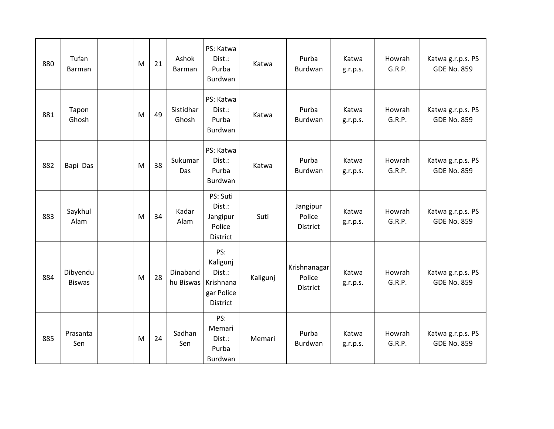| 880 | Tufan<br>Barman           | M | 21 | Ashok<br>Barman       | PS: Katwa<br>Dist.:<br>Purba<br>Burdwan                          | Katwa    | Purba<br>Burdwan                          | Katwa<br>g.r.p.s. | Howrah<br>G.R.P. | Katwa g.r.p.s. PS<br><b>GDE No. 859</b> |
|-----|---------------------------|---|----|-----------------------|------------------------------------------------------------------|----------|-------------------------------------------|-------------------|------------------|-----------------------------------------|
| 881 | Tapon<br>Ghosh            | M | 49 | Sistidhar<br>Ghosh    | PS: Katwa<br>Dist.:<br>Purba<br>Burdwan                          | Katwa    | Purba<br>Burdwan                          | Katwa<br>g.r.p.s. | Howrah<br>G.R.P. | Katwa g.r.p.s. PS<br><b>GDE No. 859</b> |
| 882 | Bapi Das                  | M | 38 | Sukumar<br>Das        | PS: Katwa<br>Dist.:<br>Purba<br>Burdwan                          | Katwa    | Purba<br>Burdwan                          | Katwa<br>g.r.p.s. | Howrah<br>G.R.P. | Katwa g.r.p.s. PS<br><b>GDE No. 859</b> |
| 883 | Saykhul<br>Alam           | M | 34 | Kadar<br>Alam         | PS: Suti<br>Dist.:<br>Jangipur<br>Police<br>District             | Suti     | Jangipur<br>Police<br><b>District</b>     | Katwa<br>g.r.p.s. | Howrah<br>G.R.P. | Katwa g.r.p.s. PS<br><b>GDE No. 859</b> |
| 884 | Dibyendu<br><b>Biswas</b> | M | 28 | Dinaband<br>hu Biswas | PS:<br>Kaligunj<br>Dist.:<br>Krishnana<br>gar Police<br>District | Kaligunj | Krishnanagar<br>Police<br><b>District</b> | Katwa<br>g.r.p.s. | Howrah<br>G.R.P. | Katwa g.r.p.s. PS<br><b>GDE No. 859</b> |
| 885 | Prasanta<br>Sen           | M | 24 | Sadhan<br>Sen         | PS:<br>Memari<br>Dist.:<br>Purba<br>Burdwan                      | Memari   | Purba<br>Burdwan                          | Katwa<br>g.r.p.s. | Howrah<br>G.R.P. | Katwa g.r.p.s. PS<br><b>GDE No. 859</b> |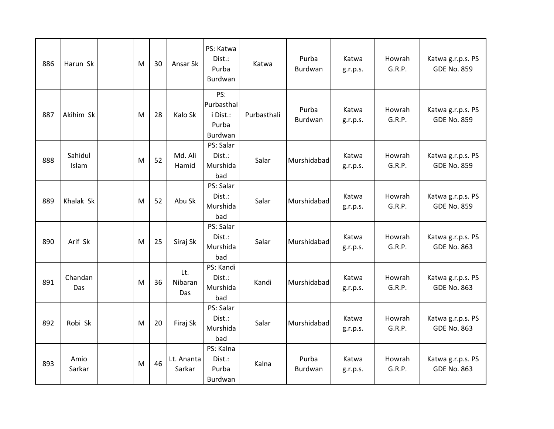| 886 | Harun Sk         | M | 30 | Ansar Sk               | PS: Katwa<br>Dist.:<br>Purba<br>Burdwan           | Katwa       | Purba<br>Burdwan | Katwa<br>g.r.p.s. | Howrah<br>G.R.P. | Katwa g.r.p.s. PS<br><b>GDE No. 859</b> |
|-----|------------------|---|----|------------------------|---------------------------------------------------|-------------|------------------|-------------------|------------------|-----------------------------------------|
| 887 | Akihim Sk        | M | 28 | Kalo Sk                | PS:<br>Purbasthal<br>i Dist.:<br>Purba<br>Burdwan | Purbasthali | Purba<br>Burdwan | Katwa<br>g.r.p.s. | Howrah<br>G.R.P. | Katwa g.r.p.s. PS<br><b>GDE No. 859</b> |
| 888 | Sahidul<br>Islam | M | 52 | Md. Ali<br>Hamid       | PS: Salar<br>Dist.:<br>Murshida<br>bad            | Salar       | Murshidabad      | Katwa<br>g.r.p.s. | Howrah<br>G.R.P. | Katwa g.r.p.s. PS<br><b>GDE No. 859</b> |
| 889 | Khalak Sk        | M | 52 | Abu Sk                 | PS: Salar<br>Dist.:<br>Murshida<br>bad            | Salar       | Murshidabad      | Katwa<br>g.r.p.s. | Howrah<br>G.R.P. | Katwa g.r.p.s. PS<br><b>GDE No. 859</b> |
| 890 | Arif Sk          | M | 25 | Siraj Sk               | PS: Salar<br>Dist.:<br>Murshida<br>bad            | Salar       | Murshidabad      | Katwa<br>g.r.p.s. | Howrah<br>G.R.P. | Katwa g.r.p.s. PS<br><b>GDE No. 863</b> |
| 891 | Chandan<br>Das   | M | 36 | Lt.<br>Nibaran<br>Das. | PS: Kandi<br>Dist.:<br>Murshida<br>bad            | Kandi       | Murshidabad      | Katwa<br>g.r.p.s. | Howrah<br>G.R.P. | Katwa g.r.p.s. PS<br><b>GDE No. 863</b> |
| 892 | Robi Sk          | M | 20 | Firaj Sk               | PS: Salar<br>Dist.:<br>Murshida<br>bad            | Salar       | Murshidabad      | Katwa<br>g.r.p.s. | Howrah<br>G.R.P. | Katwa g.r.p.s. PS<br><b>GDE No. 863</b> |
| 893 | Amio<br>Sarkar   | M | 46 | Lt. Ananta<br>Sarkar   | PS: Kalna<br>Dist.:<br>Purba<br>Burdwan           | Kalna       | Purba<br>Burdwan | Katwa<br>g.r.p.s. | Howrah<br>G.R.P. | Katwa g.r.p.s. PS<br><b>GDE No. 863</b> |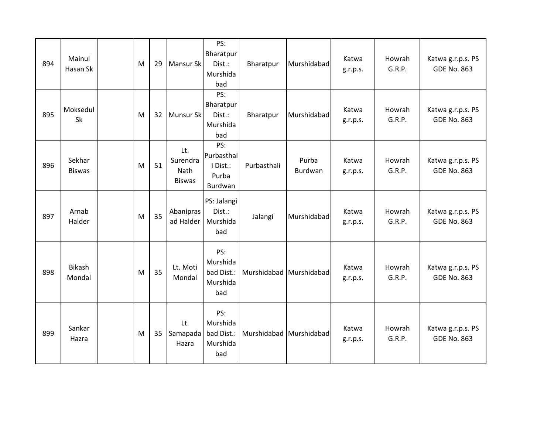| 894 | Mainul<br>Hasan Sk      | M | 29 | Mansur Sk                                | PS:<br>Bharatpur<br>Dist.:<br>Murshida<br>bad     | Bharatpur               | Murshidabad      | Katwa<br>g.r.p.s. | Howrah<br>G.R.P. | Katwa g.r.p.s. PS<br><b>GDE No. 863</b> |
|-----|-------------------------|---|----|------------------------------------------|---------------------------------------------------|-------------------------|------------------|-------------------|------------------|-----------------------------------------|
| 895 | Moksedul<br>Sk          | M | 32 | Munsur Sk                                | PS:<br>Bharatpur<br>Dist.:<br>Murshida<br>bad     | Bharatpur               | Murshidabad      | Katwa<br>g.r.p.s. | Howrah<br>G.R.P. | Katwa g.r.p.s. PS<br><b>GDE No. 863</b> |
| 896 | Sekhar<br><b>Biswas</b> | M | 51 | Lt.<br>Surendra<br>Nath<br><b>Biswas</b> | PS:<br>Purbasthal<br>i Dist.:<br>Purba<br>Burdwan | Purbasthali             | Purba<br>Burdwan | Katwa<br>g.r.p.s. | Howrah<br>G.R.P. | Katwa g.r.p.s. PS<br><b>GDE No. 863</b> |
| 897 | Arnab<br>Halder         | M | 35 | Abanipras<br>ad Halder                   | PS: Jalangi<br>Dist.:<br>Murshida<br>bad          | Jalangi                 | Murshidabad      | Katwa<br>g.r.p.s. | Howrah<br>G.R.P. | Katwa g.r.p.s. PS<br><b>GDE No. 863</b> |
| 898 | Bikash<br>Mondal        | M | 35 | Lt. Moti<br>Mondal                       | PS:<br>Murshida<br>bad Dist.:<br>Murshida<br>bad  | Murshidabad Murshidabad |                  | Katwa<br>g.r.p.s. | Howrah<br>G.R.P. | Katwa g.r.p.s. PS<br><b>GDE No. 863</b> |
| 899 | Sankar<br>Hazra         | M | 35 | Lt.<br>Samapada<br>Hazra                 | PS:<br>Murshida<br>bad Dist.:<br>Murshida<br>bad  | Murshidabad Murshidabad |                  | Katwa<br>g.r.p.s. | Howrah<br>G.R.P. | Katwa g.r.p.s. PS<br><b>GDE No. 863</b> |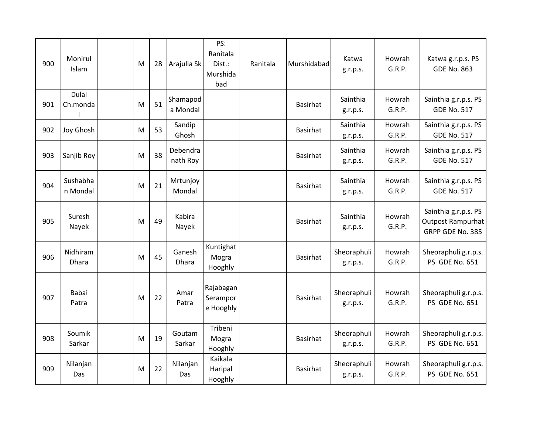| 900 | Monirul<br>Islam         | M | 28 | Arajulla Sk          | PS:<br>Ranitala<br>Dist.:<br>Murshida<br>bad | Ranitala | Murshidabad     | Katwa<br>g.r.p.s.       | Howrah<br>G.R.P. | Katwa g.r.p.s. PS<br><b>GDE No. 863</b>                       |
|-----|--------------------------|---|----|----------------------|----------------------------------------------|----------|-----------------|-------------------------|------------------|---------------------------------------------------------------|
| 901 | Dulal<br>Ch.monda        | M | 51 | Shamapod<br>a Mondal |                                              |          | <b>Basirhat</b> | Sainthia<br>g.r.p.s.    | Howrah<br>G.R.P. | Sainthia g.r.p.s. PS<br><b>GDE No. 517</b>                    |
| 902 | Joy Ghosh                | M | 53 | Sandip<br>Ghosh      |                                              |          | <b>Basirhat</b> | Sainthia<br>g.r.p.s.    | Howrah<br>G.R.P. | Sainthia g.r.p.s. PS<br><b>GDE No. 517</b>                    |
| 903 | Sanjib Roy               | M | 38 | Debendra<br>nath Roy |                                              |          | <b>Basirhat</b> | Sainthia<br>g.r.p.s.    | Howrah<br>G.R.P. | Sainthia g.r.p.s. PS<br><b>GDE No. 517</b>                    |
| 904 | Sushabha<br>n Mondal     | M | 21 | Mrtunjoy<br>Mondal   |                                              |          | <b>Basirhat</b> | Sainthia<br>g.r.p.s.    | Howrah<br>G.R.P. | Sainthia g.r.p.s. PS<br><b>GDE No. 517</b>                    |
| 905 | Suresh<br>Nayek          | M | 49 | Kabira<br>Nayek      |                                              |          | <b>Basirhat</b> | Sainthia<br>g.r.p.s.    | Howrah<br>G.R.P. | Sainthia g.r.p.s. PS<br>Outpost Rampurhat<br>GRPP GDE No. 385 |
| 906 | Nidhiram<br><b>Dhara</b> | M | 45 | Ganesh<br>Dhara      | Kuntighat<br>Mogra<br>Hooghly                |          | <b>Basirhat</b> | Sheoraphuli<br>g.r.p.s. | Howrah<br>G.R.P. | Sheoraphuli g.r.p.s.<br>PS GDE No. 651                        |
| 907 | Babai<br>Patra           | M | 22 | Amar<br>Patra        | Rajabagan<br>Serampor<br>e Hooghly           |          | <b>Basirhat</b> | Sheoraphuli<br>g.r.p.s. | Howrah<br>G.R.P. | Sheoraphuli g.r.p.s.<br>PS GDE No. 651                        |
| 908 | Soumik<br>Sarkar         | M | 19 | Goutam<br>Sarkar     | Tribeni<br>Mogra<br>Hooghly                  |          | <b>Basirhat</b> | Sheoraphuli<br>g.r.p.s. | Howrah<br>G.R.P. | Sheoraphuli g.r.p.s.<br>PS GDE No. 651                        |
| 909 | Nilanjan<br>Das          | M | 22 | Nilanjan<br>Das      | Kaikala<br>Haripal<br>Hooghly                |          | <b>Basirhat</b> | Sheoraphuli<br>g.r.p.s. | Howrah<br>G.R.P. | Sheoraphuli g.r.p.s.<br>PS GDE No. 651                        |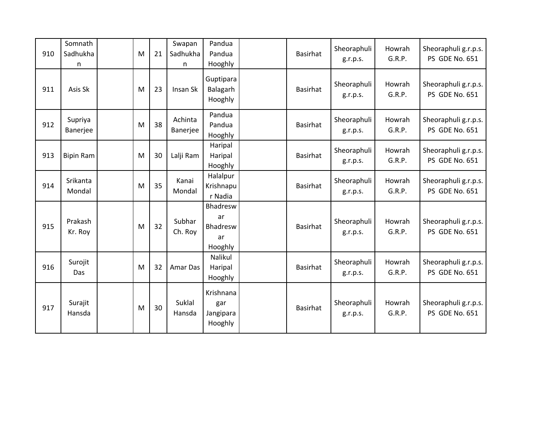| 910 | Somnath<br>Sadhukha<br>n | M | 21 | Swapan<br>Sadhukha<br>n | Pandua<br>Pandua<br>Hooghly                 | <b>Basirhat</b> | Sheoraphuli<br>g.r.p.s. | Howrah<br>G.R.P. | Sheoraphuli g.r.p.s.<br>PS GDE No. 651 |
|-----|--------------------------|---|----|-------------------------|---------------------------------------------|-----------------|-------------------------|------------------|----------------------------------------|
| 911 | Asis Sk                  | M | 23 | Insan Sk                | Guptipara<br>Balagarh<br>Hooghly            | <b>Basirhat</b> | Sheoraphuli<br>g.r.p.s. | Howrah<br>G.R.P. | Sheoraphuli g.r.p.s.<br>PS GDE No. 651 |
| 912 | Supriya<br>Banerjee      | M | 38 | Achinta<br>Banerjee     | Pandua<br>Pandua<br>Hooghly                 | <b>Basirhat</b> | Sheoraphuli<br>g.r.p.s. | Howrah<br>G.R.P. | Sheoraphuli g.r.p.s.<br>PS GDE No. 651 |
| 913 | <b>Bipin Ram</b>         | M | 30 | Lalji Ram               | Haripal<br>Haripal<br>Hooghly               | <b>Basirhat</b> | Sheoraphuli<br>g.r.p.s. | Howrah<br>G.R.P. | Sheoraphuli g.r.p.s.<br>PS GDE No. 651 |
| 914 | Srikanta<br>Mondal       | M | 35 | Kanai<br>Mondal         | Halalpur<br>Krishnapu<br>r Nadia            | <b>Basirhat</b> | Sheoraphuli<br>g.r.p.s. | Howrah<br>G.R.P. | Sheoraphuli g.r.p.s.<br>PS GDE No. 651 |
| 915 | Prakash<br>Kr. Roy       | M | 32 | Subhar<br>Ch. Roy       | Bhadresw<br>ar<br>Bhadresw<br>ar<br>Hooghly | Basirhat        | Sheoraphuli<br>g.r.p.s. | Howrah<br>G.R.P. | Sheoraphuli g.r.p.s.<br>PS GDE No. 651 |
| 916 | Surojit<br>Das           | M | 32 | Amar Das                | Nalikul<br>Haripal<br>Hooghly               | <b>Basirhat</b> | Sheoraphuli<br>g.r.p.s. | Howrah<br>G.R.P. | Sheoraphuli g.r.p.s.<br>PS GDE No. 651 |
| 917 | Surajit<br>Hansda        | M | 30 | <b>Suklal</b><br>Hansda | Krishnana<br>gar<br>Jangipara<br>Hooghly    | <b>Basirhat</b> | Sheoraphuli<br>g.r.p.s. | Howrah<br>G.R.P. | Sheoraphuli g.r.p.s.<br>PS GDE No. 651 |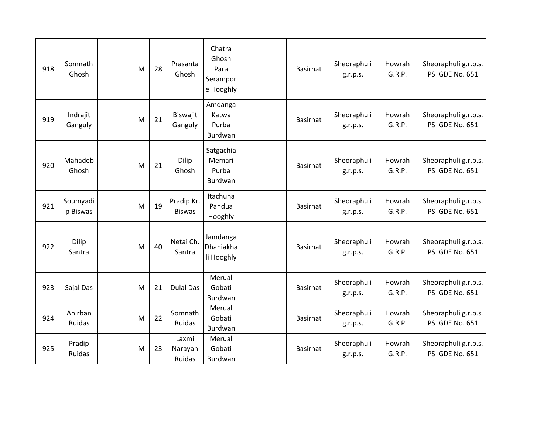| 918 | Somnath<br>Ghosh     | M | 28 | Prasanta<br>Ghosh           | Chatra<br>Ghosh<br>Para<br>Serampor<br>e Hooghly | <b>Basirhat</b> | Sheoraphuli<br>g.r.p.s. | Howrah<br>G.R.P. | Sheoraphuli g.r.p.s.<br>PS GDE No. 651 |
|-----|----------------------|---|----|-----------------------------|--------------------------------------------------|-----------------|-------------------------|------------------|----------------------------------------|
| 919 | Indrajit<br>Ganguly  | M | 21 | Biswajit<br>Ganguly         | Amdanga<br>Katwa<br>Purba<br>Burdwan             | <b>Basirhat</b> | Sheoraphuli<br>g.r.p.s. | Howrah<br>G.R.P. | Sheoraphuli g.r.p.s.<br>PS GDE No. 651 |
| 920 | Mahadeb<br>Ghosh     | M | 21 | Dilip<br>Ghosh              | Satgachia<br>Memari<br>Purba<br>Burdwan          | <b>Basirhat</b> | Sheoraphuli<br>g.r.p.s. | Howrah<br>G.R.P. | Sheoraphuli g.r.p.s.<br>PS GDE No. 651 |
| 921 | Soumyadi<br>p Biswas | M | 19 | Pradip Kr.<br><b>Biswas</b> | Itachuna<br>Pandua<br>Hooghly                    | Basirhat        | Sheoraphuli<br>g.r.p.s. | Howrah<br>G.R.P. | Sheoraphuli g.r.p.s.<br>PS GDE No. 651 |
| 922 | Dilip<br>Santra      | M | 40 | Netai Ch.<br>Santra         | Jamdanga<br>Dhaniakha<br>li Hooghly              | <b>Basirhat</b> | Sheoraphuli<br>g.r.p.s. | Howrah<br>G.R.P. | Sheoraphuli g.r.p.s.<br>PS GDE No. 651 |
| 923 | Sajal Das            | M | 21 | <b>Dulal Das</b>            | Merual<br>Gobati<br>Burdwan                      | <b>Basirhat</b> | Sheoraphuli<br>g.r.p.s. | Howrah<br>G.R.P. | Sheoraphuli g.r.p.s.<br>PS GDE No. 651 |
| 924 | Anirban<br>Ruidas    | M | 22 | Somnath<br>Ruidas           | Merual<br>Gobati<br>Burdwan                      | <b>Basirhat</b> | Sheoraphuli<br>g.r.p.s. | Howrah<br>G.R.P. | Sheoraphuli g.r.p.s.<br>PS GDE No. 651 |
| 925 | Pradip<br>Ruidas     | M | 23 | Laxmi<br>Narayan<br>Ruidas  | Merual<br>Gobati<br>Burdwan                      | <b>Basirhat</b> | Sheoraphuli<br>g.r.p.s. | Howrah<br>G.R.P. | Sheoraphuli g.r.p.s.<br>PS GDE No. 651 |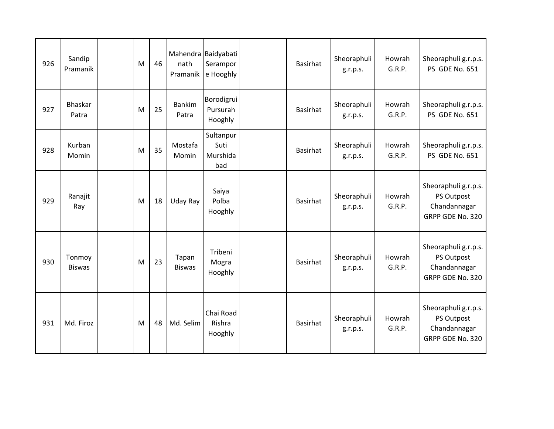| 926 | Sandip<br>Pramanik      | M | 46 | Mahendra Baidyabati<br>nath<br>Pramanik | Serampor<br>e Hooghly                | <b>Basirhat</b> | Sheoraphuli<br>g.r.p.s. | Howrah<br>G.R.P. | Sheoraphuli g.r.p.s.<br>PS GDE No. 651                                 |
|-----|-------------------------|---|----|-----------------------------------------|--------------------------------------|-----------------|-------------------------|------------------|------------------------------------------------------------------------|
| 927 | <b>Bhaskar</b><br>Patra | M | 25 | <b>Bankim</b><br>Patra                  | Borodigrui<br>Pursurah<br>Hooghly    | <b>Basirhat</b> | Sheoraphuli<br>g.r.p.s. | Howrah<br>G.R.P. | Sheoraphuli g.r.p.s.<br>PS GDE No. 651                                 |
| 928 | Kurban<br>Momin         | M | 35 | Mostafa<br>Momin                        | Sultanpur<br>Suti<br>Murshida<br>bad | <b>Basirhat</b> | Sheoraphuli<br>g.r.p.s. | Howrah<br>G.R.P. | Sheoraphuli g.r.p.s.<br>PS GDE No. 651                                 |
| 929 | Ranajit<br>Ray          | M | 18 | Uday Ray                                | Saiya<br>Polba<br>Hooghly            | Basirhat        | Sheoraphuli<br>g.r.p.s. | Howrah<br>G.R.P. | Sheoraphuli g.r.p.s.<br>PS Outpost<br>Chandannagar<br>GRPP GDE No. 320 |
| 930 | Tonmoy<br><b>Biswas</b> | M | 23 | Tapan<br><b>Biswas</b>                  | Tribeni<br>Mogra<br>Hooghly          | Basirhat        | Sheoraphuli<br>g.r.p.s. | Howrah<br>G.R.P. | Sheoraphuli g.r.p.s.<br>PS Outpost<br>Chandannagar<br>GRPP GDE No. 320 |
| 931 | Md. Firoz               | M | 48 | Md. Selim                               | Chai Road<br>Rishra<br>Hooghly       | <b>Basirhat</b> | Sheoraphuli<br>g.r.p.s. | Howrah<br>G.R.P. | Sheoraphuli g.r.p.s.<br>PS Outpost<br>Chandannagar<br>GRPP GDE No. 320 |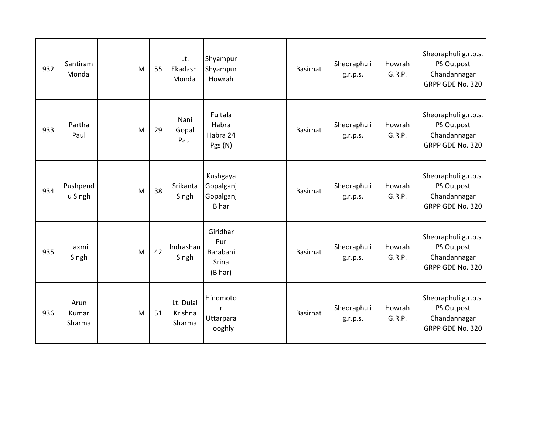| 932 | Santiram<br>Mondal      | M | 55 | Lt.<br>Ekadashi<br>Mondal      | Shyampur<br>Shyampur<br>Howrah                     | Basirhat        | Sheoraphuli<br>g.r.p.s. | Howrah<br>G.R.P. | Sheoraphuli g.r.p.s.<br>PS Outpost<br>Chandannagar<br>GRPP GDE No. 320 |
|-----|-------------------------|---|----|--------------------------------|----------------------------------------------------|-----------------|-------------------------|------------------|------------------------------------------------------------------------|
| 933 | Partha<br>Paul          | M | 29 | Nani<br>Gopal<br>Paul          | Fultala<br>Habra<br>Habra 24<br>Pgs (N)            | <b>Basirhat</b> | Sheoraphuli<br>g.r.p.s. | Howrah<br>G.R.P. | Sheoraphuli g.r.p.s.<br>PS Outpost<br>Chandannagar<br>GRPP GDE No. 320 |
| 934 | Pushpend<br>u Singh     | M | 38 | Srikanta<br>Singh              | Kushgaya<br>Gopalganj<br>Gopalganj<br><b>Bihar</b> | <b>Basirhat</b> | Sheoraphuli<br>g.r.p.s. | Howrah<br>G.R.P. | Sheoraphuli g.r.p.s.<br>PS Outpost<br>Chandannagar<br>GRPP GDE No. 320 |
| 935 | Laxmi<br>Singh          | M | 42 | Indrashan<br>Singh             | Giridhar<br>Pur<br>Barabani<br>Srina<br>(Bihar)    | <b>Basirhat</b> | Sheoraphuli<br>g.r.p.s. | Howrah<br>G.R.P. | Sheoraphuli g.r.p.s.<br>PS Outpost<br>Chandannagar<br>GRPP GDE No. 320 |
| 936 | Arun<br>Kumar<br>Sharma | M | 51 | Lt. Dulal<br>Krishna<br>Sharma | Hindmoto<br>r<br>Uttarpara<br>Hooghly              | <b>Basirhat</b> | Sheoraphuli<br>g.r.p.s. | Howrah<br>G.R.P. | Sheoraphuli g.r.p.s.<br>PS Outpost<br>Chandannagar<br>GRPP GDE No. 320 |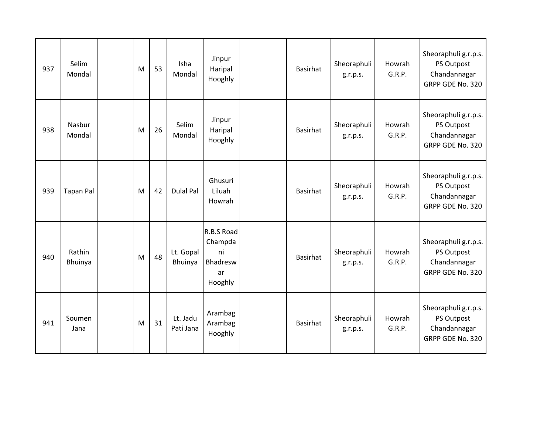| 937 | Selim<br>Mondal   | M | 53 | Isha<br>Mondal        | Jinpur<br>Haripal<br>Hooghly                             | <b>Basirhat</b> | Sheoraphuli<br>g.r.p.s. | Howrah<br>G.R.P. | Sheoraphuli g.r.p.s.<br>PS Outpost<br>Chandannagar<br>GRPP GDE No. 320 |
|-----|-------------------|---|----|-----------------------|----------------------------------------------------------|-----------------|-------------------------|------------------|------------------------------------------------------------------------|
| 938 | Nasbur<br>Mondal  | M | 26 | Selim<br>Mondal       | Jinpur<br>Haripal<br>Hooghly                             | Basirhat        | Sheoraphuli<br>g.r.p.s. | Howrah<br>G.R.P. | Sheoraphuli g.r.p.s.<br>PS Outpost<br>Chandannagar<br>GRPP GDE No. 320 |
| 939 | <b>Tapan Pal</b>  | M | 42 | <b>Dulal Pal</b>      | Ghusuri<br>Liluah<br>Howrah                              | <b>Basirhat</b> | Sheoraphuli<br>g.r.p.s. | Howrah<br>G.R.P. | Sheoraphuli g.r.p.s.<br>PS Outpost<br>Chandannagar<br>GRPP GDE No. 320 |
| 940 | Rathin<br>Bhuinya | M | 48 | Lt. Gopal<br>Bhuinya  | R.B.S Road<br>Champda<br>ni<br>Bhadresw<br>ar<br>Hooghly | <b>Basirhat</b> | Sheoraphuli<br>g.r.p.s. | Howrah<br>G.R.P. | Sheoraphuli g.r.p.s.<br>PS Outpost<br>Chandannagar<br>GRPP GDE No. 320 |
| 941 | Soumen<br>Jana    | M | 31 | Lt. Jadu<br>Pati Jana | Arambag<br>Arambag<br>Hooghly                            | <b>Basirhat</b> | Sheoraphuli<br>g.r.p.s. | Howrah<br>G.R.P. | Sheoraphuli g.r.p.s.<br>PS Outpost<br>Chandannagar<br>GRPP GDE No. 320 |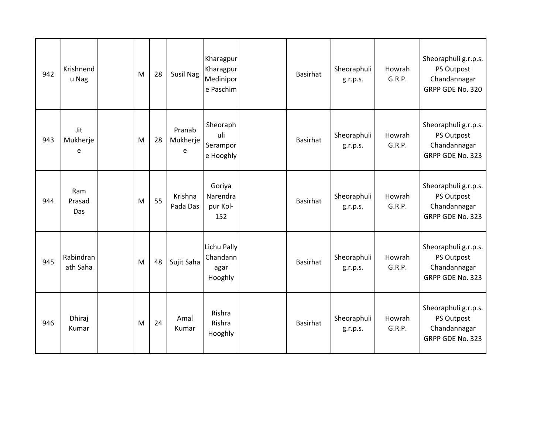| 942 | Krishnend<br>u Nag    | M | 28 | <b>Susil Nag</b>        | Kharagpur<br>Kharagpur<br>Medinipor<br>e Paschim | Basirhat        | Sheoraphuli<br>g.r.p.s. | Howrah<br>G.R.P. | Sheoraphuli g.r.p.s.<br>PS Outpost<br>Chandannagar<br>GRPP GDE No. 320 |
|-----|-----------------------|---|----|-------------------------|--------------------------------------------------|-----------------|-------------------------|------------------|------------------------------------------------------------------------|
| 943 | Jit<br>Mukherje<br>e  | M | 28 | Pranab<br>Mukherje<br>e | Sheoraph<br>uli<br>Serampor<br>e Hooghly         | <b>Basirhat</b> | Sheoraphuli<br>g.r.p.s. | Howrah<br>G.R.P. | Sheoraphuli g.r.p.s.<br>PS Outpost<br>Chandannagar<br>GRPP GDE No. 323 |
| 944 | Ram<br>Prasad<br>Das  | M | 55 | Krishna<br>Pada Das     | Goriya<br>Narendra<br>pur Kol-<br>152            | <b>Basirhat</b> | Sheoraphuli<br>g.r.p.s. | Howrah<br>G.R.P. | Sheoraphuli g.r.p.s.<br>PS Outpost<br>Chandannagar<br>GRPP GDE No. 323 |
| 945 | Rabindran<br>ath Saha | M | 48 | Sujit Saha              | Lichu Pally<br>Chandann<br>agar<br>Hooghly       | Basirhat        | Sheoraphuli<br>g.r.p.s. | Howrah<br>G.R.P. | Sheoraphuli g.r.p.s.<br>PS Outpost<br>Chandannagar<br>GRPP GDE No. 323 |
| 946 | Dhiraj<br>Kumar       | M | 24 | Amal<br>Kumar           | Rishra<br>Rishra<br>Hooghly                      | Basirhat        | Sheoraphuli<br>g.r.p.s. | Howrah<br>G.R.P. | Sheoraphuli g.r.p.s.<br>PS Outpost<br>Chandannagar<br>GRPP GDE No. 323 |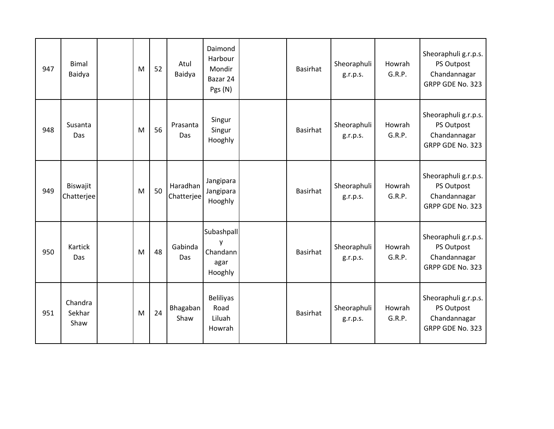| 947 | <b>Bimal</b><br>Baidya    | M | 52 | Atul<br>Baidya         | Daimond<br>Harbour<br>Mondir<br>Bazar 24<br>Pgs (N) | Basirhat        | Sheoraphuli<br>g.r.p.s. | Howrah<br>G.R.P. | Sheoraphuli g.r.p.s.<br>PS Outpost<br>Chandannagar<br>GRPP GDE No. 323 |
|-----|---------------------------|---|----|------------------------|-----------------------------------------------------|-----------------|-------------------------|------------------|------------------------------------------------------------------------|
| 948 | Susanta<br>Das            | M | 56 | Prasanta<br>Das        | Singur<br>Singur<br>Hooghly                         | <b>Basirhat</b> | Sheoraphuli<br>g.r.p.s. | Howrah<br>G.R.P. | Sheoraphuli g.r.p.s.<br>PS Outpost<br>Chandannagar<br>GRPP GDE No. 323 |
| 949 | Biswajit<br>Chatterjee    | M | 50 | Haradhan<br>Chatterjee | Jangipara<br>Jangipara<br>Hooghly                   | <b>Basirhat</b> | Sheoraphuli<br>g.r.p.s. | Howrah<br>G.R.P. | Sheoraphuli g.r.p.s.<br>PS Outpost<br>Chandannagar<br>GRPP GDE No. 323 |
| 950 | Kartick<br>Das            | M | 48 | Gabinda<br>Das         | Subashpall<br>y<br>Chandann<br>agar<br>Hooghly      | <b>Basirhat</b> | Sheoraphuli<br>g.r.p.s. | Howrah<br>G.R.P. | Sheoraphuli g.r.p.s.<br>PS Outpost<br>Chandannagar<br>GRPP GDE No. 323 |
| 951 | Chandra<br>Sekhar<br>Shaw | M | 24 | Bhagaban<br>Shaw       | <b>Beliliyas</b><br>Road<br>Liluah<br>Howrah        | <b>Basirhat</b> | Sheoraphuli<br>g.r.p.s. | Howrah<br>G.R.P. | Sheoraphuli g.r.p.s.<br>PS Outpost<br>Chandannagar<br>GRPP GDE No. 323 |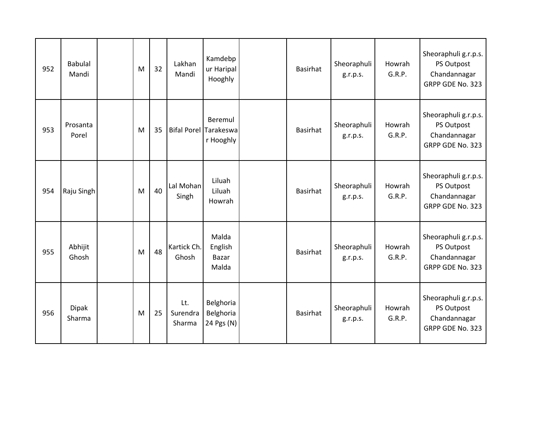| 952 | <b>Babulal</b><br>Mandi | M | 32 | Lakhan<br>Mandi           | Kamdebp<br>ur Haripal<br>Hooghly          | Basirhat        | Sheoraphuli<br>g.r.p.s. | Howrah<br>G.R.P. | Sheoraphuli g.r.p.s.<br>PS Outpost<br>Chandannagar<br>GRPP GDE No. 323 |
|-----|-------------------------|---|----|---------------------------|-------------------------------------------|-----------------|-------------------------|------------------|------------------------------------------------------------------------|
| 953 | Prosanta<br>Porel       | M | 35 | Bifal Porel Tarakeswa     | Beremul<br>r Hooghly                      | <b>Basirhat</b> | Sheoraphuli<br>g.r.p.s. | Howrah<br>G.R.P. | Sheoraphuli g.r.p.s.<br>PS Outpost<br>Chandannagar<br>GRPP GDE No. 323 |
| 954 | Raju Singh              | M | 40 | Lal Mohan<br>Singh        | Liluah<br>Liluah<br>Howrah                | <b>Basirhat</b> | Sheoraphuli<br>g.r.p.s. | Howrah<br>G.R.P. | Sheoraphuli g.r.p.s.<br>PS Outpost<br>Chandannagar<br>GRPP GDE No. 323 |
| 955 | Abhijit<br>Ghosh        | M | 48 | Kartick Ch.<br>Ghosh      | Malda<br>English<br><b>Bazar</b><br>Malda | <b>Basirhat</b> | Sheoraphuli<br>g.r.p.s. | Howrah<br>G.R.P. | Sheoraphuli g.r.p.s.<br>PS Outpost<br>Chandannagar<br>GRPP GDE No. 323 |
| 956 | <b>Dipak</b><br>Sharma  | M | 25 | Lt.<br>Surendra<br>Sharma | Belghoria<br>Belghoria<br>24 Pgs (N)      | <b>Basirhat</b> | Sheoraphuli<br>g.r.p.s. | Howrah<br>G.R.P. | Sheoraphuli g.r.p.s.<br>PS Outpost<br>Chandannagar<br>GRPP GDE No. 323 |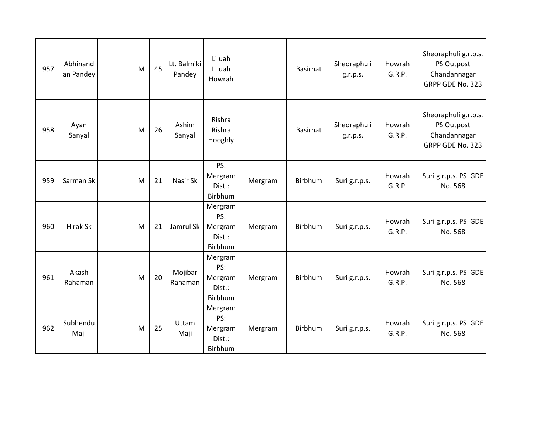| 957 | Abhinand<br>an Pandey | M | 45 | Lt. Balmiki<br>Pandey | Liluah<br>Liluah<br>Howrah                     |         | Basirhat | Sheoraphuli<br>g.r.p.s. | Howrah<br>G.R.P. | Sheoraphuli g.r.p.s.<br>PS Outpost<br>Chandannagar<br>GRPP GDE No. 323 |
|-----|-----------------------|---|----|-----------------------|------------------------------------------------|---------|----------|-------------------------|------------------|------------------------------------------------------------------------|
| 958 | Ayan<br>Sanyal        | M | 26 | Ashim<br>Sanyal       | Rishra<br>Rishra<br>Hooghly                    |         | Basirhat | Sheoraphuli<br>g.r.p.s. | Howrah<br>G.R.P. | Sheoraphuli g.r.p.s.<br>PS Outpost<br>Chandannagar<br>GRPP GDE No. 323 |
| 959 | Sarman Sk             | M | 21 | Nasir Sk              | PS:<br>Mergram<br>Dist.:<br>Birbhum            | Mergram | Birbhum  | Suri g.r.p.s.           | Howrah<br>G.R.P. | Suri g.r.p.s. PS GDE<br>No. 568                                        |
| 960 | <b>Hirak Sk</b>       | M | 21 | Jamrul Sk             | Mergram<br>PS:<br>Mergram<br>Dist.:<br>Birbhum | Mergram | Birbhum  | Suri g.r.p.s.           | Howrah<br>G.R.P. | Suri g.r.p.s. PS GDE<br>No. 568                                        |
| 961 | Akash<br>Rahaman      | M | 20 | Mojibar<br>Rahaman    | Mergram<br>PS:<br>Mergram<br>Dist.:<br>Birbhum | Mergram | Birbhum  | Suri g.r.p.s.           | Howrah<br>G.R.P. | Suri g.r.p.s. PS GDE<br>No. 568                                        |
| 962 | Subhendu<br>Maji      | M | 25 | Uttam<br>Maji         | Mergram<br>PS:<br>Mergram<br>Dist.:<br>Birbhum | Mergram | Birbhum  | Suri g.r.p.s.           | Howrah<br>G.R.P. | Suri g.r.p.s. PS GDE<br>No. 568                                        |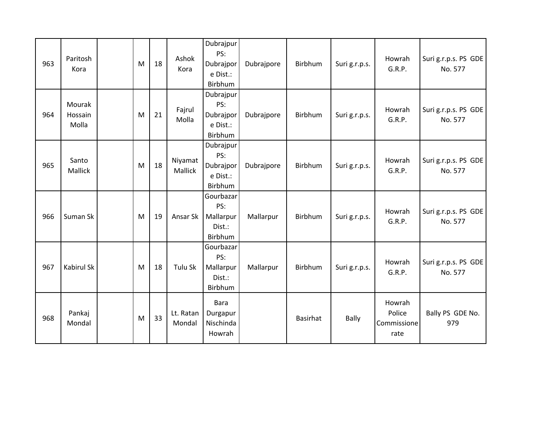| 963 | Paritosh<br>Kora           | M | 18 | Ashok<br>Kora       | Dubrajpur<br>PS:<br>Dubrajpor<br>e Dist.:<br>Birbhum | Dubrajpore | Birbhum         | Suri g.r.p.s. | Howrah<br>G.R.P.                        | Suri g.r.p.s. PS GDE<br>No. 577 |
|-----|----------------------------|---|----|---------------------|------------------------------------------------------|------------|-----------------|---------------|-----------------------------------------|---------------------------------|
| 964 | Mourak<br>Hossain<br>Molla | M | 21 | Fajrul<br>Molla     | Dubrajpur<br>PS:<br>Dubrajpor<br>e Dist.:<br>Birbhum | Dubrajpore | Birbhum         | Suri g.r.p.s. | Howrah<br>G.R.P.                        | Suri g.r.p.s. PS GDE<br>No. 577 |
| 965 | Santo<br>Mallick           | M | 18 | Niyamat<br>Mallick  | Dubrajpur<br>PS:<br>Dubrajpor<br>e Dist.:<br>Birbhum | Dubrajpore | Birbhum         | Suri g.r.p.s. | Howrah<br>G.R.P.                        | Suri g.r.p.s. PS GDE<br>No. 577 |
| 966 | Suman Sk                   | M | 19 | Ansar Sk            | Gourbazar<br>PS:<br>Mallarpur<br>Dist.:<br>Birbhum   | Mallarpur  | Birbhum         | Suri g.r.p.s. | Howrah<br>G.R.P.                        | Suri g.r.p.s. PS GDE<br>No. 577 |
| 967 | Kabirul Sk                 | M | 18 | Tulu Sk             | Gourbazar<br>PS:<br>Mallarpur<br>Dist.:<br>Birbhum   | Mallarpur  | Birbhum         | Suri g.r.p.s. | Howrah<br>G.R.P.                        | Suri g.r.p.s. PS GDE<br>No. 577 |
| 968 | Pankaj<br>Mondal           | M | 33 | Lt. Ratan<br>Mondal | <b>Bara</b><br>Durgapur<br>Nischinda<br>Howrah       |            | <b>Basirhat</b> | Bally         | Howrah<br>Police<br>Commissione<br>rate | Bally PS GDE No.<br>979         |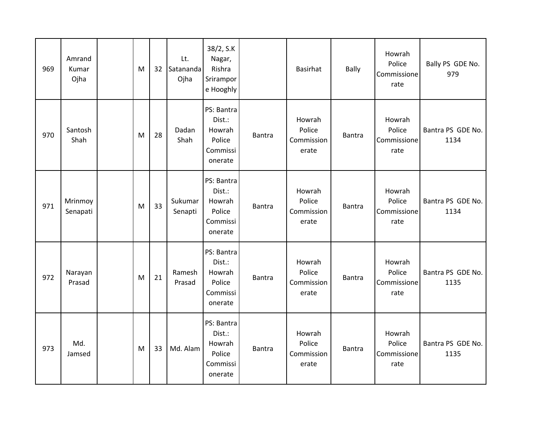| 969 | Amrand<br>Kumar<br>Ojha | M | 32 | Lt.<br>Satananda<br>Ojha | 38/2, S.K<br>Nagar,<br>Rishra<br>Srirampor<br>e Hooghly         |               | Basirhat                                | <b>Bally</b>  | Howrah<br>Police<br>Commissione<br>rate | Bally PS GDE No.<br>979   |
|-----|-------------------------|---|----|--------------------------|-----------------------------------------------------------------|---------------|-----------------------------------------|---------------|-----------------------------------------|---------------------------|
| 970 | Santosh<br>Shah         | M | 28 | Dadan<br>Shah            | PS: Bantra<br>Dist.:<br>Howrah<br>Police<br>Commissi<br>onerate | <b>Bantra</b> | Howrah<br>Police<br>Commission<br>erate | <b>Bantra</b> | Howrah<br>Police<br>Commissione<br>rate | Bantra PS GDE No.<br>1134 |
| 971 | Mrinmoy<br>Senapati     | M | 33 | Sukumar<br>Senapti       | PS: Bantra<br>Dist.:<br>Howrah<br>Police<br>Commissi<br>onerate | <b>Bantra</b> | Howrah<br>Police<br>Commission<br>erate | <b>Bantra</b> | Howrah<br>Police<br>Commissione<br>rate | Bantra PS GDE No.<br>1134 |
| 972 | Narayan<br>Prasad       | M | 21 | Ramesh<br>Prasad         | PS: Bantra<br>Dist.:<br>Howrah<br>Police<br>Commissi<br>onerate | <b>Bantra</b> | Howrah<br>Police<br>Commission<br>erate | <b>Bantra</b> | Howrah<br>Police<br>Commissione<br>rate | Bantra PS GDE No.<br>1135 |
| 973 | Md.<br>Jamsed           | M | 33 | Md. Alam                 | PS: Bantra<br>Dist.:<br>Howrah<br>Police<br>Commissi<br>onerate | <b>Bantra</b> | Howrah<br>Police<br>Commission<br>erate | Bantra        | Howrah<br>Police<br>Commissione<br>rate | Bantra PS GDE No.<br>1135 |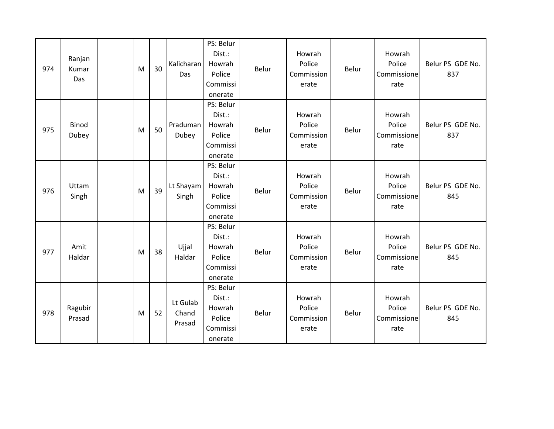| 974 | Ranjan<br>Kumar<br>Das | M | 30 | Kalicharan<br>Das           | PS: Belur<br>Dist.:<br>Howrah<br>Police<br>Commissi<br>onerate | Belur | Howrah<br>Police<br>Commission<br>erate | Belur | Howrah<br>Police<br>Commissione<br>rate | Belur PS GDE No.<br>837 |
|-----|------------------------|---|----|-----------------------------|----------------------------------------------------------------|-------|-----------------------------------------|-------|-----------------------------------------|-------------------------|
| 975 | <b>Binod</b><br>Dubey  | M | 50 | Praduman<br>Dubey           | PS: Belur<br>Dist.:<br>Howrah<br>Police<br>Commissi<br>onerate | Belur | Howrah<br>Police<br>Commission<br>erate | Belur | Howrah<br>Police<br>Commissione<br>rate | Belur PS GDE No.<br>837 |
| 976 | Uttam<br>Singh         | M | 39 | Lt Shayam<br>Singh          | PS: Belur<br>Dist.:<br>Howrah<br>Police<br>Commissi<br>onerate | Belur | Howrah<br>Police<br>Commission<br>erate | Belur | Howrah<br>Police<br>Commissione<br>rate | Belur PS GDE No.<br>845 |
| 977 | Amit<br>Haldar         | M | 38 | Ujjal<br>Haldar             | PS: Belur<br>Dist.:<br>Howrah<br>Police<br>Commissi<br>onerate | Belur | Howrah<br>Police<br>Commission<br>erate | Belur | Howrah<br>Police<br>Commissione<br>rate | Belur PS GDE No.<br>845 |
| 978 | Ragubir<br>Prasad      | M | 52 | Lt Gulab<br>Chand<br>Prasad | PS: Belur<br>Dist.:<br>Howrah<br>Police<br>Commissi<br>onerate | Belur | Howrah<br>Police<br>Commission<br>erate | Belur | Howrah<br>Police<br>Commissione<br>rate | Belur PS GDE No.<br>845 |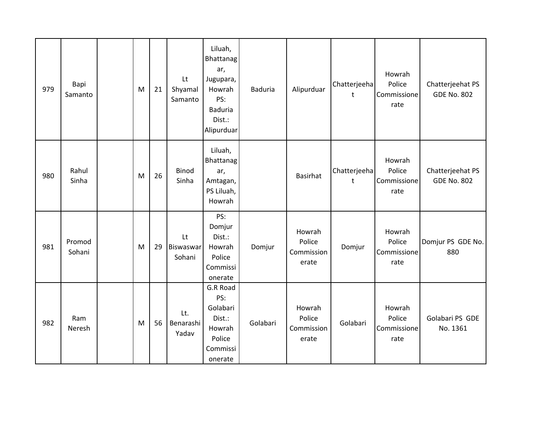| 979 | Bapi<br>Samanto  | M | 21 | Lt<br>Shyamal<br>Samanto         | Liluah,<br>Bhattanag<br>ar,<br>Jugupara,<br>Howrah<br>PS:<br><b>Baduria</b><br>Dist.:<br>Alipurduar | <b>Baduria</b> | Alipurduar                              | Chatterjeeha<br>t           | Howrah<br>Police<br>Commissione<br>rate | Chatterjeehat PS<br><b>GDE No. 802</b> |
|-----|------------------|---|----|----------------------------------|-----------------------------------------------------------------------------------------------------|----------------|-----------------------------------------|-----------------------------|-----------------------------------------|----------------------------------------|
| 980 | Rahul<br>Sinha   | M | 26 | <b>Binod</b><br>Sinha            | Liluah,<br>Bhattanag<br>ar,<br>Amtagan,<br>PS Liluah,<br>Howrah                                     |                | <b>Basirhat</b>                         | Chatterjeeha<br>$\mathbf t$ | Howrah<br>Police<br>Commissione<br>rate | Chatterjeehat PS<br><b>GDE No. 802</b> |
| 981 | Promod<br>Sohani | M | 29 | Lt<br><b>Biswaswar</b><br>Sohani | PS:<br>Domjur<br>Dist.:<br>Howrah<br>Police<br>Commissi<br>onerate                                  | Domjur         | Howrah<br>Police<br>Commission<br>erate | Domjur                      | Howrah<br>Police<br>Commissione<br>rate | Domjur PS GDE No.<br>880               |
| 982 | Ram<br>Neresh    | M | 56 | Lt.<br>Benarashi<br>Yadav        | G.R Road<br>PS:<br>Golabari<br>Dist.:<br>Howrah<br>Police<br>Commissi<br>onerate                    | Golabari       | Howrah<br>Police<br>Commission<br>erate | Golabari                    | Howrah<br>Police<br>Commissione<br>rate | Golabari PS GDE<br>No. 1361            |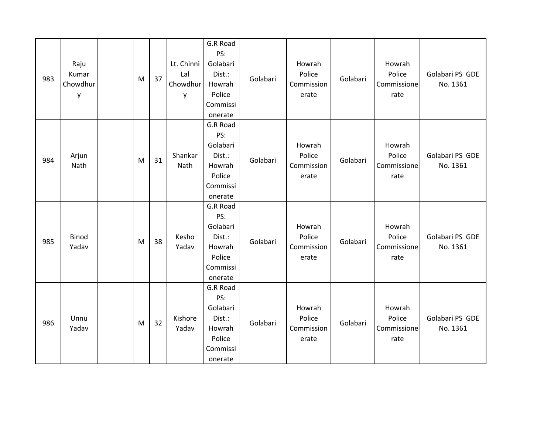| 983 | Raju<br>Kumar<br>Chowdhur<br>у | M | 37 | Lt. Chinni<br>Lal<br>Chowdhur<br>y | G.R Road<br>PS:<br>Golabari<br>Dist.:<br>Howrah<br>Police<br>Commissi<br>onerate | Golabari | Howrah<br>Police<br>Commission<br>erate | Golabari | Howrah<br>Police<br>Commissione<br>rate | Golabari PS GDE<br>No. 1361 |
|-----|--------------------------------|---|----|------------------------------------|----------------------------------------------------------------------------------|----------|-----------------------------------------|----------|-----------------------------------------|-----------------------------|
| 984 | Arjun<br>Nath                  | M | 31 | Shankar<br>Nath                    | G.R Road<br>PS:<br>Golabari<br>Dist.:<br>Howrah<br>Police<br>Commissi<br>onerate | Golabari | Howrah<br>Police<br>Commission<br>erate | Golabari | Howrah<br>Police<br>Commissione<br>rate | Golabari PS GDE<br>No. 1361 |
| 985 | <b>Binod</b><br>Yadav          | M | 38 | Kesho<br>Yadav                     | G.R Road<br>PS:<br>Golabari<br>Dist.:<br>Howrah<br>Police<br>Commissi<br>onerate | Golabari | Howrah<br>Police<br>Commission<br>erate | Golabari | Howrah<br>Police<br>Commissione<br>rate | Golabari PS GDE<br>No. 1361 |
| 986 | Unnu<br>Yadav                  | M | 32 | Kishore<br>Yadav                   | G.R Road<br>PS:<br>Golabari<br>Dist.:<br>Howrah<br>Police<br>Commissi<br>onerate | Golabari | Howrah<br>Police<br>Commission<br>erate | Golabari | Howrah<br>Police<br>Commissione<br>rate | Golabari PS GDE<br>No. 1361 |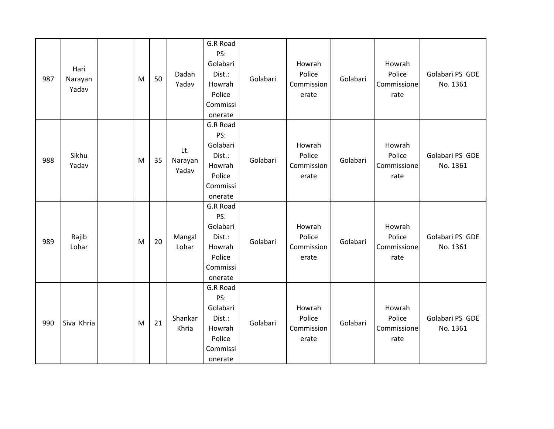| 987 | Hari<br>Narayan<br>Yadav | M | 50 | Dadan<br>Yadav          | G.R Road<br>PS:<br>Golabari<br>Dist.:<br>Howrah<br>Police<br>Commissi<br>onerate | Golabari | Howrah<br>Police<br>Commission<br>erate | Golabari | Howrah<br>Police<br>Commissione<br>rate | Golabari PS GDE<br>No. 1361 |
|-----|--------------------------|---|----|-------------------------|----------------------------------------------------------------------------------|----------|-----------------------------------------|----------|-----------------------------------------|-----------------------------|
| 988 | Sikhu<br>Yadav           | M | 35 | Lt.<br>Narayan<br>Yadav | G.R Road<br>PS:<br>Golabari<br>Dist.:<br>Howrah<br>Police<br>Commissi<br>onerate | Golabari | Howrah<br>Police<br>Commission<br>erate | Golabari | Howrah<br>Police<br>Commissione<br>rate | Golabari PS GDE<br>No. 1361 |
| 989 | Rajib<br>Lohar           | M | 20 | Mangal<br>Lohar         | G.R Road<br>PS:<br>Golabari<br>Dist.:<br>Howrah<br>Police<br>Commissi<br>onerate | Golabari | Howrah<br>Police<br>Commission<br>erate | Golabari | Howrah<br>Police<br>Commissione<br>rate | Golabari PS GDE<br>No. 1361 |
| 990 | Siva Khria               | M | 21 | Shankar<br>Khria        | G.R Road<br>PS:<br>Golabari<br>Dist.:<br>Howrah<br>Police<br>Commissi<br>onerate | Golabari | Howrah<br>Police<br>Commission<br>erate | Golabari | Howrah<br>Police<br>Commissione<br>rate | Golabari PS GDE<br>No. 1361 |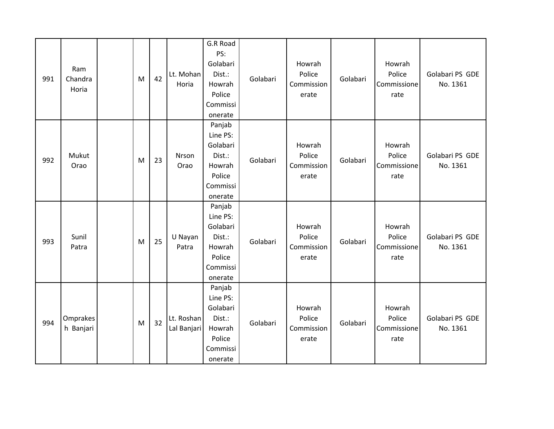| 991 | Ram<br>Chandra<br>Horia | M | 42 | Lt. Mohan<br>Horia        | G.R Road<br>PS:<br>Golabari<br>Dist.:<br>Howrah<br>Police<br>Commissi<br>onerate    | Golabari | Howrah<br>Police<br>Commission<br>erate | Golabari | Howrah<br>Police<br>Commissione<br>rate | Golabari PS GDE<br>No. 1361 |
|-----|-------------------------|---|----|---------------------------|-------------------------------------------------------------------------------------|----------|-----------------------------------------|----------|-----------------------------------------|-----------------------------|
| 992 | Mukut<br>Orao           | M | 23 | Nrson<br>Orao             | Panjab<br>Line PS:<br>Golabari<br>Dist.:<br>Howrah<br>Police<br>Commissi<br>onerate | Golabari | Howrah<br>Police<br>Commission<br>erate | Golabari | Howrah<br>Police<br>Commissione<br>rate | Golabari PS GDE<br>No. 1361 |
| 993 | Sunil<br>Patra          | M | 25 | U Nayan<br>Patra          | Panjab<br>Line PS:<br>Golabari<br>Dist.:<br>Howrah<br>Police<br>Commissi<br>onerate | Golabari | Howrah<br>Police<br>Commission<br>erate | Golabari | Howrah<br>Police<br>Commissione<br>rate | Golabari PS GDE<br>No. 1361 |
| 994 | Omprakes<br>h Banjari   | M | 32 | Lt. Roshan<br>Lal Banjari | Panjab<br>Line PS:<br>Golabari<br>Dist.:<br>Howrah<br>Police<br>Commissi<br>onerate | Golabari | Howrah<br>Police<br>Commission<br>erate | Golabari | Howrah<br>Police<br>Commissione<br>rate | Golabari PS GDE<br>No. 1361 |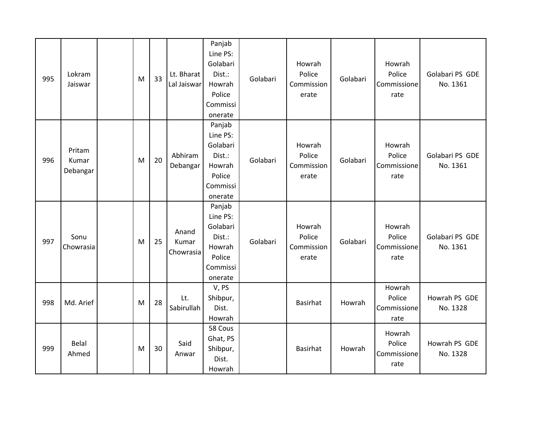| 995 | Lokram<br>Jaiswar           | M | 33 | Lt. Bharat<br>Lal Jaiswar   | Panjab<br>Line PS:<br>Golabari<br>Dist.:<br>Howrah<br>Police<br>Commissi<br>onerate | Golabari | Howrah<br>Police<br>Commission<br>erate | Golabari | Howrah<br>Police<br>Commissione<br>rate | Golabari PS GDE<br>No. 1361 |
|-----|-----------------------------|---|----|-----------------------------|-------------------------------------------------------------------------------------|----------|-----------------------------------------|----------|-----------------------------------------|-----------------------------|
| 996 | Pritam<br>Kumar<br>Debangar | M | 20 | Abhiram<br>Debangar         | Panjab<br>Line PS:<br>Golabari<br>Dist.:<br>Howrah<br>Police<br>Commissi<br>onerate | Golabari | Howrah<br>Police<br>Commission<br>erate | Golabari | Howrah<br>Police<br>Commissione<br>rate | Golabari PS GDE<br>No. 1361 |
| 997 | Sonu<br>Chowrasia           | M | 25 | Anand<br>Kumar<br>Chowrasia | Panjab<br>Line PS:<br>Golabari<br>Dist.:<br>Howrah<br>Police<br>Commissi<br>onerate | Golabari | Howrah<br>Police<br>Commission<br>erate | Golabari | Howrah<br>Police<br>Commissione<br>rate | Golabari PS GDE<br>No. 1361 |
| 998 | Md. Arief                   | M | 28 | Lt.<br>Sabirullah           | V, PS<br>Shibpur,<br>Dist.<br>Howrah                                                |          | <b>Basirhat</b>                         | Howrah   | Howrah<br>Police<br>Commissione<br>rate | Howrah PS GDE<br>No. 1328   |
| 999 | Belal<br>Ahmed              | M | 30 | Said<br>Anwar               | 58 Cous<br>Ghat, PS<br>Shibpur,<br>Dist.<br>Howrah                                  |          | <b>Basirhat</b>                         | Howrah   | Howrah<br>Police<br>Commissione<br>rate | Howrah PS GDE<br>No. 1328   |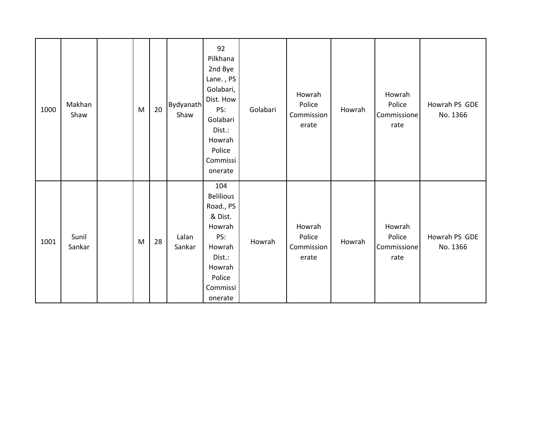| 1000 | Makhan<br>Shaw  | M | 20 | <b>Bydyanath</b><br>Shaw | 92<br>Pilkhana<br>2nd Bye<br>Lane., PS<br>Golabari,<br>Dist. How<br>PS:<br>Golabari<br>Dist.:<br>Howrah<br>Police<br>Commissi<br>onerate | Golabari | Howrah<br>Police<br>Commission<br>erate | Howrah | Howrah<br>Police<br>Commissione<br>rate | Howrah PS GDE<br>No. 1366 |
|------|-----------------|---|----|--------------------------|------------------------------------------------------------------------------------------------------------------------------------------|----------|-----------------------------------------|--------|-----------------------------------------|---------------------------|
| 1001 | Sunil<br>Sankar | M | 28 | Lalan<br>Sankar          | 104<br><b>Belilious</b><br>Road., PS<br>& Dist.<br>Howrah<br>PS:<br>Howrah<br>Dist.:<br>Howrah<br>Police<br>Commissi<br>onerate          | Howrah   | Howrah<br>Police<br>Commission<br>erate | Howrah | Howrah<br>Police<br>Commissione<br>rate | Howrah PS GDE<br>No. 1366 |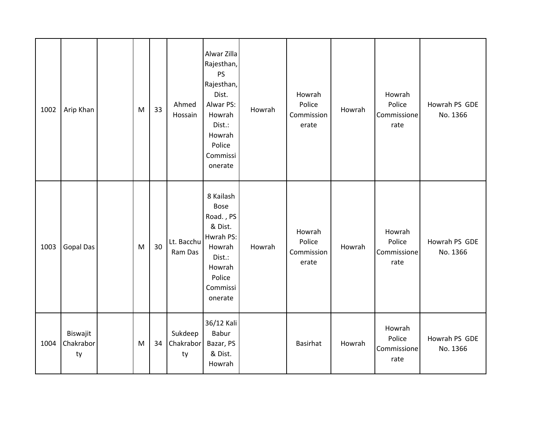| 1002 | Arip Khan                   | M | 33 | Ahmed<br>Hossain           | Alwar Zilla<br>Rajesthan,<br><b>PS</b><br>Rajesthan,<br>Dist.<br>Alwar PS:<br>Howrah<br>Dist.:<br>Howrah<br>Police<br>Commissi<br>onerate | Howrah | Howrah<br>Police<br>Commission<br>erate | Howrah | Howrah<br>Police<br>Commissione<br>rate | Howrah PS GDE<br>No. 1366 |
|------|-----------------------------|---|----|----------------------------|-------------------------------------------------------------------------------------------------------------------------------------------|--------|-----------------------------------------|--------|-----------------------------------------|---------------------------|
| 1003 | <b>Gopal Das</b>            | M | 30 | Lt. Bacchu<br>Ram Das      | 8 Kailash<br><b>Bose</b><br>Road., PS<br>& Dist.<br>Hwrah PS:<br>Howrah<br>Dist.:<br>Howrah<br>Police<br>Commissi<br>onerate              | Howrah | Howrah<br>Police<br>Commission<br>erate | Howrah | Howrah<br>Police<br>Commissione<br>rate | Howrah PS GDE<br>No. 1366 |
| 1004 | Biswajit<br>Chakrabor<br>ty | M | 34 | Sukdeep<br>Chakrabor<br>ty | 36/12 Kali<br><b>Babur</b><br>Bazar, PS<br>& Dist.<br>Howrah                                                                              |        | Basirhat                                | Howrah | Howrah<br>Police<br>Commissione<br>rate | Howrah PS GDE<br>No. 1366 |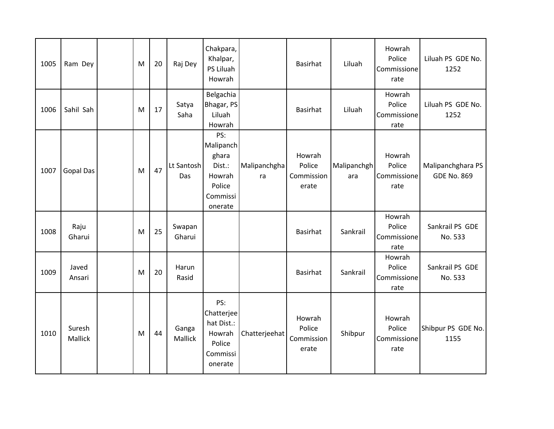| 1005 | Ram Dey                  | M | 20 | Raj Dey           | Chakpara,<br>Khalpar,<br>PS Liluah<br>Howrah                                   |                    | Basirhat                                | Liluah             | Howrah<br>Police<br>Commissione<br>rate | Liluah PS GDE No.<br>1252               |
|------|--------------------------|---|----|-------------------|--------------------------------------------------------------------------------|--------------------|-----------------------------------------|--------------------|-----------------------------------------|-----------------------------------------|
| 1006 | Sahil Sah                | M | 17 | Satya<br>Saha     | Belgachia<br>Bhagar, PS<br>Liluah<br>Howrah                                    |                    | Basirhat                                | Liluah             | Howrah<br>Police<br>Commissione<br>rate | Liluah PS GDE No.<br>1252               |
| 1007 | <b>Gopal Das</b>         | M | 47 | Lt Santosh<br>Das | PS:<br>Malipanch<br>ghara<br>Dist.:<br>Howrah<br>Police<br>Commissi<br>onerate | Malipanchgha<br>ra | Howrah<br>Police<br>Commission<br>erate | Malipanchgh<br>ara | Howrah<br>Police<br>Commissione<br>rate | Malipanchghara PS<br><b>GDE No. 869</b> |
| 1008 | Raju<br>Gharui           | M | 25 | Swapan<br>Gharui  |                                                                                |                    | Basirhat                                | Sankrail           | Howrah<br>Police<br>Commissione<br>rate | Sankrail PS GDE<br>No. 533              |
| 1009 | Javed<br>Ansari          | M | 20 | Harun<br>Rasid    |                                                                                |                    | Basirhat                                | Sankrail           | Howrah<br>Police<br>Commissione<br>rate | Sankrail PS GDE<br>No. 533              |
| 1010 | Suresh<br><b>Mallick</b> | M | 44 | Ganga<br>Mallick  | PS:<br>Chatterjee<br>hat Dist.:<br>Howrah<br>Police<br>Commissi<br>onerate     | Chatterjeehat      | Howrah<br>Police<br>Commission<br>erate | Shibpur            | Howrah<br>Police<br>Commissione<br>rate | Shibpur PS GDE No.<br>1155              |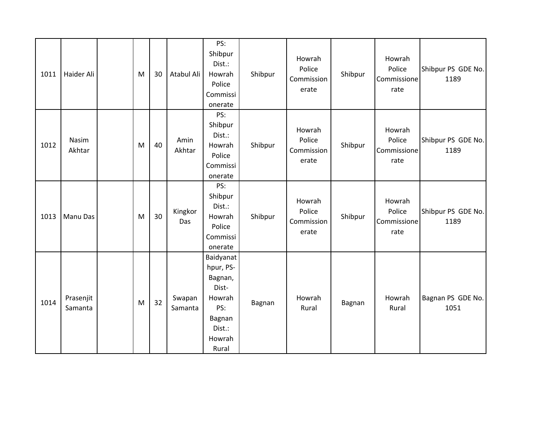| 1011 | Haider Ali           | M | 30 | Atabul Ali        | PS:<br>Shibpur<br>Dist.:<br>Howrah<br>Police<br>Commissi<br>onerate                                | Shibpur | Howrah<br>Police<br>Commission<br>erate | Shibpur | Howrah<br>Police<br>Commissione<br>rate | Shibpur PS GDE No.<br>1189 |
|------|----------------------|---|----|-------------------|----------------------------------------------------------------------------------------------------|---------|-----------------------------------------|---------|-----------------------------------------|----------------------------|
| 1012 | Nasim<br>Akhtar      | M | 40 | Amin<br>Akhtar    | PS:<br>Shibpur<br>Dist.:<br>Howrah<br>Police<br>Commissi<br>onerate                                | Shibpur | Howrah<br>Police<br>Commission<br>erate | Shibpur | Howrah<br>Police<br>Commissione<br>rate | Shibpur PS GDE No.<br>1189 |
| 1013 | Manu Das             | M | 30 | Kingkor<br>Das    | PS:<br>Shibpur<br>Dist.:<br>Howrah<br>Police<br>Commissi<br>onerate                                | Shibpur | Howrah<br>Police<br>Commission<br>erate | Shibpur | Howrah<br>Police<br>Commissione<br>rate | Shibpur PS GDE No.<br>1189 |
| 1014 | Prasenjit<br>Samanta | M | 32 | Swapan<br>Samanta | Baidyanat<br>hpur, PS-<br>Bagnan,<br>Dist-<br>Howrah<br>PS:<br>Bagnan<br>Dist.:<br>Howrah<br>Rural | Bagnan  | Howrah<br>Rural                         | Bagnan  | Howrah<br>Rural                         | Bagnan PS GDE No.<br>1051  |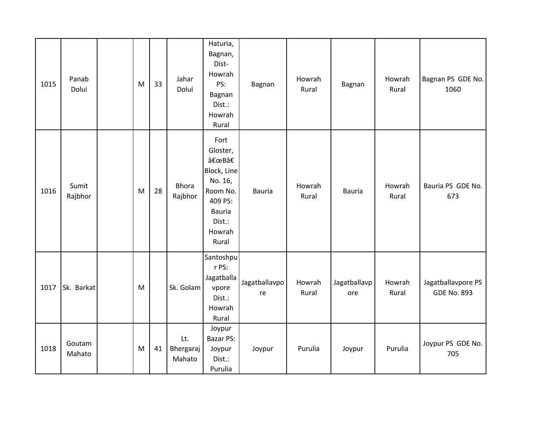| 1015 | Panab<br>Dolui   | M | 33 | Jahar<br>Dolui             | Haturia,<br>Bagnan,<br>Dist-<br>Howrah<br>PS:<br>Bagnan<br>Dist.:<br>Howrah<br>Rural                                    | Bagnan              | Howrah<br>Rural | Bagnan              | Howrah<br>Rural | Bagnan PS GDE No.<br>1060                |
|------|------------------|---|----|----------------------------|-------------------------------------------------------------------------------------------------------------------------|---------------------|-----------------|---------------------|-----------------|------------------------------------------|
| 1016 | Sumit<br>Rajbhor | M | 28 | <b>Bhora</b><br>Rajbhor    | Fort<br>Gloster,<br>"Bâ€<br>Block, Line<br>No. 16,<br>Room No.<br>409 PS:<br><b>Bauria</b><br>Dist.:<br>Howrah<br>Rural | <b>Bauria</b>       | Howrah<br>Rural | <b>Bauria</b>       | Howrah<br>Rural | Bauria PS GDE No.<br>673                 |
| 1017 | Sk. Barkat       | M |    | Sk. Golam                  | Santoshpu<br>r PS:<br>Jagatballa<br>vpore<br>Dist.:<br>Howrah<br>Rural                                                  | Jagatballavpo<br>re | Howrah<br>Rural | Jagatballavp<br>ore | Howrah<br>Rural | Jagatballavpore PS<br><b>GDE No. 893</b> |
| 1018 | Goutam<br>Mahato | M | 41 | Lt.<br>Bhergaraj<br>Mahato | Joypur<br>Bazar PS:<br>Joypur<br>Dist.:<br>Purulia                                                                      | Joypur              | Purulia         | Joypur              | Purulia         | Joypur PS GDE No.<br>705                 |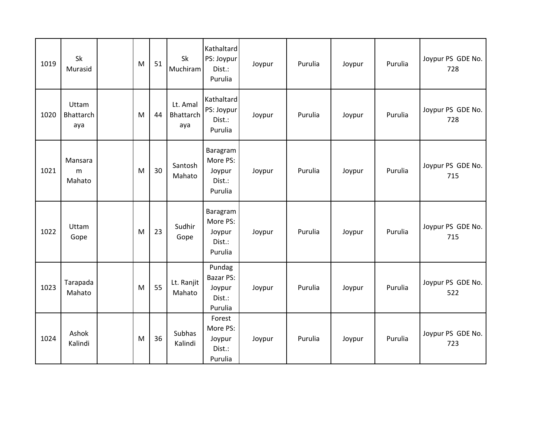| 1019 | Sk<br>Murasid             | M | 51 | Sk<br>Muchiram               | Kathaltard<br>PS: Joypur<br>Dist.:<br>Purulia       | Joypur | Purulia | Joypur | Purulia | Joypur PS GDE No.<br>728 |
|------|---------------------------|---|----|------------------------------|-----------------------------------------------------|--------|---------|--------|---------|--------------------------|
| 1020 | Uttam<br>Bhattarch<br>aya | M | 44 | Lt. Amal<br>Bhattarch<br>aya | Kathaltard<br>PS: Joypur<br>Dist.:<br>Purulia       | Joypur | Purulia | Joypur | Purulia | Joypur PS GDE No.<br>728 |
| 1021 | Mansara<br>m<br>Mahato    | M | 30 | Santosh<br>Mahato            | Baragram<br>More PS:<br>Joypur<br>Dist.:<br>Purulia | Joypur | Purulia | Joypur | Purulia | Joypur PS GDE No.<br>715 |
| 1022 | Uttam<br>Gope             | M | 23 | Sudhir<br>Gope               | Baragram<br>More PS:<br>Joypur<br>Dist.:<br>Purulia | Joypur | Purulia | Joypur | Purulia | Joypur PS GDE No.<br>715 |
| 1023 | Tarapada<br>Mahato        | M | 55 | Lt. Ranjit<br>Mahato         | Pundag<br>Bazar PS:<br>Joypur<br>Dist.:<br>Purulia  | Joypur | Purulia | Joypur | Purulia | Joypur PS GDE No.<br>522 |
| 1024 | Ashok<br>Kalindi          | M | 36 | <b>Subhas</b><br>Kalindi     | Forest<br>More PS:<br>Joypur<br>Dist.:<br>Purulia   | Joypur | Purulia | Joypur | Purulia | Joypur PS GDE No.<br>723 |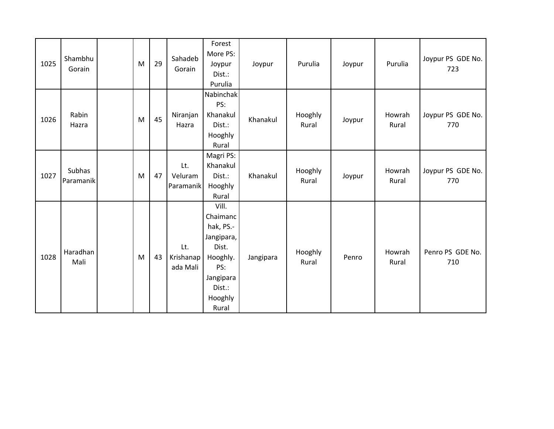| 1025 | Shambhu<br>Gorain   | M | 29 | Sahadeb<br>Gorain            | Forest<br>More PS:<br>Joypur<br>Dist.:<br>Purulia                                                                    | Joypur    | Purulia          | Joypur | Purulia         | Joypur PS GDE No.<br>723 |
|------|---------------------|---|----|------------------------------|----------------------------------------------------------------------------------------------------------------------|-----------|------------------|--------|-----------------|--------------------------|
| 1026 | Rabin<br>Hazra      | M | 45 | Niranjan<br>Hazra            | Nabinchak<br>PS:<br>Khanakul<br>Dist.:<br>Hooghly<br>Rural                                                           | Khanakul  | Hooghly<br>Rural | Joypur | Howrah<br>Rural | Joypur PS GDE No.<br>770 |
| 1027 | Subhas<br>Paramanik | M | 47 | Lt.<br>Veluram<br>Paramanik  | Magri PS:<br>Khanakul<br>Dist.:<br>Hooghly<br>Rural                                                                  | Khanakul  | Hooghly<br>Rural | Joypur | Howrah<br>Rural | Joypur PS GDE No.<br>770 |
| 1028 | Haradhan<br>Mali    | M | 43 | Lt.<br>Krishanap<br>ada Mali | Vill.<br>Chaimanc<br>hak, PS .-<br>Jangipara,<br>Dist.<br>Hooghly.<br>PS:<br>Jangipara<br>Dist.:<br>Hooghly<br>Rural | Jangipara | Hooghly<br>Rural | Penro  | Howrah<br>Rural | Penro PS GDE No.<br>710  |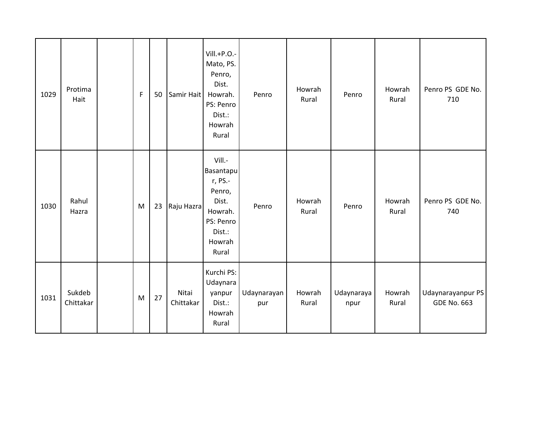| 1029 | Protima<br>Hait     | F         | 50 | Samir Hait         | $Vill.+P.O.-$<br>Mato, PS.<br>Penro,<br>Dist.<br>Howrah.<br>PS: Penro<br>Dist.:<br>Howrah<br>Rural     | Penro              | Howrah<br>Rural | Penro              | Howrah<br>Rural | Penro PS GDE No.<br>710                 |
|------|---------------------|-----------|----|--------------------|--------------------------------------------------------------------------------------------------------|--------------------|-----------------|--------------------|-----------------|-----------------------------------------|
| 1030 | Rahul<br>Hazra      | ${\sf M}$ | 23 | Raju Hazra         | Vill.-<br>Basantapu<br>r, PS.-<br>Penro,<br>Dist.<br>Howrah.<br>PS: Penro<br>Dist.:<br>Howrah<br>Rural | Penro              | Howrah<br>Rural | Penro              | Howrah<br>Rural | Penro PS GDE No.<br>740                 |
| 1031 | Sukdeb<br>Chittakar | ${\sf M}$ | 27 | Nitai<br>Chittakar | Kurchi PS:<br>Udaynara<br>yanpur<br>Dist.:<br>Howrah<br>Rural                                          | Udaynarayan<br>pur | Howrah<br>Rural | Udaynaraya<br>npur | Howrah<br>Rural | Udaynarayanpur PS<br><b>GDE No. 663</b> |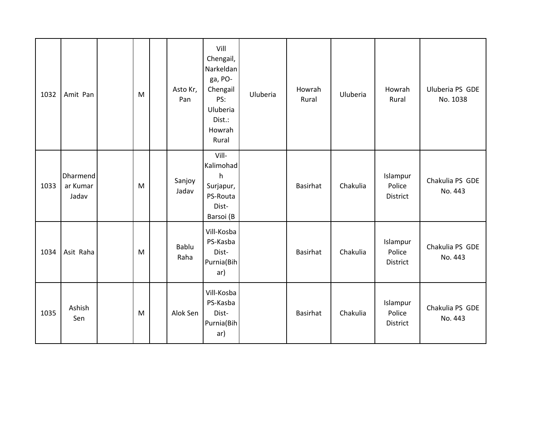| 1032 | Amit Pan                      | M | Asto Kr,<br>Pan | Vill<br>Chengail,<br>Narkeldan<br>ga, PO-<br>Chengail<br>PS:<br>Uluberia<br>Dist.:<br>Howrah<br>Rural | Uluberia | Howrah<br>Rural | Uluberia | Howrah<br>Rural                | Uluberia PS GDE<br>No. 1038 |
|------|-------------------------------|---|-----------------|-------------------------------------------------------------------------------------------------------|----------|-----------------|----------|--------------------------------|-----------------------------|
| 1033 | Dharmend<br>ar Kumar<br>Jadav | M | Sanjoy<br>Jadav | Vill-<br>Kalimohad<br>h<br>Surjapur,<br>PS-Routa<br>Dist-<br>Barsoi (B                                |          | Basirhat        | Chakulia | Islampur<br>Police<br>District | Chakulia PS GDE<br>No. 443  |
| 1034 | Asit Raha                     | M | Bablu<br>Raha   | Vill-Kosba<br>PS-Kasba<br>Dist-<br>Purnia(Bih<br>ar)                                                  |          | Basirhat        | Chakulia | Islampur<br>Police<br>District | Chakulia PS GDE<br>No. 443  |
| 1035 | Ashish<br>Sen                 | M | Alok Sen        | Vill-Kosba<br>PS-Kasba<br>Dist-<br>Purnia(Bih)<br>ar)                                                 |          | <b>Basirhat</b> | Chakulia | Islampur<br>Police<br>District | Chakulia PS GDE<br>No. 443  |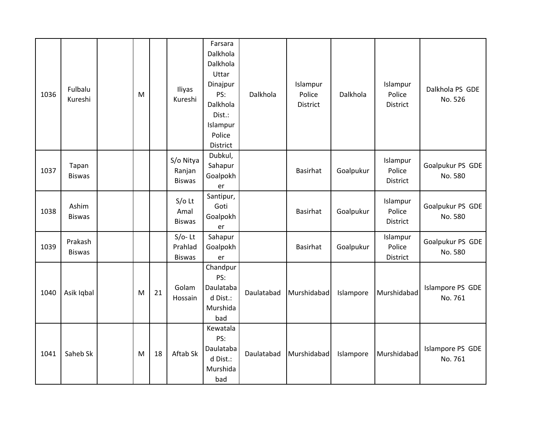| 1036 | Fulbalu<br>Kureshi       | M |    | Iliyas<br>Kureshi                     | Farsara<br>Dalkhola<br>Dalkhola<br>Uttar<br>Dinajpur<br>PS:<br>Dalkhola<br>Dist.:<br>Islampur<br>Police<br>District | Dalkhola   | Islampur<br>Police<br><b>District</b> | Dalkhola  | Islampur<br>Police<br><b>District</b> | Dalkhola PS GDE<br>No. 526  |
|------|--------------------------|---|----|---------------------------------------|---------------------------------------------------------------------------------------------------------------------|------------|---------------------------------------|-----------|---------------------------------------|-----------------------------|
| 1037 | Tapan<br><b>Biswas</b>   |   |    | S/o Nitya<br>Ranjan<br><b>Biswas</b>  | Dubkul,<br>Sahapur<br>Goalpokh<br>er                                                                                |            | Basirhat                              | Goalpukur | Islampur<br>Police<br>District        | Goalpukur PS GDE<br>No. 580 |
| 1038 | Ashim<br><b>Biswas</b>   |   |    | $S/O$ Lt<br>Amal<br><b>Biswas</b>     | Santipur,<br>Goti<br>Goalpokh<br>er                                                                                 |            | <b>Basirhat</b>                       | Goalpukur | Islampur<br>Police<br>District        | Goalpukur PS GDE<br>No. 580 |
| 1039 | Prakash<br><b>Biswas</b> |   |    | $S/O-$ Lt<br>Prahlad<br><b>Biswas</b> | Sahapur<br>Goalpokh<br>er                                                                                           |            | <b>Basirhat</b>                       | Goalpukur | Islampur<br>Police<br>District        | Goalpukur PS GDE<br>No. 580 |
| 1040 | Asik Iqbal               | M | 21 | Golam<br>Hossain                      | Chandpur<br>PS:<br>Daulataba<br>d Dist.:<br>Murshida<br>bad                                                         | Daulatabad | Murshidabad                           | Islampore | Murshidabad                           | Islampore PS GDE<br>No. 761 |
| 1041 | Saheb Sk                 | M | 18 | Aftab Sk                              | Kewatala<br>PS:<br>Daulataba<br>d Dist.:<br>Murshida<br>bad                                                         | Daulatabad | Murshidabad                           | Islampore | Murshidabad                           | Islampore PS GDE<br>No. 761 |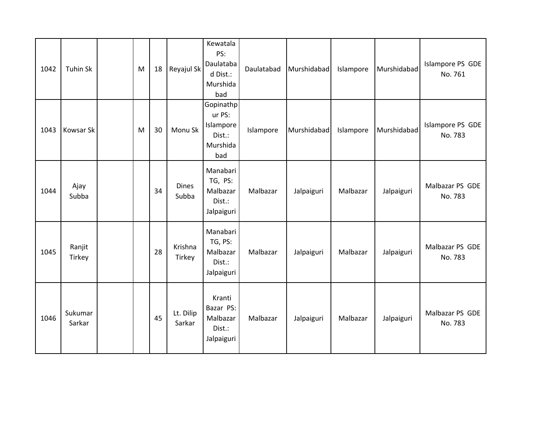| 1042 | <b>Tuhin Sk</b>   | M | 18 | Reyajul Sk            | Kewatala<br>PS:<br>Daulataba<br>d Dist.:<br>Murshida<br>bad   | Daulatabad | Murshidabad | Islampore | Murshidabad | Islampore PS GDE<br>No. 761 |
|------|-------------------|---|----|-----------------------|---------------------------------------------------------------|------------|-------------|-----------|-------------|-----------------------------|
| 1043 | Kowsar Sk         | M | 30 | Monu Sk               | Gopinathp<br>ur PS:<br>Islampore<br>Dist.:<br>Murshida<br>bad | Islampore  | Murshidabad | Islampore | Murshidabad | Islampore PS GDE<br>No. 783 |
| 1044 | Ajay<br>Subba     |   | 34 | <b>Dines</b><br>Subba | Manabari<br>TG, PS:<br>Malbazar<br>Dist.:<br>Jalpaiguri       | Malbazar   | Jalpaiguri  | Malbazar  | Jalpaiguri  | Malbazar PS GDE<br>No. 783  |
| 1045 | Ranjit<br>Tirkey  |   | 28 | Krishna<br>Tirkey     | Manabari<br>TG, PS:<br>Malbazar<br>Dist.:<br>Jalpaiguri       | Malbazar   | Jalpaiguri  | Malbazar  | Jalpaiguri  | Malbazar PS GDE<br>No. 783  |
| 1046 | Sukumar<br>Sarkar |   | 45 | Lt. Dilip<br>Sarkar   | Kranti<br>Bazar PS:<br>Malbazar<br>Dist.:<br>Jalpaiguri       | Malbazar   | Jalpaiguri  | Malbazar  | Jalpaiguri  | Malbazar PS GDE<br>No. 783  |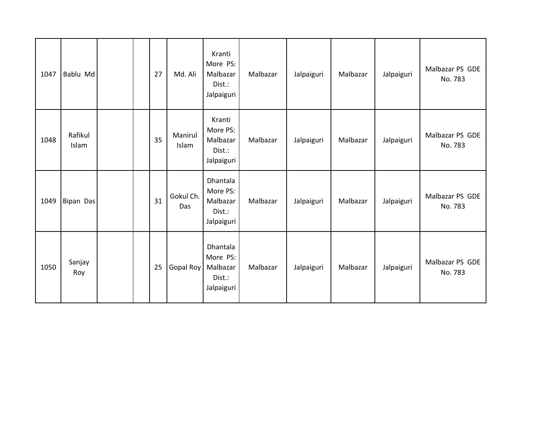| 1047 | Bablu Md         |  | 27 | Md. Ali          | Kranti<br>More PS:<br>Malbazar<br>Dist.:<br>Jalpaiguri   | Malbazar | Jalpaiguri | Malbazar | Jalpaiguri | Malbazar PS GDE<br>No. 783 |
|------|------------------|--|----|------------------|----------------------------------------------------------|----------|------------|----------|------------|----------------------------|
| 1048 | Rafikul<br>Islam |  | 35 | Manirul<br>Islam | Kranti<br>More PS:<br>Malbazar<br>Dist.:<br>Jalpaiguri   | Malbazar | Jalpaiguri | Malbazar | Jalpaiguri | Malbazar PS GDE<br>No. 783 |
| 1049 | Bipan Das        |  | 31 | Gokul Ch.<br>Das | Dhantala<br>More PS:<br>Malbazar<br>Dist.:<br>Jalpaiguri | Malbazar | Jalpaiguri | Malbazar | Jalpaiguri | Malbazar PS GDE<br>No. 783 |
| 1050 | Sanjay<br>Roy    |  | 25 | Gopal Roy        | Dhantala<br>More PS:<br>Malbazar<br>Dist.:<br>Jalpaiguri | Malbazar | Jalpaiguri | Malbazar | Jalpaiguri | Malbazar PS GDE<br>No. 783 |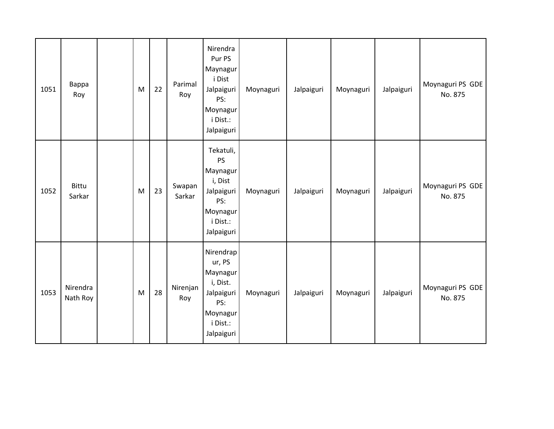| 1051 | Bappa<br>Roy         | M | 22 | Parimal<br>Roy   | Nirendra<br>Pur PS<br>Maynagur<br>i Dist<br>Jalpaiguri<br>PS:<br>Moynagur<br>i Dist.:<br>Jalpaiguri      | Moynaguri | Jalpaiguri | Moynaguri | Jalpaiguri | Moynaguri PS GDE<br>No. 875 |
|------|----------------------|---|----|------------------|----------------------------------------------------------------------------------------------------------|-----------|------------|-----------|------------|-----------------------------|
| 1052 | Bittu<br>Sarkar      | M | 23 | Swapan<br>Sarkar | Tekatuli,<br><b>PS</b><br>Maynagur<br>i, Dist<br>Jalpaiguri<br>PS:<br>Moynagur<br>i Dist.:<br>Jalpaiguri | Moynaguri | Jalpaiguri | Moynaguri | Jalpaiguri | Moynaguri PS GDE<br>No. 875 |
| 1053 | Nirendra<br>Nath Roy | M | 28 | Nirenjan<br>Roy  | Nirendrap<br>ur, PS<br>Maynagur<br>i, Dist.<br>Jalpaiguri<br>PS:<br>Moynagur<br>i Dist.:<br>Jalpaiguri   | Moynaguri | Jalpaiguri | Moynaguri | Jalpaiguri | Moynaguri PS GDE<br>No. 875 |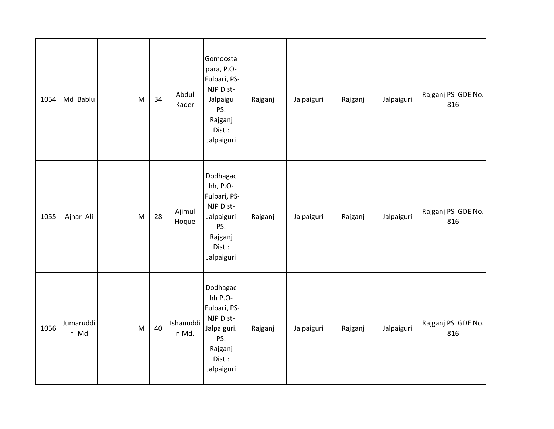| 1054 | Md Bablu          | M | 34 | Abdul<br>Kader     | Gomoosta<br>para, P.O-<br>Fulbari, PS-<br>NJP Dist-<br>Jalpaigu<br>PS:<br>Rajganj<br>Dist.:<br>Jalpaiguri | Rajganj | Jalpaiguri | Rajganj | Jalpaiguri | Rajganj PS GDE No.<br>816 |
|------|-------------------|---|----|--------------------|-----------------------------------------------------------------------------------------------------------|---------|------------|---------|------------|---------------------------|
| 1055 | Ajhar Ali         | M | 28 | Ajimul<br>Hoque    | Dodhagac<br>hh, P.O-<br>Fulbari, PS-<br>NJP Dist-<br>Jalpaiguri<br>PS:<br>Rajganj<br>Dist.:<br>Jalpaiguri | Rajganj | Jalpaiguri | Rajganj | Jalpaiguri | Rajganj PS GDE No.<br>816 |
| 1056 | Jumaruddi<br>n Md | M | 40 | Ishanuddi<br>n Md. | Dodhagac<br>hh P.O-<br>Fulbari, PS-<br>NJP Dist-<br>Jalpaiguri.<br>PS:<br>Rajganj<br>Dist.:<br>Jalpaiguri | Rajganj | Jalpaiguri | Rajganj | Jalpaiguri | Rajganj PS GDE No.<br>816 |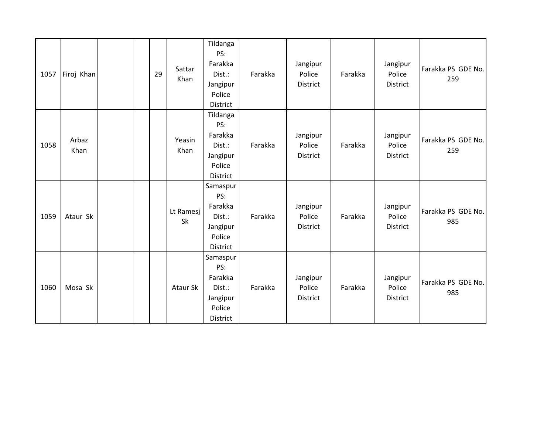| 1057 | Firoj Khan    |  | 29 | Sattar<br>Khan  | Tildanga<br>PS:<br>Farakka<br>Dist.:<br>Jangipur<br>Police<br>District | Farakka | Jangipur<br>Police<br>District | Farakka | Jangipur<br>Police<br>District | Farakka PS GDE No.<br>259 |
|------|---------------|--|----|-----------------|------------------------------------------------------------------------|---------|--------------------------------|---------|--------------------------------|---------------------------|
| 1058 | Arbaz<br>Khan |  |    | Yeasin<br>Khan  | Tildanga<br>PS:<br>Farakka<br>Dist.:<br>Jangipur<br>Police<br>District | Farakka | Jangipur<br>Police<br>District | Farakka | Jangipur<br>Police<br>District | Farakka PS GDE No.<br>259 |
| 1059 | Ataur Sk      |  |    | Lt Ramesj<br>Sk | Samaspur<br>PS:<br>Farakka<br>Dist.:<br>Jangipur<br>Police<br>District | Farakka | Jangipur<br>Police<br>District | Farakka | Jangipur<br>Police<br>District | Farakka PS GDE No.<br>985 |
| 1060 | Mosa Sk       |  |    | Ataur Sk        | Samaspur<br>PS:<br>Farakka<br>Dist.:<br>Jangipur<br>Police<br>District | Farakka | Jangipur<br>Police<br>District | Farakka | Jangipur<br>Police<br>District | Farakka PS GDE No.<br>985 |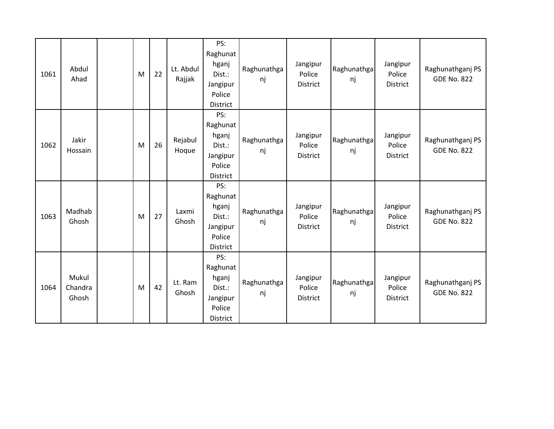| 1061 | Abdul<br>Ahad             | M | 22 | Lt. Abdul<br>Rajjak | PS:<br>Raghunat<br>hganj<br>Dist.:<br>Jangipur<br>Police<br>District        | Raghunathga<br>nj | Jangipur<br>Police<br><b>District</b> | Raghunathga<br>nj | Jangipur<br>Police<br>District        | Raghunathganj PS<br><b>GDE No. 822</b> |
|------|---------------------------|---|----|---------------------|-----------------------------------------------------------------------------|-------------------|---------------------------------------|-------------------|---------------------------------------|----------------------------------------|
| 1062 | Jakir<br>Hossain          | M | 26 | Rejabul<br>Hoque    | PS:<br>Raghunat<br>hganj<br>Dist.:<br>Jangipur<br>Police<br><b>District</b> | Raghunathga<br>nj | Jangipur<br>Police<br><b>District</b> | Raghunathga<br>nj | Jangipur<br>Police<br>District        | Raghunathganj PS<br><b>GDE No. 822</b> |
| 1063 | Madhab<br>Ghosh           | M | 27 | Laxmi<br>Ghosh      | PS:<br>Raghunat<br>hganj<br>Dist.:<br>Jangipur<br>Police<br><b>District</b> | Raghunathga<br>nj | Jangipur<br>Police<br><b>District</b> | Raghunathga<br>nj | Jangipur<br>Police<br>District        | Raghunathganj PS<br><b>GDE No. 822</b> |
| 1064 | Mukul<br>Chandra<br>Ghosh | M | 42 | Lt. Ram<br>Ghosh    | PS:<br>Raghunat<br>hganj<br>Dist.:<br>Jangipur<br>Police<br><b>District</b> | Raghunathga<br>nj | Jangipur<br>Police<br><b>District</b> | Raghunathga<br>nj | Jangipur<br>Police<br><b>District</b> | Raghunathganj PS<br><b>GDE No. 822</b> |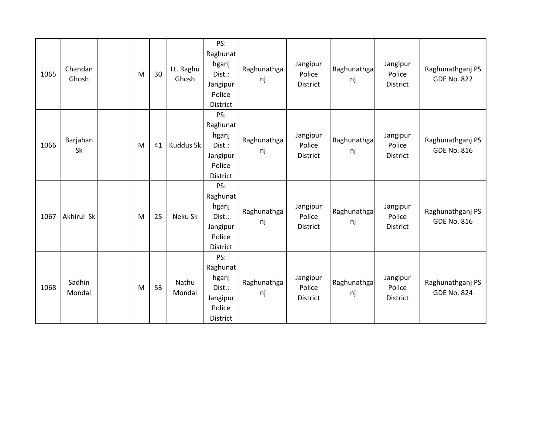| 1065 | Chandan<br>Ghosh | M | 30 | Lt. Raghu<br>Ghosh | PS:<br>Raghunat<br>hganj<br>Dist.:<br>Jangipur<br>Police<br>District        | Raghunathga<br>nj | Jangipur<br>Police<br><b>District</b> | Raghunathga<br>nj | Jangipur<br>Police<br><b>District</b> | Raghunathganj PS<br><b>GDE No. 822</b> |
|------|------------------|---|----|--------------------|-----------------------------------------------------------------------------|-------------------|---------------------------------------|-------------------|---------------------------------------|----------------------------------------|
| 1066 | Barjahan<br>Sk   | M | 41 | <b>Kuddus Sk</b>   | PS:<br>Raghunat<br>hganj<br>Dist.:<br>Jangipur<br>Police<br><b>District</b> | Raghunathga<br>nj | Jangipur<br>Police<br>District        | Raghunathga<br>nj | Jangipur<br>Police<br><b>District</b> | Raghunathganj PS<br><b>GDE No. 816</b> |
| 1067 | Akhirul Sk       | M | 25 | Neku Sk            | PS:<br>Raghunat<br>hganj<br>Dist.:<br>Jangipur<br>Police<br><b>District</b> | Raghunathga<br>nj | Jangipur<br>Police<br><b>District</b> | Raghunathga<br>nj | Jangipur<br>Police<br><b>District</b> | Raghunathganj PS<br><b>GDE No. 816</b> |
| 1068 | Sadhin<br>Mondal | M | 53 | Nathu<br>Mondal    | PS:<br>Raghunat<br>hganj<br>Dist.:<br>Jangipur<br>Police<br><b>District</b> | Raghunathga<br>nj | Jangipur<br>Police<br><b>District</b> | Raghunathga<br>nj | Jangipur<br>Police<br><b>District</b> | Raghunathganj PS<br><b>GDE No. 824</b> |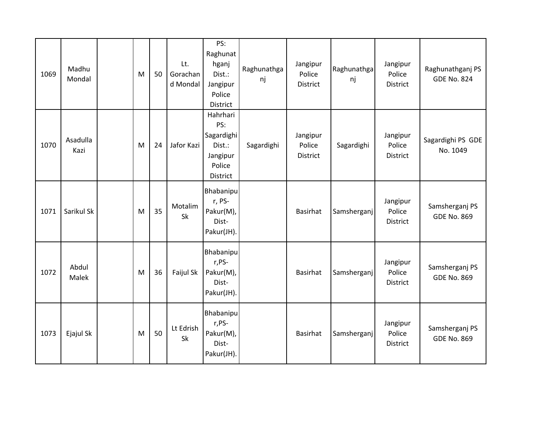| 1069 | Madhu<br>Mondal  | M | 50 | Lt.<br>Gorachan<br>d Mondal | PS:<br>Raghunat<br>hganj<br>Dist.:<br>Jangipur<br>Police<br>District      | Raghunathga<br>nj | Jangipur<br>Police<br>District | Raghunathga<br>nj | Jangipur<br>Police<br><b>District</b> | Raghunathganj PS<br><b>GDE No. 824</b> |
|------|------------------|---|----|-----------------------------|---------------------------------------------------------------------------|-------------------|--------------------------------|-------------------|---------------------------------------|----------------------------------------|
| 1070 | Asadulla<br>Kazi | M | 24 | Jafor Kazi                  | Hahrhari<br>PS:<br>Sagardighi<br>Dist.:<br>Jangipur<br>Police<br>District | Sagardighi        | Jangipur<br>Police<br>District | Sagardighi        | Jangipur<br>Police<br><b>District</b> | Sagardighi PS GDE<br>No. 1049          |
| 1071 | Sarikul Sk       | M | 35 | Motalim<br>Sk               | <b>Bhabanipu</b><br>r, PS-<br>Pakur(M),<br>Dist-<br>Pakur(JH).            |                   | <b>Basirhat</b>                | Samsherganj       | Jangipur<br>Police<br>District        | Samsherganj PS<br><b>GDE No. 869</b>   |
| 1072 | Abdul<br>Malek   | M | 36 | Faijul Sk                   | Bhabanipu<br>r,PS-<br>Pakur(M),<br>Dist-<br>Pakur(JH).                    |                   | <b>Basirhat</b>                | Samsherganj       | Jangipur<br>Police<br>District        | Samsherganj PS<br><b>GDE No. 869</b>   |
| 1073 | Ejajul Sk        | M | 50 | Lt Edrish<br>Sk             | Bhabanipu<br>r,PS-<br>Pakur(M),<br>Dist-<br>Pakur(JH).                    |                   | <b>Basirhat</b>                | Samsherganj       | Jangipur<br>Police<br>District        | Samsherganj PS<br><b>GDE No. 869</b>   |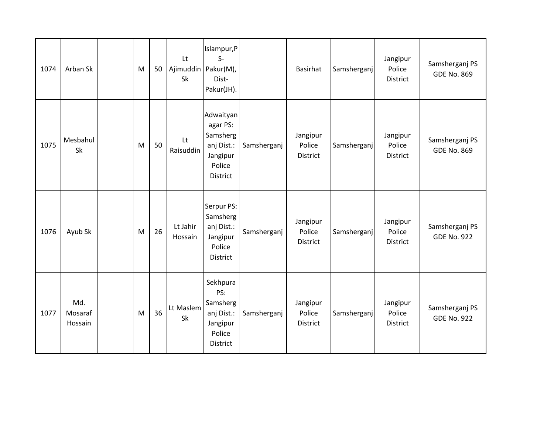| 1074 | Arban Sk                  | M | 50 | Lt<br>Ajimuddin   Pakur(M),<br>Sk | Islampur,P<br>$S-$<br>Dist-<br>Pakur(JH).                                                |             | Basirhat                              | Samsherganj | Jangipur<br>Police<br>District | Samsherganj PS<br><b>GDE No. 869</b> |
|------|---------------------------|---|----|-----------------------------------|------------------------------------------------------------------------------------------|-------------|---------------------------------------|-------------|--------------------------------|--------------------------------------|
| 1075 | Mesbahul<br>Sk            | M | 50 | Lt<br>Raisuddin                   | Adwaityan<br>agar PS:<br>Samsherg<br>anj Dist.:<br>Jangipur<br>Police<br><b>District</b> | Samsherganj | Jangipur<br>Police<br><b>District</b> | Samsherganj | Jangipur<br>Police<br>District | Samsherganj PS<br><b>GDE No. 869</b> |
| 1076 | Ayub Sk                   | M | 26 | Lt Jahir<br>Hossain               | Serpur PS:<br>Samsherg<br>anj Dist.:<br>Jangipur<br>Police<br>District                   | Samsherganj | Jangipur<br>Police<br>District        | Samsherganj | Jangipur<br>Police<br>District | Samsherganj PS<br><b>GDE No. 922</b> |
| 1077 | Md.<br>Mosaraf<br>Hossain | M | 36 | Lt Maslem<br>Sk                   | Sekhpura<br>PS:<br>Samsherg<br>anj Dist.:<br>Jangipur<br>Police<br>District              | Samsherganj | Jangipur<br>Police<br>District        | Samsherganj | Jangipur<br>Police<br>District | Samsherganj PS<br><b>GDE No. 922</b> |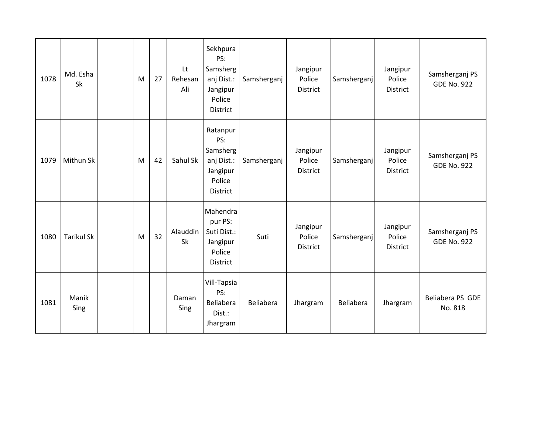| 1078 | Md. Esha<br>Sk    | M | 27 | Lt<br>Rehesan<br>Ali  | Sekhpura<br>PS:<br>Samsherg<br>anj Dist.:<br>Jangipur<br>Police<br>District | Samsherganj | Jangipur<br>Police<br><b>District</b> | Samsherganj | Jangipur<br>Police<br><b>District</b> | Samsherganj PS<br><b>GDE No. 922</b> |
|------|-------------------|---|----|-----------------------|-----------------------------------------------------------------------------|-------------|---------------------------------------|-------------|---------------------------------------|--------------------------------------|
| 1079 | Mithun Sk         | M | 42 | Sahul Sk              | Ratanpur<br>PS:<br>Samsherg<br>anj Dist.:<br>Jangipur<br>Police<br>District | Samsherganj | Jangipur<br>Police<br><b>District</b> | Samsherganj | Jangipur<br>Police<br>District        | Samsherganj PS<br><b>GDE No. 922</b> |
| 1080 | <b>Tarikul Sk</b> | M | 32 | Alauddin<br><b>Sk</b> | Mahendra<br>pur PS:<br>Suti Dist.:<br>Jangipur<br>Police<br>District        | Suti        | Jangipur<br>Police<br><b>District</b> | Samsherganj | Jangipur<br>Police<br><b>District</b> | Samsherganj PS<br><b>GDE No. 922</b> |
| 1081 | Manik<br>Sing     |   |    | Daman<br>Sing         | Vill-Tapsia<br>PS:<br>Beliabera<br>Dist.:<br>Jhargram                       | Beliabera   | Jhargram                              | Beliabera   | Jhargram                              | Beliabera PS GDE<br>No. 818          |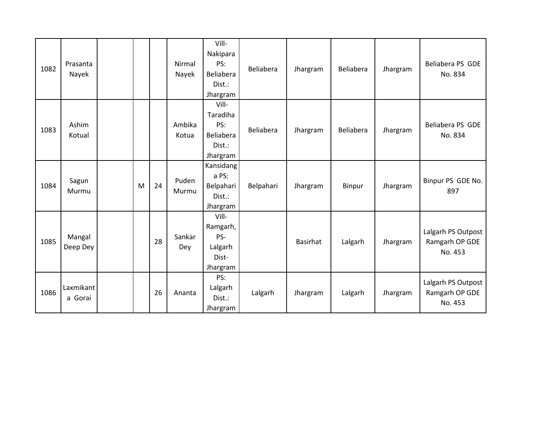| 1082 | Prasanta             |   |    | Nirmal          | Vill-<br>Nakipara<br>PS:                                    | Beliabera | Jhargram        | Beliabera | Jhargram | Beliabera PS GDE                                |
|------|----------------------|---|----|-----------------|-------------------------------------------------------------|-----------|-----------------|-----------|----------|-------------------------------------------------|
|      | Nayek                |   |    | Nayek           | Beliabera<br>Dist.:<br>Jhargram                             |           |                 |           |          | No. 834                                         |
| 1083 | Ashim<br>Kotual      |   |    | Ambika<br>Kotua | Vill-<br>Taradiha<br>PS:<br>Beliabera<br>Dist.:<br>Jhargram | Beliabera | Jhargram        | Beliabera | Jhargram | Beliabera PS GDE<br>No. 834                     |
| 1084 | Sagun<br>Murmu       | M | 24 | Puden<br>Murmu  | Kansidang<br>a PS:<br>Belpahari<br>Dist.:<br>Jhargram       | Belpahari | Jhargram        | Binpur    | Jhargram | Binpur PS GDE No.<br>897                        |
| 1085 | Mangal<br>Deep Dey   |   | 28 | Sankar<br>Dey   | Vill-<br>Ramgarh,<br>PS-<br>Lalgarh<br>Dist-<br>Jhargram    |           | <b>Basirhat</b> | Lalgarh   | Jhargram | Lalgarh PS Outpost<br>Ramgarh OP GDE<br>No. 453 |
| 1086 | Laxmikant<br>a Gorai |   | 26 | Ananta          | PS:<br>Lalgarh<br>Dist.:<br>Jhargram                        | Lalgarh   | Jhargram        | Lalgarh   | Jhargram | Lalgarh PS Outpost<br>Ramgarh OP GDE<br>No. 453 |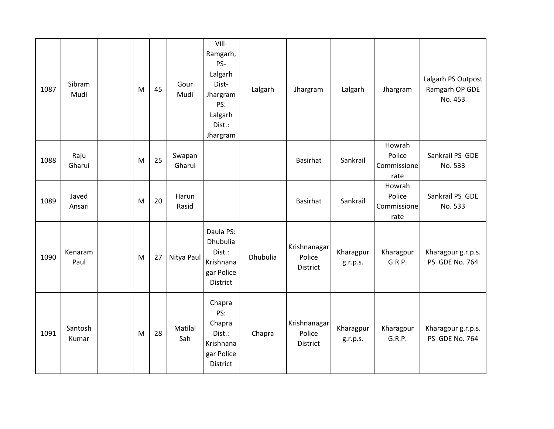| 1087 | Sibram<br>Mudi   | M | 45 | Gour<br>Mudi     | Vill-<br>Ramgarh,<br>PS-<br>Lalgarh<br>Dist-<br>Jhargram<br>PS:<br>Lalgarh<br>Dist.:<br>Jhargram | Lalgarh         | Jhargram                                  | Lalgarh               | Jhargram                                | Lalgarh PS Outpost<br>Ramgarh OP GDE<br>No. 453 |
|------|------------------|---|----|------------------|--------------------------------------------------------------------------------------------------|-----------------|-------------------------------------------|-----------------------|-----------------------------------------|-------------------------------------------------|
| 1088 | Raju<br>Gharui   | M | 25 | Swapan<br>Gharui |                                                                                                  |                 | Basirhat                                  | Sankrail              | Howrah<br>Police<br>Commissione<br>rate | Sankrail PS GDE<br>No. 533                      |
| 1089 | Javed<br>Ansari  | M | 20 | Harun<br>Rasid   |                                                                                                  |                 | <b>Basirhat</b>                           | Sankrail              | Howrah<br>Police<br>Commissione<br>rate | Sankrail PS GDE<br>No. 533                      |
| 1090 | Kenaram<br>Paul  | M | 27 | Nitya Paul       | Daula PS:<br>Dhubulia<br>Dist.:<br>Krishnana<br>gar Police<br>District                           | <b>Dhubulia</b> | Krishnanagar<br>Police<br><b>District</b> | Kharagpur<br>g.r.p.s. | Kharagpur<br>G.R.P.                     | Kharagpur g.r.p.s.<br>PS GDE No. 764            |
| 1091 | Santosh<br>Kumar | M | 28 | Matilal<br>Sah   | Chapra<br>PS:<br>Chapra<br>Dist.:<br>Krishnana<br>gar Police<br>District                         | Chapra          | Krishnanagar<br>Police<br>District        | Kharagpur<br>g.r.p.s. | Kharagpur<br>G.R.P.                     | Kharagpur g.r.p.s.<br>PS GDE No. 764            |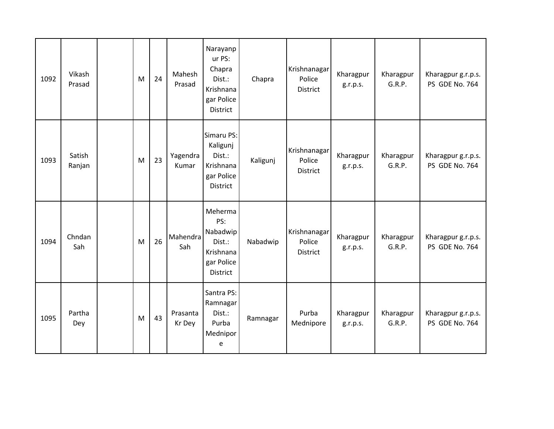| 1092 | Vikash<br>Prasad | M | 24 | Mahesh<br>Prasad   | Narayanp<br>ur PS:<br>Chapra<br>Dist.:<br>Krishnana<br>gar Police<br>District | Chapra   | Krishnanagar<br>Police<br><b>District</b> | Kharagpur<br>g.r.p.s. | Kharagpur<br>G.R.P. | Kharagpur g.r.p.s.<br>PS GDE No. 764 |
|------|------------------|---|----|--------------------|-------------------------------------------------------------------------------|----------|-------------------------------------------|-----------------------|---------------------|--------------------------------------|
| 1093 | Satish<br>Ranjan | M | 23 | Yagendra<br>Kumar  | Simaru PS:<br>Kaligunj<br>Dist.:<br>Krishnana<br>gar Police<br>District       | Kaligunj | Krishnanagar<br>Police<br>District        | Kharagpur<br>g.r.p.s. | Kharagpur<br>G.R.P. | Kharagpur g.r.p.s.<br>PS GDE No. 764 |
| 1094 | Chndan<br>Sah    | M | 26 | Mahendra<br>Sah    | Meherma<br>PS:<br>Nabadwip<br>Dist.:<br>Krishnana<br>gar Police<br>District   | Nabadwip | Krishnanagar<br>Police<br><b>District</b> | Kharagpur<br>g.r.p.s. | Kharagpur<br>G.R.P. | Kharagpur g.r.p.s.<br>PS GDE No. 764 |
| 1095 | Partha<br>Dey    | M | 43 | Prasanta<br>Kr Dey | Santra PS:<br>Ramnagar<br>Dist.:<br>Purba<br>Mednipor<br>e                    | Ramnagar | Purba<br>Mednipore                        | Kharagpur<br>g.r.p.s. | Kharagpur<br>G.R.P. | Kharagpur g.r.p.s.<br>PS GDE No. 764 |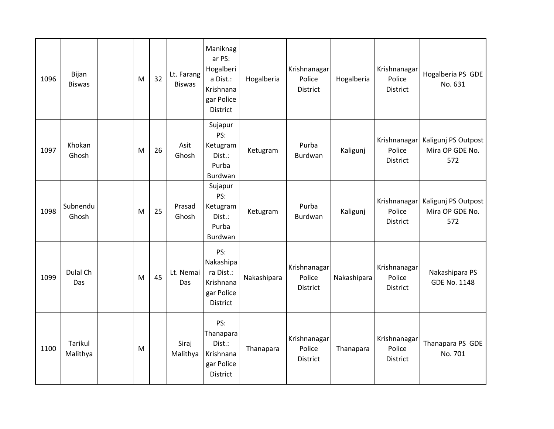| 1096 | Bijan<br><b>Biswas</b> | M | 32 | Lt. Farang<br><b>Biswas</b> | Maniknag<br>ar PS:<br>Hogalberi<br>a Dist.:<br>Krishnana<br>gar Police<br>District | Hogalberia  | Krishnanagar<br>Police<br><b>District</b> | Hogalberia  | Krishnanagar<br>Police<br><b>District</b> | Hogalberia PS GDE<br>No. 631                                 |
|------|------------------------|---|----|-----------------------------|------------------------------------------------------------------------------------|-------------|-------------------------------------------|-------------|-------------------------------------------|--------------------------------------------------------------|
| 1097 | Khokan<br>Ghosh        | M | 26 | Asit<br>Ghosh               | Sujapur<br>PS:<br>Ketugram<br>Dist.:<br>Purba<br>Burdwan                           | Ketugram    | Purba<br>Burdwan                          | Kaligunj    | Police<br>District                        | Krishnanagar   Kaligunj PS Outpost<br>Mira OP GDE No.<br>572 |
| 1098 | Subnendu<br>Ghosh      | M | 25 | Prasad<br>Ghosh             | Sujapur<br>PS:<br>Ketugram<br>Dist.:<br>Purba<br>Burdwan                           | Ketugram    | Purba<br>Burdwan                          | Kaligunj    | Police<br><b>District</b>                 | Krishnanagar   Kaligunj PS Outpost<br>Mira OP GDE No.<br>572 |
| 1099 | Dulal Ch<br>Das        | M | 45 | Lt. Nemai<br>Das            | PS:<br>Nakashipa<br>ra Dist.:<br>Krishnana<br>gar Police<br>District               | Nakashipara | Krishnanagar<br>Police<br>District        | Nakashipara | Krishnanagar<br>Police<br>District        | Nakashipara PS<br><b>GDE No. 1148</b>                        |
| 1100 | Tarikul<br>Malithya    | M |    | Siraj<br>Malithya           | PS:<br>Thanapara<br>Dist.:<br>Krishnana<br>gar Police<br><b>District</b>           | Thanapara   | Krishnanagar<br>Police<br>District        | Thanapara   | Krishnanagar<br>Police<br>District        | Thanapara PS GDE<br>No. 701                                  |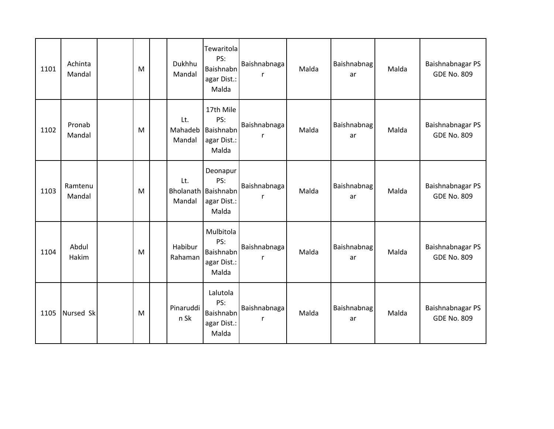| 1101 | Achinta<br>Mandal | M | Dukhhu<br>Mandal         | Tewaritola<br>PS:<br>Baishnabn<br>agar Dist.:<br>Malda         | Baishnabnaga      | Malda | Baishnabnag<br>ar | Malda | Baishnabnagar PS<br><b>GDE No. 809</b> |
|------|-------------------|---|--------------------------|----------------------------------------------------------------|-------------------|-------|-------------------|-------|----------------------------------------|
| 1102 | Pronab<br>Mandal  | M | Lt.<br>Mahadeb<br>Mandal | 17th Mile<br>PS:<br>Baishnabn<br>agar Dist.:<br>Malda          | Baishnabnaga<br>r | Malda | Baishnabnag<br>ar | Malda | Baishnabnagar PS<br><b>GDE No. 809</b> |
| 1103 | Ramtenu<br>Mandal | M | Lt.<br>Mandal            | Deonapur<br>PS:<br>Bholanath Baishnabn<br>agar Dist.:<br>Malda | Baishnabnaga      | Malda | Baishnabnag<br>ar | Malda | Baishnabnagar PS<br><b>GDE No. 809</b> |
| 1104 | Abdul<br>Hakim    | M | Habibur<br>Rahaman       | Mulbitola<br>PS:<br>Baishnabn<br>agar Dist.:<br>Malda          | Baishnabnaga<br>r | Malda | Baishnabnag<br>ar | Malda | Baishnabnagar PS<br><b>GDE No. 809</b> |
| 1105 | Nursed Sk         | M | Pinaruddi<br>n Sk        | Lalutola<br>PS:<br>Baishnabn<br>agar Dist.:<br>Malda           | Baishnabnaga<br>r | Malda | Baishnabnag<br>ar | Malda | Baishnabnagar PS<br><b>GDE No. 809</b> |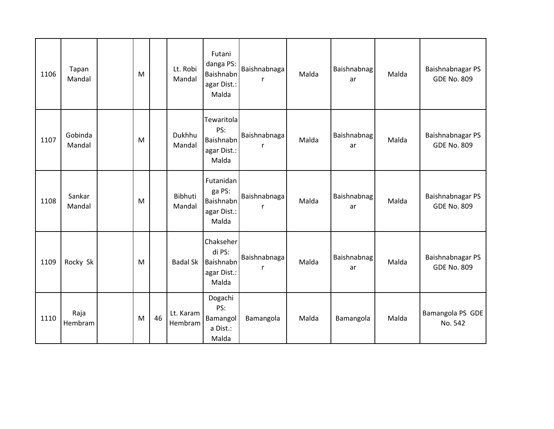| 1106 | Tapan<br>Mandal   | M |    | Lt. Robi<br>Mandal       | Futani<br>danga PS:<br><b>Baishnabn</b><br>agar Dist.:<br>Malda | Baishnabnaga<br>r | Malda | Baishnabnag<br>ar | Malda | Baishnabnagar PS<br><b>GDE No. 809</b> |
|------|-------------------|---|----|--------------------------|-----------------------------------------------------------------|-------------------|-------|-------------------|-------|----------------------------------------|
| 1107 | Gobinda<br>Mandal | M |    | Dukhhu<br>Mandal         | Tewaritola<br>PS:<br><b>Baishnabn</b><br>agar Dist.:<br>Malda   | Baishnabnaga      | Malda | Baishnabnag<br>ar | Malda | Baishnabnagar PS<br><b>GDE No. 809</b> |
| 1108 | Sankar<br>Mandal  | M |    | <b>Bibhuti</b><br>Mandal | Futanidan<br>ga PS:<br><b>Baishnabn</b><br>agar Dist.:<br>Malda | Baishnabnaga      | Malda | Baishnabnag<br>ar | Malda | Baishnabnagar PS<br><b>GDE No. 809</b> |
| 1109 | Rocky Sk          | M |    | <b>Badal Sk</b>          | Chakseher<br>di PS:<br>Baishnabn<br>agar Dist.:<br>Malda        | Baishnabnaga<br>r | Malda | Baishnabnag<br>ar | Malda | Baishnabnagar PS<br><b>GDE No. 809</b> |
| 1110 | Raja<br>Hembram   | M | 46 | Lt. Karam<br>Hembram     | Dogachi<br>PS:<br>Bamangol<br>a Dist.:<br>Malda                 | Bamangola         | Malda | Bamangola         | Malda | Bamangola PS GDE<br>No. 542            |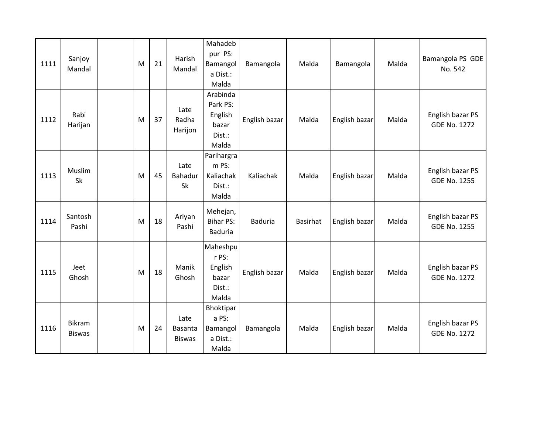| 1111 | Sanjoy<br>Mandal               | M | 21 | Harish<br>Mandal                 | Mahadeb<br>pur PS:<br>Bamangol<br>a Dist.:<br>Malda         | Bamangola      | Malda           | Bamangola     | Malda | Bamangola PS GDE<br>No. 542             |
|------|--------------------------------|---|----|----------------------------------|-------------------------------------------------------------|----------------|-----------------|---------------|-------|-----------------------------------------|
| 1112 | Rabi<br>Harijan                | M | 37 | Late<br>Radha<br>Harijon         | Arabinda<br>Park PS:<br>English<br>bazar<br>Dist.:<br>Malda | English bazar  | Malda           | English bazar | Malda | English bazar PS<br><b>GDE No. 1272</b> |
| 1113 | Muslim<br>Sk                   | M | 45 | Late<br>Bahadur<br>Sk            | Parihargra<br>m PS:<br>Kaliachak<br>Dist.:<br>Malda         | Kaliachak      | Malda           | English bazar | Malda | English bazar PS<br><b>GDE No. 1255</b> |
| 1114 | Santosh<br>Pashi               | M | 18 | Ariyan<br>Pashi                  | Mehejan,<br><b>Bihar PS:</b><br><b>Baduria</b>              | <b>Baduria</b> | <b>Basirhat</b> | English bazar | Malda | English bazar PS<br><b>GDE No. 1255</b> |
| 1115 | Jeet<br>Ghosh                  | M | 18 | Manik<br>Ghosh                   | Maheshpu<br>r PS:<br>English<br>bazar<br>Dist.:<br>Malda    | English bazar  | Malda           | English bazar | Malda | English bazar PS<br><b>GDE No. 1272</b> |
| 1116 | <b>Bikram</b><br><b>Biswas</b> | M | 24 | Late<br>Basanta<br><b>Biswas</b> | Bhoktipar<br>a PS:<br>Bamangol<br>a Dist.:<br>Malda         | Bamangola      | Malda           | English bazar | Malda | English bazar PS<br><b>GDE No. 1272</b> |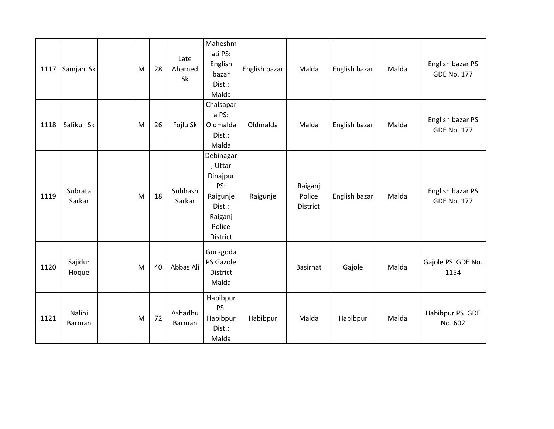| 1117 | Samjan Sk         | M | 28 | Late<br>Ahamed<br>Sk | Maheshm<br>ati PS:<br>English<br>bazar<br>Dist.:<br>Malda                                      | English bazar | Malda                                | English bazar | Malda | English bazar PS<br><b>GDE No. 177</b> |
|------|-------------------|---|----|----------------------|------------------------------------------------------------------------------------------------|---------------|--------------------------------------|---------------|-------|----------------------------------------|
| 1118 | Safikul Sk        | M | 26 | Fojlu Sk             | Chalsapar<br>a PS:<br>Oldmalda<br>Dist.:<br>Malda                                              | Oldmalda      | Malda                                | English bazar | Malda | English bazar PS<br><b>GDE No. 177</b> |
| 1119 | Subrata<br>Sarkar | M | 18 | Subhash<br>Sarkar    | Debinagar<br>, Uttar<br>Dinajpur<br>PS:<br>Raigunje<br>Dist.:<br>Raiganj<br>Police<br>District | Raigunje      | Raiganj<br>Police<br><b>District</b> | English bazar | Malda | English bazar PS<br><b>GDE No. 177</b> |
| 1120 | Sajidur<br>Hoque  | M | 40 | Abbas Ali            | Goragoda<br>PS Gazole<br>District<br>Malda                                                     |               | <b>Basirhat</b>                      | Gajole        | Malda | Gajole PS GDE No.<br>1154              |
| 1121 | Nalini<br>Barman  | M | 72 | Ashadhu<br>Barman    | Habibpur<br>PS:<br>Habibpur<br>Dist.:<br>Malda                                                 | Habibpur      | Malda                                | Habibpur      | Malda | Habibpur PS GDE<br>No. 602             |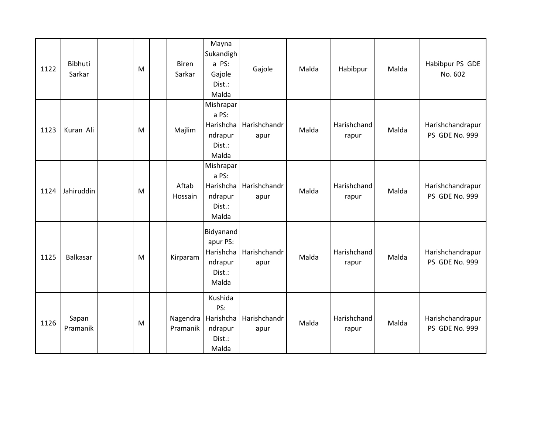| 1122 | Bibhuti<br>Sarkar | M | <b>Biren</b><br>Sarkar | Mayna<br>Sukandigh<br>a PS:<br>Gajole<br>Dist.:<br>Malda         | Gajole               | Malda | Habibpur             | Malda | Habibpur PS GDE<br>No. 602         |
|------|-------------------|---|------------------------|------------------------------------------------------------------|----------------------|-------|----------------------|-------|------------------------------------|
| 1123 | Kuran Ali         | M | Majlim                 | Mishrapar<br>a PS:<br>Harishcha<br>ndrapur<br>Dist.:<br>Malda    | Harishchandr<br>apur | Malda | Harishchand<br>rapur | Malda | Harishchandrapur<br>PS GDE No. 999 |
| 1124 | Jahiruddin        | M | Aftab<br>Hossain       | Mishrapar<br>a PS:<br>Harishcha<br>ndrapur<br>Dist.:<br>Malda    | Harishchandr<br>apur | Malda | Harishchand<br>rapur | Malda | Harishchandrapur<br>PS GDE No. 999 |
| 1125 | Balkasar          | M | Kirparam               | Bidyanand<br>apur PS:<br>Harishcha<br>ndrapur<br>Dist.:<br>Malda | Harishchandr<br>apur | Malda | Harishchand<br>rapur | Malda | Harishchandrapur<br>PS GDE No. 999 |
| 1126 | Sapan<br>Pramanik | M | Nagendra<br>Pramanik   | Kushida<br>PS:<br>Harishcha<br>ndrapur<br>Dist.:<br>Malda        | Harishchandr<br>apur | Malda | Harishchand<br>rapur | Malda | Harishchandrapur<br>PS GDE No. 999 |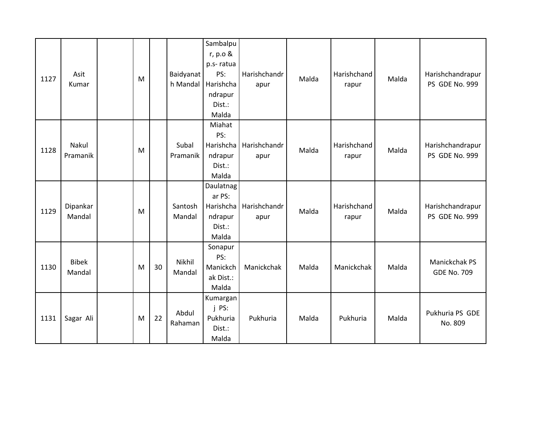| 1127 | Asit<br>Kumar          | M |    | Baidyanat<br>h Mandal | Sambalpu<br>r, p.o &<br>p.s-ratua<br>PS:<br>Harishcha<br>ndrapur<br>Dist.:<br>Malda | Harishchandr<br>apur | Malda | Harishchand<br>rapur | Malda | Harishchandrapur<br>PS GDE No. 999  |
|------|------------------------|---|----|-----------------------|-------------------------------------------------------------------------------------|----------------------|-------|----------------------|-------|-------------------------------------|
| 1128 | Nakul<br>Pramanik      | M |    | Subal<br>Pramanik     | Miahat<br>PS:<br>Harishcha<br>ndrapur<br>Dist.:<br>Malda                            | Harishchandr<br>apur | Malda | Harishchand<br>rapur | Malda | Harishchandrapur<br>PS GDE No. 999  |
| 1129 | Dipankar<br>Mandal     | M |    | Santosh<br>Mandal     | Daulatnag<br>ar PS:<br>Harishcha<br>ndrapur<br>Dist.:<br>Malda                      | Harishchandr<br>apur | Malda | Harishchand<br>rapur | Malda | Harishchandrapur<br>PS GDE No. 999  |
| 1130 | <b>Bibek</b><br>Mandal | M | 30 | Nikhil<br>Mandal      | Sonapur<br>PS:<br>Manickch<br>ak Dist.:<br>Malda                                    | Manickchak           | Malda | Manickchak           | Malda | Manickchak PS<br><b>GDE No. 709</b> |
| 1131 | Sagar Ali              | M | 22 | Abdul<br>Rahaman      | Kumargan<br>j PS:<br>Pukhuria<br>Dist.:<br>Malda                                    | Pukhuria             | Malda | Pukhuria             | Malda | Pukhuria PS GDE<br>No. 809          |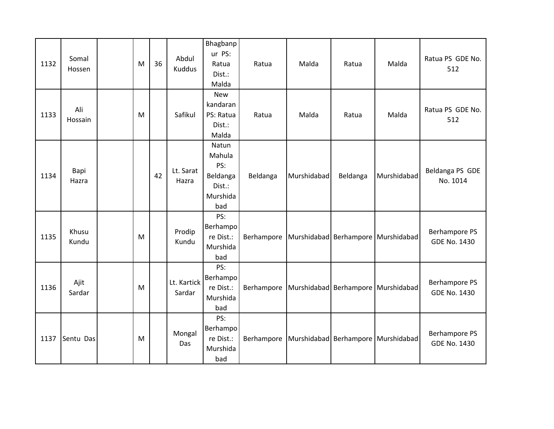| 1132 | Somal<br>Hossen | M | 36 | Abdul<br><b>Kuddus</b> | Bhagbanp<br>ur PS:<br>Ratua<br>Dist.:<br>Malda                  | Ratua    | Malda       | Ratua    | Malda                                         | Ratua PS GDE No.<br>512                     |
|------|-----------------|---|----|------------------------|-----------------------------------------------------------------|----------|-------------|----------|-----------------------------------------------|---------------------------------------------|
| 1133 | Ali<br>Hossain  | M |    | Safikul                | <b>New</b><br>kandaran<br>PS: Ratua<br>Dist.:<br>Malda          | Ratua    | Malda       | Ratua    | Malda                                         | Ratua PS GDE No.<br>512                     |
| 1134 | Bapi<br>Hazra   |   | 42 | Lt. Sarat<br>Hazra     | Natun<br>Mahula<br>PS:<br>Beldanga<br>Dist.:<br>Murshida<br>bad | Beldanga | Murshidabad | Beldanga | Murshidabad                                   | Beldanga PS GDE<br>No. 1014                 |
| 1135 | Khusu<br>Kundu  | M |    | Prodip<br>Kundu        | PS:<br>Berhampo<br>re Dist.:<br>Murshida<br>bad                 |          |             |          | Berhampore Murshidabad Berhampore Murshidabad | Berhampore PS<br><b>GDE No. 1430</b>        |
| 1136 | Ajit<br>Sardar  | M |    | Lt. Kartick<br>Sardar  | PS:<br>Berhampo<br>re Dist.:<br>Murshida<br>bad                 |          |             |          | Berhampore Murshidabad Berhampore Murshidabad | <b>Berhampore PS</b><br><b>GDE No. 1430</b> |
| 1137 | Sentu Das       | M |    | Mongal<br>Das          | PS:<br>Berhampo<br>re Dist.:<br>Murshida<br>bad                 |          |             |          | Berhampore Murshidabad Berhampore Murshidabad | Berhampore PS<br><b>GDE No. 1430</b>        |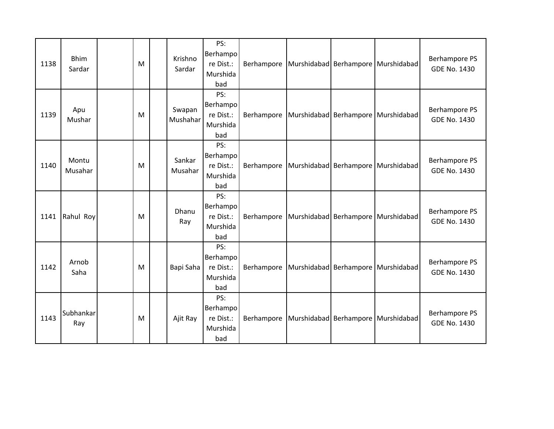| 1138 | <b>Bhim</b><br>Sardar | M | Krishno<br>Sardar  | PS:<br>Berhampo<br>re Dist.:<br>Murshida<br>bad |            |                                               | Berhampore Murshidabad Berhampore Murshidabad | Berhampore PS<br><b>GDE No. 1430</b> |
|------|-----------------------|---|--------------------|-------------------------------------------------|------------|-----------------------------------------------|-----------------------------------------------|--------------------------------------|
| 1139 | Apu<br>Mushar         | M | Swapan<br>Mushahar | PS:<br>Berhampo<br>re Dist.:<br>Murshida<br>bad |            |                                               | Berhampore Murshidabad Berhampore Murshidabad | Berhampore PS<br><b>GDE No. 1430</b> |
| 1140 | Montu<br>Musahar      | M | Sankar<br>Musahar  | PS:<br>Berhampo<br>re Dist.:<br>Murshida<br>bad |            |                                               | Berhampore Murshidabad Berhampore Murshidabad | Berhampore PS<br><b>GDE No. 1430</b> |
| 1141 | Rahul Roy             | M | Dhanu<br>Ray       | PS:<br>Berhampo<br>re Dist.:<br>Murshida<br>bad |            | Berhampore Murshidabad Berhampore Murshidabad |                                               | Berhampore PS<br><b>GDE No. 1430</b> |
| 1142 | Arnob<br>Saha         | M | Bapi Saha          | PS:<br>Berhampo<br>re Dist.:<br>Murshida<br>bad | Berhampore |                                               | Murshidabad Berhampore Murshidabad            | Berhampore PS<br><b>GDE No. 1430</b> |
| 1143 | Subhankar<br>Ray      | M | Ajit Ray           | PS:<br>Berhampo<br>re Dist.:<br>Murshida<br>bad |            | Berhampore Murshidabad Berhampore Murshidabad |                                               | Berhampore PS<br><b>GDE No. 1430</b> |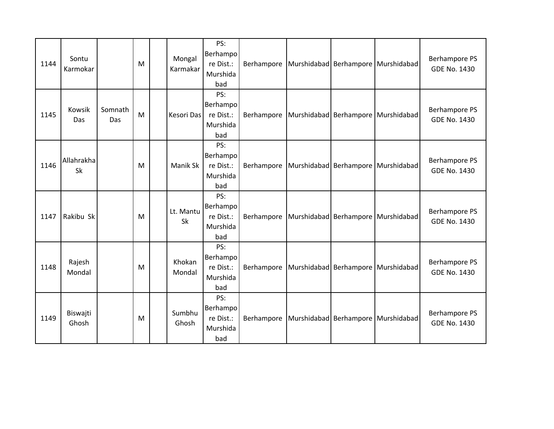| 1144 | Sontu<br>Karmokar |                | M | Mongal<br>Karmakar     | PS:<br>Berhampo<br>re Dist.:<br>Murshida<br>bad |            |                                               | Berhampore Murshidabad Berhampore Murshidabad | Berhampore PS<br><b>GDE No. 1430</b> |
|------|-------------------|----------------|---|------------------------|-------------------------------------------------|------------|-----------------------------------------------|-----------------------------------------------|--------------------------------------|
| 1145 | Kowsik<br>Das     | Somnath<br>Das | M | Kesori Das             | PS:<br>Berhampo<br>re Dist.:<br>Murshida<br>bad |            |                                               | Berhampore Murshidabad Berhampore Murshidabad | Berhampore PS<br><b>GDE No. 1430</b> |
| 1146 | Allahrakha<br>Sk  |                | M | Manik Sk               | PS:<br>Berhampo<br>re Dist.:<br>Murshida<br>bad |            |                                               | Berhampore Murshidabad Berhampore Murshidabad | Berhampore PS<br><b>GDE No. 1430</b> |
| 1147 | Rakibu Sk         |                | M | Lt. Mantu<br><b>Sk</b> | PS:<br>Berhampo<br>re Dist.:<br>Murshida<br>bad |            | Berhampore Murshidabad Berhampore Murshidabad |                                               | Berhampore PS<br><b>GDE No. 1430</b> |
| 1148 | Rajesh<br>Mondal  |                | M | Khokan<br>Mondal       | PS:<br>Berhampo<br>re Dist.:<br>Murshida<br>bad | Berhampore |                                               | Murshidabad Berhampore Murshidabad            | Berhampore PS<br><b>GDE No. 1430</b> |
| 1149 | Biswajti<br>Ghosh |                | M | Sumbhu<br>Ghosh        | PS:<br>Berhampo<br>re Dist.:<br>Murshida<br>bad |            | Berhampore Murshidabad Berhampore Murshidabad |                                               | Berhampore PS<br><b>GDE No. 1430</b> |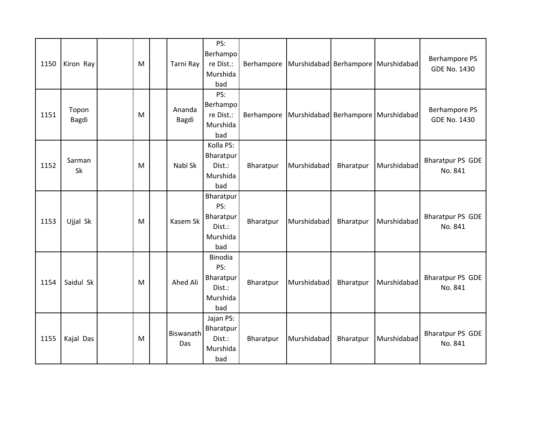| 1150 | Kiron Ray      | M | Tarni Ray        | PS:<br>Berhampo<br>re Dist.:<br>Murshida<br>bad                 |           |             |           | Berhampore Murshidabad Berhampore Murshidabad | Berhampore PS<br><b>GDE No. 1430</b>        |
|------|----------------|---|------------------|-----------------------------------------------------------------|-----------|-------------|-----------|-----------------------------------------------|---------------------------------------------|
| 1151 | Topon<br>Bagdi | M | Ananda<br>Bagdi  | PS:<br>Berhampo<br>re Dist.:<br>Murshida<br>bad                 |           |             |           | Berhampore Murshidabad Berhampore Murshidabad | <b>Berhampore PS</b><br><b>GDE No. 1430</b> |
| 1152 | Sarman<br>Sk   | M | Nabi Sk          | Kolla PS:<br>Bharatpur<br>Dist.:<br>Murshida<br>bad             | Bharatpur | Murshidabad | Bharatpur | Murshidabad                                   | <b>Bharatpur PS GDE</b><br>No. 841          |
| 1153 | Ujjal Sk       | M | Kasem Sk         | Bharatpur<br>PS:<br>Bharatpur<br>Dist.:<br>Murshida<br>bad      | Bharatpur | Murshidabad | Bharatpur | Murshidabad                                   | <b>Bharatpur PS GDE</b><br>No. 841          |
| 1154 | Saidul Sk      | M | Ahed Ali         | <b>Binodia</b><br>PS:<br>Bharatpur<br>Dist.:<br>Murshida<br>bad | Bharatpur | Murshidabad | Bharatpur | Murshidabad                                   | <b>Bharatpur PS GDE</b><br>No. 841          |
| 1155 | Kajal Das      | M | Biswanath<br>Das | Jajan PS:<br>Bharatpur<br>Dist.:<br>Murshida<br>bad             | Bharatpur | Murshidabad | Bharatpur | Murshidabad                                   | <b>Bharatpur PS GDE</b><br>No. 841          |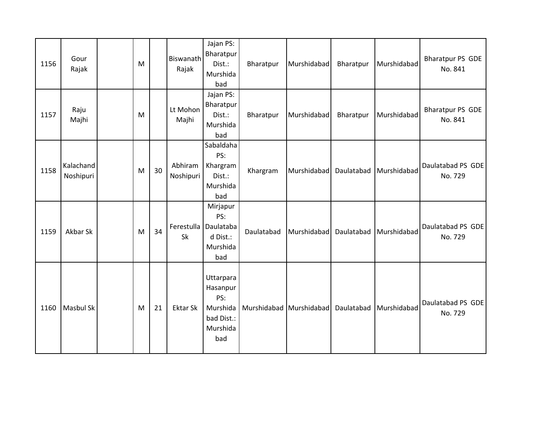| 1156 | Gour<br>Rajak          | M |    | <b>Biswanath</b><br>Rajak | Jajan PS:<br>Bharatpur<br>Dist.:<br>Murshida<br>bad                       | Bharatpur  | Murshidabad             | Bharatpur  | Murshidabad | Bharatpur PS GDE<br>No. 841  |
|------|------------------------|---|----|---------------------------|---------------------------------------------------------------------------|------------|-------------------------|------------|-------------|------------------------------|
| 1157 | Raju<br>Majhi          | M |    | Lt Mohon<br>Majhi         | Jajan PS:<br>Bharatpur<br>Dist.:<br>Murshida<br>bad                       | Bharatpur  | Murshidabad             | Bharatpur  | Murshidabad | Bharatpur PS GDE<br>No. 841  |
| 1158 | Kalachand<br>Noshipuri | M | 30 | Abhiram<br>Noshipuri      | Sabaldaha<br>PS:<br>Khargram<br>Dist.:<br>Murshida<br>bad                 | Khargram   | Murshidabad             | Daulatabad | Murshidabad | Daulatabad PS GDE<br>No. 729 |
| 1159 | Akbar Sk               | M | 34 | Sk                        | Mirjapur<br>PS:<br>Ferestulla   Daulataba<br>d Dist.:<br>Murshida<br>bad  | Daulatabad | Murshidabad             | Daulatabad | Murshidabad | Daulatabad PS GDE<br>No. 729 |
| 1160 | <b>Masbul Sk</b>       | M | 21 | <b>Ektar Sk</b>           | Uttarpara<br>Hasanpur<br>PS:<br>Murshida<br>bad Dist.:<br>Murshida<br>bad |            | Murshidabad Murshidabad | Daulatabad | Murshidabad | Daulatabad PS GDE<br>No. 729 |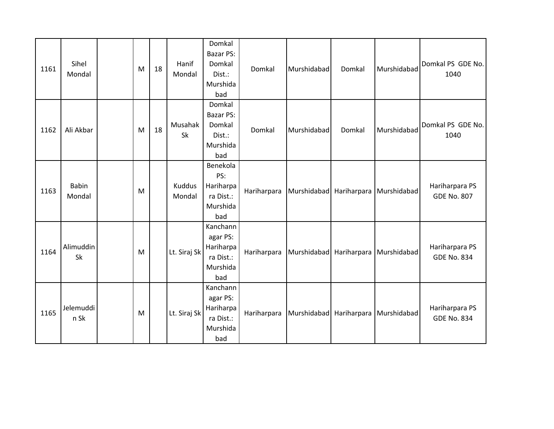| 1161 | Sihel<br>Mondal        | M | 18 | Hanif<br>Mondal  | Domkal<br><b>Bazar PS:</b><br>Domkal<br>Dist.:<br>Murshida<br>bad | Domkal      | Murshidabad             | Domkal      | Murshidabad | Domkal PS GDE No.<br>1040            |
|------|------------------------|---|----|------------------|-------------------------------------------------------------------|-------------|-------------------------|-------------|-------------|--------------------------------------|
| 1162 | Ali Akbar              | M | 18 | Musahak<br>Sk    | Domkal<br><b>Bazar PS:</b><br>Domkal<br>Dist.:<br>Murshida<br>bad | Domkal      | Murshidabad             | Domkal      | Murshidabad | Domkal PS GDE No.<br>1040            |
| 1163 | <b>Babin</b><br>Mondal | M |    | Kuddus<br>Mondal | Benekola<br>PS:<br>Hariharpa<br>ra Dist.:<br>Murshida<br>bad      | Hariharpara | Murshidabad             | Hariharpara | Murshidabad | Hariharpara PS<br><b>GDE No. 807</b> |
| 1164 | Alimuddin<br>Sk        | M |    | Lt. Siraj Sk     | Kanchann<br>agar PS:<br>Hariharpa<br>ra Dist.:<br>Murshida<br>bad | Hariharpara | Murshidabad Hariharpara |             | Murshidabad | Hariharpara PS<br><b>GDE No. 834</b> |
| 1165 | Jelemuddi<br>n Sk      | M |    | Lt. Siraj Sk     | Kanchann<br>agar PS:<br>Hariharpa<br>ra Dist.:<br>Murshida<br>bad | Hariharpara | Murshidabad             | Hariharpara | Murshidabad | Hariharpara PS<br><b>GDE No. 834</b> |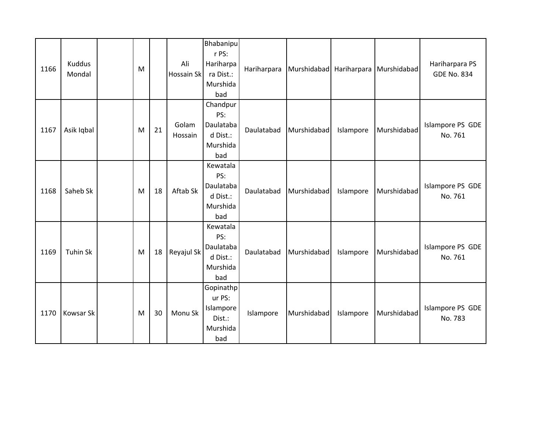| 1166 | <b>Kuddus</b><br>Mondal | M |    | Ali<br>Hossain Sk | <b>Bhabanipu</b><br>r PS:<br>Hariharpa<br>ra Dist.:<br>Murshida<br>bad | Hariharpara | Murshidabad Hariharpara |           | Murshidabad | Hariharpara PS<br><b>GDE No. 834</b> |
|------|-------------------------|---|----|-------------------|------------------------------------------------------------------------|-------------|-------------------------|-----------|-------------|--------------------------------------|
| 1167 | Asik Iqbal              | M | 21 | Golam<br>Hossain  | Chandpur<br>PS:<br>Daulataba<br>d Dist.:<br>Murshida<br>bad            | Daulatabad  | Murshidabad             | Islampore | Murshidabad | Islampore PS GDE<br>No. 761          |
| 1168 | Saheb Sk                | M | 18 | Aftab Sk          | Kewatala<br>PS:<br>Daulataba<br>d Dist.:<br>Murshida<br>bad            | Daulatabad  | Murshidabad             | Islampore | Murshidabad | Islampore PS GDE<br>No. 761          |
| 1169 | <b>Tuhin Sk</b>         | M | 18 | Reyajul Sk        | Kewatala<br>PS:<br>Daulataba<br>d Dist.:<br>Murshida<br>bad            | Daulatabad  | Murshidabad             | Islampore | Murshidabad | Islampore PS GDE<br>No. 761          |
| 1170 | <b>Kowsar Sk</b>        | M | 30 | Monu Sk           | Gopinathp<br>ur PS:<br>Islampore<br>Dist.:<br>Murshida<br>bad          | Islampore   | Murshidabad             | Islampore | Murshidabad | Islampore PS GDE<br>No. 783          |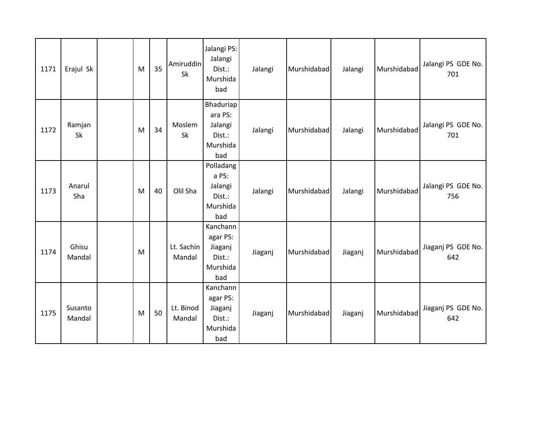| 1171 | Erajul Sk         | M | 35 | Amiruddin<br>Sk      | Jalangi PS:<br>Jalangi<br>Dist.:<br>Murshida<br>bad                 | Jalangi | Murshidabad | Jalangi | Murshidabad | Jalangi PS GDE No.<br>701 |
|------|-------------------|---|----|----------------------|---------------------------------------------------------------------|---------|-------------|---------|-------------|---------------------------|
| 1172 | Ramjan<br>Sk      | M | 34 | Moslem<br>Sk         | <b>Bhaduriap</b><br>ara PS:<br>Jalangi<br>Dist.:<br>Murshida<br>bad | Jalangi | Murshidabad | Jalangi | Murshidabad | Jalangi PS GDE No.<br>701 |
| 1173 | Anarul<br>Sha     | M | 40 | Olil Sha             | Polladang<br>a PS:<br>Jalangi<br>Dist.:<br>Murshida<br>bad          | Jalangi | Murshidabad | Jalangi | Murshidabad | Jalangi PS GDE No.<br>756 |
| 1174 | Ghisu<br>Mandal   | M |    | Lt. Sachin<br>Mandal | Kanchann<br>agar PS:<br>Jiaganj<br>Dist.:<br>Murshida<br>bad        | Jiaganj | Murshidabad | Jiaganj | Murshidabad | Jiaganj PS GDE No.<br>642 |
| 1175 | Susanto<br>Mandal | M | 50 | Lt. Binod<br>Mandal  | Kanchann<br>agar PS:<br>Jiaganj<br>Dist.:<br>Murshida<br>bad        | Jiaganj | Murshidabad | Jiaganj | Murshidabad | Jiaganj PS GDE No.<br>642 |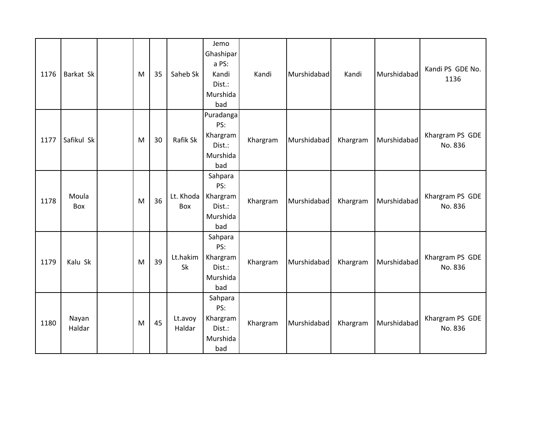| 1176 | Barkat Sk       | M | 35 | Saheb Sk          | Jemo<br>Ghashipar<br>a PS:<br>Kandi<br>Dist.:<br>Murshida<br>bad    | Kandi    | Murshidabad | Kandi    | Murshidabad | Kandi PS GDE No.<br>1136   |
|------|-----------------|---|----|-------------------|---------------------------------------------------------------------|----------|-------------|----------|-------------|----------------------------|
| 1177 | Safikul Sk      | M | 30 | Rafik Sk          | Puradanga<br>PS:<br>Khargram<br>Dist.:<br>Murshida<br>bad           | Khargram | Murshidabad | Khargram | Murshidabad | Khargram PS GDE<br>No. 836 |
| 1178 | Moula<br>Box    | M | 36 | Box               | Sahpara<br>PS:<br>Lt. Khoda   Khargram<br>Dist.:<br>Murshida<br>bad | Khargram | Murshidabad | Khargram | Murshidabad | Khargram PS GDE<br>No. 836 |
| 1179 | Kalu Sk         | M | 39 | Lt.hakim<br>Sk    | Sahpara<br>PS:<br>Khargram<br>Dist.:<br>Murshida<br>bad             | Khargram | Murshidabad | Khargram | Murshidabad | Khargram PS GDE<br>No. 836 |
| 1180 | Nayan<br>Haldar | M | 45 | Lt.avoy<br>Haldar | Sahpara<br>PS:<br>Khargram<br>Dist.:<br>Murshida<br>bad             | Khargram | Murshidabad | Khargram | Murshidabad | Khargram PS GDE<br>No. 836 |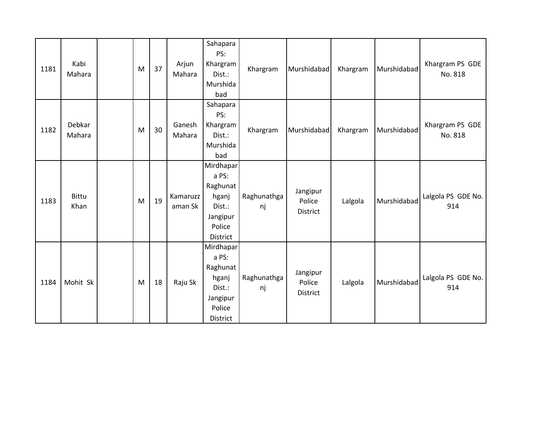| 1181 | Kabi<br>Mahara       | M | 37 | Arjun<br>Mahara     | Sahapara<br>PS:<br>Khargram<br>Dist.:<br>Murshida<br>bad                                   | Khargram          | Murshidabad                           | Khargram | Murshidabad | Khargram PS GDE<br>No. 818 |
|------|----------------------|---|----|---------------------|--------------------------------------------------------------------------------------------|-------------------|---------------------------------------|----------|-------------|----------------------------|
| 1182 | Debkar<br>Mahara     | M | 30 | Ganesh<br>Mahara    | Sahapara<br>PS:<br>Khargram<br>Dist.:<br>Murshida<br>bad                                   | Khargram          | Murshidabad                           | Khargram | Murshidabad | Khargram PS GDE<br>No. 818 |
| 1183 | <b>Bittu</b><br>Khan | M | 19 | Kamaruzz<br>aman Sk | Mirdhapar<br>a PS:<br>Raghunat<br>hganj<br>Dist.:<br>Jangipur<br>Police<br>District        | Raghunathga<br>nj | Jangipur<br>Police<br>District        | Lalgola  | Murshidabad | Lalgola PS GDE No.<br>914  |
| 1184 | Mohit Sk             | M | 18 | Raju Sk             | Mirdhapar<br>a PS:<br>Raghunat<br>hganj<br>Dist.:<br>Jangipur<br>Police<br><b>District</b> | Raghunathga<br>nj | Jangipur<br>Police<br><b>District</b> | Lalgola  | Murshidabad | Lalgola PS GDE No.<br>914  |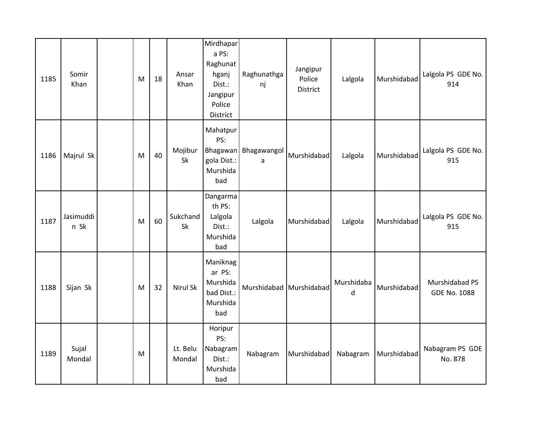| 1185 | Somir<br>Khan     | M | 18 | Ansar<br>Khan      | Mirdhapar<br>a PS:<br>Raghunat<br>hganj<br>Dist.:<br>Jangipur<br>Police<br>District | Raghunathga<br>nj         | Jangipur<br>Police<br>District | Lalgola         | Murshidabad | Lalgola PS GDE No.<br>914             |
|------|-------------------|---|----|--------------------|-------------------------------------------------------------------------------------|---------------------------|--------------------------------|-----------------|-------------|---------------------------------------|
| 1186 | Majrul Sk         | M | 40 | Mojibur<br>Sk      | Mahatpur<br>PS:<br>gola Dist.:<br>Murshida<br>bad                                   | Bhagawan Bhagawangol<br>a | Murshidabad                    | Lalgola         | Murshidabad | Lalgola PS GDE No.<br>915             |
| 1187 | Jasimuddi<br>n Sk | M | 60 | Sukchand<br>Sk     | Dangarma<br>th PS:<br>Lalgola<br>Dist.:<br>Murshida<br>bad                          | Lalgola                   | Murshidabad                    | Lalgola         | Murshidabad | Lalgola PS GDE No.<br>915             |
| 1188 | Sijan Sk          | M | 32 | Nirul Sk           | Maniknag<br>ar PS:<br>Murshida<br>bad Dist.:<br>Murshida<br>bad                     |                           | Murshidabad Murshidabad        | Murshidaba<br>d | Murshidabad | Murshidabad PS<br><b>GDE No. 1088</b> |
| 1189 | Sujal<br>Mondal   | M |    | Lt. Belu<br>Mondal | Horipur<br>PS:<br>Nabagram<br>Dist.:<br>Murshida<br>bad                             | Nabagram                  | Murshidabad                    | Nabagram        | Murshidabad | Nabagram PS GDE<br>No. 878            |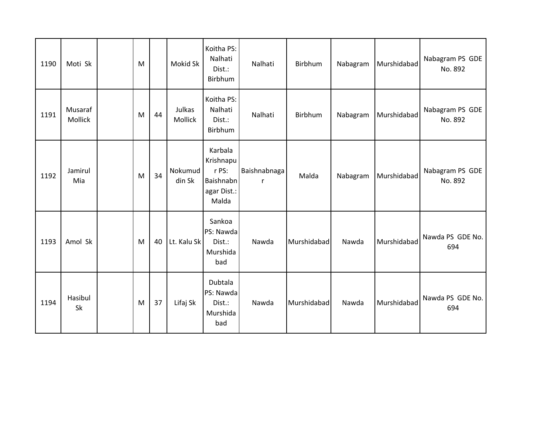| 1190 | Moti Sk            | M |    | Mokid Sk          | Koitha PS:<br>Nalhati<br>Dist.:<br>Birbhum                         | Nalhati           | Birbhum     | Nabagram | Murshidabad | Nabagram PS GDE<br>No. 892 |
|------|--------------------|---|----|-------------------|--------------------------------------------------------------------|-------------------|-------------|----------|-------------|----------------------------|
| 1191 | Musaraf<br>Mollick | M | 44 | Julkas<br>Mollick | Koitha PS:<br>Nalhati<br>Dist.:<br>Birbhum                         | Nalhati           | Birbhum     | Nabagram | Murshidabad | Nabagram PS GDE<br>No. 892 |
| 1192 | Jamirul<br>Mia     | M | 34 | Nokumud<br>din Sk | Karbala<br>Krishnapu<br>r PS:<br>Baishnabn<br>agar Dist.:<br>Malda | Baishnabnaga<br>r | Malda       | Nabagram | Murshidabad | Nabagram PS GDE<br>No. 892 |
| 1193 | Amol Sk            | M | 40 | Lt. Kalu Sk       | Sankoa<br>PS: Nawda<br>Dist.:<br>Murshida<br>bad                   | Nawda             | Murshidabad | Nawda    | Murshidabad | Nawda PS GDE No.<br>694    |
| 1194 | Hasibul<br>Sk      | M | 37 | Lifaj Sk          | Dubtala<br>PS: Nawda<br>Dist.:<br>Murshida<br>bad                  | Nawda             | Murshidabad | Nawda    | Murshidabad | Nawda PS GDE No.<br>694    |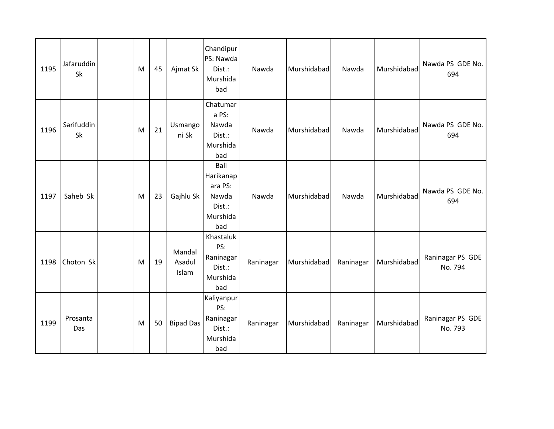| 1195 | Jafaruddin<br>Sk | M | 45 | Ajmat Sk                  | Chandipur<br>PS: Nawda<br>Dist.:<br>Murshida<br>bad                | Nawda     | Murshidabad | Nawda     | Murshidabad | Nawda PS GDE No.<br>694     |
|------|------------------|---|----|---------------------------|--------------------------------------------------------------------|-----------|-------------|-----------|-------------|-----------------------------|
| 1196 | Sarifuddin<br>Sk | M | 21 | Usmango<br>ni Sk          | Chatumar<br>a PS:<br>Nawda<br>Dist.:<br>Murshida<br>bad            | Nawda     | Murshidabad | Nawda     | Murshidabad | Nawda PS GDE No.<br>694     |
| 1197 | Saheb Sk         | M | 23 | Gajhlu Sk                 | Bali<br>Harikanap<br>ara PS:<br>Nawda<br>Dist.:<br>Murshida<br>bad | Nawda     | Murshidabad | Nawda     | Murshidabad | Nawda PS GDE No.<br>694     |
| 1198 | Choton Sk        | M | 19 | Mandal<br>Asadul<br>Islam | Khastaluk<br>PS:<br>Raninagar<br>Dist.:<br>Murshida<br>bad         | Raninagar | Murshidabad | Raninagar | Murshidabad | Raninagar PS GDE<br>No. 794 |
| 1199 | Prosanta<br>Das  | M | 50 | <b>Bipad Das</b>          | Kaliyanpur<br>PS:<br>Raninagar<br>Dist.:<br>Murshida<br>bad        | Raninagar | Murshidabad | Raninagar | Murshidabad | Raninagar PS GDE<br>No. 793 |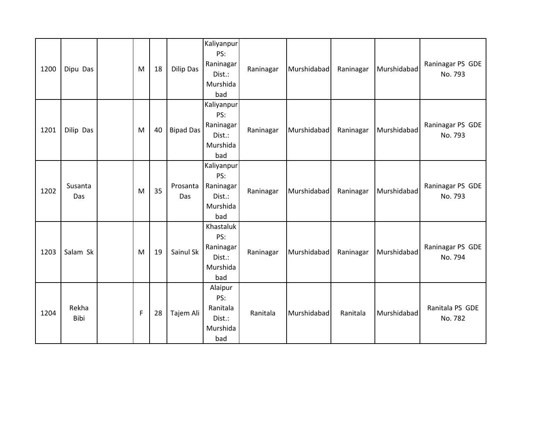| 1200 | Dipu Das       | M | 18 | <b>Dilip Das</b> | Kaliyanpur<br>PS:<br>Raninagar<br>Dist.:<br>Murshida<br>bad | Raninagar | Murshidabad | Raninagar | Murshidabad | Raninagar PS GDE<br>No. 793 |
|------|----------------|---|----|------------------|-------------------------------------------------------------|-----------|-------------|-----------|-------------|-----------------------------|
| 1201 | Dilip Das      | M | 40 | <b>Bipad Das</b> | Kaliyanpur<br>PS:<br>Raninagar<br>Dist.:<br>Murshida<br>bad | Raninagar | Murshidabad | Raninagar | Murshidabad | Raninagar PS GDE<br>No. 793 |
| 1202 | Susanta<br>Das | M | 35 | Prosanta<br>Das  | Kaliyanpur<br>PS:<br>Raninagar<br>Dist.:<br>Murshida<br>bad | Raninagar | Murshidabad | Raninagar | Murshidabad | Raninagar PS GDE<br>No. 793 |
| 1203 | Salam Sk       | M | 19 | Sainul Sk        | Khastaluk<br>PS:<br>Raninagar<br>Dist.:<br>Murshida<br>bad  | Raninagar | Murshidabad | Raninagar | Murshidabad | Raninagar PS GDE<br>No. 794 |
| 1204 | Rekha<br>Bibi  | F | 28 | Tajem Ali        | Alaipur<br>PS:<br>Ranitala<br>Dist.:<br>Murshida<br>bad     | Ranitala  | Murshidabad | Ranitala  | Murshidabad | Ranitala PS GDE<br>No. 782  |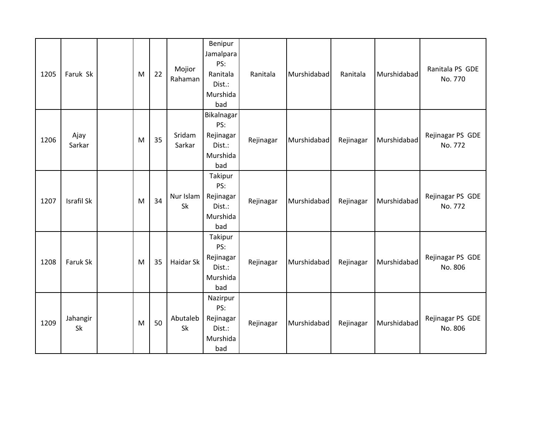| 1205 | Faruk Sk          | M | 22 | Mojior<br>Rahaman      | Benipur<br>Jamalpara<br>PS:<br>Ranitala<br>Dist.:<br>Murshida<br>bad | Ranitala  | Murshidabad | Ranitala  | Murshidabad | Ranitala PS GDE<br>No. 770  |
|------|-------------------|---|----|------------------------|----------------------------------------------------------------------|-----------|-------------|-----------|-------------|-----------------------------|
| 1206 | Ajay<br>Sarkar    | M | 35 | Sridam<br>Sarkar       | Bikalnagar<br>PS:<br>Rejinagar<br>Dist.:<br>Murshida<br>bad          | Rejinagar | Murshidabad | Rejinagar | Murshidabad | Rejinagar PS GDE<br>No. 772 |
| 1207 | <b>Israfil Sk</b> | M | 34 | Nur Islam<br><b>Sk</b> | Takipur<br>PS:<br>Rejinagar<br>Dist.:<br>Murshida<br>bad             | Rejinagar | Murshidabad | Rejinagar | Murshidabad | Rejinagar PS GDE<br>No. 772 |
| 1208 | Faruk Sk          | M | 35 | Haidar Sk              | Takipur<br>PS:<br>Rejinagar<br>Dist.:<br>Murshida<br>bad             | Rejinagar | Murshidabad | Rejinagar | Murshidabad | Rejinagar PS GDE<br>No. 806 |
| 1209 | Jahangir<br>Sk    | M | 50 | Abutaleb<br>Sk         | Nazirpur<br>PS:<br>Rejinagar<br>Dist.:<br>Murshida<br>bad            | Rejinagar | Murshidabad | Rejinagar | Murshidabad | Rejinagar PS GDE<br>No. 806 |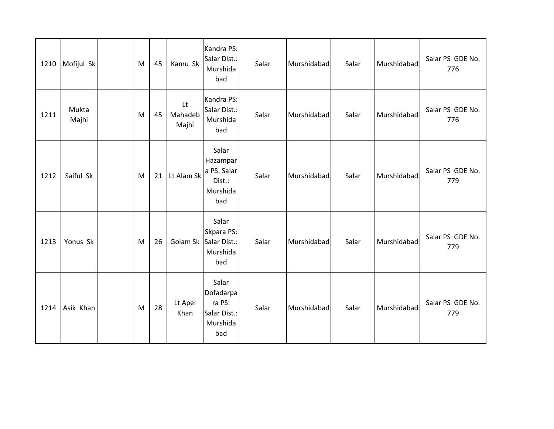| 1210 | Mofijul Sk     | M | 45 | Kamu Sk                | Kandra PS:<br>Salar Dist.:<br>Murshida<br>bad                   | Salar | Murshidabad | Salar | Murshidabad | Salar PS GDE No.<br>776 |
|------|----------------|---|----|------------------------|-----------------------------------------------------------------|-------|-------------|-------|-------------|-------------------------|
| 1211 | Mukta<br>Majhi | M | 45 | Lt<br>Mahadeb<br>Majhi | Kandra PS:<br>Salar Dist.:<br>Murshida<br>bad                   | Salar | Murshidabad | Salar | Murshidabad | Salar PS GDE No.<br>776 |
| 1212 | Saiful Sk      | M | 21 | Lt Alam Sk             | Salar<br>Hazampar<br>a PS: Salar<br>Dist.:<br>Murshida<br>bad   | Salar | Murshidabad | Salar | Murshidabad | Salar PS GDE No.<br>779 |
| 1213 | Yonus Sk       | M | 26 |                        | Salar<br>Skpara PS:<br>Golam Sk Salar Dist.:<br>Murshida<br>bad | Salar | Murshidabad | Salar | Murshidabad | Salar PS GDE No.<br>779 |
| 1214 | Asik Khan      | M | 28 | Lt Apel<br>Khan        | Salar<br>Dofadarpa<br>ra PS:<br>Salar Dist.:<br>Murshida<br>bad | Salar | Murshidabad | Salar | Murshidabad | Salar PS GDE No.<br>779 |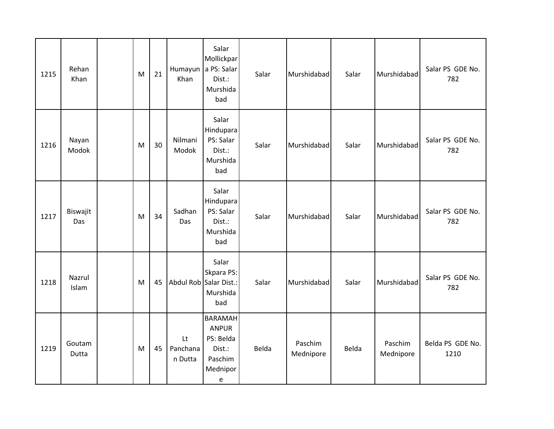| 1215 | Rehan<br>Khan   | M | 21 | Khan                      | Salar<br>Mollickpar<br>Humayun a PS: Salar<br>Dist.:<br>Murshida<br>bad           | Salar | Murshidabad          | Salar | Murshidabad          | Salar PS GDE No.<br>782  |
|------|-----------------|---|----|---------------------------|-----------------------------------------------------------------------------------|-------|----------------------|-------|----------------------|--------------------------|
| 1216 | Nayan<br>Modok  | M | 30 | Nilmani<br>Modok          | Salar<br>Hindupara<br>PS: Salar<br>Dist.:<br>Murshida<br>bad                      | Salar | Murshidabad          | Salar | Murshidabad          | Salar PS GDE No.<br>782  |
| 1217 | Biswajit<br>Das | M | 34 | Sadhan<br>Das             | Salar<br>Hindupara<br>PS: Salar<br>Dist.:<br>Murshida<br>bad                      | Salar | Murshidabad          | Salar | Murshidabad          | Salar PS GDE No.<br>782  |
| 1218 | Nazrul<br>Islam | M | 45 |                           | Salar<br>Skpara PS:<br>Abdul Rob Salar Dist.:<br>Murshida<br>bad                  | Salar | Murshidabad          | Salar | Murshidabad          | Salar PS GDE No.<br>782  |
| 1219 | Goutam<br>Dutta | M | 45 | Lt<br>Panchana<br>n Dutta | <b>BARAMAH</b><br><b>ANPUR</b><br>PS: Belda<br>Dist.:<br>Paschim<br>Mednipor<br>e | Belda | Paschim<br>Mednipore | Belda | Paschim<br>Mednipore | Belda PS GDE No.<br>1210 |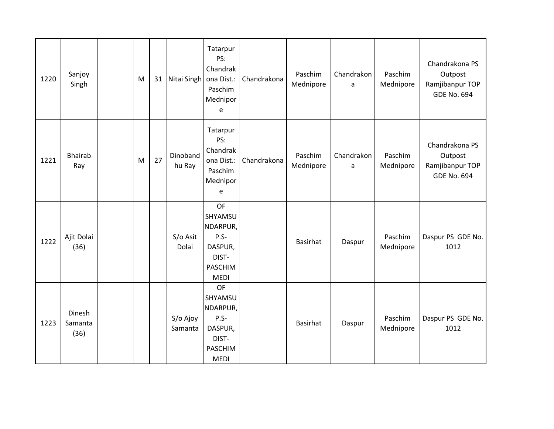| 1220 | Sanjoy<br>Singh           | M | 31 | Nitai Singh ona Dist.: | Tatarpur<br>PS:<br>Chandrak<br>Paschim<br>Mednipor<br>e                                          | Chandrakona | Paschim<br>Mednipore | Chandrakon<br>a | Paschim<br>Mednipore | Chandrakona PS<br>Outpost<br>Ramjibanpur TOP<br><b>GDE No. 694</b> |
|------|---------------------------|---|----|------------------------|--------------------------------------------------------------------------------------------------|-------------|----------------------|-----------------|----------------------|--------------------------------------------------------------------|
| 1221 | <b>Bhairab</b><br>Ray     | M | 27 | Dinoband<br>hu Ray     | Tatarpur<br>PS:<br>Chandrak<br>ona Dist.:<br>Paschim<br>Mednipor<br>e                            | Chandrakona | Paschim<br>Mednipore | Chandrakon<br>a | Paschim<br>Mednipore | Chandrakona PS<br>Outpost<br>Ramjibanpur TOP<br><b>GDE No. 694</b> |
| 1222 | Ajit Dolai<br>(36)        |   |    | S/o Asit<br>Dolai      | <b>OF</b><br>SHYAMSU<br>NDARPUR,<br>$P.S -$<br>DASPUR,<br>DIST-<br><b>PASCHIM</b><br><b>MEDI</b> |             | Basirhat             | Daspur          | Paschim<br>Mednipore | Daspur PS GDE No.<br>1012                                          |
| 1223 | Dinesh<br>Samanta<br>(36) |   |    | S/o Ajoy<br>Samanta    | OF<br>SHYAMSU<br>NDARPUR,<br>$P.S -$<br>DASPUR,<br>DIST-<br>PASCHIM<br><b>MEDI</b>               |             | Basirhat             | Daspur          | Paschim<br>Mednipore | Daspur PS GDE No.<br>1012                                          |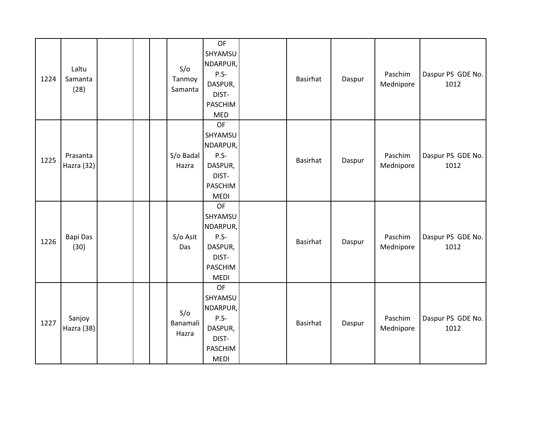| 1224 | Laltu<br>Samanta<br>(28) |  | S/O<br>Tanmoy<br>Samanta | OF<br>SHYAMSU<br>NDARPUR,<br>$P.S-$<br>DASPUR,<br>DIST-<br>PASCHIM<br><b>MED</b>         | Basirhat        | Daspur | Paschim<br>Mednipore | Daspur PS GDE No.<br>1012 |
|------|--------------------------|--|--------------------------|------------------------------------------------------------------------------------------|-----------------|--------|----------------------|---------------------------|
| 1225 | Prasanta<br>Hazra (32)   |  | $S/O$ Badal<br>Hazra     | OF<br>SHYAMSU<br>NDARPUR,<br>$P.S-$<br>DASPUR,<br>DIST-<br><b>PASCHIM</b><br><b>MEDI</b> | Basirhat        | Daspur | Paschim<br>Mednipore | Daspur PS GDE No.<br>1012 |
| 1226 | Bapi Das<br>(30)         |  | S/o Asit<br>Das          | <b>OF</b><br>SHYAMSU<br>NDARPUR,<br>$P.S-$<br>DASPUR,<br>DIST-<br>PASCHIM<br><b>MEDI</b> | <b>Basirhat</b> | Daspur | Paschim<br>Mednipore | Daspur PS GDE No.<br>1012 |
| 1227 | Sanjoy<br>Hazra (38)     |  | S/O<br>Banamali<br>Hazra | OF<br>SHYAMSU<br>NDARPUR,<br>$P.S-$<br>DASPUR,<br>DIST-<br>PASCHIM<br><b>MEDI</b>        | Basirhat        | Daspur | Paschim<br>Mednipore | Daspur PS GDE No.<br>1012 |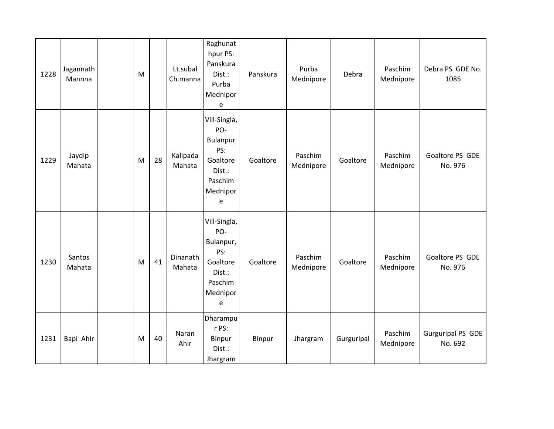| 1228 | Jagannath<br>Mannna | M |    | Lt.subal<br>Ch.manna | Raghunat<br>hpur PS:<br>Panskura<br>Dist.:<br>Purba<br>Mednipor<br>e                      | Panskura | Purba<br>Mednipore   | Debra      | Paschim<br>Mednipore | Debra PS GDE No.<br>1085            |
|------|---------------------|---|----|----------------------|-------------------------------------------------------------------------------------------|----------|----------------------|------------|----------------------|-------------------------------------|
| 1229 | Jaydip<br>Mahata    | M | 28 | Kalipada<br>Mahata   | Vill-Singla,<br>PO-<br>Bulanpur<br>PS:<br>Goaltore<br>Dist.:<br>Paschim<br>Mednipor<br>e  | Goaltore | Paschim<br>Mednipore | Goaltore   | Paschim<br>Mednipore | Goaltore PS GDE<br>No. 976          |
| 1230 | Santos<br>Mahata    | M | 41 | Dinanath<br>Mahata   | Vill-Singla,<br>PO-<br>Bulanpur,<br>PS:<br>Goaltore<br>Dist.:<br>Paschim<br>Mednipor<br>e | Goaltore | Paschim<br>Mednipore | Goaltore   | Paschim<br>Mednipore | Goaltore PS GDE<br>No. 976          |
| 1231 | Bapi Ahir           | M | 40 | Naran<br>Ahir        | Dharampu<br>r PS:<br>Binpur<br>Dist.:<br>Jhargram                                         | Binpur   | Jhargram             | Gurguripal | Paschim<br>Mednipore | <b>Gurguripal PS GDE</b><br>No. 692 |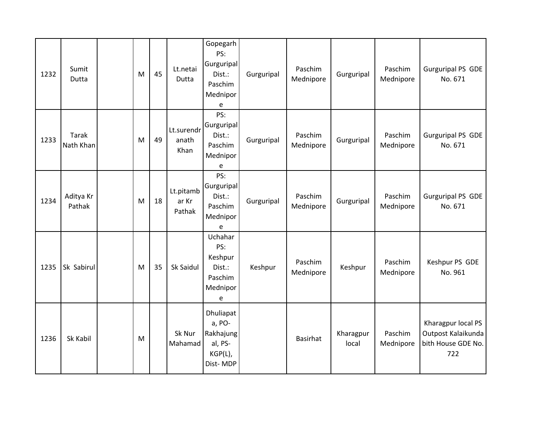| 1232 | Sumit<br>Dutta      | M | 45 | Lt.netai<br>Dutta            | Gopegarh<br>PS:<br>Gurguripal<br>Dist.:<br>Paschim<br>Mednipor<br>e   | Gurguripal | Paschim<br>Mednipore | Gurguripal         | Paschim<br>Mednipore | <b>Gurguripal PS GDE</b><br>No. 671                                   |
|------|---------------------|---|----|------------------------------|-----------------------------------------------------------------------|------------|----------------------|--------------------|----------------------|-----------------------------------------------------------------------|
| 1233 | Tarak<br>Nath Khan  | M | 49 | anath<br>Khan                | PS:<br>  Lt.surendr Gurguripal<br>Dist.:<br>Paschim<br>Mednipor<br>e  | Gurguripal | Paschim<br>Mednipore | Gurguripal         | Paschim<br>Mednipore | <b>Gurguripal PS GDE</b><br>No. 671                                   |
| 1234 | Aditya Kr<br>Pathak | M | 18 | Lt.pitamb<br>ar Kr<br>Pathak | PS:<br>Gurguripal<br>Dist.:<br>Paschim<br>Mednipor<br>e               | Gurguripal | Paschim<br>Mednipore | Gurguripal         | Paschim<br>Mednipore | <b>Gurguripal PS GDE</b><br>No. 671                                   |
| 1235 | Sk Sabirul          | M | 35 | Sk Saidul                    | Uchahar<br>PS:<br>Keshpur<br>Dist.:<br>Paschim<br>Mednipor<br>e       | Keshpur    | Paschim<br>Mednipore | Keshpur            | Paschim<br>Mednipore | Keshpur PS GDE<br>No. 961                                             |
| 1236 | Sk Kabil            | M |    | Sk Nur<br>Mahamad            | Dhuliapat<br>a, PO-<br>Rakhajung<br>al, PS-<br>$KGP(L)$ ,<br>Dist-MDP |            | <b>Basirhat</b>      | Kharagpur<br>local | Paschim<br>Mednipore | Kharagpur local PS<br>Outpost Kalaikunda<br>bith House GDE No.<br>722 |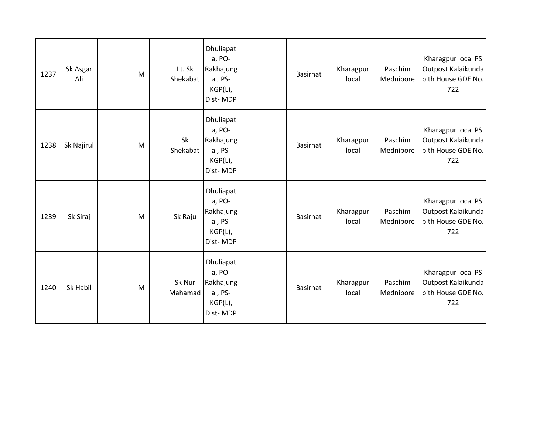| 1237 | Sk Asgar<br>Ali | M | Lt. Sk<br>Shekabat | Dhuliapat<br>a, PO-<br>Rakhajung<br>al, PS-<br>$KGP(L)$ ,<br>Dist-MDP     | <b>Basirhat</b> | Kharagpur<br>local | Paschim<br>Mednipore | Kharagpur local PS<br>Outpost Kalaikunda<br>bith House GDE No.<br>722 |
|------|-----------------|---|--------------------|---------------------------------------------------------------------------|-----------------|--------------------|----------------------|-----------------------------------------------------------------------|
| 1238 | Sk Najirul      | M | Sk<br>Shekabat     | <b>Dhuliapat</b><br>a, PO-<br>Rakhajung<br>al, PS-<br>KGP(L),<br>Dist-MDP | <b>Basirhat</b> | Kharagpur<br>local | Paschim<br>Mednipore | Kharagpur local PS<br>Outpost Kalaikunda<br>bith House GDE No.<br>722 |
| 1239 | Sk Siraj        | M | Sk Raju            | Dhuliapat<br>a, PO-<br>Rakhajung<br>al, PS-<br>$KGP(L)$ ,<br>Dist-MDP     | <b>Basirhat</b> | Kharagpur<br>local | Paschim<br>Mednipore | Kharagpur local PS<br>Outpost Kalaikunda<br>bith House GDE No.<br>722 |
| 1240 | Sk Habil        | M | Sk Nur<br>Mahamad  | Dhuliapat<br>a, PO-<br>Rakhajung<br>al, PS-<br>$KGP(L)$ ,<br>Dist-MDP     | <b>Basirhat</b> | Kharagpur<br>local | Paschim<br>Mednipore | Kharagpur local PS<br>Outpost Kalaikunda<br>bith House GDE No.<br>722 |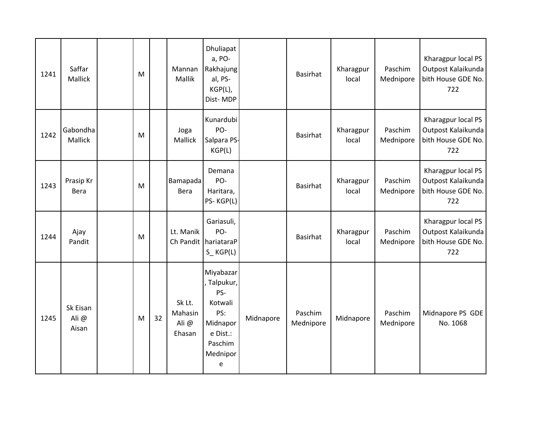| 1241 | Saffar<br><b>Mallick</b>  | M |    | Mannan<br>Mallik                    | Dhuliapat<br>a, PO-<br>Rakhajung<br>al, PS-<br>$KGP(L)$ ,<br>Dist-MDP                                 |           | <b>Basirhat</b>      | Kharagpur<br>local | Paschim<br>Mednipore | Kharagpur local PS<br>Outpost Kalaikunda<br>bith House GDE No.<br>722 |
|------|---------------------------|---|----|-------------------------------------|-------------------------------------------------------------------------------------------------------|-----------|----------------------|--------------------|----------------------|-----------------------------------------------------------------------|
| 1242 | Gabondha<br>Mallick       | M |    | Joga<br>Mallick                     | Kunardubi<br>PO-<br>Salpara PS-<br>KGP(L)                                                             |           | <b>Basirhat</b>      | Kharagpur<br>local | Paschim<br>Mednipore | Kharagpur local PS<br>Outpost Kalaikunda<br>bith House GDE No.<br>722 |
| 1243 | Prasip Kr<br>Bera         | M |    | <b>Bamapada</b><br>Bera             | Demana<br>PO-<br>Haritara,<br>PS-KGP(L)                                                               |           | Basirhat             | Kharagpur<br>local | Paschim<br>Mednipore | Kharagpur local PS<br>Outpost Kalaikunda<br>bith House GDE No.<br>722 |
| 1244 | Ajay<br>Pandit            | M |    | Lt. Manik                           | Gariasuli,<br>PO-<br>Ch Pandit   hariataraP<br>$S_KGP(L)$                                             |           | <b>Basirhat</b>      | Kharagpur<br>local | Paschim<br>Mednipore | Kharagpur local PS<br>Outpost Kalaikunda<br>bith House GDE No.<br>722 |
| 1245 | Sk Eisan<br>Ali@<br>Aisan | M | 32 | Sk Lt.<br>Mahasin<br>Ali@<br>Ehasan | Miyabazar<br>, Talpukur,<br>PS-<br>Kotwali<br>PS:<br>Midnapor<br>e Dist.:<br>Paschim<br>Mednipor<br>e | Midnapore | Paschim<br>Mednipore | Midnapore          | Paschim<br>Mednipore | Midnapore PS GDE<br>No. 1068                                          |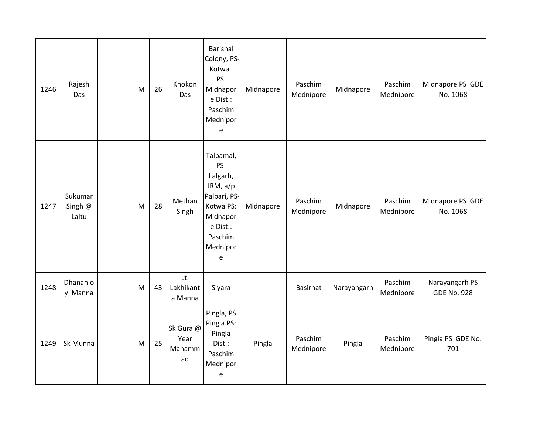| 1246 | Rajesh<br>Das               | M | 26 | Khokon<br>Das                     | <b>Barishal</b><br>Colony, PS-<br>Kotwali<br>PS:<br>Midnapor<br>e Dist.:<br>Paschim<br>Mednipor<br>$\mathsf{e}% _{t}\left( t\right)$ | Midnapore | Paschim<br>Mednipore | Midnapore   | Paschim<br>Mednipore | Midnapore PS GDE<br>No. 1068         |
|------|-----------------------------|---|----|-----------------------------------|--------------------------------------------------------------------------------------------------------------------------------------|-----------|----------------------|-------------|----------------------|--------------------------------------|
| 1247 | Sukumar<br>Singh @<br>Laltu | M | 28 | Methan<br>Singh                   | Talbamal,<br>PS-<br>Lalgarh,<br>JRM, a/p<br>Palbari, PS-<br>Kotwa PS:<br>Midnapor<br>e Dist.:<br>Paschim<br>Mednipor<br>e            | Midnapore | Paschim<br>Mednipore | Midnapore   | Paschim<br>Mednipore | Midnapore PS GDE<br>No. 1068         |
| 1248 | Dhananjo<br>y Manna         | M | 43 | Lt.<br>Lakhikant<br>a Manna       | Siyara                                                                                                                               |           | Basirhat             | Narayangarh | Paschim<br>Mednipore | Narayangarh PS<br><b>GDE No. 928</b> |
| 1249 | Sk Munna                    | M | 25 | Sk Gura @<br>Year<br>Mahamm<br>ad | Pingla, PS<br>Pingla PS:<br>Pingla<br>Dist.:<br>Paschim<br>Mednipor<br>e                                                             | Pingla    | Paschim<br>Mednipore | Pingla      | Paschim<br>Mednipore | Pingla PS GDE No.<br>701             |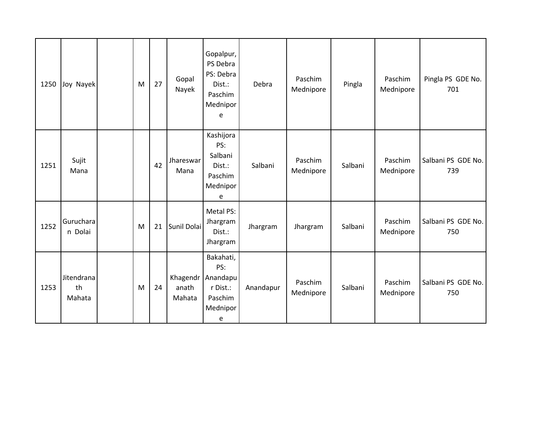| 1250 | Joy Nayek                  | M | 27 | Gopal<br>Nayek    | Gopalpur,<br>PS Debra<br>PS: Debra<br>Dist.:<br>Paschim<br>Mednipor<br>e        | Debra     | Paschim<br>Mednipore | Pingla  | Paschim<br>Mednipore | Pingla PS GDE No.<br>701  |
|------|----------------------------|---|----|-------------------|---------------------------------------------------------------------------------|-----------|----------------------|---------|----------------------|---------------------------|
| 1251 | Sujit<br>Mana              |   | 42 | Jhareswar<br>Mana | Kashijora<br>PS:<br>Salbani<br>Dist.:<br>Paschim<br>Mednipor<br>e               | Salbani   | Paschim<br>Mednipore | Salbani | Paschim<br>Mednipore | Salbani PS GDE No.<br>739 |
| 1252 | Guruchara<br>n Dolai       | M | 21 | Sunil Dolai       | Metal PS:<br>Jhargram<br>Dist.:<br>Jhargram                                     | Jhargram  | Jhargram             | Salbani | Paschim<br>Mednipore | Salbani PS GDE No.<br>750 |
| 1253 | Jitendrana<br>th<br>Mahata | M | 24 | anath<br>Mahata   | Bakahati,<br>PS:<br>Khagendr   Anandapu<br>r Dist.:<br>Paschim<br>Mednipor<br>e | Anandapur | Paschim<br>Mednipore | Salbani | Paschim<br>Mednipore | Salbani PS GDE No.<br>750 |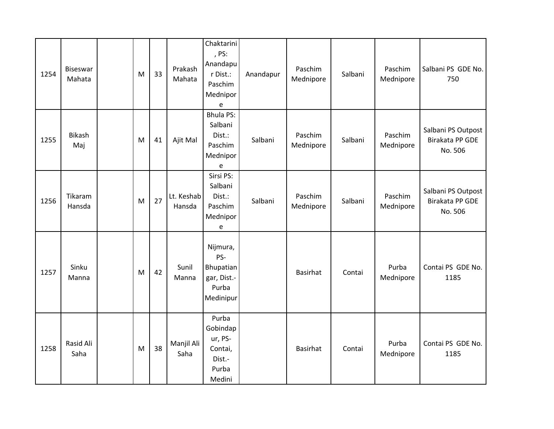| 1254 | Biseswar<br>Mahata | M | 33 | Prakash<br>Mahata    | Chaktarini<br>, PS:<br>Anandapu<br>r Dist.:<br>Paschim<br>Mednipor<br>e | Anandapur | Paschim<br>Mednipore | Salbani | Paschim<br>Mednipore | Salbani PS GDE No.<br>750                               |
|------|--------------------|---|----|----------------------|-------------------------------------------------------------------------|-----------|----------------------|---------|----------------------|---------------------------------------------------------|
| 1255 | Bikash<br>Maj      | M | 41 | Ajit Mal             | <b>Bhula PS:</b><br>Salbani<br>Dist.:<br>Paschim<br>Mednipor<br>e       | Salbani   | Paschim<br>Mednipore | Salbani | Paschim<br>Mednipore | Salbani PS Outpost<br><b>Birakata PP GDE</b><br>No. 506 |
| 1256 | Tikaram<br>Hansda  | M | 27 | Lt. Keshab<br>Hansda | Sirsi PS:<br>Salbani<br>Dist.:<br>Paschim<br>Mednipor<br>е              | Salbani   | Paschim<br>Mednipore | Salbani | Paschim<br>Mednipore | Salbani PS Outpost<br>Birakata PP GDE<br>No. 506        |
| 1257 | Sinku<br>Manna     | M | 42 | Sunil<br>Manna       | Nijmura,<br>PS-<br>Bhupatian<br>gar, Dist.-<br>Purba<br>Medinipur       |           | Basirhat             | Contai  | Purba<br>Mednipore   | Contai PS GDE No.<br>1185                               |
| 1258 | Rasid Ali<br>Saha  | M | 38 | Manjil Ali<br>Saha   | Purba<br>Gobindap<br>ur, PS-<br>Contai,<br>Dist.-<br>Purba<br>Medini    |           | Basirhat             | Contai  | Purba<br>Mednipore   | Contai PS GDE No.<br>1185                               |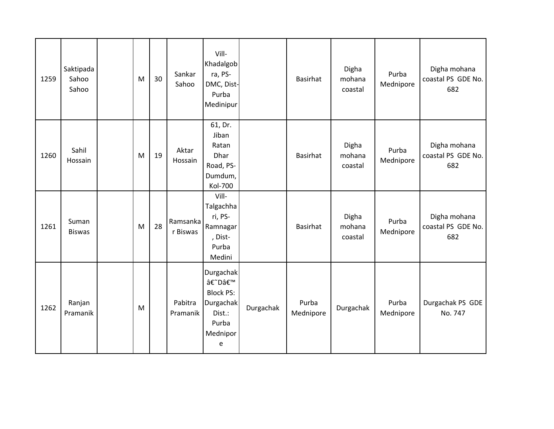| 1259 | Saktipada<br>Sahoo<br>Sahoo | M | 30 | Sankar<br>Sahoo      | Vill-<br>Khadalgob<br>ra, PS-<br>DMC, Dist-<br>Purba<br>Medinipur                       |           | <b>Basirhat</b>    | Digha<br>mohana<br>coastal | Purba<br>Mednipore | Digha mohana<br>coastal PS GDE No.<br>682 |
|------|-----------------------------|---|----|----------------------|-----------------------------------------------------------------------------------------|-----------|--------------------|----------------------------|--------------------|-------------------------------------------|
| 1260 | Sahil<br>Hossain            | M | 19 | Aktar<br>Hossain     | 61, Dr.<br>Jiban<br>Ratan<br>Dhar<br>Road, PS-<br>Dumdum,<br>Kol-700                    |           | <b>Basirhat</b>    | Digha<br>mohana<br>coastal | Purba<br>Mednipore | Digha mohana<br>coastal PS GDE No.<br>682 |
| 1261 | Suman<br><b>Biswas</b>      | M | 28 | Ramsanka<br>r Biswas | Vill-<br>Talgachha<br>ri, PS-<br>Ramnagar<br>, Dist-<br>Purba<br>Medini                 |           | <b>Basirhat</b>    | Digha<br>mohana<br>coastal | Purba<br>Mednipore | Digha mohana<br>coastal PS GDE No.<br>682 |
| 1262 | Ranjan<br>Pramanik          | M |    | Pabitra<br>Pramanik  | Durgachak<br>â€~D'<br><b>Block PS:</b><br>Durgachak<br>Dist.:<br>Purba<br>Mednipor<br>e | Durgachak | Purba<br>Mednipore | Durgachak                  | Purba<br>Mednipore | Durgachak PS GDE<br>No. 747               |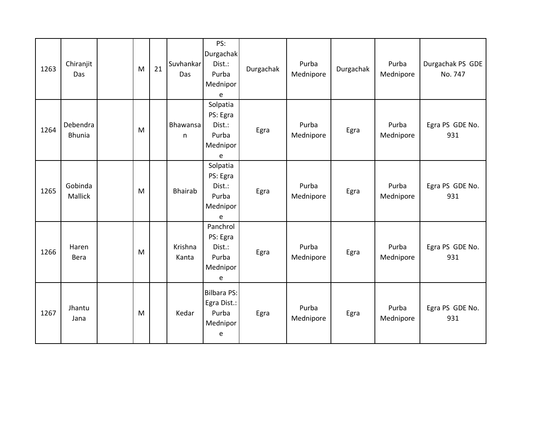| 1263 | Chiranjit<br>Das          | M | 21 | Suvhankar<br>Das | PS:<br>Durgachak<br>Dist.:<br>Purba<br>Mednipor<br>e        | Durgachak | Purba<br>Mednipore | Durgachak | Purba<br>Mednipore | Durgachak PS GDE<br>No. 747 |
|------|---------------------------|---|----|------------------|-------------------------------------------------------------|-----------|--------------------|-----------|--------------------|-----------------------------|
| 1264 | Debendra<br><b>Bhunia</b> | M |    | Bhawansa<br>n    | Solpatia<br>PS: Egra<br>Dist.:<br>Purba<br>Mednipor<br>e    | Egra      | Purba<br>Mednipore | Egra      | Purba<br>Mednipore | Egra PS GDE No.<br>931      |
| 1265 | Gobinda<br>Mallick        | M |    | <b>Bhairab</b>   | Solpatia<br>PS: Egra<br>Dist.:<br>Purba<br>Mednipor<br>e    | Egra      | Purba<br>Mednipore | Egra      | Purba<br>Mednipore | Egra PS GDE No.<br>931      |
| 1266 | Haren<br>Bera             | M |    | Krishna<br>Kanta | Panchrol<br>PS: Egra<br>Dist.:<br>Purba<br>Mednipor<br>e    | Egra      | Purba<br>Mednipore | Egra      | Purba<br>Mednipore | Egra PS GDE No.<br>931      |
| 1267 | Jhantu<br>Jana            | M |    | Kedar            | <b>Bilbara PS:</b><br>Egra Dist.:<br>Purba<br>Mednipor<br>e | Egra      | Purba<br>Mednipore | Egra      | Purba<br>Mednipore | Egra PS GDE No.<br>931      |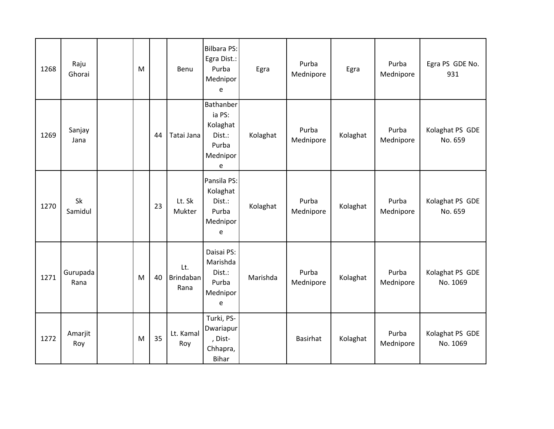| 1268 | Raju<br>Ghorai   | M |    | Benu                            | <b>Bilbara PS:</b><br>Egra Dist.:<br>Purba<br>Mednipor<br>e         | Egra     | Purba<br>Mednipore | Egra     | Purba<br>Mednipore | Egra PS GDE No.<br>931      |
|------|------------------|---|----|---------------------------------|---------------------------------------------------------------------|----------|--------------------|----------|--------------------|-----------------------------|
| 1269 | Sanjay<br>Jana   |   | 44 | Tatai Jana                      | Bathanber<br>ia PS:<br>Kolaghat<br>Dist.:<br>Purba<br>Mednipor<br>e | Kolaghat | Purba<br>Mednipore | Kolaghat | Purba<br>Mednipore | Kolaghat PS GDE<br>No. 659  |
| 1270 | Sk<br>Samidul    |   | 23 | Lt. Sk<br>Mukter                | Pansila PS:<br>Kolaghat<br>Dist.:<br>Purba<br>Mednipor<br>e         | Kolaghat | Purba<br>Mednipore | Kolaghat | Purba<br>Mednipore | Kolaghat PS GDE<br>No. 659  |
| 1271 | Gurupada<br>Rana | M | 40 | Lt.<br><b>Brindaban</b><br>Rana | Daisai PS:<br>Marishda<br>Dist.:<br>Purba<br>Mednipor<br>e          | Marishda | Purba<br>Mednipore | Kolaghat | Purba<br>Mednipore | Kolaghat PS GDE<br>No. 1069 |
| 1272 | Amarjit<br>Roy   | M | 35 | Lt. Kamal<br>Roy                | Turki, PS-<br>Dwariapur<br>, Dist-<br>Chhapra,<br><b>Bihar</b>      |          | <b>Basirhat</b>    | Kolaghat | Purba<br>Mednipore | Kolaghat PS GDE<br>No. 1069 |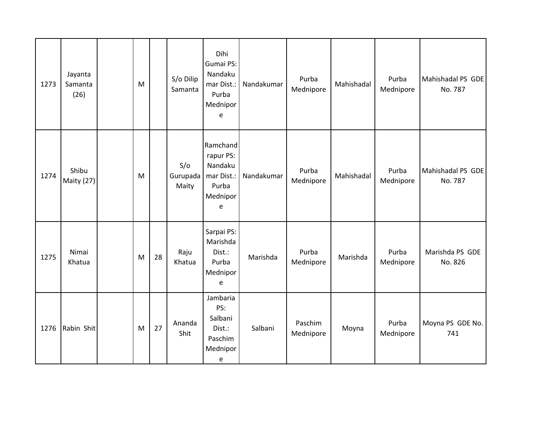| 1273 | Jayanta<br>Samanta<br>(26) | M |    | S/o Dilip<br>Samanta       | Dihi<br>Gumai PS:<br>Nandaku<br>mar Dist.:<br>Purba<br>Mednipor<br>e                             | Nandakumar | Purba<br>Mednipore   | Mahishadal | Purba<br>Mednipore | Mahishadal PS GDE<br>No. 787 |
|------|----------------------------|---|----|----------------------------|--------------------------------------------------------------------------------------------------|------------|----------------------|------------|--------------------|------------------------------|
| 1274 | Shibu<br>Maity (27)        | M |    | S/O<br>Gurupada  <br>Maity | Ramchand<br>rapur PS:<br>Nandaku<br>mar Dist.:<br>Purba<br>Mednipor<br>e                         | Nandakumar | Purba<br>Mednipore   | Mahishadal | Purba<br>Mednipore | Mahishadal PS GDE<br>No. 787 |
| 1275 | Nimai<br>Khatua            | M | 28 | Raju<br>Khatua             | Sarpai PS:<br>Marishda<br>Dist.:<br>Purba<br>Mednipor<br>e                                       | Marishda   | Purba<br>Mednipore   | Marishda   | Purba<br>Mednipore | Marishda PS GDE<br>No. 826   |
| 1276 | Rabin Shit                 | M | 27 | Ananda<br>Shit             | Jambaria<br>PS:<br>Salbani<br>Dist.:<br>Paschim<br>Mednipor<br>$\mathsf{e}% _{t}\left( t\right)$ | Salbani    | Paschim<br>Mednipore | Moyna      | Purba<br>Mednipore | Moyna PS GDE No.<br>741      |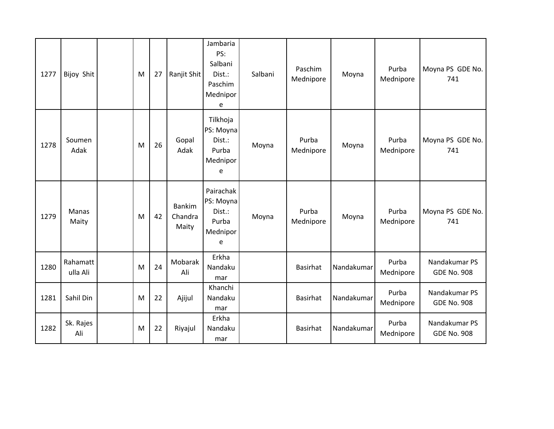| 1277 | Bijoy Shit           | M | 27 | Ranjit Shit                       | Jambaria<br>PS:<br>Salbani<br>Dist.:<br>Paschim<br>Mednipor<br>e | Salbani | Paschim<br>Mednipore | Moyna      | Purba<br>Mednipore | Moyna PS GDE No.<br>741             |
|------|----------------------|---|----|-----------------------------------|------------------------------------------------------------------|---------|----------------------|------------|--------------------|-------------------------------------|
| 1278 | Soumen<br>Adak       | M | 26 | Gopal<br>Adak                     | Tilkhoja<br>PS: Moyna<br>Dist.:<br>Purba<br>Mednipor<br>e        | Moyna   | Purba<br>Mednipore   | Moyna      | Purba<br>Mednipore | Moyna PS GDE No.<br>741             |
| 1279 | Manas<br>Maity       | M | 42 | <b>Bankim</b><br>Chandra<br>Maity | Pairachak<br>PS: Moyna<br>Dist.:<br>Purba<br>Mednipor<br>e       | Moyna   | Purba<br>Mednipore   | Moyna      | Purba<br>Mednipore | Moyna PS GDE No.<br>741             |
| 1280 | Rahamatt<br>ulla Ali | M | 24 | Mobarak<br>Ali                    | Erkha<br>Nandaku<br>mar                                          |         | <b>Basirhat</b>      | Nandakumar | Purba<br>Mednipore | Nandakumar PS<br><b>GDE No. 908</b> |
| 1281 | Sahil Din            | M | 22 | Ajijul                            | Khanchi<br>Nandaku<br>mar                                        |         | <b>Basirhat</b>      | Nandakumar | Purba<br>Mednipore | Nandakumar PS<br><b>GDE No. 908</b> |
| 1282 | Sk. Rajes<br>Ali     | M | 22 | Riyajul                           | Erkha<br>Nandaku<br>mar                                          |         | <b>Basirhat</b>      | Nandakumar | Purba<br>Mednipore | Nandakumar PS<br><b>GDE No. 908</b> |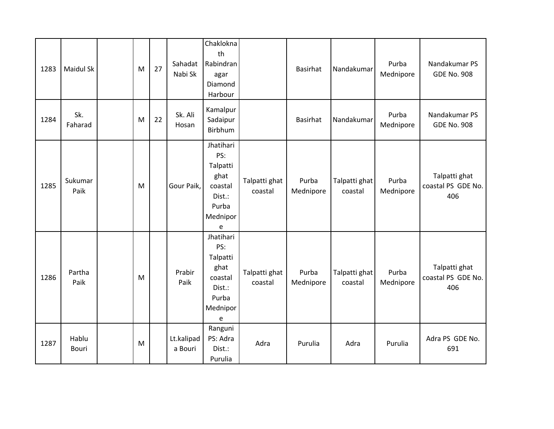| 1283 | <b>Maidul Sk</b> | M | 27 | Sahadat<br>Nabi Sk    | Chaklokna<br>th<br>Rabindran<br>agar<br>Diamond<br>Harbour                          |                          | Basirhat           | Nandakumar               | Purba<br>Mednipore | Nandakumar PS<br><b>GDE No. 908</b>        |
|------|------------------|---|----|-----------------------|-------------------------------------------------------------------------------------|--------------------------|--------------------|--------------------------|--------------------|--------------------------------------------|
| 1284 | Sk.<br>Faharad   | M | 22 | Sk. Ali<br>Hosan      | Kamalpur<br>Sadaipur<br>Birbhum                                                     |                          | Basirhat           | Nandakumar               | Purba<br>Mednipore | Nandakumar PS<br><b>GDE No. 908</b>        |
| 1285 | Sukumar<br>Paik  | M |    | Gour Paik,            | Jhatihari<br>PS:<br>Talpatti<br>ghat<br>coastal<br>Dist.:<br>Purba<br>Mednipor<br>e | Talpatti ghat<br>coastal | Purba<br>Mednipore | Talpatti ghat<br>coastal | Purba<br>Mednipore | Talpatti ghat<br>coastal PS GDE No.<br>406 |
| 1286 | Partha<br>Paik   | M |    | Prabir<br>Paik        | Jhatihari<br>PS:<br>Talpatti<br>ghat<br>coastal<br>Dist.:<br>Purba<br>Mednipor<br>e | Talpatti ghat<br>coastal | Purba<br>Mednipore | Talpatti ghat<br>coastal | Purba<br>Mednipore | Talpatti ghat<br>coastal PS GDE No.<br>406 |
| 1287 | Hablu<br>Bouri   | M |    | Lt.kalipad<br>a Bouri | Ranguni<br>PS: Adra<br>Dist.:<br>Purulia                                            | Adra                     | Purulia            | Adra                     | Purulia            | Adra PS GDE No.<br>691                     |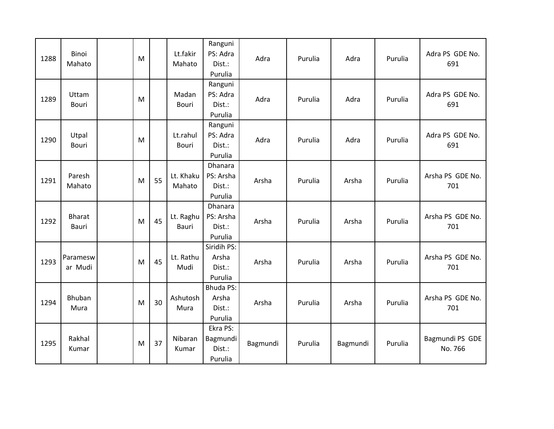| 1288 | <b>Binoi</b><br>Mahato | M |    | Lt.fakir<br>Mahato        | Ranguni<br>PS: Adra<br>Dist.:<br>Purulia         | Adra     | Purulia | Adra     | Purulia | Adra PS GDE No.<br>691     |
|------|------------------------|---|----|---------------------------|--------------------------------------------------|----------|---------|----------|---------|----------------------------|
| 1289 | Uttam<br>Bouri         | M |    | Madan<br>Bouri            | Ranguni<br>PS: Adra<br>Dist.:<br>Purulia         | Adra     | Purulia | Adra     | Purulia | Adra PS GDE No.<br>691     |
| 1290 | Utpal<br>Bouri         | M |    | Lt.rahul<br>Bouri         | Ranguni<br>PS: Adra<br>Dist.:<br>Purulia         | Adra     | Purulia | Adra     | Purulia | Adra PS GDE No.<br>691     |
| 1291 | Paresh<br>Mahato       | M | 55 | Lt. Khaku<br>Mahato       | Dhanara<br>PS: Arsha<br>Dist.:<br>Purulia        | Arsha    | Purulia | Arsha    | Purulia | Arsha PS GDE No.<br>701    |
| 1292 | <b>Bharat</b><br>Bauri | M | 45 | Lt. Raghu<br><b>Bauri</b> | <b>Dhanara</b><br>PS: Arsha<br>Dist.:<br>Purulia | Arsha    | Purulia | Arsha    | Purulia | Arsha PS GDE No.<br>701    |
| 1293 | Paramesw<br>ar Mudi    | M | 45 | Lt. Rathu<br>Mudi         | Siridih PS:<br>Arsha<br>Dist.:<br>Purulia        | Arsha    | Purulia | Arsha    | Purulia | Arsha PS GDE No.<br>701    |
| 1294 | Bhuban<br>Mura         | M | 30 | Ashutosh<br>Mura          | <b>Bhuda PS:</b><br>Arsha<br>Dist.:<br>Purulia   | Arsha    | Purulia | Arsha    | Purulia | Arsha PS GDE No.<br>701    |
| 1295 | Rakhal<br>Kumar        | M | 37 | Nibaran<br>Kumar          | Ekra PS:<br>Bagmundi<br>Dist.:<br>Purulia        | Bagmundi | Purulia | Bagmundi | Purulia | Bagmundi PS GDE<br>No. 766 |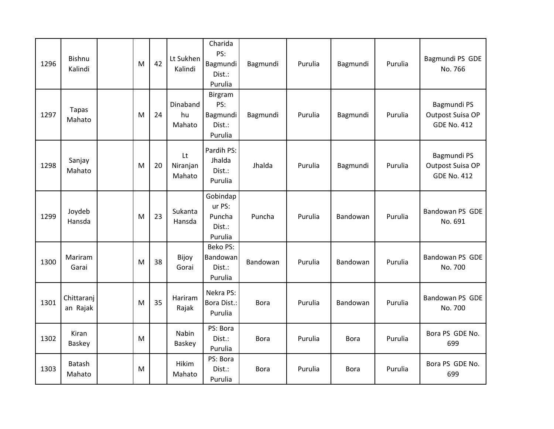| 1296 | Bishnu<br>Kalindi      | M | 42 | Lt Sukhen<br>Kalindi     | Charida<br>PS:<br>Bagmundi<br>Dist.:<br>Purulia   | Bagmundi    | Purulia | Bagmundi    | Purulia | Bagmundi PS GDE<br>No. 766                            |
|------|------------------------|---|----|--------------------------|---------------------------------------------------|-------------|---------|-------------|---------|-------------------------------------------------------|
| 1297 | <b>Tapas</b><br>Mahato | M | 24 | Dinaband<br>hu<br>Mahato | Birgram<br>PS:<br>Bagmundi<br>Dist.:<br>Purulia   | Bagmundi    | Purulia | Bagmundi    | Purulia | Bagmundi PS<br>Outpost Suisa OP<br><b>GDE No. 412</b> |
| 1298 | Sanjay<br>Mahato       | M | 20 | Lt<br>Niranjan<br>Mahato | Pardih PS:<br>Jhalda<br>Dist.:<br>Purulia         | Jhalda      | Purulia | Bagmundi    | Purulia | Bagmundi PS<br>Outpost Suisa OP<br><b>GDE No. 412</b> |
| 1299 | Joydeb<br>Hansda       | M | 23 | Sukanta<br>Hansda        | Gobindap<br>ur PS:<br>Puncha<br>Dist.:<br>Purulia | Puncha      | Purulia | Bandowan    | Purulia | Bandowan PS GDE<br>No. 691                            |
| 1300 | Mariram<br>Garai       | M | 38 | Bijoy<br>Gorai           | Beko PS:<br>Bandowan<br>Dist.:<br>Purulia         | Bandowan    | Purulia | Bandowan    | Purulia | Bandowan PS GDE<br>No. 700                            |
| 1301 | Chittaranj<br>an Rajak | M | 35 | Hariram<br>Rajak         | Nekra PS:<br>Bora Dist.:<br>Purulia               | <b>Bora</b> | Purulia | Bandowan    | Purulia | Bandowan PS GDE<br>No. 700                            |
| 1302 | <b>Kiran</b><br>Baskey | M |    | Nabin<br>Baskey          | PS: Bora<br>Dist.:<br>Purulia                     | <b>Bora</b> | Purulia | <b>Bora</b> | Purulia | Bora PS GDE No.<br>699                                |
| 1303 | Batash<br>Mahato       | M |    | Hikim<br>Mahato          | PS: Bora<br>Dist.:<br>Purulia                     | <b>Bora</b> | Purulia | <b>Bora</b> | Purulia | Bora PS GDE No.<br>699                                |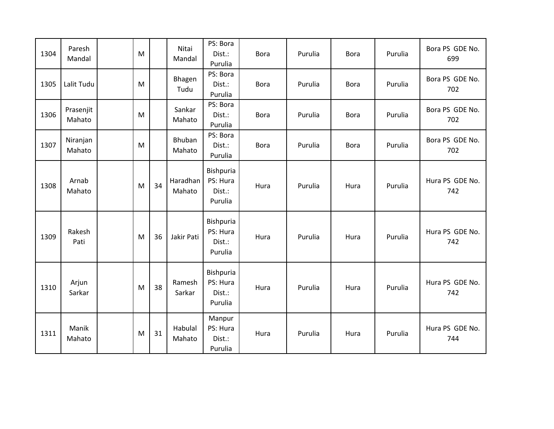| 1304 | Paresh<br>Mandal    | M |    | Nitai<br>Mandal    | PS: Bora<br>Dist.:<br>Purulia              | <b>Bora</b> | Purulia | <b>Bora</b> | Purulia | Bora PS GDE No.<br>699 |
|------|---------------------|---|----|--------------------|--------------------------------------------|-------------|---------|-------------|---------|------------------------|
| 1305 | Lalit Tudu          | M |    | Bhagen<br>Tudu     | PS: Bora<br>Dist.:<br>Purulia              | <b>Bora</b> | Purulia | <b>Bora</b> | Purulia | Bora PS GDE No.<br>702 |
| 1306 | Prasenjit<br>Mahato | M |    | Sankar<br>Mahato   | PS: Bora<br>Dist.:<br>Purulia              | <b>Bora</b> | Purulia | <b>Bora</b> | Purulia | Bora PS GDE No.<br>702 |
| 1307 | Niranjan<br>Mahato  | M |    | Bhuban<br>Mahato   | PS: Bora<br>Dist.:<br>Purulia              | <b>Bora</b> | Purulia | <b>Bora</b> | Purulia | Bora PS GDE No.<br>702 |
| 1308 | Arnab<br>Mahato     | M | 34 | Haradhan<br>Mahato | Bishpuria<br>PS: Hura<br>Dist.:<br>Purulia | Hura        | Purulia | Hura        | Purulia | Hura PS GDE No.<br>742 |
| 1309 | Rakesh<br>Pati      | M | 36 | Jakir Pati         | Bishpuria<br>PS: Hura<br>Dist.:<br>Purulia | Hura        | Purulia | Hura        | Purulia | Hura PS GDE No.<br>742 |
| 1310 | Arjun<br>Sarkar     | M | 38 | Ramesh<br>Sarkar   | Bishpuria<br>PS: Hura<br>Dist.:<br>Purulia | Hura        | Purulia | Hura        | Purulia | Hura PS GDE No.<br>742 |
| 1311 | Manik<br>Mahato     | M | 31 | Habulal<br>Mahato  | Manpur<br>PS: Hura<br>Dist.:<br>Purulia    | Hura        | Purulia | Hura        | Purulia | Hura PS GDE No.<br>744 |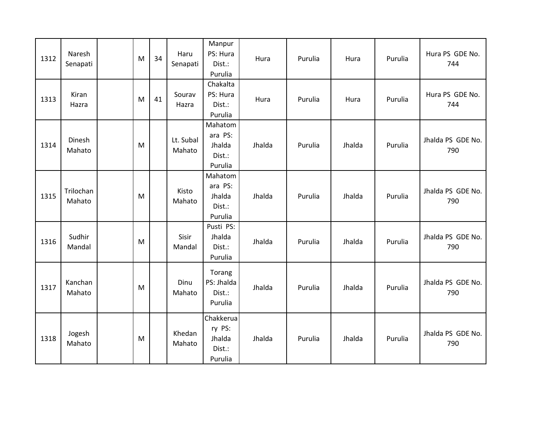| 1312 | Naresh<br>Senapati  | M | 34 | Haru<br>Senapati    | Manpur<br>PS: Hura<br>Dist.:<br>Purulia            | Hura   | Purulia | Hura   | Purulia | Hura PS GDE No.<br>744   |
|------|---------------------|---|----|---------------------|----------------------------------------------------|--------|---------|--------|---------|--------------------------|
| 1313 | Kiran<br>Hazra      | M | 41 | Sourav<br>Hazra     | Chakalta<br>PS: Hura<br>Dist.:<br>Purulia          | Hura   | Purulia | Hura   | Purulia | Hura PS GDE No.<br>744   |
| 1314 | Dinesh<br>Mahato    | M |    | Lt. Subal<br>Mahato | Mahatom<br>ara PS:<br>Jhalda<br>Dist.:<br>Purulia  | Jhalda | Purulia | Jhalda | Purulia | Jhalda PS GDE No.<br>790 |
| 1315 | Trilochan<br>Mahato | M |    | Kisto<br>Mahato     | Mahatom<br>ara PS:<br>Jhalda<br>Dist.:<br>Purulia  | Jhalda | Purulia | Jhalda | Purulia | Jhalda PS GDE No.<br>790 |
| 1316 | Sudhir<br>Mandal    | M |    | Sisir<br>Mandal     | Pusti PS:<br>Jhalda<br>Dist.:<br>Purulia           | Jhalda | Purulia | Jhalda | Purulia | Jhalda PS GDE No.<br>790 |
| 1317 | Kanchan<br>Mahato   | M |    | Dinu<br>Mahato      | Torang<br>PS: Jhalda<br>Dist.:<br>Purulia          | Jhalda | Purulia | Jhalda | Purulia | Jhalda PS GDE No.<br>790 |
| 1318 | Jogesh<br>Mahato    | M |    | Khedan<br>Mahato    | Chakkerua<br>ry PS:<br>Jhalda<br>Dist.:<br>Purulia | Jhalda | Purulia | Jhalda | Purulia | Jhalda PS GDE No.<br>790 |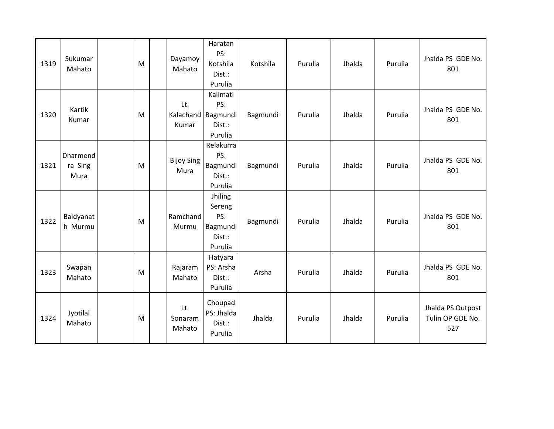| 1319 | Sukumar<br>Mahato                  | M | Dayamoy<br>Mahato                  | Haratan<br>PS:<br>Kotshila<br>Dist.:<br>Purulia           | Kotshila | Purulia | Jhalda | Purulia | Jhalda PS GDE No.<br>801                     |
|------|------------------------------------|---|------------------------------------|-----------------------------------------------------------|----------|---------|--------|---------|----------------------------------------------|
| 1320 | Kartik<br>Kumar                    | M | Lt.<br>Kalachand Bagmundi<br>Kumar | Kalimati<br>PS:<br>Dist.:<br>Purulia                      | Bagmundi | Purulia | Jhalda | Purulia | Jhalda PS GDE No.<br>801                     |
| 1321 | <b>Dharmend</b><br>ra Sing<br>Mura | M | <b>Bijoy Sing</b><br>Mura          | Relakurra<br>PS:<br>Bagmundi<br>Dist.:<br>Purulia         | Bagmundi | Purulia | Jhalda | Purulia | Jhalda PS GDE No.<br>801                     |
| 1322 | Baidyanat<br>h Murmu               | M | Ramchand<br>Murmu                  | Jhiling<br>Sereng<br>PS:<br>Bagmundi<br>Dist.:<br>Purulia | Bagmundi | Purulia | Jhalda | Purulia | Jhalda PS GDE No.<br>801                     |
| 1323 | Swapan<br>Mahato                   | M | Rajaram<br>Mahato                  | Hatyara<br>PS: Arsha<br>Dist.:<br>Purulia                 | Arsha    | Purulia | Jhalda | Purulia | Jhalda PS GDE No.<br>801                     |
| 1324 | Jyotilal<br>Mahato                 | M | Lt.<br>Sonaram<br>Mahato           | Choupad<br>PS: Jhalda<br>Dist.:<br>Purulia                | Jhalda   | Purulia | Jhalda | Purulia | Jhalda PS Outpost<br>Tulin OP GDE No.<br>527 |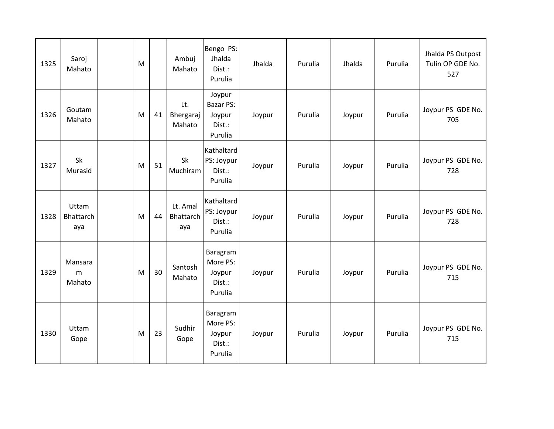| 1325 | Saroj<br>Mahato           | M |    | Ambuj<br>Mahato              | Bengo PS:<br>Jhalda<br>Dist.:<br>Purulia            | Jhalda | Purulia | Jhalda | Purulia | Jhalda PS Outpost<br>Tulin OP GDE No.<br>527 |
|------|---------------------------|---|----|------------------------------|-----------------------------------------------------|--------|---------|--------|---------|----------------------------------------------|
| 1326 | Goutam<br>Mahato          | M | 41 | Lt.<br>Bhergaraj<br>Mahato   | Joypur<br>Bazar PS:<br>Joypur<br>Dist.:<br>Purulia  | Joypur | Purulia | Joypur | Purulia | Joypur PS GDE No.<br>705                     |
| 1327 | Sk<br>Murasid             | M | 51 | Sk<br>Muchiram               | Kathaltard<br>PS: Joypur<br>Dist.:<br>Purulia       | Joypur | Purulia | Joypur | Purulia | Joypur PS GDE No.<br>728                     |
| 1328 | Uttam<br>Bhattarch<br>aya | M | 44 | Lt. Amal<br>Bhattarch<br>aya | Kathaltard<br>PS: Joypur<br>Dist.:<br>Purulia       | Joypur | Purulia | Joypur | Purulia | Joypur PS GDE No.<br>728                     |
| 1329 | Mansara<br>m<br>Mahato    | M | 30 | Santosh<br>Mahato            | Baragram<br>More PS:<br>Joypur<br>Dist.:<br>Purulia | Joypur | Purulia | Joypur | Purulia | Joypur PS GDE No.<br>715                     |
| 1330 | Uttam<br>Gope             | M | 23 | Sudhir<br>Gope               | Baragram<br>More PS:<br>Joypur<br>Dist.:<br>Purulia | Joypur | Purulia | Joypur | Purulia | Joypur PS GDE No.<br>715                     |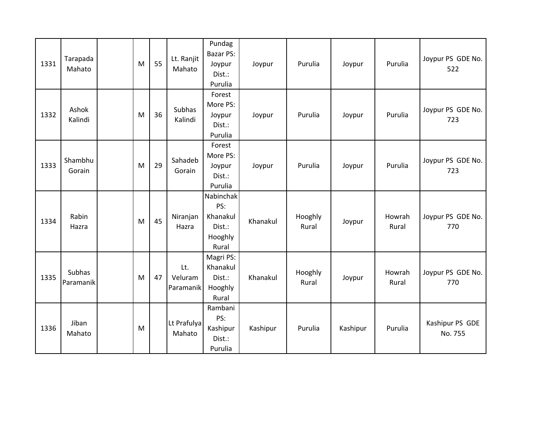| 1331 | Tarapada<br>Mahato  | M | 55 | Lt. Ranjit<br>Mahato        | Pundag<br><b>Bazar PS:</b><br>Joypur<br>Dist.:<br>Purulia  | Joypur   | Purulia          | Joypur   | Purulia         | Joypur PS GDE No.<br>522   |
|------|---------------------|---|----|-----------------------------|------------------------------------------------------------|----------|------------------|----------|-----------------|----------------------------|
| 1332 | Ashok<br>Kalindi    | M | 36 | Subhas<br>Kalindi           | Forest<br>More PS:<br>Joypur<br>Dist.:<br>Purulia          | Joypur   | Purulia          | Joypur   | Purulia         | Joypur PS GDE No.<br>723   |
| 1333 | Shambhu<br>Gorain   | M | 29 | Sahadeb<br>Gorain           | Forest<br>More PS:<br>Joypur<br>Dist.:<br>Purulia          | Joypur   | Purulia          | Joypur   | Purulia         | Joypur PS GDE No.<br>723   |
| 1334 | Rabin<br>Hazra      | M | 45 | Niranjan<br>Hazra           | Nabinchak<br>PS:<br>Khanakul<br>Dist.:<br>Hooghly<br>Rural | Khanakul | Hooghly<br>Rural | Joypur   | Howrah<br>Rural | Joypur PS GDE No.<br>770   |
| 1335 | Subhas<br>Paramanik | M | 47 | Lt.<br>Veluram<br>Paramanik | Magri PS:<br>Khanakul<br>Dist.:<br>Hooghly<br>Rural        | Khanakul | Hooghly<br>Rural | Joypur   | Howrah<br>Rural | Joypur PS GDE No.<br>770   |
| 1336 | Jiban<br>Mahato     | M |    | Lt Prafulya<br>Mahato       | Rambani<br>PS:<br>Kashipur<br>Dist.:<br>Purulia            | Kashipur | Purulia          | Kashipur | Purulia         | Kashipur PS GDE<br>No. 755 |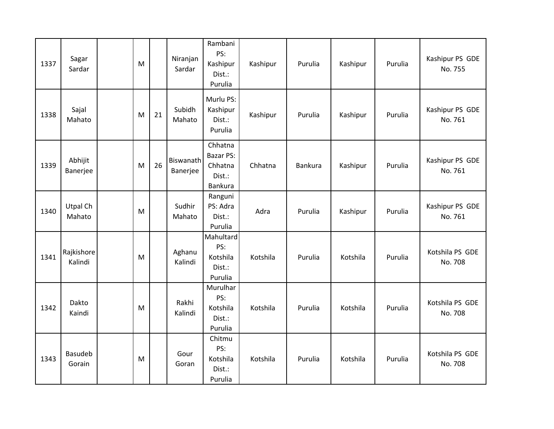| 1337 | Sagar<br>Sardar       | M |    | Niranjan<br>Sardar    | Rambani<br>PS:<br>Kashipur<br>Dist.:<br>Purulia             | Kashipur | Purulia | Kashipur | Purulia | Kashipur PS GDE<br>No. 755 |
|------|-----------------------|---|----|-----------------------|-------------------------------------------------------------|----------|---------|----------|---------|----------------------------|
| 1338 | Sajal<br>Mahato       | M | 21 | Subidh<br>Mahato      | Murlu PS:<br>Kashipur<br>Dist.:<br>Purulia                  | Kashipur | Purulia | Kashipur | Purulia | Kashipur PS GDE<br>No. 761 |
| 1339 | Abhijit<br>Banerjee   | M | 26 | Biswanath<br>Banerjee | Chhatna<br><b>Bazar PS:</b><br>Chhatna<br>Dist.:<br>Bankura | Chhatna  | Bankura | Kashipur | Purulia | Kashipur PS GDE<br>No. 761 |
| 1340 | Utpal Ch<br>Mahato    | M |    | Sudhir<br>Mahato      | Ranguni<br>PS: Adra<br>Dist.:<br>Purulia                    | Adra     | Purulia | Kashipur | Purulia | Kashipur PS GDE<br>No. 761 |
| 1341 | Rajkishore<br>Kalindi | M |    | Aghanu<br>Kalindi     | Mahultard<br>PS:<br>Kotshila<br>Dist.:<br>Purulia           | Kotshila | Purulia | Kotshila | Purulia | Kotshila PS GDE<br>No. 708 |
| 1342 | Dakto<br>Kaindi       | M |    | Rakhi<br>Kalindi      | Murulhar<br>PS:<br>Kotshila<br>Dist.:<br>Purulia            | Kotshila | Purulia | Kotshila | Purulia | Kotshila PS GDE<br>No. 708 |
| 1343 | Basudeb<br>Gorain     | M |    | Gour<br>Goran         | Chitmu<br>PS:<br>Kotshila<br>Dist.:<br>Purulia              | Kotshila | Purulia | Kotshila | Purulia | Kotshila PS GDE<br>No. 708 |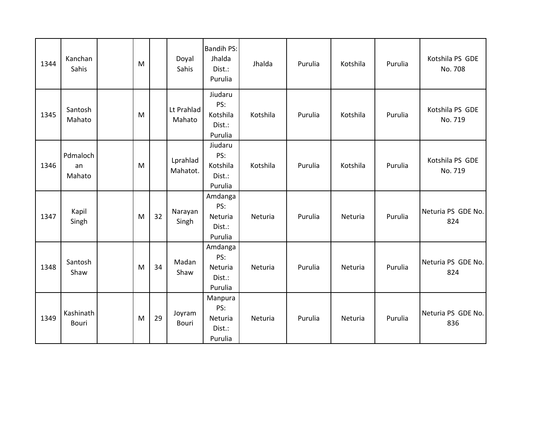| 1344 | Kanchan<br>Sahis         | M |    | Doyal<br>Sahis         | <b>Bandih PS:</b><br>Jhalda<br>Dist.:<br>Purulia | Jhalda   | Purulia | Kotshila | Purulia | Kotshila PS GDE<br>No. 708 |
|------|--------------------------|---|----|------------------------|--------------------------------------------------|----------|---------|----------|---------|----------------------------|
| 1345 | Santosh<br>Mahato        | M |    | Lt Prahlad<br>Mahato   | Jiudaru<br>PS:<br>Kotshila<br>Dist.:<br>Purulia  | Kotshila | Purulia | Kotshila | Purulia | Kotshila PS GDE<br>No. 719 |
| 1346 | Pdmaloch<br>an<br>Mahato | M |    | Lprahlad<br>Mahatot.   | Jiudaru<br>PS:<br>Kotshila<br>Dist.:<br>Purulia  | Kotshila | Purulia | Kotshila | Purulia | Kotshila PS GDE<br>No. 719 |
| 1347 | Kapil<br>Singh           | M | 32 | Narayan<br>Singh       | Amdanga<br>PS:<br>Neturia<br>Dist.:<br>Purulia   | Neturia  | Purulia | Neturia  | Purulia | Neturia PS GDE No.<br>824  |
| 1348 | Santosh<br>Shaw          | M | 34 | Madan<br>Shaw          | Amdanga<br>PS:<br>Neturia<br>Dist.:<br>Purulia   | Neturia  | Purulia | Neturia  | Purulia | Neturia PS GDE No.<br>824  |
| 1349 | Kashinath<br>Bouri       | M | 29 | Joyram<br><b>Bouri</b> | Manpura<br>PS:<br>Neturia<br>Dist.:<br>Purulia   | Neturia  | Purulia | Neturia  | Purulia | Neturia PS GDE No.<br>836  |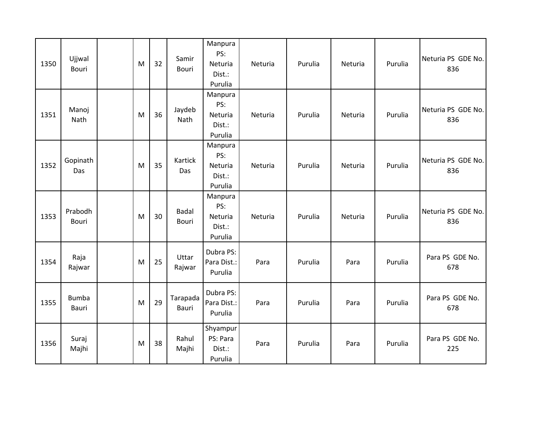| 1350 | Ujjwal<br>Bouri              | M | 32 | Samir<br><b>Bouri</b>        | Manpura<br>PS:<br>Neturia<br>Dist.:<br>Purulia | Neturia | Purulia | Neturia | Purulia | Neturia PS GDE No.<br>836 |
|------|------------------------------|---|----|------------------------------|------------------------------------------------|---------|---------|---------|---------|---------------------------|
| 1351 | Manoj<br>Nath                | M | 36 | Jaydeb<br>Nath               | Manpura<br>PS:<br>Neturia<br>Dist.:<br>Purulia | Neturia | Purulia | Neturia | Purulia | Neturia PS GDE No.<br>836 |
| 1352 | Gopinath<br>Das              | M | 35 | Kartick<br>Das               | Manpura<br>PS:<br>Neturia<br>Dist.:<br>Purulia | Neturia | Purulia | Neturia | Purulia | Neturia PS GDE No.<br>836 |
| 1353 | Prabodh<br>Bouri             | M | 30 | <b>Badal</b><br><b>Bouri</b> | Manpura<br>PS:<br>Neturia<br>Dist.:<br>Purulia | Neturia | Purulia | Neturia | Purulia | Neturia PS GDE No.<br>836 |
| 1354 | Raja<br>Rajwar               | M | 25 | Uttar<br>Rajwar              | Dubra PS:<br>Para Dist.:<br>Purulia            | Para    | Purulia | Para    | Purulia | Para PS GDE No.<br>678    |
| 1355 | <b>Bumba</b><br><b>Bauri</b> | M | 29 | Tarapada<br>Bauri            | Dubra PS:<br>Para Dist.:<br>Purulia            | Para    | Purulia | Para    | Purulia | Para PS GDE No.<br>678    |
| 1356 | Suraj<br>Majhi               | M | 38 | Rahul<br>Majhi               | Shyampur<br>PS: Para<br>Dist.:<br>Purulia      | Para    | Purulia | Para    | Purulia | Para PS GDE No.<br>225    |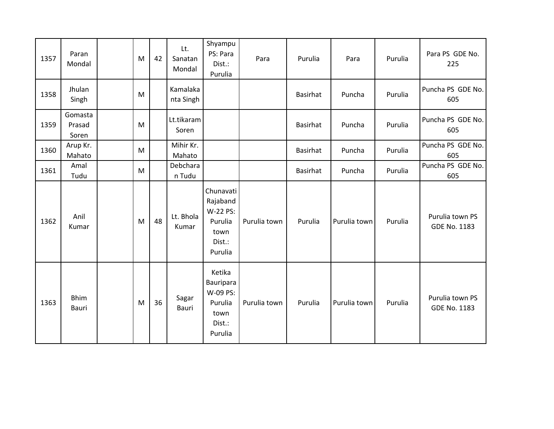| 1357 | Paran<br>Mondal             | M | 42 | Lt.<br>Sanatan<br>Mondal | Shyampu<br>PS: Para<br>Dist.:<br>Purulia                                  | Para         | Purulia         | Para         | Purulia | Para PS GDE No.<br>225          |
|------|-----------------------------|---|----|--------------------------|---------------------------------------------------------------------------|--------------|-----------------|--------------|---------|---------------------------------|
| 1358 | Jhulan<br>Singh             | M |    | Kamalaka<br>nta Singh    |                                                                           |              | Basirhat        | Puncha       | Purulia | Puncha PS GDE No.<br>605        |
| 1359 | Gomasta<br>Prasad<br>Soren  | M |    | Lt.tikaram<br>Soren      |                                                                           |              | <b>Basirhat</b> | Puncha       | Purulia | Puncha PS GDE No.<br>605        |
| 1360 | Arup Kr.<br>Mahato          | M |    | Mihir Kr.<br>Mahato      |                                                                           |              | Basirhat        | Puncha       | Purulia | Puncha PS GDE No.<br>605        |
| 1361 | Amal<br>Tudu                | M |    | Debchara<br>n Tudu       |                                                                           |              | <b>Basirhat</b> | Puncha       | Purulia | Puncha PS GDE No.<br>605        |
| 1362 | Anil<br>Kumar               | M | 48 | Lt. Bhola<br>Kumar       | Chunavati<br>Rajaband<br>W-22 PS:<br>Purulia<br>town<br>Dist.:<br>Purulia | Purulia town | Purulia         | Purulia town | Purulia | Purulia town PS<br>GDE No. 1183 |
| 1363 | <b>Bhim</b><br><b>Bauri</b> | M | 36 | Sagar<br>Bauri           | Ketika<br>Bauripara<br>W-09 PS:<br>Purulia<br>town<br>Dist.:<br>Purulia   | Purulia town | Purulia         | Purulia town | Purulia | Purulia town PS<br>GDE No. 1183 |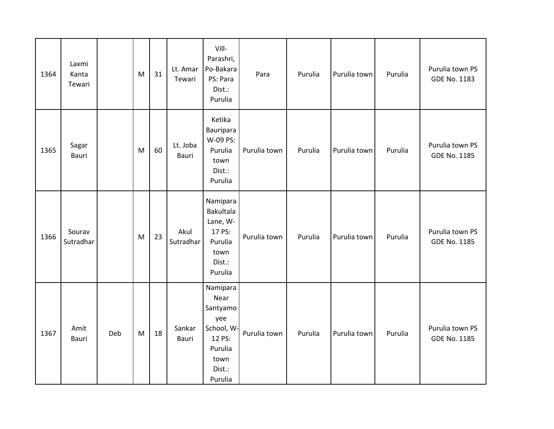| 1364 | Laxmi<br>Kanta<br>Tewari |     | M | 31 | Lt. Amar<br>Tewari | Vill-<br>Parashri,<br>Po-Bakara<br>PS: Para<br>Dist.:<br>Purulia                                    | Para         | Purulia | Purulia town | Purulia | Purulia town PS<br>GDE No. 1183        |
|------|--------------------------|-----|---|----|--------------------|-----------------------------------------------------------------------------------------------------|--------------|---------|--------------|---------|----------------------------------------|
| 1365 | Sagar<br>Bauri           |     | M | 60 | Lt. Joba<br>Bauri  | Ketika<br>Bauripara<br>W-09 PS:<br>Purulia<br>town<br>Dist.:<br>Purulia                             | Purulia town | Purulia | Purulia town | Purulia | Purulia town PS<br><b>GDE No. 1185</b> |
| 1366 | Sourav<br>Sutradhar      |     | M | 23 | Akul<br>Sutradhar  | Namipara<br><b>Bakultala</b><br>Lane, W-<br>17 PS:<br>Purulia<br>town<br>Dist.:<br>Purulia          | Purulia town | Purulia | Purulia town | Purulia | Purulia town PS<br>GDE No. 1185        |
| 1367 | Amit<br>Bauri            | Deb | M | 18 | Sankar<br>Bauri    | Namipara<br>Near<br>Santyamo<br>yee<br>School, W-<br>12 PS:<br>Purulia<br>town<br>Dist.:<br>Purulia | Purulia town | Purulia | Purulia town | Purulia | Purulia town PS<br><b>GDE No. 1185</b> |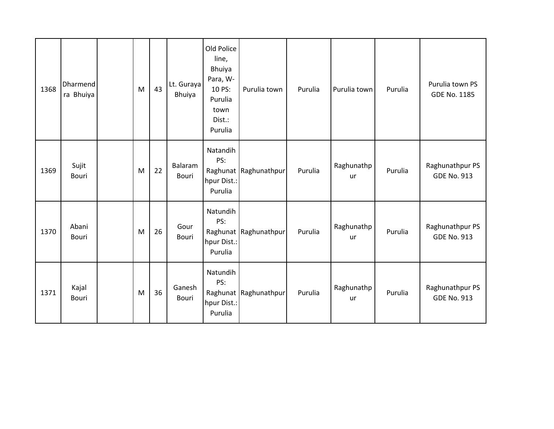| 1368 | Dharmend<br>ra Bhuiya | M | 43 | Lt. Guraya<br>Bhuiya | Old Police<br>line,<br><b>Bhuiya</b><br>Para, W-<br>10 PS:<br>Purulia<br>town<br>Dist.:<br>Purulia | Purulia town          | Purulia | Purulia town            | Purulia | Purulia town PS<br>GDE No. 1185       |
|------|-----------------------|---|----|----------------------|----------------------------------------------------------------------------------------------------|-----------------------|---------|-------------------------|---------|---------------------------------------|
| 1369 | Sujit<br><b>Bouri</b> | M | 22 | Balaram<br>Bouri     | Natandih<br>PS:<br>hpur Dist.:<br>Purulia                                                          | Raghunat Raghunathpur | Purulia | Raghunathp<br><b>ur</b> | Purulia | Raghunathpur PS<br><b>GDE No. 913</b> |
| 1370 | Abani<br>Bouri        | M | 26 | Gour<br>Bouri        | Natundih<br>PS:<br>hpur Dist.:<br>Purulia                                                          | Raghunat Raghunathpur | Purulia | Raghunathp<br><b>ur</b> | Purulia | Raghunathpur PS<br><b>GDE No. 913</b> |
| 1371 | Kajal<br>Bouri        | M | 36 | Ganesh<br>Bouri      | Natundih<br>PS:<br>hpur Dist.:<br>Purulia                                                          | Raghunat Raghunathpur | Purulia | Raghunathp<br><b>ur</b> | Purulia | Raghunathpur PS<br><b>GDE No. 913</b> |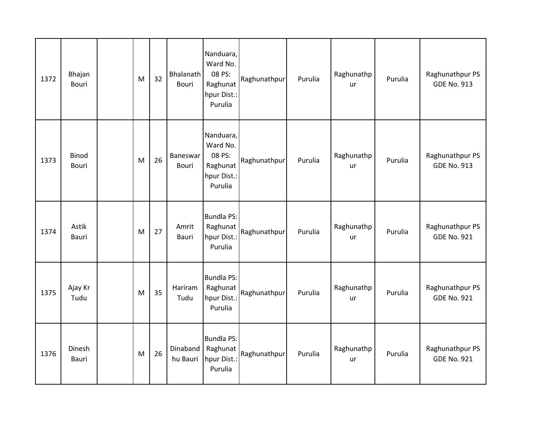| 1372 | Bhajan<br>Bouri        | M | 32 | <b>Bhalanath</b><br><b>Bouri</b> | Nanduara,<br>Ward No.<br>08 PS:<br>Raghunat<br>hpur Dist.:<br>Purulia | Raghunathpur | Purulia | Raghunathp<br>ur | Purulia | Raghunathpur PS<br><b>GDE No. 913</b> |
|------|------------------------|---|----|----------------------------------|-----------------------------------------------------------------------|--------------|---------|------------------|---------|---------------------------------------|
| 1373 | <b>Binod</b><br>Bouri  | M | 26 | Baneswar<br>Bouri                | Nanduara,<br>Ward No.<br>08 PS:<br>Raghunat<br>hpur Dist.:<br>Purulia | Raghunathpur | Purulia | Raghunathp<br>ur | Purulia | Raghunathpur PS<br><b>GDE No. 913</b> |
| 1374 | Astik<br>Bauri         | M | 27 | Amrit<br>Bauri                   | <b>Bundla PS:</b><br>Raghunat<br>hpur Dist.:<br>Purulia               | Raghunathpur | Purulia | Raghunathp<br>ur | Purulia | Raghunathpur PS<br><b>GDE No. 921</b> |
| 1375 | Ajay Kr<br>Tudu        | M | 35 | Hariram<br>Tudu                  | <b>Bundla PS:</b><br>Raghunat<br>hpur Dist.:<br>Purulia               | Raghunathpur | Purulia | Raghunathp<br>ur | Purulia | Raghunathpur PS<br><b>GDE No. 921</b> |
| 1376 | Dinesh<br><b>Bauri</b> | M | 26 | Dinaband<br>hu Bauri             | <b>Bundla PS:</b><br>Raghunat<br>hpur Dist.:<br>Purulia               | Raghunathpur | Purulia | Raghunathp<br>ur | Purulia | Raghunathpur PS<br><b>GDE No. 921</b> |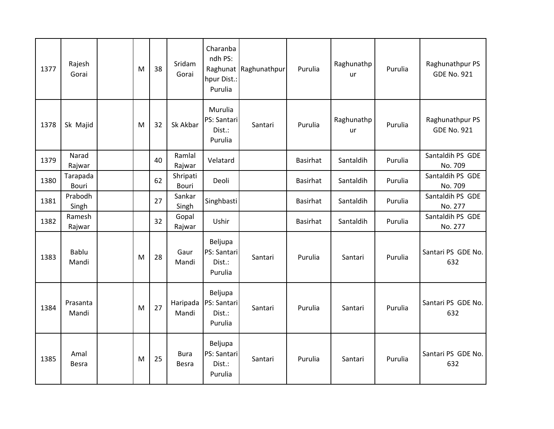| 1377 | Rajesh<br>Gorai   | M | 38 | Sridam<br>Gorai             | Charanba<br>ndh PS:<br>hpur Dist.:<br>Purulia | Raghunat Raghunathpur | Purulia         | Raghunathp<br>ur | Purulia | Raghunathpur PS<br><b>GDE No. 921</b> |
|------|-------------------|---|----|-----------------------------|-----------------------------------------------|-----------------------|-----------------|------------------|---------|---------------------------------------|
| 1378 | Sk Majid          | M | 32 | Sk Akbar                    | Murulia<br>PS: Santari<br>Dist.:<br>Purulia   | Santari               | Purulia         | Raghunathp<br>ur | Purulia | Raghunathpur PS<br><b>GDE No. 921</b> |
| 1379 | Narad<br>Rajwar   |   | 40 | Ramlal<br>Rajwar            | Velatard                                      |                       | <b>Basirhat</b> | Santaldih        | Purulia | Santaldih PS GDE<br>No. 709           |
| 1380 | Tarapada<br>Bouri |   | 62 | Shripati<br>Bouri           | Deoli                                         |                       | Basirhat        | Santaldih        | Purulia | Santaldih PS GDE<br>No. 709           |
| 1381 | Prabodh<br>Singh  |   | 27 | Sankar<br>Singh             | Singhbasti                                    |                       | <b>Basirhat</b> | Santaldih        | Purulia | Santaldih PS GDE<br>No. 277           |
| 1382 | Ramesh<br>Rajwar  |   | 32 | Gopal<br>Rajwar             | Ushir                                         |                       | Basirhat        | Santaldih        | Purulia | Santaldih PS GDE<br>No. 277           |
| 1383 | Bablu<br>Mandi    | M | 28 | Gaur<br>Mandi               | Beljupa<br>PS: Santari<br>Dist.:<br>Purulia   | Santari               | Purulia         | Santari          | Purulia | Santari PS GDE No.<br>632             |
| 1384 | Prasanta<br>Mandi | M | 27 | Haripada<br>Mandi           | Beljupa<br>PS: Santari<br>Dist.:<br>Purulia   | Santari               | Purulia         | Santari          | Purulia | Santari PS GDE No.<br>632             |
| 1385 | Amal<br>Besra     | M | 25 | <b>Bura</b><br><b>Besra</b> | Beljupa<br>PS: Santari<br>Dist.:<br>Purulia   | Santari               | Purulia         | Santari          | Purulia | Santari PS GDE No.<br>632             |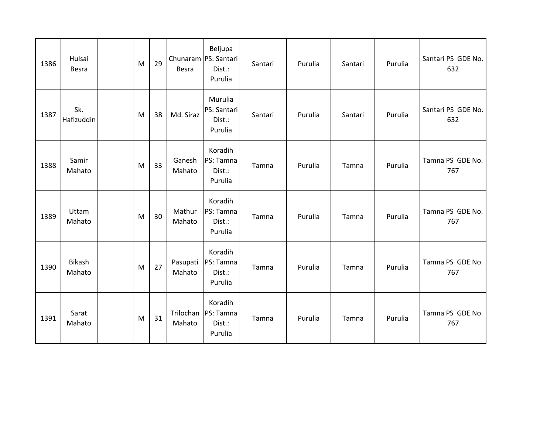| 1386 | Hulsai<br><b>Besra</b> | M | 29 | <b>Besra</b>        | Beljupa<br>Chunaram PS: Santari<br>Dist.:<br>Purulia | Santari | Purulia | Santari | Purulia | Santari PS GDE No.<br>632 |
|------|------------------------|---|----|---------------------|------------------------------------------------------|---------|---------|---------|---------|---------------------------|
| 1387 | Sk.<br>Hafizuddin      | M | 38 | Md. Siraz           | Murulia<br>PS: Santari<br>Dist.:<br>Purulia          | Santari | Purulia | Santari | Purulia | Santari PS GDE No.<br>632 |
| 1388 | Samir<br>Mahato        | M | 33 | Ganesh<br>Mahato    | Koradih<br>PS: Tamna<br>Dist.:<br>Purulia            | Tamna   | Purulia | Tamna   | Purulia | Tamna PS GDE No.<br>767   |
| 1389 | Uttam<br>Mahato        | M | 30 | Mathur<br>Mahato    | Koradih<br>PS: Tamna<br>Dist.:<br>Purulia            | Tamna   | Purulia | Tamna   | Purulia | Tamna PS GDE No.<br>767   |
| 1390 | Bikash<br>Mahato       | M | 27 | Pasupati<br>Mahato  | Koradih<br>PS: Tamna<br>Dist.:<br>Purulia            | Tamna   | Purulia | Tamna   | Purulia | Tamna PS GDE No.<br>767   |
| 1391 | Sarat<br>Mahato        | M | 31 | Trilochan<br>Mahato | Koradih<br>PS: Tamna<br>Dist.:<br>Purulia            | Tamna   | Purulia | Tamna   | Purulia | Tamna PS GDE No.<br>767   |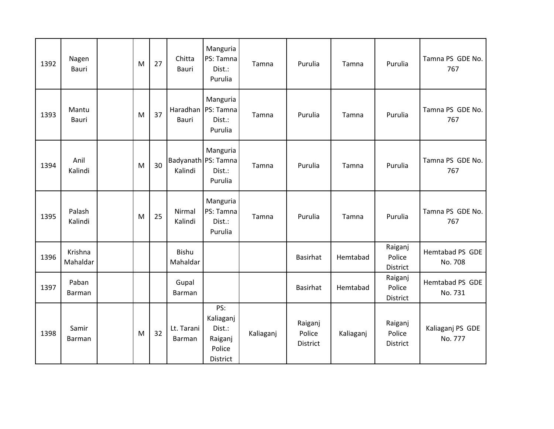| 1392 | Nagen<br>Bauri         | M | 27 | Chitta<br>Bauri                | Manguria<br>PS: Tamna<br>Dist.:<br>Purulia                  | Tamna     | Purulia                       | Tamna     | Purulia                       | Tamna PS GDE No.<br>767     |
|------|------------------------|---|----|--------------------------------|-------------------------------------------------------------|-----------|-------------------------------|-----------|-------------------------------|-----------------------------|
| 1393 | Mantu<br>Bauri         | M | 37 | Bauri                          | Manguria<br>Haradhan PS: Tamna<br>Dist.:<br>Purulia         | Tamna     | Purulia                       | Tamna     | Purulia                       | Tamna PS GDE No.<br>767     |
| 1394 | Anil<br>Kalindi        | M | 30 | Badyanath PS: Tamna<br>Kalindi | Manguria<br>Dist.:<br>Purulia                               | Tamna     | Purulia                       | Tamna     | Purulia                       | Tamna PS GDE No.<br>767     |
| 1395 | Palash<br>Kalindi      | M | 25 | Nirmal<br>Kalindi              | Manguria<br>PS: Tamna<br>Dist.:<br>Purulia                  | Tamna     | Purulia                       | Tamna     | Purulia                       | Tamna PS GDE No.<br>767     |
| 1396 | Krishna<br>Mahaldar    |   |    | <b>Bishu</b><br>Mahaldar       |                                                             |           | <b>Basirhat</b>               | Hemtabad  | Raiganj<br>Police<br>District | Hemtabad PS GDE<br>No. 708  |
| 1397 | Paban<br>Barman        |   |    | Gupal<br>Barman                |                                                             |           | <b>Basirhat</b>               | Hemtabad  | Raiganj<br>Police<br>District | Hemtabad PS GDE<br>No. 731  |
| 1398 | Samir<br><b>Barman</b> | M | 32 | Lt. Tarani<br>Barman           | PS:<br>Kaliaganj<br>Dist.:<br>Raiganj<br>Police<br>District | Kaliaganj | Raiganj<br>Police<br>District | Kaliaganj | Raiganj<br>Police<br>District | Kaliaganj PS GDE<br>No. 777 |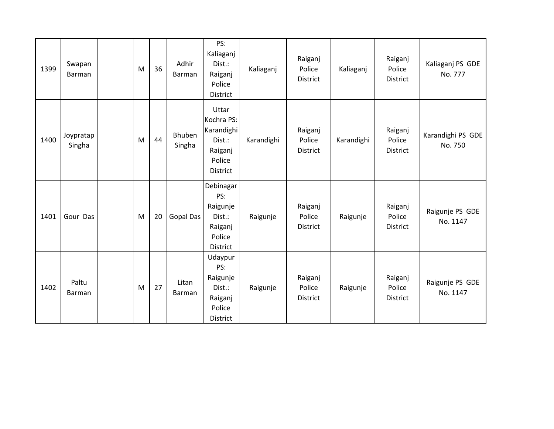| 1399 | Swapan<br>Barman    | M | 36 | Adhir<br>Barman  | PS:<br>Kaliaganj<br>Dist.:<br>Raiganj<br>Police<br>District                         | Kaliaganj  | Raiganj<br>Police<br><b>District</b> | Kaliaganj  | Raiganj<br>Police<br>District | Kaliaganj PS GDE<br>No. 777  |
|------|---------------------|---|----|------------------|-------------------------------------------------------------------------------------|------------|--------------------------------------|------------|-------------------------------|------------------------------|
| 1400 | Joypratap<br>Singha | M | 44 | Bhuben<br>Singha | Uttar<br>Kochra PS:<br><b>Karandighi</b><br>Dist.:<br>Raiganj<br>Police<br>District | Karandighi | Raiganj<br>Police<br>District        | Karandighi | Raiganj<br>Police<br>District | Karandighi PS GDE<br>No. 750 |
| 1401 | Gour Das            | M | 20 | Gopal Das        | Debinagar<br>PS:<br>Raigunje<br>Dist.:<br>Raiganj<br>Police<br>District             | Raigunje   | Raiganj<br>Police<br><b>District</b> | Raigunje   | Raiganj<br>Police<br>District | Raigunje PS GDE<br>No. 1147  |
| 1402 | Paltu<br>Barman     | M | 27 | Litan<br>Barman  | Udaypur<br>PS:<br>Raigunje<br>Dist.:<br>Raiganj<br>Police<br><b>District</b>        | Raigunje   | Raiganj<br>Police<br>District        | Raigunje   | Raiganj<br>Police<br>District | Raigunje PS GDE<br>No. 1147  |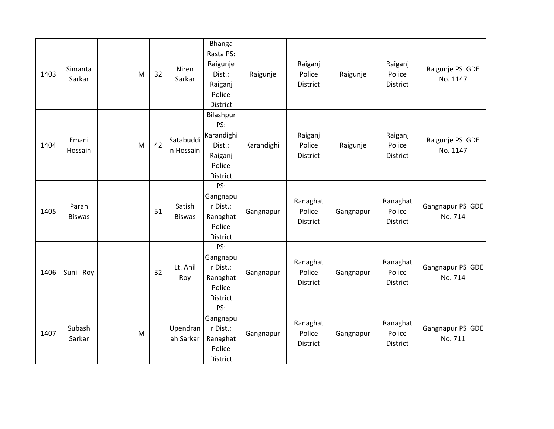| 1403 | Simanta<br>Sarkar      | M | 32 | Niren<br>Sarkar         | Bhanga<br>Rasta PS:<br>Raigunje<br>Dist.:<br>Raiganj<br>Police<br>District | Raigunje   | Raiganj<br>Police<br><b>District</b>  | Raigunje  | Raiganj<br>Police<br><b>District</b>  | Raigunje PS GDE<br>No. 1147 |
|------|------------------------|---|----|-------------------------|----------------------------------------------------------------------------|------------|---------------------------------------|-----------|---------------------------------------|-----------------------------|
| 1404 | Emani<br>Hossain       | M | 42 | Satabuddi<br>n Hossain  | Bilashpur<br>PS:<br>Karandighi<br>Dist.:<br>Raiganj<br>Police<br>District  | Karandighi | Raiganj<br>Police<br><b>District</b>  | Raigunje  | Raiganj<br>Police<br><b>District</b>  | Raigunje PS GDE<br>No. 1147 |
| 1405 | Paran<br><b>Biswas</b> |   | 51 | Satish<br><b>Biswas</b> | PS:<br>Gangnapu<br>r Dist.:<br>Ranaghat<br>Police<br>District              | Gangnapur  | Ranaghat<br>Police<br>District        | Gangnapur | Ranaghat<br>Police<br><b>District</b> | Gangnapur PS GDE<br>No. 714 |
| 1406 | Sunil Roy              |   | 32 | Lt. Anil<br>Roy         | PS:<br>Gangnapu<br>r Dist.:<br>Ranaghat<br>Police<br>District              | Gangnapur  | Ranaghat<br>Police<br><b>District</b> | Gangnapur | Ranaghat<br>Police<br><b>District</b> | Gangnapur PS GDE<br>No. 714 |
| 1407 | Subash<br>Sarkar       | M |    | Upendran<br>ah Sarkar   | PS:<br>Gangnapu<br>r Dist.:<br>Ranaghat<br>Police<br>District              | Gangnapur  | Ranaghat<br>Police<br>District        | Gangnapur | Ranaghat<br>Police<br>District        | Gangnapur PS GDE<br>No. 711 |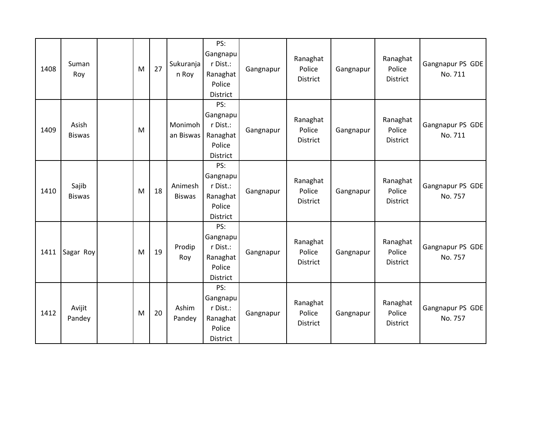| 1408 | Suman<br>Roy           | M | 27 | Sukuranja<br>n Roy       | PS:<br>Gangnapu<br>r Dist.:<br>Ranaghat<br>Police<br>District | Gangnapur | Ranaghat<br>Police<br>District        | Gangnapur | Ranaghat<br>Police<br>District | Gangnapur PS GDE<br>No. 711 |
|------|------------------------|---|----|--------------------------|---------------------------------------------------------------|-----------|---------------------------------------|-----------|--------------------------------|-----------------------------|
| 1409 | Asish<br><b>Biswas</b> | M |    | Monimoh<br>an Biswas     | PS:<br>Gangnapu<br>r Dist.:<br>Ranaghat<br>Police<br>District | Gangnapur | Ranaghat<br>Police<br><b>District</b> | Gangnapur | Ranaghat<br>Police<br>District | Gangnapur PS GDE<br>No. 711 |
| 1410 | Sajib<br><b>Biswas</b> | M | 18 | Animesh<br><b>Biswas</b> | PS:<br>Gangnapu<br>r Dist.:<br>Ranaghat<br>Police<br>District | Gangnapur | Ranaghat<br>Police<br>District        | Gangnapur | Ranaghat<br>Police<br>District | Gangnapur PS GDE<br>No. 757 |
| 1411 | Sagar Roy              | M | 19 | Prodip<br>Roy            | PS:<br>Gangnapu<br>r Dist.:<br>Ranaghat<br>Police<br>District | Gangnapur | Ranaghat<br>Police<br>District        | Gangnapur | Ranaghat<br>Police<br>District | Gangnapur PS GDE<br>No. 757 |
| 1412 | Avijit<br>Pandey       | M | 20 | Ashim<br>Pandey          | PS:<br>Gangnapu<br>r Dist.:<br>Ranaghat<br>Police<br>District | Gangnapur | Ranaghat<br>Police<br>District        | Gangnapur | Ranaghat<br>Police<br>District | Gangnapur PS GDE<br>No. 757 |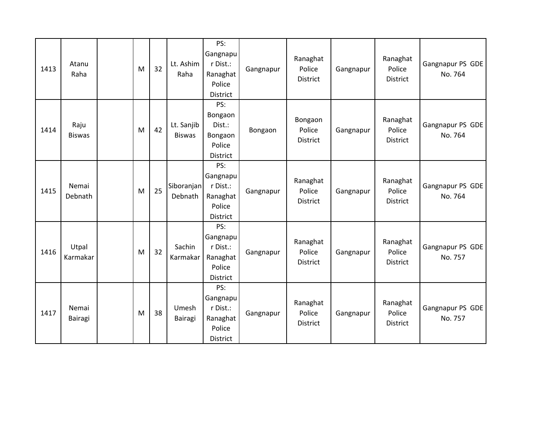| 1413 | Atanu<br>Raha         | M | 32 | Lt. Ashim<br>Raha           | PS:<br>Gangnapu<br>r Dist.:<br>Ranaghat<br>Police<br>District        | Gangnapur | Ranaghat<br>Police<br>District | Gangnapur | Ranaghat<br>Police<br><b>District</b> | Gangnapur PS GDE<br>No. 764 |
|------|-----------------------|---|----|-----------------------------|----------------------------------------------------------------------|-----------|--------------------------------|-----------|---------------------------------------|-----------------------------|
| 1414 | Raju<br><b>Biswas</b> | M | 42 | Lt. Sanjib<br><b>Biswas</b> | PS:<br>Bongaon<br>Dist.:<br>Bongaon<br>Police<br><b>District</b>     | Bongaon   | Bongaon<br>Police<br>District  | Gangnapur | Ranaghat<br>Police<br><b>District</b> | Gangnapur PS GDE<br>No. 764 |
| 1415 | Nemai<br>Debnath      | M | 25 | Siboranjan<br>Debnath       | PS:<br>Gangnapu<br>r Dist.:<br>Ranaghat<br>Police<br><b>District</b> | Gangnapur | Ranaghat<br>Police<br>District | Gangnapur | Ranaghat<br>Police<br>District        | Gangnapur PS GDE<br>No. 764 |
| 1416 | Utpal<br>Karmakar     | M | 32 | Sachin<br>Karmakar          | PS:<br>Gangnapu<br>r Dist.:<br>Ranaghat<br>Police<br>District        | Gangnapur | Ranaghat<br>Police<br>District | Gangnapur | Ranaghat<br>Police<br>District        | Gangnapur PS GDE<br>No. 757 |
| 1417 | Nemai<br>Bairagi      | M | 38 | Umesh<br>Bairagi            | PS:<br>Gangnapu<br>r Dist.:<br>Ranaghat<br>Police<br>District        | Gangnapur | Ranaghat<br>Police<br>District | Gangnapur | Ranaghat<br>Police<br>District        | Gangnapur PS GDE<br>No. 757 |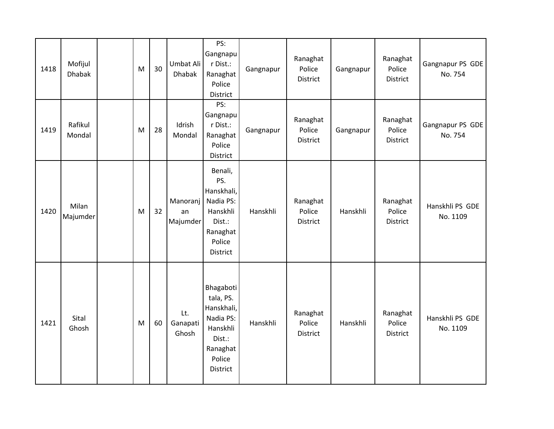| 1418 | Mofijul<br><b>Dhabak</b> | M | 30 | Umbat Ali<br><b>Dhabak</b> | PS:<br>Gangnapu<br>r Dist.:<br>Ranaghat<br>Police<br>District                                             | Gangnapur | Ranaghat<br>Police<br>District        | Gangnapur | Ranaghat<br>Police<br>District | Gangnapur PS GDE<br>No. 754 |
|------|--------------------------|---|----|----------------------------|-----------------------------------------------------------------------------------------------------------|-----------|---------------------------------------|-----------|--------------------------------|-----------------------------|
| 1419 | Rafikul<br>Mondal        | M | 28 | Idrish<br>Mondal           | PS:<br>Gangnapu<br>r Dist.:<br>Ranaghat<br>Police<br>District                                             | Gangnapur | Ranaghat<br>Police<br><b>District</b> | Gangnapur | Ranaghat<br>Police<br>District | Gangnapur PS GDE<br>No. 754 |
| 1420 | Milan<br>Majumder        | M | 32 | Manoranj<br>an<br>Majumder | Benali,<br>PS.<br>Hanskhali,<br>Nadia PS:<br>Hanskhli<br>Dist.:<br>Ranaghat<br>Police<br>District         | Hanskhli  | Ranaghat<br>Police<br>District        | Hanskhli  | Ranaghat<br>Police<br>District | Hanskhli PS GDE<br>No. 1109 |
| 1421 | Sital<br>Ghosh           | M | 60 | Lt.<br>Ganapati<br>Ghosh   | Bhagaboti<br>tala, PS.<br>Hanskhali,<br>Nadia PS:<br>Hanskhli<br>Dist.:<br>Ranaghat<br>Police<br>District | Hanskhli  | Ranaghat<br>Police<br>District        | Hanskhli  | Ranaghat<br>Police<br>District | Hanskhli PS GDE<br>No. 1109 |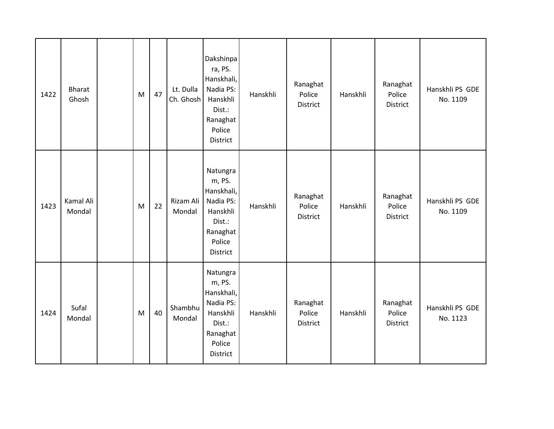| 1422 | <b>Bharat</b><br>Ghosh | M | 47 | Lt. Dulla<br>Ch. Ghosh | Dakshinpa<br>ra, PS.<br>Hanskhali,<br>Nadia PS:<br>Hanskhli<br>Dist.:<br>Ranaghat<br>Police<br><b>District</b> | Hanskhli | Ranaghat<br>Police<br>District | Hanskhli | Ranaghat<br>Police<br>District        | Hanskhli PS GDE<br>No. 1109 |
|------|------------------------|---|----|------------------------|----------------------------------------------------------------------------------------------------------------|----------|--------------------------------|----------|---------------------------------------|-----------------------------|
| 1423 | Kamal Ali<br>Mondal    | M | 22 | Rizam Ali<br>Mondal    | Natungra<br>m, PS.<br>Hanskhali,<br>Nadia PS:<br>Hanskhli<br>Dist.:<br>Ranaghat<br>Police<br>District          | Hanskhli | Ranaghat<br>Police<br>District | Hanskhli | Ranaghat<br>Police<br><b>District</b> | Hanskhli PS GDE<br>No. 1109 |
| 1424 | Sufal<br>Mondal        | M | 40 | Shambhu<br>Mondal      | Natungra<br>m, PS.<br>Hanskhali,<br>Nadia PS:<br>Hanskhli<br>Dist.:<br>Ranaghat<br>Police<br>District          | Hanskhli | Ranaghat<br>Police<br>District | Hanskhli | Ranaghat<br>Police<br>District        | Hanskhli PS GDE<br>No. 1123 |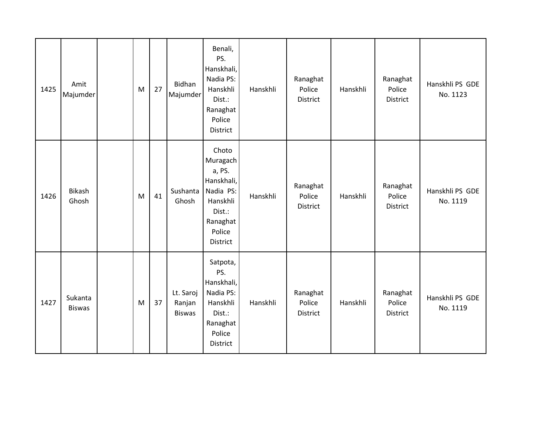| 1425 | Amit<br>Majumder         | M | 27 | Bidhan<br>Majumder                   | Benali,<br>PS.<br>Hanskhali,<br>Nadia PS:<br>Hanskhli<br>Dist.:<br>Ranaghat<br>Police<br>District              | Hanskhli | Ranaghat<br>Police<br>District        | Hanskhli | Ranaghat<br>Police<br>District        | Hanskhli PS GDE<br>No. 1123 |
|------|--------------------------|---|----|--------------------------------------|----------------------------------------------------------------------------------------------------------------|----------|---------------------------------------|----------|---------------------------------------|-----------------------------|
| 1426 | Bikash<br>Ghosh          | M | 41 | Sushanta<br>Ghosh                    | Choto<br>Muragach<br>a, PS.<br>Hanskhali,<br>Nadia PS:<br>Hanskhli<br>Dist.:<br>Ranaghat<br>Police<br>District | Hanskhli | Ranaghat<br>Police<br><b>District</b> | Hanskhli | Ranaghat<br>Police<br><b>District</b> | Hanskhli PS GDE<br>No. 1119 |
| 1427 | Sukanta<br><b>Biswas</b> | M | 37 | Lt. Saroj<br>Ranjan<br><b>Biswas</b> | Satpota,<br>PS.<br>Hanskhali,<br>Nadia PS:<br>Hanskhli<br>Dist.:<br>Ranaghat<br>Police<br>District             | Hanskhli | Ranaghat<br>Police<br><b>District</b> | Hanskhli | Ranaghat<br>Police<br><b>District</b> | Hanskhli PS GDE<br>No. 1119 |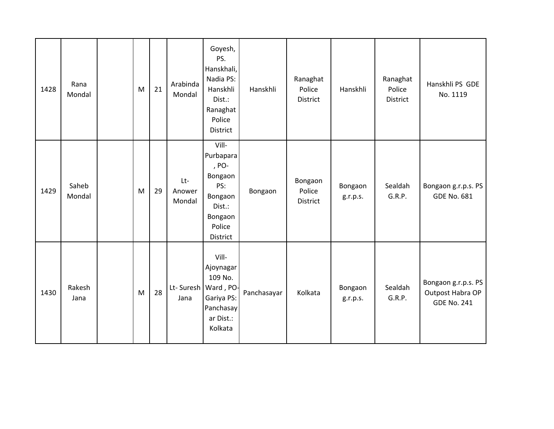| 1428 | Rana<br>Mondal  | M | 21 | Arabinda<br>Mondal      | Goyesh,<br>PS.<br>Hanskhali,<br>Nadia PS:<br>Hanskhli<br>Dist.:<br>Ranaghat<br>Police<br>District          | Hanskhli    | Ranaghat<br>Police<br>District | Hanskhli            | Ranaghat<br>Police<br>District | Hanskhli PS GDE<br>No. 1119                                   |
|------|-----------------|---|----|-------------------------|------------------------------------------------------------------------------------------------------------|-------------|--------------------------------|---------------------|--------------------------------|---------------------------------------------------------------|
| 1429 | Saheb<br>Mondal | M | 29 | Lt-<br>Anower<br>Mondal | Vill-<br>Purbapara<br>, PO-<br>Bongaon<br>PS:<br>Bongaon<br>Dist.:<br>Bongaon<br>Police<br>District        | Bongaon     | Bongaon<br>Police<br>District  | Bongaon<br>g.r.p.s. | Sealdah<br>G.R.P.              | Bongaon g.r.p.s. PS<br><b>GDE No. 681</b>                     |
| 1430 | Rakesh<br>Jana  | M | 28 | Jana                    | Vill-<br>Ajoynagar<br>109 No.<br>Lt- Suresh   Ward, PO-<br>Gariya PS:<br>Panchasay<br>ar Dist.:<br>Kolkata | Panchasayar | Kolkata                        | Bongaon<br>g.r.p.s. | Sealdah<br>G.R.P.              | Bongaon g.r.p.s. PS<br>Outpost Habra OP<br><b>GDE No. 241</b> |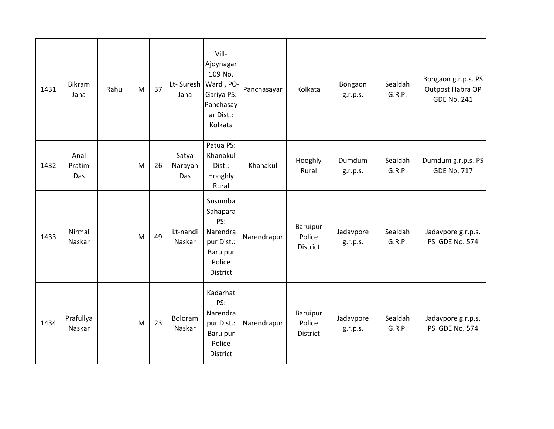| 1431 | <b>Bikram</b><br>Jana | Rahul | M | 37 | Jana                    | Vill-<br>Ajoynagar<br>109 No.<br>Lt- Suresh   Ward, PO-<br>Gariya PS:<br>Panchasay<br>ar Dist.:<br>Kolkata | Panchasayar | Kolkata                        | Bongaon<br>g.r.p.s.   | Sealdah<br>G.R.P. | Bongaon g.r.p.s. PS<br>Outpost Habra OP<br><b>GDE No. 241</b> |
|------|-----------------------|-------|---|----|-------------------------|------------------------------------------------------------------------------------------------------------|-------------|--------------------------------|-----------------------|-------------------|---------------------------------------------------------------|
| 1432 | Anal<br>Pratim<br>Das |       | M | 26 | Satya<br>Narayan<br>Das | Patua PS:<br>Khanakul<br>Dist.:<br>Hooghly<br>Rural                                                        | Khanakul    | Hooghly<br>Rural               | Dumdum<br>g.r.p.s.    | Sealdah<br>G.R.P. | Dumdum g.r.p.s. PS<br><b>GDE No. 717</b>                      |
| 1433 | Nirmal<br>Naskar      |       | M | 49 | Lt-nandi<br>Naskar      | Susumba<br>Sahapara<br>PS:<br>Narendra<br>pur Dist.:<br><b>Baruipur</b><br>Police<br>District              | Narendrapur | Baruipur<br>Police<br>District | Jadavpore<br>g.r.p.s. | Sealdah<br>G.R.P. | Jadavpore g.r.p.s.<br>PS GDE No. 574                          |
| 1434 | Prafullya<br>Naskar   |       | M | 23 | Boloram<br>Naskar       | Kadarhat<br>PS:<br>Narendra<br>pur Dist.:<br>Baruipur<br>Police<br>District                                | Narendrapur | Baruipur<br>Police<br>District | Jadavpore<br>g.r.p.s. | Sealdah<br>G.R.P. | Jadavpore g.r.p.s.<br>PS GDE No. 574                          |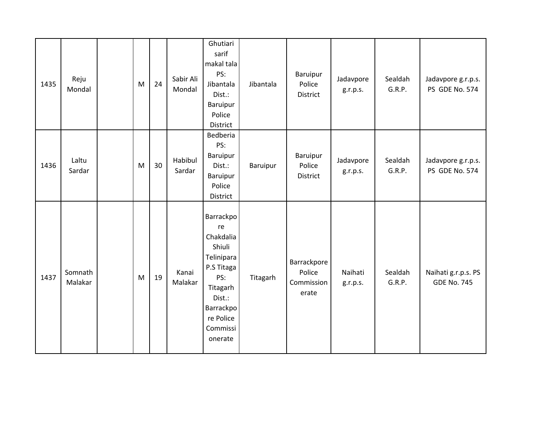| 1435 | Reju<br>Mondal     | M | 24 | Sabir Ali<br>Mondal | Ghutiari<br>sarif<br>makal tala<br>PS:<br>Jibantala<br>Dist.:<br>Baruipur<br>Police<br>District                                                  | Jibantala | Baruipur<br>Police<br>District               | Jadavpore<br>g.r.p.s. | Sealdah<br>G.R.P. | Jadavpore g.r.p.s.<br>PS GDE No. 574      |
|------|--------------------|---|----|---------------------|--------------------------------------------------------------------------------------------------------------------------------------------------|-----------|----------------------------------------------|-----------------------|-------------------|-------------------------------------------|
| 1436 | Laltu<br>Sardar    | M | 30 | Habibul<br>Sardar   | Bedberia<br>PS:<br>Baruipur<br>Dist.:<br>Baruipur<br>Police<br>District                                                                          | Baruipur  | Baruipur<br>Police<br>District               | Jadavpore<br>g.r.p.s. | Sealdah<br>G.R.P. | Jadavpore g.r.p.s.<br>PS GDE No. 574      |
| 1437 | Somnath<br>Malakar | M | 19 | Kanai<br>Malakar    | Barrackpo<br>re<br>Chakdalia<br>Shiuli<br>Telinipara<br>P.S Titaga<br>PS:<br>Titagarh<br>Dist.:<br>Barrackpo<br>re Police<br>Commissi<br>onerate | Titagarh  | Barrackpore<br>Police<br>Commission<br>erate | Naihati<br>g.r.p.s.   | Sealdah<br>G.R.P. | Naihati g.r.p.s. PS<br><b>GDE No. 745</b> |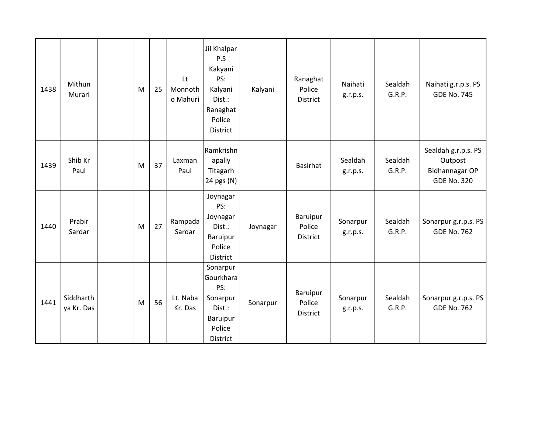| 1438 | Mithun<br>Murari        | M | 25 | Lt<br>Monnoth<br>o Mahuri | Jil Khalpar<br>P.S<br>Kakyani<br>PS:<br>Kalyani<br>Dist.:<br>Ranaghat<br>Police<br>District | Kalyani  | Ranaghat<br>Police<br><b>District</b> | Naihati<br>g.r.p.s.  | Sealdah<br>G.R.P. | Naihati g.r.p.s. PS<br><b>GDE No. 745</b>                              |
|------|-------------------------|---|----|---------------------------|---------------------------------------------------------------------------------------------|----------|---------------------------------------|----------------------|-------------------|------------------------------------------------------------------------|
| 1439 | Shib Kr<br>Paul         | M | 37 | Laxman<br>Paul            | Ramkrishn<br>apally<br>Titagarh<br>24 pgs (N)                                               |          | Basirhat                              | Sealdah<br>g.r.p.s.  | Sealdah<br>G.R.P. | Sealdah g.r.p.s. PS<br>Outpost<br>Bidhannagar OP<br><b>GDE No. 320</b> |
| 1440 | Prabir<br>Sardar        | M | 27 | Rampada<br>Sardar         | Joynagar<br>PS:<br>Joynagar<br>Dist.:<br>Baruipur<br>Police<br>District                     | Joynagar | Baruipur<br>Police<br><b>District</b> | Sonarpur<br>g.r.p.s. | Sealdah<br>G.R.P. | Sonarpur g.r.p.s. PS<br><b>GDE No. 762</b>                             |
| 1441 | Siddharth<br>ya Kr. Das | M | 56 | Lt. Naba<br>Kr. Das       | Sonarpur<br>Gourkhara<br>PS:<br>Sonarpur<br>Dist.:<br>Baruipur<br>Police<br>District        | Sonarpur | Baruipur<br>Police<br><b>District</b> | Sonarpur<br>g.r.p.s. | Sealdah<br>G.R.P. | Sonarpur g.r.p.s. PS<br><b>GDE No. 762</b>                             |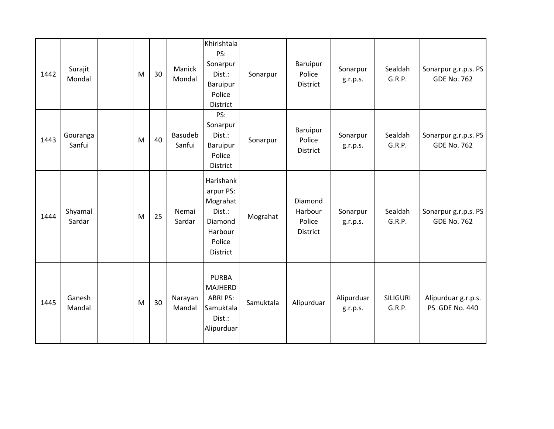| 1442 | Surajit<br>Mondal  | M | 30 | Manick<br>Mondal  | Khirishtala<br>PS:<br>Sonarpur<br>Dist.:<br>Baruipur<br>Police<br>District               | Sonarpur  | Baruipur<br>Police<br>District           | Sonarpur<br>g.r.p.s.   | Sealdah<br>G.R.P.         | Sonarpur g.r.p.s. PS<br><b>GDE No. 762</b> |
|------|--------------------|---|----|-------------------|------------------------------------------------------------------------------------------|-----------|------------------------------------------|------------------------|---------------------------|--------------------------------------------|
| 1443 | Gouranga<br>Sanfui | M | 40 | Basudeb<br>Sanfui | PS:<br>Sonarpur<br>Dist.:<br>Baruipur<br>Police<br>District                              | Sonarpur  | Baruipur<br>Police<br>District           | Sonarpur<br>g.r.p.s.   | Sealdah<br>G.R.P.         | Sonarpur g.r.p.s. PS<br><b>GDE No. 762</b> |
| 1444 | Shyamal<br>Sardar  | M | 25 | Nemai<br>Sardar   | Harishank<br>arpur PS:<br>Mograhat<br>Dist.:<br>Diamond<br>Harbour<br>Police<br>District | Mograhat  | Diamond<br>Harbour<br>Police<br>District | Sonarpur<br>g.r.p.s.   | Sealdah<br>G.R.P.         | Sonarpur g.r.p.s. PS<br><b>GDE No. 762</b> |
| 1445 | Ganesh<br>Mandal   | M | 30 | Narayan<br>Mandal | <b>PURBA</b><br>MAJHERD<br><b>ABRI PS:</b><br>Samuktala<br>Dist.:<br>Alipurduar          | Samuktala | Alipurduar                               | Alipurduar<br>g.r.p.s. | <b>SILIGURI</b><br>G.R.P. | Alipurduar g.r.p.s.<br>PS GDE No. 440      |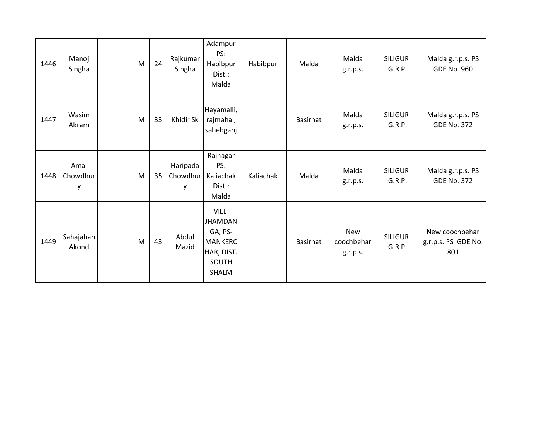| 1446 | Manoj<br>Singha       | M | 24 | Rajkumar<br>Singha        | Adampur<br>PS:<br>Habibpur<br>Dist.:<br>Malda                                        | Habibpur  | Malda           | Malda<br>g.r.p.s.                    | <b>SILIGURI</b><br>G.R.P. | Malda g.r.p.s. PS<br><b>GDE No. 960</b>      |
|------|-----------------------|---|----|---------------------------|--------------------------------------------------------------------------------------|-----------|-----------------|--------------------------------------|---------------------------|----------------------------------------------|
| 1447 | Wasim<br>Akram        | M | 33 | Khidir Sk                 | Hayamalli,<br>rajmahal,<br>sahebganj                                                 |           | <b>Basirhat</b> | Malda<br>g.r.p.s.                    | <b>SILIGURI</b><br>G.R.P. | Malda g.r.p.s. PS<br><b>GDE No. 372</b>      |
| 1448 | Amal<br>Chowdhur<br>у | M | 35 | Haripada<br>Chowdhur<br>у | Rajnagar<br>PS:<br>Kaliachak<br>Dist.:<br>Malda                                      | Kaliachak | Malda           | Malda<br>g.r.p.s.                    | <b>SILIGURI</b><br>G.R.P. | Malda g.r.p.s. PS<br><b>GDE No. 372</b>      |
| 1449 | Sahajahan<br>Akond    | M | 43 | Abdul<br>Mazid            | VILL-<br><b>JHAMDAN</b><br>GA, PS-<br><b>MANKERC</b><br>HAR, DIST.<br>SOUTH<br>SHALM |           | Basirhat        | <b>New</b><br>coochbehar<br>g.r.p.s. | <b>SILIGURI</b><br>G.R.P. | New coochbehar<br>g.r.p.s. PS GDE No.<br>801 |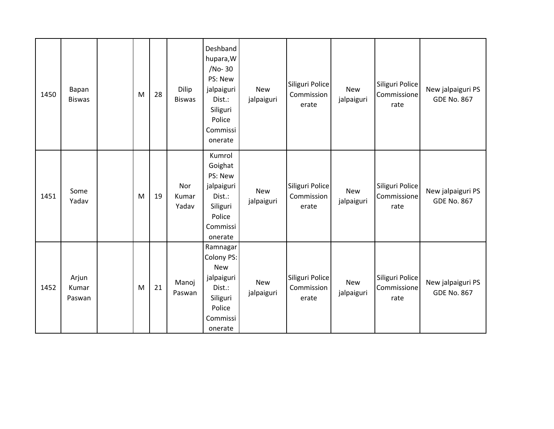| 1450 | Bapan<br><b>Biswas</b>   | M | 28 | Dilip<br><b>Biswas</b> | Deshband<br>hupara, W<br>/No-30<br>PS: New<br>jalpaiguri<br>Dist.:<br>Siliguri<br>Police<br>Commissi<br>onerate | <b>New</b><br>jalpaiguri | Siliguri Police<br>Commission<br>erate | <b>New</b><br>jalpaiguri | Siliguri Police<br>Commissione<br>rate | New jalpaiguri PS<br><b>GDE No. 867</b> |
|------|--------------------------|---|----|------------------------|-----------------------------------------------------------------------------------------------------------------|--------------------------|----------------------------------------|--------------------------|----------------------------------------|-----------------------------------------|
| 1451 | Some<br>Yadav            | M | 19 | Nor<br>Kumar<br>Yadav  | Kumrol<br>Goighat<br>PS: New<br>jalpaiguri<br>Dist.:<br>Siliguri<br>Police<br>Commissi<br>onerate               | <b>New</b><br>jalpaiguri | Siliguri Police<br>Commission<br>erate | <b>New</b><br>jalpaiguri | Siliguri Police<br>Commissione<br>rate | New jalpaiguri PS<br><b>GDE No. 867</b> |
| 1452 | Arjun<br>Kumar<br>Paswan | M | 21 | Manoj<br>Paswan        | Ramnagar<br>Colony PS:<br><b>New</b><br>jalpaiguri<br>Dist.:<br>Siliguri<br>Police<br>Commissi<br>onerate       | <b>New</b><br>jalpaiguri | Siliguri Police<br>Commission<br>erate | <b>New</b><br>jalpaiguri | Siliguri Police<br>Commissione<br>rate | New jalpaiguri PS<br><b>GDE No. 867</b> |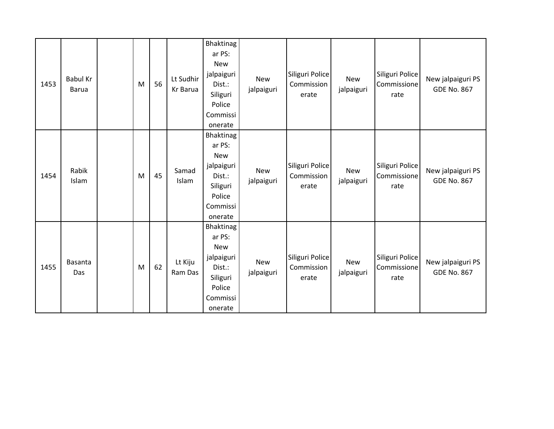| 1453 | <b>Babul Kr</b><br><b>Barua</b> | M | 56 | Lt Sudhir<br>Kr Barua | <b>Bhaktinag</b><br>ar PS:<br><b>New</b><br>jalpaiguri<br>Dist.:<br>Siliguri<br>Police<br>Commissi<br>onerate | <b>New</b><br>jalpaiguri | Siliguri Police<br>Commission<br>erate | <b>New</b><br>jalpaiguri | Siliguri Police<br>Commissione<br>rate | New jalpaiguri PS<br><b>GDE No. 867</b> |
|------|---------------------------------|---|----|-----------------------|---------------------------------------------------------------------------------------------------------------|--------------------------|----------------------------------------|--------------------------|----------------------------------------|-----------------------------------------|
| 1454 | Rabik<br>Islam                  | M | 45 | Samad<br>Islam        | <b>Bhaktinag</b><br>ar PS:<br><b>New</b><br>jalpaiguri<br>Dist.:<br>Siliguri<br>Police<br>Commissi<br>onerate | <b>New</b><br>jalpaiguri | Siliguri Police<br>Commission<br>erate | <b>New</b><br>jalpaiguri | Siliguri Police<br>Commissione<br>rate | New jalpaiguri PS<br><b>GDE No. 867</b> |
| 1455 | <b>Basanta</b><br>Das           | M | 62 | Lt Kiju<br>Ram Das    | <b>Bhaktinag</b><br>ar PS:<br><b>New</b><br>jalpaiguri<br>Dist.:<br>Siliguri<br>Police<br>Commissi<br>onerate | <b>New</b><br>jalpaiguri | Siliguri Police<br>Commission<br>erate | <b>New</b><br>jalpaiguri | Siliguri Police<br>Commissione<br>rate | New jalpaiguri PS<br><b>GDE No. 867</b> |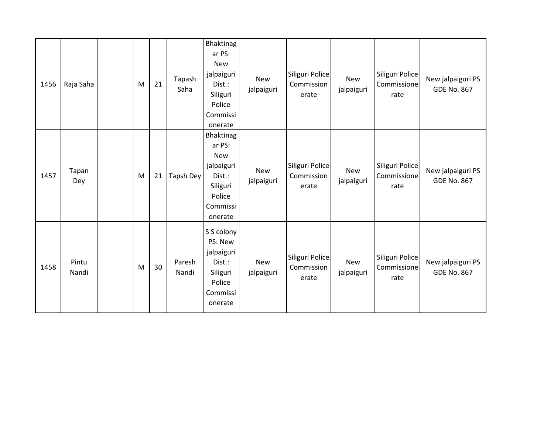| 1456 | Raja Saha      | M | 21 | Tapash<br>Saha   | <b>Bhaktinag</b><br>ar PS:<br><b>New</b><br>jalpaiguri<br>Dist.:<br>Siliguri<br>Police<br>Commissi<br>onerate | <b>New</b><br>jalpaiguri | Siliguri Police<br>Commission<br>erate | <b>New</b><br>jalpaiguri | Siliguri Police<br>Commissione<br>rate | New jalpaiguri PS<br><b>GDE No. 867</b> |
|------|----------------|---|----|------------------|---------------------------------------------------------------------------------------------------------------|--------------------------|----------------------------------------|--------------------------|----------------------------------------|-----------------------------------------|
| 1457 | Tapan<br>Dey   | M | 21 | <b>Tapsh Dey</b> | <b>Bhaktinag</b><br>ar PS:<br><b>New</b><br>jalpaiguri<br>Dist.:<br>Siliguri<br>Police<br>Commissi<br>onerate | <b>New</b><br>jalpaiguri | Siliguri Police<br>Commission<br>erate | <b>New</b><br>jalpaiguri | Siliguri Police<br>Commissione<br>rate | New jalpaiguri PS<br><b>GDE No. 867</b> |
| 1458 | Pintu<br>Nandi | M | 30 | Paresh<br>Nandi  | S S colony<br>PS: New<br>jalpaiguri<br>Dist.:<br>Siliguri<br>Police<br>Commissi<br>onerate                    | <b>New</b><br>jalpaiguri | Siliguri Police<br>Commission<br>erate | <b>New</b><br>jalpaiguri | Siliguri Police<br>Commissione<br>rate | New jalpaiguri PS<br><b>GDE No. 867</b> |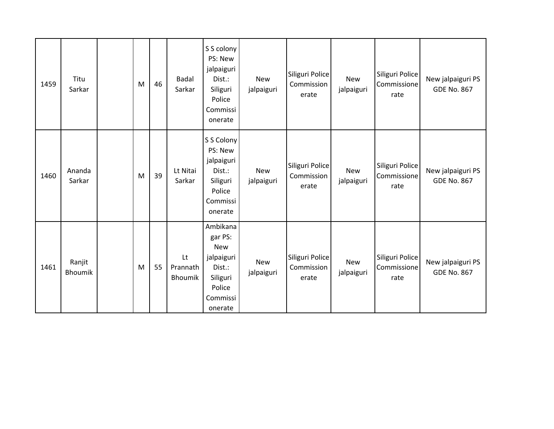| 1459 | Titu<br>Sarkar           | M | 46 | <b>Badal</b><br>Sarkar           | S S colony<br>PS: New<br>jalpaiguri<br>Dist.:<br>Siliguri<br>Police<br>Commissi<br>onerate             | <b>New</b><br>jalpaiguri | Siliguri Police<br>Commission<br>erate | <b>New</b><br>jalpaiguri | Siliguri Police<br>Commissione<br>rate | New jalpaiguri PS<br><b>GDE No. 867</b> |
|------|--------------------------|---|----|----------------------------------|--------------------------------------------------------------------------------------------------------|--------------------------|----------------------------------------|--------------------------|----------------------------------------|-----------------------------------------|
| 1460 | Ananda<br>Sarkar         | M | 39 | Lt Nitai<br>Sarkar               | S S Colony<br>PS: New<br>jalpaiguri<br>Dist.:<br>Siliguri<br>Police<br>Commissi<br>onerate             | <b>New</b><br>jalpaiguri | Siliguri Police<br>Commission<br>erate | <b>New</b><br>jalpaiguri | Siliguri Police<br>Commissione<br>rate | New jalpaiguri PS<br><b>GDE No. 867</b> |
| 1461 | Ranjit<br><b>Bhoumik</b> | M | 55 | Lt<br>Prannath<br><b>Bhoumik</b> | Ambikana<br>gar PS:<br><b>New</b><br>jalpaiguri<br>Dist.:<br>Siliguri<br>Police<br>Commissi<br>onerate | <b>New</b><br>jalpaiguri | Siliguri Police<br>Commission<br>erate | <b>New</b><br>jalpaiguri | Siliguri Police<br>Commissione<br>rate | New jalpaiguri PS<br><b>GDE No. 867</b> |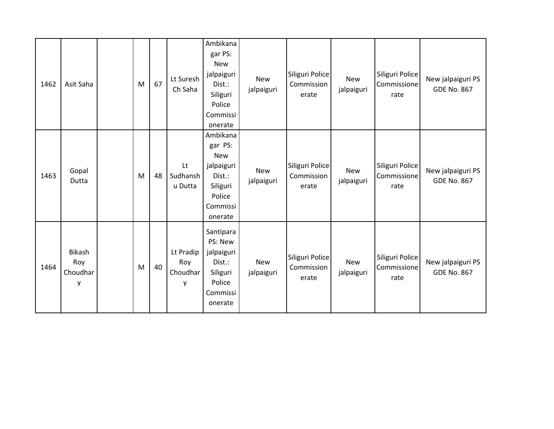| 1462 | Asit Saha                      | M | 67 | Lt Suresh<br>Ch Saha              | Ambikana<br>gar PS:<br><b>New</b><br>jalpaiguri<br>Dist.:<br>Siliguri<br>Police<br>Commissi<br>onerate | <b>New</b><br>jalpaiguri | Siliguri Police<br>Commission<br>erate | <b>New</b><br>jalpaiguri | Siliguri Police<br>Commissione<br>rate | New jalpaiguri PS<br><b>GDE No. 867</b> |
|------|--------------------------------|---|----|-----------------------------------|--------------------------------------------------------------------------------------------------------|--------------------------|----------------------------------------|--------------------------|----------------------------------------|-----------------------------------------|
| 1463 | Gopal<br>Dutta                 | M | 48 | Lt<br>Sudhansh<br>u Dutta         | Ambikana<br>gar PS:<br><b>New</b><br>jalpaiguri<br>Dist.:<br>Siliguri<br>Police<br>Commissi<br>onerate | <b>New</b><br>jalpaiguri | Siliguri Police<br>Commission<br>erate | <b>New</b><br>jalpaiguri | Siliguri Police<br>Commissione<br>rate | New jalpaiguri PS<br><b>GDE No. 867</b> |
| 1464 | Bikash<br>Roy<br>Choudhar<br>y | M | 40 | Lt Pradip<br>Roy<br>Choudhar<br>v | Santipara<br>PS: New<br>jalpaiguri<br>Dist.:<br>Siliguri<br>Police<br>Commissi<br>onerate              | <b>New</b><br>jalpaiguri | Siliguri Police<br>Commission<br>erate | <b>New</b><br>jalpaiguri | Siliguri Police<br>Commissione<br>rate | New jalpaiguri PS<br><b>GDE No. 867</b> |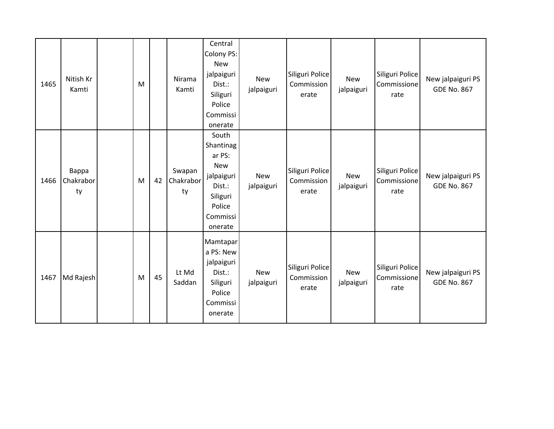| 1465 | Nitish Kr<br>Kamti       | M |    | Nirama<br>Kamti           | Central<br>Colony PS:<br><b>New</b><br>jalpaiguri<br>Dist.:<br>Siliguri<br>Police<br>Commissi<br>onerate        | <b>New</b><br>jalpaiguri | Siliguri Police<br>Commission<br>erate | <b>New</b><br>jalpaiguri | Siliguri Police<br>Commissione<br>rate | New jalpaiguri PS<br><b>GDE No. 867</b> |
|------|--------------------------|---|----|---------------------------|-----------------------------------------------------------------------------------------------------------------|--------------------------|----------------------------------------|--------------------------|----------------------------------------|-----------------------------------------|
| 1466 | Bappa<br>Chakrabor<br>ty | M | 42 | Swapan<br>Chakrabor<br>ty | South<br>Shantinag<br>ar PS:<br><b>New</b><br>jalpaiguri<br>Dist.:<br>Siliguri<br>Police<br>Commissi<br>onerate | <b>New</b><br>jalpaiguri | Siliguri Police<br>Commission<br>erate | <b>New</b><br>jalpaiguri | Siliguri Police<br>Commissione<br>rate | New jalpaiguri PS<br><b>GDE No. 867</b> |
| 1467 | Md Rajesh                | M | 45 | Lt Md<br>Saddan           | Mamtapar<br>a PS: New<br>jalpaiguri<br>Dist.:<br>Siliguri<br>Police<br>Commissi<br>onerate                      | <b>New</b><br>jalpaiguri | Siliguri Police<br>Commission<br>erate | <b>New</b><br>jalpaiguri | Siliguri Police<br>Commissione<br>rate | New jalpaiguri PS<br><b>GDE No. 867</b> |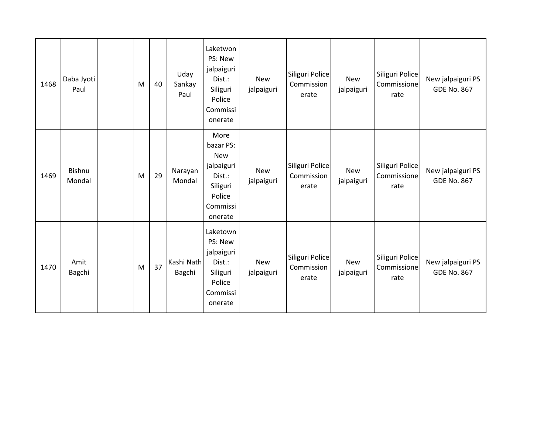| 1468 | Daba Jyoti<br>Paul | M | 40 | Uday<br>Sankay<br>Paul | Laketwon<br>PS: New<br>jalpaiguri<br>Dist.:<br>Siliguri<br>Police<br>Commissi<br>onerate             | <b>New</b><br>jalpaiguri | Siliguri Police<br>Commission<br>erate | <b>New</b><br>jalpaiguri | Siliguri Police<br>Commissione<br>rate | New jalpaiguri PS<br><b>GDE No. 867</b> |
|------|--------------------|---|----|------------------------|------------------------------------------------------------------------------------------------------|--------------------------|----------------------------------------|--------------------------|----------------------------------------|-----------------------------------------|
| 1469 | Bishnu<br>Mondal   | M | 29 | Narayan<br>Mondal      | More<br>bazar PS:<br><b>New</b><br>jalpaiguri<br>Dist.:<br>Siliguri<br>Police<br>Commissi<br>onerate | <b>New</b><br>jalpaiguri | Siliguri Police<br>Commission<br>erate | <b>New</b><br>jalpaiguri | Siliguri Police<br>Commissione<br>rate | New jalpaiguri PS<br><b>GDE No. 867</b> |
| 1470 | Amit<br>Bagchi     | M | 37 | Kashi Nath<br>Bagchi   | Laketown<br>PS: New<br>jalpaiguri<br>Dist.:<br>Siliguri<br>Police<br>Commissi<br>onerate             | <b>New</b><br>jalpaiguri | Siliguri Police<br>Commission<br>erate | <b>New</b><br>jalpaiguri | Siliguri Police<br>Commissione<br>rate | New jalpaiguri PS<br><b>GDE No. 867</b> |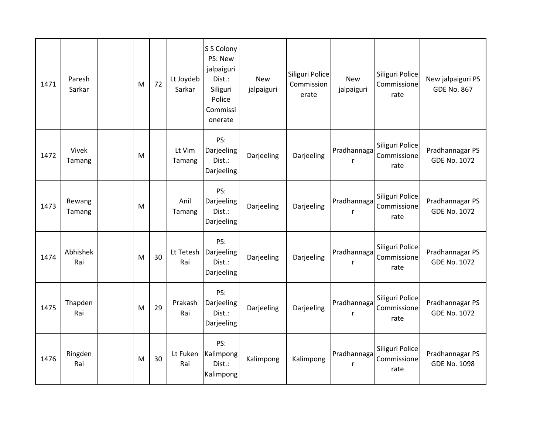| 1471 | Paresh<br>Sarkar | M | 72 | Lt Joydeb<br>Sarkar | S S Colony<br>PS: New<br>jalpaiguri<br>Dist.:<br>Siliguri<br>Police<br>Commissi<br>onerate | <b>New</b><br>jalpaiguri | Siliguri Police<br>Commission<br>erate | <b>New</b><br>jalpaiguri | Siliguri Police<br>Commissione<br>rate | New jalpaiguri PS<br><b>GDE No. 867</b> |
|------|------------------|---|----|---------------------|--------------------------------------------------------------------------------------------|--------------------------|----------------------------------------|--------------------------|----------------------------------------|-----------------------------------------|
| 1472 | Vivek<br>Tamang  | M |    | Lt Vim<br>Tamang    | PS:<br>Darjeeling<br>Dist.:<br>Darjeeling                                                  | Darjeeling               | Darjeeling                             | Pradhannaga<br>r         | Siliguri Police<br>Commissione<br>rate | Pradhannagar PS<br><b>GDE No. 1072</b>  |
| 1473 | Rewang<br>Tamang | M |    | Anil<br>Tamang      | PS:<br>Darjeeling<br>Dist.:<br>Darjeeling                                                  | Darjeeling               | Darjeeling                             | Pradhannaga<br>r         | Siliguri Police<br>Commissione<br>rate | Pradhannagar PS<br><b>GDE No. 1072</b>  |
| 1474 | Abhishek<br>Rai  | M | 30 | Lt Tetesh<br>Rai    | PS:<br>Darjeeling<br>Dist.:<br>Darjeeling                                                  | Darjeeling               | Darjeeling                             | Pradhannaga<br>r         | Siliguri Police<br>Commissione<br>rate | Pradhannagar PS<br><b>GDE No. 1072</b>  |
| 1475 | Thapden<br>Rai   | M | 29 | Prakash<br>Rai      | PS:<br>Darjeeling<br>Dist.:<br>Darjeeling                                                  | Darjeeling               | Darjeeling                             | Pradhannaga<br>r         | Siliguri Police<br>Commissione<br>rate | Pradhannagar PS<br><b>GDE No. 1072</b>  |
| 1476 | Ringden<br>Rai   | M | 30 | Lt Fuken<br>Rai     | PS:<br>Kalimpong<br>Dist.:<br>Kalimpong                                                    | Kalimpong                | Kalimpong                              | Pradhannaga<br>r         | Siliguri Police<br>Commissione<br>rate | Pradhannagar PS<br><b>GDE No. 1098</b>  |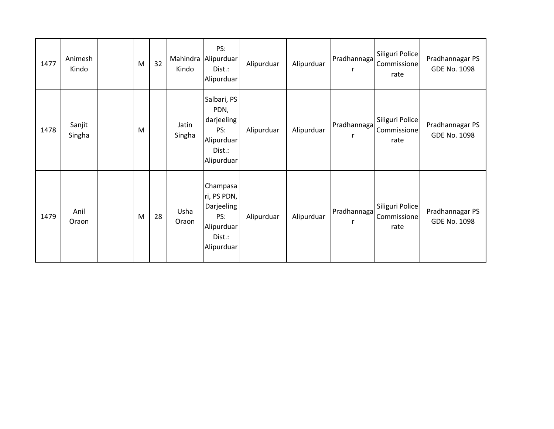| 1477 | Animesh<br>Kindo | M | 32 | Kindo           | PS:<br>Mahindra Alipurduar<br>Dist.:<br>Alipurduar                                 | Alipurduar | Alipurduar | Pradhannaga | Siliguri Police<br>Commissione<br>rate | Pradhannagar PS<br>GDE No. 1098 |
|------|------------------|---|----|-----------------|------------------------------------------------------------------------------------|------------|------------|-------------|----------------------------------------|---------------------------------|
| 1478 | Sanjit<br>Singha | M |    | Jatin<br>Singha | Salbari, PS<br>PDN,<br>darjeeling<br>PS:<br>Alipurduar<br>Dist.:<br>Alipurduar     | Alipurduar | Alipurduar | Pradhannaga | Siliguri Police<br>Commissione<br>rate | Pradhannagar PS<br>GDE No. 1098 |
| 1479 | Anil<br>Oraon    | M | 28 | Usha<br>Oraon   | Champasa<br>ri, PS PDN,<br>Darjeeling<br>PS:<br>Alipurduar<br>Dist.:<br>Alipurduar | Alipurduar | Alipurduar | Pradhannaga | Siliguri Police<br>Commissione<br>rate | Pradhannagar PS<br>GDE No. 1098 |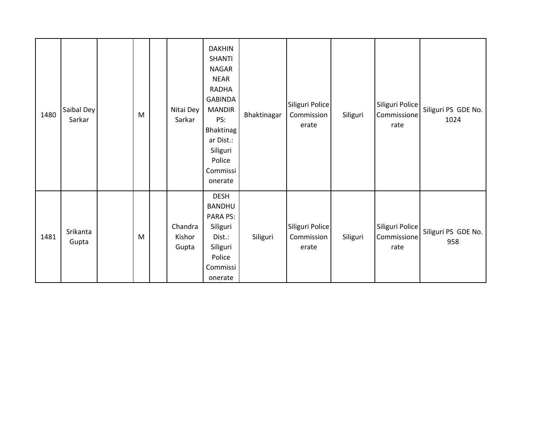| 1480 | Saibal Dey<br>Sarkar | M | Nitai Dey<br>Sarkar        | <b>DAKHIN</b><br><b>SHANTI</b><br><b>NAGAR</b><br><b>NEAR</b><br><b>RADHA</b><br><b>GABINDA</b><br><b>MANDIR</b><br>PS:<br><b>Bhaktinag</b><br>ar Dist.:<br>Siliguri<br>Police<br>Commissi<br>onerate | Bhaktinagar | Siliguri Police<br>Commission<br>erate | Siliguri | Siliguri Police<br>Commissione<br>rate | Siliguri PS GDE No.<br>1024 |
|------|----------------------|---|----------------------------|-------------------------------------------------------------------------------------------------------------------------------------------------------------------------------------------------------|-------------|----------------------------------------|----------|----------------------------------------|-----------------------------|
| 1481 | Srikanta<br>Gupta    | M | Chandra<br>Kishor<br>Gupta | <b>DESH</b><br><b>BANDHU</b><br>PARA PS:<br>Siliguri<br>Dist.:<br>Siliguri<br>Police<br>Commissi<br>onerate                                                                                           | Siliguri    | Siliguri Police<br>Commission<br>erate | Siliguri | Siliguri Police<br>Commissione<br>rate | Siliguri PS GDE No.<br>958  |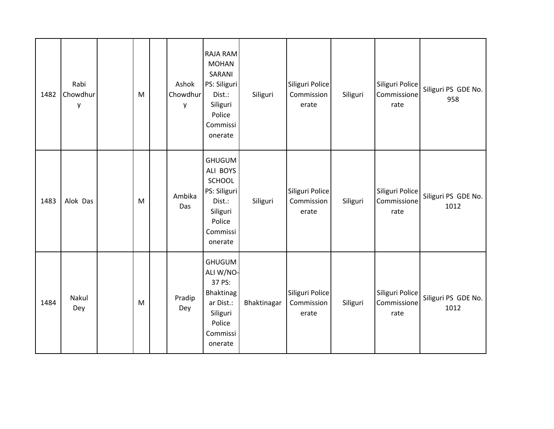| 1482 | Rabi<br>Chowdhur<br>у | M | Ashok<br>Chowdhur<br>y | RAJA RAM<br><b>MOHAN</b><br>SARANI<br>PS: Siliguri<br>Dist.:<br>Siliguri<br>Police<br>Commissi<br>onerate          | Siliguri    | Siliguri Police<br>Commission<br>erate | Siliguri | Siliguri Police<br>Commissione<br>rate | Siliguri PS GDE No.<br>958  |
|------|-----------------------|---|------------------------|--------------------------------------------------------------------------------------------------------------------|-------------|----------------------------------------|----------|----------------------------------------|-----------------------------|
| 1483 | Alok Das              | M | Ambika<br>Das          | <b>GHUGUM</b><br>ALI BOYS<br>SCHOOL<br>PS: Siliguri<br>Dist.:<br>Siliguri<br>Police<br>Commissi<br>onerate         | Siliguri    | Siliguri Police<br>Commission<br>erate | Siliguri | Siliguri Police<br>Commissione<br>rate | Siliguri PS GDE No.<br>1012 |
| 1484 | Nakul<br>Dey          | M | Pradip<br>Dey          | <b>GHUGUM</b><br>ALI W/NO-<br>37 PS:<br><b>Bhaktinag</b><br>ar Dist.:<br>Siliguri<br>Police<br>Commissi<br>onerate | Bhaktinagar | Siliguri Police<br>Commission<br>erate | Siliguri | Siliguri Police<br>Commissione<br>rate | Siliguri PS GDE No.<br>1012 |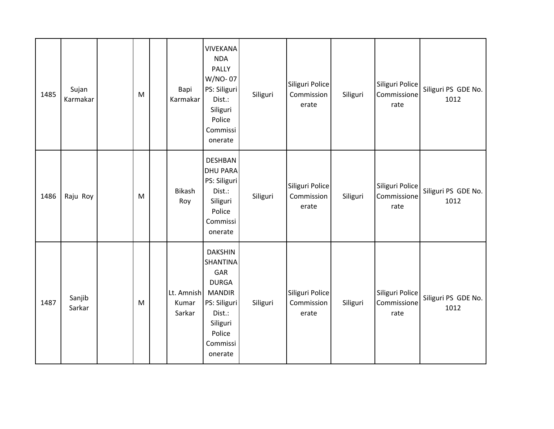| 1485 | Sujan<br>Karmakar | M | Bapi<br>Karmakar              | <b>VIVEKANA</b><br><b>NDA</b><br><b>PALLY</b><br>W/NO-07<br>PS: Siliguri<br>Dist.:<br>Siliguri<br>Police<br>Commissi<br>onerate                  | Siliguri | Siliguri Police<br>Commission<br>erate | Siliguri | Siliguri Police<br>Commissione<br>rate | Siliguri PS GDE No.<br>1012 |
|------|-------------------|---|-------------------------------|--------------------------------------------------------------------------------------------------------------------------------------------------|----------|----------------------------------------|----------|----------------------------------------|-----------------------------|
| 1486 | Raju Roy          | M | Bikash<br>Roy                 | <b>DESHBAN</b><br><b>DHU PARA</b><br>PS: Siliguri<br>Dist.:<br>Siliguri<br>Police<br>Commissi<br>onerate                                         | Siliguri | Siliguri Police<br>Commission<br>erate | Siliguri | Siliguri Police<br>Commissione<br>rate | Siliguri PS GDE No.<br>1012 |
| 1487 | Sanjib<br>Sarkar  | M | Lt. Amnish<br>Kumar<br>Sarkar | <b>DAKSHIN</b><br><b>SHANTINA</b><br>GAR<br><b>DURGA</b><br><b>MANDIR</b><br>PS: Siliguri<br>Dist.:<br>Siliguri<br>Police<br>Commissi<br>onerate | Siliguri | Siliguri Police<br>Commission<br>erate | Siliguri | Siliguri Police<br>Commissione<br>rate | Siliguri PS GDE No.<br>1012 |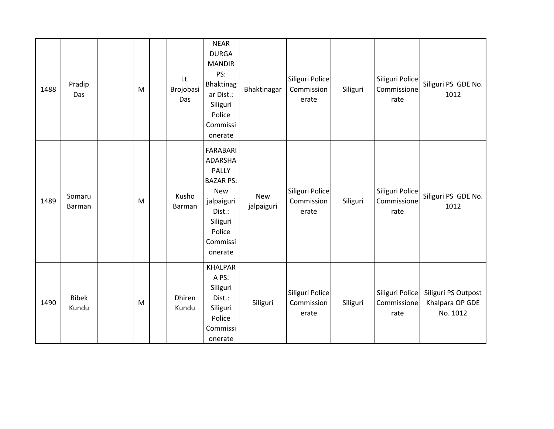| 1488 | Pradip<br>Das           | M | Lt.<br>Brojobasi<br>Das | <b>NEAR</b><br><b>DURGA</b><br><b>MANDIR</b><br>PS:<br>Bhaktinag<br>ar Dist.:<br>Siliguri<br>Police<br>Commissi<br>onerate                 | Bhaktinagar       | Siliguri Police<br>Commission<br>erate | Siliguri | Siliguri Police<br>Commissione<br>rate | Siliguri PS GDE No.<br>1012                        |
|------|-------------------------|---|-------------------------|--------------------------------------------------------------------------------------------------------------------------------------------|-------------------|----------------------------------------|----------|----------------------------------------|----------------------------------------------------|
| 1489 | Somaru<br><b>Barman</b> | M | Kusho<br><b>Barman</b>  | FARABARI<br>ADARSHA<br><b>PALLY</b><br><b>BAZAR PS:</b><br><b>New</b><br>jalpaiguri<br>Dist.:<br>Siliguri<br>Police<br>Commissi<br>onerate | New<br>jalpaiguri | Siliguri Police<br>Commission<br>erate | Siliguri | Siliguri Police<br>Commissione<br>rate | Siliguri PS GDE No.<br>1012                        |
| 1490 | <b>Bibek</b><br>Kundu   | M | Dhiren<br>Kundu         | KHALPAR<br>A PS:<br>Siliguri<br>Dist.:<br>Siliguri<br>Police<br>Commissi<br>onerate                                                        | Siliguri          | Siliguri Police<br>Commission<br>erate | Siliguri | Siliguri Police<br>Commissione<br>rate | Siliguri PS Outpost<br>Khalpara OP GDE<br>No. 1012 |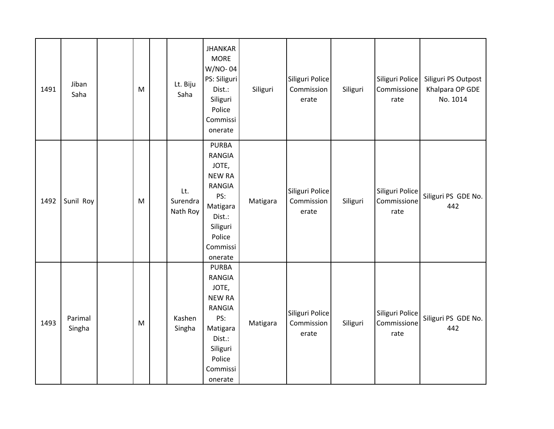| 1491 | Jiban<br>Saha     | M         | Lt. Biju<br>Saha            | <b>JHANKAR</b><br><b>MORE</b><br>W/NO-04<br>PS: Siliguri<br>Dist.:<br>Siliguri<br>Police<br>Commissi<br>onerate                             | Siliguri | Siliguri Police<br>Commission<br>erate | Siliguri | Siliguri Police<br>Commissione<br>rate | Siliguri PS Outpost<br>Khalpara OP GDE<br>No. 1014 |
|------|-------------------|-----------|-----------------------------|---------------------------------------------------------------------------------------------------------------------------------------------|----------|----------------------------------------|----------|----------------------------------------|----------------------------------------------------|
| 1492 | Sunil Roy         | M         | Lt.<br>Surendra<br>Nath Roy | <b>PURBA</b><br>RANGIA<br>JOTE,<br><b>NEW RA</b><br><b>RANGIA</b><br>PS:<br>Matigara<br>Dist.:<br>Siliguri<br>Police<br>Commissi<br>onerate | Matigara | Siliguri Police<br>Commission<br>erate | Siliguri | Siliguri Police<br>Commissione<br>rate | Siliguri PS GDE No.<br>442                         |
| 1493 | Parimal<br>Singha | ${\sf M}$ | Kashen<br>Singha            | <b>PURBA</b><br>RANGIA<br>JOTE,<br><b>NEW RA</b><br>RANGIA<br>PS:<br>Matigara<br>Dist.:<br>Siliguri<br>Police<br>Commissi<br>onerate        | Matigara | Siliguri Police<br>Commission<br>erate | Siliguri | Siliguri Police<br>Commissione<br>rate | Siliguri PS GDE No.<br>442                         |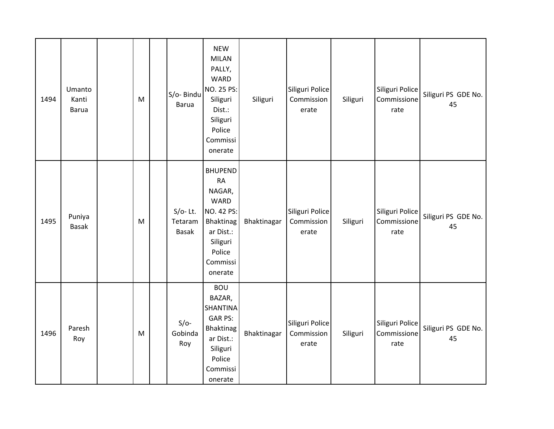| 1494 | Umanto<br>Kanti<br><b>Barua</b> | ${\sf M}$ | S/o-Bindu<br><b>Barua</b>             | <b>NEW</b><br><b>MILAN</b><br>PALLY,<br>WARD<br>NO. 25 PS:<br>Siliguri<br>Dist.:<br>Siliguri<br>Police<br>Commissi<br>onerate             | Siliguri    | Siliguri Police<br>Commission<br>erate | Siliguri | Siliguri Police<br>Commissione<br>rate | Siliguri PS GDE No.<br>45 |
|------|---------------------------------|-----------|---------------------------------------|-------------------------------------------------------------------------------------------------------------------------------------------|-------------|----------------------------------------|----------|----------------------------------------|---------------------------|
| 1495 | Puniya<br><b>Basak</b>          | M         | $S/O-$ Lt.<br>Tetaram<br><b>Basak</b> | <b>BHUPEND</b><br><b>RA</b><br>NAGAR,<br><b>WARD</b><br>NO. 42 PS:<br>Bhaktinag<br>ar Dist.:<br>Siliguri<br>Police<br>Commissi<br>onerate | Bhaktinagar | Siliguri Police<br>Commission<br>erate | Siliguri | Siliguri Police<br>Commissione<br>rate | Siliguri PS GDE No.<br>45 |
| 1496 | Paresh<br>Roy                   | M         | $S/O-$<br>Gobinda<br>Roy              | <b>BOU</b><br>BAZAR,<br><b>SHANTINA</b><br><b>GAR PS:</b><br><b>Bhaktinag</b><br>ar Dist.:<br>Siliguri<br>Police<br>Commissi<br>onerate   | Bhaktinagar | Siliguri Police<br>Commission<br>erate | Siliguri | Siliguri Police<br>Commissione<br>rate | Siliguri PS GDE No.<br>45 |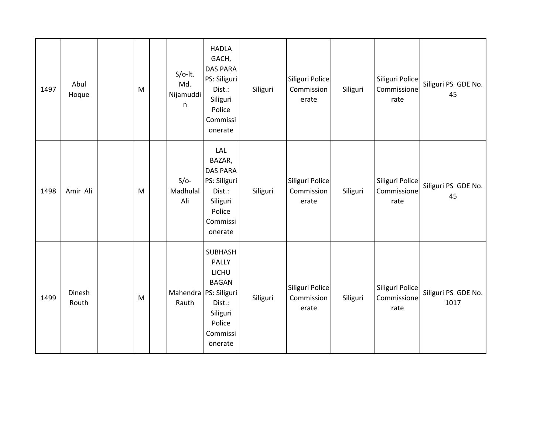| 1497 | Abul<br>Hoque   | M | $S/O-It.$<br>Md.<br>Nijamuddi<br>n | <b>HADLA</b><br>GACH,<br><b>DAS PARA</b><br>PS: Siliguri<br>Dist.:<br>Siliguri<br>Police<br>Commissi<br>onerate                         | Siliguri | Siliguri Police<br>Commission<br>erate | Siliguri | Siliguri Police<br>Commissione<br>rate | Siliguri PS GDE No.<br>45   |
|------|-----------------|---|------------------------------------|-----------------------------------------------------------------------------------------------------------------------------------------|----------|----------------------------------------|----------|----------------------------------------|-----------------------------|
| 1498 | Amir Ali        | M | $S/O-$<br>Madhulal<br>Ali          | LAL<br>BAZAR,<br><b>DAS PARA</b><br>PS: Siliguri<br>Dist.:<br>Siliguri<br>Police<br>Commissi<br>onerate                                 | Siliguri | Siliguri Police<br>Commission<br>erate | Siliguri | Siliguri Police<br>Commissione<br>rate | Siliguri PS GDE No.<br>45   |
| 1499 | Dinesh<br>Routh | M | Rauth                              | <b>SUBHASH</b><br><b>PALLY</b><br>LICHU<br><b>BAGAN</b><br>Mahendra PS: Siliguri<br>Dist.:<br>Siliguri<br>Police<br>Commissi<br>onerate | Siliguri | Siliguri Police<br>Commission<br>erate | Siliguri | Siliguri Police<br>Commissione<br>rate | Siliguri PS GDE No.<br>1017 |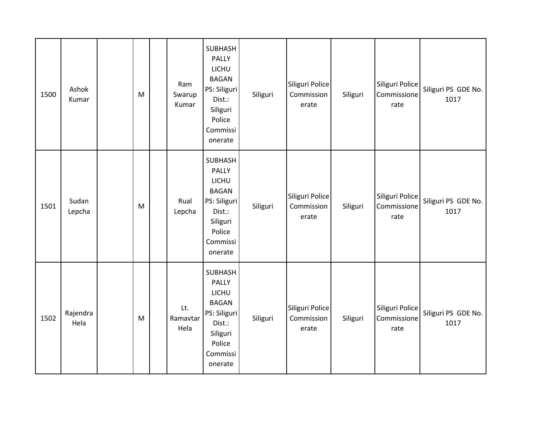| 1500 | Ashok<br>Kumar   | ${\sf M}$ | Ram<br>Swarup<br>Kumar  | <b>SUBHASH</b><br><b>PALLY</b><br>LICHU<br><b>BAGAN</b><br>PS: Siliguri<br>Dist.:<br>Siliguri<br>Police<br>Commissi<br>onerate | Siliguri | Siliguri Police<br>Commission<br>erate | Siliguri | Siliguri Police<br>Commissione<br>rate | Siliguri PS GDE No.<br>1017 |
|------|------------------|-----------|-------------------------|--------------------------------------------------------------------------------------------------------------------------------|----------|----------------------------------------|----------|----------------------------------------|-----------------------------|
| 1501 | Sudan<br>Lepcha  | M         | Rual<br>Lepcha          | <b>SUBHASH</b><br><b>PALLY</b><br>LICHU<br><b>BAGAN</b><br>PS: Siliguri<br>Dist.:<br>Siliguri<br>Police<br>Commissi<br>onerate | Siliguri | Siliguri Police<br>Commission<br>erate | Siliguri | Siliguri Police<br>Commissione<br>rate | Siliguri PS GDE No.<br>1017 |
| 1502 | Rajendra<br>Hela | M         | Lt.<br>Ramavtar<br>Hela | SUBHASH<br><b>PALLY</b><br>LICHU<br><b>BAGAN</b><br>PS: Siliguri<br>Dist.:<br>Siliguri<br>Police<br>Commissi<br>onerate        | Siliguri | Siliguri Police<br>Commission<br>erate | Siliguri | Siliguri Police<br>Commissione<br>rate | Siliguri PS GDE No.<br>1017 |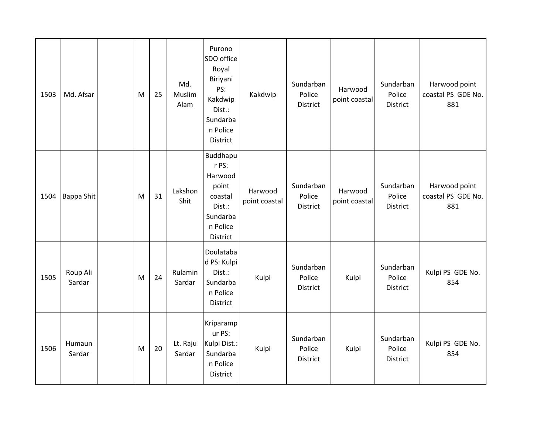| 1503 | Md. Afsar          | M | 25 | Md.<br>Muslim<br>Alam | Purono<br>SDO office<br>Royal<br>Biriyani<br>PS:<br>Kakdwip<br>Dist.:<br>Sundarba<br>n Police<br>District | Kakdwip                  | Sundarban<br>Police<br>District | Harwood<br>point coastal | Sundarban<br>Police<br>District | Harwood point<br>coastal PS GDE No.<br>881 |
|------|--------------------|---|----|-----------------------|-----------------------------------------------------------------------------------------------------------|--------------------------|---------------------------------|--------------------------|---------------------------------|--------------------------------------------|
| 1504 | <b>Bappa Shit</b>  | M | 31 | Lakshon<br>Shit       | Buddhapu<br>r PS:<br>Harwood<br>point<br>coastal<br>Dist.:<br>Sundarba<br>n Police<br>District            | Harwood<br>point coastal | Sundarban<br>Police<br>District | Harwood<br>point coastal | Sundarban<br>Police<br>District | Harwood point<br>coastal PS GDE No.<br>881 |
| 1505 | Roup Ali<br>Sardar | M | 24 | Rulamin<br>Sardar     | Doulataba<br>d PS: Kulpi<br>Dist.:<br>Sundarba<br>n Police<br>District                                    | Kulpi                    | Sundarban<br>Police<br>District | Kulpi                    | Sundarban<br>Police<br>District | Kulpi PS GDE No.<br>854                    |
| 1506 | Humaun<br>Sardar   | M | 20 | Lt. Raju<br>Sardar    | Kriparamp<br>ur PS:<br>Kulpi Dist.:<br>Sundarba<br>n Police<br>District                                   | Kulpi                    | Sundarban<br>Police<br>District | Kulpi                    | Sundarban<br>Police<br>District | Kulpi PS GDE No.<br>854                    |